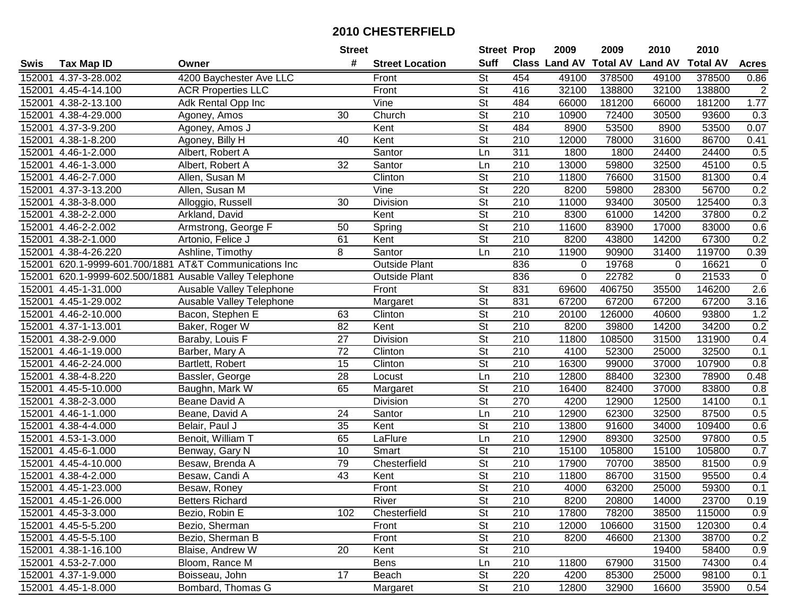|             |                            |                                                  | <b>Street</b>   |                        | <b>Street Prop</b>       |                  | 2009                          | 2009   | 2010           | 2010            |                  |
|-------------|----------------------------|--------------------------------------------------|-----------------|------------------------|--------------------------|------------------|-------------------------------|--------|----------------|-----------------|------------------|
| <b>Swis</b> | <b>Tax Map ID</b>          | Owner                                            | #               | <b>Street Location</b> | <b>Suff</b>              |                  | <b>Class Land AV Total AV</b> |        | <b>Land AV</b> | <b>Total AV</b> | <b>Acres</b>     |
| 152001      | 4.37-3-28.002              | 4200 Baychester Ave LLC                          |                 | Front                  | $\overline{\mathsf{St}}$ | 454              | 49100                         | 378500 | 49100          | 378500          | 0.86             |
| 152001      | 4.45-4-14.100              | <b>ACR Properties LLC</b>                        |                 | Front                  | $\overline{\mathsf{St}}$ | 416              | 32100                         | 138800 | 32100          | 138800          | $\overline{2}$   |
| 152001      | 4.38-2-13.100              | Adk Rental Opp Inc                               |                 | Vine                   | $\overline{\mathsf{St}}$ | 484              | 66000                         | 181200 | 66000          | 181200          | 1.77             |
| 152001      | 4.38-4-29.000              | Agoney, Amos                                     | 30              | Church                 | <b>St</b>                | 210              | 10900                         | 72400  | 30500          | 93600           | 0.3              |
| 152001      | 4.37-3-9.200               | Agoney, Amos J                                   |                 | Kent                   | $\overline{\mathsf{St}}$ | 484              | 8900                          | 53500  | 8900           | 53500           | 0.07             |
| 152001      | 4.38-1-8.200               | Agoney, Billy H                                  | 40              | Kent                   | <b>St</b>                | 210              | 12000                         | 78000  | 31600          | 86700           | 0.41             |
| 152001      | 4.46-1-2.000               | Albert, Robert A                                 |                 | Santor                 | Ln                       | 311              | 1800                          | 1800   | 24400          | 24400           | 0.5              |
| 152001      | 4.46-1-3.000               | Albert, Robert A                                 | 32              | Santor                 | Ln                       | 210              | 13000                         | 59800  | 32500          | 45100           | 0.5              |
| 152001      | 4.46-2-7.000               | Allen, Susan M                                   |                 | Clinton                | $\overline{\mathsf{St}}$ | $\overline{210}$ | 11800                         | 76600  | 31500          | 81300           | 0.4              |
| 152001      | 4.37-3-13.200              | Allen, Susan M                                   |                 | Vine                   | $\overline{\mathsf{St}}$ | 220              | 8200                          | 59800  | 28300          | 56700           | 0.2              |
| 152001      | 4.38-3-8.000               | Alloggio, Russell                                | 30              | Division               | $\overline{\mathsf{St}}$ | 210              | 11000                         | 93400  | 30500          | 125400          | 0.3              |
| 152001      | 4.38-2-2.000               | Arkland, David                                   |                 | Kent                   | <b>St</b>                | 210              | 8300                          | 61000  | 14200          | 37800           | 0.2              |
| 152001      | $4.46 - 2 - 2.002$         | Armstrong, George F                              | 50              | Spring                 | $\overline{\mathsf{St}}$ | 210              | 11600                         | 83900  | 17000          | 83000           | 0.6              |
| 152001      | 4.38-2-1.000               | Artonio, Felice J                                | 61              | Kent                   | $\overline{\mathsf{St}}$ | $\overline{210}$ | 8200                          | 43800  | 14200          | 67300           | 0.2              |
| 152001      | 4.38-4-26.220              | Ashline, Timothy                                 | 8               | Santor                 | Ln                       | $\overline{210}$ | 11900                         | 90900  | 31400          | 119700          | 0.39             |
| 152001      |                            | 620.1-9999-601.700/1881 AT&T Communications Inc  |                 | <b>Outside Plant</b>   |                          | 836              | 0                             | 19768  | 0              | 16621           | $\pmb{0}$        |
| 152001      |                            | 620.1-9999-602.500/1881 Ausable Valley Telephone |                 | <b>Outside Plant</b>   |                          | 836              | 0                             | 22782  | 0              | 21533           | $\overline{0}$   |
| 152001      | 4.45-1-31.000              | Ausable Valley Telephone                         |                 | Front                  | $\overline{\mathsf{St}}$ | 831              | 69600                         | 406750 | 35500          | 146200          | $\overline{2.6}$ |
| 152001      | 4.45-1-29.002              | Ausable Valley Telephone                         |                 | Margaret               | <b>St</b>                | 831              | 67200                         | 67200  | 67200          | 67200           | 3.16             |
| 152001      | 4.46-2-10.000              | Bacon, Stephen E                                 | 63              | Clinton                | $\overline{\mathsf{St}}$ | 210              | 20100                         | 126000 | 40600          | 93800           | 1.2              |
| 152001      | 4.37-1-13.001              | Baker, Roger W                                   | 82              | Kent                   | <b>St</b>                | 210              | 8200                          | 39800  | 14200          | 34200           | 0.2              |
| 152001      | 4.38-2-9.000               | Baraby, Louis F                                  | $\overline{27}$ | Division               | $\overline{\mathsf{St}}$ | 210              | 11800                         | 108500 | 31500          | 131900          | 0.4              |
| 152001      | 4.46-1-19.000              | Barber, Mary A                                   | 72              | Clinton                | <b>St</b>                | 210              | 4100                          | 52300  | 25000          | 32500           | 0.1              |
| 152001      | 4.46-2-24.000              | Bartlett, Robert                                 | 15              | Clinton                | <b>St</b>                | 210              | 16300                         | 99000  | 37000          | 107900          | 0.8              |
| 152001      | 4.38-4-8.220               | Bassler, George                                  | 28              | Locust                 | Ln                       | 210              | 12800                         | 88400  | 32300          | 78900           | 0.48             |
| 152001      | 4.45-5-10.000              | Baughn, Mark W                                   | 65              | Margaret               | $\overline{\mathsf{St}}$ | $\overline{210}$ | 16400                         | 82400  | 37000          | 83800           | 0.8              |
| 152001      | 4.38-2-3.000               | Beane David A                                    |                 | Division               | $\overline{\mathsf{St}}$ | 270              | 4200                          | 12900  | 12500          | 14100           | 0.1              |
| 152001      | $\overline{4.46}$ -1-1.000 | Beane, David A                                   | 24              | Santor                 | Ln                       | 210              | 12900                         | 62300  | 32500          | 87500           | 0.5              |
| 152001      | 4.38-4-4.000               | Belair, Paul J                                   | 35              | Kent                   | <b>St</b>                | 210              | 13800                         | 91600  | 34000          | 109400          | 0.6              |
| 152001      | 4.53-1-3.000               | Benoit, William T                                | 65              | LaFlure                | Ln                       | $\overline{210}$ | 12900                         | 89300  | 32500          | 97800           | 0.5              |
| 152001      | 4.45-6-1.000               | Benway, Gary N                                   | 10              | Smart                  | $\overline{\mathsf{St}}$ | 210              | 15100                         | 105800 | 15100          | 105800          | 0.7              |
| 152001      | 4.45-4-10.000              | Besaw, Brenda A                                  | 79              | Chesterfield           | $\overline{\mathsf{St}}$ | 210              | 17900                         | 70700  | 38500          | 81500           | 0.9              |
| 152001      | 4.38-4-2.000               | Besaw, Candi A                                   | 43              | Kent                   | $\overline{\mathsf{St}}$ | 210              | 11800                         | 86700  | 31500          | 95500           | 0.4              |
|             | 152001 4.45-1-23.000       | Besaw, Roney                                     |                 | Front                  | $\overline{\mathsf{St}}$ | $\overline{210}$ | 4000                          | 63200  | 25000          | 59300           | 0.1              |
|             | 152001 4.45-1-26.000       | <b>Betters Richard</b>                           |                 | River                  | St                       | 210              | 8200                          | 20800  | 14000          | 23700           | 0.19             |
|             | 152001 4.45-3-3.000        | Bezio, Robin E                                   | 102             | Chesterfield           | <b>St</b>                | 210              | 17800                         | 78200  | 38500          | 115000          | 0.9              |
|             | 152001 4.45-5-5.200        | Bezio, Sherman                                   |                 | Front                  | <b>St</b>                | 210              | 12000                         | 106600 | 31500          | 120300          | 0.4              |
|             | 152001 4.45-5-5.100        | Bezio, Sherman B                                 |                 | Front                  | <b>St</b>                | 210              | 8200                          | 46600  | 21300          | 38700           | 0.2              |
|             | 152001 4.38-1-16.100       | Blaise, Andrew W                                 | 20              | Kent                   | <b>St</b>                | 210              |                               |        | 19400          | 58400           | 0.9              |
|             | 152001 4.53-2-7.000        | Bloom, Rance M                                   |                 | Bens                   | Ln                       | 210              | 11800                         | 67900  | 31500          | 74300           | 0.4              |
|             | 152001 4.37-1-9.000        | Boisseau, John                                   | 17              | Beach                  | <b>St</b>                | 220              | 4200                          | 85300  | 25000          | 98100           | 0.1              |
|             | 152001 4.45-1-8.000        | Bombard, Thomas G                                |                 | Margaret               | $\overline{\mathsf{St}}$ | 210              | 12800                         | 32900  | 16600          | 35900           | 0.54             |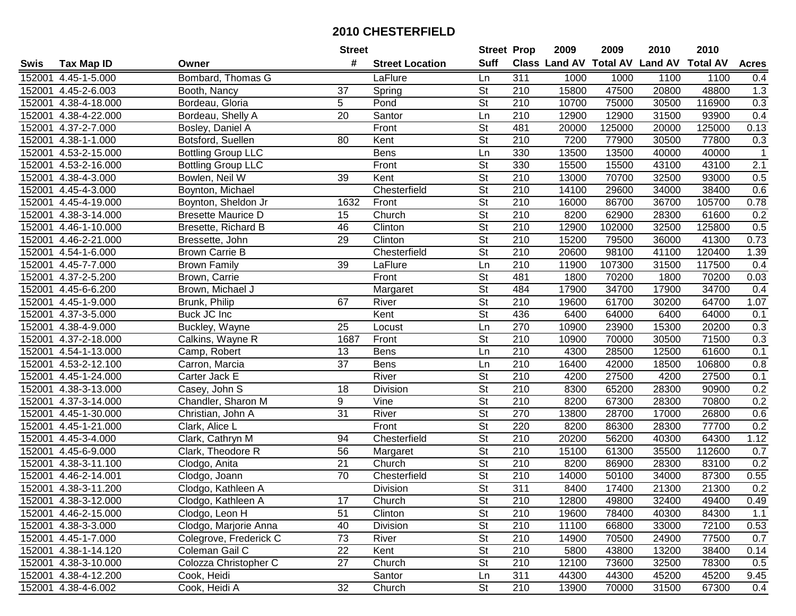|        |                      |                           | <b>Street</b>   |                        | <b>Street Prop</b>       |                  | 2009  | 2009   | 2010                                    | 2010   |              |
|--------|----------------------|---------------------------|-----------------|------------------------|--------------------------|------------------|-------|--------|-----------------------------------------|--------|--------------|
| Swis   | <b>Tax Map ID</b>    | Owner                     | #               | <b>Street Location</b> | <b>Suff</b>              |                  |       |        | Class Land AV Total AV Land AV Total AV |        | <b>Acres</b> |
|        | 152001 4.45-1-5.000  | Bombard, Thomas G         |                 | LaFlure                | Ln                       | 311              | 1000  | 1000   | 1100                                    | 1100   | 0.4          |
|        | 152001 4.45-2-6.003  | Booth, Nancy              | 37              | Spring                 | <b>St</b>                | 210              | 15800 | 47500  | 20800                                   | 48800  | 1.3          |
|        | 152001 4.38-4-18.000 | Bordeau, Gloria           | 5               | Pond                   | St                       | 210              | 10700 | 75000  | 30500                                   | 116900 | 0.3          |
|        | 152001 4.38-4-22.000 | Bordeau, Shelly A         | $\overline{20}$ | Santor                 | Ln                       | 210              | 12900 | 12900  | 31500                                   | 93900  | 0.4          |
|        | 152001 4.37-2-7.000  | Bosley, Daniel A          |                 | Front                  | $\overline{\mathsf{St}}$ | 481              | 20000 | 125000 | 20000                                   | 125000 | 0.13         |
|        | 152001 4.38-1-1.000  | Botsford, Suellen         | 80              | Kent                   | $\overline{\mathsf{St}}$ | 210              | 7200  | 77900  | 30500                                   | 77800  | 0.3          |
|        | 152001 4.53-2-15.000 | <b>Bottling Group LLC</b> |                 | <b>Bens</b>            | Ln                       | 330              | 13500 | 13500  | 40000                                   | 40000  | $\mathbf 1$  |
|        | 152001 4.53-2-16.000 | <b>Bottling Group LLC</b> |                 | Front                  | $\overline{\mathsf{St}}$ | 330              | 15500 | 15500  | 43100                                   | 43100  | 2.1          |
|        | 152001 4.38-4-3.000  | Bowlen, Neil W            | $\overline{39}$ | Kent                   | $\overline{\mathsf{St}}$ | $\overline{210}$ | 13000 | 70700  | 32500                                   | 93000  | 0.5          |
|        | 152001 4.45-4-3.000  | Boynton, Michael          |                 | Chesterfield           | $\overline{\mathsf{St}}$ | 210              | 14100 | 29600  | 34000                                   | 38400  | 0.6          |
|        | 152001 4.45-4-19.000 | Boynton, Sheldon Jr       | 1632            | Front                  | $\overline{\mathsf{St}}$ | 210              | 16000 | 86700  | 36700                                   | 105700 | 0.78         |
|        | 152001 4.38-3-14.000 | <b>Bresette Maurice D</b> | 15              | Church                 | <b>St</b>                | 210              | 8200  | 62900  | 28300                                   | 61600  | 0.2          |
|        | 152001 4.46-1-10.000 | Bresette, Richard B       | 46              | Clinton                | $\overline{St}$          | 210              | 12900 | 102000 | 32500                                   | 125800 | 0.5          |
|        | 152001 4.46-2-21.000 | Bressette, John           | 29              | Clinton                | $\overline{\mathsf{St}}$ | 210              | 15200 | 79500  | 36000                                   | 41300  | 0.73         |
|        | 152001 4.54-1-6.000  | <b>Brown Carrie B</b>     |                 | Chesterfield           | $\overline{\mathsf{St}}$ | 210              | 20600 | 98100  | 41100                                   | 120400 | 1.39         |
|        | 152001 4.45-7-7.000  | <b>Brown Family</b>       | 39              | LaFlure                | Ln                       | 210              | 11900 | 107300 | 31500                                   | 117500 | 0.4          |
|        | 152001 4.37-2-5.200  | Brown, Carrie             |                 | Front                  | $\overline{St}$          | 481              | 1800  | 70200  | 1800                                    | 70200  | 0.03         |
| 152001 | 4.45-6-6.200         | Brown, Michael J          |                 | Margaret               | $\overline{St}$          | 484              | 17900 | 34700  | 17900                                   | 34700  | 0.4          |
|        | 152001 4.45-1-9.000  | Brunk, Philip             | 67              | River                  | $\overline{\mathsf{St}}$ | 210              | 19600 | 61700  | 30200                                   | 64700  | 1.07         |
|        | 152001 4.37-3-5.000  | Buck JC Inc               |                 | Kent                   | St                       | 436              | 6400  | 64000  | 6400                                    | 64000  | 0.1          |
|        | 152001 4.38-4-9.000  | Buckley, Wayne            | 25              | Locust                 | Ln                       | 270              | 10900 | 23900  | 15300                                   | 20200  | 0.3          |
|        | 152001 4.37-2-18.000 | Calkins, Wayne R          | 1687            | Front                  | St                       | 210              | 10900 | 70000  | 30500                                   | 71500  | 0.3          |
| 152001 | 4.54-1-13.000        | Camp, Robert              | 13              | <b>Bens</b>            | Ln                       | 210              | 4300  | 28500  | 12500                                   | 61600  | 0.1          |
| 152001 | 4.53-2-12.100        | Carron, Marcia            | 37              | <b>Bens</b>            | Ln                       | 210              | 16400 | 42000  | 18500                                   | 106800 | 0.8          |
| 152001 | 4.45-1-24.000        | Carter Jack E             |                 | River                  | $\overline{\mathsf{St}}$ | $\overline{210}$ | 4200  | 27500  | 4200                                    | 27500  | 0.1          |
| 152001 | 4.38-3-13.000        | Casey, John S             | 18              | Division               | $\overline{\mathsf{St}}$ | 210              | 8300  | 65200  | 28300                                   | 90900  | 0.2          |
| 152001 | 4.37-3-14.000        | Chandler, Sharon M        | 9               | Vine                   | $\overline{\mathsf{St}}$ | $\overline{210}$ | 8200  | 67300  | 28300                                   | 70800  | 0.2          |
| 152001 | 4.45-1-30.000        | Christian, John A         | 31              | River                  | <b>St</b>                | 270              | 13800 | 28700  | 17000                                   | 26800  | 0.6          |
|        | 152001 4.45-1-21.000 | Clark, Alice L            |                 | Front                  | $\overline{St}$          | 220              | 8200  | 86300  | 28300                                   | 77700  | 0.2          |
|        | 152001 4.45-3-4.000  | Clark, Cathryn M          | 94              | Chesterfield           | $\overline{St}$          | 210              | 20200 | 56200  | 40300                                   | 64300  | 1.12         |
|        | 152001 4.45-6-9.000  | Clark, Theodore R         | 56              | Margaret               | <b>St</b>                | 210              | 15100 | 61300  | 35500                                   | 112600 | 0.7          |
|        | 152001 4.38-3-11.100 | Clodgo, Anita             | $\overline{21}$ | Church                 | $\overline{\mathsf{St}}$ | $\overline{210}$ | 8200  | 86900  | 28300                                   | 83100  | 0.2          |
|        | 152001 4.46-2-14.001 | Clodgo, Joann             | 70              | Chesterfield           | $\overline{\mathsf{St}}$ | 210              | 14000 | 50100  | 34000                                   | 87300  | 0.55         |
|        | 152001 4.38-3-11.200 | Clodgo, Kathleen A        |                 | Division               | $\overline{\mathsf{St}}$ | 311              | 8400  | 17400  | 21300                                   | 21300  | 0.2          |
|        | 152001 4.38-3-12.000 | Clodgo, Kathleen A        | 17              | Church                 | <b>St</b>                | 210              | 12800 | 49800  | 32400                                   | 49400  | 0.49         |
|        | 152001 4.46-2-15.000 | Clodgo, Leon H            | 51              | Clinton                | <b>St</b>                | 210              | 19600 | 78400  | 40300                                   | 84300  | 1.1          |
|        | 152001 4.38-3-3.000  | Clodgo, Marjorie Anna     | 40              | Division               | <b>St</b>                | 210              | 11100 | 66800  | 33000                                   | 72100  | 0.53         |
|        | 152001 4.45-1-7.000  | Colegrove, Frederick C    | 73              | River                  | <b>St</b>                | 210              | 14900 | 70500  | 24900                                   | 77500  | 0.7          |
|        | 152001 4.38-1-14.120 | Coleman Gail C            | 22              | Kent                   | <b>St</b>                | 210              | 5800  | 43800  | 13200                                   | 38400  | 0.14         |
|        | 152001 4.38-3-10.000 | Colozza Christopher C     | 27              | Church                 | <b>St</b>                | 210              | 12100 | 73600  | 32500                                   | 78300  | 0.5          |
|        | 152001 4.38-4-12.200 | Cook, Heidi               |                 | Santor                 | Ln                       | 311              | 44300 | 44300  | 45200                                   | 45200  | 9.45         |
|        | 152001 4.38-4-6.002  | Cook, Heidi A             | 32              | Church                 | $\overline{\mathsf{St}}$ | 210              | 13900 | 70000  | 31500                                   | 67300  | 0.4          |
|        |                      |                           |                 |                        |                          |                  |       |        |                                         |        |              |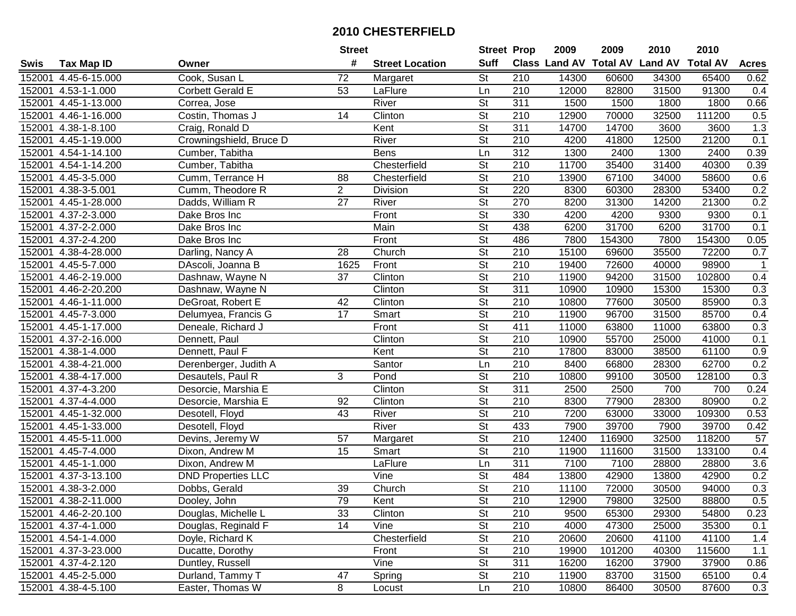| #<br><b>Suff</b><br><b>Class Land AV Total AV</b><br><b>Land AV</b><br><b>Total AV</b><br><b>Acres</b><br><b>Tax Map ID</b><br><b>Street Location</b><br>Swis<br>Owner<br>Cook, Susan L<br>72<br><b>St</b><br>4.45-6-15.000<br>210<br>14300<br>60600<br>34300<br>65400<br>0.62<br>152001<br>Margaret<br>210<br>152001<br>4.53-1-1.000<br>53<br>LaFlure<br>Ln<br>12000<br>82800<br>31500<br>91300<br>0.4<br>Corbett Gerald E<br><b>St</b><br>152001<br>4.45-1-13.000<br>River<br>311<br>1500<br>1500<br>1800<br>1800<br>0.66<br>Correa, Jose<br>$\overline{\mathsf{St}}$<br>Clinton<br>210<br>12900<br>70000<br>32500<br>111200<br>0.5<br>152001<br>4.46-1-16.000<br>Costin, Thomas J<br>14<br>311<br>1.3<br>152001<br>$\overline{4.38}$ -1-8.100<br>Craig, Ronald D<br>Kent<br><b>St</b><br>14700<br>14700<br>3600<br>3600<br>River<br>$\overline{\mathsf{St}}$<br>$\overline{210}$<br>0.1<br>152001<br>Crowningshield, Bruce D<br>4200<br>41800<br>12500<br>21200<br>4.45-1-19.000<br>Cumber, Tabitha<br>312<br>1300<br>2400<br>2400<br>0.39<br>152001<br>4.54-1-14.100<br><b>Bens</b><br>Ln<br>1300<br>$\overline{\mathsf{St}}$<br>210<br>152001<br>Chesterfield<br>11700<br>35400<br>31400<br>40300<br>0.39<br>4.54-1-14.200<br>Cumber, Tabitha<br>$\overline{\mathsf{St}}$<br>$\overline{210}$<br>67100<br>152001<br>4.45-3-5.000<br>Cumm, Terrance H<br>88<br>13900<br>34000<br>58600<br>0.6<br>Chesterfield<br>$\overline{2}$<br>$\overline{\mathsf{St}}$<br>220<br>28300<br>0.2<br>$\overline{4.38-3-5.001}$<br>Division<br>8300<br>60300<br>53400<br>152001<br>Cumm, Theodore R<br>$\overline{\mathsf{St}}$<br>27<br>270<br>0.2<br>152001<br>4.45-1-28.000<br>Dadds, William R<br>River<br>8200<br>31300<br>14200<br>21300<br><b>St</b><br>330<br>152001<br>4.37-2-3.000<br>Dake Bros Inc<br>Front<br>4200<br>4200<br>9300<br>9300<br>0.1<br>$\overline{\mathsf{St}}$<br>Main<br>438<br>31700<br>0.1<br>4.37-2-2.000<br>6200<br>31700<br>6200<br>152001<br>Dake Bros Inc<br>$\overline{\mathsf{St}}$<br>486<br>7800<br>4.37-2-4.200<br>Front<br>7800<br>154300<br>154300<br>0.05<br>152001<br>Dake Bros Inc<br>$\overline{\mathsf{St}}$<br>210<br>72200<br>0.7<br>152001<br>4.38-4-28.000<br>28<br>Church<br>15100<br>69600<br>35500<br>Darling, Nancy A<br>$\overline{\mathsf{St}}$<br>210<br>152001<br>4.45-5-7.000<br>1625<br>Front<br>72600<br>40000<br>98900<br>DAscoli, Joanna B<br>19400<br>-1<br>$\overline{St}$<br>$\overline{210}$<br>37<br>Clinton<br>152001<br>4.46-2-19.000<br>11900<br>94200<br>31500<br>102800<br>0.4<br>Dashnaw, Wayne N<br>$\overline{\mathsf{St}}$<br>Clinton<br>311<br>152001<br>4.46-2-20.200<br>10900<br>10900<br>15300<br>15300<br>0.3<br>Dashnaw, Wayne N<br>$\overline{\mathsf{St}}$<br>Clinton<br>210<br>0.3<br>152001<br>$\overline{4.46}$ -1-11.000<br>42<br>10800<br>77600<br>30500<br>85900<br>DeGroat, Robert E<br><b>St</b><br>152001<br>4.45-7-3.000<br>Delumyea, Francis G<br>17<br>Smart<br>210<br>11900<br>96700<br>31500<br>85700<br>0.4<br>$\overline{\mathsf{St}}$<br>0.3<br>Front<br>411<br>11000<br>11000<br>63800<br>152001<br>4.45-1-17.000<br>Deneale, Richard J<br>63800<br><b>St</b><br>152001<br>4.37-2-16.000<br>Dennett, Paul<br>Clinton<br>210<br>10900<br>55700<br>25000<br>41000<br>0.1<br>Kent<br><b>St</b><br>210<br>0.9<br>152001<br>$\overline{4.38}$ -1-4.000<br>Dennett, Paul F<br>17800<br>83000<br>38500<br>61100<br>0.2<br>152001<br>Santor<br>210<br>8400<br>66800<br>28300<br>62700<br>4.38-4-21.000<br>Derenberger, Judith A<br>Ln<br>3<br>$\overline{\mathsf{St}}$<br>$\overline{210}$<br>0.3<br>Pond<br>10800<br>99100<br>128100<br>152001<br>4.38-4-17.000<br>30500<br>Desautels, Paul R<br>Clinton<br>$\overline{\mathsf{St}}$<br>311<br>2500<br>4.37-4-3.200<br>Desorcie, Marshia E<br>2500<br>700<br>700<br>0.24<br>152001<br>$\overline{\mathsf{St}}$<br>92<br>Clinton<br>210<br>8300<br>28300<br>80900<br>0.2<br>152001<br>4.37-4-4.000<br>Desorcie, Marshia E<br>77900<br>$\overline{\mathsf{St}}$<br>210<br>7200<br>109300<br>152001<br>4.45-1-32.000<br>43<br>River<br>63000<br>33000<br>0.53<br>Desotell, Floyd<br>$\overline{\mathsf{St}}$<br>River<br>433<br>4.45-1-33.000<br>7900<br>39700<br>7900<br>39700<br>0.42<br>152001<br>Desotell, Floyd<br>$\overline{\mathsf{St}}$<br>210<br>116900<br>32500<br>118200<br>152001<br>4.45-5-11.000<br>57<br>12400<br>57<br>Devins, Jeremy W<br>Margaret<br>$\overline{\mathsf{St}}$<br>210<br>4.45-7-4.000<br>111600<br>133100<br>0.4<br>152001<br>Dixon, Andrew M<br>15<br>11900<br>31500<br>Smart<br>311<br>7100<br>7100<br>3.6<br>152001<br>4.45-1-1.000<br>LaFlure<br>Ln<br>28800<br>28800<br>Dixon, Andrew M<br>$\overline{\mathsf{St}}$<br>152001<br>4.37-3-13.100<br>484<br>42900<br>0.2<br><b>DND Properties LLC</b><br>Vine<br>13800<br>42900<br>13800<br>$\overline{\mathsf{St}}$<br>39<br>$\overline{210}$<br>0.3<br>152001 4.38-3-2.000<br>Church<br>72000<br>30500<br>94000<br>Dobbs, Gerald<br>11100<br>152001 4.38-2-11.000<br>Dooley, John<br>79<br>Kent<br>St<br>210<br>12900<br>79800<br>32500<br>88800<br>0.5<br>33<br>Clinton<br><b>St</b><br>152001 4.46-2-20.100<br>Douglas, Michelle L<br>210<br>9500<br>65300<br>29300<br>54800<br>0.23<br>14<br><b>St</b><br>210<br>4000<br>35300<br>152001 4.37-4-1.000<br>Douglas, Reginald F<br>Vine<br>47300<br>25000<br>0.1<br>Chesterfield<br><b>St</b><br>152001 4.54-1-4.000<br>Doyle, Richard K<br>210<br>20600<br>20600<br>41100<br>41100<br>1.4<br><b>St</b><br>210<br>101200<br>152001 4.37-3-23.000<br>Ducatte, Dorothy<br>Front<br>19900<br>40300<br>115600<br>1.1<br>Vine<br><b>St</b><br>311<br>152001 4.37-4-2.120<br>Duntley, Russell<br>16200<br>16200<br>37900<br>37900<br>0.86<br>152001 4.45-2-5.000<br>Durland, Tammy T<br>47<br><b>St</b><br>210<br>11900<br>83700<br>31500<br>65100<br>Spring<br>0.4<br>8<br>210<br>152001 4.38-4-5.100<br>Easter, Thomas W<br>10800<br>30500<br>87600<br>Ln<br>86400<br>0.3<br>Locust |  | <b>Street</b> | <b>Street Prop</b> | 2009 | 2009 | 2010 | 2010 |  |
|---------------------------------------------------------------------------------------------------------------------------------------------------------------------------------------------------------------------------------------------------------------------------------------------------------------------------------------------------------------------------------------------------------------------------------------------------------------------------------------------------------------------------------------------------------------------------------------------------------------------------------------------------------------------------------------------------------------------------------------------------------------------------------------------------------------------------------------------------------------------------------------------------------------------------------------------------------------------------------------------------------------------------------------------------------------------------------------------------------------------------------------------------------------------------------------------------------------------------------------------------------------------------------------------------------------------------------------------------------------------------------------------------------------------------------------------------------------------------------------------------------------------------------------------------------------------------------------------------------------------------------------------------------------------------------------------------------------------------------------------------------------------------------------------------------------------------------------------------------------------------------------------------------------------------------------------------------------------------------------------------------------------------------------------------------------------------------------------------------------------------------------------------------------------------------------------------------------------------------------------------------------------------------------------------------------------------------------------------------------------------------------------------------------------------------------------------------------------------------------------------------------------------------------------------------------------------------------------------------------------------------------------------------------------------------------------------------------------------------------------------------------------------------------------------------------------------------------------------------------------------------------------------------------------------------------------------------------------------------------------------------------------------------------------------------------------------------------------------------------------------------------------------------------------------------------------------------------------------------------------------------------------------------------------------------------------------------------------------------------------------------------------------------------------------------------------------------------------------------------------------------------------------------------------------------------------------------------------------------------------------------------------------------------------------------------------------------------------------------------------------------------------------------------------------------------------------------------------------------------------------------------------------------------------------------------------------------------------------------------------------------------------------------------------------------------------------------------------------------------------------------------------------------------------------------------------------------------------------------------------------------------------------------------------------------------------------------------------------------------------------------------------------------------------------------------------------------------------------------------------------------------------------------------------------------------------------------------------------------------------------------------------------------------------------------------------------------------------------------------------------------------------------------------------------------------------------------------------------------------------------------------------------------------------------------------------------------------------------------------------------------------------------------------------------------------------------------------------------------------------------------------------------------------------------------------------------------------------------------------------------------------------------------------------------------------------------------------------------------------------------------------------------------------------------------------------------------------------------------------------------------------------------------------------------------------------------------------------------------------------------------------------------------------------------------------------------------------------------------------------------------------------------------------------------------------------------------------------------------------------------------------------------------------------------------------------------------|--|---------------|--------------------|------|------|------|------|--|
|                                                                                                                                                                                                                                                                                                                                                                                                                                                                                                                                                                                                                                                                                                                                                                                                                                                                                                                                                                                                                                                                                                                                                                                                                                                                                                                                                                                                                                                                                                                                                                                                                                                                                                                                                                                                                                                                                                                                                                                                                                                                                                                                                                                                                                                                                                                                                                                                                                                                                                                                                                                                                                                                                                                                                                                                                                                                                                                                                                                                                                                                                                                                                                                                                                                                                                                                                                                                                                                                                                                                                                                                                                                                                                                                                                                                                                                                                                                                                                                                                                                                                                                                                                                                                                                                                                                                                                                                                                                                                                                                                                                                                                                                                                                                                                                                                                                                                                                                                                                                                                                                                                                                                                                                                                                                                                                                                                                                                                                                                                                                                                                                                                                                                                                                                                                                                                                                                                                                                         |  |               |                    |      |      |      |      |  |
|                                                                                                                                                                                                                                                                                                                                                                                                                                                                                                                                                                                                                                                                                                                                                                                                                                                                                                                                                                                                                                                                                                                                                                                                                                                                                                                                                                                                                                                                                                                                                                                                                                                                                                                                                                                                                                                                                                                                                                                                                                                                                                                                                                                                                                                                                                                                                                                                                                                                                                                                                                                                                                                                                                                                                                                                                                                                                                                                                                                                                                                                                                                                                                                                                                                                                                                                                                                                                                                                                                                                                                                                                                                                                                                                                                                                                                                                                                                                                                                                                                                                                                                                                                                                                                                                                                                                                                                                                                                                                                                                                                                                                                                                                                                                                                                                                                                                                                                                                                                                                                                                                                                                                                                                                                                                                                                                                                                                                                                                                                                                                                                                                                                                                                                                                                                                                                                                                                                                                         |  |               |                    |      |      |      |      |  |
|                                                                                                                                                                                                                                                                                                                                                                                                                                                                                                                                                                                                                                                                                                                                                                                                                                                                                                                                                                                                                                                                                                                                                                                                                                                                                                                                                                                                                                                                                                                                                                                                                                                                                                                                                                                                                                                                                                                                                                                                                                                                                                                                                                                                                                                                                                                                                                                                                                                                                                                                                                                                                                                                                                                                                                                                                                                                                                                                                                                                                                                                                                                                                                                                                                                                                                                                                                                                                                                                                                                                                                                                                                                                                                                                                                                                                                                                                                                                                                                                                                                                                                                                                                                                                                                                                                                                                                                                                                                                                                                                                                                                                                                                                                                                                                                                                                                                                                                                                                                                                                                                                                                                                                                                                                                                                                                                                                                                                                                                                                                                                                                                                                                                                                                                                                                                                                                                                                                                                         |  |               |                    |      |      |      |      |  |
|                                                                                                                                                                                                                                                                                                                                                                                                                                                                                                                                                                                                                                                                                                                                                                                                                                                                                                                                                                                                                                                                                                                                                                                                                                                                                                                                                                                                                                                                                                                                                                                                                                                                                                                                                                                                                                                                                                                                                                                                                                                                                                                                                                                                                                                                                                                                                                                                                                                                                                                                                                                                                                                                                                                                                                                                                                                                                                                                                                                                                                                                                                                                                                                                                                                                                                                                                                                                                                                                                                                                                                                                                                                                                                                                                                                                                                                                                                                                                                                                                                                                                                                                                                                                                                                                                                                                                                                                                                                                                                                                                                                                                                                                                                                                                                                                                                                                                                                                                                                                                                                                                                                                                                                                                                                                                                                                                                                                                                                                                                                                                                                                                                                                                                                                                                                                                                                                                                                                                         |  |               |                    |      |      |      |      |  |
|                                                                                                                                                                                                                                                                                                                                                                                                                                                                                                                                                                                                                                                                                                                                                                                                                                                                                                                                                                                                                                                                                                                                                                                                                                                                                                                                                                                                                                                                                                                                                                                                                                                                                                                                                                                                                                                                                                                                                                                                                                                                                                                                                                                                                                                                                                                                                                                                                                                                                                                                                                                                                                                                                                                                                                                                                                                                                                                                                                                                                                                                                                                                                                                                                                                                                                                                                                                                                                                                                                                                                                                                                                                                                                                                                                                                                                                                                                                                                                                                                                                                                                                                                                                                                                                                                                                                                                                                                                                                                                                                                                                                                                                                                                                                                                                                                                                                                                                                                                                                                                                                                                                                                                                                                                                                                                                                                                                                                                                                                                                                                                                                                                                                                                                                                                                                                                                                                                                                                         |  |               |                    |      |      |      |      |  |
|                                                                                                                                                                                                                                                                                                                                                                                                                                                                                                                                                                                                                                                                                                                                                                                                                                                                                                                                                                                                                                                                                                                                                                                                                                                                                                                                                                                                                                                                                                                                                                                                                                                                                                                                                                                                                                                                                                                                                                                                                                                                                                                                                                                                                                                                                                                                                                                                                                                                                                                                                                                                                                                                                                                                                                                                                                                                                                                                                                                                                                                                                                                                                                                                                                                                                                                                                                                                                                                                                                                                                                                                                                                                                                                                                                                                                                                                                                                                                                                                                                                                                                                                                                                                                                                                                                                                                                                                                                                                                                                                                                                                                                                                                                                                                                                                                                                                                                                                                                                                                                                                                                                                                                                                                                                                                                                                                                                                                                                                                                                                                                                                                                                                                                                                                                                                                                                                                                                                                         |  |               |                    |      |      |      |      |  |
|                                                                                                                                                                                                                                                                                                                                                                                                                                                                                                                                                                                                                                                                                                                                                                                                                                                                                                                                                                                                                                                                                                                                                                                                                                                                                                                                                                                                                                                                                                                                                                                                                                                                                                                                                                                                                                                                                                                                                                                                                                                                                                                                                                                                                                                                                                                                                                                                                                                                                                                                                                                                                                                                                                                                                                                                                                                                                                                                                                                                                                                                                                                                                                                                                                                                                                                                                                                                                                                                                                                                                                                                                                                                                                                                                                                                                                                                                                                                                                                                                                                                                                                                                                                                                                                                                                                                                                                                                                                                                                                                                                                                                                                                                                                                                                                                                                                                                                                                                                                                                                                                                                                                                                                                                                                                                                                                                                                                                                                                                                                                                                                                                                                                                                                                                                                                                                                                                                                                                         |  |               |                    |      |      |      |      |  |
|                                                                                                                                                                                                                                                                                                                                                                                                                                                                                                                                                                                                                                                                                                                                                                                                                                                                                                                                                                                                                                                                                                                                                                                                                                                                                                                                                                                                                                                                                                                                                                                                                                                                                                                                                                                                                                                                                                                                                                                                                                                                                                                                                                                                                                                                                                                                                                                                                                                                                                                                                                                                                                                                                                                                                                                                                                                                                                                                                                                                                                                                                                                                                                                                                                                                                                                                                                                                                                                                                                                                                                                                                                                                                                                                                                                                                                                                                                                                                                                                                                                                                                                                                                                                                                                                                                                                                                                                                                                                                                                                                                                                                                                                                                                                                                                                                                                                                                                                                                                                                                                                                                                                                                                                                                                                                                                                                                                                                                                                                                                                                                                                                                                                                                                                                                                                                                                                                                                                                         |  |               |                    |      |      |      |      |  |
|                                                                                                                                                                                                                                                                                                                                                                                                                                                                                                                                                                                                                                                                                                                                                                                                                                                                                                                                                                                                                                                                                                                                                                                                                                                                                                                                                                                                                                                                                                                                                                                                                                                                                                                                                                                                                                                                                                                                                                                                                                                                                                                                                                                                                                                                                                                                                                                                                                                                                                                                                                                                                                                                                                                                                                                                                                                                                                                                                                                                                                                                                                                                                                                                                                                                                                                                                                                                                                                                                                                                                                                                                                                                                                                                                                                                                                                                                                                                                                                                                                                                                                                                                                                                                                                                                                                                                                                                                                                                                                                                                                                                                                                                                                                                                                                                                                                                                                                                                                                                                                                                                                                                                                                                                                                                                                                                                                                                                                                                                                                                                                                                                                                                                                                                                                                                                                                                                                                                                         |  |               |                    |      |      |      |      |  |
|                                                                                                                                                                                                                                                                                                                                                                                                                                                                                                                                                                                                                                                                                                                                                                                                                                                                                                                                                                                                                                                                                                                                                                                                                                                                                                                                                                                                                                                                                                                                                                                                                                                                                                                                                                                                                                                                                                                                                                                                                                                                                                                                                                                                                                                                                                                                                                                                                                                                                                                                                                                                                                                                                                                                                                                                                                                                                                                                                                                                                                                                                                                                                                                                                                                                                                                                                                                                                                                                                                                                                                                                                                                                                                                                                                                                                                                                                                                                                                                                                                                                                                                                                                                                                                                                                                                                                                                                                                                                                                                                                                                                                                                                                                                                                                                                                                                                                                                                                                                                                                                                                                                                                                                                                                                                                                                                                                                                                                                                                                                                                                                                                                                                                                                                                                                                                                                                                                                                                         |  |               |                    |      |      |      |      |  |
|                                                                                                                                                                                                                                                                                                                                                                                                                                                                                                                                                                                                                                                                                                                                                                                                                                                                                                                                                                                                                                                                                                                                                                                                                                                                                                                                                                                                                                                                                                                                                                                                                                                                                                                                                                                                                                                                                                                                                                                                                                                                                                                                                                                                                                                                                                                                                                                                                                                                                                                                                                                                                                                                                                                                                                                                                                                                                                                                                                                                                                                                                                                                                                                                                                                                                                                                                                                                                                                                                                                                                                                                                                                                                                                                                                                                                                                                                                                                                                                                                                                                                                                                                                                                                                                                                                                                                                                                                                                                                                                                                                                                                                                                                                                                                                                                                                                                                                                                                                                                                                                                                                                                                                                                                                                                                                                                                                                                                                                                                                                                                                                                                                                                                                                                                                                                                                                                                                                                                         |  |               |                    |      |      |      |      |  |
|                                                                                                                                                                                                                                                                                                                                                                                                                                                                                                                                                                                                                                                                                                                                                                                                                                                                                                                                                                                                                                                                                                                                                                                                                                                                                                                                                                                                                                                                                                                                                                                                                                                                                                                                                                                                                                                                                                                                                                                                                                                                                                                                                                                                                                                                                                                                                                                                                                                                                                                                                                                                                                                                                                                                                                                                                                                                                                                                                                                                                                                                                                                                                                                                                                                                                                                                                                                                                                                                                                                                                                                                                                                                                                                                                                                                                                                                                                                                                                                                                                                                                                                                                                                                                                                                                                                                                                                                                                                                                                                                                                                                                                                                                                                                                                                                                                                                                                                                                                                                                                                                                                                                                                                                                                                                                                                                                                                                                                                                                                                                                                                                                                                                                                                                                                                                                                                                                                                                                         |  |               |                    |      |      |      |      |  |
|                                                                                                                                                                                                                                                                                                                                                                                                                                                                                                                                                                                                                                                                                                                                                                                                                                                                                                                                                                                                                                                                                                                                                                                                                                                                                                                                                                                                                                                                                                                                                                                                                                                                                                                                                                                                                                                                                                                                                                                                                                                                                                                                                                                                                                                                                                                                                                                                                                                                                                                                                                                                                                                                                                                                                                                                                                                                                                                                                                                                                                                                                                                                                                                                                                                                                                                                                                                                                                                                                                                                                                                                                                                                                                                                                                                                                                                                                                                                                                                                                                                                                                                                                                                                                                                                                                                                                                                                                                                                                                                                                                                                                                                                                                                                                                                                                                                                                                                                                                                                                                                                                                                                                                                                                                                                                                                                                                                                                                                                                                                                                                                                                                                                                                                                                                                                                                                                                                                                                         |  |               |                    |      |      |      |      |  |
|                                                                                                                                                                                                                                                                                                                                                                                                                                                                                                                                                                                                                                                                                                                                                                                                                                                                                                                                                                                                                                                                                                                                                                                                                                                                                                                                                                                                                                                                                                                                                                                                                                                                                                                                                                                                                                                                                                                                                                                                                                                                                                                                                                                                                                                                                                                                                                                                                                                                                                                                                                                                                                                                                                                                                                                                                                                                                                                                                                                                                                                                                                                                                                                                                                                                                                                                                                                                                                                                                                                                                                                                                                                                                                                                                                                                                                                                                                                                                                                                                                                                                                                                                                                                                                                                                                                                                                                                                                                                                                                                                                                                                                                                                                                                                                                                                                                                                                                                                                                                                                                                                                                                                                                                                                                                                                                                                                                                                                                                                                                                                                                                                                                                                                                                                                                                                                                                                                                                                         |  |               |                    |      |      |      |      |  |
|                                                                                                                                                                                                                                                                                                                                                                                                                                                                                                                                                                                                                                                                                                                                                                                                                                                                                                                                                                                                                                                                                                                                                                                                                                                                                                                                                                                                                                                                                                                                                                                                                                                                                                                                                                                                                                                                                                                                                                                                                                                                                                                                                                                                                                                                                                                                                                                                                                                                                                                                                                                                                                                                                                                                                                                                                                                                                                                                                                                                                                                                                                                                                                                                                                                                                                                                                                                                                                                                                                                                                                                                                                                                                                                                                                                                                                                                                                                                                                                                                                                                                                                                                                                                                                                                                                                                                                                                                                                                                                                                                                                                                                                                                                                                                                                                                                                                                                                                                                                                                                                                                                                                                                                                                                                                                                                                                                                                                                                                                                                                                                                                                                                                                                                                                                                                                                                                                                                                                         |  |               |                    |      |      |      |      |  |
|                                                                                                                                                                                                                                                                                                                                                                                                                                                                                                                                                                                                                                                                                                                                                                                                                                                                                                                                                                                                                                                                                                                                                                                                                                                                                                                                                                                                                                                                                                                                                                                                                                                                                                                                                                                                                                                                                                                                                                                                                                                                                                                                                                                                                                                                                                                                                                                                                                                                                                                                                                                                                                                                                                                                                                                                                                                                                                                                                                                                                                                                                                                                                                                                                                                                                                                                                                                                                                                                                                                                                                                                                                                                                                                                                                                                                                                                                                                                                                                                                                                                                                                                                                                                                                                                                                                                                                                                                                                                                                                                                                                                                                                                                                                                                                                                                                                                                                                                                                                                                                                                                                                                                                                                                                                                                                                                                                                                                                                                                                                                                                                                                                                                                                                                                                                                                                                                                                                                                         |  |               |                    |      |      |      |      |  |
|                                                                                                                                                                                                                                                                                                                                                                                                                                                                                                                                                                                                                                                                                                                                                                                                                                                                                                                                                                                                                                                                                                                                                                                                                                                                                                                                                                                                                                                                                                                                                                                                                                                                                                                                                                                                                                                                                                                                                                                                                                                                                                                                                                                                                                                                                                                                                                                                                                                                                                                                                                                                                                                                                                                                                                                                                                                                                                                                                                                                                                                                                                                                                                                                                                                                                                                                                                                                                                                                                                                                                                                                                                                                                                                                                                                                                                                                                                                                                                                                                                                                                                                                                                                                                                                                                                                                                                                                                                                                                                                                                                                                                                                                                                                                                                                                                                                                                                                                                                                                                                                                                                                                                                                                                                                                                                                                                                                                                                                                                                                                                                                                                                                                                                                                                                                                                                                                                                                                                         |  |               |                    |      |      |      |      |  |
|                                                                                                                                                                                                                                                                                                                                                                                                                                                                                                                                                                                                                                                                                                                                                                                                                                                                                                                                                                                                                                                                                                                                                                                                                                                                                                                                                                                                                                                                                                                                                                                                                                                                                                                                                                                                                                                                                                                                                                                                                                                                                                                                                                                                                                                                                                                                                                                                                                                                                                                                                                                                                                                                                                                                                                                                                                                                                                                                                                                                                                                                                                                                                                                                                                                                                                                                                                                                                                                                                                                                                                                                                                                                                                                                                                                                                                                                                                                                                                                                                                                                                                                                                                                                                                                                                                                                                                                                                                                                                                                                                                                                                                                                                                                                                                                                                                                                                                                                                                                                                                                                                                                                                                                                                                                                                                                                                                                                                                                                                                                                                                                                                                                                                                                                                                                                                                                                                                                                                         |  |               |                    |      |      |      |      |  |
|                                                                                                                                                                                                                                                                                                                                                                                                                                                                                                                                                                                                                                                                                                                                                                                                                                                                                                                                                                                                                                                                                                                                                                                                                                                                                                                                                                                                                                                                                                                                                                                                                                                                                                                                                                                                                                                                                                                                                                                                                                                                                                                                                                                                                                                                                                                                                                                                                                                                                                                                                                                                                                                                                                                                                                                                                                                                                                                                                                                                                                                                                                                                                                                                                                                                                                                                                                                                                                                                                                                                                                                                                                                                                                                                                                                                                                                                                                                                                                                                                                                                                                                                                                                                                                                                                                                                                                                                                                                                                                                                                                                                                                                                                                                                                                                                                                                                                                                                                                                                                                                                                                                                                                                                                                                                                                                                                                                                                                                                                                                                                                                                                                                                                                                                                                                                                                                                                                                                                         |  |               |                    |      |      |      |      |  |
|                                                                                                                                                                                                                                                                                                                                                                                                                                                                                                                                                                                                                                                                                                                                                                                                                                                                                                                                                                                                                                                                                                                                                                                                                                                                                                                                                                                                                                                                                                                                                                                                                                                                                                                                                                                                                                                                                                                                                                                                                                                                                                                                                                                                                                                                                                                                                                                                                                                                                                                                                                                                                                                                                                                                                                                                                                                                                                                                                                                                                                                                                                                                                                                                                                                                                                                                                                                                                                                                                                                                                                                                                                                                                                                                                                                                                                                                                                                                                                                                                                                                                                                                                                                                                                                                                                                                                                                                                                                                                                                                                                                                                                                                                                                                                                                                                                                                                                                                                                                                                                                                                                                                                                                                                                                                                                                                                                                                                                                                                                                                                                                                                                                                                                                                                                                                                                                                                                                                                         |  |               |                    |      |      |      |      |  |
|                                                                                                                                                                                                                                                                                                                                                                                                                                                                                                                                                                                                                                                                                                                                                                                                                                                                                                                                                                                                                                                                                                                                                                                                                                                                                                                                                                                                                                                                                                                                                                                                                                                                                                                                                                                                                                                                                                                                                                                                                                                                                                                                                                                                                                                                                                                                                                                                                                                                                                                                                                                                                                                                                                                                                                                                                                                                                                                                                                                                                                                                                                                                                                                                                                                                                                                                                                                                                                                                                                                                                                                                                                                                                                                                                                                                                                                                                                                                                                                                                                                                                                                                                                                                                                                                                                                                                                                                                                                                                                                                                                                                                                                                                                                                                                                                                                                                                                                                                                                                                                                                                                                                                                                                                                                                                                                                                                                                                                                                                                                                                                                                                                                                                                                                                                                                                                                                                                                                                         |  |               |                    |      |      |      |      |  |
|                                                                                                                                                                                                                                                                                                                                                                                                                                                                                                                                                                                                                                                                                                                                                                                                                                                                                                                                                                                                                                                                                                                                                                                                                                                                                                                                                                                                                                                                                                                                                                                                                                                                                                                                                                                                                                                                                                                                                                                                                                                                                                                                                                                                                                                                                                                                                                                                                                                                                                                                                                                                                                                                                                                                                                                                                                                                                                                                                                                                                                                                                                                                                                                                                                                                                                                                                                                                                                                                                                                                                                                                                                                                                                                                                                                                                                                                                                                                                                                                                                                                                                                                                                                                                                                                                                                                                                                                                                                                                                                                                                                                                                                                                                                                                                                                                                                                                                                                                                                                                                                                                                                                                                                                                                                                                                                                                                                                                                                                                                                                                                                                                                                                                                                                                                                                                                                                                                                                                         |  |               |                    |      |      |      |      |  |
|                                                                                                                                                                                                                                                                                                                                                                                                                                                                                                                                                                                                                                                                                                                                                                                                                                                                                                                                                                                                                                                                                                                                                                                                                                                                                                                                                                                                                                                                                                                                                                                                                                                                                                                                                                                                                                                                                                                                                                                                                                                                                                                                                                                                                                                                                                                                                                                                                                                                                                                                                                                                                                                                                                                                                                                                                                                                                                                                                                                                                                                                                                                                                                                                                                                                                                                                                                                                                                                                                                                                                                                                                                                                                                                                                                                                                                                                                                                                                                                                                                                                                                                                                                                                                                                                                                                                                                                                                                                                                                                                                                                                                                                                                                                                                                                                                                                                                                                                                                                                                                                                                                                                                                                                                                                                                                                                                                                                                                                                                                                                                                                                                                                                                                                                                                                                                                                                                                                                                         |  |               |                    |      |      |      |      |  |
|                                                                                                                                                                                                                                                                                                                                                                                                                                                                                                                                                                                                                                                                                                                                                                                                                                                                                                                                                                                                                                                                                                                                                                                                                                                                                                                                                                                                                                                                                                                                                                                                                                                                                                                                                                                                                                                                                                                                                                                                                                                                                                                                                                                                                                                                                                                                                                                                                                                                                                                                                                                                                                                                                                                                                                                                                                                                                                                                                                                                                                                                                                                                                                                                                                                                                                                                                                                                                                                                                                                                                                                                                                                                                                                                                                                                                                                                                                                                                                                                                                                                                                                                                                                                                                                                                                                                                                                                                                                                                                                                                                                                                                                                                                                                                                                                                                                                                                                                                                                                                                                                                                                                                                                                                                                                                                                                                                                                                                                                                                                                                                                                                                                                                                                                                                                                                                                                                                                                                         |  |               |                    |      |      |      |      |  |
|                                                                                                                                                                                                                                                                                                                                                                                                                                                                                                                                                                                                                                                                                                                                                                                                                                                                                                                                                                                                                                                                                                                                                                                                                                                                                                                                                                                                                                                                                                                                                                                                                                                                                                                                                                                                                                                                                                                                                                                                                                                                                                                                                                                                                                                                                                                                                                                                                                                                                                                                                                                                                                                                                                                                                                                                                                                                                                                                                                                                                                                                                                                                                                                                                                                                                                                                                                                                                                                                                                                                                                                                                                                                                                                                                                                                                                                                                                                                                                                                                                                                                                                                                                                                                                                                                                                                                                                                                                                                                                                                                                                                                                                                                                                                                                                                                                                                                                                                                                                                                                                                                                                                                                                                                                                                                                                                                                                                                                                                                                                                                                                                                                                                                                                                                                                                                                                                                                                                                         |  |               |                    |      |      |      |      |  |
|                                                                                                                                                                                                                                                                                                                                                                                                                                                                                                                                                                                                                                                                                                                                                                                                                                                                                                                                                                                                                                                                                                                                                                                                                                                                                                                                                                                                                                                                                                                                                                                                                                                                                                                                                                                                                                                                                                                                                                                                                                                                                                                                                                                                                                                                                                                                                                                                                                                                                                                                                                                                                                                                                                                                                                                                                                                                                                                                                                                                                                                                                                                                                                                                                                                                                                                                                                                                                                                                                                                                                                                                                                                                                                                                                                                                                                                                                                                                                                                                                                                                                                                                                                                                                                                                                                                                                                                                                                                                                                                                                                                                                                                                                                                                                                                                                                                                                                                                                                                                                                                                                                                                                                                                                                                                                                                                                                                                                                                                                                                                                                                                                                                                                                                                                                                                                                                                                                                                                         |  |               |                    |      |      |      |      |  |
|                                                                                                                                                                                                                                                                                                                                                                                                                                                                                                                                                                                                                                                                                                                                                                                                                                                                                                                                                                                                                                                                                                                                                                                                                                                                                                                                                                                                                                                                                                                                                                                                                                                                                                                                                                                                                                                                                                                                                                                                                                                                                                                                                                                                                                                                                                                                                                                                                                                                                                                                                                                                                                                                                                                                                                                                                                                                                                                                                                                                                                                                                                                                                                                                                                                                                                                                                                                                                                                                                                                                                                                                                                                                                                                                                                                                                                                                                                                                                                                                                                                                                                                                                                                                                                                                                                                                                                                                                                                                                                                                                                                                                                                                                                                                                                                                                                                                                                                                                                                                                                                                                                                                                                                                                                                                                                                                                                                                                                                                                                                                                                                                                                                                                                                                                                                                                                                                                                                                                         |  |               |                    |      |      |      |      |  |
|                                                                                                                                                                                                                                                                                                                                                                                                                                                                                                                                                                                                                                                                                                                                                                                                                                                                                                                                                                                                                                                                                                                                                                                                                                                                                                                                                                                                                                                                                                                                                                                                                                                                                                                                                                                                                                                                                                                                                                                                                                                                                                                                                                                                                                                                                                                                                                                                                                                                                                                                                                                                                                                                                                                                                                                                                                                                                                                                                                                                                                                                                                                                                                                                                                                                                                                                                                                                                                                                                                                                                                                                                                                                                                                                                                                                                                                                                                                                                                                                                                                                                                                                                                                                                                                                                                                                                                                                                                                                                                                                                                                                                                                                                                                                                                                                                                                                                                                                                                                                                                                                                                                                                                                                                                                                                                                                                                                                                                                                                                                                                                                                                                                                                                                                                                                                                                                                                                                                                         |  |               |                    |      |      |      |      |  |
|                                                                                                                                                                                                                                                                                                                                                                                                                                                                                                                                                                                                                                                                                                                                                                                                                                                                                                                                                                                                                                                                                                                                                                                                                                                                                                                                                                                                                                                                                                                                                                                                                                                                                                                                                                                                                                                                                                                                                                                                                                                                                                                                                                                                                                                                                                                                                                                                                                                                                                                                                                                                                                                                                                                                                                                                                                                                                                                                                                                                                                                                                                                                                                                                                                                                                                                                                                                                                                                                                                                                                                                                                                                                                                                                                                                                                                                                                                                                                                                                                                                                                                                                                                                                                                                                                                                                                                                                                                                                                                                                                                                                                                                                                                                                                                                                                                                                                                                                                                                                                                                                                                                                                                                                                                                                                                                                                                                                                                                                                                                                                                                                                                                                                                                                                                                                                                                                                                                                                         |  |               |                    |      |      |      |      |  |
|                                                                                                                                                                                                                                                                                                                                                                                                                                                                                                                                                                                                                                                                                                                                                                                                                                                                                                                                                                                                                                                                                                                                                                                                                                                                                                                                                                                                                                                                                                                                                                                                                                                                                                                                                                                                                                                                                                                                                                                                                                                                                                                                                                                                                                                                                                                                                                                                                                                                                                                                                                                                                                                                                                                                                                                                                                                                                                                                                                                                                                                                                                                                                                                                                                                                                                                                                                                                                                                                                                                                                                                                                                                                                                                                                                                                                                                                                                                                                                                                                                                                                                                                                                                                                                                                                                                                                                                                                                                                                                                                                                                                                                                                                                                                                                                                                                                                                                                                                                                                                                                                                                                                                                                                                                                                                                                                                                                                                                                                                                                                                                                                                                                                                                                                                                                                                                                                                                                                                         |  |               |                    |      |      |      |      |  |
|                                                                                                                                                                                                                                                                                                                                                                                                                                                                                                                                                                                                                                                                                                                                                                                                                                                                                                                                                                                                                                                                                                                                                                                                                                                                                                                                                                                                                                                                                                                                                                                                                                                                                                                                                                                                                                                                                                                                                                                                                                                                                                                                                                                                                                                                                                                                                                                                                                                                                                                                                                                                                                                                                                                                                                                                                                                                                                                                                                                                                                                                                                                                                                                                                                                                                                                                                                                                                                                                                                                                                                                                                                                                                                                                                                                                                                                                                                                                                                                                                                                                                                                                                                                                                                                                                                                                                                                                                                                                                                                                                                                                                                                                                                                                                                                                                                                                                                                                                                                                                                                                                                                                                                                                                                                                                                                                                                                                                                                                                                                                                                                                                                                                                                                                                                                                                                                                                                                                                         |  |               |                    |      |      |      |      |  |
|                                                                                                                                                                                                                                                                                                                                                                                                                                                                                                                                                                                                                                                                                                                                                                                                                                                                                                                                                                                                                                                                                                                                                                                                                                                                                                                                                                                                                                                                                                                                                                                                                                                                                                                                                                                                                                                                                                                                                                                                                                                                                                                                                                                                                                                                                                                                                                                                                                                                                                                                                                                                                                                                                                                                                                                                                                                                                                                                                                                                                                                                                                                                                                                                                                                                                                                                                                                                                                                                                                                                                                                                                                                                                                                                                                                                                                                                                                                                                                                                                                                                                                                                                                                                                                                                                                                                                                                                                                                                                                                                                                                                                                                                                                                                                                                                                                                                                                                                                                                                                                                                                                                                                                                                                                                                                                                                                                                                                                                                                                                                                                                                                                                                                                                                                                                                                                                                                                                                                         |  |               |                    |      |      |      |      |  |
|                                                                                                                                                                                                                                                                                                                                                                                                                                                                                                                                                                                                                                                                                                                                                                                                                                                                                                                                                                                                                                                                                                                                                                                                                                                                                                                                                                                                                                                                                                                                                                                                                                                                                                                                                                                                                                                                                                                                                                                                                                                                                                                                                                                                                                                                                                                                                                                                                                                                                                                                                                                                                                                                                                                                                                                                                                                                                                                                                                                                                                                                                                                                                                                                                                                                                                                                                                                                                                                                                                                                                                                                                                                                                                                                                                                                                                                                                                                                                                                                                                                                                                                                                                                                                                                                                                                                                                                                                                                                                                                                                                                                                                                                                                                                                                                                                                                                                                                                                                                                                                                                                                                                                                                                                                                                                                                                                                                                                                                                                                                                                                                                                                                                                                                                                                                                                                                                                                                                                         |  |               |                    |      |      |      |      |  |
|                                                                                                                                                                                                                                                                                                                                                                                                                                                                                                                                                                                                                                                                                                                                                                                                                                                                                                                                                                                                                                                                                                                                                                                                                                                                                                                                                                                                                                                                                                                                                                                                                                                                                                                                                                                                                                                                                                                                                                                                                                                                                                                                                                                                                                                                                                                                                                                                                                                                                                                                                                                                                                                                                                                                                                                                                                                                                                                                                                                                                                                                                                                                                                                                                                                                                                                                                                                                                                                                                                                                                                                                                                                                                                                                                                                                                                                                                                                                                                                                                                                                                                                                                                                                                                                                                                                                                                                                                                                                                                                                                                                                                                                                                                                                                                                                                                                                                                                                                                                                                                                                                                                                                                                                                                                                                                                                                                                                                                                                                                                                                                                                                                                                                                                                                                                                                                                                                                                                                         |  |               |                    |      |      |      |      |  |
|                                                                                                                                                                                                                                                                                                                                                                                                                                                                                                                                                                                                                                                                                                                                                                                                                                                                                                                                                                                                                                                                                                                                                                                                                                                                                                                                                                                                                                                                                                                                                                                                                                                                                                                                                                                                                                                                                                                                                                                                                                                                                                                                                                                                                                                                                                                                                                                                                                                                                                                                                                                                                                                                                                                                                                                                                                                                                                                                                                                                                                                                                                                                                                                                                                                                                                                                                                                                                                                                                                                                                                                                                                                                                                                                                                                                                                                                                                                                                                                                                                                                                                                                                                                                                                                                                                                                                                                                                                                                                                                                                                                                                                                                                                                                                                                                                                                                                                                                                                                                                                                                                                                                                                                                                                                                                                                                                                                                                                                                                                                                                                                                                                                                                                                                                                                                                                                                                                                                                         |  |               |                    |      |      |      |      |  |
|                                                                                                                                                                                                                                                                                                                                                                                                                                                                                                                                                                                                                                                                                                                                                                                                                                                                                                                                                                                                                                                                                                                                                                                                                                                                                                                                                                                                                                                                                                                                                                                                                                                                                                                                                                                                                                                                                                                                                                                                                                                                                                                                                                                                                                                                                                                                                                                                                                                                                                                                                                                                                                                                                                                                                                                                                                                                                                                                                                                                                                                                                                                                                                                                                                                                                                                                                                                                                                                                                                                                                                                                                                                                                                                                                                                                                                                                                                                                                                                                                                                                                                                                                                                                                                                                                                                                                                                                                                                                                                                                                                                                                                                                                                                                                                                                                                                                                                                                                                                                                                                                                                                                                                                                                                                                                                                                                                                                                                                                                                                                                                                                                                                                                                                                                                                                                                                                                                                                                         |  |               |                    |      |      |      |      |  |
|                                                                                                                                                                                                                                                                                                                                                                                                                                                                                                                                                                                                                                                                                                                                                                                                                                                                                                                                                                                                                                                                                                                                                                                                                                                                                                                                                                                                                                                                                                                                                                                                                                                                                                                                                                                                                                                                                                                                                                                                                                                                                                                                                                                                                                                                                                                                                                                                                                                                                                                                                                                                                                                                                                                                                                                                                                                                                                                                                                                                                                                                                                                                                                                                                                                                                                                                                                                                                                                                                                                                                                                                                                                                                                                                                                                                                                                                                                                                                                                                                                                                                                                                                                                                                                                                                                                                                                                                                                                                                                                                                                                                                                                                                                                                                                                                                                                                                                                                                                                                                                                                                                                                                                                                                                                                                                                                                                                                                                                                                                                                                                                                                                                                                                                                                                                                                                                                                                                                                         |  |               |                    |      |      |      |      |  |
|                                                                                                                                                                                                                                                                                                                                                                                                                                                                                                                                                                                                                                                                                                                                                                                                                                                                                                                                                                                                                                                                                                                                                                                                                                                                                                                                                                                                                                                                                                                                                                                                                                                                                                                                                                                                                                                                                                                                                                                                                                                                                                                                                                                                                                                                                                                                                                                                                                                                                                                                                                                                                                                                                                                                                                                                                                                                                                                                                                                                                                                                                                                                                                                                                                                                                                                                                                                                                                                                                                                                                                                                                                                                                                                                                                                                                                                                                                                                                                                                                                                                                                                                                                                                                                                                                                                                                                                                                                                                                                                                                                                                                                                                                                                                                                                                                                                                                                                                                                                                                                                                                                                                                                                                                                                                                                                                                                                                                                                                                                                                                                                                                                                                                                                                                                                                                                                                                                                                                         |  |               |                    |      |      |      |      |  |
|                                                                                                                                                                                                                                                                                                                                                                                                                                                                                                                                                                                                                                                                                                                                                                                                                                                                                                                                                                                                                                                                                                                                                                                                                                                                                                                                                                                                                                                                                                                                                                                                                                                                                                                                                                                                                                                                                                                                                                                                                                                                                                                                                                                                                                                                                                                                                                                                                                                                                                                                                                                                                                                                                                                                                                                                                                                                                                                                                                                                                                                                                                                                                                                                                                                                                                                                                                                                                                                                                                                                                                                                                                                                                                                                                                                                                                                                                                                                                                                                                                                                                                                                                                                                                                                                                                                                                                                                                                                                                                                                                                                                                                                                                                                                                                                                                                                                                                                                                                                                                                                                                                                                                                                                                                                                                                                                                                                                                                                                                                                                                                                                                                                                                                                                                                                                                                                                                                                                                         |  |               |                    |      |      |      |      |  |
|                                                                                                                                                                                                                                                                                                                                                                                                                                                                                                                                                                                                                                                                                                                                                                                                                                                                                                                                                                                                                                                                                                                                                                                                                                                                                                                                                                                                                                                                                                                                                                                                                                                                                                                                                                                                                                                                                                                                                                                                                                                                                                                                                                                                                                                                                                                                                                                                                                                                                                                                                                                                                                                                                                                                                                                                                                                                                                                                                                                                                                                                                                                                                                                                                                                                                                                                                                                                                                                                                                                                                                                                                                                                                                                                                                                                                                                                                                                                                                                                                                                                                                                                                                                                                                                                                                                                                                                                                                                                                                                                                                                                                                                                                                                                                                                                                                                                                                                                                                                                                                                                                                                                                                                                                                                                                                                                                                                                                                                                                                                                                                                                                                                                                                                                                                                                                                                                                                                                                         |  |               |                    |      |      |      |      |  |
|                                                                                                                                                                                                                                                                                                                                                                                                                                                                                                                                                                                                                                                                                                                                                                                                                                                                                                                                                                                                                                                                                                                                                                                                                                                                                                                                                                                                                                                                                                                                                                                                                                                                                                                                                                                                                                                                                                                                                                                                                                                                                                                                                                                                                                                                                                                                                                                                                                                                                                                                                                                                                                                                                                                                                                                                                                                                                                                                                                                                                                                                                                                                                                                                                                                                                                                                                                                                                                                                                                                                                                                                                                                                                                                                                                                                                                                                                                                                                                                                                                                                                                                                                                                                                                                                                                                                                                                                                                                                                                                                                                                                                                                                                                                                                                                                                                                                                                                                                                                                                                                                                                                                                                                                                                                                                                                                                                                                                                                                                                                                                                                                                                                                                                                                                                                                                                                                                                                                                         |  |               |                    |      |      |      |      |  |
|                                                                                                                                                                                                                                                                                                                                                                                                                                                                                                                                                                                                                                                                                                                                                                                                                                                                                                                                                                                                                                                                                                                                                                                                                                                                                                                                                                                                                                                                                                                                                                                                                                                                                                                                                                                                                                                                                                                                                                                                                                                                                                                                                                                                                                                                                                                                                                                                                                                                                                                                                                                                                                                                                                                                                                                                                                                                                                                                                                                                                                                                                                                                                                                                                                                                                                                                                                                                                                                                                                                                                                                                                                                                                                                                                                                                                                                                                                                                                                                                                                                                                                                                                                                                                                                                                                                                                                                                                                                                                                                                                                                                                                                                                                                                                                                                                                                                                                                                                                                                                                                                                                                                                                                                                                                                                                                                                                                                                                                                                                                                                                                                                                                                                                                                                                                                                                                                                                                                                         |  |               |                    |      |      |      |      |  |
|                                                                                                                                                                                                                                                                                                                                                                                                                                                                                                                                                                                                                                                                                                                                                                                                                                                                                                                                                                                                                                                                                                                                                                                                                                                                                                                                                                                                                                                                                                                                                                                                                                                                                                                                                                                                                                                                                                                                                                                                                                                                                                                                                                                                                                                                                                                                                                                                                                                                                                                                                                                                                                                                                                                                                                                                                                                                                                                                                                                                                                                                                                                                                                                                                                                                                                                                                                                                                                                                                                                                                                                                                                                                                                                                                                                                                                                                                                                                                                                                                                                                                                                                                                                                                                                                                                                                                                                                                                                                                                                                                                                                                                                                                                                                                                                                                                                                                                                                                                                                                                                                                                                                                                                                                                                                                                                                                                                                                                                                                                                                                                                                                                                                                                                                                                                                                                                                                                                                                         |  |               |                    |      |      |      |      |  |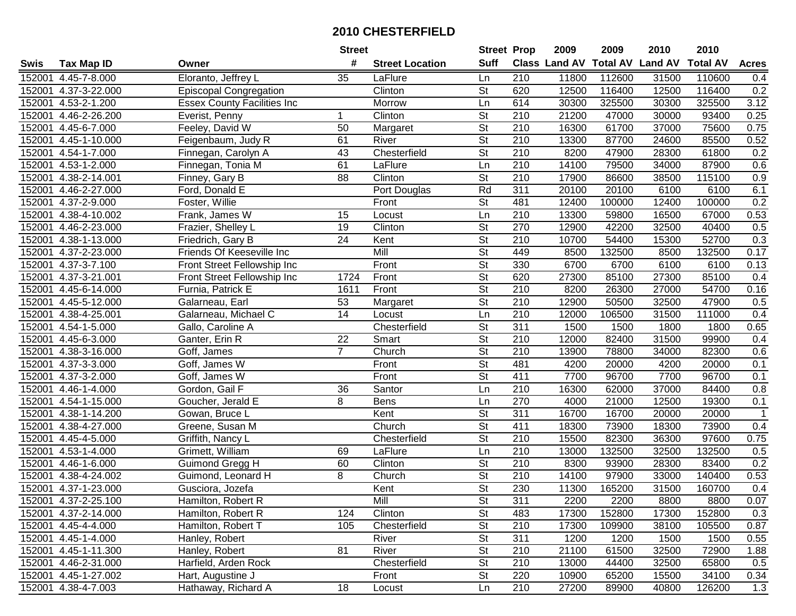| #<br><b>Suff</b><br><b>Class Land AV</b><br><b>Total AV</b><br><b>Tax Map ID</b><br><b>Street Location</b><br>Swis<br>Owner<br>Eloranto, Jeffrey L<br>35<br>112600<br>4.45-7-8.000<br>LaFlure<br>210<br>11800<br>152001<br>Ln<br>Clinton<br>St<br>620<br>12500<br>116400<br>152001<br>4.37-3-22.000<br><b>Episcopal Congregation</b><br>152001<br>4.53-2-1.200<br>Morrow<br>Ln<br>614<br>30300<br>325500 | <b>Land AV</b><br>31500<br>12500<br>30300<br>30000 | <b>Total AV</b><br>110600<br>116400<br>325500 | <b>Acres</b><br>0.4<br>0.2 |
|----------------------------------------------------------------------------------------------------------------------------------------------------------------------------------------------------------------------------------------------------------------------------------------------------------------------------------------------------------------------------------------------------------|----------------------------------------------------|-----------------------------------------------|----------------------------|
|                                                                                                                                                                                                                                                                                                                                                                                                          |                                                    |                                               |                            |
|                                                                                                                                                                                                                                                                                                                                                                                                          |                                                    |                                               |                            |
|                                                                                                                                                                                                                                                                                                                                                                                                          |                                                    |                                               |                            |
| <b>Essex County Facilities Inc</b>                                                                                                                                                                                                                                                                                                                                                                       |                                                    |                                               | 3.12                       |
| $\overline{\mathsf{St}}$<br>Clinton<br>210<br>21200<br>47000<br>152001<br>4.46-2-26.200<br>Everist, Penny<br>1                                                                                                                                                                                                                                                                                           |                                                    | 93400                                         | 0.25                       |
| $\overline{\mathsf{St}}$<br>4.45-6-7.000<br>Feeley, David W<br>50<br>210<br>16300<br>61700<br>152001<br>Margaret                                                                                                                                                                                                                                                                                         | 37000                                              | 75600                                         | 0.75                       |
| 61<br>$\overline{\mathsf{St}}$<br>$\overline{210}$<br>152001<br>4.45-1-10.000<br>Feigenbaum, Judy R<br>River<br>13300<br>87700                                                                                                                                                                                                                                                                           | 24600                                              | 85500                                         | 0.52                       |
| Chesterfield<br>$\overline{\mathsf{St}}$<br>43<br>210<br>8200<br>47900<br>152001<br>4.54-1-7.000<br>Finnegan, Carolyn A                                                                                                                                                                                                                                                                                  | 28300                                              | 61800                                         | 0.2                        |
| 210<br>152001<br>4.53-1-2.000<br>Finnegan, Tonia M<br>61<br>14100<br>79500<br>LaFlure<br>Ln                                                                                                                                                                                                                                                                                                              | 34000                                              | 87900                                         | 0.6                        |
| $\overline{\mathsf{St}}$<br>$\overline{88}$<br>Clinton<br>$\overline{210}$<br>17900<br>152001<br>4.38-2-14.001<br>Finney, Gary B<br>86600                                                                                                                                                                                                                                                                | 38500                                              | 115100                                        | 0.9                        |
| $\overline{311}$<br>Ford, Donald E<br>Rd<br>20100<br>152001<br>4.46-2-27.000<br>Port Douglas<br>20100                                                                                                                                                                                                                                                                                                    | 6100                                               | 6100                                          | 6.1                        |
| St<br>481<br>12400<br>152001<br>4.37-2-9.000<br>Foster, Willie<br>Front<br>100000                                                                                                                                                                                                                                                                                                                        | 12400                                              | 100000                                        | 0.2                        |
| 210<br>152001<br>4.38-4-10.002<br>Ln<br>13300<br>59800<br>Frank, James W<br>15<br>Locust                                                                                                                                                                                                                                                                                                                 | 16500                                              | 67000                                         | 0.53                       |
| $\overline{\mathsf{St}}$<br>4.46-2-23.000<br>19<br>Clinton<br>270<br>12900<br>42200<br>152001<br>Frazier, Shelley L                                                                                                                                                                                                                                                                                      | 32500                                              | 40400                                         | 0.5                        |
| $\overline{\mathsf{St}}$<br>24<br>210<br>54400<br>152001<br>4.38-1-13.000<br>Friedrich, Gary B<br>Kent<br>10700                                                                                                                                                                                                                                                                                          | 15300                                              | 52700                                         | 0.3                        |
| $\overline{\mathsf{St}}$<br>Friends Of Keeseville Inc<br>Mill<br>449<br>152001<br>4.37-2-23.000<br>8500<br>132500                                                                                                                                                                                                                                                                                        | 8500                                               | 132500                                        | 0.17                       |
| $\overline{\mathsf{St}}$<br>330<br>152001<br>4.37-3-7.100<br>Front<br>6700<br>6700<br>Front Street Fellowship Inc                                                                                                                                                                                                                                                                                        | 6100                                               | 6100                                          | 0.13                       |
| $\overline{\mathsf{St}}$<br>620<br>152001<br>4.37-3-21.001<br>Front<br>27300<br>85100<br>Front Street Fellowship Inc<br>1724                                                                                                                                                                                                                                                                             | 27300                                              | 85100                                         | 0.4                        |
| $\overline{St}$<br>210<br>152001<br>4.45-6-14.000<br>Front<br>8200<br>26300<br>Furnia, Patrick E<br>1611                                                                                                                                                                                                                                                                                                 | 27000                                              | 54700                                         | 0.16                       |
| $\overline{St}$<br>53<br>210<br>152001<br>4.45-5-12.000<br>Galarneau, Earl<br>12900<br>50500<br>Margaret                                                                                                                                                                                                                                                                                                 | 32500                                              | 47900                                         | 0.5                        |
| 152001<br>4.38-4-25.001<br>Galarneau, Michael C<br>14<br>210<br>12000<br>106500<br>Locust<br>Ln                                                                                                                                                                                                                                                                                                          | 31500                                              | 111000                                        | 0.4                        |
| $\overline{\mathsf{St}}$<br>$\overline{311}$<br>152001<br>Chesterfield<br>1500<br>1500<br>4.54-1-5.000<br>Gallo, Caroline A                                                                                                                                                                                                                                                                              | 1800                                               | 1800                                          | 0.65                       |
| 22<br><b>St</b><br>210<br>4.45-6-3.000<br>Ganter, Erin R<br>Smart<br>12000<br>82400<br>152001                                                                                                                                                                                                                                                                                                            | 31500                                              | 99900                                         | 0.4                        |
| $\overline{7}$<br>Church<br>St<br>210<br>152001<br>4.38-3-16.000<br>Goff, James<br>13900<br>78800                                                                                                                                                                                                                                                                                                        | 34000                                              | 82300                                         | 0.6                        |
| St<br>481<br>152001<br>4.37-3-3.000<br>Goff, James W<br>Front<br>4200<br>20000                                                                                                                                                                                                                                                                                                                           | 4200                                               | 20000                                         | 0.1                        |
| Front<br>$\overline{\mathsf{St}}$<br>411<br>4.37-3-2.000<br>7700<br>152001<br>Goff, James W<br>96700                                                                                                                                                                                                                                                                                                     | 7700                                               | 96700                                         | 0.1                        |
| 36<br>Santor<br>210<br>16300<br>152001<br>4.46-1-4.000<br>Gordon, Gail F<br>Ln<br>62000                                                                                                                                                                                                                                                                                                                  | 37000                                              | 84400                                         | 0.8                        |
| 4.54-1-15.000<br>8<br>270<br>152001<br>Goucher, Jerald E<br><b>Bens</b><br>Ln<br>4000<br>21000                                                                                                                                                                                                                                                                                                           | 12500                                              | 19300                                         | 0.1                        |
| <b>St</b><br>311<br>16700<br>152001<br>4.38-1-14.200<br>Gowan, Bruce L<br>Kent<br>16700                                                                                                                                                                                                                                                                                                                  | 20000                                              | 20000                                         | 1                          |
| $\overline{\mathsf{St}}$<br>411<br>4.38-4-27.000<br>Church<br>18300<br>152001<br>Greene, Susan M<br>73900                                                                                                                                                                                                                                                                                                | 18300                                              | 73900                                         | 0.4                        |
| $\overline{\mathsf{St}}$<br>$\overline{210}$<br>15500<br>152001<br>4.45-4-5.000<br>Griffith, Nancy L<br>Chesterfield<br>82300                                                                                                                                                                                                                                                                            | 36300                                              | 97600                                         | 0.75                       |
| 210<br>4.53-1-4.000<br>Grimett, William<br>LaFlure<br>132500<br>152001<br>69<br>Ln<br>13000                                                                                                                                                                                                                                                                                                              | 32500                                              | 132500                                        | 0.5                        |
| $\overline{\mathsf{St}}$<br>$\overline{210}$<br>152001<br>$4.46 - 1 - 6.000$<br>Guimond Gregg H<br>60<br>Clinton<br>8300<br>93900                                                                                                                                                                                                                                                                        | 28300                                              | 83400                                         | 0.2                        |
| $\overline{\mathsf{St}}$<br>210<br>152001<br>8<br>4.38-4-24.002<br>Guimond, Leonard H<br>Church<br>14100<br>97900                                                                                                                                                                                                                                                                                        | 33000                                              | 140400                                        | 0.53                       |
| $\overline{\mathsf{St}}$<br>230<br>152001 4.37-1-23.000<br>Kent<br>11300<br>165200<br>Gusciora, Jozefa                                                                                                                                                                                                                                                                                                   | 31500                                              | 160700                                        | 0.4                        |
| 152001 4.37-2-25.100<br>Hamilton, Robert R<br>Mill<br>St<br>311<br>2200<br>2200                                                                                                                                                                                                                                                                                                                          | 8800                                               | 8800                                          | 0.07                       |
| Clinton<br><b>St</b><br>152001 4.37-2-14.000<br>Hamilton, Robert R<br>124<br>483<br>17300<br>152800                                                                                                                                                                                                                                                                                                      | 17300                                              | 152800                                        | 0.3                        |
| Chesterfield<br><b>St</b><br>210<br>17300<br>152001 4.45-4-4.000<br>Hamilton, Robert T<br>105<br>109900                                                                                                                                                                                                                                                                                                  | 38100                                              | 105500                                        | 0.87                       |
| <b>St</b><br>311<br>152001 4.45-1-4.000<br>River<br>1200<br>Hanley, Robert<br>1200                                                                                                                                                                                                                                                                                                                       | 1500                                               | 1500                                          | 0.55                       |
| 81<br>River<br><b>St</b><br>210<br>21100<br>152001 4.45-1-11.300<br>Hanley, Robert<br>61500                                                                                                                                                                                                                                                                                                              | 32500                                              | 72900                                         | 1.88                       |
| Chesterfield<br>St<br>210<br>152001 4.46-2-31.000<br>Harfield, Arden Rock<br>13000<br>44400                                                                                                                                                                                                                                                                                                              | 32500                                              | 65800                                         | 0.5                        |
| 220<br>152001 4.45-1-27.002<br>St<br>10900<br>65200<br>Hart, Augustine J<br>Front                                                                                                                                                                                                                                                                                                                        | 15500                                              | 34100                                         | 0.34                       |
| 210<br>152001 4.38-4-7.003<br>Hathaway, Richard A<br>18<br>27200<br>Ln<br>89900<br>Locust                                                                                                                                                                                                                                                                                                                | 40800                                              | 126200                                        | 1.3                        |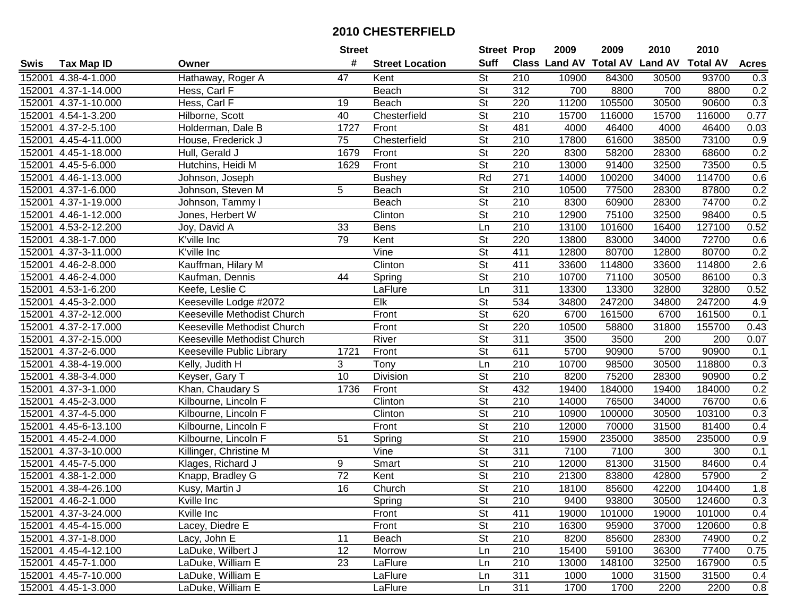|        |                            |                             | <b>Street</b>   |                        | <b>Street Prop</b>       |                  | 2009  | 2009   | 2010                           | 2010            |                |
|--------|----------------------------|-----------------------------|-----------------|------------------------|--------------------------|------------------|-------|--------|--------------------------------|-----------------|----------------|
| Swis   | <b>Tax Map ID</b>          | Owner                       | #               | <b>Street Location</b> | <b>Suff</b>              |                  |       |        | Class Land AV Total AV Land AV | <b>Total AV</b> | <b>Acres</b>   |
| 152001 | 4.38-4-1.000               | Hathaway, Roger A           | 47              | Kent                   | St                       | 210              | 10900 | 84300  | 30500                          | 93700           | 0.3            |
| 152001 | 4.37-1-14.000              | Hess, Carl F                |                 | Beach                  | $\overline{\mathsf{St}}$ | 312              | 700   | 8800   | 700                            | 8800            | 0.2            |
| 152001 | 4.37-1-10.000              | Hess, Carl F                | 19              | Beach                  | St                       | 220              | 11200 | 105500 | 30500                          | 90600           | 0.3            |
|        | 152001 4.54-1-3.200        | Hilborne, Scott             | 40              | Chesterfield           | $\overline{\mathsf{St}}$ | 210              | 15700 | 116000 | 15700                          | 116000          | 0.77           |
| 152001 | 4.37-2-5.100               | Holderman, Dale B           | 1727            | Front                  | $\overline{\mathsf{St}}$ | 481              | 4000  | 46400  | 4000                           | 46400           | 0.03           |
| 152001 | 4.45-4-11.000              | House, Frederick J          | 75              | Chesterfield           | $\overline{\mathsf{St}}$ | $\overline{210}$ | 17800 | 61600  | 38500                          | 73100           | 0.9            |
| 152001 | 4.45-1-18.000              | Hull, Gerald J              | 1679            | Front                  | $\overline{\mathsf{St}}$ | 220              | 8300  | 58200  | 28300                          | 68600           | 0.2            |
| 152001 | 4.45-5-6.000               | Hutchins, Heidi M           | 1629            | Front                  | $\overline{\mathsf{St}}$ | 210              | 13000 | 91400  | 32500                          | 73500           | 0.5            |
| 152001 | 4.46-1-13.000              | Johnson, Joseph             |                 | <b>Bushey</b>          | Rd                       | 271              | 14000 | 100200 | 34000                          | 114700          | 0.6            |
| 152001 | 4.37-1-6.000               | Johnson, Steven M           | 5               | Beach                  | $\overline{\mathsf{St}}$ | 210              | 10500 | 77500  | 28300                          | 87800           | 0.2            |
| 152001 | 4.37-1-19.000              | Johnson, Tammy I            |                 | Beach                  | $\overline{\mathsf{St}}$ | 210              | 8300  | 60900  | 28300                          | 74700           | 0.2            |
| 152001 | 4.46-1-12.000              | Jones, Herbert W            |                 | Clinton                | St                       | 210              | 12900 | 75100  | 32500                          | 98400           | 0.5            |
|        | 152001 4.53-2-12.200       | Joy, David A                | 33              | <b>Bens</b>            | Ln                       | 210              | 13100 | 101600 | 16400                          | 127100          | 0.52           |
| 152001 | 4.38-1-7.000               | K'ville Inc                 | 79              | Kent                   | <b>St</b>                | 220              | 13800 | 83000  | 34000                          | 72700           | 0.6            |
| 152001 | 4.37-3-11.000              | K'ville Inc                 |                 | Vine                   | $\overline{\mathsf{St}}$ | 411              | 12800 | 80700  | 12800                          | 80700           | 0.2            |
| 152001 | 4.46-2-8.000               | Kauffman, Hilary M          |                 | Clinton                | $\overline{\mathsf{St}}$ | 411              | 33600 | 114800 | 33600                          | 114800          | 2.6            |
| 152001 | $\overline{4.46}$ -2-4.000 | Kaufman, Dennis             | 44              | Spring                 | $\overline{\mathsf{St}}$ | $\overline{210}$ | 10700 | 71100  | 30500                          | 86100           | 0.3            |
| 152001 | $\overline{4.53}$ -1-6.200 | Keefe, Leslie C             |                 | LaFlure                | Ln                       | 311              | 13300 | 13300  | 32800                          | 32800           | 0.52           |
| 152001 | 4.45-3-2.000               | Keeseville Lodge #2072      |                 | Elk                    | $\overline{St}$          | 534              | 34800 | 247200 | 34800                          | 247200          | 4.9            |
| 152001 | 4.37-2-12.000              | Keeseville Methodist Church |                 | Front                  | <b>St</b>                | 620              | 6700  | 161500 | 6700                           | 161500          | 0.1            |
| 152001 | 4.37-2-17.000              | Keeseville Methodist Church |                 | Front                  | $\overline{\mathsf{St}}$ | 220              | 10500 | 58800  | 31800                          | 155700          | 0.43           |
| 152001 | 4.37-2-15.000              | Keeseville Methodist Church |                 | River                  | <b>St</b>                | 311              | 3500  | 3500   | 200                            | 200             | 0.07           |
| 152001 | 4.37-2-6.000               | Keeseville Public Library   | 1721            | Front                  | St                       | 611              | 5700  | 90900  | 5700                           | 90900           | 0.1            |
| 152001 | 4.38-4-19.000              | Kelly, Judith H             | 3               | Tony                   | Ln                       | 210              | 10700 | 98500  | 30500                          | 118800          | 0.3            |
| 152001 | 4.38-3-4.000               | Keyser, Gary T              | 10              | Division               | $\overline{St}$          | $\overline{210}$ | 8200  | 75200  | 28300                          | 90900           | 0.2            |
| 152001 | 4.37-3-1.000               | Khan, Chaudary S            | 1736            | Front                  | $\overline{\mathsf{St}}$ | 432              | 19400 | 184000 | 19400                          | 184000          | 0.2            |
| 152001 | 4.45-2-3.000               | Kilbourne, Lincoln F        |                 | Clinton                | $\overline{\mathsf{St}}$ | $\overline{210}$ | 14000 | 76500  | 34000                          | 76700           | 0.6            |
| 152001 | 4.37-4-5.000               | Kilbourne, Lincoln F        |                 | Clinton                | $\overline{\mathsf{St}}$ | 210              | 10900 | 100000 | 30500                          | 103100          | 0.3            |
| 152001 | 4.45-6-13.100              | Kilbourne, Lincoln F        |                 | Front                  | $\overline{\mathsf{St}}$ | $\overline{210}$ | 12000 | 70000  | 31500                          | 81400           | 0.4            |
|        | 152001 4.45-2-4.000        | Kilbourne, Lincoln F        | 51              | Spring                 | $\overline{\mathsf{St}}$ | $\overline{210}$ | 15900 | 235000 | 38500                          | 235000          | 0.9            |
|        | 152001 4.37-3-10.000       | Killinger, Christine M      |                 | Vine                   | $\overline{\mathsf{St}}$ | 311              | 7100  | 7100   | 300                            | 300             | 0.1            |
|        | 152001 4.45-7-5.000        | Klages, Richard J           | 9               | Smart                  | $\overline{\mathsf{St}}$ | 210              | 12000 | 81300  | 31500                          | 84600           | 0.4            |
| 152001 | 4.38-1-2.000               | Knapp, Bradley G            | $\overline{72}$ | Kent                   | $\overline{\mathsf{St}}$ | 210              | 21300 | 83800  | 42800                          | 57900           | $\overline{2}$ |
|        | 152001 4.38-4-26.100       | Kusy, Martin J              | 16              | Church                 | $\overline{\mathsf{St}}$ | $\overline{210}$ | 18100 | 85600  | 42200                          | 104400          | 1.8            |
|        | 152001 4.46-2-1.000        | Kville Inc                  |                 | Spring                 | St                       | 210              | 9400  | 93800  | 30500                          | 124600          | 0.3            |
|        | 152001 4.37-3-24.000       | Kville Inc                  |                 | Front                  | <b>St</b>                | 411              | 19000 | 101000 | 19000                          | 101000          | 0.4            |
|        | 152001 4.45-4-15.000       | Lacey, Diedre E             |                 | Front                  | <b>St</b>                | 210              | 16300 | 95900  | 37000                          | 120600          | 0.8            |
|        | 152001 4.37-1-8.000        | Lacy, John E                | 11              | Beach                  | <b>St</b>                | 210              | 8200  | 85600  | 28300                          | 74900           | 0.2            |
|        | 152001 4.45-4-12.100       | LaDuke, Wilbert J           | 12              | Morrow                 | Ln                       | 210              | 15400 | 59100  | 36300                          | 77400           | 0.75           |
|        | 152001 4.45-7-1.000        | LaDuke, William E           | 23              | LaFlure                | Ln                       | 210              | 13000 | 148100 | 32500                          | 167900          | 0.5            |
|        | 152001 4.45-7-10.000       | LaDuke, William E           |                 | LaFlure                | Ln                       | 311              | 1000  | 1000   | 31500                          | 31500           | 0.4            |
|        | 152001 4.45-1-3.000        | LaDuke, William E           |                 | LaFlure                | Ln                       | 311              | 1700  | 1700   | 2200                           | 2200            | 0.8            |
|        |                            |                             |                 |                        |                          |                  |       |        |                                |                 |                |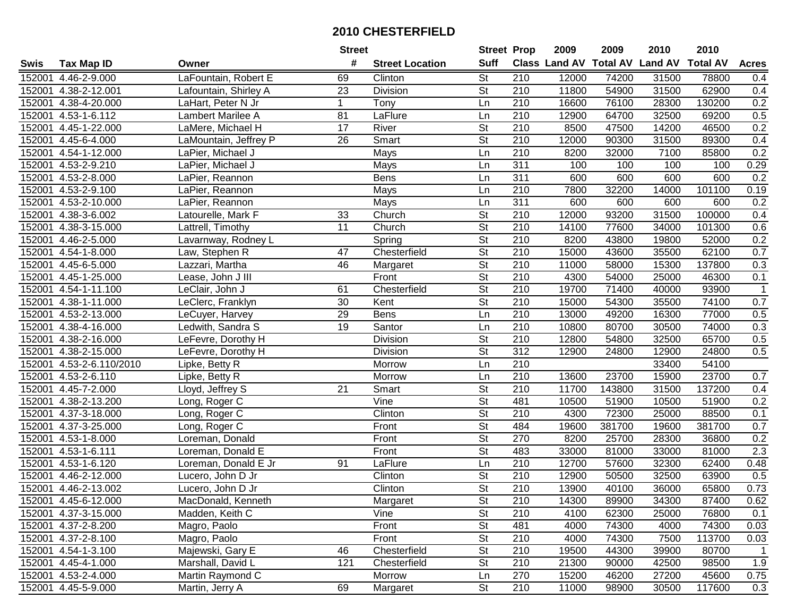|        |                            |                       | <b>Street</b>   |                        | <b>Street Prop</b>       |                  | 2009                          | 2009   | 2010           | 2010            |              |
|--------|----------------------------|-----------------------|-----------------|------------------------|--------------------------|------------------|-------------------------------|--------|----------------|-----------------|--------------|
| Swis   | <b>Tax Map ID</b>          | Owner                 | #               | <b>Street Location</b> | <b>Suff</b>              |                  | <b>Class Land AV Total AV</b> |        | <b>Land AV</b> | <b>Total AV</b> | <b>Acres</b> |
| 152001 | 4.46-2-9.000               | LaFountain, Robert E  | 69              | Clinton                | <b>St</b>                | 210              | 12000                         | 74200  | 31500          | 78800           | 0.4          |
| 152001 | 4.38-2-12.001              | Lafountain, Shirley A | 23              | Division               | <b>St</b>                | 210              | 11800                         | 54900  | 31500          | 62900           | 0.4          |
| 152001 | 4.38-4-20.000              | LaHart, Peter N Jr    | $\mathbf 1$     | Tony                   | Ln                       | 210              | 16600                         | 76100  | 28300          | 130200          | 0.2          |
| 152001 | 4.53-1-6.112               | Lambert Marilee A     | 81              | LaFlure                | Ln                       | 210              | 12900                         | 64700  | 32500          | 69200           | 0.5          |
| 152001 | 4.45-1-22.000              | LaMere, Michael H     | 17              | River                  | <b>St</b>                | 210              | 8500                          | 47500  | 14200          | 46500           | 0.2          |
| 152001 | 4.45-6-4.000               | LaMountain, Jeffrey P | 26              | Smart                  | $\overline{\mathsf{St}}$ | $\overline{210}$ | 12000                         | 90300  | 31500          | 89300           | 0.4          |
| 152001 | $\overline{4.54-1-12.000}$ | LaPier, Michael J     |                 | Mays                   | Ln                       | 210              | 8200                          | 32000  | 7100           | 85800           | 0.2          |
| 152001 | $4.53 - 2 - 9.210$         | LaPier, Michael J     |                 | <b>Mays</b>            | Ln                       | 311              | 100                           | 100    | 100            | 100             | 0.29         |
| 152001 | $4.53 - 2 - 8.000$         | LaPier, Reannon       |                 | <b>Bens</b>            | Ln                       | 311              | 600                           | 600    | 600            | 600             | 0.2          |
| 152001 | 4.53-2-9.100               | LaPier, Reannon       |                 | Mays                   | Ln                       | 210              | 7800                          | 32200  | 14000          | 101100          | 0.19         |
| 152001 | 4.53-2-10.000              | LaPier, Reannon       |                 | Mays                   | Ln                       | $\overline{311}$ | 600                           | 600    | 600            | 600             | 0.2          |
| 152001 | 4.38-3-6.002               | Latourelle, Mark F    | 33              | Church                 | <b>St</b>                | 210              | 12000                         | 93200  | 31500          | 100000          | 0.4          |
| 152001 | 4.38-3-15.000              | Lattrell, Timothy     | $\overline{11}$ | Church                 | $\overline{\mathsf{St}}$ | 210              | 14100                         | 77600  | 34000          | 101300          | 0.6          |
| 152001 | 4.46-2-5.000               | Lavarnway, Rodney L   |                 | Spring                 | $\overline{\mathsf{St}}$ | 210              | 8200                          | 43800  | 19800          | 52000           | 0.2          |
| 152001 | 4.54-1-8.000               | Law, Stephen R        | 47              | Chesterfield           | $\overline{\mathsf{St}}$ | 210              | 15000                         | 43600  | 35500          | 62100           | 0.7          |
| 152001 | 4.45-6-5.000               | Lazzari, Martha       | 46              | Margaret               | $\overline{\mathsf{St}}$ | 210              | 11000                         | 58000  | 15300          | 137800          | 0.3          |
| 152001 | 4.45-1-25.000              | Lease, John J III     |                 | Front                  | $\overline{\mathsf{St}}$ | $\overline{210}$ | 4300                          | 54000  | 25000          | 46300           | 0.1          |
| 152001 | 4.54-1-11.100              | LeClair, John J       | 61              | Chesterfield           | $\overline{\mathsf{St}}$ | 210              | 19700                         | 71400  | 40000          | 93900           | $\mathbf 1$  |
| 152001 | 4.38-1-11.000              | LeClerc, Franklyn     | 30              | Kent                   | $\overline{\mathsf{St}}$ | 210              | 15000                         | 54300  | 35500          | 74100           | 0.7          |
| 152001 | 4.53-2-13.000              | LeCuyer, Harvey       | 29              | <b>Bens</b>            | Ln                       | 210              | 13000                         | 49200  | 16300          | 77000           | 0.5          |
| 152001 | 4.38-4-16.000              | Ledwith, Sandra S     | 19              | Santor                 | Ln                       | 210              | 10800                         | 80700  | 30500          | 74000           | 0.3          |
| 152001 | 4.38-2-16.000              | LeFevre, Dorothy H    |                 | Division               | <b>St</b>                | 210              | 12800                         | 54800  | 32500          | 65700           | 0.5          |
| 152001 | 4.38-2-15.000              | LeFevre, Dorothy H    |                 | Division               | <b>St</b>                | 312              | 12900                         | 24800  | 12900          | 24800           | 0.5          |
| 152001 | 4.53-2-6.110/2010          | Lipke, Betty R        |                 | Morrow                 | Ln                       | 210              |                               |        | 33400          | 54100           |              |
| 152001 | 4.53-2-6.110               | Lipke, Betty R        |                 | Morrow                 | Ln                       | $\overline{210}$ | 13600                         | 23700  | 15900          | 23700           | 0.7          |
| 152001 | 4.45-7-2.000               | Lloyd, Jeffrey S      | 21              | Smart                  | $\overline{\mathsf{St}}$ | 210              | 11700                         | 143800 | 31500          | 137200          | 0.4          |
| 152001 | 4.38-2-13.200              | Long, Roger C         |                 | Vine                   | $\overline{\mathsf{St}}$ | 481              | 10500                         | 51900  | 10500          | 51900           | 0.2          |
| 152001 | 4.37-3-18.000              | Long, Roger C         |                 | Clinton                | $\overline{\mathsf{St}}$ | 210              | 4300                          | 72300  | 25000          | 88500           | 0.1          |
| 152001 | 4.37-3-25.000              | Long, Roger C         |                 | Front                  | $\overline{\mathsf{St}}$ | 484              | 19600                         | 381700 | 19600          | 381700          | 0.7          |
| 152001 | 4.53-1-8.000               | Loreman, Donald       |                 | Front                  | $\overline{\mathsf{St}}$ | 270              | 8200                          | 25700  | 28300          | 36800           | 0.2          |
| 152001 | $4.53 - 1 - 6.111$         | Loreman, Donald E     |                 | Front                  | $\overline{\mathsf{St}}$ | 483              | 33000                         | 81000  | 33000          | 81000           | 2.3          |
|        | 152001 4.53-1-6.120        | Loreman, Donald E Jr  | 91              | LaFlure                | Ln                       | $\overline{210}$ | 12700                         | 57600  | 32300          | 62400           | 0.48         |
| 152001 | 4.46-2-12.000              | Lucero, John D Jr     |                 | Clinton                | $\overline{\mathsf{St}}$ | $\overline{210}$ | 12900                         | 50500  | 32500          | 63900           | 0.5          |
|        | 152001 4.46-2-13.002       | Lucero, John D Jr     |                 | Clinton                | $\overline{\mathsf{St}}$ | $\overline{210}$ | 13900                         | 40100  | 36000          | 65800           | 0.73         |
|        | 152001 4.45-6-12.000       | MacDonald, Kenneth    |                 | Margaret               | St                       | 210              | 14300                         | 89900  | 34300          | 87400           | 0.62         |
|        | 152001 4.37-3-15.000       | Madden, Keith C       |                 | Vine                   | <b>St</b>                | 210              | 4100                          | 62300  | 25000          | 76800           | 0.1          |
|        | 152001 4.37-2-8.200        | Magro, Paolo          |                 | Front                  | <b>St</b>                | 481              | 4000                          | 74300  | 4000           | 74300           | 0.03         |
|        | 152001 4.37-2-8.100        | Magro, Paolo          |                 | Front                  | <b>St</b>                | 210              | 4000                          | 74300  | 7500           | 113700          | 0.03         |
|        | 152001 4.54-1-3.100        | Majewski, Gary E      | 46              | Chesterfield           | <b>St</b>                | 210              | 19500                         | 44300  | 39900          | 80700           | $\mathbf{1}$ |
|        | 152001 4.45-4-1.000        | Marshall, David L     | 121             | Chesterfield           | <b>St</b>                | 210              | 21300                         | 90000  | 42500          | 98500           | 1.9          |
|        | 152001 4.53-2-4.000        | Martin Raymond C      |                 | Morrow                 | Ln                       | 270              | 15200                         | 46200  | 27200          | 45600           | 0.75         |
|        | 152001 4.45-5-9.000        | Martin, Jerry A       | 69              | Margaret               | $\overline{\mathsf{St}}$ | 210              | 11000                         | 98900  | 30500          | 117600          | 0.3          |
|        |                            |                       |                 |                        |                          |                  |                               |        |                |                 |              |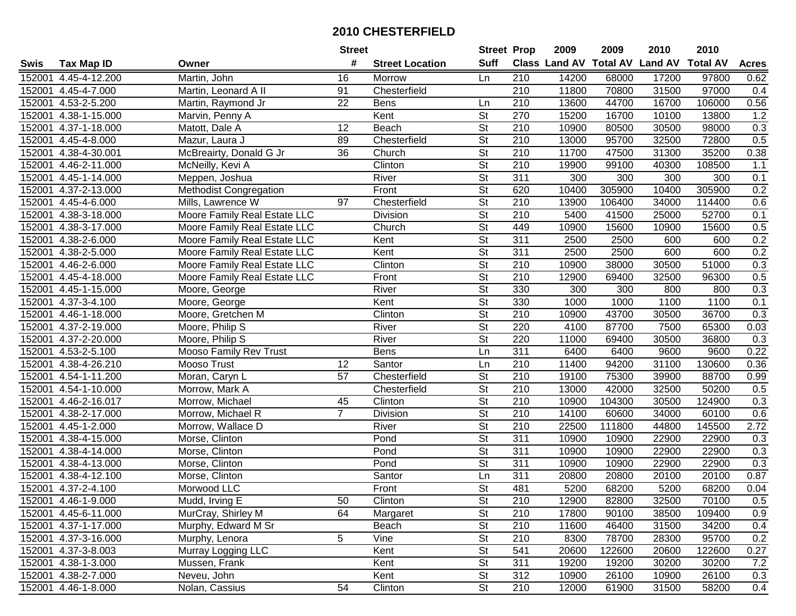|        |                      |                               | <b>Street</b>   |                        | <b>Street Prop</b>       |                  | 2009                          | 2009   | 2010           | 2010            |              |
|--------|----------------------|-------------------------------|-----------------|------------------------|--------------------------|------------------|-------------------------------|--------|----------------|-----------------|--------------|
| Swis   | <b>Tax Map ID</b>    | Owner                         | #               | <b>Street Location</b> | <b>Suff</b>              |                  | <b>Class Land AV Total AV</b> |        | <b>Land AV</b> | <b>Total AV</b> | <b>Acres</b> |
|        | 152001 4.45-4-12.200 | Martin, John                  | 16              | Morrow                 | Ln                       | 210              | 14200                         | 68000  | 17200          | 97800           | 0.62         |
|        | 152001 4.45-4-7.000  | Martin, Leonard A II          | 91              | Chesterfield           |                          | 210              | 11800                         | 70800  | 31500          | 97000           | 0.4          |
|        | 152001 4.53-2-5.200  | Martin, Raymond Jr            | 22              | <b>Bens</b>            | Ln                       | 210              | 13600                         | 44700  | 16700          | 106000          | 0.56         |
|        | 152001 4.38-1-15.000 | Marvin, Penny A               |                 | Kent                   | $\overline{\mathsf{St}}$ | 270              | 15200                         | 16700  | 10100          | 13800           | 1.2          |
|        | 152001 4.37-1-18.000 | Matott, Dale A                | $\overline{12}$ | Beach                  | <b>St</b>                | $\overline{210}$ | 10900                         | 80500  | 30500          | 98000           | 0.3          |
|        | 152001 4.45-4-8.000  | Mazur, Laura J                | 89              | Chesterfield           | $\overline{\mathsf{St}}$ | $\overline{210}$ | 13000                         | 95700  | 32500          | 72800           | 0.5          |
|        | 152001 4.38-4-30.001 | McBreairty, Donald G Jr       | 36              | Church                 | $\overline{\mathsf{St}}$ | 210              | 11700                         | 47500  | 31300          | 35200           | 0.38         |
|        | 152001 4.46-2-11.000 | McNeilly, Kevi A              |                 | Clinton                | $\overline{\mathsf{St}}$ | 210              | 19900                         | 99100  | 40300          | 108500          | 1.1          |
|        | 152001 4.45-1-14.000 | Meppen, Joshua                |                 | River                  | $\overline{\mathsf{St}}$ | 311              | 300                           | 300    | 300            | 300             | 0.1          |
|        | 152001 4.37-2-13.000 | <b>Methodist Congregation</b> |                 | Front                  | $\overline{\mathsf{St}}$ | 620              | 10400                         | 305900 | 10400          | 305900          | 0.2          |
|        | 152001 4.45-4-6.000  | Mills, Lawrence W             | 97              | Chesterfield           | $\overline{\mathsf{St}}$ | 210              | 13900                         | 106400 | 34000          | 114400          | 0.6          |
|        | 152001 4.38-3-18.000 | Moore Family Real Estate LLC  |                 | Division               | St                       | 210              | 5400                          | 41500  | 25000          | 52700           | 0.1          |
|        | 152001 4.38-3-17.000 | Moore Family Real Estate LLC  |                 | Church                 | $\overline{St}$          | 449              | 10900                         | 15600  | 10900          | 15600           | 0.5          |
|        | 152001 4.38-2-6.000  | Moore Family Real Estate LLC  |                 | Kent                   | $\overline{\mathsf{St}}$ | 311              | 2500                          | 2500   | 600            | 600             | 0.2          |
|        | 152001 4.38-2-5.000  | Moore Family Real Estate LLC  |                 | Kent                   | $\overline{\mathsf{St}}$ | $\overline{311}$ | 2500                          | 2500   | 600            | 600             | 0.2          |
|        | 152001 4.46-2-6.000  | Moore Family Real Estate LLC  |                 | Clinton                | $\overline{\mathsf{St}}$ | 210              | 10900                         | 38000  | 30500          | 51000           | 0.3          |
|        | 152001 4.45-4-18.000 | Moore Family Real Estate LLC  |                 | Front                  | $\overline{\mathsf{St}}$ | $\overline{210}$ | 12900                         | 69400  | 32500          | 96300           | 0.5          |
| 152001 | 4.45-1-15.000        | Moore, George                 |                 | River                  | $\overline{St}$          | 330              | 300                           | 300    | 800            | 800             | 0.3          |
|        | 152001 4.37-3-4.100  | Moore, George                 |                 | Kent                   | $\overline{\mathsf{St}}$ | 330              | 1000                          | 1000   | 1100           | 1100            | 0.1          |
|        | 152001 4.46-1-18.000 | Moore, Gretchen M             |                 | Clinton                | <b>St</b>                | 210              | 10900                         | 43700  | 30500          | 36700           | 0.3          |
|        | 152001 4.37-2-19.000 | Moore, Philip S               |                 | River                  | $\overline{\mathsf{St}}$ | 220              | 4100                          | 87700  | 7500           | 65300           | 0.03         |
|        | 152001 4.37-2-20.000 | Moore, Philip S               |                 | River                  | St                       | 220              | 11000                         | 69400  | 30500          | 36800           | 0.3          |
| 152001 | 4.53-2-5.100         | <b>Mooso Family Rev Trust</b> |                 | <b>Bens</b>            | Ln                       | 311              | 6400                          | 6400   | 9600           | 9600            | 0.22         |
| 152001 | 4.38-4-26.210        | Mooso Trust                   | 12              | Santor                 | Ln                       | 210              | 11400                         | 94200  | 31100          | 130600          | 0.36         |
| 152001 | 4.54-1-11.200        | Moran, Caryn L                | $\overline{57}$ | Chesterfield           | $\overline{\mathsf{St}}$ | $\overline{210}$ | 19100                         | 75300  | 39900          | 88700           | 0.99         |
| 152001 | 4.54-1-10.000        | Morrow, Mark A                |                 | Chesterfield           | $\overline{\mathsf{St}}$ | 210              | 13000                         | 42000  | 32500          | 50200           | 0.5          |
|        | 152001 4.46-2-16.017 | Morrow, Michael               | 45              | Clinton                | $\overline{\mathsf{St}}$ | $\overline{210}$ | 10900                         | 104300 | 30500          | 124900          | 0.3          |
|        | 152001 4.38-2-17.000 | Morrow, Michael R             | $\overline{7}$  | Division               | $\overline{\mathsf{St}}$ | 210              | 14100                         | 60600  | 34000          | 60100           | 0.6          |
|        | 152001 4.45-1-2.000  | Morrow, Wallace D             |                 | River                  | $\overline{St}$          | $\overline{210}$ | 22500                         | 111800 | 44800          | 145500          | 2.72         |
|        | 152001 4.38-4-15.000 | Morse, Clinton                |                 | Pond                   | $\overline{\mathsf{St}}$ | 311              | 10900                         | 10900  | 22900          | 22900           | 0.3          |
|        | 152001 4.38-4-14.000 | Morse, Clinton                |                 | Pond                   | $\overline{\mathsf{St}}$ | 311              | 10900                         | 10900  | 22900          | 22900           | 0.3          |
|        | 152001 4.38-4-13.000 | Morse, Clinton                |                 | Pond                   | $\overline{\mathsf{St}}$ | $\overline{311}$ | 10900                         | 10900  | 22900          | 22900           | 0.3          |
|        | 152001 4.38-4-12.100 | Morse, Clinton                |                 | Santor                 | Ln                       | 311              | 20800                         | 20800  | 20100          | 20100           | 0.87         |
|        | 152001 4.37-2-4.100  | Morwood LLC                   |                 | Front                  | $\overline{\mathsf{St}}$ | 481              | 5200                          | 68200  | 5200           | 68200           | 0.04         |
|        | 152001 4.46-1-9.000  | Mudd, Irving E                | 50              | Clinton                | <b>St</b>                | 210              | 12900                         | 82800  | 32500          | 70100           | 0.5          |
|        | 152001 4.45-6-11.000 | MurCray, Shirley M            | 64              | Margaret               | <b>St</b>                | 210              | 17800                         | 90100  | 38500          | 109400          | 0.9          |
|        | 152001 4.37-1-17.000 | Murphy, Edward M Sr           |                 | Beach                  | <b>St</b>                | 210              | 11600                         | 46400  | 31500          | 34200           | 0.4          |
|        | 152001 4.37-3-16.000 | Murphy, Lenora                | 5               | Vine                   | <b>St</b>                | 210              | 8300                          | 78700  | 28300          | 95700           | 0.2          |
|        | 152001 4.37-3-8.003  | Murray Logging LLC            |                 | Kent                   | <b>St</b>                | 541              | 20600                         | 122600 | 20600          | 122600          | 0.27         |
|        | 152001 4.38-1-3.000  | Mussen, Frank                 |                 | Kent                   | <b>St</b>                | 311              | 19200                         | 19200  | 30200          | 30200           | 7.2          |
|        | 152001 4.38-2-7.000  | Neveu, John                   |                 | Kent                   | <b>St</b>                | 312              | 10900                         | 26100  | 10900          | 26100           | 0.3          |
|        | 152001 4.46-1-8.000  | Nolan, Cassius                | 54              | <b>Clinton</b>         | $\overline{\mathsf{St}}$ | 210              | 12000                         | 61900  | 31500          | 58200           | 0.4          |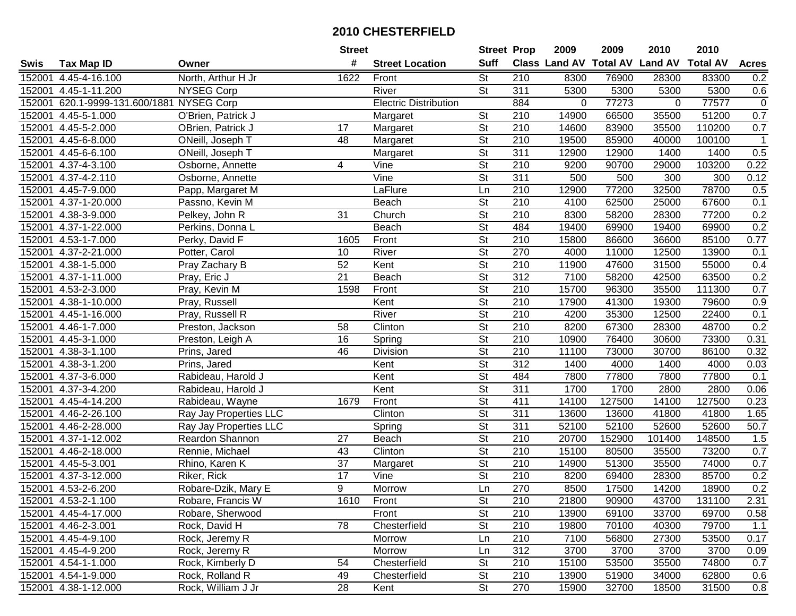|        |                                    |                        | <b>Street</b>   |                              | <b>Street Prop</b>       |                  | 2009                          | 2009   | 2010           | 2010            |              |
|--------|------------------------------------|------------------------|-----------------|------------------------------|--------------------------|------------------|-------------------------------|--------|----------------|-----------------|--------------|
| Swis   | <b>Tax Map ID</b>                  | Owner                  | #               | <b>Street Location</b>       | <b>Suff</b>              |                  | <b>Class Land AV Total AV</b> |        | <b>Land AV</b> | <b>Total AV</b> | <b>Acres</b> |
| 152001 | 4.45-4-16.100                      | North, Arthur H Jr     | 1622            | Front                        | <b>St</b>                | 210              | 8300                          | 76900  | 28300          | 83300           | 0.2          |
| 152001 | 4.45-1-11.200                      | <b>NYSEG Corp</b>      |                 | River                        | $\overline{\mathsf{St}}$ | 311              | 5300                          | 5300   | 5300           | 5300            | 0.6          |
| 152001 | 620.1-9999-131.600/1881 NYSEG Corp |                        |                 | <b>Electric Distribution</b> |                          | 884              | 0                             | 77273  | $\Omega$       | 77577           | $\pmb{0}$    |
|        | 152001 4.45-5-1.000                | O'Brien, Patrick J     |                 | Margaret                     | <b>St</b>                | 210              | 14900                         | 66500  | 35500          | 51200           | 0.7          |
|        | 152001 4.45-5-2.000                | OBrien, Patrick J      | 17              | Margaret                     | <b>St</b>                | 210              | 14600                         | 83900  | 35500          | 110200          | 0.7          |
| 152001 | 4.45-6-8.000                       | ONeill, Joseph T       | 48              | Margaret                     | $\overline{\mathsf{St}}$ | $\overline{210}$ | 19500                         | 85900  | 40000          | 100100          | $\mathbf{1}$ |
| 152001 | $\overline{4.45}$ -6-6.100         | ONeill, Joseph T       |                 | Margaret                     | $\overline{\mathsf{St}}$ | 311              | 12900                         | 12900  | 1400           | 1400            | 0.5          |
| 152001 | $4.37 - 4 - 3.100$                 | Osborne, Annette       | 4               | Vine                         | $\overline{\mathsf{St}}$ | 210              | 9200                          | 90700  | 29000          | 103200          | 0.22         |
| 152001 | 4.37-4-2.110                       | Osborne, Annette       |                 | Vine                         | $\overline{\mathsf{St}}$ | 311              | 500                           | 500    | 300            | 300             | 0.12         |
| 152001 | 4.45-7-9.000                       | Papp, Margaret M       |                 | LaFlure                      | Ln                       | 210              | 12900                         | 77200  | 32500          | 78700           | 0.5          |
| 152001 | 4.37-1-20.000                      | Passno, Kevin M        |                 | Beach                        | $\overline{\mathsf{St}}$ | 210              | 4100                          | 62500  | 25000          | 67600           | 0.1          |
| 152001 | 4.38-3-9.000                       | Pelkey, John R         | 31              | Church                       | <b>St</b>                | 210              | 8300                          | 58200  | 28300          | 77200           | 0.2          |
| 152001 | 4.37-1-22.000                      | Perkins, Donna L       |                 | <b>Beach</b>                 | $\overline{\mathsf{St}}$ | 484              | 19400                         | 69900  | 19400          | 69900           | 0.2          |
| 152001 | 4.53-1-7.000                       | Perky, David F         | 1605            | Front                        | $\overline{\mathsf{St}}$ | 210              | 15800                         | 86600  | 36600          | 85100           | 0.77         |
| 152001 | 4.37-2-21.000                      | Potter, Carol          | 10              | River                        | $\overline{\mathsf{St}}$ | 270              | 4000                          | 11000  | 12500          | 13900           | 0.1          |
| 152001 | 4.38-1-5.000                       | Pray Zachary B         | 52              | Kent                         | $\overline{\mathsf{St}}$ | 210              | 11900                         | 47600  | 31500          | 55000           | 0.4          |
| 152001 | 4.37-1-11.000                      | Pray, Eric J           | $\overline{21}$ | Beach                        | $\overline{\mathsf{St}}$ | 312              | 7100                          | 58200  | 42500          | 63500           | 0.2          |
| 152001 | 4.53-2-3.000                       | Pray, Kevin M          | 1598            | Front                        | $\overline{\mathsf{St}}$ | 210              | 15700                         | 96300  | 35500          | 111300          | 0.7          |
| 152001 | 4.38-1-10.000                      | Pray, Russell          |                 | Kent                         | $\overline{\mathsf{St}}$ | 210              | 17900                         | 41300  | 19300          | 79600           | 0.9          |
| 152001 | 4.45-1-16.000                      | Pray, Russell R        |                 | River                        | <b>St</b>                | 210              | 4200                          | 35300  | 12500          | 22400           | 0.1          |
| 152001 | 4.46-1-7.000                       | Preston, Jackson       | 58              | Clinton                      | $\overline{\mathsf{St}}$ | 210              | 8200                          | 67300  | 28300          | 48700           | 0.2          |
| 152001 | 4.45-3-1.000                       | Preston, Leigh A       | 16              | Spring                       | <b>St</b>                | 210              | 10900                         | 76400  | 30600          | 73300           | 0.31         |
| 152001 | 4.38-3-1.100                       | Prins, Jared           | 46              | Division                     | <b>St</b>                | 210              | 11100                         | 73000  | 30700          | 86100           | 0.32         |
| 152001 | 4.38-3-1.200                       | Prins, Jared           |                 | Kent                         | <b>St</b>                | 312              | 1400                          | 4000   | 1400           | 4000            | 0.03         |
| 152001 | $\overline{4.37}$ -3-6.000         | Rabideau, Harold J     |                 | Kent                         | $\overline{\mathsf{St}}$ | 484              | 7800                          | 77800  | 7800           | 77800           | 0.1          |
| 152001 | 4.37-3-4.200                       | Rabideau, Harold J     |                 | Kent                         | $\overline{\mathsf{St}}$ | $\overline{311}$ | 1700                          | 1700   | 2800           | 2800            | 0.06         |
| 152001 | 4.45-4-14.200                      | Rabideau, Wayne        | 1679            | Front                        | $\overline{\mathsf{St}}$ | 411              | 14100                         | 127500 | 14100          | 127500          | 0.23         |
| 152001 | 4.46-2-26.100                      | Ray Jay Properties LLC |                 | Clinton                      | $\overline{\mathsf{St}}$ | 311              | 13600                         | 13600  | 41800          | 41800           | 1.65         |
|        | 152001 4.46-2-28.000               | Ray Jay Properties LLC |                 | Spring                       | $\overline{\mathsf{St}}$ | $\overline{311}$ | 52100                         | 52100  | 52600          | 52600           | 50.7         |
| 152001 | 4.37-1-12.002                      | Reardon Shannon        | $\overline{27}$ | <b>Beach</b>                 | $\overline{\mathsf{St}}$ | $\overline{210}$ | 20700                         | 152900 | 101400         | 148500          | 1.5          |
| 152001 | 4.46-2-18.000                      | Rennie, Michael        | 43              | Clinton                      | $\overline{\mathsf{St}}$ | 210              | 15100                         | 80500  | 35500          | 73200           | 0.7          |
| 152001 | 4.45-5-3.001                       | Rhino, Karen K         | $\overline{37}$ | Margaret                     | $\overline{\mathsf{St}}$ | $\overline{210}$ | 14900                         | 51300  | 35500          | 74000           | 0.7          |
| 152001 | 4.37-3-12.000                      | Riker, Rick            | 17              | Vine                         | $\overline{\mathsf{St}}$ | 210              | 8200                          | 69400  | 28300          | 85700           | 0.2          |
|        | 152001 4.53-2-6.200                | Robare-Dzik, Mary E    | 9               | Morrow                       | Ln                       | 270              | 8500                          | 17500  | 14200          | 18900           | 0.2          |
|        | 152001 4.53-2-1.100                | Robare, Francis W      | 1610            | Front                        | St                       | 210              | 21800                         | 90900  | 43700          | 131100          | 2.31         |
|        | 152001 4.45-4-17.000               | Robare, Sherwood       |                 | Front                        | <b>St</b>                | 210              | 13900                         | 69100  | 33700          | 69700           | 0.58         |
|        | 152001 4.46-2-3.001                | Rock, David H          | 78              | Chesterfield                 | <b>St</b>                | 210              | 19800                         | 70100  | 40300          | 79700           | 1.1          |
|        | 152001 4.45-4-9.100                | Rock, Jeremy R         |                 | Morrow                       | Ln                       | 210              | 7100                          | 56800  | 27300          | 53500           | 0.17         |
|        | 152001 4.45-4-9.200                | Rock, Jeremy R         |                 | Morrow                       | Ln                       | 312              | 3700                          | 3700   | 3700           | 3700            | 0.09         |
|        | 152001 4.54-1-1.000                | Rock, Kimberly D       | 54              | Chesterfield                 | <b>St</b>                | 210              | 15100                         | 53500  | 35500          | 74800           | 0.7          |
|        | 152001 4.54-1-9.000                | Rock, Rolland R        | 49              | Chesterfield                 | <b>St</b>                | 210              | 13900                         | 51900  | 34000          | 62800           | 0.6          |
|        | 152001 4.38-1-12.000               | Rock, William J Jr     | 28              | Kent                         | $\overline{\mathsf{St}}$ | 270              | 15900                         | 32700  | 18500          | 31500           | 0.8          |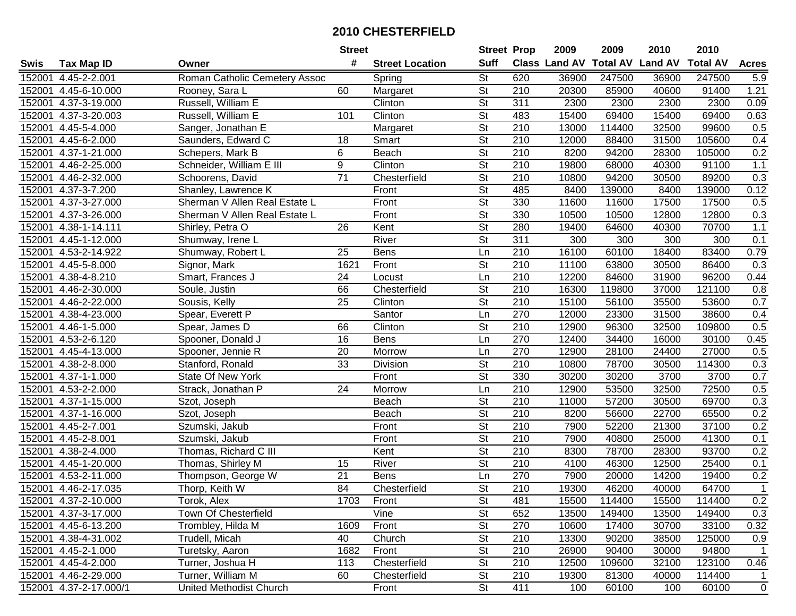| #<br><b>Suff</b><br>Class Land AV<br><b>Total AV</b><br><b>Land AV</b><br><b>Total AV</b><br><b>Acres</b><br><b>Tax Map ID</b><br><b>Street Location</b><br>Owner<br>St<br>620<br>4.45-2-2.001<br>Roman Catholic Cemetery Assoc<br>36900<br>247500<br>36900<br>247500<br>5.9<br>Spring<br>$\overline{\mathsf{St}}$<br>210<br>4.45-6-10.000<br>60<br>Margaret<br>20300<br>85900<br>40600<br>91400<br>1.21<br>Rooney, Sara L<br>St<br>2300<br>4.37-3-19.000<br>Russell, William E<br>Clinton<br>311<br>2300<br>2300<br>2300<br>0.09<br>$\overline{\mathsf{St}}$<br>Clinton<br>483<br>15400<br>69400<br>15400<br>69400<br>0.63<br>152001 4.37-3-20.003<br>Russell, William E<br>101<br>$\overline{\mathsf{St}}$<br>$\overline{210}$<br>0.5<br>4.45-5-4.000<br>13000<br>114400<br>32500<br>99600<br>Sanger, Jonathan E<br>Margaret<br>$\overline{\mathsf{St}}$<br>$\overline{210}$<br>12000<br>0.4<br>$4.45 - 6 - 2.000$<br>Saunders, Edward C<br>18<br>88400<br>31500<br>105600<br>Smart<br>$\overline{\mathsf{St}}$<br>0.2<br>6<br>Beach<br>210<br>8200<br>94200<br>105000<br>4.37-1-21.000<br>Schepers, Mark B<br>28300<br>Schneider, William E III<br>$\overline{9}$<br>$\overline{\mathsf{St}}$<br>210<br>1.1<br>Clinton<br>19800<br>40300<br>91100<br>4.46-2-25.000<br>68000<br>$\overline{71}$<br>$\overline{\mathsf{St}}$<br>$\overline{210}$<br>94200<br>89200<br>0.3<br>4.46-2-32.000<br>Chesterfield<br>10800<br>30500<br>Schoorens, David<br>$\overline{\mathsf{St}}$<br>0.12<br>485<br>8400<br>4.37-3-7.200<br>Shanley, Lawrence K<br>Front<br>139000<br>8400<br>139000<br>$\overline{\mathsf{St}}$<br>330<br>11600<br>17500<br>4.37-3-27.000<br>Sherman V Allen Real Estate L<br>Front<br>11600<br>17500<br>0.5<br>St<br>0.3<br>4.37-3-26.000<br>Sherman V Allen Real Estate L<br>Front<br>330<br>10500<br>10500<br>12800<br>12800<br>$\overline{\mathsf{St}}$<br>1.1<br>280<br>4.38-1-14.111<br>26<br>19400<br>64600<br>40300<br>70700<br>Shirley, Petra O<br>Kent<br>$\overline{\mathsf{St}}$<br>River<br>311<br>4.45-1-12.000<br>300<br>300<br>300<br>300<br>0.1<br>Shumway, Irene L<br>Ln<br>210<br>16100<br>60100<br>18400<br>83400<br>0.79<br>4.53-2-14.922<br>Shumway, Robert L<br>25<br><b>Bens</b><br>St<br>210<br>4.45-5-8.000<br>1621<br>Front<br>11100<br>63800<br>30500<br>86400<br>0.3<br>Signor, Mark<br>$\overline{210}$<br>24<br>96200<br>0.44<br>4.38-4-8.210<br>Smart, Frances J<br>Ln<br>12200<br>84600<br>31900<br>Locust<br>$\overline{\mathsf{St}}$<br>66<br>210<br>4.46-2-30.000<br>Chesterfield<br>16300<br>119800<br>37000<br>121100<br>0.8<br>Soule, Justin<br>$\overline{\mathsf{St}}$<br>0.7<br>25<br>Clinton<br>210<br>15100<br>4.46-2-22.000<br>56100<br>35500<br>53600<br>Sousis, Kelly<br>4.38-4-23.000<br>Spear, Everett P<br>Santor<br>270<br>12000<br>23300<br>31500<br>38600<br>0.4<br>Ln<br>0.5<br>$\overline{\mathsf{St}}$<br>$\overline{210}$<br>Clinton<br>12900<br>96300<br>32500<br>109800<br>4.46-1-5.000<br>Spear, James D<br>66<br>270<br>0.45<br>4.53-2-6.120<br>Spooner, Donald J<br>16<br><b>Bens</b><br>12400<br>34400<br>16000<br>30100<br>Ln<br>270<br>0.5<br>4.45-4-13.000<br>Spooner, Jennie R<br>20<br>Morrow<br>12900<br>28100<br>24400<br>27000<br>Ln<br>St<br>210<br>0.3<br>4.38-2-8.000<br>33<br>10800<br>78700<br>30500<br>114300<br>Stanford, Ronald<br>Division<br>$\overline{\mathsf{St}}$<br>330<br>0.7<br>4.37-1-1.000<br>Front<br>30200<br>30200<br>3700<br>3700<br>State Of New York<br>24<br>210<br>12900<br>32500<br>72500<br>0.5<br>4.53-2-2.000<br>Ln<br>53500<br>Strack, Jonathan P<br>Morrow<br>$\overline{\mathsf{St}}$<br>0.3<br>210<br>11000<br>30500<br>69700<br>4.37-1-15.000<br>57200<br>Szot, Joseph<br>Beach<br>0.2<br>St<br>210<br>22700<br>65500<br>4.37-1-16.000<br>8200<br>56600<br>Szot, Joseph<br>Beach<br>$\overline{\mathsf{St}}$<br>$\overline{210}$<br>0.2<br>4.45-2-7.001<br>Front<br>7900<br>52200<br>21300<br>37100<br>Szumski, Jakub<br>$\overline{\mathsf{St}}$<br>$\overline{210}$<br>7900<br>41300<br>4.45-2-8.001<br>Szumski, Jakub<br>Front<br>40800<br>25000<br>0.1<br>$\overline{\mathsf{St}}$<br>210<br>93700<br>78700<br>28300<br>0.2<br>4.38-2-4.000<br>Thomas, Richard C III<br>Kent<br>8300<br>$\overline{\mathsf{St}}$<br>210<br>25400<br>4.45-1-20.000<br>River<br>4100<br>46300<br>12500<br>0.1<br>Thomas, Shirley M<br>15<br>270<br>$\overline{21}$<br>$\overline{\text{Ln}}$<br>7900<br>19400<br>0.2<br>4.53-2-11.000<br>Thompson, George W<br><b>Bens</b><br>20000<br>14200<br>$\overline{\mathsf{St}}$<br>$\overline{84}$<br>$\overline{210}$<br>152001 4.46-2-17.035<br>Thorp, Keith W<br>Chesterfield<br>19300<br>46200<br>40000<br>64700<br>152001 4.37-2-10.000<br>Torok, Alex<br>1703<br>Front<br>St<br>481<br>15500<br>114400<br>15500<br>114400<br>0.2<br>Vine<br><b>St</b><br>152001 4.37-3-17.000<br>Town Of Chesterfield<br>652<br>13500<br>149400<br>13500<br>149400<br>0.3<br>1609<br><b>St</b><br>270<br>10600<br>33100<br>152001 4.45-6-13.200<br>Trombley, Hilda M<br>Front<br>17400<br>30700<br>0.32<br><b>St</b><br>Church<br>210<br>13300<br>38500<br>125000<br>0.9<br>152001 4.38-4-31.002<br>Trudell, Micah<br>40<br>90200<br><b>St</b><br>94800<br>152001 4.45-2-1.000<br>Turetsky, Aaron<br>1682<br>Front<br>210<br>26900<br>90400<br>30000<br>$\overline{1}$<br>Chesterfield<br>St<br>210<br>123100<br>152001 4.45-4-2.000<br>Turner, Joshua H<br>113<br>12500<br>109600<br>32100<br>0.46<br>152001 4.46-2-29.000<br>Turner, William M<br>60<br>Chesterfield<br>St<br>210<br>19300<br>81300<br>114400<br>40000<br>1 |        |                         | <b>Street</b> |       | <b>Street Prop</b> |     | 2009 | 2009  | 2010 | 2010  |             |
|------------------------------------------------------------------------------------------------------------------------------------------------------------------------------------------------------------------------------------------------------------------------------------------------------------------------------------------------------------------------------------------------------------------------------------------------------------------------------------------------------------------------------------------------------------------------------------------------------------------------------------------------------------------------------------------------------------------------------------------------------------------------------------------------------------------------------------------------------------------------------------------------------------------------------------------------------------------------------------------------------------------------------------------------------------------------------------------------------------------------------------------------------------------------------------------------------------------------------------------------------------------------------------------------------------------------------------------------------------------------------------------------------------------------------------------------------------------------------------------------------------------------------------------------------------------------------------------------------------------------------------------------------------------------------------------------------------------------------------------------------------------------------------------------------------------------------------------------------------------------------------------------------------------------------------------------------------------------------------------------------------------------------------------------------------------------------------------------------------------------------------------------------------------------------------------------------------------------------------------------------------------------------------------------------------------------------------------------------------------------------------------------------------------------------------------------------------------------------------------------------------------------------------------------------------------------------------------------------------------------------------------------------------------------------------------------------------------------------------------------------------------------------------------------------------------------------------------------------------------------------------------------------------------------------------------------------------------------------------------------------------------------------------------------------------------------------------------------------------------------------------------------------------------------------------------------------------------------------------------------------------------------------------------------------------------------------------------------------------------------------------------------------------------------------------------------------------------------------------------------------------------------------------------------------------------------------------------------------------------------------------------------------------------------------------------------------------------------------------------------------------------------------------------------------------------------------------------------------------------------------------------------------------------------------------------------------------------------------------------------------------------------------------------------------------------------------------------------------------------------------------------------------------------------------------------------------------------------------------------------------------------------------------------------------------------------------------------------------------------------------------------------------------------------------------------------------------------------------------------------------------------------------------------------------------------------------------------------------------------------------------------------------------------------------------------------------------------------------------------------------------------------------------------------------------------------------------------------------------------------------------------------------------------------------------------------------------------------------------------------------------------------------------------------------------------------------------------------------------------------------------------------------------------------------------------------------------------------------------------------------------------------------------------------------------------------------------------------------------------------------------------------------------------------------------------------------------------------------------------------------------------------------------------------------------------------|--------|-------------------------|---------------|-------|--------------------|-----|------|-------|------|-------|-------------|
| $\overline{1}$                                                                                                                                                                                                                                                                                                                                                                                                                                                                                                                                                                                                                                                                                                                                                                                                                                                                                                                                                                                                                                                                                                                                                                                                                                                                                                                                                                                                                                                                                                                                                                                                                                                                                                                                                                                                                                                                                                                                                                                                                                                                                                                                                                                                                                                                                                                                                                                                                                                                                                                                                                                                                                                                                                                                                                                                                                                                                                                                                                                                                                                                                                                                                                                                                                                                                                                                                                                                                                                                                                                                                                                                                                                                                                                                                                                                                                                                                                                                                                                                                                                                                                                                                                                                                                                                                                                                                                                                                                                                                                                                                                                                                                                                                                                                                                                                                                                                                                                                                                                                                                                                                                                                                                                                                                                                                                                                                                                                                                                                                                                                                         | Swis   |                         |               |       |                    |     |      |       |      |       |             |
|                                                                                                                                                                                                                                                                                                                                                                                                                                                                                                                                                                                                                                                                                                                                                                                                                                                                                                                                                                                                                                                                                                                                                                                                                                                                                                                                                                                                                                                                                                                                                                                                                                                                                                                                                                                                                                                                                                                                                                                                                                                                                                                                                                                                                                                                                                                                                                                                                                                                                                                                                                                                                                                                                                                                                                                                                                                                                                                                                                                                                                                                                                                                                                                                                                                                                                                                                                                                                                                                                                                                                                                                                                                                                                                                                                                                                                                                                                                                                                                                                                                                                                                                                                                                                                                                                                                                                                                                                                                                                                                                                                                                                                                                                                                                                                                                                                                                                                                                                                                                                                                                                                                                                                                                                                                                                                                                                                                                                                                                                                                                                                        | 152001 |                         |               |       |                    |     |      |       |      |       |             |
|                                                                                                                                                                                                                                                                                                                                                                                                                                                                                                                                                                                                                                                                                                                                                                                                                                                                                                                                                                                                                                                                                                                                                                                                                                                                                                                                                                                                                                                                                                                                                                                                                                                                                                                                                                                                                                                                                                                                                                                                                                                                                                                                                                                                                                                                                                                                                                                                                                                                                                                                                                                                                                                                                                                                                                                                                                                                                                                                                                                                                                                                                                                                                                                                                                                                                                                                                                                                                                                                                                                                                                                                                                                                                                                                                                                                                                                                                                                                                                                                                                                                                                                                                                                                                                                                                                                                                                                                                                                                                                                                                                                                                                                                                                                                                                                                                                                                                                                                                                                                                                                                                                                                                                                                                                                                                                                                                                                                                                                                                                                                                                        | 152001 |                         |               |       |                    |     |      |       |      |       |             |
|                                                                                                                                                                                                                                                                                                                                                                                                                                                                                                                                                                                                                                                                                                                                                                                                                                                                                                                                                                                                                                                                                                                                                                                                                                                                                                                                                                                                                                                                                                                                                                                                                                                                                                                                                                                                                                                                                                                                                                                                                                                                                                                                                                                                                                                                                                                                                                                                                                                                                                                                                                                                                                                                                                                                                                                                                                                                                                                                                                                                                                                                                                                                                                                                                                                                                                                                                                                                                                                                                                                                                                                                                                                                                                                                                                                                                                                                                                                                                                                                                                                                                                                                                                                                                                                                                                                                                                                                                                                                                                                                                                                                                                                                                                                                                                                                                                                                                                                                                                                                                                                                                                                                                                                                                                                                                                                                                                                                                                                                                                                                                                        | 152001 |                         |               |       |                    |     |      |       |      |       |             |
|                                                                                                                                                                                                                                                                                                                                                                                                                                                                                                                                                                                                                                                                                                                                                                                                                                                                                                                                                                                                                                                                                                                                                                                                                                                                                                                                                                                                                                                                                                                                                                                                                                                                                                                                                                                                                                                                                                                                                                                                                                                                                                                                                                                                                                                                                                                                                                                                                                                                                                                                                                                                                                                                                                                                                                                                                                                                                                                                                                                                                                                                                                                                                                                                                                                                                                                                                                                                                                                                                                                                                                                                                                                                                                                                                                                                                                                                                                                                                                                                                                                                                                                                                                                                                                                                                                                                                                                                                                                                                                                                                                                                                                                                                                                                                                                                                                                                                                                                                                                                                                                                                                                                                                                                                                                                                                                                                                                                                                                                                                                                                                        |        |                         |               |       |                    |     |      |       |      |       |             |
|                                                                                                                                                                                                                                                                                                                                                                                                                                                                                                                                                                                                                                                                                                                                                                                                                                                                                                                                                                                                                                                                                                                                                                                                                                                                                                                                                                                                                                                                                                                                                                                                                                                                                                                                                                                                                                                                                                                                                                                                                                                                                                                                                                                                                                                                                                                                                                                                                                                                                                                                                                                                                                                                                                                                                                                                                                                                                                                                                                                                                                                                                                                                                                                                                                                                                                                                                                                                                                                                                                                                                                                                                                                                                                                                                                                                                                                                                                                                                                                                                                                                                                                                                                                                                                                                                                                                                                                                                                                                                                                                                                                                                                                                                                                                                                                                                                                                                                                                                                                                                                                                                                                                                                                                                                                                                                                                                                                                                                                                                                                                                                        | 152001 |                         |               |       |                    |     |      |       |      |       |             |
|                                                                                                                                                                                                                                                                                                                                                                                                                                                                                                                                                                                                                                                                                                                                                                                                                                                                                                                                                                                                                                                                                                                                                                                                                                                                                                                                                                                                                                                                                                                                                                                                                                                                                                                                                                                                                                                                                                                                                                                                                                                                                                                                                                                                                                                                                                                                                                                                                                                                                                                                                                                                                                                                                                                                                                                                                                                                                                                                                                                                                                                                                                                                                                                                                                                                                                                                                                                                                                                                                                                                                                                                                                                                                                                                                                                                                                                                                                                                                                                                                                                                                                                                                                                                                                                                                                                                                                                                                                                                                                                                                                                                                                                                                                                                                                                                                                                                                                                                                                                                                                                                                                                                                                                                                                                                                                                                                                                                                                                                                                                                                                        | 152001 |                         |               |       |                    |     |      |       |      |       |             |
|                                                                                                                                                                                                                                                                                                                                                                                                                                                                                                                                                                                                                                                                                                                                                                                                                                                                                                                                                                                                                                                                                                                                                                                                                                                                                                                                                                                                                                                                                                                                                                                                                                                                                                                                                                                                                                                                                                                                                                                                                                                                                                                                                                                                                                                                                                                                                                                                                                                                                                                                                                                                                                                                                                                                                                                                                                                                                                                                                                                                                                                                                                                                                                                                                                                                                                                                                                                                                                                                                                                                                                                                                                                                                                                                                                                                                                                                                                                                                                                                                                                                                                                                                                                                                                                                                                                                                                                                                                                                                                                                                                                                                                                                                                                                                                                                                                                                                                                                                                                                                                                                                                                                                                                                                                                                                                                                                                                                                                                                                                                                                                        | 152001 |                         |               |       |                    |     |      |       |      |       |             |
|                                                                                                                                                                                                                                                                                                                                                                                                                                                                                                                                                                                                                                                                                                                                                                                                                                                                                                                                                                                                                                                                                                                                                                                                                                                                                                                                                                                                                                                                                                                                                                                                                                                                                                                                                                                                                                                                                                                                                                                                                                                                                                                                                                                                                                                                                                                                                                                                                                                                                                                                                                                                                                                                                                                                                                                                                                                                                                                                                                                                                                                                                                                                                                                                                                                                                                                                                                                                                                                                                                                                                                                                                                                                                                                                                                                                                                                                                                                                                                                                                                                                                                                                                                                                                                                                                                                                                                                                                                                                                                                                                                                                                                                                                                                                                                                                                                                                                                                                                                                                                                                                                                                                                                                                                                                                                                                                                                                                                                                                                                                                                                        | 152001 |                         |               |       |                    |     |      |       |      |       |             |
|                                                                                                                                                                                                                                                                                                                                                                                                                                                                                                                                                                                                                                                                                                                                                                                                                                                                                                                                                                                                                                                                                                                                                                                                                                                                                                                                                                                                                                                                                                                                                                                                                                                                                                                                                                                                                                                                                                                                                                                                                                                                                                                                                                                                                                                                                                                                                                                                                                                                                                                                                                                                                                                                                                                                                                                                                                                                                                                                                                                                                                                                                                                                                                                                                                                                                                                                                                                                                                                                                                                                                                                                                                                                                                                                                                                                                                                                                                                                                                                                                                                                                                                                                                                                                                                                                                                                                                                                                                                                                                                                                                                                                                                                                                                                                                                                                                                                                                                                                                                                                                                                                                                                                                                                                                                                                                                                                                                                                                                                                                                                                                        | 152001 |                         |               |       |                    |     |      |       |      |       |             |
|                                                                                                                                                                                                                                                                                                                                                                                                                                                                                                                                                                                                                                                                                                                                                                                                                                                                                                                                                                                                                                                                                                                                                                                                                                                                                                                                                                                                                                                                                                                                                                                                                                                                                                                                                                                                                                                                                                                                                                                                                                                                                                                                                                                                                                                                                                                                                                                                                                                                                                                                                                                                                                                                                                                                                                                                                                                                                                                                                                                                                                                                                                                                                                                                                                                                                                                                                                                                                                                                                                                                                                                                                                                                                                                                                                                                                                                                                                                                                                                                                                                                                                                                                                                                                                                                                                                                                                                                                                                                                                                                                                                                                                                                                                                                                                                                                                                                                                                                                                                                                                                                                                                                                                                                                                                                                                                                                                                                                                                                                                                                                                        | 152001 |                         |               |       |                    |     |      |       |      |       |             |
|                                                                                                                                                                                                                                                                                                                                                                                                                                                                                                                                                                                                                                                                                                                                                                                                                                                                                                                                                                                                                                                                                                                                                                                                                                                                                                                                                                                                                                                                                                                                                                                                                                                                                                                                                                                                                                                                                                                                                                                                                                                                                                                                                                                                                                                                                                                                                                                                                                                                                                                                                                                                                                                                                                                                                                                                                                                                                                                                                                                                                                                                                                                                                                                                                                                                                                                                                                                                                                                                                                                                                                                                                                                                                                                                                                                                                                                                                                                                                                                                                                                                                                                                                                                                                                                                                                                                                                                                                                                                                                                                                                                                                                                                                                                                                                                                                                                                                                                                                                                                                                                                                                                                                                                                                                                                                                                                                                                                                                                                                                                                                                        | 152001 |                         |               |       |                    |     |      |       |      |       |             |
|                                                                                                                                                                                                                                                                                                                                                                                                                                                                                                                                                                                                                                                                                                                                                                                                                                                                                                                                                                                                                                                                                                                                                                                                                                                                                                                                                                                                                                                                                                                                                                                                                                                                                                                                                                                                                                                                                                                                                                                                                                                                                                                                                                                                                                                                                                                                                                                                                                                                                                                                                                                                                                                                                                                                                                                                                                                                                                                                                                                                                                                                                                                                                                                                                                                                                                                                                                                                                                                                                                                                                                                                                                                                                                                                                                                                                                                                                                                                                                                                                                                                                                                                                                                                                                                                                                                                                                                                                                                                                                                                                                                                                                                                                                                                                                                                                                                                                                                                                                                                                                                                                                                                                                                                                                                                                                                                                                                                                                                                                                                                                                        | 152001 |                         |               |       |                    |     |      |       |      |       |             |
|                                                                                                                                                                                                                                                                                                                                                                                                                                                                                                                                                                                                                                                                                                                                                                                                                                                                                                                                                                                                                                                                                                                                                                                                                                                                                                                                                                                                                                                                                                                                                                                                                                                                                                                                                                                                                                                                                                                                                                                                                                                                                                                                                                                                                                                                                                                                                                                                                                                                                                                                                                                                                                                                                                                                                                                                                                                                                                                                                                                                                                                                                                                                                                                                                                                                                                                                                                                                                                                                                                                                                                                                                                                                                                                                                                                                                                                                                                                                                                                                                                                                                                                                                                                                                                                                                                                                                                                                                                                                                                                                                                                                                                                                                                                                                                                                                                                                                                                                                                                                                                                                                                                                                                                                                                                                                                                                                                                                                                                                                                                                                                        | 152001 |                         |               |       |                    |     |      |       |      |       |             |
|                                                                                                                                                                                                                                                                                                                                                                                                                                                                                                                                                                                                                                                                                                                                                                                                                                                                                                                                                                                                                                                                                                                                                                                                                                                                                                                                                                                                                                                                                                                                                                                                                                                                                                                                                                                                                                                                                                                                                                                                                                                                                                                                                                                                                                                                                                                                                                                                                                                                                                                                                                                                                                                                                                                                                                                                                                                                                                                                                                                                                                                                                                                                                                                                                                                                                                                                                                                                                                                                                                                                                                                                                                                                                                                                                                                                                                                                                                                                                                                                                                                                                                                                                                                                                                                                                                                                                                                                                                                                                                                                                                                                                                                                                                                                                                                                                                                                                                                                                                                                                                                                                                                                                                                                                                                                                                                                                                                                                                                                                                                                                                        | 152001 |                         |               |       |                    |     |      |       |      |       |             |
|                                                                                                                                                                                                                                                                                                                                                                                                                                                                                                                                                                                                                                                                                                                                                                                                                                                                                                                                                                                                                                                                                                                                                                                                                                                                                                                                                                                                                                                                                                                                                                                                                                                                                                                                                                                                                                                                                                                                                                                                                                                                                                                                                                                                                                                                                                                                                                                                                                                                                                                                                                                                                                                                                                                                                                                                                                                                                                                                                                                                                                                                                                                                                                                                                                                                                                                                                                                                                                                                                                                                                                                                                                                                                                                                                                                                                                                                                                                                                                                                                                                                                                                                                                                                                                                                                                                                                                                                                                                                                                                                                                                                                                                                                                                                                                                                                                                                                                                                                                                                                                                                                                                                                                                                                                                                                                                                                                                                                                                                                                                                                                        | 152001 |                         |               |       |                    |     |      |       |      |       |             |
|                                                                                                                                                                                                                                                                                                                                                                                                                                                                                                                                                                                                                                                                                                                                                                                                                                                                                                                                                                                                                                                                                                                                                                                                                                                                                                                                                                                                                                                                                                                                                                                                                                                                                                                                                                                                                                                                                                                                                                                                                                                                                                                                                                                                                                                                                                                                                                                                                                                                                                                                                                                                                                                                                                                                                                                                                                                                                                                                                                                                                                                                                                                                                                                                                                                                                                                                                                                                                                                                                                                                                                                                                                                                                                                                                                                                                                                                                                                                                                                                                                                                                                                                                                                                                                                                                                                                                                                                                                                                                                                                                                                                                                                                                                                                                                                                                                                                                                                                                                                                                                                                                                                                                                                                                                                                                                                                                                                                                                                                                                                                                                        | 152001 |                         |               |       |                    |     |      |       |      |       |             |
|                                                                                                                                                                                                                                                                                                                                                                                                                                                                                                                                                                                                                                                                                                                                                                                                                                                                                                                                                                                                                                                                                                                                                                                                                                                                                                                                                                                                                                                                                                                                                                                                                                                                                                                                                                                                                                                                                                                                                                                                                                                                                                                                                                                                                                                                                                                                                                                                                                                                                                                                                                                                                                                                                                                                                                                                                                                                                                                                                                                                                                                                                                                                                                                                                                                                                                                                                                                                                                                                                                                                                                                                                                                                                                                                                                                                                                                                                                                                                                                                                                                                                                                                                                                                                                                                                                                                                                                                                                                                                                                                                                                                                                                                                                                                                                                                                                                                                                                                                                                                                                                                                                                                                                                                                                                                                                                                                                                                                                                                                                                                                                        | 152001 |                         |               |       |                    |     |      |       |      |       |             |
|                                                                                                                                                                                                                                                                                                                                                                                                                                                                                                                                                                                                                                                                                                                                                                                                                                                                                                                                                                                                                                                                                                                                                                                                                                                                                                                                                                                                                                                                                                                                                                                                                                                                                                                                                                                                                                                                                                                                                                                                                                                                                                                                                                                                                                                                                                                                                                                                                                                                                                                                                                                                                                                                                                                                                                                                                                                                                                                                                                                                                                                                                                                                                                                                                                                                                                                                                                                                                                                                                                                                                                                                                                                                                                                                                                                                                                                                                                                                                                                                                                                                                                                                                                                                                                                                                                                                                                                                                                                                                                                                                                                                                                                                                                                                                                                                                                                                                                                                                                                                                                                                                                                                                                                                                                                                                                                                                                                                                                                                                                                                                                        | 152001 |                         |               |       |                    |     |      |       |      |       |             |
|                                                                                                                                                                                                                                                                                                                                                                                                                                                                                                                                                                                                                                                                                                                                                                                                                                                                                                                                                                                                                                                                                                                                                                                                                                                                                                                                                                                                                                                                                                                                                                                                                                                                                                                                                                                                                                                                                                                                                                                                                                                                                                                                                                                                                                                                                                                                                                                                                                                                                                                                                                                                                                                                                                                                                                                                                                                                                                                                                                                                                                                                                                                                                                                                                                                                                                                                                                                                                                                                                                                                                                                                                                                                                                                                                                                                                                                                                                                                                                                                                                                                                                                                                                                                                                                                                                                                                                                                                                                                                                                                                                                                                                                                                                                                                                                                                                                                                                                                                                                                                                                                                                                                                                                                                                                                                                                                                                                                                                                                                                                                                                        | 152001 |                         |               |       |                    |     |      |       |      |       |             |
|                                                                                                                                                                                                                                                                                                                                                                                                                                                                                                                                                                                                                                                                                                                                                                                                                                                                                                                                                                                                                                                                                                                                                                                                                                                                                                                                                                                                                                                                                                                                                                                                                                                                                                                                                                                                                                                                                                                                                                                                                                                                                                                                                                                                                                                                                                                                                                                                                                                                                                                                                                                                                                                                                                                                                                                                                                                                                                                                                                                                                                                                                                                                                                                                                                                                                                                                                                                                                                                                                                                                                                                                                                                                                                                                                                                                                                                                                                                                                                                                                                                                                                                                                                                                                                                                                                                                                                                                                                                                                                                                                                                                                                                                                                                                                                                                                                                                                                                                                                                                                                                                                                                                                                                                                                                                                                                                                                                                                                                                                                                                                                        | 152001 |                         |               |       |                    |     |      |       |      |       |             |
|                                                                                                                                                                                                                                                                                                                                                                                                                                                                                                                                                                                                                                                                                                                                                                                                                                                                                                                                                                                                                                                                                                                                                                                                                                                                                                                                                                                                                                                                                                                                                                                                                                                                                                                                                                                                                                                                                                                                                                                                                                                                                                                                                                                                                                                                                                                                                                                                                                                                                                                                                                                                                                                                                                                                                                                                                                                                                                                                                                                                                                                                                                                                                                                                                                                                                                                                                                                                                                                                                                                                                                                                                                                                                                                                                                                                                                                                                                                                                                                                                                                                                                                                                                                                                                                                                                                                                                                                                                                                                                                                                                                                                                                                                                                                                                                                                                                                                                                                                                                                                                                                                                                                                                                                                                                                                                                                                                                                                                                                                                                                                                        | 152001 |                         |               |       |                    |     |      |       |      |       |             |
|                                                                                                                                                                                                                                                                                                                                                                                                                                                                                                                                                                                                                                                                                                                                                                                                                                                                                                                                                                                                                                                                                                                                                                                                                                                                                                                                                                                                                                                                                                                                                                                                                                                                                                                                                                                                                                                                                                                                                                                                                                                                                                                                                                                                                                                                                                                                                                                                                                                                                                                                                                                                                                                                                                                                                                                                                                                                                                                                                                                                                                                                                                                                                                                                                                                                                                                                                                                                                                                                                                                                                                                                                                                                                                                                                                                                                                                                                                                                                                                                                                                                                                                                                                                                                                                                                                                                                                                                                                                                                                                                                                                                                                                                                                                                                                                                                                                                                                                                                                                                                                                                                                                                                                                                                                                                                                                                                                                                                                                                                                                                                                        | 152001 |                         |               |       |                    |     |      |       |      |       |             |
|                                                                                                                                                                                                                                                                                                                                                                                                                                                                                                                                                                                                                                                                                                                                                                                                                                                                                                                                                                                                                                                                                                                                                                                                                                                                                                                                                                                                                                                                                                                                                                                                                                                                                                                                                                                                                                                                                                                                                                                                                                                                                                                                                                                                                                                                                                                                                                                                                                                                                                                                                                                                                                                                                                                                                                                                                                                                                                                                                                                                                                                                                                                                                                                                                                                                                                                                                                                                                                                                                                                                                                                                                                                                                                                                                                                                                                                                                                                                                                                                                                                                                                                                                                                                                                                                                                                                                                                                                                                                                                                                                                                                                                                                                                                                                                                                                                                                                                                                                                                                                                                                                                                                                                                                                                                                                                                                                                                                                                                                                                                                                                        | 152001 |                         |               |       |                    |     |      |       |      |       |             |
|                                                                                                                                                                                                                                                                                                                                                                                                                                                                                                                                                                                                                                                                                                                                                                                                                                                                                                                                                                                                                                                                                                                                                                                                                                                                                                                                                                                                                                                                                                                                                                                                                                                                                                                                                                                                                                                                                                                                                                                                                                                                                                                                                                                                                                                                                                                                                                                                                                                                                                                                                                                                                                                                                                                                                                                                                                                                                                                                                                                                                                                                                                                                                                                                                                                                                                                                                                                                                                                                                                                                                                                                                                                                                                                                                                                                                                                                                                                                                                                                                                                                                                                                                                                                                                                                                                                                                                                                                                                                                                                                                                                                                                                                                                                                                                                                                                                                                                                                                                                                                                                                                                                                                                                                                                                                                                                                                                                                                                                                                                                                                                        | 152001 |                         |               |       |                    |     |      |       |      |       |             |
|                                                                                                                                                                                                                                                                                                                                                                                                                                                                                                                                                                                                                                                                                                                                                                                                                                                                                                                                                                                                                                                                                                                                                                                                                                                                                                                                                                                                                                                                                                                                                                                                                                                                                                                                                                                                                                                                                                                                                                                                                                                                                                                                                                                                                                                                                                                                                                                                                                                                                                                                                                                                                                                                                                                                                                                                                                                                                                                                                                                                                                                                                                                                                                                                                                                                                                                                                                                                                                                                                                                                                                                                                                                                                                                                                                                                                                                                                                                                                                                                                                                                                                                                                                                                                                                                                                                                                                                                                                                                                                                                                                                                                                                                                                                                                                                                                                                                                                                                                                                                                                                                                                                                                                                                                                                                                                                                                                                                                                                                                                                                                                        | 152001 |                         |               |       |                    |     |      |       |      |       |             |
|                                                                                                                                                                                                                                                                                                                                                                                                                                                                                                                                                                                                                                                                                                                                                                                                                                                                                                                                                                                                                                                                                                                                                                                                                                                                                                                                                                                                                                                                                                                                                                                                                                                                                                                                                                                                                                                                                                                                                                                                                                                                                                                                                                                                                                                                                                                                                                                                                                                                                                                                                                                                                                                                                                                                                                                                                                                                                                                                                                                                                                                                                                                                                                                                                                                                                                                                                                                                                                                                                                                                                                                                                                                                                                                                                                                                                                                                                                                                                                                                                                                                                                                                                                                                                                                                                                                                                                                                                                                                                                                                                                                                                                                                                                                                                                                                                                                                                                                                                                                                                                                                                                                                                                                                                                                                                                                                                                                                                                                                                                                                                                        | 152001 |                         |               |       |                    |     |      |       |      |       |             |
|                                                                                                                                                                                                                                                                                                                                                                                                                                                                                                                                                                                                                                                                                                                                                                                                                                                                                                                                                                                                                                                                                                                                                                                                                                                                                                                                                                                                                                                                                                                                                                                                                                                                                                                                                                                                                                                                                                                                                                                                                                                                                                                                                                                                                                                                                                                                                                                                                                                                                                                                                                                                                                                                                                                                                                                                                                                                                                                                                                                                                                                                                                                                                                                                                                                                                                                                                                                                                                                                                                                                                                                                                                                                                                                                                                                                                                                                                                                                                                                                                                                                                                                                                                                                                                                                                                                                                                                                                                                                                                                                                                                                                                                                                                                                                                                                                                                                                                                                                                                                                                                                                                                                                                                                                                                                                                                                                                                                                                                                                                                                                                        | 152001 |                         |               |       |                    |     |      |       |      |       |             |
|                                                                                                                                                                                                                                                                                                                                                                                                                                                                                                                                                                                                                                                                                                                                                                                                                                                                                                                                                                                                                                                                                                                                                                                                                                                                                                                                                                                                                                                                                                                                                                                                                                                                                                                                                                                                                                                                                                                                                                                                                                                                                                                                                                                                                                                                                                                                                                                                                                                                                                                                                                                                                                                                                                                                                                                                                                                                                                                                                                                                                                                                                                                                                                                                                                                                                                                                                                                                                                                                                                                                                                                                                                                                                                                                                                                                                                                                                                                                                                                                                                                                                                                                                                                                                                                                                                                                                                                                                                                                                                                                                                                                                                                                                                                                                                                                                                                                                                                                                                                                                                                                                                                                                                                                                                                                                                                                                                                                                                                                                                                                                                        | 152001 |                         |               |       |                    |     |      |       |      |       |             |
|                                                                                                                                                                                                                                                                                                                                                                                                                                                                                                                                                                                                                                                                                                                                                                                                                                                                                                                                                                                                                                                                                                                                                                                                                                                                                                                                                                                                                                                                                                                                                                                                                                                                                                                                                                                                                                                                                                                                                                                                                                                                                                                                                                                                                                                                                                                                                                                                                                                                                                                                                                                                                                                                                                                                                                                                                                                                                                                                                                                                                                                                                                                                                                                                                                                                                                                                                                                                                                                                                                                                                                                                                                                                                                                                                                                                                                                                                                                                                                                                                                                                                                                                                                                                                                                                                                                                                                                                                                                                                                                                                                                                                                                                                                                                                                                                                                                                                                                                                                                                                                                                                                                                                                                                                                                                                                                                                                                                                                                                                                                                                                        | 152001 |                         |               |       |                    |     |      |       |      |       |             |
|                                                                                                                                                                                                                                                                                                                                                                                                                                                                                                                                                                                                                                                                                                                                                                                                                                                                                                                                                                                                                                                                                                                                                                                                                                                                                                                                                                                                                                                                                                                                                                                                                                                                                                                                                                                                                                                                                                                                                                                                                                                                                                                                                                                                                                                                                                                                                                                                                                                                                                                                                                                                                                                                                                                                                                                                                                                                                                                                                                                                                                                                                                                                                                                                                                                                                                                                                                                                                                                                                                                                                                                                                                                                                                                                                                                                                                                                                                                                                                                                                                                                                                                                                                                                                                                                                                                                                                                                                                                                                                                                                                                                                                                                                                                                                                                                                                                                                                                                                                                                                                                                                                                                                                                                                                                                                                                                                                                                                                                                                                                                                                        | 152001 |                         |               |       |                    |     |      |       |      |       |             |
|                                                                                                                                                                                                                                                                                                                                                                                                                                                                                                                                                                                                                                                                                                                                                                                                                                                                                                                                                                                                                                                                                                                                                                                                                                                                                                                                                                                                                                                                                                                                                                                                                                                                                                                                                                                                                                                                                                                                                                                                                                                                                                                                                                                                                                                                                                                                                                                                                                                                                                                                                                                                                                                                                                                                                                                                                                                                                                                                                                                                                                                                                                                                                                                                                                                                                                                                                                                                                                                                                                                                                                                                                                                                                                                                                                                                                                                                                                                                                                                                                                                                                                                                                                                                                                                                                                                                                                                                                                                                                                                                                                                                                                                                                                                                                                                                                                                                                                                                                                                                                                                                                                                                                                                                                                                                                                                                                                                                                                                                                                                                                                        | 152001 |                         |               |       |                    |     |      |       |      |       |             |
|                                                                                                                                                                                                                                                                                                                                                                                                                                                                                                                                                                                                                                                                                                                                                                                                                                                                                                                                                                                                                                                                                                                                                                                                                                                                                                                                                                                                                                                                                                                                                                                                                                                                                                                                                                                                                                                                                                                                                                                                                                                                                                                                                                                                                                                                                                                                                                                                                                                                                                                                                                                                                                                                                                                                                                                                                                                                                                                                                                                                                                                                                                                                                                                                                                                                                                                                                                                                                                                                                                                                                                                                                                                                                                                                                                                                                                                                                                                                                                                                                                                                                                                                                                                                                                                                                                                                                                                                                                                                                                                                                                                                                                                                                                                                                                                                                                                                                                                                                                                                                                                                                                                                                                                                                                                                                                                                                                                                                                                                                                                                                                        | 152001 |                         |               |       |                    |     |      |       |      |       |             |
|                                                                                                                                                                                                                                                                                                                                                                                                                                                                                                                                                                                                                                                                                                                                                                                                                                                                                                                                                                                                                                                                                                                                                                                                                                                                                                                                                                                                                                                                                                                                                                                                                                                                                                                                                                                                                                                                                                                                                                                                                                                                                                                                                                                                                                                                                                                                                                                                                                                                                                                                                                                                                                                                                                                                                                                                                                                                                                                                                                                                                                                                                                                                                                                                                                                                                                                                                                                                                                                                                                                                                                                                                                                                                                                                                                                                                                                                                                                                                                                                                                                                                                                                                                                                                                                                                                                                                                                                                                                                                                                                                                                                                                                                                                                                                                                                                                                                                                                                                                                                                                                                                                                                                                                                                                                                                                                                                                                                                                                                                                                                                                        | 152001 |                         |               |       |                    |     |      |       |      |       |             |
|                                                                                                                                                                                                                                                                                                                                                                                                                                                                                                                                                                                                                                                                                                                                                                                                                                                                                                                                                                                                                                                                                                                                                                                                                                                                                                                                                                                                                                                                                                                                                                                                                                                                                                                                                                                                                                                                                                                                                                                                                                                                                                                                                                                                                                                                                                                                                                                                                                                                                                                                                                                                                                                                                                                                                                                                                                                                                                                                                                                                                                                                                                                                                                                                                                                                                                                                                                                                                                                                                                                                                                                                                                                                                                                                                                                                                                                                                                                                                                                                                                                                                                                                                                                                                                                                                                                                                                                                                                                                                                                                                                                                                                                                                                                                                                                                                                                                                                                                                                                                                                                                                                                                                                                                                                                                                                                                                                                                                                                                                                                                                                        |        |                         |               |       |                    |     |      |       |      |       |             |
|                                                                                                                                                                                                                                                                                                                                                                                                                                                                                                                                                                                                                                                                                                                                                                                                                                                                                                                                                                                                                                                                                                                                                                                                                                                                                                                                                                                                                                                                                                                                                                                                                                                                                                                                                                                                                                                                                                                                                                                                                                                                                                                                                                                                                                                                                                                                                                                                                                                                                                                                                                                                                                                                                                                                                                                                                                                                                                                                                                                                                                                                                                                                                                                                                                                                                                                                                                                                                                                                                                                                                                                                                                                                                                                                                                                                                                                                                                                                                                                                                                                                                                                                                                                                                                                                                                                                                                                                                                                                                                                                                                                                                                                                                                                                                                                                                                                                                                                                                                                                                                                                                                                                                                                                                                                                                                                                                                                                                                                                                                                                                                        |        |                         |               |       |                    |     |      |       |      |       |             |
|                                                                                                                                                                                                                                                                                                                                                                                                                                                                                                                                                                                                                                                                                                                                                                                                                                                                                                                                                                                                                                                                                                                                                                                                                                                                                                                                                                                                                                                                                                                                                                                                                                                                                                                                                                                                                                                                                                                                                                                                                                                                                                                                                                                                                                                                                                                                                                                                                                                                                                                                                                                                                                                                                                                                                                                                                                                                                                                                                                                                                                                                                                                                                                                                                                                                                                                                                                                                                                                                                                                                                                                                                                                                                                                                                                                                                                                                                                                                                                                                                                                                                                                                                                                                                                                                                                                                                                                                                                                                                                                                                                                                                                                                                                                                                                                                                                                                                                                                                                                                                                                                                                                                                                                                                                                                                                                                                                                                                                                                                                                                                                        |        |                         |               |       |                    |     |      |       |      |       |             |
|                                                                                                                                                                                                                                                                                                                                                                                                                                                                                                                                                                                                                                                                                                                                                                                                                                                                                                                                                                                                                                                                                                                                                                                                                                                                                                                                                                                                                                                                                                                                                                                                                                                                                                                                                                                                                                                                                                                                                                                                                                                                                                                                                                                                                                                                                                                                                                                                                                                                                                                                                                                                                                                                                                                                                                                                                                                                                                                                                                                                                                                                                                                                                                                                                                                                                                                                                                                                                                                                                                                                                                                                                                                                                                                                                                                                                                                                                                                                                                                                                                                                                                                                                                                                                                                                                                                                                                                                                                                                                                                                                                                                                                                                                                                                                                                                                                                                                                                                                                                                                                                                                                                                                                                                                                                                                                                                                                                                                                                                                                                                                                        |        |                         |               |       |                    |     |      |       |      |       |             |
|                                                                                                                                                                                                                                                                                                                                                                                                                                                                                                                                                                                                                                                                                                                                                                                                                                                                                                                                                                                                                                                                                                                                                                                                                                                                                                                                                                                                                                                                                                                                                                                                                                                                                                                                                                                                                                                                                                                                                                                                                                                                                                                                                                                                                                                                                                                                                                                                                                                                                                                                                                                                                                                                                                                                                                                                                                                                                                                                                                                                                                                                                                                                                                                                                                                                                                                                                                                                                                                                                                                                                                                                                                                                                                                                                                                                                                                                                                                                                                                                                                                                                                                                                                                                                                                                                                                                                                                                                                                                                                                                                                                                                                                                                                                                                                                                                                                                                                                                                                                                                                                                                                                                                                                                                                                                                                                                                                                                                                                                                                                                                                        |        |                         |               |       |                    |     |      |       |      |       |             |
|                                                                                                                                                                                                                                                                                                                                                                                                                                                                                                                                                                                                                                                                                                                                                                                                                                                                                                                                                                                                                                                                                                                                                                                                                                                                                                                                                                                                                                                                                                                                                                                                                                                                                                                                                                                                                                                                                                                                                                                                                                                                                                                                                                                                                                                                                                                                                                                                                                                                                                                                                                                                                                                                                                                                                                                                                                                                                                                                                                                                                                                                                                                                                                                                                                                                                                                                                                                                                                                                                                                                                                                                                                                                                                                                                                                                                                                                                                                                                                                                                                                                                                                                                                                                                                                                                                                                                                                                                                                                                                                                                                                                                                                                                                                                                                                                                                                                                                                                                                                                                                                                                                                                                                                                                                                                                                                                                                                                                                                                                                                                                                        |        |                         |               |       |                    |     |      |       |      |       |             |
|                                                                                                                                                                                                                                                                                                                                                                                                                                                                                                                                                                                                                                                                                                                                                                                                                                                                                                                                                                                                                                                                                                                                                                                                                                                                                                                                                                                                                                                                                                                                                                                                                                                                                                                                                                                                                                                                                                                                                                                                                                                                                                                                                                                                                                                                                                                                                                                                                                                                                                                                                                                                                                                                                                                                                                                                                                                                                                                                                                                                                                                                                                                                                                                                                                                                                                                                                                                                                                                                                                                                                                                                                                                                                                                                                                                                                                                                                                                                                                                                                                                                                                                                                                                                                                                                                                                                                                                                                                                                                                                                                                                                                                                                                                                                                                                                                                                                                                                                                                                                                                                                                                                                                                                                                                                                                                                                                                                                                                                                                                                                                                        |        |                         |               |       |                    |     |      |       |      |       |             |
|                                                                                                                                                                                                                                                                                                                                                                                                                                                                                                                                                                                                                                                                                                                                                                                                                                                                                                                                                                                                                                                                                                                                                                                                                                                                                                                                                                                                                                                                                                                                                                                                                                                                                                                                                                                                                                                                                                                                                                                                                                                                                                                                                                                                                                                                                                                                                                                                                                                                                                                                                                                                                                                                                                                                                                                                                                                                                                                                                                                                                                                                                                                                                                                                                                                                                                                                                                                                                                                                                                                                                                                                                                                                                                                                                                                                                                                                                                                                                                                                                                                                                                                                                                                                                                                                                                                                                                                                                                                                                                                                                                                                                                                                                                                                                                                                                                                                                                                                                                                                                                                                                                                                                                                                                                                                                                                                                                                                                                                                                                                                                                        |        |                         |               |       |                    |     |      |       |      |       |             |
| 152001 4.37-2-17.000/1                                                                                                                                                                                                                                                                                                                                                                                                                                                                                                                                                                                                                                                                                                                                                                                                                                                                                                                                                                                                                                                                                                                                                                                                                                                                                                                                                                                                                                                                                                                                                                                                                                                                                                                                                                                                                                                                                                                                                                                                                                                                                                                                                                                                                                                                                                                                                                                                                                                                                                                                                                                                                                                                                                                                                                                                                                                                                                                                                                                                                                                                                                                                                                                                                                                                                                                                                                                                                                                                                                                                                                                                                                                                                                                                                                                                                                                                                                                                                                                                                                                                                                                                                                                                                                                                                                                                                                                                                                                                                                                                                                                                                                                                                                                                                                                                                                                                                                                                                                                                                                                                                                                                                                                                                                                                                                                                                                                                                                                                                                                                                 |        | United Methodist Church |               | Front | <b>St</b>          | 411 | 100  | 60100 | 100  | 60100 | $\mathbf 0$ |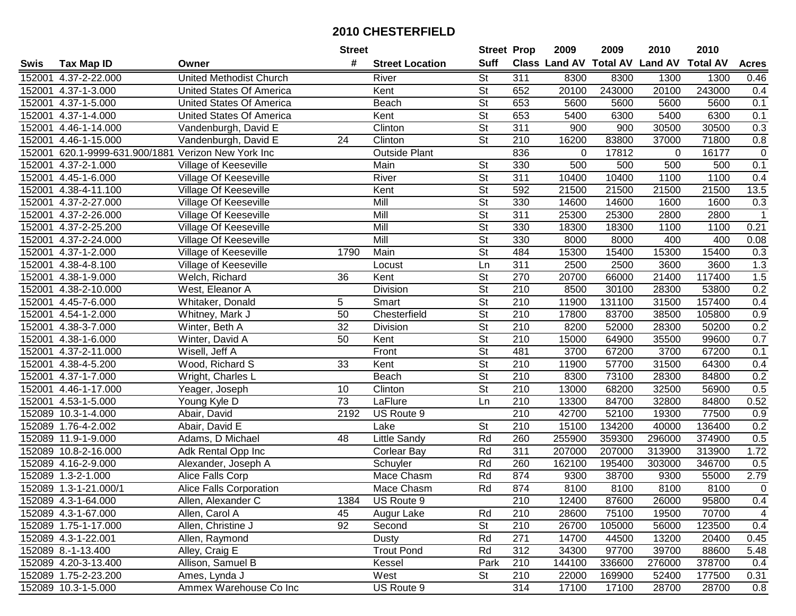|             |                                              |                                 | <b>Street</b>   |                        | <b>Street Prop</b>       |                  | 2009                          | 2009   | 2010           | 2010            |              |
|-------------|----------------------------------------------|---------------------------------|-----------------|------------------------|--------------------------|------------------|-------------------------------|--------|----------------|-----------------|--------------|
| <b>Swis</b> | <b>Tax Map ID</b>                            | Owner                           | #               | <b>Street Location</b> | <b>Suff</b>              |                  | <b>Class Land AV Total AV</b> |        | <b>Land AV</b> | <b>Total AV</b> | <b>Acres</b> |
| 152001      | 4.37-2-22.000                                | <b>United Methodist Church</b>  |                 | River                  | <b>St</b>                | 311              | 8300                          | 8300   | 1300           | 1300            | 0.46         |
|             | 152001 4.37-1-3.000                          | United States Of America        |                 | Kent                   | $\overline{\mathsf{St}}$ | 652              | 20100                         | 243000 | 20100          | 243000          | 0.4          |
|             | 152001 4.37-1-5.000                          | <b>United States Of America</b> |                 | Beach                  | St                       | 653              | 5600                          | 5600   | 5600           | 5600            | 0.1          |
|             | 152001 4.37-1-4.000                          | United States Of America        |                 | Kent                   | $\overline{\mathsf{St}}$ | 653              | 5400                          | 6300   | 5400           | 6300            | 0.1          |
|             | 152001 4.46-1-14.000                         | Vandenburgh, David E            |                 | Clinton                | $\overline{\mathsf{St}}$ | 311              | 900                           | 900    | 30500          | 30500           | 0.3          |
| 152001      | 4.46-1-15.000                                | Vandenburgh, David E            | $\overline{24}$ | Clinton                | $\overline{\mathsf{St}}$ | 210              | 16200                         | 83800  | 37000          | 71800           | 0.8          |
| 152001      | 620.1-9999-631.900/1881 Verizon New York Inc |                                 |                 | <b>Outside Plant</b>   |                          | 836              | $\Omega$                      | 17812  | 0              | 16177           | $\mathbf 0$  |
| 152001      | 4.37-2-1.000                                 | <b>Village of Keeseville</b>    |                 | Main                   | $\overline{\mathsf{St}}$ | 330              | 500                           | 500    | 500            | 500             | 0.1          |
| 152001      | 4.45-1-6.000                                 | Village Of Keeseville           |                 | River                  | $\overline{\mathsf{St}}$ | 311              | 10400                         | 10400  | 1100           | 1100            | 0.4          |
| 152001      | 4.38-4-11.100                                | Village Of Keeseville           |                 | Kent                   | $\overline{\mathsf{St}}$ | 592              | 21500                         | 21500  | 21500          | 21500           | 13.5         |
| 152001      | 4.37-2-27.000                                | Village Of Keeseville           |                 | Mill                   | $\overline{\mathsf{St}}$ | 330              | 14600                         | 14600  | 1600           | 1600            | 0.3          |
| 152001      | 4.37-2-26.000                                | Village Of Keeseville           |                 | Mill                   | St                       | 311              | 25300                         | 25300  | 2800           | 2800            |              |
| 152001      | 4.37-2-25.200                                | Village Of Keeseville           |                 | Mill                   | $\overline{\mathsf{St}}$ | 330              | 18300                         | 18300  | 1100           | 1100            | 0.21         |
| 152001      | 4.37-2-24.000                                | Village Of Keeseville           |                 | Mill                   | $\overline{\mathsf{St}}$ | 330              | 8000                          | 8000   | 400            | 400             | 0.08         |
| 152001      | 4.37-1-2.000                                 | Village of Keeseville           | 1790            | Main                   | $\overline{\mathsf{St}}$ | 484              | 15300                         | 15400  | 15300          | 15400           | 0.3          |
| 152001      | 4.38-4-8.100                                 | Village of Keeseville           |                 | Locust                 | Ln                       | 311              | 2500                          | 2500   | 3600           | 3600            | 1.3          |
| 152001      | 4.38-1-9.000                                 | Welch, Richard                  | 36              | Kent                   | $\overline{\mathsf{St}}$ | 270              | 20700                         | 66000  | 21400          | 117400          | 1.5          |
| 152001      | 4.38-2-10.000                                | West, Eleanor A                 |                 | Division               | $\overline{\mathsf{St}}$ | 210              | 8500                          | 30100  | 28300          | 53800           | 0.2          |
| 152001      | $\overline{4.45}$ -7-6.000                   | Whitaker, Donald                | 5               | Smart                  | $\overline{St}$          | 210              | 11900                         | 131100 | 31500          | 157400          | 0.4          |
| 152001      | 4.54-1-2.000                                 | Whitney, Mark J                 | 50              | Chesterfield           | <b>St</b>                | 210              | 17800                         | 83700  | 38500          | 105800          | 0.9          |
| 152001      | 4.38-3-7.000                                 | Winter, Beth A                  | $\overline{32}$ | Division               | $\overline{\mathsf{St}}$ | 210              | 8200                          | 52000  | 28300          | 50200           | 0.2          |
| 152001      | 4.38-1-6.000                                 | Winter, David A                 | 50              | Kent                   | <b>St</b>                | 210              | 15000                         | 64900  | 35500          | 99600           | 0.7          |
| 152001      | 4.37-2-11.000                                | Wisell, Jeff A                  |                 | Front                  | St                       | 481              | 3700                          | 67200  | 3700           | 67200           | 0.1          |
| 152001      | 4.38-4-5.200                                 | Wood, Richard S                 | 33              | Kent                   | St                       | 210              | 11900                         | 57700  | 31500          | 64300           | 0.4          |
| 152001      | 4.37-1-7.000                                 | Wright, Charles L               |                 | Beach                  | $\overline{\mathsf{St}}$ | $\overline{210}$ | 8300                          | 73100  | 28300          | 84800           | 0.2          |
| 152001      | 4.46-1-17.000                                | Yeager, Joseph                  | 10              | Clinton                | $\overline{\mathsf{St}}$ | 210              | 13000                         | 68200  | 32500          | 56900           | 0.5          |
| 152001      | 4.53-1-5.000                                 | Young Kyle D                    | $\overline{73}$ | LaFlure                | Ln                       | $\overline{210}$ | 13300                         | 84700  | 32800          | 84800           | 0.52         |
|             | 152089 10.3-1-4.000                          | Abair, David                    | 2192            | US Route 9             |                          | 210              | 42700                         | 52100  | 19300          | 77500           | 0.9          |
|             | 152089 1.76-4-2.002                          | Abair, David E                  |                 | Lake                   | $\overline{\mathsf{St}}$ | 210              | 15100                         | 134200 | 40000          | 136400          | 0.2          |
|             | 152089 11.9-1-9.000                          | Adams, D Michael                | 48              | Little Sandy           | Rd                       | 260              | 255900                        | 359300 | 296000         | 374900          | 0.5          |
|             | 152089 10.8-2-16.000                         | Adk Rental Opp Inc              |                 | Corlear Bay            | Rd                       | 311              | 207000                        | 207000 | 313900         | 313900          | 1.72         |
|             | 152089 4.16-2-9.000                          | Alexander, Joseph A             |                 | Schuyler               | Rd                       | 260              | 162100                        | 195400 | 303000         | 346700          | 0.5          |
|             | 152089 1.3-2-1.000                           | Alice Falls Corp                |                 | <b>Mace Chasm</b>      | Rd                       | 874              | 9300                          | 38700  | 9300           | 55000           | 2.79         |
|             | 152089 1.3-1-21.000/1                        | <b>Alice Falls Corporation</b>  |                 | Mace Chasm             | Rd                       | 874              | 8100                          | 8100   | 8100           | 8100            | $\mathbf 0$  |
|             | 152089 4.3-1-64.000                          | Allen, Alexander C              | 1384            | US Route 9             |                          | 210              | 12400                         | 87600  | 26000          | 95800           | 0.4          |
|             | 152089 4.3-1-67.000                          | Allen, Carol A                  | 45              | Augur Lake             | Rd                       | 210              | 28600                         | 75100  | 19500          | 70700           | 4            |
|             | 152089 1.75-1-17.000                         | Allen, Christine J              | 92              | Second                 | <b>St</b>                | 210              | 26700                         | 105000 | 56000          | 123500          | 0.4          |
|             | 152089 4.3-1-22.001                          | Allen, Raymond                  |                 | Dusty                  | Rd                       | 271              | 14700                         | 44500  | 13200          | 20400           | 0.45         |
|             | 152089 8.-1-13.400                           | Alley, Craig E                  |                 | <b>Trout Pond</b>      | Rd                       | 312              | 34300                         | 97700  | 39700          | 88600           | 5.48         |
|             | 152089 4.20-3-13.400                         | Allison, Samuel B               |                 | Kessel                 | Park                     | 210              | 144100                        | 336600 | 276000         | 378700          | 0.4          |
|             | 152089 1.75-2-23.200                         | Ames, Lynda J                   |                 | West                   | St                       | 210              | 22000                         | 169900 | 52400          | 177500          | 0.31         |
|             | 152089 10.3-1-5.000                          | Ammex Warehouse Co Inc          |                 | US Route 9             |                          | 314              | 17100                         | 17100  | 28700          | 28700           | 0.8          |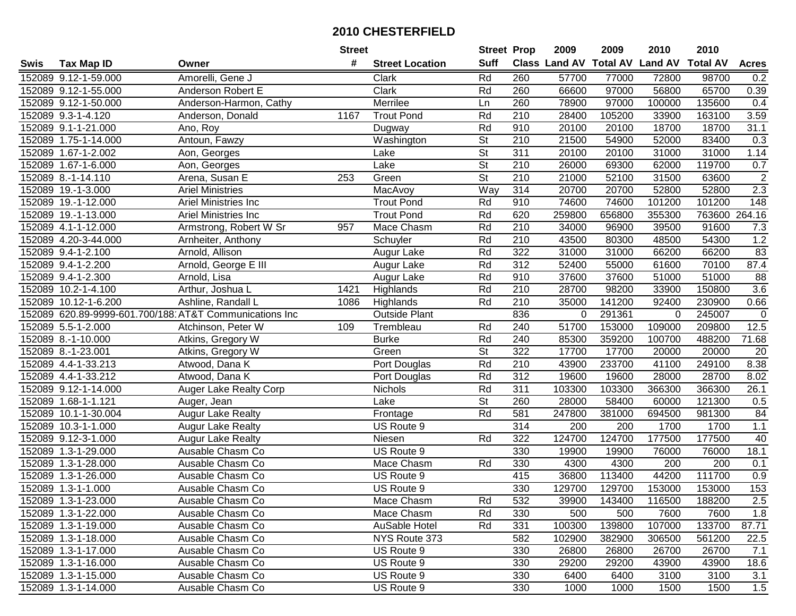|      |                      |                                                        | <b>Street</b>    |                        | <b>Street Prop</b>       |                  | 2009                          | 2009   | 2010           | 2010            |                  |
|------|----------------------|--------------------------------------------------------|------------------|------------------------|--------------------------|------------------|-------------------------------|--------|----------------|-----------------|------------------|
| Swis | <b>Tax Map ID</b>    | Owner                                                  | #                | <b>Street Location</b> | <b>Suff</b>              |                  | <b>Class Land AV Total AV</b> |        | <b>Land AV</b> | <b>Total AV</b> | <b>Acres</b>     |
|      | 152089 9.12-1-59.000 | Amorelli, Gene J                                       |                  | Clark                  | Rd                       | 260              | 57700                         | 77000  | 72800          | 98700           | 0.2              |
|      | 152089 9.12-1-55.000 | Anderson Robert E                                      |                  | Clark                  | Rd                       | 260              | 66600                         | 97000  | 56800          | 65700           | 0.39             |
|      | 152089 9.12-1-50.000 | Anderson-Harmon, Cathy                                 |                  | Merrilee               | Ln                       | 260              | 78900                         | 97000  | 100000         | 135600          | 0.4              |
|      | 152089 9.3-1-4.120   | Anderson, Donald                                       | 1167             | <b>Trout Pond</b>      | Rd                       | 210              | 28400                         | 105200 | 33900          | 163100          | 3.59             |
|      | 152089 9.1-1-21.000  | Ano, Roy                                               |                  | Dugway                 | Rd                       | 910              | 20100                         | 20100  | 18700          | 18700           | 31.1             |
|      | 152089 1.75-1-14.000 | Antoun, Fawzy                                          |                  | Washington             | $\overline{\mathsf{St}}$ | $\overline{210}$ | 21500                         | 54900  | 52000          | 83400           | 0.3              |
|      | 152089 1.67-1-2.002  | Aon, Georges                                           |                  | Lake                   | <b>St</b>                | 311              | 20100                         | 20100  | 31000          | 31000           | 1.14             |
|      | 152089 1.67-1-6.000  | Aon, Georges                                           |                  | Lake                   | $\overline{\mathsf{St}}$ | 210              | 26000                         | 69300  | 62000          | 119700          | 0.7              |
|      | 152089 8.-1-14.110   | Arena, Susan E                                         | $\overline{253}$ | Green                  | $\overline{\mathsf{St}}$ | $\overline{210}$ | 21000                         | 52100  | 31500          | 63600           | $\overline{2}$   |
|      | 152089 19.-1-3.000   | <b>Ariel Ministries</b>                                |                  | MacAvoy                | Way                      | 314              | 20700                         | 20700  | 52800          | 52800           | 2.3              |
|      | 152089 19.-1-12.000  | Ariel Ministries Inc                                   |                  | <b>Trout Pond</b>      | Rd                       | 910              | 74600                         | 74600  | 101200         | 101200          | 148              |
|      | 152089 19.-1-13.000  | Ariel Ministries Inc                                   |                  | <b>Trout Pond</b>      | Rd                       | 620              | 259800                        | 656800 | 355300         | 763600          | 264.16           |
|      | 152089 4.1-1-12.000  | Armstrong, Robert W Sr                                 | 957              | Mace Chasm             | Rd                       | 210              | 34000                         | 96900  | 39500          | 91600           | 7.3              |
|      | 152089 4.20-3-44.000 | Arnheiter, Anthony                                     |                  | Schuyler               | Rd                       | 210              | 43500                         | 80300  | 48500          | 54300           | 1.2              |
|      | 152089 9.4-1-2.100   | Arnold, Allison                                        |                  | Augur Lake             | Rd                       | 322              | 31000                         | 31000  | 66200          | 66200           | 83               |
|      | 152089 9.4-1-2.200   | Arnold, George E III                                   |                  | Augur Lake             | Rd                       | 312              | 52400                         | 55000  | 61600          | 70100           | 87.4             |
|      | 152089 9.4-1-2.300   | Arnold, Lisa                                           |                  | Augur Lake             | Rd                       | 910              | 37600                         | 37600  | 51000          | 51000           | 88               |
|      | 152089 10.2-1-4.100  | Arthur, Joshua L                                       | 1421             | Highlands              | Rd                       | 210              | 28700                         | 98200  | 33900          | 150800          | 3.6              |
|      | 152089 10.12-1-6.200 | Ashline, Randall L                                     | 1086             | Highlands              | Rd                       | 210              | 35000                         | 141200 | 92400          | 230900          | 0.66             |
|      |                      | 152089 620.89-9999-601.700/188 AT&T Communications Inc |                  | <b>Outside Plant</b>   |                          | 836              | 0                             | 291361 | $\mathbf 0$    | 245007          | $\mathbf 0$      |
|      | 152089 5.5-1-2.000   | Atchinson, Peter W                                     | 109              | Trembleau              | Rd                       | 240              | 51700                         | 153000 | 109000         | 209800          | 12.5             |
|      | 152089 8.-1-10.000   | Atkins, Gregory W                                      |                  | <b>Burke</b>           | Rd                       | 240              | 85300                         | 359200 | 100700         | 488200          | 71.68            |
|      | 152089 8.-1-23.001   | Atkins, Gregory W                                      |                  | Green                  | <b>St</b>                | 322              | 17700                         | 17700  | 20000          | 20000           | 20               |
|      | 152089 4.4-1-33.213  | Atwood, Dana K                                         |                  | Port Douglas           | Rd                       | 210              | 43900                         | 233700 | 41100          | 249100          | 8.38             |
|      | 152089 4.4-1-33.212  | Atwood, Dana K                                         |                  | Port Douglas           | Rd                       | 312              | 19600                         | 19600  | 28000          | 28700           | 8.02             |
|      | 152089 9.12-1-14.000 | <b>Auger Lake Realty Corp</b>                          |                  | Nichols                | Rd                       | 311              | 103300                        | 103300 | 366300         | 366300          | 26.1             |
|      | 152089 1.68-1-1.121  | Auger, Jean                                            |                  | Lake                   | $\overline{\mathsf{St}}$ | 260              | 28000                         | 58400  | 60000          | 121300          | 0.5              |
|      | 152089 10.1-1-30.004 | <b>Augur Lake Realty</b>                               |                  | Frontage               | Rd                       | 581              | 247800                        | 381000 | 694500         | 981300          | 84               |
|      | 152089 10.3-1-1.000  | <b>Augur Lake Realty</b>                               |                  | US Route 9             |                          | 314              | 200                           | 200    | 1700           | 1700            | 1.1              |
|      | 152089 9.12-3-1.000  | <b>Augur Lake Realty</b>                               |                  | Niesen                 | Rd                       | 322              | 124700                        | 124700 | 177500         | 177500          | 40               |
|      | 152089 1.3-1-29.000  | Ausable Chasm Co                                       |                  | US Route 9             |                          | 330              | 19900                         | 19900  | 76000          | 76000           | 18.1             |
|      | 152089 1.3-1-28.000  | Ausable Chasm Co                                       |                  | Mace Chasm             | Rd                       | 330              | 4300                          | 4300   | 200            | 200             | 0.1              |
|      | 152089 1.3-1-26.000  | Ausable Chasm Co                                       |                  | US Route 9             |                          | 415              | 36800                         | 113400 | 44200          | 111700          | $\overline{0.9}$ |
|      | 152089 1.3-1-1.000   | Ausable Chasm Co                                       |                  | US Route 9             |                          | 330              | 129700                        | 129700 | 153000         | 153000          | 153              |
|      | 152089 1.3-1-23.000  | Ausable Chasm Co                                       |                  | Mace Chasm             | Rd                       | 532              | 39900                         | 143400 | 116500         | 188200          | 2.5              |
|      | 152089 1.3-1-22.000  | Ausable Chasm Co                                       |                  | Mace Chasm             | Rd                       | 330              | 500                           | 500    | 7600           | 7600            | 1.8              |
|      | 152089 1.3-1-19.000  | Ausable Chasm Co                                       |                  | AuSable Hotel          | Rd                       | 331              | 100300                        | 139800 | 107000         | 133700          | 87.71            |
|      | 152089 1.3-1-18.000  | Ausable Chasm Co                                       |                  | NYS Route 373          |                          | 582              | 102900                        | 382900 | 306500         | 561200          | 22.5             |
|      | 152089 1.3-1-17.000  | Ausable Chasm Co                                       |                  | US Route 9             |                          | 330              | 26800                         | 26800  | 26700          | 26700           | 7.1              |
|      | 152089 1.3-1-16.000  | Ausable Chasm Co                                       |                  | US Route 9             |                          | 330              | 29200                         | 29200  | 43900          | 43900           | 18.6             |
|      | 152089 1.3-1-15.000  | Ausable Chasm Co                                       |                  | US Route 9             |                          | 330              | 6400                          | 6400   | 3100           | 3100            | 3.1              |
|      | 152089 1.3-1-14.000  | Ausable Chasm Co                                       |                  | US Route 9             |                          | 330              | 1000                          | 1000   | 1500           | 1500            | 1.5              |
|      |                      |                                                        |                  |                        |                          |                  |                               |        |                |                 |                  |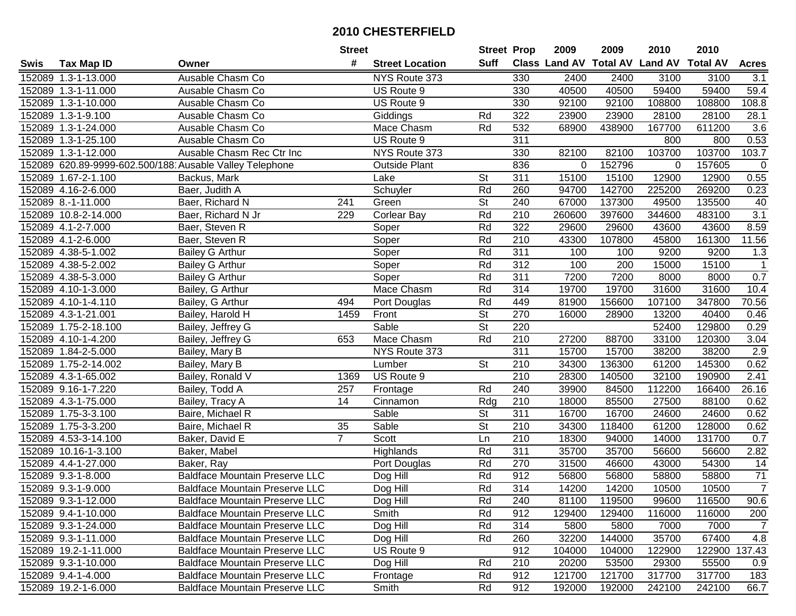|             |                      |                                                         | <b>Street</b>  |                        | <b>Street Prop</b>       |                  | 2009                          | 2009   | 2010                    | 2010          |                  |
|-------------|----------------------|---------------------------------------------------------|----------------|------------------------|--------------------------|------------------|-------------------------------|--------|-------------------------|---------------|------------------|
| <b>Swis</b> | <b>Tax Map ID</b>    | Owner                                                   | #              | <b>Street Location</b> | Suff                     |                  | <b>Class Land AV Total AV</b> |        | <b>Land AV Total AV</b> |               | <b>Acres</b>     |
|             | 152089 1.3-1-13.000  | Ausable Chasm Co                                        |                | NYS Route 373          |                          | 330              | 2400                          | 2400   | 3100                    | 3100          | 3.1              |
|             | 152089 1.3-1-11.000  | Ausable Chasm Co                                        |                | US Route 9             |                          | 330              | 40500                         | 40500  | 59400                   | 59400         | 59.4             |
|             | 152089 1.3-1-10.000  | Ausable Chasm Co                                        |                | US Route 9             |                          | 330              | 92100                         | 92100  | 108800                  | 108800        | 108.8            |
|             | 152089 1.3-1-9.100   | Ausable Chasm Co                                        |                | Giddings               | Rd                       | 322              | 23900                         | 23900  | 28100                   | 28100         | 28.1             |
|             | 152089 1.3-1-24.000  | Ausable Chasm Co                                        |                | Mace Chasm             | Rd                       | 532              | 68900                         | 438900 | 167700                  | 611200        | 3.6              |
|             | 152089 1.3-1-25.100  | Ausable Chasm Co                                        |                | US Route 9             |                          | 311              |                               |        | 800                     | 800           | 0.53             |
|             | 152089 1.3-1-12.000  | Ausable Chasm Rec Ctr Inc                               |                | NYS Route 373          |                          | 330              | 82100                         | 82100  | 103700                  | 103700        | 103.7            |
|             |                      | 152089 620.89-9999-602.500/188 Ausable Valley Telephone |                | <b>Outside Plant</b>   |                          | 836              | 0                             | 152796 | $\mathbf 0$             | 157605        | $\overline{0}$   |
|             | 152089 1.67-2-1.100  | Backus, Mark                                            |                | Lake                   | $\overline{\mathsf{St}}$ | 311              | 15100                         | 15100  | 12900                   | 12900         | 0.55             |
|             | 152089 4.16-2-6.000  | Baer, Judith A                                          |                | Schuyler               | Rd                       | 260              | 94700                         | 142700 | 225200                  | 269200        | 0.23             |
|             | 152089 8.-1-11.000   | Baer, Richard N                                         | 241            | Green                  | <b>St</b>                | 240              | 67000                         | 137300 | 49500                   | 135500        | 40               |
|             | 152089 10.8-2-14.000 | Baer, Richard N Jr                                      | 229            | <b>Corlear Bay</b>     | Rd                       | 210              | 260600                        | 397600 | 344600                  | 483100        | $\overline{3.1}$ |
|             | 152089 4.1-2-7.000   | Baer, Steven R                                          |                | Soper                  | Rd                       | 322              | 29600                         | 29600  | 43600                   | 43600         | 8.59             |
|             | 152089 4.1-2-6.000   | Baer, Steven R                                          |                | Soper                  | Rd                       | 210              | 43300                         | 107800 | 45800                   | 161300        | 11.56            |
|             | 152089 4.38-5-1.002  | Bailey G Arthur                                         |                | Soper                  | Rd                       | $\overline{311}$ | 100                           | 100    | 9200                    | 9200          | 1.3              |
|             | 152089 4.38-5-2.002  | <b>Bailey G Arthur</b>                                  |                | Soper                  | Rd                       | 312              | 100                           | 200    | 15000                   | 15100         | $\mathbf 1$      |
|             | 152089 4.38-5-3.000  | <b>Bailey G Arthur</b>                                  |                | Soper                  | Rd                       | $\overline{311}$ | 7200                          | 7200   | 8000                    | 8000          | 0.7              |
|             | 152089 4.10-1-3.000  | Bailey, G Arthur                                        |                | Mace Chasm             | Rd                       | 314              | 19700                         | 19700  | 31600                   | 31600         | 10.4             |
|             | 152089 4.10-1-4.110  | Bailey, G Arthur                                        | 494            | Port Douglas           | Rd                       | 449              | 81900                         | 156600 | 107100                  | 347800        | 70.56            |
|             | 152089 4.3-1-21.001  | Bailey, Harold H                                        | 1459           | Front                  | <b>St</b>                | 270              | 16000                         | 28900  | 13200                   | 40400         | 0.46             |
|             | 152089 1.75-2-18.100 | Bailey, Jeffrey G                                       |                | Sable                  | $\overline{\mathsf{St}}$ | 220              |                               |        | 52400                   | 129800        | 0.29             |
|             | 152089 4.10-1-4.200  | Bailey, Jeffrey G                                       | 653            | Mace Chasm             | Rd                       | 210              | 27200                         | 88700  | 33100                   | 120300        | 3.04             |
|             | 152089 1.84-2-5.000  | Bailey, Mary B                                          |                | NYS Route 373          |                          | 311              | 15700                         | 15700  | 38200                   | 38200         | 2.9              |
|             | 152089 1.75-2-14.002 | Bailey, Mary B                                          |                | Lumber                 | <b>St</b>                | 210              | 34300                         | 136300 | 61200                   | 145300        | 0.62             |
|             | 152089 4.3-1-65.002  | Bailey, Ronald V                                        | 1369           | US Route 9             |                          | $\overline{210}$ | 28300                         | 140500 | 32100                   | 190900        | 2.41             |
|             | 152089 9.16-1-7.220  | Bailey, Todd A                                          | 257            | Frontage               | Rd                       | 240              | 39900                         | 84500  | 112200                  | 166400        | 26.16            |
|             | 152089 4.3-1-75.000  | Bailey, Tracy A                                         | 14             | Cinnamon               | Rdg                      | 210              | 18000                         | 85500  | 27500                   | 88100         | 0.62             |
|             | 152089 1.75-3-3.100  | Baire, Michael R                                        |                | Sable                  | <b>St</b>                | 311              | 16700                         | 16700  | 24600                   | 24600         | 0.62             |
|             | 152089 1.75-3-3.200  | Baire, Michael R                                        | 35             | Sable                  | $\overline{\mathsf{St}}$ | 210              | 34300                         | 118400 | 61200                   | 128000        | 0.62             |
|             | 152089 4.53-3-14.100 | Baker, David E                                          | $\overline{7}$ | Scott                  | Ln                       | $\overline{210}$ | 18300                         | 94000  | 14000                   | 131700        | 0.7              |
|             | 152089 10.16-1-3.100 | Baker, Mabel                                            |                | Highlands              | Rd                       | 311              | 35700                         | 35700  | 56600                   | 56600         | 2.82             |
|             | 152089 4.4-1-27.000  | Baker, Ray                                              |                | Port Douglas           | Rd                       | 270              | 31500                         | 46600  | 43000                   | 54300         | 14               |
|             | 152089 9.3-1-8.000   | <b>Baldface Mountain Preserve LLC</b>                   |                | Dog Hill               | Rd                       | 912              | 56800                         | 56800  | 58800                   | 58800         | 71               |
|             | 152089 9.3-1-9.000   | <b>Baldface Mountain Preserve LLC</b>                   |                | Dog Hill               | Rd                       | 314              | 14200                         | 14200  | 10500                   | 10500         | $\overline{7}$   |
|             | 152089 9.3-1-12.000  | <b>Baldface Mountain Preserve LLC</b>                   |                | Dog Hill               | Rd                       | 240              | 81100                         | 119500 | 99600                   | 116500        | 90.6             |
|             | 152089 9.4-1-10.000  | <b>Baldface Mountain Preserve LLC</b>                   |                | Smith                  | Rd                       | 912              | 129400                        | 129400 | 116000                  | 116000        | 200              |
|             | 152089 9.3-1-24.000  | <b>Baldface Mountain Preserve LLC</b>                   |                | Dog Hill               | Rd                       | 314              | 5800                          | 5800   | 7000                    | 7000          | $\overline{7}$   |
|             | 152089 9.3-1-11.000  | <b>Baldface Mountain Preserve LLC</b>                   |                | Dog Hill               | Rd                       | 260              | 32200                         | 144000 | 35700                   | 67400         | 4.8              |
|             | 152089 19.2-1-11.000 | <b>Baldface Mountain Preserve LLC</b>                   |                | US Route 9             |                          | 912              | 104000                        | 104000 | 122900                  | 122900 137.43 |                  |
|             | 152089 9.3-1-10.000  | <b>Baldface Mountain Preserve LLC</b>                   |                | Dog Hill               | Rd                       | 210              | 20200                         | 53500  | 29300                   | 55500         | 0.9              |
|             | 152089 9.4-1-4.000   | <b>Baldface Mountain Preserve LLC</b>                   |                | Frontage               | Rd                       | 912              | 121700                        | 121700 | 317700                  | 317700        | 183              |
|             | 152089 19.2-1-6.000  | <b>Baldface Mountain Preserve LLC</b>                   |                | Smith                  | Rd                       | 912              | 192000                        | 192000 | 242100                  | 242100        | 66.7             |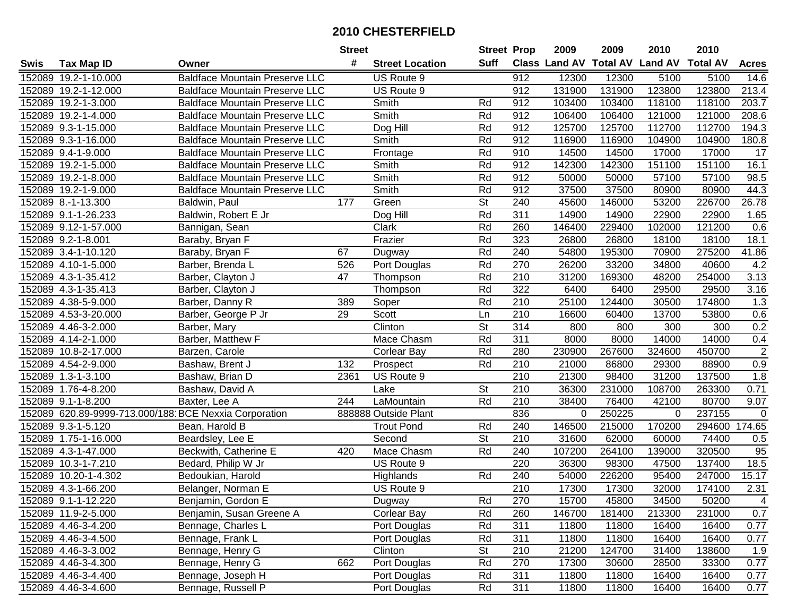|      |                                                       |                                       | <b>Street</b> |                        | <b>Street Prop</b>       |                  | 2009        | 2009   | 2010                                    | 2010   |                 |
|------|-------------------------------------------------------|---------------------------------------|---------------|------------------------|--------------------------|------------------|-------------|--------|-----------------------------------------|--------|-----------------|
| Swis | <b>Tax Map ID</b>                                     | Owner                                 | #             | <b>Street Location</b> | <b>Suff</b>              |                  |             |        | Class Land AV Total AV Land AV Total AV |        | <b>Acres</b>    |
|      | 152089 19.2-1-10.000                                  | <b>Baldface Mountain Preserve LLC</b> |               | US Route 9             |                          | 912              | 12300       | 12300  | 5100                                    | 5100   | 14.6            |
|      | 152089 19.2-1-12.000                                  | <b>Baldface Mountain Preserve LLC</b> |               | US Route 9             |                          | 912              | 131900      | 131900 | 123800                                  | 123800 | 213.4           |
|      | 152089 19.2-1-3.000                                   | <b>Baldface Mountain Preserve LLC</b> |               | Smith                  | Rd                       | 912              | 103400      | 103400 | 118100                                  | 118100 | 203.7           |
|      | 152089 19.2-1-4.000                                   | <b>Baldface Mountain Preserve LLC</b> |               | Smith                  | Rd                       | 912              | 106400      | 106400 | 121000                                  | 121000 | 208.6           |
|      | 152089 9.3-1-15.000                                   | <b>Baldface Mountain Preserve LLC</b> |               | Dog Hill               | Rd                       | 912              | 125700      | 125700 | 112700                                  | 112700 | 194.3           |
|      | 152089 9.3-1-16.000                                   | <b>Baldface Mountain Preserve LLC</b> |               | Smith                  | Rd                       | 912              | 116900      | 116900 | 104900                                  | 104900 | 180.8           |
|      | 152089 9.4-1-9.000                                    | <b>Baldface Mountain Preserve LLC</b> |               | Frontage               | Rd                       | 910              | 14500       | 14500  | 17000                                   | 17000  | $\overline{17}$ |
|      | 152089 19.2-1-5.000                                   | <b>Baldface Mountain Preserve LLC</b> |               | Smith                  | Rd                       | 912              | 142300      | 142300 | 151100                                  | 151100 | 16.1            |
|      | 152089 19.2-1-8.000                                   | <b>Baldface Mountain Preserve LLC</b> |               | Smith                  | Rd                       | 912              | 50000       | 50000  | 57100                                   | 57100  | 98.5            |
|      | 152089 19.2-1-9.000                                   | <b>Baldface Mountain Preserve LLC</b> |               | Smith                  | Rd                       | 912              | 37500       | 37500  | 80900                                   | 80900  | 44.3            |
|      | 152089 8.-1-13.300                                    | Baldwin, Paul                         | 177           | Green                  | $\overline{\mathsf{St}}$ | 240              | 45600       | 146000 | 53200                                   | 226700 | 26.78           |
|      | 152089 9.1-1-26.233                                   | Baldwin, Robert E Jr                  |               | Dog Hill               | Rd                       | 311              | 14900       | 14900  | 22900                                   | 22900  | 1.65            |
|      | 152089 9.12-1-57.000                                  | Bannigan, Sean                        |               | Clark                  | Rd                       | 260              | 146400      | 229400 | 102000                                  | 121200 | 0.6             |
|      | 152089 9.2-1-8.001                                    | Baraby, Bryan F                       |               | Frazier                | Rd                       | 323              | 26800       | 26800  | 18100                                   | 18100  | 18.1            |
|      | 152089 3.4-1-10.120                                   | Baraby, Bryan F                       | 67            | Dugway                 | Rd                       | 240              | 54800       | 195300 | 70900                                   | 275200 | 41.86           |
|      | 152089 4.10-1-5.000                                   | Barber, Brenda L                      | 526           | Port Douglas           | Rd                       | 270              | 26200       | 33200  | 34800                                   | 40600  | 4.2             |
|      | 152089 4.3-1-35.412                                   | Barber, Clayton J                     | 47            | Thompson               | Rd                       | 210              | 31200       | 169300 | 48200                                   | 254000 | 3.13            |
|      | 152089 4.3-1-35.413                                   | Barber, Clayton J                     |               | Thompson               | Rd                       | 322              | 6400        | 6400   | 29500                                   | 29500  | 3.16            |
|      | 152089 4.38-5-9.000                                   | Barber, Danny R                       | 389           | Soper                  | Rd                       | 210              | 25100       | 124400 | 30500                                   | 174800 | 1.3             |
|      | 152089 4.53-3-20.000                                  | Barber, George P Jr                   | 29            | Scott                  | Ln                       | 210              | 16600       | 60400  | 13700                                   | 53800  | 0.6             |
|      | 152089 4.46-3-2.000                                   | Barber, Mary                          |               | Clinton                | <b>St</b>                | 314              | 800         | 800    | 300                                     | 300    | 0.2             |
|      | 152089 4.14-2-1.000                                   | Barber, Matthew F                     |               | Mace Chasm             | Rd                       | $\overline{311}$ | 8000        | 8000   | 14000                                   | 14000  | 0.4             |
|      | 152089 10.8-2-17.000                                  | Barzen, Carole                        |               | <b>Corlear Bay</b>     | Rd                       | 280              | 230900      | 267600 | 324600                                  | 450700 | $\overline{c}$  |
|      | 152089 4.54-2-9.000                                   | Bashaw, Brent J                       | 132           | Prospect               | Rd                       | 210              | 21000       | 86800  | 29300                                   | 88900  | 0.9             |
|      | 152089 1.3-1-3.100                                    | Bashaw, Brian D                       | 2361          | US Route 9             |                          | 210              | 21300       | 98400  | 31200                                   | 137500 | 1.8             |
|      | 152089 1.76-4-8.200                                   | Bashaw, David A                       |               | Lake                   | <b>St</b>                | 210              | 36300       | 231000 | 108700                                  | 263300 | 0.71            |
|      | 152089 9.1-1-8.200                                    | Baxter, Lee A                         | 244           | LaMountain             | Rd                       | 210              | 38400       | 76400  | 42100                                   | 80700  | 9.07            |
|      | 152089 620.89-9999-713.000/188 BCE Nexxia Corporation |                                       |               | 888888 Outside Plant   |                          | 836              | $\mathbf 0$ | 250225 | $\mathbf 0$                             | 237155 | $\mathbf 0$     |
|      | 152089 9.3-1-5.120                                    | Bean, Harold B                        |               | <b>Trout Pond</b>      | Rd                       | 240              | 146500      | 215000 | 170200                                  | 294600 | 174.65          |
|      | 152089 1.75-1-16.000                                  | Beardsley, Lee E                      |               | Second                 | $\overline{\mathsf{St}}$ | $\overline{210}$ | 31600       | 62000  | 60000                                   | 74400  | 0.5             |
|      | 152089 4.3-1-47.000                                   | Beckwith, Catherine E                 | 420           | Mace Chasm             | Rd                       | 240              | 107200      | 264100 | 139000                                  | 320500 | 95              |
|      | 152089 10.3-1-7.210                                   | Bedard, Philip W Jr                   |               | US Route 9             |                          | 220              | 36300       | 98300  | 47500                                   | 137400 | 18.5            |
|      | 152089 10.20-1-4.302                                  | Bedoukian, Harold                     |               | <b>Highlands</b>       | Rd                       | 240              | 54000       | 226200 | 95400                                   | 247000 | 15.17           |
|      | 152089 4.3-1-66.200                                   | Belanger, Norman E                    |               | US Route 9             |                          | 210              | 17300       | 17300  | 32000                                   | 174100 | 2.31            |
|      | 152089 9.1-1-12.220                                   | Benjamin, Gordon E                    |               | Dugway                 | Rd                       | 270              | 15700       | 45800  | 34500                                   | 50200  | 4               |
|      | 152089 11.9-2-5.000                                   | Benjamin, Susan Greene A              |               | Corlear Bay            | Rd                       | 260              | 146700      | 181400 | 213300                                  | 231000 | 0.7             |
|      | 152089 4.46-3-4.200                                   | Bennage, Charles L                    |               | Port Douglas           | Rd                       | 311              | 11800       | 11800  | 16400                                   | 16400  | 0.77            |
|      | 152089 4.46-3-4.500                                   | Bennage, Frank L                      |               | Port Douglas           | Rd                       | 311              | 11800       | 11800  | 16400                                   | 16400  | 0.77            |
|      | 152089 4.46-3-3.002                                   | Bennage, Henry G                      |               | Clinton                | <b>St</b>                | 210              | 21200       | 124700 | 31400                                   | 138600 | 1.9             |
|      | 152089 4.46-3-4.300                                   | Bennage, Henry G                      | 662           | Port Douglas           | Rd                       | 270              | 17300       | 30600  | 28500                                   | 33300  | 0.77            |
|      | 152089 4.46-3-4.400                                   | Bennage, Joseph H                     |               | Port Douglas           | Rd                       | 311              | 11800       | 11800  | 16400                                   | 16400  | 0.77            |
|      | 152089 4.46-3-4.600                                   | Bennage, Russell P                    |               | Port Douglas           | Rd                       | 311              | 11800       | 11800  | 16400                                   | 16400  | 0.77            |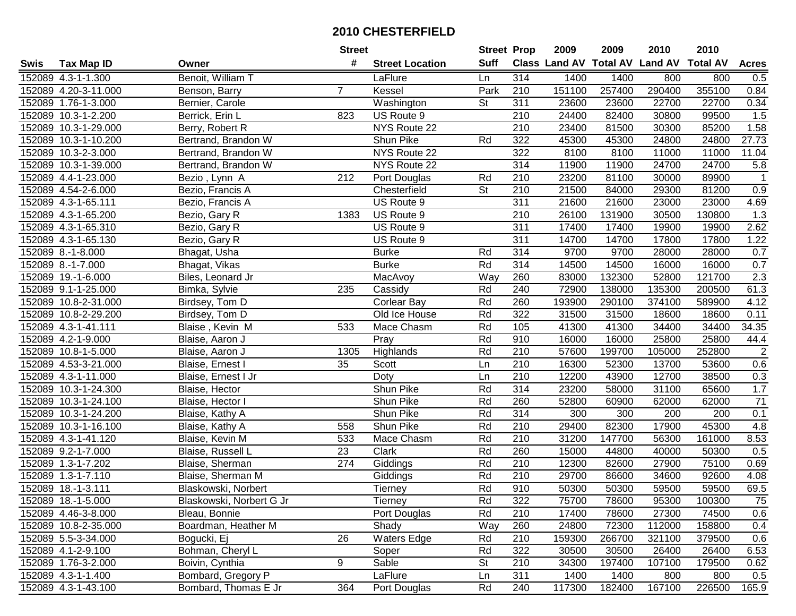| #<br><b>Suff</b><br>Class Land AV Total AV Land AV<br><b>Total AV</b><br><b>Acres</b><br><b>Tax Map ID</b><br><b>Street Location</b><br>Swis<br>Owner<br>Benoit, William T<br>314<br>152089 4.3-1-1.300<br>LaFlure<br>1400<br>1400<br>800<br>800<br>0.5<br>Ln<br>355100<br>Park<br>151100<br>257400<br>290400<br>0.84<br>152089 4.20-3-11.000<br>$\overline{7}$<br>Kessel<br>210<br>Benson, Barry<br>152089 1.76-1-3.000<br>Bernier, Carole<br>Washington<br><b>St</b><br>311<br>23600<br>23600<br>22700<br>22700<br>0.34<br>1.5<br>152089 10.3-1-2.200<br>823<br>210<br>24400<br>82400<br>99500<br>Berrick, Erin L<br>US Route 9<br>30800<br>NYS Route 22<br>1.58<br>152089 10.3-1-29.000<br>Berry, Robert R<br>210<br>23400<br>81500<br>30300<br>85200<br>Rd<br>322<br>27.73<br>152089 10.3-1-10.200<br>Bertrand, Brandon W<br>Shun Pike<br>45300<br>45300<br>24800<br>24800<br>NYS Route 22<br>322<br>8100<br>8100<br>11000<br>11.04<br>152089 10.3-2-3.000<br>Bertrand, Brandon W<br>11000<br>314<br>24700<br>152089 10.3-1-39.000<br>NYS Route 22<br>11900<br>11900<br>24700<br>5.8<br>Bertrand, Brandon W<br>$\overline{212}$<br>23200<br>81100<br>152089 4.4-1-23.000<br>Rd<br>210<br>30000<br>89900<br>$\overline{1}$<br>Bezio, Lynn A<br>Port Douglas<br>$\overline{\mathsf{St}}$<br>210<br>21500<br>81200<br>0.9<br>152089 4.54-2-6.000<br>Chesterfield<br>84000<br>29300<br>Bezio, Francis A<br>US Route 9<br>311<br>21600<br>23000<br>152089 4.3-1-65.111<br>21600<br>23000<br>4.69<br>Bezio, Francis A<br>1.3<br>152089 4.3-1-65.200<br>US Route 9<br>210<br>26100<br>131900<br>30500<br>130800<br>Bezio, Gary R<br>1383<br>311<br>2.62<br>152089 4.3-1-65.310<br>US Route 9<br>17400<br>17400<br>19900<br>19900<br>Bezio, Gary R<br>311<br>17800<br>152089 4.3-1-65.130<br>US Route 9<br>14700<br>14700<br>17800<br>1.22<br>Bezio, Gary R<br>314<br>9700<br>9700<br>0.7<br>152089 8.-1-8.000<br><b>Burke</b><br>Rd<br>28000<br>28000<br>Bhagat, Usha<br>Rd<br>314<br>152089 8.-1-7.000<br>14500<br>14500<br>16000<br>16000<br>0.7<br>Bhagat, Vikas<br><b>Burke</b><br>2.3<br>Way<br>260<br>132300<br>152089 19.-1-6.000<br>Biles, Leonard Jr<br>83000<br>52800<br>121700<br>MacAvoy<br>Rd<br>61.3<br>152089 9.1-1-25.000<br>235<br>Cassidy<br>240<br>72900<br>138000<br>135300<br>200500<br>Bimka, Sylvie<br>Rd<br>4.12<br>152089 10.8-2-31.000<br>260<br>193900<br>290100<br>374100<br>589900<br>Birdsey, Tom D<br><b>Corlear Bay</b><br>152089 10.8-2-29.200<br>Rd<br>322<br>31500<br>31500<br>18600<br>18600<br>0.11<br>Birdsey, Tom D<br>Old Ice House<br>152089 4.3-1-41.111<br>Rd<br>105<br>41300<br>34400<br>34400<br>34.35<br>533<br>Mace Chasm<br>41300<br>Blaise, Kevin M<br>Rd<br>44.4<br>152089 4.2-1-9.000<br>Pray<br>910<br>16000<br>16000<br>25800<br>25800<br>Blaise, Aaron J<br>$\sqrt{2}$<br>Rd<br>210<br>57600<br>152089 10.8-1-5.000<br>1305<br>Highlands<br>199700<br>105000<br>252800<br>Blaise, Aaron J<br>210<br>152089 4.53-3-21.000<br>35<br>Scott<br>16300<br>52300<br>13700<br>53600<br>0.6<br>Blaise, Ernest I<br>Ln<br>$\overline{210}$<br>152089 4.3-1-11.000<br>12200<br>12700<br>38500<br>0.3<br>Doty<br>Ln<br>43900<br>Blaise, Ernest I Jr<br>1.7<br>Shun Pike<br>Rd<br>314<br>23200<br>65600<br>152089 10.3-1-24.300<br>58000<br>31100<br>Blaise, Hector<br>$\overline{71}$<br>Rd<br>260<br>52800<br>152089 10.3-1-24.100<br>Blaise, Hector I<br>Shun Pike<br>60900<br>62000<br>62000<br>Rd<br>314<br>0.1<br>152089 10.3-1-24.200<br>Shun Pike<br>300<br>300<br>200<br>200<br>Blaise, Kathy A<br>$\overline{210}$<br>29400<br>17900<br>45300<br>4.8<br>152089 10.3-1-16.100<br>Shun Pike<br>Rd<br>82300<br>Blaise, Kathy A<br>558<br>210<br>Rd<br>31200<br>147700<br>56300<br>8.53<br>152089 4.3-1-41.120<br>533<br>Mace Chasm<br>161000<br>Blaise, Kevin M<br>260<br>152089 9.2-1-7.000<br>$\overline{23}$<br>Rd<br>15000<br>50300<br>0.5<br>Blaise, Russell L<br>Clark<br>44800<br>40000<br>$\overline{274}$<br>Rd<br>$\overline{210}$<br>75100<br>152089 1.3-1-7.202<br>12300<br>82600<br>27900<br>0.69<br>Blaise, Sherman<br>Giddings<br>210<br>152089 1.3-1-7.110<br>Rd<br>29700<br>92600<br>Blaise, Sherman M<br>86600<br>34600<br>4.08<br>Giddings<br>Rd<br>69.5<br>152089 18.-1-3.111<br>910<br>50300<br>50300<br>59500<br>59500<br>Blaskowski, Norbert<br>Tierney<br>152089 18.-1-5.000<br>Blaskowski, Norbert G Jr<br>Tierney<br>Rd<br>322<br>75700<br>78600<br>95300<br>100300<br>75<br>Rd<br>210<br>0.6<br>152089 4.46-3-8.000<br>Bleau, Bonnie<br>Port Douglas<br>17400<br>78600<br>27300<br>74500<br>Shady<br>Way<br>260<br>24800<br>112000<br>158800<br>152089 10.8-2-35.000<br>Boardman, Heather M<br>72300<br>0.4<br>26<br><b>Waters Edge</b><br>Rd<br>210<br>152089 5.5-3-34.000<br>Bogucki, Ej<br>159300<br>266700<br>321100<br>379500<br>0.6<br>152089 4.1-2-9.100<br>Bohman, Cheryl L<br>Soper<br>Rd<br>322<br>30500<br>26400<br>6.53<br>30500<br>26400<br>9<br>Sable<br><b>St</b><br>210<br>197400<br>107100<br>0.62<br>152089 1.76-3-2.000<br>Boivin, Cynthia<br>34300<br>179500<br>Bombard, Gregory P<br>311<br>152089 4.3-1-1.400<br>LaFlure<br>1400<br>1400<br>800<br>800<br>0.5<br>Ln<br>152089 4.3-1-43.100<br>Bombard, Thomas E Jr<br>364<br>Rd<br>240<br>226500<br>165.9<br>117300<br>182400<br>167100 |  | <b>Street</b> |              | <b>Street Prop</b> | 2009 | 2009 | 2010 | 2010 |  |
|---------------------------------------------------------------------------------------------------------------------------------------------------------------------------------------------------------------------------------------------------------------------------------------------------------------------------------------------------------------------------------------------------------------------------------------------------------------------------------------------------------------------------------------------------------------------------------------------------------------------------------------------------------------------------------------------------------------------------------------------------------------------------------------------------------------------------------------------------------------------------------------------------------------------------------------------------------------------------------------------------------------------------------------------------------------------------------------------------------------------------------------------------------------------------------------------------------------------------------------------------------------------------------------------------------------------------------------------------------------------------------------------------------------------------------------------------------------------------------------------------------------------------------------------------------------------------------------------------------------------------------------------------------------------------------------------------------------------------------------------------------------------------------------------------------------------------------------------------------------------------------------------------------------------------------------------------------------------------------------------------------------------------------------------------------------------------------------------------------------------------------------------------------------------------------------------------------------------------------------------------------------------------------------------------------------------------------------------------------------------------------------------------------------------------------------------------------------------------------------------------------------------------------------------------------------------------------------------------------------------------------------------------------------------------------------------------------------------------------------------------------------------------------------------------------------------------------------------------------------------------------------------------------------------------------------------------------------------------------------------------------------------------------------------------------------------------------------------------------------------------------------------------------------------------------------------------------------------------------------------------------------------------------------------------------------------------------------------------------------------------------------------------------------------------------------------------------------------------------------------------------------------------------------------------------------------------------------------------------------------------------------------------------------------------------------------------------------------------------------------------------------------------------------------------------------------------------------------------------------------------------------------------------------------------------------------------------------------------------------------------------------------------------------------------------------------------------------------------------------------------------------------------------------------------------------------------------------------------------------------------------------------------------------------------------------------------------------------------------------------------------------------------------------------------------------------------------------------------------------------------------------------------------------------------------------------------------------------------------------------------------------------------------------------------------------------------------------------------------------------------------------------------------------------------------------------------------------------------------------------------------------------------------------------------------------------------------------------------------------------------------------------------------------------------------------------------------------------------------------------------------------------------------------------------------------------------------------------------------------------------------------------------------------|--|---------------|--------------|--------------------|------|------|------|------|--|
|                                                                                                                                                                                                                                                                                                                                                                                                                                                                                                                                                                                                                                                                                                                                                                                                                                                                                                                                                                                                                                                                                                                                                                                                                                                                                                                                                                                                                                                                                                                                                                                                                                                                                                                                                                                                                                                                                                                                                                                                                                                                                                                                                                                                                                                                                                                                                                                                                                                                                                                                                                                                                                                                                                                                                                                                                                                                                                                                                                                                                                                                                                                                                                                                                                                                                                                                                                                                                                                                                                                                                                                                                                                                                                                                                                                                                                                                                                                                                                                                                                                                                                                                                                                                                                                                                                                                                                                                                                                                                                                                                                                                                                                                                                                                                                                                                                                                                                                                                                                                                                                                                                                                                                                                                                                                                       |  |               |              |                    |      |      |      |      |  |
|                                                                                                                                                                                                                                                                                                                                                                                                                                                                                                                                                                                                                                                                                                                                                                                                                                                                                                                                                                                                                                                                                                                                                                                                                                                                                                                                                                                                                                                                                                                                                                                                                                                                                                                                                                                                                                                                                                                                                                                                                                                                                                                                                                                                                                                                                                                                                                                                                                                                                                                                                                                                                                                                                                                                                                                                                                                                                                                                                                                                                                                                                                                                                                                                                                                                                                                                                                                                                                                                                                                                                                                                                                                                                                                                                                                                                                                                                                                                                                                                                                                                                                                                                                                                                                                                                                                                                                                                                                                                                                                                                                                                                                                                                                                                                                                                                                                                                                                                                                                                                                                                                                                                                                                                                                                                                       |  |               |              |                    |      |      |      |      |  |
|                                                                                                                                                                                                                                                                                                                                                                                                                                                                                                                                                                                                                                                                                                                                                                                                                                                                                                                                                                                                                                                                                                                                                                                                                                                                                                                                                                                                                                                                                                                                                                                                                                                                                                                                                                                                                                                                                                                                                                                                                                                                                                                                                                                                                                                                                                                                                                                                                                                                                                                                                                                                                                                                                                                                                                                                                                                                                                                                                                                                                                                                                                                                                                                                                                                                                                                                                                                                                                                                                                                                                                                                                                                                                                                                                                                                                                                                                                                                                                                                                                                                                                                                                                                                                                                                                                                                                                                                                                                                                                                                                                                                                                                                                                                                                                                                                                                                                                                                                                                                                                                                                                                                                                                                                                                                                       |  |               |              |                    |      |      |      |      |  |
|                                                                                                                                                                                                                                                                                                                                                                                                                                                                                                                                                                                                                                                                                                                                                                                                                                                                                                                                                                                                                                                                                                                                                                                                                                                                                                                                                                                                                                                                                                                                                                                                                                                                                                                                                                                                                                                                                                                                                                                                                                                                                                                                                                                                                                                                                                                                                                                                                                                                                                                                                                                                                                                                                                                                                                                                                                                                                                                                                                                                                                                                                                                                                                                                                                                                                                                                                                                                                                                                                                                                                                                                                                                                                                                                                                                                                                                                                                                                                                                                                                                                                                                                                                                                                                                                                                                                                                                                                                                                                                                                                                                                                                                                                                                                                                                                                                                                                                                                                                                                                                                                                                                                                                                                                                                                                       |  |               |              |                    |      |      |      |      |  |
|                                                                                                                                                                                                                                                                                                                                                                                                                                                                                                                                                                                                                                                                                                                                                                                                                                                                                                                                                                                                                                                                                                                                                                                                                                                                                                                                                                                                                                                                                                                                                                                                                                                                                                                                                                                                                                                                                                                                                                                                                                                                                                                                                                                                                                                                                                                                                                                                                                                                                                                                                                                                                                                                                                                                                                                                                                                                                                                                                                                                                                                                                                                                                                                                                                                                                                                                                                                                                                                                                                                                                                                                                                                                                                                                                                                                                                                                                                                                                                                                                                                                                                                                                                                                                                                                                                                                                                                                                                                                                                                                                                                                                                                                                                                                                                                                                                                                                                                                                                                                                                                                                                                                                                                                                                                                                       |  |               |              |                    |      |      |      |      |  |
|                                                                                                                                                                                                                                                                                                                                                                                                                                                                                                                                                                                                                                                                                                                                                                                                                                                                                                                                                                                                                                                                                                                                                                                                                                                                                                                                                                                                                                                                                                                                                                                                                                                                                                                                                                                                                                                                                                                                                                                                                                                                                                                                                                                                                                                                                                                                                                                                                                                                                                                                                                                                                                                                                                                                                                                                                                                                                                                                                                                                                                                                                                                                                                                                                                                                                                                                                                                                                                                                                                                                                                                                                                                                                                                                                                                                                                                                                                                                                                                                                                                                                                                                                                                                                                                                                                                                                                                                                                                                                                                                                                                                                                                                                                                                                                                                                                                                                                                                                                                                                                                                                                                                                                                                                                                                                       |  |               |              |                    |      |      |      |      |  |
|                                                                                                                                                                                                                                                                                                                                                                                                                                                                                                                                                                                                                                                                                                                                                                                                                                                                                                                                                                                                                                                                                                                                                                                                                                                                                                                                                                                                                                                                                                                                                                                                                                                                                                                                                                                                                                                                                                                                                                                                                                                                                                                                                                                                                                                                                                                                                                                                                                                                                                                                                                                                                                                                                                                                                                                                                                                                                                                                                                                                                                                                                                                                                                                                                                                                                                                                                                                                                                                                                                                                                                                                                                                                                                                                                                                                                                                                                                                                                                                                                                                                                                                                                                                                                                                                                                                                                                                                                                                                                                                                                                                                                                                                                                                                                                                                                                                                                                                                                                                                                                                                                                                                                                                                                                                                                       |  |               |              |                    |      |      |      |      |  |
|                                                                                                                                                                                                                                                                                                                                                                                                                                                                                                                                                                                                                                                                                                                                                                                                                                                                                                                                                                                                                                                                                                                                                                                                                                                                                                                                                                                                                                                                                                                                                                                                                                                                                                                                                                                                                                                                                                                                                                                                                                                                                                                                                                                                                                                                                                                                                                                                                                                                                                                                                                                                                                                                                                                                                                                                                                                                                                                                                                                                                                                                                                                                                                                                                                                                                                                                                                                                                                                                                                                                                                                                                                                                                                                                                                                                                                                                                                                                                                                                                                                                                                                                                                                                                                                                                                                                                                                                                                                                                                                                                                                                                                                                                                                                                                                                                                                                                                                                                                                                                                                                                                                                                                                                                                                                                       |  |               |              |                    |      |      |      |      |  |
|                                                                                                                                                                                                                                                                                                                                                                                                                                                                                                                                                                                                                                                                                                                                                                                                                                                                                                                                                                                                                                                                                                                                                                                                                                                                                                                                                                                                                                                                                                                                                                                                                                                                                                                                                                                                                                                                                                                                                                                                                                                                                                                                                                                                                                                                                                                                                                                                                                                                                                                                                                                                                                                                                                                                                                                                                                                                                                                                                                                                                                                                                                                                                                                                                                                                                                                                                                                                                                                                                                                                                                                                                                                                                                                                                                                                                                                                                                                                                                                                                                                                                                                                                                                                                                                                                                                                                                                                                                                                                                                                                                                                                                                                                                                                                                                                                                                                                                                                                                                                                                                                                                                                                                                                                                                                                       |  |               |              |                    |      |      |      |      |  |
|                                                                                                                                                                                                                                                                                                                                                                                                                                                                                                                                                                                                                                                                                                                                                                                                                                                                                                                                                                                                                                                                                                                                                                                                                                                                                                                                                                                                                                                                                                                                                                                                                                                                                                                                                                                                                                                                                                                                                                                                                                                                                                                                                                                                                                                                                                                                                                                                                                                                                                                                                                                                                                                                                                                                                                                                                                                                                                                                                                                                                                                                                                                                                                                                                                                                                                                                                                                                                                                                                                                                                                                                                                                                                                                                                                                                                                                                                                                                                                                                                                                                                                                                                                                                                                                                                                                                                                                                                                                                                                                                                                                                                                                                                                                                                                                                                                                                                                                                                                                                                                                                                                                                                                                                                                                                                       |  |               |              |                    |      |      |      |      |  |
|                                                                                                                                                                                                                                                                                                                                                                                                                                                                                                                                                                                                                                                                                                                                                                                                                                                                                                                                                                                                                                                                                                                                                                                                                                                                                                                                                                                                                                                                                                                                                                                                                                                                                                                                                                                                                                                                                                                                                                                                                                                                                                                                                                                                                                                                                                                                                                                                                                                                                                                                                                                                                                                                                                                                                                                                                                                                                                                                                                                                                                                                                                                                                                                                                                                                                                                                                                                                                                                                                                                                                                                                                                                                                                                                                                                                                                                                                                                                                                                                                                                                                                                                                                                                                                                                                                                                                                                                                                                                                                                                                                                                                                                                                                                                                                                                                                                                                                                                                                                                                                                                                                                                                                                                                                                                                       |  |               |              |                    |      |      |      |      |  |
|                                                                                                                                                                                                                                                                                                                                                                                                                                                                                                                                                                                                                                                                                                                                                                                                                                                                                                                                                                                                                                                                                                                                                                                                                                                                                                                                                                                                                                                                                                                                                                                                                                                                                                                                                                                                                                                                                                                                                                                                                                                                                                                                                                                                                                                                                                                                                                                                                                                                                                                                                                                                                                                                                                                                                                                                                                                                                                                                                                                                                                                                                                                                                                                                                                                                                                                                                                                                                                                                                                                                                                                                                                                                                                                                                                                                                                                                                                                                                                                                                                                                                                                                                                                                                                                                                                                                                                                                                                                                                                                                                                                                                                                                                                                                                                                                                                                                                                                                                                                                                                                                                                                                                                                                                                                                                       |  |               |              |                    |      |      |      |      |  |
|                                                                                                                                                                                                                                                                                                                                                                                                                                                                                                                                                                                                                                                                                                                                                                                                                                                                                                                                                                                                                                                                                                                                                                                                                                                                                                                                                                                                                                                                                                                                                                                                                                                                                                                                                                                                                                                                                                                                                                                                                                                                                                                                                                                                                                                                                                                                                                                                                                                                                                                                                                                                                                                                                                                                                                                                                                                                                                                                                                                                                                                                                                                                                                                                                                                                                                                                                                                                                                                                                                                                                                                                                                                                                                                                                                                                                                                                                                                                                                                                                                                                                                                                                                                                                                                                                                                                                                                                                                                                                                                                                                                                                                                                                                                                                                                                                                                                                                                                                                                                                                                                                                                                                                                                                                                                                       |  |               |              |                    |      |      |      |      |  |
|                                                                                                                                                                                                                                                                                                                                                                                                                                                                                                                                                                                                                                                                                                                                                                                                                                                                                                                                                                                                                                                                                                                                                                                                                                                                                                                                                                                                                                                                                                                                                                                                                                                                                                                                                                                                                                                                                                                                                                                                                                                                                                                                                                                                                                                                                                                                                                                                                                                                                                                                                                                                                                                                                                                                                                                                                                                                                                                                                                                                                                                                                                                                                                                                                                                                                                                                                                                                                                                                                                                                                                                                                                                                                                                                                                                                                                                                                                                                                                                                                                                                                                                                                                                                                                                                                                                                                                                                                                                                                                                                                                                                                                                                                                                                                                                                                                                                                                                                                                                                                                                                                                                                                                                                                                                                                       |  |               |              |                    |      |      |      |      |  |
|                                                                                                                                                                                                                                                                                                                                                                                                                                                                                                                                                                                                                                                                                                                                                                                                                                                                                                                                                                                                                                                                                                                                                                                                                                                                                                                                                                                                                                                                                                                                                                                                                                                                                                                                                                                                                                                                                                                                                                                                                                                                                                                                                                                                                                                                                                                                                                                                                                                                                                                                                                                                                                                                                                                                                                                                                                                                                                                                                                                                                                                                                                                                                                                                                                                                                                                                                                                                                                                                                                                                                                                                                                                                                                                                                                                                                                                                                                                                                                                                                                                                                                                                                                                                                                                                                                                                                                                                                                                                                                                                                                                                                                                                                                                                                                                                                                                                                                                                                                                                                                                                                                                                                                                                                                                                                       |  |               |              |                    |      |      |      |      |  |
|                                                                                                                                                                                                                                                                                                                                                                                                                                                                                                                                                                                                                                                                                                                                                                                                                                                                                                                                                                                                                                                                                                                                                                                                                                                                                                                                                                                                                                                                                                                                                                                                                                                                                                                                                                                                                                                                                                                                                                                                                                                                                                                                                                                                                                                                                                                                                                                                                                                                                                                                                                                                                                                                                                                                                                                                                                                                                                                                                                                                                                                                                                                                                                                                                                                                                                                                                                                                                                                                                                                                                                                                                                                                                                                                                                                                                                                                                                                                                                                                                                                                                                                                                                                                                                                                                                                                                                                                                                                                                                                                                                                                                                                                                                                                                                                                                                                                                                                                                                                                                                                                                                                                                                                                                                                                                       |  |               |              |                    |      |      |      |      |  |
|                                                                                                                                                                                                                                                                                                                                                                                                                                                                                                                                                                                                                                                                                                                                                                                                                                                                                                                                                                                                                                                                                                                                                                                                                                                                                                                                                                                                                                                                                                                                                                                                                                                                                                                                                                                                                                                                                                                                                                                                                                                                                                                                                                                                                                                                                                                                                                                                                                                                                                                                                                                                                                                                                                                                                                                                                                                                                                                                                                                                                                                                                                                                                                                                                                                                                                                                                                                                                                                                                                                                                                                                                                                                                                                                                                                                                                                                                                                                                                                                                                                                                                                                                                                                                                                                                                                                                                                                                                                                                                                                                                                                                                                                                                                                                                                                                                                                                                                                                                                                                                                                                                                                                                                                                                                                                       |  |               |              |                    |      |      |      |      |  |
|                                                                                                                                                                                                                                                                                                                                                                                                                                                                                                                                                                                                                                                                                                                                                                                                                                                                                                                                                                                                                                                                                                                                                                                                                                                                                                                                                                                                                                                                                                                                                                                                                                                                                                                                                                                                                                                                                                                                                                                                                                                                                                                                                                                                                                                                                                                                                                                                                                                                                                                                                                                                                                                                                                                                                                                                                                                                                                                                                                                                                                                                                                                                                                                                                                                                                                                                                                                                                                                                                                                                                                                                                                                                                                                                                                                                                                                                                                                                                                                                                                                                                                                                                                                                                                                                                                                                                                                                                                                                                                                                                                                                                                                                                                                                                                                                                                                                                                                                                                                                                                                                                                                                                                                                                                                                                       |  |               |              |                    |      |      |      |      |  |
|                                                                                                                                                                                                                                                                                                                                                                                                                                                                                                                                                                                                                                                                                                                                                                                                                                                                                                                                                                                                                                                                                                                                                                                                                                                                                                                                                                                                                                                                                                                                                                                                                                                                                                                                                                                                                                                                                                                                                                                                                                                                                                                                                                                                                                                                                                                                                                                                                                                                                                                                                                                                                                                                                                                                                                                                                                                                                                                                                                                                                                                                                                                                                                                                                                                                                                                                                                                                                                                                                                                                                                                                                                                                                                                                                                                                                                                                                                                                                                                                                                                                                                                                                                                                                                                                                                                                                                                                                                                                                                                                                                                                                                                                                                                                                                                                                                                                                                                                                                                                                                                                                                                                                                                                                                                                                       |  |               |              |                    |      |      |      |      |  |
|                                                                                                                                                                                                                                                                                                                                                                                                                                                                                                                                                                                                                                                                                                                                                                                                                                                                                                                                                                                                                                                                                                                                                                                                                                                                                                                                                                                                                                                                                                                                                                                                                                                                                                                                                                                                                                                                                                                                                                                                                                                                                                                                                                                                                                                                                                                                                                                                                                                                                                                                                                                                                                                                                                                                                                                                                                                                                                                                                                                                                                                                                                                                                                                                                                                                                                                                                                                                                                                                                                                                                                                                                                                                                                                                                                                                                                                                                                                                                                                                                                                                                                                                                                                                                                                                                                                                                                                                                                                                                                                                                                                                                                                                                                                                                                                                                                                                                                                                                                                                                                                                                                                                                                                                                                                                                       |  |               |              |                    |      |      |      |      |  |
|                                                                                                                                                                                                                                                                                                                                                                                                                                                                                                                                                                                                                                                                                                                                                                                                                                                                                                                                                                                                                                                                                                                                                                                                                                                                                                                                                                                                                                                                                                                                                                                                                                                                                                                                                                                                                                                                                                                                                                                                                                                                                                                                                                                                                                                                                                                                                                                                                                                                                                                                                                                                                                                                                                                                                                                                                                                                                                                                                                                                                                                                                                                                                                                                                                                                                                                                                                                                                                                                                                                                                                                                                                                                                                                                                                                                                                                                                                                                                                                                                                                                                                                                                                                                                                                                                                                                                                                                                                                                                                                                                                                                                                                                                                                                                                                                                                                                                                                                                                                                                                                                                                                                                                                                                                                                                       |  |               |              |                    |      |      |      |      |  |
|                                                                                                                                                                                                                                                                                                                                                                                                                                                                                                                                                                                                                                                                                                                                                                                                                                                                                                                                                                                                                                                                                                                                                                                                                                                                                                                                                                                                                                                                                                                                                                                                                                                                                                                                                                                                                                                                                                                                                                                                                                                                                                                                                                                                                                                                                                                                                                                                                                                                                                                                                                                                                                                                                                                                                                                                                                                                                                                                                                                                                                                                                                                                                                                                                                                                                                                                                                                                                                                                                                                                                                                                                                                                                                                                                                                                                                                                                                                                                                                                                                                                                                                                                                                                                                                                                                                                                                                                                                                                                                                                                                                                                                                                                                                                                                                                                                                                                                                                                                                                                                                                                                                                                                                                                                                                                       |  |               |              |                    |      |      |      |      |  |
|                                                                                                                                                                                                                                                                                                                                                                                                                                                                                                                                                                                                                                                                                                                                                                                                                                                                                                                                                                                                                                                                                                                                                                                                                                                                                                                                                                                                                                                                                                                                                                                                                                                                                                                                                                                                                                                                                                                                                                                                                                                                                                                                                                                                                                                                                                                                                                                                                                                                                                                                                                                                                                                                                                                                                                                                                                                                                                                                                                                                                                                                                                                                                                                                                                                                                                                                                                                                                                                                                                                                                                                                                                                                                                                                                                                                                                                                                                                                                                                                                                                                                                                                                                                                                                                                                                                                                                                                                                                                                                                                                                                                                                                                                                                                                                                                                                                                                                                                                                                                                                                                                                                                                                                                                                                                                       |  |               |              |                    |      |      |      |      |  |
|                                                                                                                                                                                                                                                                                                                                                                                                                                                                                                                                                                                                                                                                                                                                                                                                                                                                                                                                                                                                                                                                                                                                                                                                                                                                                                                                                                                                                                                                                                                                                                                                                                                                                                                                                                                                                                                                                                                                                                                                                                                                                                                                                                                                                                                                                                                                                                                                                                                                                                                                                                                                                                                                                                                                                                                                                                                                                                                                                                                                                                                                                                                                                                                                                                                                                                                                                                                                                                                                                                                                                                                                                                                                                                                                                                                                                                                                                                                                                                                                                                                                                                                                                                                                                                                                                                                                                                                                                                                                                                                                                                                                                                                                                                                                                                                                                                                                                                                                                                                                                                                                                                                                                                                                                                                                                       |  |               |              |                    |      |      |      |      |  |
|                                                                                                                                                                                                                                                                                                                                                                                                                                                                                                                                                                                                                                                                                                                                                                                                                                                                                                                                                                                                                                                                                                                                                                                                                                                                                                                                                                                                                                                                                                                                                                                                                                                                                                                                                                                                                                                                                                                                                                                                                                                                                                                                                                                                                                                                                                                                                                                                                                                                                                                                                                                                                                                                                                                                                                                                                                                                                                                                                                                                                                                                                                                                                                                                                                                                                                                                                                                                                                                                                                                                                                                                                                                                                                                                                                                                                                                                                                                                                                                                                                                                                                                                                                                                                                                                                                                                                                                                                                                                                                                                                                                                                                                                                                                                                                                                                                                                                                                                                                                                                                                                                                                                                                                                                                                                                       |  |               |              |                    |      |      |      |      |  |
|                                                                                                                                                                                                                                                                                                                                                                                                                                                                                                                                                                                                                                                                                                                                                                                                                                                                                                                                                                                                                                                                                                                                                                                                                                                                                                                                                                                                                                                                                                                                                                                                                                                                                                                                                                                                                                                                                                                                                                                                                                                                                                                                                                                                                                                                                                                                                                                                                                                                                                                                                                                                                                                                                                                                                                                                                                                                                                                                                                                                                                                                                                                                                                                                                                                                                                                                                                                                                                                                                                                                                                                                                                                                                                                                                                                                                                                                                                                                                                                                                                                                                                                                                                                                                                                                                                                                                                                                                                                                                                                                                                                                                                                                                                                                                                                                                                                                                                                                                                                                                                                                                                                                                                                                                                                                                       |  |               |              |                    |      |      |      |      |  |
|                                                                                                                                                                                                                                                                                                                                                                                                                                                                                                                                                                                                                                                                                                                                                                                                                                                                                                                                                                                                                                                                                                                                                                                                                                                                                                                                                                                                                                                                                                                                                                                                                                                                                                                                                                                                                                                                                                                                                                                                                                                                                                                                                                                                                                                                                                                                                                                                                                                                                                                                                                                                                                                                                                                                                                                                                                                                                                                                                                                                                                                                                                                                                                                                                                                                                                                                                                                                                                                                                                                                                                                                                                                                                                                                                                                                                                                                                                                                                                                                                                                                                                                                                                                                                                                                                                                                                                                                                                                                                                                                                                                                                                                                                                                                                                                                                                                                                                                                                                                                                                                                                                                                                                                                                                                                                       |  |               |              |                    |      |      |      |      |  |
|                                                                                                                                                                                                                                                                                                                                                                                                                                                                                                                                                                                                                                                                                                                                                                                                                                                                                                                                                                                                                                                                                                                                                                                                                                                                                                                                                                                                                                                                                                                                                                                                                                                                                                                                                                                                                                                                                                                                                                                                                                                                                                                                                                                                                                                                                                                                                                                                                                                                                                                                                                                                                                                                                                                                                                                                                                                                                                                                                                                                                                                                                                                                                                                                                                                                                                                                                                                                                                                                                                                                                                                                                                                                                                                                                                                                                                                                                                                                                                                                                                                                                                                                                                                                                                                                                                                                                                                                                                                                                                                                                                                                                                                                                                                                                                                                                                                                                                                                                                                                                                                                                                                                                                                                                                                                                       |  |               |              |                    |      |      |      |      |  |
|                                                                                                                                                                                                                                                                                                                                                                                                                                                                                                                                                                                                                                                                                                                                                                                                                                                                                                                                                                                                                                                                                                                                                                                                                                                                                                                                                                                                                                                                                                                                                                                                                                                                                                                                                                                                                                                                                                                                                                                                                                                                                                                                                                                                                                                                                                                                                                                                                                                                                                                                                                                                                                                                                                                                                                                                                                                                                                                                                                                                                                                                                                                                                                                                                                                                                                                                                                                                                                                                                                                                                                                                                                                                                                                                                                                                                                                                                                                                                                                                                                                                                                                                                                                                                                                                                                                                                                                                                                                                                                                                                                                                                                                                                                                                                                                                                                                                                                                                                                                                                                                                                                                                                                                                                                                                                       |  |               |              |                    |      |      |      |      |  |
|                                                                                                                                                                                                                                                                                                                                                                                                                                                                                                                                                                                                                                                                                                                                                                                                                                                                                                                                                                                                                                                                                                                                                                                                                                                                                                                                                                                                                                                                                                                                                                                                                                                                                                                                                                                                                                                                                                                                                                                                                                                                                                                                                                                                                                                                                                                                                                                                                                                                                                                                                                                                                                                                                                                                                                                                                                                                                                                                                                                                                                                                                                                                                                                                                                                                                                                                                                                                                                                                                                                                                                                                                                                                                                                                                                                                                                                                                                                                                                                                                                                                                                                                                                                                                                                                                                                                                                                                                                                                                                                                                                                                                                                                                                                                                                                                                                                                                                                                                                                                                                                                                                                                                                                                                                                                                       |  |               |              |                    |      |      |      |      |  |
|                                                                                                                                                                                                                                                                                                                                                                                                                                                                                                                                                                                                                                                                                                                                                                                                                                                                                                                                                                                                                                                                                                                                                                                                                                                                                                                                                                                                                                                                                                                                                                                                                                                                                                                                                                                                                                                                                                                                                                                                                                                                                                                                                                                                                                                                                                                                                                                                                                                                                                                                                                                                                                                                                                                                                                                                                                                                                                                                                                                                                                                                                                                                                                                                                                                                                                                                                                                                                                                                                                                                                                                                                                                                                                                                                                                                                                                                                                                                                                                                                                                                                                                                                                                                                                                                                                                                                                                                                                                                                                                                                                                                                                                                                                                                                                                                                                                                                                                                                                                                                                                                                                                                                                                                                                                                                       |  |               |              |                    |      |      |      |      |  |
|                                                                                                                                                                                                                                                                                                                                                                                                                                                                                                                                                                                                                                                                                                                                                                                                                                                                                                                                                                                                                                                                                                                                                                                                                                                                                                                                                                                                                                                                                                                                                                                                                                                                                                                                                                                                                                                                                                                                                                                                                                                                                                                                                                                                                                                                                                                                                                                                                                                                                                                                                                                                                                                                                                                                                                                                                                                                                                                                                                                                                                                                                                                                                                                                                                                                                                                                                                                                                                                                                                                                                                                                                                                                                                                                                                                                                                                                                                                                                                                                                                                                                                                                                                                                                                                                                                                                                                                                                                                                                                                                                                                                                                                                                                                                                                                                                                                                                                                                                                                                                                                                                                                                                                                                                                                                                       |  |               |              |                    |      |      |      |      |  |
|                                                                                                                                                                                                                                                                                                                                                                                                                                                                                                                                                                                                                                                                                                                                                                                                                                                                                                                                                                                                                                                                                                                                                                                                                                                                                                                                                                                                                                                                                                                                                                                                                                                                                                                                                                                                                                                                                                                                                                                                                                                                                                                                                                                                                                                                                                                                                                                                                                                                                                                                                                                                                                                                                                                                                                                                                                                                                                                                                                                                                                                                                                                                                                                                                                                                                                                                                                                                                                                                                                                                                                                                                                                                                                                                                                                                                                                                                                                                                                                                                                                                                                                                                                                                                                                                                                                                                                                                                                                                                                                                                                                                                                                                                                                                                                                                                                                                                                                                                                                                                                                                                                                                                                                                                                                                                       |  |               |              |                    |      |      |      |      |  |
|                                                                                                                                                                                                                                                                                                                                                                                                                                                                                                                                                                                                                                                                                                                                                                                                                                                                                                                                                                                                                                                                                                                                                                                                                                                                                                                                                                                                                                                                                                                                                                                                                                                                                                                                                                                                                                                                                                                                                                                                                                                                                                                                                                                                                                                                                                                                                                                                                                                                                                                                                                                                                                                                                                                                                                                                                                                                                                                                                                                                                                                                                                                                                                                                                                                                                                                                                                                                                                                                                                                                                                                                                                                                                                                                                                                                                                                                                                                                                                                                                                                                                                                                                                                                                                                                                                                                                                                                                                                                                                                                                                                                                                                                                                                                                                                                                                                                                                                                                                                                                                                                                                                                                                                                                                                                                       |  |               |              |                    |      |      |      |      |  |
|                                                                                                                                                                                                                                                                                                                                                                                                                                                                                                                                                                                                                                                                                                                                                                                                                                                                                                                                                                                                                                                                                                                                                                                                                                                                                                                                                                                                                                                                                                                                                                                                                                                                                                                                                                                                                                                                                                                                                                                                                                                                                                                                                                                                                                                                                                                                                                                                                                                                                                                                                                                                                                                                                                                                                                                                                                                                                                                                                                                                                                                                                                                                                                                                                                                                                                                                                                                                                                                                                                                                                                                                                                                                                                                                                                                                                                                                                                                                                                                                                                                                                                                                                                                                                                                                                                                                                                                                                                                                                                                                                                                                                                                                                                                                                                                                                                                                                                                                                                                                                                                                                                                                                                                                                                                                                       |  |               |              |                    |      |      |      |      |  |
|                                                                                                                                                                                                                                                                                                                                                                                                                                                                                                                                                                                                                                                                                                                                                                                                                                                                                                                                                                                                                                                                                                                                                                                                                                                                                                                                                                                                                                                                                                                                                                                                                                                                                                                                                                                                                                                                                                                                                                                                                                                                                                                                                                                                                                                                                                                                                                                                                                                                                                                                                                                                                                                                                                                                                                                                                                                                                                                                                                                                                                                                                                                                                                                                                                                                                                                                                                                                                                                                                                                                                                                                                                                                                                                                                                                                                                                                                                                                                                                                                                                                                                                                                                                                                                                                                                                                                                                                                                                                                                                                                                                                                                                                                                                                                                                                                                                                                                                                                                                                                                                                                                                                                                                                                                                                                       |  |               |              |                    |      |      |      |      |  |
|                                                                                                                                                                                                                                                                                                                                                                                                                                                                                                                                                                                                                                                                                                                                                                                                                                                                                                                                                                                                                                                                                                                                                                                                                                                                                                                                                                                                                                                                                                                                                                                                                                                                                                                                                                                                                                                                                                                                                                                                                                                                                                                                                                                                                                                                                                                                                                                                                                                                                                                                                                                                                                                                                                                                                                                                                                                                                                                                                                                                                                                                                                                                                                                                                                                                                                                                                                                                                                                                                                                                                                                                                                                                                                                                                                                                                                                                                                                                                                                                                                                                                                                                                                                                                                                                                                                                                                                                                                                                                                                                                                                                                                                                                                                                                                                                                                                                                                                                                                                                                                                                                                                                                                                                                                                                                       |  |               |              |                    |      |      |      |      |  |
|                                                                                                                                                                                                                                                                                                                                                                                                                                                                                                                                                                                                                                                                                                                                                                                                                                                                                                                                                                                                                                                                                                                                                                                                                                                                                                                                                                                                                                                                                                                                                                                                                                                                                                                                                                                                                                                                                                                                                                                                                                                                                                                                                                                                                                                                                                                                                                                                                                                                                                                                                                                                                                                                                                                                                                                                                                                                                                                                                                                                                                                                                                                                                                                                                                                                                                                                                                                                                                                                                                                                                                                                                                                                                                                                                                                                                                                                                                                                                                                                                                                                                                                                                                                                                                                                                                                                                                                                                                                                                                                                                                                                                                                                                                                                                                                                                                                                                                                                                                                                                                                                                                                                                                                                                                                                                       |  |               |              |                    |      |      |      |      |  |
|                                                                                                                                                                                                                                                                                                                                                                                                                                                                                                                                                                                                                                                                                                                                                                                                                                                                                                                                                                                                                                                                                                                                                                                                                                                                                                                                                                                                                                                                                                                                                                                                                                                                                                                                                                                                                                                                                                                                                                                                                                                                                                                                                                                                                                                                                                                                                                                                                                                                                                                                                                                                                                                                                                                                                                                                                                                                                                                                                                                                                                                                                                                                                                                                                                                                                                                                                                                                                                                                                                                                                                                                                                                                                                                                                                                                                                                                                                                                                                                                                                                                                                                                                                                                                                                                                                                                                                                                                                                                                                                                                                                                                                                                                                                                                                                                                                                                                                                                                                                                                                                                                                                                                                                                                                                                                       |  |               |              |                    |      |      |      |      |  |
|                                                                                                                                                                                                                                                                                                                                                                                                                                                                                                                                                                                                                                                                                                                                                                                                                                                                                                                                                                                                                                                                                                                                                                                                                                                                                                                                                                                                                                                                                                                                                                                                                                                                                                                                                                                                                                                                                                                                                                                                                                                                                                                                                                                                                                                                                                                                                                                                                                                                                                                                                                                                                                                                                                                                                                                                                                                                                                                                                                                                                                                                                                                                                                                                                                                                                                                                                                                                                                                                                                                                                                                                                                                                                                                                                                                                                                                                                                                                                                                                                                                                                                                                                                                                                                                                                                                                                                                                                                                                                                                                                                                                                                                                                                                                                                                                                                                                                                                                                                                                                                                                                                                                                                                                                                                                                       |  |               |              |                    |      |      |      |      |  |
|                                                                                                                                                                                                                                                                                                                                                                                                                                                                                                                                                                                                                                                                                                                                                                                                                                                                                                                                                                                                                                                                                                                                                                                                                                                                                                                                                                                                                                                                                                                                                                                                                                                                                                                                                                                                                                                                                                                                                                                                                                                                                                                                                                                                                                                                                                                                                                                                                                                                                                                                                                                                                                                                                                                                                                                                                                                                                                                                                                                                                                                                                                                                                                                                                                                                                                                                                                                                                                                                                                                                                                                                                                                                                                                                                                                                                                                                                                                                                                                                                                                                                                                                                                                                                                                                                                                                                                                                                                                                                                                                                                                                                                                                                                                                                                                                                                                                                                                                                                                                                                                                                                                                                                                                                                                                                       |  |               |              |                    |      |      |      |      |  |
|                                                                                                                                                                                                                                                                                                                                                                                                                                                                                                                                                                                                                                                                                                                                                                                                                                                                                                                                                                                                                                                                                                                                                                                                                                                                                                                                                                                                                                                                                                                                                                                                                                                                                                                                                                                                                                                                                                                                                                                                                                                                                                                                                                                                                                                                                                                                                                                                                                                                                                                                                                                                                                                                                                                                                                                                                                                                                                                                                                                                                                                                                                                                                                                                                                                                                                                                                                                                                                                                                                                                                                                                                                                                                                                                                                                                                                                                                                                                                                                                                                                                                                                                                                                                                                                                                                                                                                                                                                                                                                                                                                                                                                                                                                                                                                                                                                                                                                                                                                                                                                                                                                                                                                                                                                                                                       |  |               |              |                    |      |      |      |      |  |
|                                                                                                                                                                                                                                                                                                                                                                                                                                                                                                                                                                                                                                                                                                                                                                                                                                                                                                                                                                                                                                                                                                                                                                                                                                                                                                                                                                                                                                                                                                                                                                                                                                                                                                                                                                                                                                                                                                                                                                                                                                                                                                                                                                                                                                                                                                                                                                                                                                                                                                                                                                                                                                                                                                                                                                                                                                                                                                                                                                                                                                                                                                                                                                                                                                                                                                                                                                                                                                                                                                                                                                                                                                                                                                                                                                                                                                                                                                                                                                                                                                                                                                                                                                                                                                                                                                                                                                                                                                                                                                                                                                                                                                                                                                                                                                                                                                                                                                                                                                                                                                                                                                                                                                                                                                                                                       |  |               | Port Douglas |                    |      |      |      |      |  |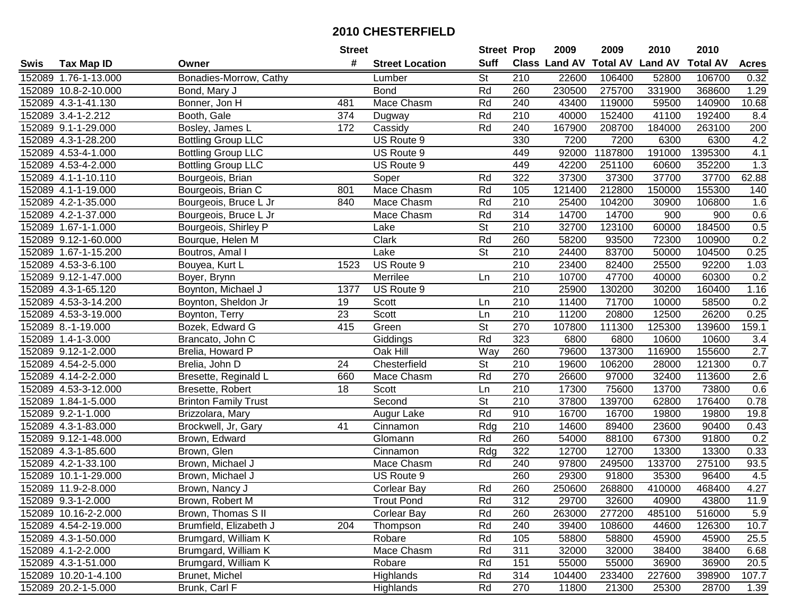|      |                      |                             | <b>Street</b> |                        | <b>Street Prop</b>       |                  | 2009                          | 2009    | 2010           | 2010            |                  |
|------|----------------------|-----------------------------|---------------|------------------------|--------------------------|------------------|-------------------------------|---------|----------------|-----------------|------------------|
| Swis | <b>Tax Map ID</b>    | Owner                       | #             | <b>Street Location</b> | <b>Suff</b>              |                  | <b>Class Land AV Total AV</b> |         | <b>Land AV</b> | <b>Total AV</b> | <b>Acres</b>     |
|      | 152089 1.76-1-13.000 | Bonadies-Morrow, Cathy      |               | Lumber                 | <b>St</b>                | 210              | 22600                         | 106400  | 52800          | 106700          | 0.32             |
|      | 152089 10.8-2-10.000 | Bond, Mary J                |               | <b>Bond</b>            | Rd                       | 260              | 230500                        | 275700  | 331900         | 368600          | 1.29             |
|      | 152089 4.3-1-41.130  | Bonner, Jon H               | 481           | Mace Chasm             | Rd                       | 240              | 43400                         | 119000  | 59500          | 140900          | 10.68            |
|      | 152089 3.4-1-2.212   | Booth, Gale                 | 374           | Dugway                 | Rd                       | 210              | 40000                         | 152400  | 41100          | 192400          | 8.4              |
|      | 152089 9.1-1-29.000  | Bosley, James L             | 172           | Cassidy                | Rd                       | 240              | 167900                        | 208700  | 184000         | 263100          | 200              |
|      | 152089 4.3-1-28.200  | <b>Bottling Group LLC</b>   |               | US Route 9             |                          | 330              | 7200                          | 7200    | 6300           | 6300            | 4.2              |
|      | 152089 4.53-4-1.000  | <b>Bottling Group LLC</b>   |               | US Route 9             |                          | 449              | 92000                         | 1187800 | 191000         | 1395300         | 4.1              |
|      | 152089 4.53-4-2.000  | <b>Bottling Group LLC</b>   |               | US Route 9             |                          | 449              | 42200                         | 251100  | 60600          | 352200          | $\overline{1.3}$ |
|      | 152089 4.1-1-10.110  | Bourgeois, Brian            |               | Soper                  | Rd                       | 322              | 37300                         | 37300   | 37700          | 37700           | 62.88            |
|      | 152089 4.1-1-19.000  | Bourgeois, Brian C          | 801           | Mace Chasm             | Rd                       | 105              | 121400                        | 212800  | 150000         | 155300          | 140              |
|      | 152089 4.2-1-35.000  | Bourgeois, Bruce L Jr       | 840           | Mace Chasm             | Rd                       | 210              | 25400                         | 104200  | 30900          | 106800          | 1.6              |
|      | 152089 4.2-1-37.000  | Bourgeois, Bruce L Jr       |               | Mace Chasm             | Rd                       | 314              | 14700                         | 14700   | 900            | 900             | 0.6              |
|      | 152089 1.67-1-1.000  | Bourgeois, Shirley P        |               | Lake                   | $\overline{\mathsf{St}}$ | 210              | 32700                         | 123100  | 60000          | 184500          | 0.5              |
|      | 152089 9.12-1-60.000 | Bourque, Helen M            |               | Clark                  | Rd                       | 260              | 58200                         | 93500   | 72300          | 100900          | 0.2              |
|      | 152089 1.67-1-15.200 | Boutros, Amal I             |               | Lake                   | $\overline{\mathsf{St}}$ | 210              | 24400                         | 83700   | 50000          | 104500          | 0.25             |
|      | 152089 4.53-3-6.100  | Bouyea, Kurt L              | 1523          | US Route 9             |                          | 210              | 23400                         | 82400   | 25500          | 92200           | 1.03             |
|      | 152089 9.12-1-47.000 | Boyer, Brynn                |               | Merrilee               | Ln                       | 210              | 10700                         | 47700   | 40000          | 60300           | 0.2              |
|      | 152089 4.3-1-65.120  | Boynton, Michael J          | 1377          | US Route 9             |                          | 210              | 25900                         | 130200  | 30200          | 160400          | 1.16             |
|      | 152089 4.53-3-14.200 | Boynton, Sheldon Jr         | 19            | Scott                  | Ln                       | 210              | 11400                         | 71700   | 10000          | 58500           | 0.2              |
|      | 152089 4.53-3-19.000 | Boynton, Terry              | 23            | Scott                  | Ln                       | 210              | 11200                         | 20800   | 12500          | 26200           | 0.25             |
|      | 152089 8.-1-19.000   | Bozek, Edward G             | 415           | Green                  | $\overline{\mathsf{St}}$ | 270              | 107800                        | 111300  | 125300         | 139600          | 159.1            |
|      | 152089 1.4-1-3.000   | Brancato, John C            |               | Giddings               | Rd                       | 323              | 6800                          | 6800    | 10600          | 10600           | 3.4              |
|      | 152089 9.12-1-2.000  | Brelia, Howard P            |               | Oak Hill               | Way                      | 260              | 79600                         | 137300  | 116900         | 155600          | 2.7              |
|      | 152089 4.54-2-5.000  | Brelia, John D              | 24            | Chesterfield           | <b>St</b>                | 210              | 19600                         | 106200  | 28000          | 121300          | 0.7              |
|      | 152089 4.14-2-2.000  | Bresette, Reginald L        | 660           | Mace Chasm             | Rd                       | 270              | 26600                         | 97000   | 32400          | 113600          | 2.6              |
|      | 152089 4.53-3-12.000 | Bresette, Robert            | 18            | Scott                  | Ln                       | 210              | 17300                         | 75600   | 13700          | 73800           | 0.6              |
|      | 152089 1.84-1-5.000  | <b>Brinton Family Trust</b> |               | Second                 | $\overline{\mathsf{St}}$ | $\overline{210}$ | 37800                         | 139700  | 62800          | 176400          | 0.78             |
|      | 152089 9.2-1-1.000   | Brizzolara, Mary            |               | Augur Lake             | Rd                       | 910              | 16700                         | 16700   | 19800          | 19800           | 19.8             |
|      | 152089 4.3-1-83.000  | Brockwell, Jr, Gary         | 41            | Cinnamon               | Rdg                      | 210              | 14600                         | 89400   | 23600          | 90400           | 0.43             |
|      | 152089 9.12-1-48.000 | Brown, Edward               |               | Glomann                | Rd                       | 260              | 54000                         | 88100   | 67300          | 91800           | 0.2              |
|      | 152089 4.3-1-85.600  | Brown, Glen                 |               | Cinnamon               | Rdg                      | 322              | 12700                         | 12700   | 13300          | 13300           | 0.33             |
|      | 152089 4.2-1-33.100  | Brown, Michael J            |               | Mace Chasm             | Rd                       | 240              | 97800                         | 249500  | 133700         | 275100          | 93.5             |
|      | 152089 10.1-1-29.000 | Brown, Michael J            |               | US Route 9             |                          | 260              | 29300                         | 91800   | 35300          | 96400           | 4.5              |
|      | 152089 11.9-2-8.000  | Brown, Nancy J              |               | <b>Corlear Bay</b>     | Rd                       | 260              | 250600                        | 268800  | 410000         | 468400          | 4.27             |
|      | 152089 9.3-1-2.000   | Brown, Robert M             |               | Trout Pond             | Rd                       | 312              | 29700                         | 32600   | 40900          | 43800           | 11.9             |
|      | 152089 10.16-2-2.000 | Brown, Thomas S II          |               | <b>Corlear Bay</b>     | Rd                       | 260              | 263000                        | 277200  | 485100         | 516000          | 5.9              |
|      | 152089 4.54-2-19.000 | Brumfield, Elizabeth J      | 204           | Thompson               | Rd                       | 240              | 39400                         | 108600  | 44600          | 126300          | 10.7             |
|      | 152089 4.3-1-50.000  | Brumgard, William K         |               | Robare                 | Rd                       | 105              | 58800                         | 58800   | 45900          | 45900           | 25.5             |
|      | 152089 4.1-2-2.000   | Brumgard, William K         |               | Mace Chasm             | Rd                       | 311              | 32000                         | 32000   | 38400          | 38400           | 6.68             |
|      | 152089 4.3-1-51.000  | Brumgard, William K         |               | Robare                 | Rd                       | 151              | 55000                         | 55000   | 36900          | 36900           | 20.5             |
|      | 152089 10.20-1-4.100 | Brunet, Michel              |               | Highlands              | Rd                       | 314              | 104400                        | 233400  | 227600         | 398900          | 107.7            |
|      | 152089 20.2-1-5.000  | Brunk, Carl F               |               | Highlands              | Rd                       | 270              | 11800                         | 21300   | 25300          | 28700           | 1.39             |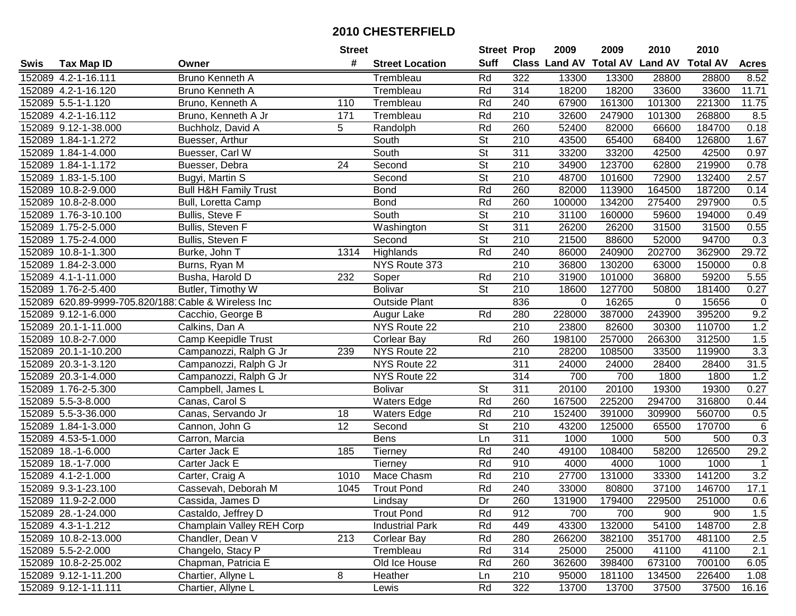|      |                                                     |                                  | <b>Street</b>   |                        | <b>Street Prop</b>       |                  | 2009          | 2009            | 2010           | 2010            |                |
|------|-----------------------------------------------------|----------------------------------|-----------------|------------------------|--------------------------|------------------|---------------|-----------------|----------------|-----------------|----------------|
| Swis | <b>Tax Map ID</b>                                   | Owner                            | #               | <b>Street Location</b> | <b>Suff</b>              |                  | Class Land AV | <b>Total AV</b> | <b>Land AV</b> | <b>Total AV</b> | <b>Acres</b>   |
|      | 152089 4.2-1-16.111                                 | Bruno Kenneth A                  |                 | Trembleau              | Rd                       | 322              | 13300         | 13300           | 28800          | 28800           | 8.52           |
|      | 152089 4.2-1-16.120                                 | Bruno Kenneth A                  |                 | Trembleau              | Rd                       | 314              | 18200         | 18200           | 33600          | 33600           | 11.71          |
|      | 152089 5.5-1-1.120                                  | Bruno, Kenneth A                 | 110             | Trembleau              | Rd                       | 240              | 67900         | 161300          | 101300         | 221300          | 11.75          |
|      | 152089 4.2-1-16.112                                 | Bruno, Kenneth A Jr              | 171             | Trembleau              | Rd                       | 210              | 32600         | 247900          | 101300         | 268800          | 8.5            |
|      | 152089 9.12-1-38.000                                | Buchholz, David A                | 5               | Randolph               | Rd                       | 260              | 52400         | 82000           | 66600          | 184700          | 0.18           |
|      | 152089 1.84-1-1.272                                 | Buesser, Arthur                  |                 | South                  | $\overline{\mathsf{St}}$ | $\overline{210}$ | 43500         | 65400           | 68400          | 126800          | 1.67           |
|      | 152089 1.84-1-4.000                                 | Buesser, Carl W                  |                 | South                  | $\overline{\mathsf{St}}$ | 311              | 33200         | 33200           | 42500          | 42500           | 0.97           |
|      | 152089 1.84-1-1.172                                 | Buesser, Debra                   | $\overline{24}$ | Second                 | $\overline{\mathsf{St}}$ | 210              | 34900         | 123700          | 62800          | 219900          | 0.78           |
|      | 152089 1.83-1-5.100                                 | Bugyi, Martin S                  |                 | Second                 | $\overline{\mathsf{St}}$ | $\overline{210}$ | 48700         | 101600          | 72900          | 132400          | 2.57           |
|      | 152089 10.8-2-9.000                                 | <b>Bull H&amp;H Family Trust</b> |                 | <b>Bond</b>            | Rd                       | 260              | 82000         | 113900          | 164500         | 187200          | 0.14           |
|      | 152089 10.8-2-8.000                                 | Bull, Loretta Camp               |                 | <b>Bond</b>            | Rd                       | 260              | 100000        | 134200          | 275400         | 297900          | 0.5            |
|      | 152089 1.76-3-10.100                                | Bullis, Steve F                  |                 | South                  | <b>St</b>                | 210              | 31100         | 160000          | 59600          | 194000          | 0.49           |
|      | 152089 1.75-2-5.000                                 | Bullis, Steven F                 |                 | Washington             | $\overline{\mathsf{St}}$ | 311              | 26200         | 26200           | 31500          | 31500           | 0.55           |
|      | 152089 1.75-2-4.000                                 | Bullis, Steven F                 |                 | Second                 | <b>St</b>                | 210              | 21500         | 88600           | 52000          | 94700           | 0.3            |
|      | 152089 10.8-1-1.300                                 | Burke, John T                    | 1314            | Highlands              | Rd                       | 240              | 86000         | 240900          | 202700         | 362900          | 29.72          |
|      | 152089 1.84-2-3.000                                 | Burns, Ryan M                    |                 | NYS Route 373          |                          | 210              | 36800         | 130200          | 63000          | 150000          | 0.8            |
|      | 152089 4.1-1-11.000                                 | Busha, Harold D                  | 232             | Soper                  | Rd                       | 210              | 31900         | 101000          | 36800          | 59200           | 5.55           |
|      | 152089 1.76-2-5.400                                 | Butler, Timothy W                |                 | <b>Bolivar</b>         | $\overline{\mathsf{St}}$ | 210              | 18600         | 127700          | 50800          | 181400          | 0.27           |
|      | 152089 620.89-9999-705.820/188 Cable & Wireless Inc |                                  |                 | <b>Outside Plant</b>   |                          | 836              | 0             | 16265           | $\Omega$       | 15656           | 0              |
|      | 152089 9.12-1-6.000                                 | Cacchio, George B                |                 | Augur Lake             | Rd                       | 280              | 228000        | 387000          | 243900         | 395200          | 9.2            |
|      | 152089 20.1-1-11.000                                | Calkins, Dan A                   |                 | NYS Route 22           |                          | $\overline{210}$ | 23800         | 82600           | 30300          | 110700          | 1.2            |
|      | 152089 10.8-2-7.000                                 | Camp Keepidle Trust              |                 | <b>Corlear Bay</b>     | Rd                       | 260              | 198100        | 257000          | 266300         | 312500          | 1.5            |
|      | 152089 20.1-1-10.200                                | Campanozzi, Ralph G Jr           | 239             | NYS Route 22           |                          | 210              | 28200         | 108500          | 33500          | 119900          | 3.3            |
|      | 152089 20.3-1-3.120                                 | Campanozzi, Ralph G Jr           |                 | NYS Route 22           |                          | 311              | 24000         | 24000           | 28400          | 28400           | 31.5           |
|      | 152089 20.3-1-4.000                                 | Campanozzi, Ralph G Jr           |                 | NYS Route 22           |                          | 314              | 700           | 700             | 1800           | 1800            | 1.2            |
|      | 152089 1.76-2-5.300                                 | Campbell, James L                |                 | <b>Bolivar</b>         | St                       | 311              | 20100         | 20100           | 19300          | 19300           | 0.27           |
|      | 152089 5.5-3-8.000                                  | Canas, Carol S                   |                 | <b>Waters Edge</b>     | Rd                       | 260              | 167500        | 225200          | 294700         | 316800          | 0.44           |
|      | 152089 5.5-3-36.000                                 | Canas, Servando Jr               | 18              | <b>Waters Edge</b>     | Rd                       | 210              | 152400        | 391000          | 309900         | 560700          | 0.5            |
|      | 152089 1.84-1-3.000                                 | Cannon, John G                   | $\overline{12}$ | Second                 | $\overline{\mathsf{St}}$ | $\overline{210}$ | 43200         | 125000          | 65500          | 170700          | $\,6$          |
|      | 152089 4.53-5-1.000                                 | Carron, Marcia                   |                 | <b>Bens</b>            | Ln                       | 311              | 1000          | 1000            | 500            | 500             | 0.3            |
|      | 152089 18.-1-6.000                                  | Carter Jack E                    | 185             | Tierney                | Rd                       | 240              | 49100         | 108400          | 58200          | 126500          | 29.2           |
|      | 152089 18.-1-7.000                                  | Carter Jack E                    |                 | Tierney                | Rd                       | 910              | 4000          | 4000            | 1000           | 1000            | $\overline{1}$ |
|      | 152089 4.1-2-1.000                                  | Carter, Craig A                  | 1010            | Mace Chasm             | Rd                       | $\overline{210}$ | 27700         | 131000          | 33300          | 141200          | 3.2            |
|      | 152089 9.3-1-23.100                                 | Cassevah, Deborah M              | 1045            | <b>Trout Pond</b>      | Rd                       | 240              | 33000         | 80800           | 37100          | 146700          | 17.1           |
|      | 152089 11.9-2-2.000                                 | Cassida, James D                 |                 | Lindsay                | Dr                       | 260              | 131900        | 179400          | 229500         | 251000          | 0.6            |
|      | 152089 28.-1-24.000                                 | Castaldo, Jeffrey D              |                 | <b>Trout Pond</b>      | Rd                       | 912              | 700           | 700             | 900            | 900             | 1.5            |
|      | 152089 4.3-1-1.212                                  | Champlain Valley REH Corp        |                 | <b>Industrial Park</b> | Rd                       | 449              | 43300         | 132000          | 54100          | 148700          | 2.8            |
|      | 152089 10.8-2-13.000                                | Chandler, Dean V                 | 213             | <b>Corlear Bay</b>     | Rd                       | 280              | 266200        | 382100          | 351700         | 481100          | 2.5            |
|      | 152089 5.5-2-2.000                                  | Changelo, Stacy P                |                 | Trembleau              | Rd                       | 314              | 25000         | 25000           | 41100          | 41100           | 2.1            |
|      | 152089 10.8-2-25.002                                | Chapman, Patricia E              |                 | Old Ice House          | Rd                       | 260              | 362600        | 398400          | 673100         | 700100          | 6.05           |
|      | 152089 9.12-1-11.200                                | Chartier, Allyne L               | 8               | Heather                | Ln                       | 210              | 95000         | 181100          | 134500         | 226400          | 1.08           |
|      | 152089 9.12-1-11.111                                | Chartier, Allyne L               |                 | Lewis                  | Rd                       | 322              | 13700         | 13700           | 37500          | 37500           | 16.16          |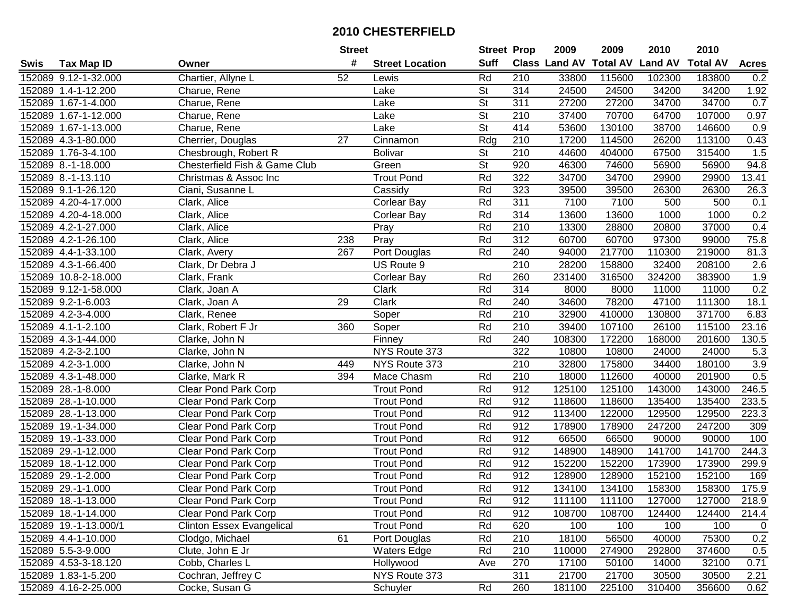|      |                       |                                  | <b>Street</b>   |                        | <b>Street Prop</b>       |     | 2009                          | 2009   | 2010           | 2010            |              |
|------|-----------------------|----------------------------------|-----------------|------------------------|--------------------------|-----|-------------------------------|--------|----------------|-----------------|--------------|
| Swis | <b>Tax Map ID</b>     | Owner                            | #               | <b>Street Location</b> | <b>Suff</b>              |     | <b>Class Land AV Total AV</b> |        | <b>Land AV</b> | <b>Total AV</b> | <b>Acres</b> |
|      | 152089 9.12-1-32.000  | Chartier, Allyne L               | 52              | Lewis                  | Rd                       | 210 | 33800                         | 115600 | 102300         | 183800          | 0.2          |
|      | 152089 1.4-1-12.200   | Charue, Rene                     |                 | Lake                   | <b>St</b>                | 314 | 24500                         | 24500  | 34200          | 34200           | 1.92         |
|      | 152089 1.67-1-4.000   | Charue, Rene                     |                 | Lake                   | <b>St</b>                | 311 | 27200                         | 27200  | 34700          | 34700           | 0.7          |
|      | 152089 1.67-1-12.000  | Charue, Rene                     |                 | Lake                   | $\overline{\mathsf{St}}$ | 210 | 37400                         | 70700  | 64700          | 107000          | 0.97         |
|      | 152089 1.67-1-13.000  | Charue, Rene                     |                 | Lake                   | $\overline{\mathsf{St}}$ | 414 | 53600                         | 130100 | 38700          | 146600          | 0.9          |
|      | 152089 4.3-1-80.000   | Cherrier, Douglas                | $\overline{27}$ | Cinnamon               | Rdg                      | 210 | 17200                         | 114500 | 26200          | 113100          | 0.43         |
|      | 152089 1.76-3-4.100   | Chesbrough, Robert R             |                 | <b>Bolivar</b>         | St                       | 210 | 44600                         | 404000 | 67500          | 315400          | 1.5          |
|      | 152089 8.-1-18.000    | Chesterfield Fish & Game Club    |                 | Green                  | $\overline{\mathsf{St}}$ | 920 | 46300                         | 74600  | 56900          | 56900           | 94.8         |
|      | 152089 8.-1-13.110    | Christmas & Assoc Inc            |                 | <b>Trout Pond</b>      | Rd                       | 322 | 34700                         | 34700  | 29900          | 29900           | 13.41        |
|      | 152089 9.1-1-26.120   | Ciani, Susanne L                 |                 | Cassidy                | Rd                       | 323 | 39500                         | 39500  | 26300          | 26300           | 26.3         |
|      | 152089 4.20-4-17.000  | Clark, Alice                     |                 | Corlear Bay            | Rd                       | 311 | 7100                          | 7100   | 500            | 500             | 0.1          |
|      | 152089 4.20-4-18.000  | Clark, Alice                     |                 | Corlear Bay            | Rd                       | 314 | 13600                         | 13600  | 1000           | 1000            | 0.2          |
|      | 152089 4.2-1-27.000   | Clark, Alice                     |                 | Pray                   | Rd                       | 210 | 13300                         | 28800  | 20800          | 37000           | 0.4          |
|      | 152089 4.2-1-26.100   | Clark, Alice                     | 238             | Pray                   | Rd                       | 312 | 60700                         | 60700  | 97300          | 99000           | 75.8         |
|      | 152089 4.4-1-33.100   | Clark, Avery                     | 267             | Port Douglas           | Rd                       | 240 | 94000                         | 217700 | 110300         | 219000          | 81.3         |
|      | 152089 4.3-1-66.400   | Clark, Dr Debra J                |                 | US Route 9             |                          | 210 | 28200                         | 158800 | 32400          | 208100          | 2.6          |
|      | 152089 10.8-2-18.000  | Clark, Frank                     |                 | <b>Corlear Bay</b>     | Rd                       | 260 | 231400                        | 316500 | 324200         | 383900          | 1.9          |
|      | 152089 9.12-1-58.000  | Clark, Joan A                    |                 | Clark                  | Rd                       | 314 | 8000                          | 8000   | 11000          | 11000           | 0.2          |
|      | 152089 9.2-1-6.003    | Clark, Joan A                    | 29              | Clark                  | Rd                       | 240 | 34600                         | 78200  | 47100          | 111300          | 18.1         |
|      | 152089 4.2-3-4.000    | Clark, Renee                     |                 | Soper                  | Rd                       | 210 | 32900                         | 410000 | 130800         | 371700          | 6.83         |
|      | 152089 4.1-1-2.100    | Clark, Robert F Jr               | 360             | Soper                  | Rd                       | 210 | 39400                         | 107100 | 26100          | 115100          | 23.16        |
|      | 152089 4.3-1-44.000   | Clarke, John N                   |                 | Finney                 | Rd                       | 240 | 108300                        | 172200 | 168000         | 201600          | 130.5        |
|      | 152089 4.2-3-2.100    | Clarke, John N                   |                 | NYS Route 373          |                          | 322 | 10800                         | 10800  | 24000          | 24000           | 5.3          |
|      | 152089 4.2-3-1.000    | Clarke, John N                   | 449             | NYS Route 373          |                          | 210 | 32800                         | 175800 | 34400          | 180100          | 3.9          |
|      | 152089 4.3-1-48.000   | Clarke, Mark R                   | 394             | Mace Chasm             | Rd                       | 210 | 18000                         | 112600 | 40000          | 201900          | 0.5          |
|      | 152089 28.-1-8.000    | Clear Pond Park Corp             |                 | <b>Trout Pond</b>      | Rd                       | 912 | 125100                        | 125100 | 143000         | 143000          | 246.5        |
|      | 152089 28.-1-10.000   | <b>Clear Pond Park Corp</b>      |                 | <b>Trout Pond</b>      | Rd                       | 912 | 118600                        | 118600 | 135400         | 135400          | 233.5        |
|      | 152089 28.-1-13.000   | <b>Clear Pond Park Corp</b>      |                 | <b>Trout Pond</b>      | Rd                       | 912 | 113400                        | 122000 | 129500         | 129500          | 223.3        |
|      | 152089 19.-1-34.000   | <b>Clear Pond Park Corp</b>      |                 | <b>Trout Pond</b>      | Rd                       | 912 | 178900                        | 178900 | 247200         | 247200          | 309          |
|      | 152089 19.-1-33.000   | <b>Clear Pond Park Corp</b>      |                 | <b>Trout Pond</b>      | Rd                       | 912 | 66500                         | 66500  | 90000          | 90000           | 100          |
|      | 152089 29.-1-12.000   | <b>Clear Pond Park Corp</b>      |                 | <b>Trout Pond</b>      | Rd                       | 912 | 148900                        | 148900 | 141700         | 141700          | 244.3        |
|      | 152089 18.-1-12.000   | <b>Clear Pond Park Corp</b>      |                 | <b>Trout Pond</b>      | Rd                       | 912 | 152200                        | 152200 | 173900         | 173900          | 299.9        |
|      | 152089 29.-1-2.000    | <b>Clear Pond Park Corp</b>      |                 | <b>Trout Pond</b>      | Rd                       | 912 | 128900                        | 128900 | 152100         | 152100          | 169          |
|      | 152089 29.-1-1.000    | <b>Clear Pond Park Corp</b>      |                 | <b>Trout Pond</b>      | Rd                       | 912 | 134100                        | 134100 | 158300         | 158300          | 175.9        |
|      | 152089 18.-1-13.000   | Clear Pond Park Corp             |                 | Trout Pond             | Rd                       | 912 | 111100                        | 111100 | 127000         | 127000          | 218.9        |
|      | 152089 18.-1-14.000   | <b>Clear Pond Park Corp</b>      |                 | <b>Trout Pond</b>      | Rd                       | 912 | 108700                        | 108700 | 124400         | 124400          | 214.4        |
|      | 152089 19.-1-13.000/1 | <b>Clinton Essex Evangelical</b> |                 | <b>Trout Pond</b>      | Rd                       | 620 | 100                           | 100    | 100            | 100             | 0            |
|      | 152089 4.4-1-10.000   | Clodgo, Michael                  | 61              | Port Douglas           | Rd                       | 210 | 18100                         | 56500  | 40000          | 75300           | 0.2          |
|      | 152089 5.5-3-9.000    | Clute, John E Jr                 |                 | <b>Waters Edge</b>     | Rd                       | 210 | 110000                        | 274900 | 292800         | 374600          | 0.5          |
|      | 152089 4.53-3-18.120  | Cobb, Charles L                  |                 | Hollywood              | Ave                      | 270 | 17100                         | 50100  | 14000          | 32100           | 0.71         |
|      | 152089 1.83-1-5.200   | Cochran, Jeffrey C               |                 | NYS Route 373          |                          | 311 | 21700                         | 21700  | 30500          | 30500           | 2.21         |
|      | 152089 4.16-2-25.000  | Cocke, Susan G                   |                 | Schuyler               | Rd                       | 260 | 181100                        | 225100 | 310400         | 356600          | 0.62         |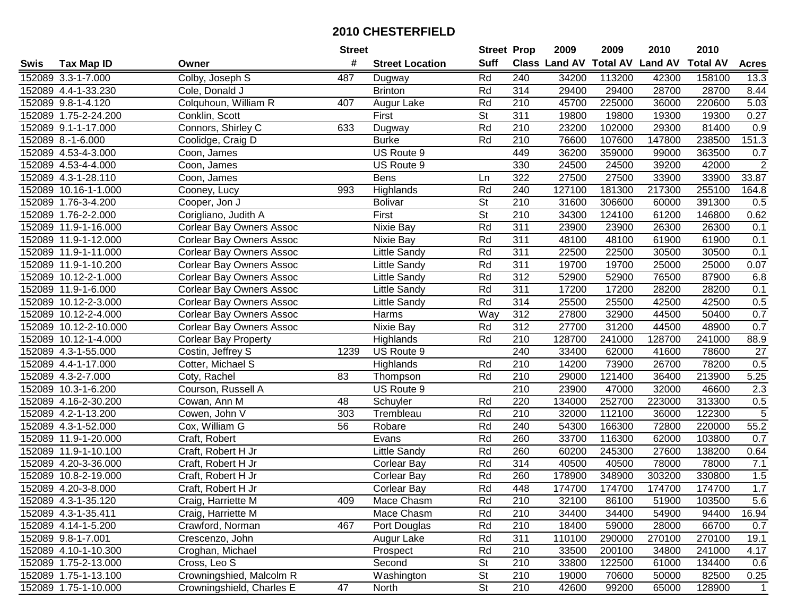|      |                       |                                 | <b>Street</b> |                        | <b>Street Prop</b>       |                  | 2009                          | 2009   | 2010           | 2010            |                |
|------|-----------------------|---------------------------------|---------------|------------------------|--------------------------|------------------|-------------------------------|--------|----------------|-----------------|----------------|
| Swis | <b>Tax Map ID</b>     | Owner                           | #             | <b>Street Location</b> | <b>Suff</b>              |                  | <b>Class Land AV Total AV</b> |        | <b>Land AV</b> | <b>Total AV</b> | <b>Acres</b>   |
|      | 152089 3.3-1-7.000    | Colby, Joseph S                 | 487           | Dugway                 | Rd                       | 240              | 34200                         | 113200 | 42300          | 158100          | 13.3           |
|      | 152089 4.4-1-33.230   | Cole, Donald J                  |               | <b>Brinton</b>         | Rd                       | 314              | 29400                         | 29400  | 28700          | 28700           | 8.44           |
|      | 152089 9.8-1-4.120    | Colquhoun, William R            | 407           | Augur Lake             | Rd                       | 210              | 45700                         | 225000 | 36000          | 220600          | 5.03           |
|      | 152089 1.75-2-24.200  | Conklin, Scott                  |               | First                  | <b>St</b>                | 311              | 19800                         | 19800  | 19300          | 19300           | 0.27           |
|      | 152089 9.1-1-17.000   | Connors, Shirley C              | 633           | Dugway                 | Rd                       | 210              | 23200                         | 102000 | 29300          | 81400           | 0.9            |
|      | 152089 8.-1-6.000     | Coolidge, Craig D               |               | <b>Burke</b>           | Rd                       | 210              | 76600                         | 107600 | 147800         | 238500          | 151.3          |
|      | 152089 4.53-4-3.000   | Coon, James                     |               | US Route 9             |                          | 449              | 36200                         | 359000 | 99000          | 363500          | 0.7            |
|      | 152089 4.53-4-4.000   | Coon, James                     |               | US Route 9             |                          | 330              | 24500                         | 24500  | 39200          | 42000           | $\overline{2}$ |
|      | 152089 4.3-1-28.110   | Coon, James                     |               | <b>Bens</b>            | Ln                       | 322              | 27500                         | 27500  | 33900          | 33900           | 33.87          |
|      | 152089 10.16-1-1.000  | Cooney, Lucy                    | 993           | Highlands              | Rd                       | 240              | 127100                        | 181300 | 217300         | 255100          | 164.8          |
|      | 152089 1.76-3-4.200   | Cooper, Jon J                   |               | <b>Bolivar</b>         | $\overline{\mathsf{St}}$ | 210              | 31600                         | 306600 | 60000          | 391300          | 0.5            |
|      | 152089 1.76-2-2.000   | Corigliano, Judith A            |               | First                  | <b>St</b>                | 210              | 34300                         | 124100 | 61200          | 146800          | 0.62           |
|      | 152089 11.9-1-16.000  | <b>Corlear Bay Owners Assoc</b> |               | Nixie Bay              | Rd                       | 311              | 23900                         | 23900  | 26300          | 26300           | 0.1            |
|      | 152089 11.9-1-12.000  | <b>Corlear Bay Owners Assoc</b> |               | Nixie Bay              | Rd                       | 311              | 48100                         | 48100  | 61900          | 61900           | 0.1            |
|      | 152089 11.9-1-11.000  | <b>Corlear Bay Owners Assoc</b> |               | Little Sandy           | Rd                       | 311              | 22500                         | 22500  | 30500          | 30500           | 0.1            |
|      | 152089 11.9-1-10.200  | Corlear Bay Owners Assoc        |               | Little Sandy           | Rd                       | 311              | 19700                         | 19700  | 25000          | 25000           | 0.07           |
|      | 152089 10.12-2-1.000  | Corlear Bay Owners Assoc        |               | Little Sandy           | Rd                       | 312              | 52900                         | 52900  | 76500          | 87900           | 6.8            |
|      | 152089 11.9-1-6.000   | <b>Corlear Bay Owners Assoc</b> |               | <b>Little Sandy</b>    | Rd                       | 311              | 17200                         | 17200  | 28200          | 28200           | 0.1            |
|      | 152089 10.12-2-3.000  | <b>Corlear Bay Owners Assoc</b> |               | <b>Little Sandy</b>    | Rd                       | 314              | 25500                         | 25500  | 42500          | 42500           | 0.5            |
|      | 152089 10.12-2-4.000  | <b>Corlear Bay Owners Assoc</b> |               | Harms                  | Way                      | 312              | 27800                         | 32900  | 44500          | 50400           | 0.7            |
|      | 152089 10.12-2-10.000 | <b>Corlear Bay Owners Assoc</b> |               | Nixie Bay              | Rd                       | 312              | 27700                         | 31200  | 44500          | 48900           | 0.7            |
|      | 152089 10.12-1-4.000  | <b>Corlear Bay Property</b>     |               | Highlands              | Rd                       | 210              | 128700                        | 241000 | 128700         | 241000          | 88.9           |
|      | 152089 4.3-1-55.000   | Costin, Jeffrey S               | 1239          | US Route 9             |                          | 240              | 33400                         | 62000  | 41600          | 78600           | 27             |
|      | 152089 4.4-1-17.000   | Cotter, Michael S               |               | <b>Highlands</b>       | Rd                       | 210              | 14200                         | 73900  | 26700          | 78200           | 0.5            |
|      | 152089 4.3-2-7.000    | Coty, Rachel                    | 83            | Thompson               | Rd                       | $\overline{210}$ | 29000                         | 121400 | 36400          | 213900          | 5.25           |
|      | 152089 10.3-1-6.200   | Courson, Russell A              |               | US Route 9             |                          | $\overline{210}$ | 23900                         | 47000  | 32000          | 46600           | 2.3            |
|      | 152089 4.16-2-30.200  | Cowan, Ann M                    | 48            | Schuyler               | Rd                       | 220              | 134000                        | 252700 | 223000         | 313300          | 0.5            |
|      | 152089 4.2-1-13.200   | Cowen, John V                   | 303           | Trembleau              | Rd                       | 210              | 32000                         | 112100 | 36000          | 122300          | $\overline{5}$ |
|      | 152089 4.3-1-52.000   | Cox, William G                  | 56            | Robare                 | Rd                       | 240              | 54300                         | 166300 | 72800          | 220000          | 55.2           |
|      | 152089 11.9-1-20.000  | Craft, Robert                   |               | Evans                  | Rd                       | 260              | 33700                         | 116300 | 62000          | 103800          | 0.7            |
|      | 152089 11.9-1-10.100  | Craft, Robert H Jr              |               | Little Sandy           | Rd                       | 260              | 60200                         | 245300 | 27600          | 138200          | 0.64           |
|      | 152089 4.20-3-36.000  | Craft, Robert H Jr              |               | Corlear Bay            | Rd                       | 314              | 40500                         | 40500  | 78000          | 78000           | 7.1            |
|      | 152089 10.8-2-19.000  | Craft, Robert H Jr              |               | <b>Corlear Bay</b>     | Rd                       | 260              | 178900                        | 348900 | 303200         | 330800          | 1.5            |
|      | 152089 4.20-3-8.000   | Craft, Robert H Jr              |               | <b>Corlear Bay</b>     | Rd                       | 448              | 174700                        | 174700 | 174700         | 174700          | 1.7            |
|      | 152089 4.3-1-35.120   | Craig, Harriette M              | 409           | Mace Chasm             | Rd                       | 210              | 32100                         | 86100  | 51900          | 103500          | 5.6            |
|      | 152089 4.3-1-35.411   | Craig, Harriette M              |               | Mace Chasm             | Rd                       | 210              | 34400                         | 34400  | 54900          | 94400           | 16.94          |
|      | 152089 4.14-1-5.200   | Crawford, Norman                | 467           | Port Douglas           | Rd                       | 210              | 18400                         | 59000  | 28000          | 66700           | 0.7            |
|      | 152089 9.8-1-7.001    | Crescenzo, John                 |               | Augur Lake             | Rd                       | 311              | 110100                        | 290000 | 270100         | 270100          | 19.1           |
|      | 152089 4.10-1-10.300  | Croghan, Michael                |               | Prospect               | Rd                       | 210              | 33500                         | 200100 | 34800          | 241000          | 4.17           |
|      | 152089 1.75-2-13.000  | Cross, Leo S                    |               | Second                 | <b>St</b>                | 210              | 33800                         | 122500 | 61000          | 134400          | 0.6            |
|      | 152089 1.75-1-13.100  | Crowningshied, Malcolm R        |               | Washington             | <b>St</b>                | 210              | 19000                         | 70600  | 50000          | 82500           | 0.25           |
|      | 152089 1.75-1-10.000  | Crowningshield, Charles E       | 47            | North                  | $\overline{\mathsf{St}}$ | 210              | 42600                         | 99200  | 65000          | 128900          | $\overline{1}$ |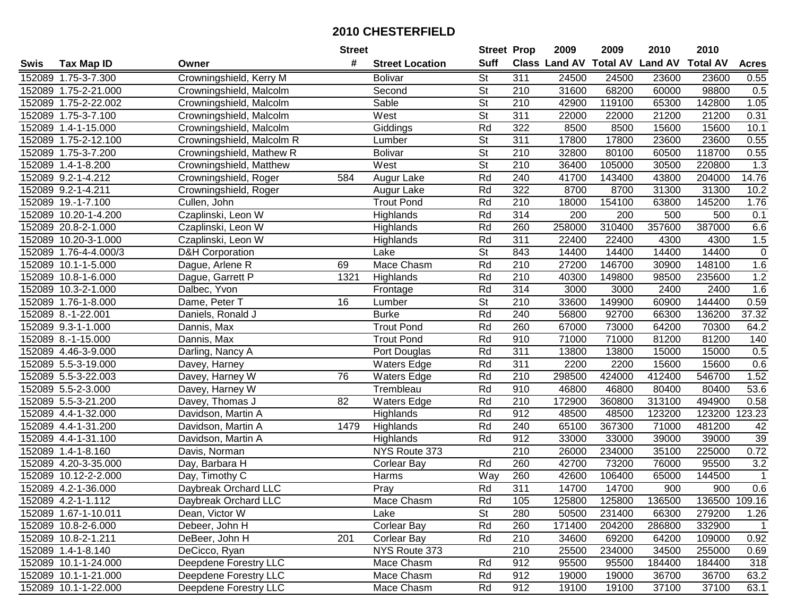|      |                       |                            | <b>Street</b>   |                        | <b>Street Prop</b>       |                  | 2009                 | 2009            | 2010           | 2010            |                |
|------|-----------------------|----------------------------|-----------------|------------------------|--------------------------|------------------|----------------------|-----------------|----------------|-----------------|----------------|
| Swis | Tax Map ID            | Owner                      | #               | <b>Street Location</b> | <b>Suff</b>              |                  | <b>Class Land AV</b> | <b>Total AV</b> | <b>Land AV</b> | <b>Total AV</b> | <b>Acres</b>   |
|      | 152089 1.75-3-7.300   | Crowningshield, Kerry M    |                 | <b>Bolivar</b>         | <b>St</b>                | 311              | 24500                | 24500           | 23600          | 23600           | 0.55           |
|      | 152089 1.75-2-21.000  | Crowningshield, Malcolm    |                 | Second                 | St                       | 210              | 31600                | 68200           | 60000          | 98800           | 0.5            |
|      | 152089 1.75-2-22.002  | Crowningshield, Malcolm    |                 | Sable                  | St                       | 210              | 42900                | 119100          | 65300          | 142800          | 1.05           |
|      | 152089 1.75-3-7.100   | Crowningshield, Malcolm    |                 | West                   | $\overline{\mathsf{St}}$ | 311              | 22000                | 22000           | 21200          | 21200           | 0.31           |
|      | 152089 1.4-1-15.000   | Crowningshield, Malcolm    |                 | Giddings               | Rd                       | 322              | 8500                 | 8500            | 15600          | 15600           | 10.1           |
|      | 152089 1.75-2-12.100  | Crowningshield, Malcolm R  |                 | Lumber                 | $\overline{\mathsf{St}}$ | $\overline{311}$ | 17800                | 17800           | 23600          | 23600           | 0.55           |
|      | 152089 1.75-3-7.200   | Crowningshield, Mathew R   |                 | <b>Bolivar</b>         | $\overline{\mathsf{St}}$ | 210              | 32800                | 80100           | 60500          | 118700          | 0.55           |
|      | 152089 1.4-1-8.200    | Crowningshield, Matthew    |                 | West                   | $\overline{\mathsf{St}}$ | 210              | 36400                | 105000          | 30500          | 220800          | 1.3            |
|      | 152089 9.2-1-4.212    | Crowningshield, Roger      | 584             | Augur Lake             | Rd                       | $\overline{240}$ | 41700                | 143400          | 43800          | 204000          | 14.76          |
|      | 152089 9.2-1-4.211    | Crowningshield, Roger      |                 | Augur Lake             | Rd                       | 322              | 8700                 | 8700            | 31300          | 31300           | 10.2           |
|      | 152089 19.-1-7.100    | Cullen, John               |                 | <b>Trout Pond</b>      | Rd                       | 210              | 18000                | 154100          | 63800          | 145200          | 1.76           |
|      | 152089 10.20-1-4.200  | Czaplinski, Leon W         |                 | Highlands              | Rd                       | 314              | 200                  | 200             | 500            | 500             | 0.1            |
|      | 152089 20.8-2-1.000   | Czaplinski, Leon W         |                 | Highlands              | Rd                       | 260              | 258000               | 310400          | 357600         | 387000          | 6.6            |
|      | 152089 10.20-3-1.000  | Czaplinski, Leon W         |                 | Highlands              | Rd                       | 311              | 22400                | 22400           | 4300           | 4300            | 1.5            |
|      | 152089 1.76-4-4.000/3 | <b>D&amp;H Corporation</b> |                 | Lake                   | $\overline{\mathsf{St}}$ | 843              | 14400                | 14400           | 14400          | 14400           | $\mathbf 0$    |
|      | 152089 10.1-1-5.000   | Dague, Arlene R            | 69              | Mace Chasm             | Rd                       | 210              | 27200                | 146700          | 30900          | 148100          | 1.6            |
|      | 152089 10.8-1-6.000   | Dague, Garrett P           | 1321            | Highlands              | Rd                       | 210              | 40300                | 149800          | 98500          | 235600          | 1.2            |
|      | 152089 10.3-2-1.000   | Dalbec, Yvon               |                 | Frontage               | Rd                       | 314              | 3000                 | 3000            | 2400           | 2400            | 1.6            |
|      | 152089 1.76-1-8.000   | Dame, Peter T              | 16              | Lumber                 | $\overline{\mathsf{St}}$ | 210              | 33600                | 149900          | 60900          | 144400          | 0.59           |
|      | 152089 8.-1-22.001    | Daniels, Ronald J          |                 | <b>Burke</b>           | Rd                       | 240              | 56800                | 92700           | 66300          | 136200          | 37.32          |
|      | 152089 9.3-1-1.000    | Dannis, Max                |                 | <b>Trout Pond</b>      | Rd                       | 260              | 67000                | 73000           | 64200          | 70300           | 64.2           |
|      | 152089 8.-1-15.000    | Dannis, Max                |                 | <b>Trout Pond</b>      | Rd                       | 910              | 71000                | 71000           | 81200          | 81200           | 140            |
|      | 152089 4.46-3-9.000   | Darling, Nancy A           |                 | Port Douglas           | Rd                       | 311              | 13800                | 13800           | 15000          | 15000           | 0.5            |
|      | 152089 5.5-3-19.000   | Davey, Harney              |                 | <b>Waters Edge</b>     | Rd                       | 311              | 2200                 | 2200            | 15600          | 15600           | 0.6            |
|      | 152089 5.5-3-22.003   | Davey, Harney W            | $\overline{76}$ | <b>Waters Edge</b>     | Rd                       | $\overline{210}$ | 298500               | 424000          | 412400         | 546700          | 1.52           |
|      | 152089 5.5-2-3.000    | Davey, Harney W            |                 | Trembleau              | Rd                       | 910              | 46800                | 46800           | 80400          | 80400           | 53.6           |
|      | 152089 5.5-3-21.200   | Davey, Thomas J            | 82              | <b>Waters Edge</b>     | Rd                       | 210              | 172900               | 360800          | 313100         | 494900          | 0.58           |
|      | 152089 4.4-1-32.000   | Davidson, Martin A         |                 | Highlands              | Rd                       | 912              | 48500                | 48500           | 123200         | 123200          | 123.23         |
|      | 152089 4.4-1-31.200   | Davidson, Martin A         | 1479            | Highlands              | Rd                       | 240              | 65100                | 367300          | 71000          | 481200          | 42             |
|      | 152089 4.4-1-31.100   | Davidson, Martin A         |                 | Highlands              | Rd                       | $\overline{912}$ | 33000                | 33000           | 39000          | 39000           | 39             |
|      | 152089 1.4-1-8.160    | Davis, Norman              |                 | NYS Route 373          |                          | 210              | 26000                | 234000          | 35100          | 225000          | 0.72           |
|      | 152089 4.20-3-35.000  | Day, Barbara H             |                 | <b>Corlear Bay</b>     | Rd                       | 260              | 42700                | 73200           | 76000          | 95500           | 3.2            |
|      | 152089 10.12-2-2.000  | Day, Timothy C             |                 | Harms                  | Way                      | 260              | 42600                | 106400          | 65000          | 144500          | $\overline{1}$ |
|      | 152089 4.2-1-36.000   | Daybreak Orchard LLC       |                 | Pray                   | Rd                       | 311              | 14700                | 14700           | 900            | 900             | 0.6            |
|      | 152089 4.2-1-1.112    | Daybreak Orchard LLC       |                 | Mace Chasm             | Rd                       | 105              | 125800               | 125800          | 136500         | 136500 109.16   |                |
|      | 152089 1.67-1-10.011  | Dean, Victor W             |                 | Lake                   | <b>St</b>                | 280              | 50500                | 231400          | 66300          | 279200          | 1.26           |
|      | 152089 10.8-2-6.000   | Debeer, John H             |                 | <b>Corlear Bay</b>     | Rd                       | 260              | 171400               | 204200          | 286800         | 332900          | $\overline{1}$ |
|      | 152089 10.8-2-1.211   | DeBeer, John H             | 201             | <b>Corlear Bay</b>     | Rd                       | 210              | 34600                | 69200           | 64200          | 109000          | 0.92           |
|      | 152089 1.4-1-8.140    | DeCicco, Ryan              |                 | NYS Route 373          |                          | 210              | 25500                | 234000          | 34500          | 255000          | 0.69           |
|      | 152089 10.1-1-24.000  | Deepdene Forestry LLC      |                 | Mace Chasm             | Rd                       | 912              | 95500                | 95500           | 184400         | 184400          | 318            |
|      | 152089 10.1-1-21.000  | Deepdene Forestry LLC      |                 | Mace Chasm             | Rd                       | 912              | 19000                | 19000           | 36700          | 36700           | 63.2           |
|      | 152089 10.1-1-22.000  | Deepdene Forestry LLC      |                 | Mace Chasm             | Rd                       | 912              | 19100                | 19100           | 37100          | 37100           | 63.1           |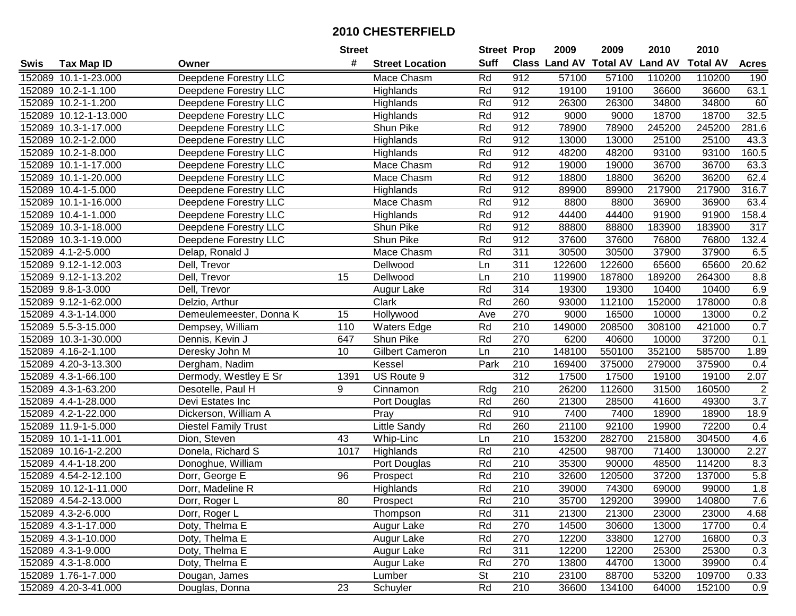|      |                       |                             | <b>Street</b>   |                        | <b>Street Prop</b> |                  | 2009                          | 2009   | 2010           | 2010            |                  |
|------|-----------------------|-----------------------------|-----------------|------------------------|--------------------|------------------|-------------------------------|--------|----------------|-----------------|------------------|
| Swis | <b>Tax Map ID</b>     | Owner                       | #               | <b>Street Location</b> | <b>Suff</b>        |                  | <b>Class Land AV Total AV</b> |        | <b>Land AV</b> | <b>Total AV</b> | <b>Acres</b>     |
|      | 152089 10.1-1-23.000  | Deepdene Forestry LLC       |                 | Mace Chasm             | Rd                 | 912              | 57100                         | 57100  | 110200         | 110200          | 190              |
|      | 152089 10.2-1-1.100   | Deepdene Forestry LLC       |                 | Highlands              | Rd                 | 912              | 19100                         | 19100  | 36600          | 36600           | 63.1             |
|      | 152089 10.2-1-1.200   | Deepdene Forestry LLC       |                 | Highlands              | Rd                 | 912              | 26300                         | 26300  | 34800          | 34800           | 60               |
|      | 152089 10.12-1-13.000 | Deepdene Forestry LLC       |                 | Highlands              | Rd                 | 912              | 9000                          | 9000   | 18700          | 18700           | 32.5             |
|      | 152089 10.3-1-17.000  | Deepdene Forestry LLC       |                 | Shun Pike              | Rd                 | 912              | 78900                         | 78900  | 245200         | 245200          | 281.6            |
|      | 152089 10.2-1-2.000   | Deepdene Forestry LLC       |                 | Highlands              | Rd                 | 912              | 13000                         | 13000  | 25100          | 25100           | 43.3             |
|      | 152089 10.2-1-8.000   | Deepdene Forestry LLC       |                 | Highlands              | Rd                 | 912              | 48200                         | 48200  | 93100          | 93100           | 160.5            |
|      | 152089 10.1-1-17.000  | Deepdene Forestry LLC       |                 | Mace Chasm             | Rd                 | 912              | 19000                         | 19000  | 36700          | 36700           | 63.3             |
|      | 152089 10.1-1-20.000  | Deepdene Forestry LLC       |                 | Mace Chasm             | Rd                 | 912              | 18800                         | 18800  | 36200          | 36200           | 62.4             |
|      | 152089 10.4-1-5.000   | Deepdene Forestry LLC       |                 | Highlands              | Rd                 | 912              | 89900                         | 89900  | 217900         | 217900          | 316.7            |
|      | 152089 10.1-1-16.000  | Deepdene Forestry LLC       |                 | Mace Chasm             | Rd                 | 912              | 8800                          | 8800   | 36900          | 36900           | 63.4             |
|      | 152089 10.4-1-1.000   | Deepdene Forestry LLC       |                 | Highlands              | Rd                 | 912              | 44400                         | 44400  | 91900          | 91900           | 158.4            |
|      | 152089 10.3-1-18.000  | Deepdene Forestry LLC       |                 | Shun Pike              | Rd                 | 912              | 88800                         | 88800  | 183900         | 183900          | 317              |
|      | 152089 10.3-1-19.000  | Deepdene Forestry LLC       |                 | Shun Pike              | Rd                 | 912              | 37600                         | 37600  | 76800          | 76800           | 132.4            |
|      | 152089 4.1-2-5.000    | Delap, Ronald J             |                 | Mace Chasm             | Rd                 | 311              | 30500                         | 30500  | 37900          | 37900           | 6.5              |
|      | 152089 9.12-1-12.003  | Dell, Trevor                |                 | Dellwood               | Ln                 | 311              | 122600                        | 122600 | 65600          | 65600           | 20.62            |
|      | 152089 9.12-1-13.202  | Dell, Trevor                | 15              | Dellwood               | Ln                 | $\overline{210}$ | 119900                        | 187800 | 189200         | 264300          | 8.8              |
|      | 152089 9.8-1-3.000    | Dell, Trevor                |                 | Augur Lake             | Rd                 | 314              | 19300                         | 19300  | 10400          | 10400           | 6.9              |
|      | 152089 9.12-1-62.000  | Delzio, Arthur              |                 | Clark                  | Rd                 | 260              | 93000                         | 112100 | 152000         | 178000          | 0.8              |
|      | 152089 4.3-1-14.000   | Demeulemeester, Donna K     | 15              | Hollywood              | Ave                | 270              | 9000                          | 16500  | 10000          | 13000           | 0.2              |
|      | 152089 5.5-3-15.000   | Dempsey, William            | 110             | <b>Waters Edge</b>     | Rd                 | 210              | 149000                        | 208500 | 308100         | 421000          | 0.7              |
|      | 152089 10.3-1-30.000  | Dennis, Kevin J             | 647             | Shun Pike              | Rd                 | 270              | 6200                          | 40600  | 10000          | 37200           | 0.1              |
|      | 152089 4.16-2-1.100   | Deresky John M              | 10              | <b>Gilbert Cameron</b> | Ln                 | 210              | 148100                        | 550100 | 352100         | 585700          | 1.89             |
|      | 152089 4.20-3-13.300  | Dergham, Nadim              |                 | Kessel                 | Park               | 210              | 169400                        | 375000 | 279000         | 375900          | 0.4              |
|      | 152089 4.3-1-66.100   | Dermody, Westley E Sr       | 1391            | US Route 9             |                    | 312              | 17500                         | 17500  | 19100          | 19100           | 2.07             |
|      | 152089 4.3-1-63.200   | Desotelle, Paul H           | 9               | Cinnamon               | Rdg                | 210              | 26200                         | 112600 | 31500          | 160500          | $\overline{c}$   |
|      | 152089 4.4-1-28.000   | Devi Estates Inc            |                 | Port Douglas           | Rd                 | 260              | 21300                         | 28500  | 41600          | 49300           | $\overline{3.7}$ |
|      | 152089 4.2-1-22.000   | Dickerson, William A        |                 | Pray                   | Rd                 | 910              | 7400                          | 7400   | 18900          | 18900           | 18.9             |
|      | 152089 11.9-1-5.000   | <b>Diestel Family Trust</b> |                 | Little Sandy           | Rd                 | 260              | 21100                         | 92100  | 19900          | 72200           | 0.4              |
|      | 152089 10.1-1-11.001  | Dion, Steven                | 43              | Whip-Linc              | Ln                 | 210              | 153200                        | 282700 | 215800         | 304500          | 4.6              |
|      | 152089 10.16-1-2.200  | Donela, Richard S           | 1017            | Highlands              | Rd                 | 210              | 42500                         | 98700  | 71400          | 130000          | 2.27             |
|      | 152089 4.4-1-18.200   | Donoghue, William           |                 | Port Douglas           | Rd                 | $\overline{210}$ | 35300                         | 90000  | 48500          | 114200          | 8.3              |
|      | 152089 4.54-2-12.100  | Dorr, George E              | $\overline{96}$ | Prospect               | Rd                 | $\overline{210}$ | 32600                         | 120500 | 37200          | 137000          | 5.8              |
|      | 152089 10.12-1-11.000 | Dorr, Madeline R            |                 | Highlands              | Rd                 | $\overline{210}$ | 39000                         | 74300  | 69000          | 99000           | 1.8              |
|      | 152089 4.54-2-13.000  | Dorr, Roger L               | 80              | Prospect               | Rd                 | 210              | 35700                         | 129200 | 39900          | 140800          | 7.6              |
|      | 152089 4.3-2-6.000    | Dorr, Roger L               |                 | Thompson               | Rd                 | 311              | 21300                         | 21300  | 23000          | 23000           | 4.68             |
|      | 152089 4.3-1-17.000   | Doty, Thelma E              |                 | Augur Lake             | Rd                 | 270              | 14500                         | 30600  | 13000          | 17700           | 0.4              |
|      | 152089 4.3-1-10.000   | Doty, Thelma E              |                 | Augur Lake             | Rd                 | 270              | 12200                         | 33800  | 12700          | 16800           | 0.3              |
|      | 152089 4.3-1-9.000    | Doty, Thelma E              |                 | Augur Lake             | Rd                 | 311              | 12200                         | 12200  | 25300          | 25300           | 0.3              |
|      | 152089 4.3-1-8.000    | Doty, Thelma E              |                 | Augur Lake             | Rd                 | 270              | 13800                         | 44700  | 13000          | 39900           | 0.4              |
|      | 152089 1.76-1-7.000   | Dougan, James               |                 | Lumber                 | <b>St</b>          | 210              | 23100                         | 88700  | 53200          | 109700          | 0.33             |
|      | 152089 4.20-3-41.000  | Douglas, Donna              | $\overline{23}$ | Schuyler               | Rd                 | 210              | 36600                         | 134100 | 64000          | 152100          | 0.9              |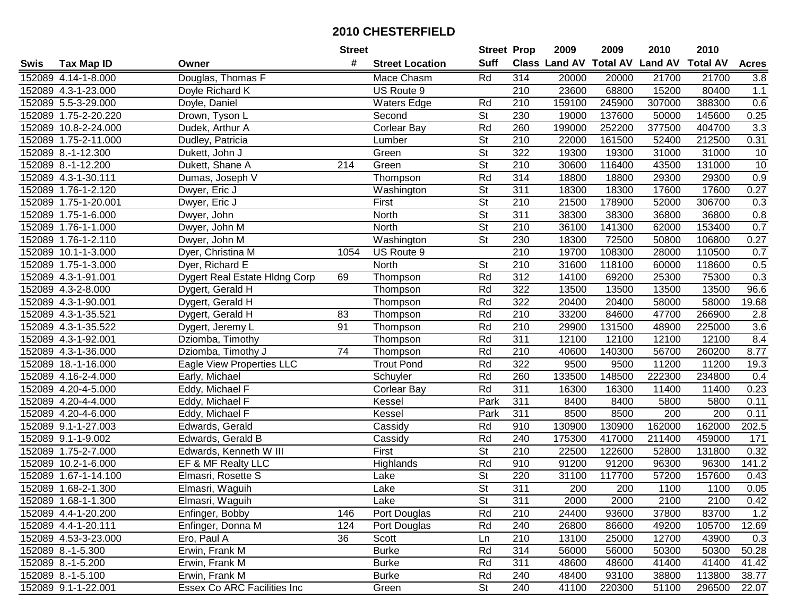| #<br><b>Suff</b><br>Class Land AV<br><b>Total AV Land AV</b><br><b>Total AV</b><br><b>Acres</b><br><b>Tax Map ID</b><br><b>Street Location</b><br>Swis<br>Owner<br>Douglas, Thomas F<br>314<br>152089 4.14-1-8.000<br>Mace Chasm<br>Rd<br>20000<br>20000<br>21700<br>21700<br>3.8<br>US Route 9<br>68800<br>15200<br>1.1<br>152089 4.3-1-23.000<br>210<br>23600<br>80400<br>Doyle Richard K<br>152089 5.5-3-29.000<br><b>Waters Edge</b><br>Rd<br>210<br>159100<br>245900<br>307000<br>388300<br>0.6<br>Doyle, Daniel<br><b>St</b><br>230<br>19000<br>137600<br>0.25<br>152089 1.75-2-20.220<br>Drown, Tyson L<br>Second<br>50000<br>145600<br>Rd<br>3.3<br>152089 10.8-2-24.000<br>Corlear Bay<br>260<br>199000<br>252200<br>377500<br>404700<br>Dudek, Arthur A<br>$\overline{\mathsf{St}}$<br>$\overline{210}$<br>0.31<br>152089 1.75-2-11.000<br>22000<br>161500<br>52400<br>212500<br>Dudley, Patricia<br>Lumber<br>$\overline{\mathsf{St}}$<br>152089 8.-1-12.300<br>Green<br>322<br>19300<br>19300<br>31000<br>10<br>31000<br>Dukett, John J<br>$\overline{\mathsf{St}}$<br>210<br>10<br>152089 8.-1-12.200<br>Dukett, Shane A<br>$\overline{214}$<br>30600<br>116400<br>43500<br>131000<br>Green<br>Rd<br>314<br>0.9<br>152089 4.3-1-30.111<br>Thompson<br>18800<br>18800<br>29300<br>29300<br>Dumas, Joseph V<br>$\overline{\mathsf{St}}$<br>311<br>17600<br>0.27<br>152089 1.76-1-2.120<br>Dwyer, Eric J<br>18300<br>18300<br>17600<br>Washington<br>$\overline{\mathsf{St}}$<br>First<br>210<br>21500<br>306700<br>152089 1.75-1-20.001<br>Dwyer, Eric J<br>178900<br>52000<br>0.3<br>St<br>152089 1.75-1-6.000<br>311<br>38300<br>38300<br>36800<br>36800<br>0.8<br>Dwyer, John<br>North<br>$\overline{\mathsf{St}}$<br>210<br>0.7<br>152089 1.76-1-1.000<br>36100<br>141300<br>62000<br>153400<br>North<br>Dwyer, John M<br><b>St</b><br>152089 1.76-1-2.110<br>230<br>18300<br>72500<br>50800<br>106800<br>0.27<br>Dwyer, John M<br>Washington<br>$\overline{210}$<br>152089 10.1-1-3.000<br>19700<br>108300<br>28000<br>110500<br>0.7<br>Dyer, Christina M<br>1054<br>US Route 9<br><b>St</b><br>210<br>152089 1.75-1-3.000<br>31600<br>118100<br>60000<br>118600<br>0.5<br>Dyer, Richard E<br>North<br>Rd<br>312<br>152089 4.3-1-91.001<br>75300<br>0.3<br>Dygert Real Estate Hidng Corp<br>69<br>14100<br>69200<br>25300<br>Thompson<br>Rd<br>322<br>96.6<br>152089 4.3-2-8.000<br>13500<br>13500<br>13500<br>13500<br>Dygert, Gerald H<br>Thompson<br>Rd<br>322<br>152089 4.3-1-90.001<br>20400<br>20400<br>58000<br>58000<br>19.68<br>Dygert, Gerald H<br>Thompson<br>Rd<br>152089 4.3-1-35.521<br>210<br>33200<br>84600<br>47700<br>266900<br>2.8<br>Dygert, Gerald H<br>83<br>Thompson<br>Rd<br>152089 4.3-1-35.522<br>91<br>210<br>29900<br>131500<br>3.6<br>48900<br>225000<br>Dygert, Jeremy L<br>Thompson<br>Rd<br>311<br>8.4<br>152089 4.3-1-92.001<br>Dziomba, Timothy<br>12100<br>12100<br>12100<br>12100<br>Thompson<br>74<br>Rd<br>210<br>40600<br>8.77<br>152089 4.3-1-36.000<br>Dziomba, Timothy J<br>140300<br>56700<br>260200<br>Thompson<br>322<br>152089 18.-1-16.000<br>Rd<br>9500<br>9500<br>11200<br>11200<br>19.3<br>Eagle View Properties LLC<br><b>Trout Pond</b><br>Rd<br>260<br>152089 4.16-2-4.000<br>133500<br>148500<br>222300<br>234800<br>Early, Michael<br>Schuyler<br>0.4<br>Rd<br>311<br>152089 4.20-4-5.000<br>Eddy, Michael F<br>16300<br>16300<br>11400<br>11400<br>0.23<br><b>Corlear Bay</b><br>Park<br>311<br>152089 4.20-4-4.000<br>Eddy, Michael F<br>Kessel<br>8400<br>8400<br>5800<br>5800<br>0.11<br>311<br>8500<br>8500<br>152089 4.20-4-6.000<br>Eddy, Michael F<br>Kessel<br>Park<br>200<br>200<br>0.11<br>910<br>152089 9.1-1-27.003<br>Rd<br>130900<br>130900<br>162000<br>162000<br>202.5<br>Edwards, Gerald<br>Cassidy<br>152089 9.1-1-9.002<br>Rd<br>240<br>175300<br>417000<br>211400<br>459000<br>171<br>Edwards, Gerald B<br>Cassidy<br>$\overline{\mathsf{St}}$<br>152089 1.75-2-7.000<br>$\overline{210}$<br>22500<br>122600<br>131800<br>0.32<br>Edwards, Kenneth W III<br>First<br>52800<br>Rd<br>152089 10.2-1-6.000<br>EF & MF Realty LLC<br>910<br>91200<br>91200<br>96300<br>96300<br>141.2<br>Highlands<br>$\overline{\mathsf{St}}$<br>152089 1.67-1-14.100<br>220<br>117700<br>57200<br>Elmasri, Rosette S<br>31100<br>157600<br>0.43<br>Lake<br>$\overline{\mathsf{St}}$<br>311<br>152089 1.68-2-1.300<br>Elmasri, Waguih<br>200<br>200<br>1100<br>1100<br>0.05<br>Lake<br>152089 1.68-1-1.300<br>Elmasri, Waguih<br>Lake<br>St<br>311<br>2000<br>2000<br>2100<br>2100<br>0.42<br>$1.2$<br>152089 4.4-1-20.200<br>Enfinger, Bobby<br>146<br>Port Douglas<br>Rd<br>210<br>24400<br>93600<br>37800<br>83700<br>Rd<br>26800<br>105700<br>152089 4.4-1-20.111<br>Enfinger, Donna M<br>124<br>Port Douglas<br>240<br>86600<br>49200<br>12.69<br>152089 4.53-3-23.000<br>36<br>Scott<br>210<br>13100<br>12700<br>43900<br>0.3<br>Ero, Paul A<br>Ln<br>25000<br>Erwin, Frank M<br>Rd<br>314<br>50300<br>50.28<br>152089 8.-1-5.300<br><b>Burke</b><br>56000<br>56000<br>50300<br>152089 8.-1-5.200<br>Rd<br>311<br>41.42<br>Erwin, Frank M<br><b>Burke</b><br>48600<br>48600<br>41400<br>41400<br>152089 8.-1-5.100<br>Erwin, Frank M<br><b>Burke</b><br>Rd<br>240<br>48400<br>93100<br>38800<br>113800<br>38.77<br>152089 9.1-1-22.001<br>Essex Co ARC Facilities Inc<br><b>St</b><br>240<br>Green<br>41100<br>220300<br>51100<br>296500<br>22.07 |  | <b>Street</b> |  | <b>Street Prop</b> | 2009 | 2009 | 2010 | 2010 |  |
|----------------------------------------------------------------------------------------------------------------------------------------------------------------------------------------------------------------------------------------------------------------------------------------------------------------------------------------------------------------------------------------------------------------------------------------------------------------------------------------------------------------------------------------------------------------------------------------------------------------------------------------------------------------------------------------------------------------------------------------------------------------------------------------------------------------------------------------------------------------------------------------------------------------------------------------------------------------------------------------------------------------------------------------------------------------------------------------------------------------------------------------------------------------------------------------------------------------------------------------------------------------------------------------------------------------------------------------------------------------------------------------------------------------------------------------------------------------------------------------------------------------------------------------------------------------------------------------------------------------------------------------------------------------------------------------------------------------------------------------------------------------------------------------------------------------------------------------------------------------------------------------------------------------------------------------------------------------------------------------------------------------------------------------------------------------------------------------------------------------------------------------------------------------------------------------------------------------------------------------------------------------------------------------------------------------------------------------------------------------------------------------------------------------------------------------------------------------------------------------------------------------------------------------------------------------------------------------------------------------------------------------------------------------------------------------------------------------------------------------------------------------------------------------------------------------------------------------------------------------------------------------------------------------------------------------------------------------------------------------------------------------------------------------------------------------------------------------------------------------------------------------------------------------------------------------------------------------------------------------------------------------------------------------------------------------------------------------------------------------------------------------------------------------------------------------------------------------------------------------------------------------------------------------------------------------------------------------------------------------------------------------------------------------------------------------------------------------------------------------------------------------------------------------------------------------------------------------------------------------------------------------------------------------------------------------------------------------------------------------------------------------------------------------------------------------------------------------------------------------------------------------------------------------------------------------------------------------------------------------------------------------------------------------------------------------------------------------------------------------------------------------------------------------------------------------------------------------------------------------------------------------------------------------------------------------------------------------------------------------------------------------------------------------------------------------------------------------------------------------------------------------------------------------------------------------------------------------------------------------------------------------------------------------------------------------------------------------------------------------------------------------------------------------------------------------------------------------------------------------------------------------------------------------------------------------------------------------------------------------------------------------------------------------------------------------------------------------------------------------------------------------------------------------------------------|--|---------------|--|--------------------|------|------|------|------|--|
|                                                                                                                                                                                                                                                                                                                                                                                                                                                                                                                                                                                                                                                                                                                                                                                                                                                                                                                                                                                                                                                                                                                                                                                                                                                                                                                                                                                                                                                                                                                                                                                                                                                                                                                                                                                                                                                                                                                                                                                                                                                                                                                                                                                                                                                                                                                                                                                                                                                                                                                                                                                                                                                                                                                                                                                                                                                                                                                                                                                                                                                                                                                                                                                                                                                                                                                                                                                                                                                                                                                                                                                                                                                                                                                                                                                                                                                                                                                                                                                                                                                                                                                                                                                                                                                                                                                                                                                                                                                                                                                                                                                                                                                                                                                                                                                                                                                                                                                                                                                                                                                                                                                                                                                                                                                                                                                                                                                                                                  |  |               |  |                    |      |      |      |      |  |
|                                                                                                                                                                                                                                                                                                                                                                                                                                                                                                                                                                                                                                                                                                                                                                                                                                                                                                                                                                                                                                                                                                                                                                                                                                                                                                                                                                                                                                                                                                                                                                                                                                                                                                                                                                                                                                                                                                                                                                                                                                                                                                                                                                                                                                                                                                                                                                                                                                                                                                                                                                                                                                                                                                                                                                                                                                                                                                                                                                                                                                                                                                                                                                                                                                                                                                                                                                                                                                                                                                                                                                                                                                                                                                                                                                                                                                                                                                                                                                                                                                                                                                                                                                                                                                                                                                                                                                                                                                                                                                                                                                                                                                                                                                                                                                                                                                                                                                                                                                                                                                                                                                                                                                                                                                                                                                                                                                                                                                  |  |               |  |                    |      |      |      |      |  |
|                                                                                                                                                                                                                                                                                                                                                                                                                                                                                                                                                                                                                                                                                                                                                                                                                                                                                                                                                                                                                                                                                                                                                                                                                                                                                                                                                                                                                                                                                                                                                                                                                                                                                                                                                                                                                                                                                                                                                                                                                                                                                                                                                                                                                                                                                                                                                                                                                                                                                                                                                                                                                                                                                                                                                                                                                                                                                                                                                                                                                                                                                                                                                                                                                                                                                                                                                                                                                                                                                                                                                                                                                                                                                                                                                                                                                                                                                                                                                                                                                                                                                                                                                                                                                                                                                                                                                                                                                                                                                                                                                                                                                                                                                                                                                                                                                                                                                                                                                                                                                                                                                                                                                                                                                                                                                                                                                                                                                                  |  |               |  |                    |      |      |      |      |  |
|                                                                                                                                                                                                                                                                                                                                                                                                                                                                                                                                                                                                                                                                                                                                                                                                                                                                                                                                                                                                                                                                                                                                                                                                                                                                                                                                                                                                                                                                                                                                                                                                                                                                                                                                                                                                                                                                                                                                                                                                                                                                                                                                                                                                                                                                                                                                                                                                                                                                                                                                                                                                                                                                                                                                                                                                                                                                                                                                                                                                                                                                                                                                                                                                                                                                                                                                                                                                                                                                                                                                                                                                                                                                                                                                                                                                                                                                                                                                                                                                                                                                                                                                                                                                                                                                                                                                                                                                                                                                                                                                                                                                                                                                                                                                                                                                                                                                                                                                                                                                                                                                                                                                                                                                                                                                                                                                                                                                                                  |  |               |  |                    |      |      |      |      |  |
|                                                                                                                                                                                                                                                                                                                                                                                                                                                                                                                                                                                                                                                                                                                                                                                                                                                                                                                                                                                                                                                                                                                                                                                                                                                                                                                                                                                                                                                                                                                                                                                                                                                                                                                                                                                                                                                                                                                                                                                                                                                                                                                                                                                                                                                                                                                                                                                                                                                                                                                                                                                                                                                                                                                                                                                                                                                                                                                                                                                                                                                                                                                                                                                                                                                                                                                                                                                                                                                                                                                                                                                                                                                                                                                                                                                                                                                                                                                                                                                                                                                                                                                                                                                                                                                                                                                                                                                                                                                                                                                                                                                                                                                                                                                                                                                                                                                                                                                                                                                                                                                                                                                                                                                                                                                                                                                                                                                                                                  |  |               |  |                    |      |      |      |      |  |
|                                                                                                                                                                                                                                                                                                                                                                                                                                                                                                                                                                                                                                                                                                                                                                                                                                                                                                                                                                                                                                                                                                                                                                                                                                                                                                                                                                                                                                                                                                                                                                                                                                                                                                                                                                                                                                                                                                                                                                                                                                                                                                                                                                                                                                                                                                                                                                                                                                                                                                                                                                                                                                                                                                                                                                                                                                                                                                                                                                                                                                                                                                                                                                                                                                                                                                                                                                                                                                                                                                                                                                                                                                                                                                                                                                                                                                                                                                                                                                                                                                                                                                                                                                                                                                                                                                                                                                                                                                                                                                                                                                                                                                                                                                                                                                                                                                                                                                                                                                                                                                                                                                                                                                                                                                                                                                                                                                                                                                  |  |               |  |                    |      |      |      |      |  |
|                                                                                                                                                                                                                                                                                                                                                                                                                                                                                                                                                                                                                                                                                                                                                                                                                                                                                                                                                                                                                                                                                                                                                                                                                                                                                                                                                                                                                                                                                                                                                                                                                                                                                                                                                                                                                                                                                                                                                                                                                                                                                                                                                                                                                                                                                                                                                                                                                                                                                                                                                                                                                                                                                                                                                                                                                                                                                                                                                                                                                                                                                                                                                                                                                                                                                                                                                                                                                                                                                                                                                                                                                                                                                                                                                                                                                                                                                                                                                                                                                                                                                                                                                                                                                                                                                                                                                                                                                                                                                                                                                                                                                                                                                                                                                                                                                                                                                                                                                                                                                                                                                                                                                                                                                                                                                                                                                                                                                                  |  |               |  |                    |      |      |      |      |  |
|                                                                                                                                                                                                                                                                                                                                                                                                                                                                                                                                                                                                                                                                                                                                                                                                                                                                                                                                                                                                                                                                                                                                                                                                                                                                                                                                                                                                                                                                                                                                                                                                                                                                                                                                                                                                                                                                                                                                                                                                                                                                                                                                                                                                                                                                                                                                                                                                                                                                                                                                                                                                                                                                                                                                                                                                                                                                                                                                                                                                                                                                                                                                                                                                                                                                                                                                                                                                                                                                                                                                                                                                                                                                                                                                                                                                                                                                                                                                                                                                                                                                                                                                                                                                                                                                                                                                                                                                                                                                                                                                                                                                                                                                                                                                                                                                                                                                                                                                                                                                                                                                                                                                                                                                                                                                                                                                                                                                                                  |  |               |  |                    |      |      |      |      |  |
|                                                                                                                                                                                                                                                                                                                                                                                                                                                                                                                                                                                                                                                                                                                                                                                                                                                                                                                                                                                                                                                                                                                                                                                                                                                                                                                                                                                                                                                                                                                                                                                                                                                                                                                                                                                                                                                                                                                                                                                                                                                                                                                                                                                                                                                                                                                                                                                                                                                                                                                                                                                                                                                                                                                                                                                                                                                                                                                                                                                                                                                                                                                                                                                                                                                                                                                                                                                                                                                                                                                                                                                                                                                                                                                                                                                                                                                                                                                                                                                                                                                                                                                                                                                                                                                                                                                                                                                                                                                                                                                                                                                                                                                                                                                                                                                                                                                                                                                                                                                                                                                                                                                                                                                                                                                                                                                                                                                                                                  |  |               |  |                    |      |      |      |      |  |
|                                                                                                                                                                                                                                                                                                                                                                                                                                                                                                                                                                                                                                                                                                                                                                                                                                                                                                                                                                                                                                                                                                                                                                                                                                                                                                                                                                                                                                                                                                                                                                                                                                                                                                                                                                                                                                                                                                                                                                                                                                                                                                                                                                                                                                                                                                                                                                                                                                                                                                                                                                                                                                                                                                                                                                                                                                                                                                                                                                                                                                                                                                                                                                                                                                                                                                                                                                                                                                                                                                                                                                                                                                                                                                                                                                                                                                                                                                                                                                                                                                                                                                                                                                                                                                                                                                                                                                                                                                                                                                                                                                                                                                                                                                                                                                                                                                                                                                                                                                                                                                                                                                                                                                                                                                                                                                                                                                                                                                  |  |               |  |                    |      |      |      |      |  |
|                                                                                                                                                                                                                                                                                                                                                                                                                                                                                                                                                                                                                                                                                                                                                                                                                                                                                                                                                                                                                                                                                                                                                                                                                                                                                                                                                                                                                                                                                                                                                                                                                                                                                                                                                                                                                                                                                                                                                                                                                                                                                                                                                                                                                                                                                                                                                                                                                                                                                                                                                                                                                                                                                                                                                                                                                                                                                                                                                                                                                                                                                                                                                                                                                                                                                                                                                                                                                                                                                                                                                                                                                                                                                                                                                                                                                                                                                                                                                                                                                                                                                                                                                                                                                                                                                                                                                                                                                                                                                                                                                                                                                                                                                                                                                                                                                                                                                                                                                                                                                                                                                                                                                                                                                                                                                                                                                                                                                                  |  |               |  |                    |      |      |      |      |  |
|                                                                                                                                                                                                                                                                                                                                                                                                                                                                                                                                                                                                                                                                                                                                                                                                                                                                                                                                                                                                                                                                                                                                                                                                                                                                                                                                                                                                                                                                                                                                                                                                                                                                                                                                                                                                                                                                                                                                                                                                                                                                                                                                                                                                                                                                                                                                                                                                                                                                                                                                                                                                                                                                                                                                                                                                                                                                                                                                                                                                                                                                                                                                                                                                                                                                                                                                                                                                                                                                                                                                                                                                                                                                                                                                                                                                                                                                                                                                                                                                                                                                                                                                                                                                                                                                                                                                                                                                                                                                                                                                                                                                                                                                                                                                                                                                                                                                                                                                                                                                                                                                                                                                                                                                                                                                                                                                                                                                                                  |  |               |  |                    |      |      |      |      |  |
|                                                                                                                                                                                                                                                                                                                                                                                                                                                                                                                                                                                                                                                                                                                                                                                                                                                                                                                                                                                                                                                                                                                                                                                                                                                                                                                                                                                                                                                                                                                                                                                                                                                                                                                                                                                                                                                                                                                                                                                                                                                                                                                                                                                                                                                                                                                                                                                                                                                                                                                                                                                                                                                                                                                                                                                                                                                                                                                                                                                                                                                                                                                                                                                                                                                                                                                                                                                                                                                                                                                                                                                                                                                                                                                                                                                                                                                                                                                                                                                                                                                                                                                                                                                                                                                                                                                                                                                                                                                                                                                                                                                                                                                                                                                                                                                                                                                                                                                                                                                                                                                                                                                                                                                                                                                                                                                                                                                                                                  |  |               |  |                    |      |      |      |      |  |
|                                                                                                                                                                                                                                                                                                                                                                                                                                                                                                                                                                                                                                                                                                                                                                                                                                                                                                                                                                                                                                                                                                                                                                                                                                                                                                                                                                                                                                                                                                                                                                                                                                                                                                                                                                                                                                                                                                                                                                                                                                                                                                                                                                                                                                                                                                                                                                                                                                                                                                                                                                                                                                                                                                                                                                                                                                                                                                                                                                                                                                                                                                                                                                                                                                                                                                                                                                                                                                                                                                                                                                                                                                                                                                                                                                                                                                                                                                                                                                                                                                                                                                                                                                                                                                                                                                                                                                                                                                                                                                                                                                                                                                                                                                                                                                                                                                                                                                                                                                                                                                                                                                                                                                                                                                                                                                                                                                                                                                  |  |               |  |                    |      |      |      |      |  |
|                                                                                                                                                                                                                                                                                                                                                                                                                                                                                                                                                                                                                                                                                                                                                                                                                                                                                                                                                                                                                                                                                                                                                                                                                                                                                                                                                                                                                                                                                                                                                                                                                                                                                                                                                                                                                                                                                                                                                                                                                                                                                                                                                                                                                                                                                                                                                                                                                                                                                                                                                                                                                                                                                                                                                                                                                                                                                                                                                                                                                                                                                                                                                                                                                                                                                                                                                                                                                                                                                                                                                                                                                                                                                                                                                                                                                                                                                                                                                                                                                                                                                                                                                                                                                                                                                                                                                                                                                                                                                                                                                                                                                                                                                                                                                                                                                                                                                                                                                                                                                                                                                                                                                                                                                                                                                                                                                                                                                                  |  |               |  |                    |      |      |      |      |  |
|                                                                                                                                                                                                                                                                                                                                                                                                                                                                                                                                                                                                                                                                                                                                                                                                                                                                                                                                                                                                                                                                                                                                                                                                                                                                                                                                                                                                                                                                                                                                                                                                                                                                                                                                                                                                                                                                                                                                                                                                                                                                                                                                                                                                                                                                                                                                                                                                                                                                                                                                                                                                                                                                                                                                                                                                                                                                                                                                                                                                                                                                                                                                                                                                                                                                                                                                                                                                                                                                                                                                                                                                                                                                                                                                                                                                                                                                                                                                                                                                                                                                                                                                                                                                                                                                                                                                                                                                                                                                                                                                                                                                                                                                                                                                                                                                                                                                                                                                                                                                                                                                                                                                                                                                                                                                                                                                                                                                                                  |  |               |  |                    |      |      |      |      |  |
|                                                                                                                                                                                                                                                                                                                                                                                                                                                                                                                                                                                                                                                                                                                                                                                                                                                                                                                                                                                                                                                                                                                                                                                                                                                                                                                                                                                                                                                                                                                                                                                                                                                                                                                                                                                                                                                                                                                                                                                                                                                                                                                                                                                                                                                                                                                                                                                                                                                                                                                                                                                                                                                                                                                                                                                                                                                                                                                                                                                                                                                                                                                                                                                                                                                                                                                                                                                                                                                                                                                                                                                                                                                                                                                                                                                                                                                                                                                                                                                                                                                                                                                                                                                                                                                                                                                                                                                                                                                                                                                                                                                                                                                                                                                                                                                                                                                                                                                                                                                                                                                                                                                                                                                                                                                                                                                                                                                                                                  |  |               |  |                    |      |      |      |      |  |
|                                                                                                                                                                                                                                                                                                                                                                                                                                                                                                                                                                                                                                                                                                                                                                                                                                                                                                                                                                                                                                                                                                                                                                                                                                                                                                                                                                                                                                                                                                                                                                                                                                                                                                                                                                                                                                                                                                                                                                                                                                                                                                                                                                                                                                                                                                                                                                                                                                                                                                                                                                                                                                                                                                                                                                                                                                                                                                                                                                                                                                                                                                                                                                                                                                                                                                                                                                                                                                                                                                                                                                                                                                                                                                                                                                                                                                                                                                                                                                                                                                                                                                                                                                                                                                                                                                                                                                                                                                                                                                                                                                                                                                                                                                                                                                                                                                                                                                                                                                                                                                                                                                                                                                                                                                                                                                                                                                                                                                  |  |               |  |                    |      |      |      |      |  |
|                                                                                                                                                                                                                                                                                                                                                                                                                                                                                                                                                                                                                                                                                                                                                                                                                                                                                                                                                                                                                                                                                                                                                                                                                                                                                                                                                                                                                                                                                                                                                                                                                                                                                                                                                                                                                                                                                                                                                                                                                                                                                                                                                                                                                                                                                                                                                                                                                                                                                                                                                                                                                                                                                                                                                                                                                                                                                                                                                                                                                                                                                                                                                                                                                                                                                                                                                                                                                                                                                                                                                                                                                                                                                                                                                                                                                                                                                                                                                                                                                                                                                                                                                                                                                                                                                                                                                                                                                                                                                                                                                                                                                                                                                                                                                                                                                                                                                                                                                                                                                                                                                                                                                                                                                                                                                                                                                                                                                                  |  |               |  |                    |      |      |      |      |  |
|                                                                                                                                                                                                                                                                                                                                                                                                                                                                                                                                                                                                                                                                                                                                                                                                                                                                                                                                                                                                                                                                                                                                                                                                                                                                                                                                                                                                                                                                                                                                                                                                                                                                                                                                                                                                                                                                                                                                                                                                                                                                                                                                                                                                                                                                                                                                                                                                                                                                                                                                                                                                                                                                                                                                                                                                                                                                                                                                                                                                                                                                                                                                                                                                                                                                                                                                                                                                                                                                                                                                                                                                                                                                                                                                                                                                                                                                                                                                                                                                                                                                                                                                                                                                                                                                                                                                                                                                                                                                                                                                                                                                                                                                                                                                                                                                                                                                                                                                                                                                                                                                                                                                                                                                                                                                                                                                                                                                                                  |  |               |  |                    |      |      |      |      |  |
|                                                                                                                                                                                                                                                                                                                                                                                                                                                                                                                                                                                                                                                                                                                                                                                                                                                                                                                                                                                                                                                                                                                                                                                                                                                                                                                                                                                                                                                                                                                                                                                                                                                                                                                                                                                                                                                                                                                                                                                                                                                                                                                                                                                                                                                                                                                                                                                                                                                                                                                                                                                                                                                                                                                                                                                                                                                                                                                                                                                                                                                                                                                                                                                                                                                                                                                                                                                                                                                                                                                                                                                                                                                                                                                                                                                                                                                                                                                                                                                                                                                                                                                                                                                                                                                                                                                                                                                                                                                                                                                                                                                                                                                                                                                                                                                                                                                                                                                                                                                                                                                                                                                                                                                                                                                                                                                                                                                                                                  |  |               |  |                    |      |      |      |      |  |
|                                                                                                                                                                                                                                                                                                                                                                                                                                                                                                                                                                                                                                                                                                                                                                                                                                                                                                                                                                                                                                                                                                                                                                                                                                                                                                                                                                                                                                                                                                                                                                                                                                                                                                                                                                                                                                                                                                                                                                                                                                                                                                                                                                                                                                                                                                                                                                                                                                                                                                                                                                                                                                                                                                                                                                                                                                                                                                                                                                                                                                                                                                                                                                                                                                                                                                                                                                                                                                                                                                                                                                                                                                                                                                                                                                                                                                                                                                                                                                                                                                                                                                                                                                                                                                                                                                                                                                                                                                                                                                                                                                                                                                                                                                                                                                                                                                                                                                                                                                                                                                                                                                                                                                                                                                                                                                                                                                                                                                  |  |               |  |                    |      |      |      |      |  |
|                                                                                                                                                                                                                                                                                                                                                                                                                                                                                                                                                                                                                                                                                                                                                                                                                                                                                                                                                                                                                                                                                                                                                                                                                                                                                                                                                                                                                                                                                                                                                                                                                                                                                                                                                                                                                                                                                                                                                                                                                                                                                                                                                                                                                                                                                                                                                                                                                                                                                                                                                                                                                                                                                                                                                                                                                                                                                                                                                                                                                                                                                                                                                                                                                                                                                                                                                                                                                                                                                                                                                                                                                                                                                                                                                                                                                                                                                                                                                                                                                                                                                                                                                                                                                                                                                                                                                                                                                                                                                                                                                                                                                                                                                                                                                                                                                                                                                                                                                                                                                                                                                                                                                                                                                                                                                                                                                                                                                                  |  |               |  |                    |      |      |      |      |  |
|                                                                                                                                                                                                                                                                                                                                                                                                                                                                                                                                                                                                                                                                                                                                                                                                                                                                                                                                                                                                                                                                                                                                                                                                                                                                                                                                                                                                                                                                                                                                                                                                                                                                                                                                                                                                                                                                                                                                                                                                                                                                                                                                                                                                                                                                                                                                                                                                                                                                                                                                                                                                                                                                                                                                                                                                                                                                                                                                                                                                                                                                                                                                                                                                                                                                                                                                                                                                                                                                                                                                                                                                                                                                                                                                                                                                                                                                                                                                                                                                                                                                                                                                                                                                                                                                                                                                                                                                                                                                                                                                                                                                                                                                                                                                                                                                                                                                                                                                                                                                                                                                                                                                                                                                                                                                                                                                                                                                                                  |  |               |  |                    |      |      |      |      |  |
|                                                                                                                                                                                                                                                                                                                                                                                                                                                                                                                                                                                                                                                                                                                                                                                                                                                                                                                                                                                                                                                                                                                                                                                                                                                                                                                                                                                                                                                                                                                                                                                                                                                                                                                                                                                                                                                                                                                                                                                                                                                                                                                                                                                                                                                                                                                                                                                                                                                                                                                                                                                                                                                                                                                                                                                                                                                                                                                                                                                                                                                                                                                                                                                                                                                                                                                                                                                                                                                                                                                                                                                                                                                                                                                                                                                                                                                                                                                                                                                                                                                                                                                                                                                                                                                                                                                                                                                                                                                                                                                                                                                                                                                                                                                                                                                                                                                                                                                                                                                                                                                                                                                                                                                                                                                                                                                                                                                                                                  |  |               |  |                    |      |      |      |      |  |
|                                                                                                                                                                                                                                                                                                                                                                                                                                                                                                                                                                                                                                                                                                                                                                                                                                                                                                                                                                                                                                                                                                                                                                                                                                                                                                                                                                                                                                                                                                                                                                                                                                                                                                                                                                                                                                                                                                                                                                                                                                                                                                                                                                                                                                                                                                                                                                                                                                                                                                                                                                                                                                                                                                                                                                                                                                                                                                                                                                                                                                                                                                                                                                                                                                                                                                                                                                                                                                                                                                                                                                                                                                                                                                                                                                                                                                                                                                                                                                                                                                                                                                                                                                                                                                                                                                                                                                                                                                                                                                                                                                                                                                                                                                                                                                                                                                                                                                                                                                                                                                                                                                                                                                                                                                                                                                                                                                                                                                  |  |               |  |                    |      |      |      |      |  |
|                                                                                                                                                                                                                                                                                                                                                                                                                                                                                                                                                                                                                                                                                                                                                                                                                                                                                                                                                                                                                                                                                                                                                                                                                                                                                                                                                                                                                                                                                                                                                                                                                                                                                                                                                                                                                                                                                                                                                                                                                                                                                                                                                                                                                                                                                                                                                                                                                                                                                                                                                                                                                                                                                                                                                                                                                                                                                                                                                                                                                                                                                                                                                                                                                                                                                                                                                                                                                                                                                                                                                                                                                                                                                                                                                                                                                                                                                                                                                                                                                                                                                                                                                                                                                                                                                                                                                                                                                                                                                                                                                                                                                                                                                                                                                                                                                                                                                                                                                                                                                                                                                                                                                                                                                                                                                                                                                                                                                                  |  |               |  |                    |      |      |      |      |  |
|                                                                                                                                                                                                                                                                                                                                                                                                                                                                                                                                                                                                                                                                                                                                                                                                                                                                                                                                                                                                                                                                                                                                                                                                                                                                                                                                                                                                                                                                                                                                                                                                                                                                                                                                                                                                                                                                                                                                                                                                                                                                                                                                                                                                                                                                                                                                                                                                                                                                                                                                                                                                                                                                                                                                                                                                                                                                                                                                                                                                                                                                                                                                                                                                                                                                                                                                                                                                                                                                                                                                                                                                                                                                                                                                                                                                                                                                                                                                                                                                                                                                                                                                                                                                                                                                                                                                                                                                                                                                                                                                                                                                                                                                                                                                                                                                                                                                                                                                                                                                                                                                                                                                                                                                                                                                                                                                                                                                                                  |  |               |  |                    |      |      |      |      |  |
|                                                                                                                                                                                                                                                                                                                                                                                                                                                                                                                                                                                                                                                                                                                                                                                                                                                                                                                                                                                                                                                                                                                                                                                                                                                                                                                                                                                                                                                                                                                                                                                                                                                                                                                                                                                                                                                                                                                                                                                                                                                                                                                                                                                                                                                                                                                                                                                                                                                                                                                                                                                                                                                                                                                                                                                                                                                                                                                                                                                                                                                                                                                                                                                                                                                                                                                                                                                                                                                                                                                                                                                                                                                                                                                                                                                                                                                                                                                                                                                                                                                                                                                                                                                                                                                                                                                                                                                                                                                                                                                                                                                                                                                                                                                                                                                                                                                                                                                                                                                                                                                                                                                                                                                                                                                                                                                                                                                                                                  |  |               |  |                    |      |      |      |      |  |
|                                                                                                                                                                                                                                                                                                                                                                                                                                                                                                                                                                                                                                                                                                                                                                                                                                                                                                                                                                                                                                                                                                                                                                                                                                                                                                                                                                                                                                                                                                                                                                                                                                                                                                                                                                                                                                                                                                                                                                                                                                                                                                                                                                                                                                                                                                                                                                                                                                                                                                                                                                                                                                                                                                                                                                                                                                                                                                                                                                                                                                                                                                                                                                                                                                                                                                                                                                                                                                                                                                                                                                                                                                                                                                                                                                                                                                                                                                                                                                                                                                                                                                                                                                                                                                                                                                                                                                                                                                                                                                                                                                                                                                                                                                                                                                                                                                                                                                                                                                                                                                                                                                                                                                                                                                                                                                                                                                                                                                  |  |               |  |                    |      |      |      |      |  |
|                                                                                                                                                                                                                                                                                                                                                                                                                                                                                                                                                                                                                                                                                                                                                                                                                                                                                                                                                                                                                                                                                                                                                                                                                                                                                                                                                                                                                                                                                                                                                                                                                                                                                                                                                                                                                                                                                                                                                                                                                                                                                                                                                                                                                                                                                                                                                                                                                                                                                                                                                                                                                                                                                                                                                                                                                                                                                                                                                                                                                                                                                                                                                                                                                                                                                                                                                                                                                                                                                                                                                                                                                                                                                                                                                                                                                                                                                                                                                                                                                                                                                                                                                                                                                                                                                                                                                                                                                                                                                                                                                                                                                                                                                                                                                                                                                                                                                                                                                                                                                                                                                                                                                                                                                                                                                                                                                                                                                                  |  |               |  |                    |      |      |      |      |  |
|                                                                                                                                                                                                                                                                                                                                                                                                                                                                                                                                                                                                                                                                                                                                                                                                                                                                                                                                                                                                                                                                                                                                                                                                                                                                                                                                                                                                                                                                                                                                                                                                                                                                                                                                                                                                                                                                                                                                                                                                                                                                                                                                                                                                                                                                                                                                                                                                                                                                                                                                                                                                                                                                                                                                                                                                                                                                                                                                                                                                                                                                                                                                                                                                                                                                                                                                                                                                                                                                                                                                                                                                                                                                                                                                                                                                                                                                                                                                                                                                                                                                                                                                                                                                                                                                                                                                                                                                                                                                                                                                                                                                                                                                                                                                                                                                                                                                                                                                                                                                                                                                                                                                                                                                                                                                                                                                                                                                                                  |  |               |  |                    |      |      |      |      |  |
|                                                                                                                                                                                                                                                                                                                                                                                                                                                                                                                                                                                                                                                                                                                                                                                                                                                                                                                                                                                                                                                                                                                                                                                                                                                                                                                                                                                                                                                                                                                                                                                                                                                                                                                                                                                                                                                                                                                                                                                                                                                                                                                                                                                                                                                                                                                                                                                                                                                                                                                                                                                                                                                                                                                                                                                                                                                                                                                                                                                                                                                                                                                                                                                                                                                                                                                                                                                                                                                                                                                                                                                                                                                                                                                                                                                                                                                                                                                                                                                                                                                                                                                                                                                                                                                                                                                                                                                                                                                                                                                                                                                                                                                                                                                                                                                                                                                                                                                                                                                                                                                                                                                                                                                                                                                                                                                                                                                                                                  |  |               |  |                    |      |      |      |      |  |
|                                                                                                                                                                                                                                                                                                                                                                                                                                                                                                                                                                                                                                                                                                                                                                                                                                                                                                                                                                                                                                                                                                                                                                                                                                                                                                                                                                                                                                                                                                                                                                                                                                                                                                                                                                                                                                                                                                                                                                                                                                                                                                                                                                                                                                                                                                                                                                                                                                                                                                                                                                                                                                                                                                                                                                                                                                                                                                                                                                                                                                                                                                                                                                                                                                                                                                                                                                                                                                                                                                                                                                                                                                                                                                                                                                                                                                                                                                                                                                                                                                                                                                                                                                                                                                                                                                                                                                                                                                                                                                                                                                                                                                                                                                                                                                                                                                                                                                                                                                                                                                                                                                                                                                                                                                                                                                                                                                                                                                  |  |               |  |                    |      |      |      |      |  |
|                                                                                                                                                                                                                                                                                                                                                                                                                                                                                                                                                                                                                                                                                                                                                                                                                                                                                                                                                                                                                                                                                                                                                                                                                                                                                                                                                                                                                                                                                                                                                                                                                                                                                                                                                                                                                                                                                                                                                                                                                                                                                                                                                                                                                                                                                                                                                                                                                                                                                                                                                                                                                                                                                                                                                                                                                                                                                                                                                                                                                                                                                                                                                                                                                                                                                                                                                                                                                                                                                                                                                                                                                                                                                                                                                                                                                                                                                                                                                                                                                                                                                                                                                                                                                                                                                                                                                                                                                                                                                                                                                                                                                                                                                                                                                                                                                                                                                                                                                                                                                                                                                                                                                                                                                                                                                                                                                                                                                                  |  |               |  |                    |      |      |      |      |  |
|                                                                                                                                                                                                                                                                                                                                                                                                                                                                                                                                                                                                                                                                                                                                                                                                                                                                                                                                                                                                                                                                                                                                                                                                                                                                                                                                                                                                                                                                                                                                                                                                                                                                                                                                                                                                                                                                                                                                                                                                                                                                                                                                                                                                                                                                                                                                                                                                                                                                                                                                                                                                                                                                                                                                                                                                                                                                                                                                                                                                                                                                                                                                                                                                                                                                                                                                                                                                                                                                                                                                                                                                                                                                                                                                                                                                                                                                                                                                                                                                                                                                                                                                                                                                                                                                                                                                                                                                                                                                                                                                                                                                                                                                                                                                                                                                                                                                                                                                                                                                                                                                                                                                                                                                                                                                                                                                                                                                                                  |  |               |  |                    |      |      |      |      |  |
|                                                                                                                                                                                                                                                                                                                                                                                                                                                                                                                                                                                                                                                                                                                                                                                                                                                                                                                                                                                                                                                                                                                                                                                                                                                                                                                                                                                                                                                                                                                                                                                                                                                                                                                                                                                                                                                                                                                                                                                                                                                                                                                                                                                                                                                                                                                                                                                                                                                                                                                                                                                                                                                                                                                                                                                                                                                                                                                                                                                                                                                                                                                                                                                                                                                                                                                                                                                                                                                                                                                                                                                                                                                                                                                                                                                                                                                                                                                                                                                                                                                                                                                                                                                                                                                                                                                                                                                                                                                                                                                                                                                                                                                                                                                                                                                                                                                                                                                                                                                                                                                                                                                                                                                                                                                                                                                                                                                                                                  |  |               |  |                    |      |      |      |      |  |
|                                                                                                                                                                                                                                                                                                                                                                                                                                                                                                                                                                                                                                                                                                                                                                                                                                                                                                                                                                                                                                                                                                                                                                                                                                                                                                                                                                                                                                                                                                                                                                                                                                                                                                                                                                                                                                                                                                                                                                                                                                                                                                                                                                                                                                                                                                                                                                                                                                                                                                                                                                                                                                                                                                                                                                                                                                                                                                                                                                                                                                                                                                                                                                                                                                                                                                                                                                                                                                                                                                                                                                                                                                                                                                                                                                                                                                                                                                                                                                                                                                                                                                                                                                                                                                                                                                                                                                                                                                                                                                                                                                                                                                                                                                                                                                                                                                                                                                                                                                                                                                                                                                                                                                                                                                                                                                                                                                                                                                  |  |               |  |                    |      |      |      |      |  |
|                                                                                                                                                                                                                                                                                                                                                                                                                                                                                                                                                                                                                                                                                                                                                                                                                                                                                                                                                                                                                                                                                                                                                                                                                                                                                                                                                                                                                                                                                                                                                                                                                                                                                                                                                                                                                                                                                                                                                                                                                                                                                                                                                                                                                                                                                                                                                                                                                                                                                                                                                                                                                                                                                                                                                                                                                                                                                                                                                                                                                                                                                                                                                                                                                                                                                                                                                                                                                                                                                                                                                                                                                                                                                                                                                                                                                                                                                                                                                                                                                                                                                                                                                                                                                                                                                                                                                                                                                                                                                                                                                                                                                                                                                                                                                                                                                                                                                                                                                                                                                                                                                                                                                                                                                                                                                                                                                                                                                                  |  |               |  |                    |      |      |      |      |  |
|                                                                                                                                                                                                                                                                                                                                                                                                                                                                                                                                                                                                                                                                                                                                                                                                                                                                                                                                                                                                                                                                                                                                                                                                                                                                                                                                                                                                                                                                                                                                                                                                                                                                                                                                                                                                                                                                                                                                                                                                                                                                                                                                                                                                                                                                                                                                                                                                                                                                                                                                                                                                                                                                                                                                                                                                                                                                                                                                                                                                                                                                                                                                                                                                                                                                                                                                                                                                                                                                                                                                                                                                                                                                                                                                                                                                                                                                                                                                                                                                                                                                                                                                                                                                                                                                                                                                                                                                                                                                                                                                                                                                                                                                                                                                                                                                                                                                                                                                                                                                                                                                                                                                                                                                                                                                                                                                                                                                                                  |  |               |  |                    |      |      |      |      |  |
|                                                                                                                                                                                                                                                                                                                                                                                                                                                                                                                                                                                                                                                                                                                                                                                                                                                                                                                                                                                                                                                                                                                                                                                                                                                                                                                                                                                                                                                                                                                                                                                                                                                                                                                                                                                                                                                                                                                                                                                                                                                                                                                                                                                                                                                                                                                                                                                                                                                                                                                                                                                                                                                                                                                                                                                                                                                                                                                                                                                                                                                                                                                                                                                                                                                                                                                                                                                                                                                                                                                                                                                                                                                                                                                                                                                                                                                                                                                                                                                                                                                                                                                                                                                                                                                                                                                                                                                                                                                                                                                                                                                                                                                                                                                                                                                                                                                                                                                                                                                                                                                                                                                                                                                                                                                                                                                                                                                                                                  |  |               |  |                    |      |      |      |      |  |
|                                                                                                                                                                                                                                                                                                                                                                                                                                                                                                                                                                                                                                                                                                                                                                                                                                                                                                                                                                                                                                                                                                                                                                                                                                                                                                                                                                                                                                                                                                                                                                                                                                                                                                                                                                                                                                                                                                                                                                                                                                                                                                                                                                                                                                                                                                                                                                                                                                                                                                                                                                                                                                                                                                                                                                                                                                                                                                                                                                                                                                                                                                                                                                                                                                                                                                                                                                                                                                                                                                                                                                                                                                                                                                                                                                                                                                                                                                                                                                                                                                                                                                                                                                                                                                                                                                                                                                                                                                                                                                                                                                                                                                                                                                                                                                                                                                                                                                                                                                                                                                                                                                                                                                                                                                                                                                                                                                                                                                  |  |               |  |                    |      |      |      |      |  |
|                                                                                                                                                                                                                                                                                                                                                                                                                                                                                                                                                                                                                                                                                                                                                                                                                                                                                                                                                                                                                                                                                                                                                                                                                                                                                                                                                                                                                                                                                                                                                                                                                                                                                                                                                                                                                                                                                                                                                                                                                                                                                                                                                                                                                                                                                                                                                                                                                                                                                                                                                                                                                                                                                                                                                                                                                                                                                                                                                                                                                                                                                                                                                                                                                                                                                                                                                                                                                                                                                                                                                                                                                                                                                                                                                                                                                                                                                                                                                                                                                                                                                                                                                                                                                                                                                                                                                                                                                                                                                                                                                                                                                                                                                                                                                                                                                                                                                                                                                                                                                                                                                                                                                                                                                                                                                                                                                                                                                                  |  |               |  |                    |      |      |      |      |  |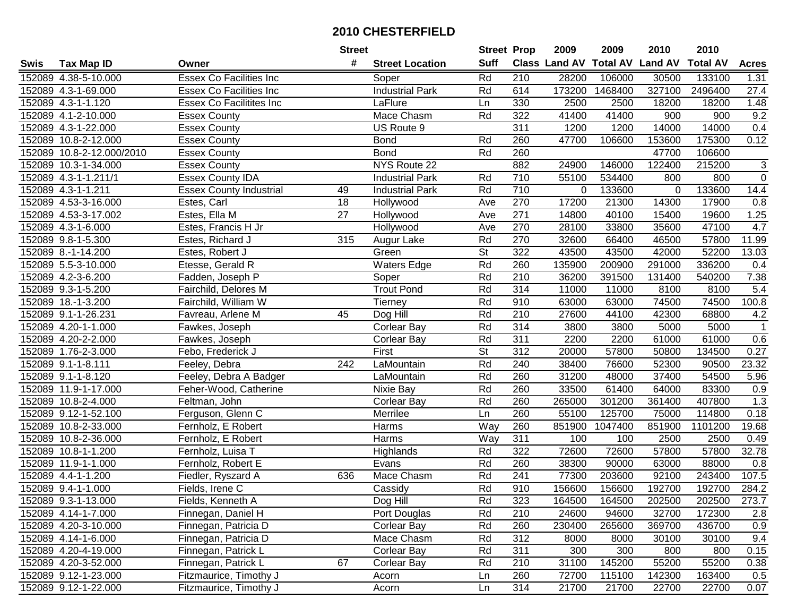|      |                           |                                 | <b>Street</b> |                        | <b>Street Prop</b>       |                  | 2009                          | 2009    | 2010           | 2010            |                |
|------|---------------------------|---------------------------------|---------------|------------------------|--------------------------|------------------|-------------------------------|---------|----------------|-----------------|----------------|
| Swis | <b>Tax Map ID</b>         | Owner                           | #             | <b>Street Location</b> | <b>Suff</b>              |                  | <b>Class Land AV Total AV</b> |         | <b>Land AV</b> | <b>Total AV</b> | <b>Acres</b>   |
|      | 152089 4.38-5-10.000      | <b>Essex Co Facilities Inc</b>  |               | Soper                  | Rd                       | 210              | 28200                         | 106000  | 30500          | 133100          | 1.31           |
|      | 152089 4.3-1-69.000       | <b>Essex Co Facilities Inc.</b> |               | <b>Industrial Park</b> | Rd                       | 614              | 173200                        | 1468400 | 327100         | 2496400         | 27.4           |
|      | 152089 4.3-1-1.120        | <b>Essex Co Facilitites Inc</b> |               | LaFlure                | Ln                       | 330              | 2500                          | 2500    | 18200          | 18200           | 1.48           |
|      | 152089 4.1-2-10.000       | <b>Essex County</b>             |               | Mace Chasm             | Rd                       | 322              | 41400                         | 41400   | 900            | 900             | 9.2            |
|      | 152089 4.3-1-22.000       | <b>Essex County</b>             |               | US Route 9             |                          | 311              | 1200                          | 1200    | 14000          | 14000           | 0.4            |
|      | 152089 10.8-2-12.000      | <b>Essex County</b>             |               | <b>Bond</b>            | Rd                       | 260              | 47700                         | 106600  | 153600         | 175300          | 0.12           |
|      | 152089 10.8-2-12.000/2010 | <b>Essex County</b>             |               | <b>Bond</b>            | Rd                       | 260              |                               |         | 47700          | 106600          |                |
|      | 152089 10.3-1-34.000      | <b>Essex County</b>             |               | <b>NYS Route 22</b>    |                          | 882              | 24900                         | 146000  | 122400         | 215200          | 3              |
|      | 152089 4.3-1-1.211/1      | <b>Essex County IDA</b>         |               | <b>Industrial Park</b> | Rd                       | $\overline{710}$ | 55100                         | 534400  | 800            | 800             | $\mathbf 0$    |
|      | 152089 4.3-1-1.211        | <b>Essex County Industrial</b>  | 49            | <b>Industrial Park</b> | Rd                       | 710              | 0                             | 133600  | $\mathbf 0$    | 133600          | 14.4           |
|      | 152089 4.53-3-16.000      | Estes, Carl                     | 18            | Hollywood              | Ave                      | 270              | 17200                         | 21300   | 14300          | 17900           | 0.8            |
|      | 152089 4.53-3-17.002      | Estes, Ella M                   | 27            | Hollywood              | Ave                      | 271              | 14800                         | 40100   | 15400          | 19600           | 1.25           |
|      | 152089 4.3-1-6.000        | Estes, Francis H Jr             |               | Hollywood              | Ave                      | 270              | 28100                         | 33800   | 35600          | 47100           | 4.7            |
|      | 152089 9.8-1-5.300        | Estes, Richard J                | 315           | Augur Lake             | Rd                       | 270              | 32600                         | 66400   | 46500          | 57800           | 11.99          |
|      | 152089 8.-1-14.200        | Estes, Robert J                 |               | Green                  | $\overline{\mathsf{St}}$ | 322              | 43500                         | 43500   | 42000          | 52200           | 13.03          |
|      | 152089 5.5-3-10.000       | Etesse, Gerald R                |               | <b>Waters Edge</b>     | Rd                       | 260              | 135900                        | 200900  | 291000         | 336200          | 0.4            |
|      | 152089 4.2-3-6.200        | Fadden, Joseph P                |               | Soper                  | Rd                       | 210              | 36200                         | 391500  | 131400         | 540200          | 7.38           |
|      | 152089 9.3-1-5.200        | Fairchild, Delores M            |               | <b>Trout Pond</b>      | Rd                       | 314              | 11000                         | 11000   | 8100           | 8100            | 5.4            |
|      | 152089 18.-1-3.200        | Fairchild, William W            |               | <b>Tierney</b>         | Rd                       | 910              | 63000                         | 63000   | 74500          | 74500           | 100.8          |
|      | 152089 9.1-1-26.231       | Favreau, Arlene M               | 45            | Dog Hill               | Rd                       | 210              | 27600                         | 44100   | 42300          | 68800           | 4.2            |
|      | 152089 4.20-1-1.000       | Fawkes, Joseph                  |               | <b>Corlear Bay</b>     | Rd                       | 314              | 3800                          | 3800    | 5000           | 5000            | $\overline{1}$ |
|      | 152089 4.20-2-2.000       | Fawkes, Joseph                  |               | <b>Corlear Bay</b>     | Rd                       | 311              | 2200                          | 2200    | 61000          | 61000           | 0.6            |
|      | 152089 1.76-2-3.000       | Febo, Frederick J               |               | First                  | <b>St</b>                | 312              | 20000                         | 57800   | 50800          | 134500          | 0.27           |
|      | 152089 9.1-1-8.111        | Feeley, Debra                   | 242           | LaMountain             | Rd                       | 240              | 38400                         | 76600   | 52300          | 90500           | 23.32          |
|      | 152089 9.1-1-8.120        | Feeley, Debra A Badger          |               | LaMountain             | Rd                       | 260              | 31200                         | 48000   | 37400          | 54500           | 5.96           |
|      | 152089 11.9-1-17.000      | Feher-Wood, Catherine           |               | Nixie Bay              | Rd                       | 260              | 33500                         | 61400   | 64000          | 83300           | 0.9            |
|      | 152089 10.8-2-4.000       | Feltman, John                   |               | Corlear Bay            | Rd                       | 260              | 265000                        | 301200  | 361400         | 407800          | 1.3            |
|      | 152089 9.12-1-52.100      | Ferguson, Glenn C               |               | Merrilee               | Ln                       | 260              | 55100                         | 125700  | 75000          | 114800          | 0.18           |
|      | 152089 10.8-2-33.000      | Fernholz, E Robert              |               | Harms                  | Way                      | 260              | 851900                        | 1047400 | 851900         | 1101200         | 19.68          |
|      | 152089 10.8-2-36.000      | Fernholz, E Robert              |               | Harms                  | <b>Way</b>               | 311              | 100                           | 100     | 2500           | 2500            | 0.49           |
|      | 152089 10.8-1-1.200       | Fernholz, Luisa T               |               | Highlands              | Rd                       | 322              | 72600                         | 72600   | 57800          | 57800           | 32.78          |
|      | 152089 11.9-1-1.000       | Fernholz, Robert E              |               | Evans                  | Rd                       | 260              | 38300                         | 90000   | 63000          | 88000           | 0.8            |
|      | 152089 4.4-1-1.200        | Fiedler, Ryszard A              | 636           | <b>Mace Chasm</b>      | Rd                       | 241              | 77300                         | 203600  | 92100          | 243400          | 107.5          |
|      | 152089 9.4-1-1.000        | Fields, Irene C                 |               | Cassidy                | Rd                       | 910              | 156600                        | 156600  | 192700         | 192700          | 284.2          |
|      | 152089 9.3-1-13.000       | Fields, Kenneth A               |               | Dog Hill               | Rd                       | 323              | 164500                        | 164500  | 202500         | 202500          | 273.7          |
|      | 152089 4.14-1-7.000       | Finnegan, Daniel H              |               | Port Douglas           | Rd                       | 210              | 24600                         | 94600   | 32700          | 172300          | 2.8            |
|      | 152089 4.20-3-10.000      | Finnegan, Patricia D            |               | Corlear Bay            | Rd                       | 260              | 230400                        | 265600  | 369700         | 436700          | 0.9            |
|      | 152089 4.14-1-6.000       | Finnegan, Patricia D            |               | Mace Chasm             | Rd                       | 312              | 8000                          | 8000    | 30100          | 30100           | 9.4            |
|      | 152089 4.20-4-19.000      | Finnegan, Patrick L             |               | <b>Corlear Bay</b>     | Rd                       | 311              | 300                           | 300     | 800            | 800             | 0.15           |
|      | 152089 4.20-3-52.000      | Finnegan, Patrick L             | 67            | Corlear Bay            | Rd                       | 210              | 31100                         | 145200  | 55200          | 55200           | 0.38           |
|      | 152089 9.12-1-23.000      | Fitzmaurice, Timothy J          |               | Acorn                  | Ln                       | 260              | 72700                         | 115100  | 142300         | 163400          | 0.5            |
|      | 152089 9.12-1-22.000      | Fitzmaurice, Timothy J          |               | Acorn                  | Ln                       | 314              | 21700                         | 21700   | 22700          | 22700           | 0.07           |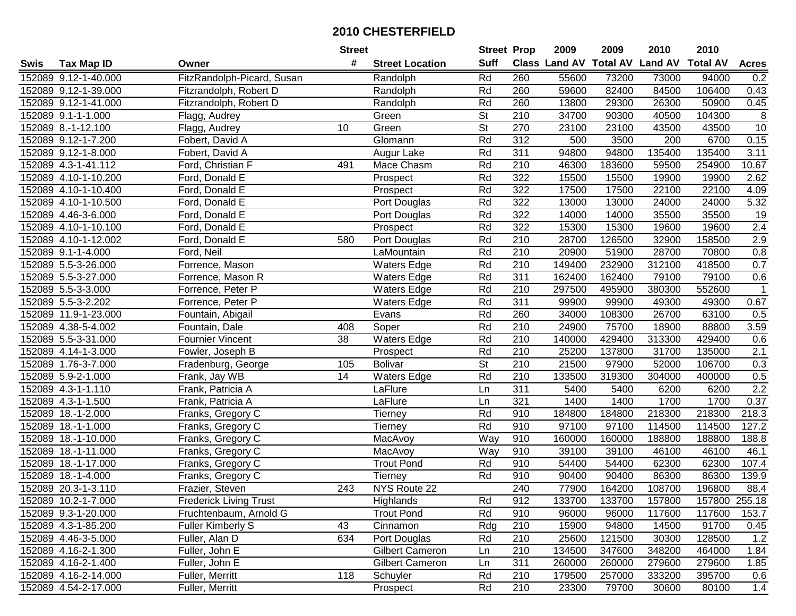|      |                      |                               | <b>Street</b> |                        | <b>Street Prop</b> |                  | 2009                          | 2009   | 2010           | 2010            |                |
|------|----------------------|-------------------------------|---------------|------------------------|--------------------|------------------|-------------------------------|--------|----------------|-----------------|----------------|
| Swis | <b>Tax Map ID</b>    | Owner                         | #             | <b>Street Location</b> | <b>Suff</b>        |                  | <b>Class Land AV Total AV</b> |        | <b>Land AV</b> | <b>Total AV</b> | <b>Acres</b>   |
|      | 152089 9.12-1-40.000 | FitzRandolph-Picard, Susan    |               | Randolph               | Rd                 | 260              | 55600                         | 73200  | 73000          | 94000           | 0.2            |
|      | 152089 9.12-1-39.000 | Fitzrandolph, Robert D        |               | Randolph               | Rd                 | 260              | 59600                         | 82400  | 84500          | 106400          | 0.43           |
|      | 152089 9.12-1-41.000 | Fitzrandolph, Robert D        |               | Randolph               | Rd                 | 260              | 13800                         | 29300  | 26300          | 50900           | 0.45           |
|      | 152089 9.1-1-1.000   | Flagg, Audrey                 |               | Green                  | <b>St</b>          | 210              | 34700                         | 90300  | 40500          | 104300          | $\overline{8}$ |
|      | 152089 8.-1-12.100   | Flagg, Audrey                 | 10            | Green                  | <b>St</b>          | 270              | 23100                         | 23100  | 43500          | 43500           | 10             |
|      | 152089 9.12-1-7.200  | Fobert, David A               |               | Glomann                | Rd                 | $\overline{312}$ | 500                           | 3500   | 200            | 6700            | 0.15           |
|      | 152089 9.12-1-8.000  | Fobert, David A               |               | Augur Lake             | Rd                 | 311              | 94800                         | 94800  | 135400         | 135400          | 3.11           |
|      | 152089 4.3-1-41.112  | Ford, Christian F             | 491           | Mace Chasm             | Rd                 | $\overline{210}$ | 46300                         | 183600 | 59500          | 254900          | 10.67          |
|      | 152089 4.10-1-10.200 | Ford, Donald E                |               | Prospect               | Rd                 | 322              | 15500                         | 15500  | 19900          | 19900           | 2.62           |
|      | 152089 4.10-1-10.400 | Ford, Donald E                |               | Prospect               | Rd                 | 322              | 17500                         | 17500  | 22100          | 22100           | 4.09           |
|      | 152089 4.10-1-10.500 | Ford, Donald E                |               | Port Douglas           | Rd                 | 322              | 13000                         | 13000  | 24000          | 24000           | 5.32           |
|      | 152089 4.46-3-6.000  | Ford, Donald E                |               | Port Douglas           | Rd                 | 322              | 14000                         | 14000  | 35500          | 35500           | 19             |
|      | 152089 4.10-1-10.100 | Ford, Donald E                |               | Prospect               | Rd                 | 322              | 15300                         | 15300  | 19600          | 19600           | 2.4            |
|      | 152089 4.10-1-12.002 | Ford, Donald E                | 580           | Port Douglas           | Rd                 | 210              | 28700                         | 126500 | 32900          | 158500          | 2.9            |
|      | 152089 9.1-1-4.000   | Ford, Neil                    |               | LaMountain             | Rd                 | 210              | 20900                         | 51900  | 28700          | 70800           | 0.8            |
|      | 152089 5.5-3-26.000  | Forrence, Mason               |               | Waters Edge            | Rd                 | 210              | 149400                        | 232900 | 312100         | 418500          | 0.7            |
|      | 152089 5.5-3-27.000  | Forrence, Mason R             |               | <b>Waters Edge</b>     | Rd                 | $\overline{311}$ | 162400                        | 162400 | 79100          | 79100           | 0.6            |
|      | 152089 5.5-3-3.000   | Forrence, Peter P             |               | <b>Waters Edge</b>     | Rd                 | 210              | 297500                        | 495900 | 380300         | 552600          | $\mathbf 1$    |
|      | 152089 5.5-3-2.202   | Forrence, Peter P             |               | <b>Waters Edge</b>     | Rd                 | 311              | 99900                         | 99900  | 49300          | 49300           | 0.67           |
|      | 152089 11.9-1-23.000 | Fountain, Abigail             |               | Evans                  | Rd                 | 260              | 34000                         | 108300 | 26700          | 63100           | 0.5            |
|      | 152089 4.38-5-4.002  | Fountain, Dale                | 408           | Soper                  | Rd                 | 210              | 24900                         | 75700  | 18900          | 88800           | 3.59           |
|      | 152089 5.5-3-31.000  | <b>Fournier Vincent</b>       | 38            | <b>Waters Edge</b>     | Rd                 | 210              | 140000                        | 429400 | 313300         | 429400          | 0.6            |
|      | 152089 4.14-1-3.000  | Fowler, Joseph B              |               | Prospect               | Rd                 | 210              | 25200                         | 137800 | 31700          | 135000          | 2.1            |
|      | 152089 1.76-3-7.000  | Fradenburg, George            | 105           | <b>Bolivar</b>         | <b>St</b>          | 210              | 21500                         | 97900  | 52000          | 106700          | 0.3            |
|      | 152089 5.9-2-1.000   | Frank, Jay WB                 | 14            | <b>Waters Edge</b>     | Rd                 | $\overline{210}$ | 133500                        | 319300 | 304000         | 400000          | 0.5            |
|      | 152089 4.3-1-1.110   | Frank, Patricia A             |               | LaFlure                | Ln                 | 311              | 5400                          | 5400   | 6200           | 6200            | 2.2            |
|      | 152089 4.3-1-1.500   | Frank, Patricia A             |               | LaFlure                | Ln                 | 321              | 1400                          | 1400   | 1700           | 1700            | 0.37           |
|      | 152089 18.-1-2.000   | Franks, Gregory C             |               | Tierney                | Rd                 | 910              | 184800                        | 184800 | 218300         | 218300          | 218.3          |
|      | 152089 18.-1-1.000   | Franks, Gregory C             |               | Tierney                | Rd                 | 910              | 97100                         | 97100  | 114500         | 114500          | 127.2          |
|      | 152089 18.-1-10.000  | Franks, Gregory C             |               | MacAvoy                | Way                | 910              | 160000                        | 160000 | 188800         | 188800          | 188.8          |
|      | 152089 18.-1-11.000  | Franks, Gregory C             |               | MacAvoy                | Way                | 910              | 39100                         | 39100  | 46100          | 46100           | 46.1           |
|      | 152089 18.-1-17.000  | Franks, Gregory C             |               | <b>Trout Pond</b>      | Rd                 | 910              | 54400                         | 54400  | 62300          | 62300           | 107.4          |
|      | 152089 18.-1-4.000   | Franks, Gregory C             |               | Tierney                | Rd                 | 910              | 90400                         | 90400  | 86300          | 86300           | 139.9          |
|      | 152089 20.3-1-3.110  | Frazier, Steven               | 243           | NYS Route 22           |                    | 240              | 77900                         | 164200 | 108700         | 196800          | 88.4           |
|      | 152089 10.2-1-7.000  | <b>Frederick Living Trust</b> |               | Highlands              | Rd                 | 912              | 133700                        | 133700 | 157800         | 157800 255.18   |                |
|      | 152089 9.3-1-20.000  | Fruchtenbaum, Arnold G        |               | <b>Trout Pond</b>      | Rd                 | 910              | 96000                         | 96000  | 117600         | 117600          | 153.7          |
|      | 152089 4.3-1-85.200  | <b>Fuller Kimberly S</b>      | 43            | Cinnamon               | Rdg                | 210              | 15900                         | 94800  | 14500          | 91700           | 0.45           |
|      | 152089 4.46-3-5.000  | Fuller, Alan D                | 634           | Port Douglas           | Rd                 | 210              | 25600                         | 121500 | 30300          | 128500          | 1.2            |
|      | 152089 4.16-2-1.300  | Fuller, John E                |               | <b>Gilbert Cameron</b> | Ln                 | 210              | 134500                        | 347600 | 348200         | 464000          | 1.84           |
|      | 152089 4.16-2-1.400  | Fuller, John E                |               | <b>Gilbert Cameron</b> | Ln                 | 311              | 260000                        | 260000 | 279600         | 279600          | 1.85           |
|      | 152089 4.16-2-14.000 | Fuller, Merritt               | 118           | Schuyler               | Rd                 | 210              | 179500                        | 257000 | 333200         | 395700          | 0.6            |
|      | 152089 4.54-2-17.000 | Fuller, Merritt               |               | Prospect               | Rd                 | 210              | 23300                         | 79700  | 30600          | 80100           | 1.4            |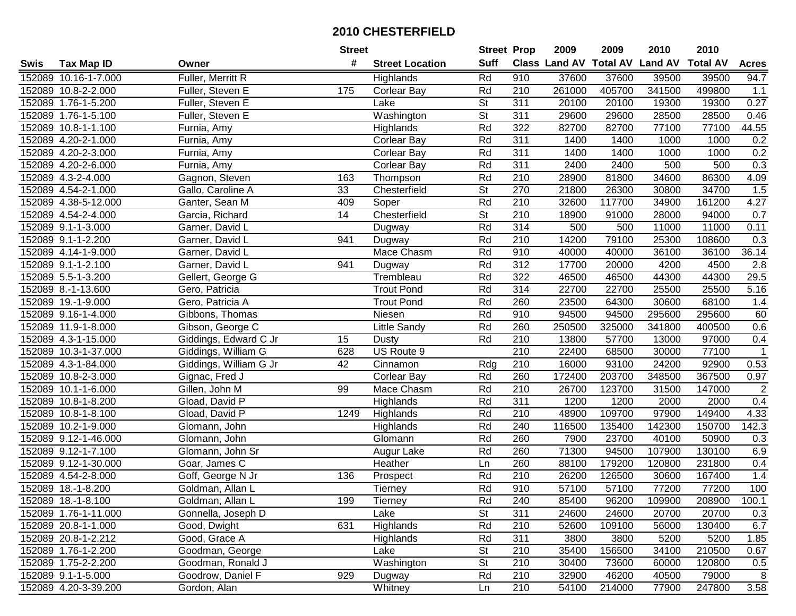| #<br><b>Suff</b><br>Class Land AV<br><b>Total AV</b><br><b>Land AV</b><br><b>Total AV</b><br><b>Acres</b><br><b>Tax Map ID</b><br><b>Street Location</b><br>Swis<br>Owner<br>Rd<br>910<br>37600<br>152089 10.16-1-7.000<br>Fuller, Merritt R<br>37600<br>39500<br>39500<br>94.7<br>Highlands<br>Rd<br>210<br>261000<br>405700<br>341500<br>152089 10.8-2-2.000<br>175<br><b>Corlear Bay</b><br>499800<br>1.1<br>Fuller, Steven E<br><b>St</b><br>0.27<br>152089 1.76-1-5.200<br>Fuller, Steven E<br>311<br>20100<br>20100<br>19300<br>19300<br>Lake<br>$\overline{\mathsf{St}}$<br>$\overline{311}$<br>Washington<br>29600<br>29600<br>28500<br>28500<br>0.46<br>152089 1.76-1-5.100<br>Fuller, Steven E<br>Rd<br>322<br>44.55<br>152089 10.8-1-1.100<br>82700<br>82700<br>77100<br>77100<br>Furnia, Amy<br>Highlands<br>Rd<br>311<br>0.2<br>152089 4.20-2-1.000<br>Furnia, Amy<br><b>Corlear Bay</b><br>1400<br>1400<br>1000<br>1000<br>0.2<br>152089 4.20-2-3.000<br>Rd<br>311<br>1400<br>Furnia, Amy<br><b>Corlear Bay</b><br>1400<br>1000<br>1000<br>Rd<br>311<br>0.3<br>152089 4.20-2-6.000<br>2400<br>2400<br>500<br>500<br>Furnia, Amy<br><b>Corlear Bay</b><br>Rd<br>$\overline{210}$<br>28900<br>81800<br>86300<br>4.09<br>152089 4.3-2-4.000<br>Gagnon, Steven<br>163<br>34600<br>Thompson<br>$\overline{\mathsf{St}}$<br>270<br>34700<br>1.5<br>152089 4.54-2-1.000<br>Gallo, Caroline A<br>33<br>Chesterfield<br>21800<br>26300<br>30800<br>Rd<br>152089 4.38-5-12.000<br>210<br>32600<br>4.27<br>Ganter, Sean M<br>409<br>Soper<br>117700<br>34900<br>161200<br>Chesterfield<br>St<br>210<br>152089 4.54-2-4.000<br>14<br>18900<br>91000<br>28000<br>94000<br>0.7<br>Garcia, Richard<br>Rd<br>$\overline{314}$<br>152089 9.1-1-3.000<br>500<br>500<br>11000<br>11000<br>0.11<br>Garner, David L<br>Dugway<br>Rd<br>210<br>79100<br>25300<br>152089 9.1-1-2.200<br>Garner, David L<br>941<br>14200<br>108600<br>0.3<br>Dugway<br>Mace Chasm<br>Rd<br>910<br>36.14<br>152089 4.14-1-9.000<br>Garner, David L<br>40000<br>40000<br>36100<br>36100<br>Rd<br>312<br>152089 9.1-1-2.100<br>17700<br>20000<br>4200<br>4500<br>2.8<br>Garner, David L<br>941<br>Dugway<br>Rd<br>322<br>29.5<br>152089 5.5-1-3.200<br>Trembleau<br>44300<br>Gellert, George G<br>46500<br>46500<br>44300<br>Rd<br>314<br>5.16<br>152089 8.-1-13.600<br><b>Trout Pond</b><br>22700<br>22700<br>25500<br>25500<br>Gero, Patricia<br>Rd<br>260<br>23500<br>152089 19.-1-9.000<br>Gero, Patricia A<br>64300<br>30600<br>68100<br>1.4<br><b>Trout Pond</b><br>Rd<br>60<br>152089 9.16-1-4.000<br>Gibbons, Thomas<br>910<br>94500<br>94500<br>295600<br>295600<br>Niesen<br>Rd<br>0.6<br>260<br>250500<br>325000<br>341800<br>400500<br>152089 11.9-1-8.000<br>Gibson, George C<br>Little Sandy<br>Rd<br>210<br>0.4<br>152089 4.3-1-15.000<br>Giddings, Edward C Jr<br>15<br>13800<br>57700<br>13000<br>97000<br>Dusty<br>210<br>22400<br>77100<br>$\mathbf{1}$<br>152089 10.3-1-37.000<br>Giddings, William G<br>628<br>US Route 9<br>68500<br>30000<br>210<br>0.53<br>152089 4.3-1-84.000<br>Giddings, William G Jr<br>42<br>Rdg<br>16000<br>93100<br>24200<br>92900<br>Cinnamon<br>Rd<br>260<br>172400<br>203700<br>348500<br>367500<br>0.97<br>152089 10.8-2-3.000<br>Gignac, Fred J<br><b>Corlear Bay</b><br>$\sqrt{2}$<br>Rd<br>210<br>26700<br>123700<br>152089 10.1-1-6.000<br>Gillen, John M<br>99<br>Mace Chasm<br>31500<br>147000<br>Rd<br>311<br>1200<br>1200<br>0.4<br>152089 10.8-1-8.200<br>Gload, David P<br>Highlands<br>2000<br>2000<br>Rd<br>210<br>48900<br>109700<br>97900<br>149400<br>152089 10.8-1-8.100<br>Gload, David P<br>1249<br>Highlands<br>4.33<br>Rd<br>240<br>116500<br>152089 10.2-1-9.000<br>135400<br>142300<br>150700<br>142.3<br>Glomann, John<br>Highlands<br>Rd<br>260<br>7900<br>50900<br>152089 9.12-1-46.000<br>23700<br>40100<br>Glomann, John<br>Glomann<br>0.3<br>260<br>152089 9.12-1-7.100<br>Rd<br>71300<br>94500<br>107900<br>130100<br>6.9<br>Glomann, John Sr<br>Augur Lake<br>152089 9.12-1-30.000<br>Heather<br>260<br>88100<br>179200<br>231800<br>0.4<br>Goar, James C<br>Ln<br>120800<br>210<br>Rd<br>26200<br>1.4<br>152089 4.54-2-8.000<br>Goff, George N Jr<br>136<br>126500<br>30600<br>167400<br>Prospect<br>Rd<br>910<br>77200<br>100<br>152089 18.-1-8.200<br>Goldman, Allan L<br>Tierney<br>57100<br>57100<br>77200<br>152089 18.-1-8.100<br>Goldman, Allan L<br>199<br>Tierney<br>Rd<br>240<br>85400<br>96200<br>109900<br>208900<br>100.1<br><b>St</b><br>311<br>152089 1.76-1-11.000<br>Gonnella, Joseph D<br>Lake<br>24600<br>24600<br>20700<br>20700<br>0.3<br>631<br>Rd<br>210<br>130400<br>152089 20.8-1-1.000<br>Good, Dwight<br>Highlands<br>52600<br>109100<br>56000<br>6.7<br>Rd<br>311<br>152089 20.8-1-2.212<br>3800<br>5200<br>5200<br>1.85<br>Good, Grace A<br>Highlands<br>3800<br>152089 1.76-1-2.200<br><b>St</b><br>210<br>35400<br>210500<br>0.67<br>Goodman, George<br>Lake<br>156500<br>34100<br><b>St</b><br>210<br>30400<br>152089 1.75-2-2.200<br>Goodman, Ronald J<br>Washington<br>73600<br>60000<br>120800<br>0.5<br>929<br>210<br>152089 9.1-1-5.000<br>Goodrow, Daniel F<br>Rd<br>32900<br>46200<br>40500<br>79000<br>8<br>Dugway<br>210<br>152089 4.20-3-39.200<br>Gordon, Alan<br>54100<br>214000<br>77900<br>247800<br>Ln |  | <b>Street</b> |         | <b>Street Prop</b> | 2009 | 2009 | 2010 | 2010 |      |
|------------------------------------------------------------------------------------------------------------------------------------------------------------------------------------------------------------------------------------------------------------------------------------------------------------------------------------------------------------------------------------------------------------------------------------------------------------------------------------------------------------------------------------------------------------------------------------------------------------------------------------------------------------------------------------------------------------------------------------------------------------------------------------------------------------------------------------------------------------------------------------------------------------------------------------------------------------------------------------------------------------------------------------------------------------------------------------------------------------------------------------------------------------------------------------------------------------------------------------------------------------------------------------------------------------------------------------------------------------------------------------------------------------------------------------------------------------------------------------------------------------------------------------------------------------------------------------------------------------------------------------------------------------------------------------------------------------------------------------------------------------------------------------------------------------------------------------------------------------------------------------------------------------------------------------------------------------------------------------------------------------------------------------------------------------------------------------------------------------------------------------------------------------------------------------------------------------------------------------------------------------------------------------------------------------------------------------------------------------------------------------------------------------------------------------------------------------------------------------------------------------------------------------------------------------------------------------------------------------------------------------------------------------------------------------------------------------------------------------------------------------------------------------------------------------------------------------------------------------------------------------------------------------------------------------------------------------------------------------------------------------------------------------------------------------------------------------------------------------------------------------------------------------------------------------------------------------------------------------------------------------------------------------------------------------------------------------------------------------------------------------------------------------------------------------------------------------------------------------------------------------------------------------------------------------------------------------------------------------------------------------------------------------------------------------------------------------------------------------------------------------------------------------------------------------------------------------------------------------------------------------------------------------------------------------------------------------------------------------------------------------------------------------------------------------------------------------------------------------------------------------------------------------------------------------------------------------------------------------------------------------------------------------------------------------------------------------------------------------------------------------------------------------------------------------------------------------------------------------------------------------------------------------------------------------------------------------------------------------------------------------------------------------------------------------------------------------------------------------------------------------------------------------------------------------------------------------------------------------------------------------------------------------------------------------------------------------------------------------------------------------------------------------------------------------------------------------------------------------------------------------------------------------------------------------------------------------------------------------------------------------------------------------------------------------|--|---------------|---------|--------------------|------|------|------|------|------|
|                                                                                                                                                                                                                                                                                                                                                                                                                                                                                                                                                                                                                                                                                                                                                                                                                                                                                                                                                                                                                                                                                                                                                                                                                                                                                                                                                                                                                                                                                                                                                                                                                                                                                                                                                                                                                                                                                                                                                                                                                                                                                                                                                                                                                                                                                                                                                                                                                                                                                                                                                                                                                                                                                                                                                                                                                                                                                                                                                                                                                                                                                                                                                                                                                                                                                                                                                                                                                                                                                                                                                                                                                                                                                                                                                                                                                                                                                                                                                                                                                                                                                                                                                                                                                                                                                                                                                                                                                                                                                                                                                                                                                                                                                                                                                                                                                                                                                                                                                                                                                                                                                                                                                                                                                                                                                                            |  |               |         |                    |      |      |      |      |      |
|                                                                                                                                                                                                                                                                                                                                                                                                                                                                                                                                                                                                                                                                                                                                                                                                                                                                                                                                                                                                                                                                                                                                                                                                                                                                                                                                                                                                                                                                                                                                                                                                                                                                                                                                                                                                                                                                                                                                                                                                                                                                                                                                                                                                                                                                                                                                                                                                                                                                                                                                                                                                                                                                                                                                                                                                                                                                                                                                                                                                                                                                                                                                                                                                                                                                                                                                                                                                                                                                                                                                                                                                                                                                                                                                                                                                                                                                                                                                                                                                                                                                                                                                                                                                                                                                                                                                                                                                                                                                                                                                                                                                                                                                                                                                                                                                                                                                                                                                                                                                                                                                                                                                                                                                                                                                                                            |  |               |         |                    |      |      |      |      |      |
|                                                                                                                                                                                                                                                                                                                                                                                                                                                                                                                                                                                                                                                                                                                                                                                                                                                                                                                                                                                                                                                                                                                                                                                                                                                                                                                                                                                                                                                                                                                                                                                                                                                                                                                                                                                                                                                                                                                                                                                                                                                                                                                                                                                                                                                                                                                                                                                                                                                                                                                                                                                                                                                                                                                                                                                                                                                                                                                                                                                                                                                                                                                                                                                                                                                                                                                                                                                                                                                                                                                                                                                                                                                                                                                                                                                                                                                                                                                                                                                                                                                                                                                                                                                                                                                                                                                                                                                                                                                                                                                                                                                                                                                                                                                                                                                                                                                                                                                                                                                                                                                                                                                                                                                                                                                                                                            |  |               |         |                    |      |      |      |      |      |
|                                                                                                                                                                                                                                                                                                                                                                                                                                                                                                                                                                                                                                                                                                                                                                                                                                                                                                                                                                                                                                                                                                                                                                                                                                                                                                                                                                                                                                                                                                                                                                                                                                                                                                                                                                                                                                                                                                                                                                                                                                                                                                                                                                                                                                                                                                                                                                                                                                                                                                                                                                                                                                                                                                                                                                                                                                                                                                                                                                                                                                                                                                                                                                                                                                                                                                                                                                                                                                                                                                                                                                                                                                                                                                                                                                                                                                                                                                                                                                                                                                                                                                                                                                                                                                                                                                                                                                                                                                                                                                                                                                                                                                                                                                                                                                                                                                                                                                                                                                                                                                                                                                                                                                                                                                                                                                            |  |               |         |                    |      |      |      |      |      |
|                                                                                                                                                                                                                                                                                                                                                                                                                                                                                                                                                                                                                                                                                                                                                                                                                                                                                                                                                                                                                                                                                                                                                                                                                                                                                                                                                                                                                                                                                                                                                                                                                                                                                                                                                                                                                                                                                                                                                                                                                                                                                                                                                                                                                                                                                                                                                                                                                                                                                                                                                                                                                                                                                                                                                                                                                                                                                                                                                                                                                                                                                                                                                                                                                                                                                                                                                                                                                                                                                                                                                                                                                                                                                                                                                                                                                                                                                                                                                                                                                                                                                                                                                                                                                                                                                                                                                                                                                                                                                                                                                                                                                                                                                                                                                                                                                                                                                                                                                                                                                                                                                                                                                                                                                                                                                                            |  |               |         |                    |      |      |      |      |      |
|                                                                                                                                                                                                                                                                                                                                                                                                                                                                                                                                                                                                                                                                                                                                                                                                                                                                                                                                                                                                                                                                                                                                                                                                                                                                                                                                                                                                                                                                                                                                                                                                                                                                                                                                                                                                                                                                                                                                                                                                                                                                                                                                                                                                                                                                                                                                                                                                                                                                                                                                                                                                                                                                                                                                                                                                                                                                                                                                                                                                                                                                                                                                                                                                                                                                                                                                                                                                                                                                                                                                                                                                                                                                                                                                                                                                                                                                                                                                                                                                                                                                                                                                                                                                                                                                                                                                                                                                                                                                                                                                                                                                                                                                                                                                                                                                                                                                                                                                                                                                                                                                                                                                                                                                                                                                                                            |  |               |         |                    |      |      |      |      |      |
|                                                                                                                                                                                                                                                                                                                                                                                                                                                                                                                                                                                                                                                                                                                                                                                                                                                                                                                                                                                                                                                                                                                                                                                                                                                                                                                                                                                                                                                                                                                                                                                                                                                                                                                                                                                                                                                                                                                                                                                                                                                                                                                                                                                                                                                                                                                                                                                                                                                                                                                                                                                                                                                                                                                                                                                                                                                                                                                                                                                                                                                                                                                                                                                                                                                                                                                                                                                                                                                                                                                                                                                                                                                                                                                                                                                                                                                                                                                                                                                                                                                                                                                                                                                                                                                                                                                                                                                                                                                                                                                                                                                                                                                                                                                                                                                                                                                                                                                                                                                                                                                                                                                                                                                                                                                                                                            |  |               |         |                    |      |      |      |      |      |
|                                                                                                                                                                                                                                                                                                                                                                                                                                                                                                                                                                                                                                                                                                                                                                                                                                                                                                                                                                                                                                                                                                                                                                                                                                                                                                                                                                                                                                                                                                                                                                                                                                                                                                                                                                                                                                                                                                                                                                                                                                                                                                                                                                                                                                                                                                                                                                                                                                                                                                                                                                                                                                                                                                                                                                                                                                                                                                                                                                                                                                                                                                                                                                                                                                                                                                                                                                                                                                                                                                                                                                                                                                                                                                                                                                                                                                                                                                                                                                                                                                                                                                                                                                                                                                                                                                                                                                                                                                                                                                                                                                                                                                                                                                                                                                                                                                                                                                                                                                                                                                                                                                                                                                                                                                                                                                            |  |               |         |                    |      |      |      |      |      |
|                                                                                                                                                                                                                                                                                                                                                                                                                                                                                                                                                                                                                                                                                                                                                                                                                                                                                                                                                                                                                                                                                                                                                                                                                                                                                                                                                                                                                                                                                                                                                                                                                                                                                                                                                                                                                                                                                                                                                                                                                                                                                                                                                                                                                                                                                                                                                                                                                                                                                                                                                                                                                                                                                                                                                                                                                                                                                                                                                                                                                                                                                                                                                                                                                                                                                                                                                                                                                                                                                                                                                                                                                                                                                                                                                                                                                                                                                                                                                                                                                                                                                                                                                                                                                                                                                                                                                                                                                                                                                                                                                                                                                                                                                                                                                                                                                                                                                                                                                                                                                                                                                                                                                                                                                                                                                                            |  |               |         |                    |      |      |      |      |      |
|                                                                                                                                                                                                                                                                                                                                                                                                                                                                                                                                                                                                                                                                                                                                                                                                                                                                                                                                                                                                                                                                                                                                                                                                                                                                                                                                                                                                                                                                                                                                                                                                                                                                                                                                                                                                                                                                                                                                                                                                                                                                                                                                                                                                                                                                                                                                                                                                                                                                                                                                                                                                                                                                                                                                                                                                                                                                                                                                                                                                                                                                                                                                                                                                                                                                                                                                                                                                                                                                                                                                                                                                                                                                                                                                                                                                                                                                                                                                                                                                                                                                                                                                                                                                                                                                                                                                                                                                                                                                                                                                                                                                                                                                                                                                                                                                                                                                                                                                                                                                                                                                                                                                                                                                                                                                                                            |  |               |         |                    |      |      |      |      |      |
|                                                                                                                                                                                                                                                                                                                                                                                                                                                                                                                                                                                                                                                                                                                                                                                                                                                                                                                                                                                                                                                                                                                                                                                                                                                                                                                                                                                                                                                                                                                                                                                                                                                                                                                                                                                                                                                                                                                                                                                                                                                                                                                                                                                                                                                                                                                                                                                                                                                                                                                                                                                                                                                                                                                                                                                                                                                                                                                                                                                                                                                                                                                                                                                                                                                                                                                                                                                                                                                                                                                                                                                                                                                                                                                                                                                                                                                                                                                                                                                                                                                                                                                                                                                                                                                                                                                                                                                                                                                                                                                                                                                                                                                                                                                                                                                                                                                                                                                                                                                                                                                                                                                                                                                                                                                                                                            |  |               |         |                    |      |      |      |      |      |
|                                                                                                                                                                                                                                                                                                                                                                                                                                                                                                                                                                                                                                                                                                                                                                                                                                                                                                                                                                                                                                                                                                                                                                                                                                                                                                                                                                                                                                                                                                                                                                                                                                                                                                                                                                                                                                                                                                                                                                                                                                                                                                                                                                                                                                                                                                                                                                                                                                                                                                                                                                                                                                                                                                                                                                                                                                                                                                                                                                                                                                                                                                                                                                                                                                                                                                                                                                                                                                                                                                                                                                                                                                                                                                                                                                                                                                                                                                                                                                                                                                                                                                                                                                                                                                                                                                                                                                                                                                                                                                                                                                                                                                                                                                                                                                                                                                                                                                                                                                                                                                                                                                                                                                                                                                                                                                            |  |               |         |                    |      |      |      |      |      |
|                                                                                                                                                                                                                                                                                                                                                                                                                                                                                                                                                                                                                                                                                                                                                                                                                                                                                                                                                                                                                                                                                                                                                                                                                                                                                                                                                                                                                                                                                                                                                                                                                                                                                                                                                                                                                                                                                                                                                                                                                                                                                                                                                                                                                                                                                                                                                                                                                                                                                                                                                                                                                                                                                                                                                                                                                                                                                                                                                                                                                                                                                                                                                                                                                                                                                                                                                                                                                                                                                                                                                                                                                                                                                                                                                                                                                                                                                                                                                                                                                                                                                                                                                                                                                                                                                                                                                                                                                                                                                                                                                                                                                                                                                                                                                                                                                                                                                                                                                                                                                                                                                                                                                                                                                                                                                                            |  |               |         |                    |      |      |      |      |      |
|                                                                                                                                                                                                                                                                                                                                                                                                                                                                                                                                                                                                                                                                                                                                                                                                                                                                                                                                                                                                                                                                                                                                                                                                                                                                                                                                                                                                                                                                                                                                                                                                                                                                                                                                                                                                                                                                                                                                                                                                                                                                                                                                                                                                                                                                                                                                                                                                                                                                                                                                                                                                                                                                                                                                                                                                                                                                                                                                                                                                                                                                                                                                                                                                                                                                                                                                                                                                                                                                                                                                                                                                                                                                                                                                                                                                                                                                                                                                                                                                                                                                                                                                                                                                                                                                                                                                                                                                                                                                                                                                                                                                                                                                                                                                                                                                                                                                                                                                                                                                                                                                                                                                                                                                                                                                                                            |  |               |         |                    |      |      |      |      |      |
|                                                                                                                                                                                                                                                                                                                                                                                                                                                                                                                                                                                                                                                                                                                                                                                                                                                                                                                                                                                                                                                                                                                                                                                                                                                                                                                                                                                                                                                                                                                                                                                                                                                                                                                                                                                                                                                                                                                                                                                                                                                                                                                                                                                                                                                                                                                                                                                                                                                                                                                                                                                                                                                                                                                                                                                                                                                                                                                                                                                                                                                                                                                                                                                                                                                                                                                                                                                                                                                                                                                                                                                                                                                                                                                                                                                                                                                                                                                                                                                                                                                                                                                                                                                                                                                                                                                                                                                                                                                                                                                                                                                                                                                                                                                                                                                                                                                                                                                                                                                                                                                                                                                                                                                                                                                                                                            |  |               |         |                    |      |      |      |      |      |
|                                                                                                                                                                                                                                                                                                                                                                                                                                                                                                                                                                                                                                                                                                                                                                                                                                                                                                                                                                                                                                                                                                                                                                                                                                                                                                                                                                                                                                                                                                                                                                                                                                                                                                                                                                                                                                                                                                                                                                                                                                                                                                                                                                                                                                                                                                                                                                                                                                                                                                                                                                                                                                                                                                                                                                                                                                                                                                                                                                                                                                                                                                                                                                                                                                                                                                                                                                                                                                                                                                                                                                                                                                                                                                                                                                                                                                                                                                                                                                                                                                                                                                                                                                                                                                                                                                                                                                                                                                                                                                                                                                                                                                                                                                                                                                                                                                                                                                                                                                                                                                                                                                                                                                                                                                                                                                            |  |               |         |                    |      |      |      |      |      |
|                                                                                                                                                                                                                                                                                                                                                                                                                                                                                                                                                                                                                                                                                                                                                                                                                                                                                                                                                                                                                                                                                                                                                                                                                                                                                                                                                                                                                                                                                                                                                                                                                                                                                                                                                                                                                                                                                                                                                                                                                                                                                                                                                                                                                                                                                                                                                                                                                                                                                                                                                                                                                                                                                                                                                                                                                                                                                                                                                                                                                                                                                                                                                                                                                                                                                                                                                                                                                                                                                                                                                                                                                                                                                                                                                                                                                                                                                                                                                                                                                                                                                                                                                                                                                                                                                                                                                                                                                                                                                                                                                                                                                                                                                                                                                                                                                                                                                                                                                                                                                                                                                                                                                                                                                                                                                                            |  |               |         |                    |      |      |      |      |      |
|                                                                                                                                                                                                                                                                                                                                                                                                                                                                                                                                                                                                                                                                                                                                                                                                                                                                                                                                                                                                                                                                                                                                                                                                                                                                                                                                                                                                                                                                                                                                                                                                                                                                                                                                                                                                                                                                                                                                                                                                                                                                                                                                                                                                                                                                                                                                                                                                                                                                                                                                                                                                                                                                                                                                                                                                                                                                                                                                                                                                                                                                                                                                                                                                                                                                                                                                                                                                                                                                                                                                                                                                                                                                                                                                                                                                                                                                                                                                                                                                                                                                                                                                                                                                                                                                                                                                                                                                                                                                                                                                                                                                                                                                                                                                                                                                                                                                                                                                                                                                                                                                                                                                                                                                                                                                                                            |  |               |         |                    |      |      |      |      |      |
|                                                                                                                                                                                                                                                                                                                                                                                                                                                                                                                                                                                                                                                                                                                                                                                                                                                                                                                                                                                                                                                                                                                                                                                                                                                                                                                                                                                                                                                                                                                                                                                                                                                                                                                                                                                                                                                                                                                                                                                                                                                                                                                                                                                                                                                                                                                                                                                                                                                                                                                                                                                                                                                                                                                                                                                                                                                                                                                                                                                                                                                                                                                                                                                                                                                                                                                                                                                                                                                                                                                                                                                                                                                                                                                                                                                                                                                                                                                                                                                                                                                                                                                                                                                                                                                                                                                                                                                                                                                                                                                                                                                                                                                                                                                                                                                                                                                                                                                                                                                                                                                                                                                                                                                                                                                                                                            |  |               |         |                    |      |      |      |      |      |
|                                                                                                                                                                                                                                                                                                                                                                                                                                                                                                                                                                                                                                                                                                                                                                                                                                                                                                                                                                                                                                                                                                                                                                                                                                                                                                                                                                                                                                                                                                                                                                                                                                                                                                                                                                                                                                                                                                                                                                                                                                                                                                                                                                                                                                                                                                                                                                                                                                                                                                                                                                                                                                                                                                                                                                                                                                                                                                                                                                                                                                                                                                                                                                                                                                                                                                                                                                                                                                                                                                                                                                                                                                                                                                                                                                                                                                                                                                                                                                                                                                                                                                                                                                                                                                                                                                                                                                                                                                                                                                                                                                                                                                                                                                                                                                                                                                                                                                                                                                                                                                                                                                                                                                                                                                                                                                            |  |               |         |                    |      |      |      |      |      |
|                                                                                                                                                                                                                                                                                                                                                                                                                                                                                                                                                                                                                                                                                                                                                                                                                                                                                                                                                                                                                                                                                                                                                                                                                                                                                                                                                                                                                                                                                                                                                                                                                                                                                                                                                                                                                                                                                                                                                                                                                                                                                                                                                                                                                                                                                                                                                                                                                                                                                                                                                                                                                                                                                                                                                                                                                                                                                                                                                                                                                                                                                                                                                                                                                                                                                                                                                                                                                                                                                                                                                                                                                                                                                                                                                                                                                                                                                                                                                                                                                                                                                                                                                                                                                                                                                                                                                                                                                                                                                                                                                                                                                                                                                                                                                                                                                                                                                                                                                                                                                                                                                                                                                                                                                                                                                                            |  |               |         |                    |      |      |      |      |      |
|                                                                                                                                                                                                                                                                                                                                                                                                                                                                                                                                                                                                                                                                                                                                                                                                                                                                                                                                                                                                                                                                                                                                                                                                                                                                                                                                                                                                                                                                                                                                                                                                                                                                                                                                                                                                                                                                                                                                                                                                                                                                                                                                                                                                                                                                                                                                                                                                                                                                                                                                                                                                                                                                                                                                                                                                                                                                                                                                                                                                                                                                                                                                                                                                                                                                                                                                                                                                                                                                                                                                                                                                                                                                                                                                                                                                                                                                                                                                                                                                                                                                                                                                                                                                                                                                                                                                                                                                                                                                                                                                                                                                                                                                                                                                                                                                                                                                                                                                                                                                                                                                                                                                                                                                                                                                                                            |  |               |         |                    |      |      |      |      |      |
|                                                                                                                                                                                                                                                                                                                                                                                                                                                                                                                                                                                                                                                                                                                                                                                                                                                                                                                                                                                                                                                                                                                                                                                                                                                                                                                                                                                                                                                                                                                                                                                                                                                                                                                                                                                                                                                                                                                                                                                                                                                                                                                                                                                                                                                                                                                                                                                                                                                                                                                                                                                                                                                                                                                                                                                                                                                                                                                                                                                                                                                                                                                                                                                                                                                                                                                                                                                                                                                                                                                                                                                                                                                                                                                                                                                                                                                                                                                                                                                                                                                                                                                                                                                                                                                                                                                                                                                                                                                                                                                                                                                                                                                                                                                                                                                                                                                                                                                                                                                                                                                                                                                                                                                                                                                                                                            |  |               |         |                    |      |      |      |      |      |
|                                                                                                                                                                                                                                                                                                                                                                                                                                                                                                                                                                                                                                                                                                                                                                                                                                                                                                                                                                                                                                                                                                                                                                                                                                                                                                                                                                                                                                                                                                                                                                                                                                                                                                                                                                                                                                                                                                                                                                                                                                                                                                                                                                                                                                                                                                                                                                                                                                                                                                                                                                                                                                                                                                                                                                                                                                                                                                                                                                                                                                                                                                                                                                                                                                                                                                                                                                                                                                                                                                                                                                                                                                                                                                                                                                                                                                                                                                                                                                                                                                                                                                                                                                                                                                                                                                                                                                                                                                                                                                                                                                                                                                                                                                                                                                                                                                                                                                                                                                                                                                                                                                                                                                                                                                                                                                            |  |               |         |                    |      |      |      |      |      |
|                                                                                                                                                                                                                                                                                                                                                                                                                                                                                                                                                                                                                                                                                                                                                                                                                                                                                                                                                                                                                                                                                                                                                                                                                                                                                                                                                                                                                                                                                                                                                                                                                                                                                                                                                                                                                                                                                                                                                                                                                                                                                                                                                                                                                                                                                                                                                                                                                                                                                                                                                                                                                                                                                                                                                                                                                                                                                                                                                                                                                                                                                                                                                                                                                                                                                                                                                                                                                                                                                                                                                                                                                                                                                                                                                                                                                                                                                                                                                                                                                                                                                                                                                                                                                                                                                                                                                                                                                                                                                                                                                                                                                                                                                                                                                                                                                                                                                                                                                                                                                                                                                                                                                                                                                                                                                                            |  |               |         |                    |      |      |      |      |      |
|                                                                                                                                                                                                                                                                                                                                                                                                                                                                                                                                                                                                                                                                                                                                                                                                                                                                                                                                                                                                                                                                                                                                                                                                                                                                                                                                                                                                                                                                                                                                                                                                                                                                                                                                                                                                                                                                                                                                                                                                                                                                                                                                                                                                                                                                                                                                                                                                                                                                                                                                                                                                                                                                                                                                                                                                                                                                                                                                                                                                                                                                                                                                                                                                                                                                                                                                                                                                                                                                                                                                                                                                                                                                                                                                                                                                                                                                                                                                                                                                                                                                                                                                                                                                                                                                                                                                                                                                                                                                                                                                                                                                                                                                                                                                                                                                                                                                                                                                                                                                                                                                                                                                                                                                                                                                                                            |  |               |         |                    |      |      |      |      |      |
|                                                                                                                                                                                                                                                                                                                                                                                                                                                                                                                                                                                                                                                                                                                                                                                                                                                                                                                                                                                                                                                                                                                                                                                                                                                                                                                                                                                                                                                                                                                                                                                                                                                                                                                                                                                                                                                                                                                                                                                                                                                                                                                                                                                                                                                                                                                                                                                                                                                                                                                                                                                                                                                                                                                                                                                                                                                                                                                                                                                                                                                                                                                                                                                                                                                                                                                                                                                                                                                                                                                                                                                                                                                                                                                                                                                                                                                                                                                                                                                                                                                                                                                                                                                                                                                                                                                                                                                                                                                                                                                                                                                                                                                                                                                                                                                                                                                                                                                                                                                                                                                                                                                                                                                                                                                                                                            |  |               |         |                    |      |      |      |      |      |
|                                                                                                                                                                                                                                                                                                                                                                                                                                                                                                                                                                                                                                                                                                                                                                                                                                                                                                                                                                                                                                                                                                                                                                                                                                                                                                                                                                                                                                                                                                                                                                                                                                                                                                                                                                                                                                                                                                                                                                                                                                                                                                                                                                                                                                                                                                                                                                                                                                                                                                                                                                                                                                                                                                                                                                                                                                                                                                                                                                                                                                                                                                                                                                                                                                                                                                                                                                                                                                                                                                                                                                                                                                                                                                                                                                                                                                                                                                                                                                                                                                                                                                                                                                                                                                                                                                                                                                                                                                                                                                                                                                                                                                                                                                                                                                                                                                                                                                                                                                                                                                                                                                                                                                                                                                                                                                            |  |               |         |                    |      |      |      |      |      |
|                                                                                                                                                                                                                                                                                                                                                                                                                                                                                                                                                                                                                                                                                                                                                                                                                                                                                                                                                                                                                                                                                                                                                                                                                                                                                                                                                                                                                                                                                                                                                                                                                                                                                                                                                                                                                                                                                                                                                                                                                                                                                                                                                                                                                                                                                                                                                                                                                                                                                                                                                                                                                                                                                                                                                                                                                                                                                                                                                                                                                                                                                                                                                                                                                                                                                                                                                                                                                                                                                                                                                                                                                                                                                                                                                                                                                                                                                                                                                                                                                                                                                                                                                                                                                                                                                                                                                                                                                                                                                                                                                                                                                                                                                                                                                                                                                                                                                                                                                                                                                                                                                                                                                                                                                                                                                                            |  |               |         |                    |      |      |      |      |      |
|                                                                                                                                                                                                                                                                                                                                                                                                                                                                                                                                                                                                                                                                                                                                                                                                                                                                                                                                                                                                                                                                                                                                                                                                                                                                                                                                                                                                                                                                                                                                                                                                                                                                                                                                                                                                                                                                                                                                                                                                                                                                                                                                                                                                                                                                                                                                                                                                                                                                                                                                                                                                                                                                                                                                                                                                                                                                                                                                                                                                                                                                                                                                                                                                                                                                                                                                                                                                                                                                                                                                                                                                                                                                                                                                                                                                                                                                                                                                                                                                                                                                                                                                                                                                                                                                                                                                                                                                                                                                                                                                                                                                                                                                                                                                                                                                                                                                                                                                                                                                                                                                                                                                                                                                                                                                                                            |  |               |         |                    |      |      |      |      |      |
|                                                                                                                                                                                                                                                                                                                                                                                                                                                                                                                                                                                                                                                                                                                                                                                                                                                                                                                                                                                                                                                                                                                                                                                                                                                                                                                                                                                                                                                                                                                                                                                                                                                                                                                                                                                                                                                                                                                                                                                                                                                                                                                                                                                                                                                                                                                                                                                                                                                                                                                                                                                                                                                                                                                                                                                                                                                                                                                                                                                                                                                                                                                                                                                                                                                                                                                                                                                                                                                                                                                                                                                                                                                                                                                                                                                                                                                                                                                                                                                                                                                                                                                                                                                                                                                                                                                                                                                                                                                                                                                                                                                                                                                                                                                                                                                                                                                                                                                                                                                                                                                                                                                                                                                                                                                                                                            |  |               |         |                    |      |      |      |      |      |
|                                                                                                                                                                                                                                                                                                                                                                                                                                                                                                                                                                                                                                                                                                                                                                                                                                                                                                                                                                                                                                                                                                                                                                                                                                                                                                                                                                                                                                                                                                                                                                                                                                                                                                                                                                                                                                                                                                                                                                                                                                                                                                                                                                                                                                                                                                                                                                                                                                                                                                                                                                                                                                                                                                                                                                                                                                                                                                                                                                                                                                                                                                                                                                                                                                                                                                                                                                                                                                                                                                                                                                                                                                                                                                                                                                                                                                                                                                                                                                                                                                                                                                                                                                                                                                                                                                                                                                                                                                                                                                                                                                                                                                                                                                                                                                                                                                                                                                                                                                                                                                                                                                                                                                                                                                                                                                            |  |               |         |                    |      |      |      |      |      |
|                                                                                                                                                                                                                                                                                                                                                                                                                                                                                                                                                                                                                                                                                                                                                                                                                                                                                                                                                                                                                                                                                                                                                                                                                                                                                                                                                                                                                                                                                                                                                                                                                                                                                                                                                                                                                                                                                                                                                                                                                                                                                                                                                                                                                                                                                                                                                                                                                                                                                                                                                                                                                                                                                                                                                                                                                                                                                                                                                                                                                                                                                                                                                                                                                                                                                                                                                                                                                                                                                                                                                                                                                                                                                                                                                                                                                                                                                                                                                                                                                                                                                                                                                                                                                                                                                                                                                                                                                                                                                                                                                                                                                                                                                                                                                                                                                                                                                                                                                                                                                                                                                                                                                                                                                                                                                                            |  |               |         |                    |      |      |      |      |      |
|                                                                                                                                                                                                                                                                                                                                                                                                                                                                                                                                                                                                                                                                                                                                                                                                                                                                                                                                                                                                                                                                                                                                                                                                                                                                                                                                                                                                                                                                                                                                                                                                                                                                                                                                                                                                                                                                                                                                                                                                                                                                                                                                                                                                                                                                                                                                                                                                                                                                                                                                                                                                                                                                                                                                                                                                                                                                                                                                                                                                                                                                                                                                                                                                                                                                                                                                                                                                                                                                                                                                                                                                                                                                                                                                                                                                                                                                                                                                                                                                                                                                                                                                                                                                                                                                                                                                                                                                                                                                                                                                                                                                                                                                                                                                                                                                                                                                                                                                                                                                                                                                                                                                                                                                                                                                                                            |  |               |         |                    |      |      |      |      |      |
|                                                                                                                                                                                                                                                                                                                                                                                                                                                                                                                                                                                                                                                                                                                                                                                                                                                                                                                                                                                                                                                                                                                                                                                                                                                                                                                                                                                                                                                                                                                                                                                                                                                                                                                                                                                                                                                                                                                                                                                                                                                                                                                                                                                                                                                                                                                                                                                                                                                                                                                                                                                                                                                                                                                                                                                                                                                                                                                                                                                                                                                                                                                                                                                                                                                                                                                                                                                                                                                                                                                                                                                                                                                                                                                                                                                                                                                                                                                                                                                                                                                                                                                                                                                                                                                                                                                                                                                                                                                                                                                                                                                                                                                                                                                                                                                                                                                                                                                                                                                                                                                                                                                                                                                                                                                                                                            |  |               |         |                    |      |      |      |      |      |
|                                                                                                                                                                                                                                                                                                                                                                                                                                                                                                                                                                                                                                                                                                                                                                                                                                                                                                                                                                                                                                                                                                                                                                                                                                                                                                                                                                                                                                                                                                                                                                                                                                                                                                                                                                                                                                                                                                                                                                                                                                                                                                                                                                                                                                                                                                                                                                                                                                                                                                                                                                                                                                                                                                                                                                                                                                                                                                                                                                                                                                                                                                                                                                                                                                                                                                                                                                                                                                                                                                                                                                                                                                                                                                                                                                                                                                                                                                                                                                                                                                                                                                                                                                                                                                                                                                                                                                                                                                                                                                                                                                                                                                                                                                                                                                                                                                                                                                                                                                                                                                                                                                                                                                                                                                                                                                            |  |               |         |                    |      |      |      |      |      |
|                                                                                                                                                                                                                                                                                                                                                                                                                                                                                                                                                                                                                                                                                                                                                                                                                                                                                                                                                                                                                                                                                                                                                                                                                                                                                                                                                                                                                                                                                                                                                                                                                                                                                                                                                                                                                                                                                                                                                                                                                                                                                                                                                                                                                                                                                                                                                                                                                                                                                                                                                                                                                                                                                                                                                                                                                                                                                                                                                                                                                                                                                                                                                                                                                                                                                                                                                                                                                                                                                                                                                                                                                                                                                                                                                                                                                                                                                                                                                                                                                                                                                                                                                                                                                                                                                                                                                                                                                                                                                                                                                                                                                                                                                                                                                                                                                                                                                                                                                                                                                                                                                                                                                                                                                                                                                                            |  |               |         |                    |      |      |      |      |      |
|                                                                                                                                                                                                                                                                                                                                                                                                                                                                                                                                                                                                                                                                                                                                                                                                                                                                                                                                                                                                                                                                                                                                                                                                                                                                                                                                                                                                                                                                                                                                                                                                                                                                                                                                                                                                                                                                                                                                                                                                                                                                                                                                                                                                                                                                                                                                                                                                                                                                                                                                                                                                                                                                                                                                                                                                                                                                                                                                                                                                                                                                                                                                                                                                                                                                                                                                                                                                                                                                                                                                                                                                                                                                                                                                                                                                                                                                                                                                                                                                                                                                                                                                                                                                                                                                                                                                                                                                                                                                                                                                                                                                                                                                                                                                                                                                                                                                                                                                                                                                                                                                                                                                                                                                                                                                                                            |  |               |         |                    |      |      |      |      |      |
|                                                                                                                                                                                                                                                                                                                                                                                                                                                                                                                                                                                                                                                                                                                                                                                                                                                                                                                                                                                                                                                                                                                                                                                                                                                                                                                                                                                                                                                                                                                                                                                                                                                                                                                                                                                                                                                                                                                                                                                                                                                                                                                                                                                                                                                                                                                                                                                                                                                                                                                                                                                                                                                                                                                                                                                                                                                                                                                                                                                                                                                                                                                                                                                                                                                                                                                                                                                                                                                                                                                                                                                                                                                                                                                                                                                                                                                                                                                                                                                                                                                                                                                                                                                                                                                                                                                                                                                                                                                                                                                                                                                                                                                                                                                                                                                                                                                                                                                                                                                                                                                                                                                                                                                                                                                                                                            |  |               |         |                    |      |      |      |      |      |
|                                                                                                                                                                                                                                                                                                                                                                                                                                                                                                                                                                                                                                                                                                                                                                                                                                                                                                                                                                                                                                                                                                                                                                                                                                                                                                                                                                                                                                                                                                                                                                                                                                                                                                                                                                                                                                                                                                                                                                                                                                                                                                                                                                                                                                                                                                                                                                                                                                                                                                                                                                                                                                                                                                                                                                                                                                                                                                                                                                                                                                                                                                                                                                                                                                                                                                                                                                                                                                                                                                                                                                                                                                                                                                                                                                                                                                                                                                                                                                                                                                                                                                                                                                                                                                                                                                                                                                                                                                                                                                                                                                                                                                                                                                                                                                                                                                                                                                                                                                                                                                                                                                                                                                                                                                                                                                            |  |               |         |                    |      |      |      |      |      |
|                                                                                                                                                                                                                                                                                                                                                                                                                                                                                                                                                                                                                                                                                                                                                                                                                                                                                                                                                                                                                                                                                                                                                                                                                                                                                                                                                                                                                                                                                                                                                                                                                                                                                                                                                                                                                                                                                                                                                                                                                                                                                                                                                                                                                                                                                                                                                                                                                                                                                                                                                                                                                                                                                                                                                                                                                                                                                                                                                                                                                                                                                                                                                                                                                                                                                                                                                                                                                                                                                                                                                                                                                                                                                                                                                                                                                                                                                                                                                                                                                                                                                                                                                                                                                                                                                                                                                                                                                                                                                                                                                                                                                                                                                                                                                                                                                                                                                                                                                                                                                                                                                                                                                                                                                                                                                                            |  |               |         |                    |      |      |      |      |      |
|                                                                                                                                                                                                                                                                                                                                                                                                                                                                                                                                                                                                                                                                                                                                                                                                                                                                                                                                                                                                                                                                                                                                                                                                                                                                                                                                                                                                                                                                                                                                                                                                                                                                                                                                                                                                                                                                                                                                                                                                                                                                                                                                                                                                                                                                                                                                                                                                                                                                                                                                                                                                                                                                                                                                                                                                                                                                                                                                                                                                                                                                                                                                                                                                                                                                                                                                                                                                                                                                                                                                                                                                                                                                                                                                                                                                                                                                                                                                                                                                                                                                                                                                                                                                                                                                                                                                                                                                                                                                                                                                                                                                                                                                                                                                                                                                                                                                                                                                                                                                                                                                                                                                                                                                                                                                                                            |  |               |         |                    |      |      |      |      |      |
|                                                                                                                                                                                                                                                                                                                                                                                                                                                                                                                                                                                                                                                                                                                                                                                                                                                                                                                                                                                                                                                                                                                                                                                                                                                                                                                                                                                                                                                                                                                                                                                                                                                                                                                                                                                                                                                                                                                                                                                                                                                                                                                                                                                                                                                                                                                                                                                                                                                                                                                                                                                                                                                                                                                                                                                                                                                                                                                                                                                                                                                                                                                                                                                                                                                                                                                                                                                                                                                                                                                                                                                                                                                                                                                                                                                                                                                                                                                                                                                                                                                                                                                                                                                                                                                                                                                                                                                                                                                                                                                                                                                                                                                                                                                                                                                                                                                                                                                                                                                                                                                                                                                                                                                                                                                                                                            |  |               | Whitney |                    |      |      |      |      | 3.58 |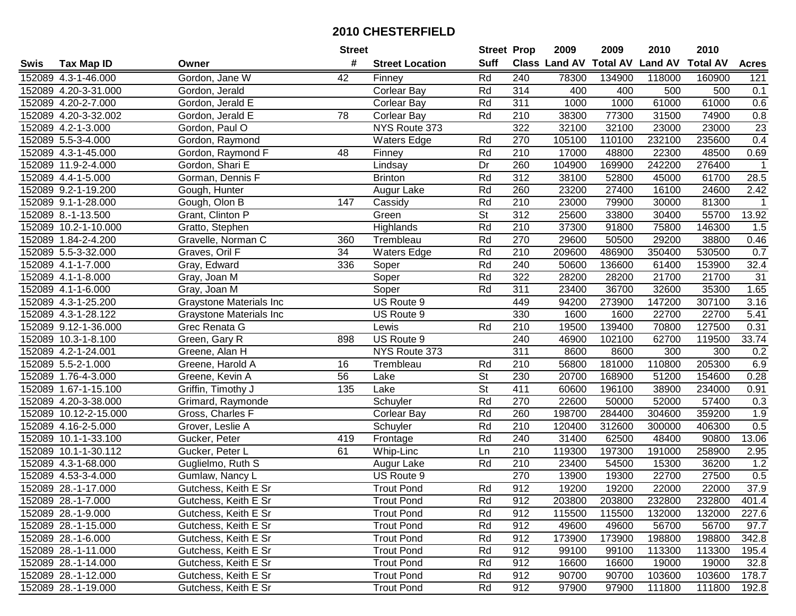|      |                       |                                | <b>Street</b> |                        | <b>Street Prop</b>       |                  | 2009                          | 2009   | 2010           | 2010            |              |
|------|-----------------------|--------------------------------|---------------|------------------------|--------------------------|------------------|-------------------------------|--------|----------------|-----------------|--------------|
| Swis | <b>Tax Map ID</b>     | Owner                          | #             | <b>Street Location</b> | <b>Suff</b>              |                  | <b>Class Land AV Total AV</b> |        | <b>Land AV</b> | <b>Total AV</b> | <b>Acres</b> |
|      | 152089 4.3-1-46.000   | Gordon, Jane W                 | 42            | Finney                 | Rd                       | 240              | 78300                         | 134900 | 118000         | 160900          | 121          |
|      | 152089 4.20-3-31.000  | Gordon, Jerald                 |               | Corlear Bay            | Rd                       | 314              | 400                           | 400    | 500            | 500             | 0.1          |
|      | 152089 4.20-2-7.000   | Gordon, Jerald E               |               | <b>Corlear Bay</b>     | Rd                       | 311              | 1000                          | 1000   | 61000          | 61000           | 0.6          |
|      | 152089 4.20-3-32.002  | Gordon, Jerald E               | 78            | <b>Corlear Bay</b>     | Rd                       | 210              | 38300                         | 77300  | 31500          | 74900           | 0.8          |
|      | 152089 4.2-1-3.000    | Gordon, Paul O                 |               | NYS Route 373          |                          | 322              | 32100                         | 32100  | 23000          | 23000           | 23           |
|      | 152089 5.5-3-4.000    | Gordon, Raymond                |               | Waters Edge            | Rd                       | 270              | 105100                        | 110100 | 232100         | 235600          | 0.4          |
|      | 152089 4.3-1-45.000   | Gordon, Raymond F              | 48            | Finney                 | Rd                       | 210              | 17000                         | 48800  | 22300          | 48500           | 0.69         |
|      | 152089 11.9-2-4.000   | Gordon, Shari E                |               | Lindsay                | Dr                       | 260              | 104900                        | 169900 | 242200         | 276400          | $\mathbf{1}$ |
|      | 152089 4.4-1-5.000    | Gorman, Dennis F               |               | <b>Brinton</b>         | Rd                       | $\overline{312}$ | 38100                         | 52800  | 45000          | 61700           | 28.5         |
|      | 152089 9.2-1-19.200   | Gough, Hunter                  |               | Augur Lake             | Rd                       | 260              | 23200                         | 27400  | 16100          | 24600           | 2.42         |
|      | 152089 9.1-1-28.000   | Gough, Olon B                  | 147           | Cassidy                | Rd                       | 210              | 23000                         | 79900  | 30000          | 81300           | -1           |
|      | 152089 8.-1-13.500    | Grant, Clinton P               |               | Green                  | St                       | 312              | 25600                         | 33800  | 30400          | 55700           | 13.92        |
|      | 152089 10.2-1-10.000  | Gratto, Stephen                |               | Highlands              | Rd                       | 210              | 37300                         | 91800  | 75800          | 146300          | 1.5          |
|      | 152089 1.84-2-4.200   | Gravelle, Norman C             | 360           | Trembleau              | Rd                       | 270              | 29600                         | 50500  | 29200          | 38800           | 0.46         |
|      | 152089 5.5-3-32.000   | Graves, Oril F                 | 34            | <b>Waters Edge</b>     | Rd                       | 210              | 209600                        | 486900 | 350400         | 530500          | 0.7          |
|      | 152089 4.1-1-7.000    | Gray, Edward                   | 336           | Soper                  | Rd                       | 240              | 50600                         | 136600 | 61400          | 153900          | 32.4         |
|      | 152089 4.1-1-8.000    | Gray, Joan M                   |               | Soper                  | Rd                       | 322              | 28200                         | 28200  | 21700          | 21700           | 31           |
|      | 152089 4.1-1-6.000    | Gray, Joan M                   |               | Soper                  | Rd                       | 311              | 23400                         | 36700  | 32600          | 35300           | 1.65         |
|      | 152089 4.3-1-25.200   | <b>Graystone Materials Inc</b> |               | US Route 9             |                          | 449              | 94200                         | 273900 | 147200         | 307100          | 3.16         |
|      | 152089 4.3-1-28.122   | Graystone Materials Inc        |               | US Route 9             |                          | 330              | 1600                          | 1600   | 22700          | 22700           | 5.41         |
|      | 152089 9.12-1-36.000  | Grec Renata G                  |               | Lewis                  | Rd                       | 210              | 19500                         | 139400 | 70800          | 127500          | 0.31         |
|      | 152089 10.3-1-8.100   | Green, Gary R                  | 898           | US Route 9             |                          | 240              | 46900                         | 102100 | 62700          | 119500          | 33.74        |
|      | 152089 4.2-1-24.001   | Greene, Alan H                 |               | NYS Route 373          |                          | 311              | 8600                          | 8600   | 300            | 300             | 0.2          |
|      | 152089 5.5-2-1.000    | Greene, Harold A               | 16            | Trembleau              | Rd                       | 210              | 56800                         | 181000 | 110800         | 205300          | 6.9          |
|      | 152089 1.76-4-3.000   | Greene, Kevin A                | 56            | Lake                   | $\overline{\mathsf{St}}$ | 230              | 20700                         | 168900 | 51200          | 154600          | 0.28         |
|      | 152089 1.67-1-15.100  | Griffin, Timothy J             | 135           | Lake                   | $\overline{\mathsf{St}}$ | 411              | 60600                         | 196100 | 38900          | 234000          | 0.91         |
|      | 152089 4.20-3-38.000  | Grimard, Raymonde              |               | Schuyler               | Rd                       | 270              | 22600                         | 50000  | 52000          | 57400           | 0.3          |
|      | 152089 10.12-2-15.000 | Gross, Charles F               |               | <b>Corlear Bay</b>     | Rd                       | 260              | 198700                        | 284400 | 304600         | 359200          | 1.9          |
|      | 152089 4.16-2-5.000   | Grover, Leslie A               |               | Schuyler               | Rd                       | $\overline{210}$ | 120400                        | 312600 | 300000         | 406300          | 0.5          |
|      | 152089 10.1-1-33.100  | Gucker, Peter                  | 419           | Frontage               | Rd                       | 240              | 31400                         | 62500  | 48400          | 90800           | 13.06        |
|      | 152089 10.1-1-30.112  | Gucker, Peter L                | 61            | Whip-Linc              | Ln                       | $\overline{210}$ | 119300                        | 197300 | 191000         | 258900          | 2.95         |
|      | 152089 4.3-1-68.000   | Guglielmo, Ruth S              |               | Augur Lake             | Rd                       | 210              | 23400                         | 54500  | 15300          | 36200           | 1.2          |
|      | 152089 4.53-3-4.000   | Gumlaw, Nancy L                |               | US Route 9             |                          | 270              | 13900                         | 19300  | 22700          | 27500           | 0.5          |
|      | 152089 28.-1-17.000   | Gutchess, Keith E Sr           |               | <b>Trout Pond</b>      | Rd                       | 912              | 19200                         | 19200  | 22000          | 22000           | 37.9         |
|      | 152089 28.-1-7.000    | Gutchess, Keith E Sr           |               | <b>Trout Pond</b>      | Rd                       | 912              | 203800                        | 203800 | 232800         | 232800          | 401.4        |
|      | 152089 28.-1-9.000    | Gutchess, Keith E Sr           |               | <b>Trout Pond</b>      | Rd                       | 912              | 115500                        | 115500 | 132000         | 132000          | 227.6        |
|      | 152089 28.-1-15.000   | Gutchess, Keith E Sr           |               | <b>Trout Pond</b>      | Rd                       | 912              | 49600                         | 49600  | 56700          | 56700           | 97.7         |
|      | 152089 28.-1-6.000    | Gutchess, Keith E Sr           |               | <b>Trout Pond</b>      | Rd                       | 912              | 173900                        | 173900 | 198800         | 198800          | 342.8        |
|      | 152089 28.-1-11.000   | Gutchess, Keith E Sr           |               | <b>Trout Pond</b>      | Rd                       | 912              | 99100                         | 99100  | 113300         | 113300          | 195.4        |
|      | 152089 28.-1-14.000   | Gutchess, Keith E Sr           |               | <b>Trout Pond</b>      | Rd                       | 912              | 16600                         | 16600  | 19000          | 19000           | 32.8         |
|      | 152089 28.-1-12.000   | Gutchess, Keith E Sr           |               | <b>Trout Pond</b>      | Rd                       | 912              | 90700                         | 90700  | 103600         | 103600          | 178.7        |
|      | 152089 28.-1-19.000   | Gutchess, Keith E Sr           |               | <b>Trout Pond</b>      | Rd                       | 912              | 97900                         | 97900  | 111800         | 111800          | 192.8        |
|      |                       |                                |               |                        |                          |                  |                               |        |                |                 |              |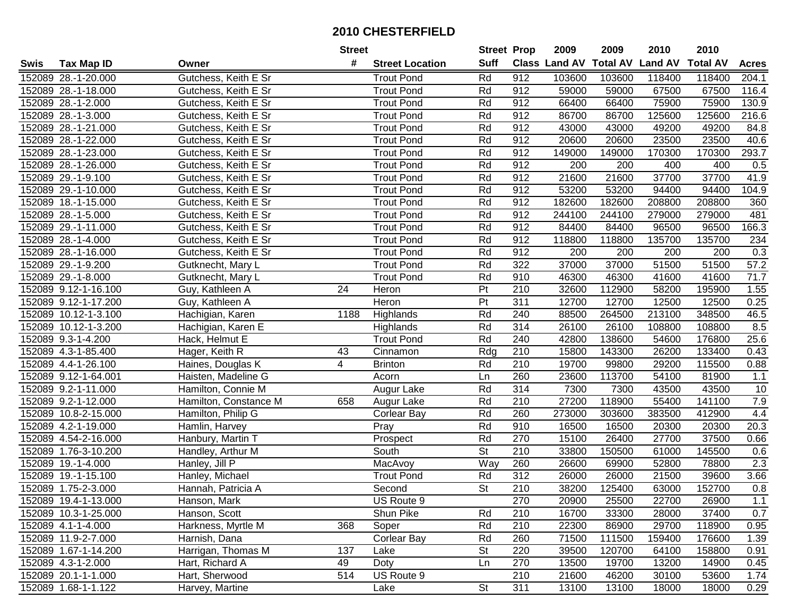|      |                      |                       | <b>Street</b> |                        | <b>Street Prop</b>       |                  | 2009                          | 2009   | 2010           | 2010            |              |
|------|----------------------|-----------------------|---------------|------------------------|--------------------------|------------------|-------------------------------|--------|----------------|-----------------|--------------|
| Swis | <b>Tax Map ID</b>    | Owner                 | #             | <b>Street Location</b> | <b>Suff</b>              |                  | <b>Class Land AV Total AV</b> |        | <b>Land AV</b> | <b>Total AV</b> | <b>Acres</b> |
|      | 152089 28.-1-20.000  | Gutchess, Keith E Sr  |               | <b>Trout Pond</b>      | Rd                       | 912              | 103600                        | 103600 | 118400         | 118400          | 204.1        |
|      | 152089 28.-1-18.000  | Gutchess, Keith E Sr  |               | <b>Trout Pond</b>      | Rd                       | 912              | 59000                         | 59000  | 67500          | 67500           | 116.4        |
|      | 152089 28.-1-2.000   | Gutchess, Keith E Sr  |               | <b>Trout Pond</b>      | Rd                       | 912              | 66400                         | 66400  | 75900          | 75900           | 130.9        |
|      | 152089 28.-1-3.000   | Gutchess, Keith E Sr  |               | <b>Trout Pond</b>      | Rd                       | 912              | 86700                         | 86700  | 125600         | 125600          | 216.6        |
|      | 152089 28.-1-21.000  | Gutchess, Keith E Sr  |               | <b>Trout Pond</b>      | Rd                       | 912              | 43000                         | 43000  | 49200          | 49200           | 84.8         |
|      | 152089 28.-1-22.000  | Gutchess, Keith E Sr  |               | <b>Trout Pond</b>      | Rd                       | 912              | 20600                         | 20600  | 23500          | 23500           | 40.6         |
|      | 152089 28.-1-23.000  | Gutchess, Keith E Sr  |               | <b>Trout Pond</b>      | Rd                       | 912              | 149000                        | 149000 | 170300         | 170300          | 293.7        |
|      | 152089 28.-1-26.000  | Gutchess, Keith E Sr  |               | <b>Trout Pond</b>      | Rd                       | 912              | 200                           | 200    | 400            | 400             | 0.5          |
|      | 152089 29.-1-9.100   | Gutchess, Keith E Sr  |               | <b>Trout Pond</b>      | Rd                       | 912              | 21600                         | 21600  | 37700          | 37700           | 41.9         |
|      | 152089 29.-1-10.000  | Gutchess, Keith E Sr  |               | <b>Trout Pond</b>      | Rd                       | 912              | 53200                         | 53200  | 94400          | 94400           | 104.9        |
|      | 152089 18.-1-15.000  | Gutchess, Keith E Sr  |               | <b>Trout Pond</b>      | Rd                       | 912              | 182600                        | 182600 | 208800         | 208800          | 360          |
|      | 152089 28.-1-5.000   | Gutchess, Keith E Sr  |               | <b>Trout Pond</b>      | Rd                       | 912              | 244100                        | 244100 | 279000         | 279000          | 481          |
|      | 152089 29.-1-11.000  | Gutchess, Keith E Sr  |               | <b>Trout Pond</b>      | Rd                       | 912              | 84400                         | 84400  | 96500          | 96500           | 166.3        |
|      | 152089 28.-1-4.000   | Gutchess, Keith E Sr  |               | <b>Trout Pond</b>      | Rd                       | 912              | 118800                        | 118800 | 135700         | 135700          | 234          |
|      | 152089 28.-1-16.000  | Gutchess, Keith E Sr  |               | <b>Trout Pond</b>      | Rd                       | 912              | 200                           | 200    | 200            | 200             | 0.3          |
|      | 152089 29.-1-9.200   | Gutknecht, Mary L     |               | <b>Trout Pond</b>      | Rd                       | 322              | 37000                         | 37000  | 51500          | 51500           | 57.2         |
|      | 152089 29.-1-8.000   | Gutknecht, Mary L     |               | <b>Trout Pond</b>      | Rd                       | 910              | 46300                         | 46300  | 41600          | 41600           | 71.7         |
|      | 152089 9.12-1-16.100 | Guy, Kathleen A       | 24            | Heron                  | Pt                       | 210              | 32600                         | 112900 | 58200          | 195900          | 1.55         |
|      | 152089 9.12-1-17.200 | Guy, Kathleen A       |               | Heron                  | $\overline{P}$           | 311              | 12700                         | 12700  | 12500          | 12500           | 0.25         |
|      | 152089 10.12-1-3.100 | Hachigian, Karen      | 1188          | Highlands              | Rd                       | 240              | 88500                         | 264500 | 213100         | 348500          | 46.5         |
|      | 152089 10.12-1-3.200 | Hachigian, Karen E    |               | Highlands              | Rd                       | 314              | 26100                         | 26100  | 108800         | 108800          | 8.5          |
|      | 152089 9.3-1-4.200   | Hack, Helmut E        |               | <b>Trout Pond</b>      | Rd                       | 240              | 42800                         | 138600 | 54600          | 176800          | 25.6         |
|      | 152089 4.3-1-85.400  | Hager, Keith R        | 43            | Cinnamon               | Rdg                      | 210              | 15800                         | 143300 | 26200          | 133400          | 0.43         |
|      | 152089 4.4-1-26.100  | Haines, Douglas K     | 4             | <b>Brinton</b>         | Rd                       | 210              | 19700                         | 99800  | 29200          | 115500          | 0.88         |
|      | 152089 9.12-1-64.001 | Haisten, Madeline G   |               | Acorn                  | Ln                       | 260              | 23600                         | 113700 | 54100          | 81900           | 1.1          |
|      | 152089 9.2-1-11.000  | Hamilton, Connie M    |               | Augur Lake             | Rd                       | 314              | 7300                          | 7300   | 43500          | 43500           | 10           |
|      | 152089 9.2-1-12.000  | Hamilton, Constance M | 658           | Augur Lake             | Rd                       | 210              | 27200                         | 118900 | 55400          | 141100          | $7.9$        |
|      | 152089 10.8-2-15.000 | Hamilton, Philip G    |               | <b>Corlear Bay</b>     | Rd                       | 260              | 273000                        | 303600 | 383500         | 412900          | 4.4          |
|      | 152089 4.2-1-19.000  | Hamlin, Harvey        |               | Pray                   | Rd                       | 910              | 16500                         | 16500  | 20300          | 20300           | 20.3         |
|      | 152089 4.54-2-16.000 | Hanbury, Martin T     |               | Prospect               | Rd                       | 270              | 15100                         | 26400  | 27700          | 37500           | 0.66         |
|      | 152089 1.76-3-10.200 | Handley, Arthur M     |               | South                  | $\overline{\mathsf{St}}$ | $\overline{210}$ | 33800                         | 150500 | 61000          | 145500          | 0.6          |
|      | 152089 19.-1-4.000   | Hanley, Jill P        |               | MacAvoy                | Way                      | 260              | 26600                         | 69900  | 52800          | 78800           | 2.3          |
|      | 152089 19.-1-15.100  | Hanley, Michael       |               | <b>Trout Pond</b>      | Rd                       | $\overline{312}$ | 26000                         | 26000  | 21500          | 39600           | 3.66         |
|      | 152089 1.75-2-3.000  | Hannah, Patricia A    |               | Second                 | $\overline{\mathsf{St}}$ | 210              | 38200                         | 125400 | 63000          | 152700          | 0.8          |
|      | 152089 19.4-1-13.000 | Hanson, Mark          |               | US Route 9             |                          | 270              | 20900                         | 25500  | 22700          | 26900           | 1.1          |
|      | 152089 10.3-1-25.000 | Hanson, Scott         |               | Shun Pike              | Rd                       | 210              | 16700                         | 33300  | 28000          | 37400           | 0.7          |
|      | 152089 4.1-1-4.000   | Harkness, Myrtle M    | 368           | Soper                  | Rd                       | 210              | 22300                         | 86900  | 29700          | 118900          | 0.95         |
|      | 152089 11.9-2-7.000  | Harnish, Dana         |               | Corlear Bay            | Rd                       | 260              | 71500                         | 111500 | 159400         | 176600          | 1.39         |
|      | 152089 1.67-1-14.200 | Harrigan, Thomas M    | 137           | Lake                   | <b>St</b>                | 220              | 39500                         | 120700 | 64100          | 158800          | 0.91         |
|      | 152089 4.3-1-2.000   | Hart, Richard A       | 49            | Doty                   | Ln                       | 270              | 13500                         | 19700  | 13200          | 14900           | 0.45         |
|      | 152089 20.1-1-1.000  | Hart, Sherwood        | 514           | US Route 9             |                          | 210              | 21600                         | 46200  | 30100          | 53600           | 1.74         |
|      | 152089 1.68-1-1.122  | Harvey, Martine       |               | Lake                   | $\overline{\mathsf{St}}$ | 311              | 13100                         | 13100  | 18000          | 18000           | 0.29         |
|      |                      |                       |               |                        |                          |                  |                               |        |                |                 |              |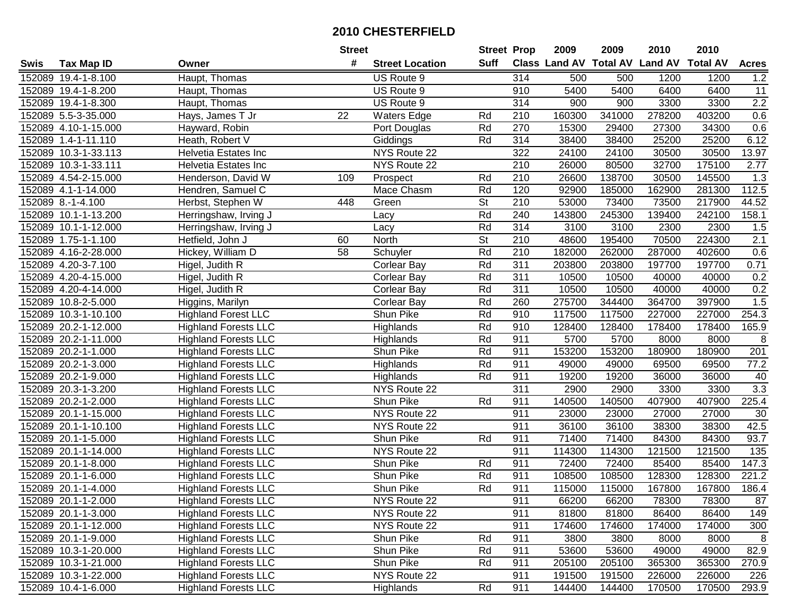|      |                      |                             | <b>Street</b> |                        | <b>Street Prop</b> |                  | 2009   | 2009   | 2010                                    | 2010   |                   |
|------|----------------------|-----------------------------|---------------|------------------------|--------------------|------------------|--------|--------|-----------------------------------------|--------|-------------------|
| Swis | <b>Tax Map ID</b>    | Owner                       | #             | <b>Street Location</b> | Suff               |                  |        |        | Class Land AV Total AV Land AV Total AV |        | <b>Acres</b>      |
|      | 152089 19.4-1-8.100  | Haupt, Thomas               |               | US Route 9             |                    | 314              | 500    | 500    | 1200                                    | 1200   | $1.2$             |
|      | 152089 19.4-1-8.200  | Haupt, Thomas               |               | US Route 9             |                    | 910              | 5400   | 5400   | 6400                                    | 6400   | 11                |
|      | 152089 19.4-1-8.300  | Haupt, Thomas               |               | US Route 9             |                    | 314              | 900    | 900    | 3300                                    | 3300   | 2.2               |
|      | 152089 5.5-3-35.000  | Hays, James T Jr            | 22            | <b>Waters Edge</b>     | Rd                 | 210              | 160300 | 341000 | 278200                                  | 403200 | 0.6               |
|      | 152089 4.10-1-15.000 | Hayward, Robin              |               | Port Douglas           | Rd                 | 270              | 15300  | 29400  | 27300                                   | 34300  | 0.6               |
|      | 152089 1.4-1-11.110  | Heath, Robert V             |               | Giddings               | Rd                 | 314              | 38400  | 38400  | 25200                                   | 25200  | 6.12              |
|      | 152089 10.3-1-33.113 | Helvetia Estates Inc        |               | NYS Route 22           |                    | 322              | 24100  | 24100  | 30500                                   | 30500  | 13.97             |
|      | 152089 10.3-1-33.111 | Helvetia Estates Inc        |               | NYS Route 22           |                    | 210              | 26000  | 80500  | 32700                                   | 175100 | 2.77              |
|      | 152089 4.54-2-15.000 | Henderson, David W          | 109           | Prospect               | Rd                 | 210              | 26600  | 138700 | 30500                                   | 145500 | 1.3               |
|      | 152089 4.1-1-14.000  | Hendren, Samuel C           |               | Mace Chasm             | Rd                 | 120              | 92900  | 185000 | 162900                                  | 281300 | 112.5             |
|      | 152089 8.-1-4.100    | Herbst, Stephen W           | 448           | Green                  | St                 | 210              | 53000  | 73400  | 73500                                   | 217900 | 44.52             |
|      | 152089 10.1-1-13.200 | Herringshaw, Irving J       |               | Lacy                   | Rd                 | 240              | 143800 | 245300 | 139400                                  | 242100 | 158.1             |
|      | 152089 10.1-1-12.000 | Herringshaw, Irving J       |               | Lacy                   | Rd                 | 314              | 3100   | 3100   | 2300                                    | 2300   | 1.5               |
|      | 152089 1.75-1-1.100  | Hetfield, John J            | 60            | North                  | <b>St</b>          | 210              | 48600  | 195400 | 70500                                   | 224300 | 2.1               |
|      | 152089 4.16-2-28.000 | Hickey, William D           | 58            | Schuyler               | Rd                 | 210              | 182000 | 262000 | 287000                                  | 402600 | 0.6               |
|      | 152089 4.20-3-7.100  | Higel, Judith R             |               | Corlear Bay            | Rd                 | 311              | 203800 | 203800 | 197700                                  | 197700 | 0.71              |
|      | 152089 4.20-4-15.000 | Higel, Judith R             |               | Corlear Bay            | Rd                 | $\overline{311}$ | 10500  | 10500  | 40000                                   | 40000  | 0.2               |
|      | 152089 4.20-4-14.000 | Higel, Judith R             |               | <b>Corlear Bay</b>     | Rd                 | 311              | 10500  | 10500  | 40000                                   | 40000  | 0.2               |
|      | 152089 10.8-2-5.000  | Higgins, Marilyn            |               | <b>Corlear Bay</b>     | Rd                 | 260              | 275700 | 344400 | 364700                                  | 397900 | 1.5               |
|      | 152089 10.3-1-10.100 | <b>Highland Forest LLC</b>  |               | Shun Pike              | Rd                 | 910              | 117500 | 117500 | 227000                                  | 227000 | 254.3             |
|      | 152089 20.2-1-12.000 | <b>Highland Forests LLC</b> |               | Highlands              | Rd                 | 910              | 128400 | 128400 | 178400                                  | 178400 | 165.9             |
|      | 152089 20.2-1-11.000 | <b>Highland Forests LLC</b> |               | Highlands              | Rd                 | 911              | 5700   | 5700   | 8000                                    | 8000   | 8                 |
|      | 152089 20.2-1-1.000  | <b>Highland Forests LLC</b> |               | Shun Pike              | Rd                 | 911              | 153200 | 153200 | 180900                                  | 180900 | 201               |
|      | 152089 20.2-1-3.000  | <b>Highland Forests LLC</b> |               | Highlands              | Rd                 | 911              | 49000  | 49000  | 69500                                   | 69500  | $\overline{77.2}$ |
|      | 152089 20.2-1-9.000  | <b>Highland Forests LLC</b> |               | Highlands              | Rd                 | 911              | 19200  | 19200  | 36000                                   | 36000  | 40                |
|      | 152089 20.3-1-3.200  | <b>Highland Forests LLC</b> |               | NYS Route 22           |                    | $\overline{311}$ | 2900   | 2900   | 3300                                    | 3300   | 3.3               |
|      | 152089 20.2-1-2.000  | <b>Highland Forests LLC</b> |               | Shun Pike              | Rd                 | 911              | 140500 | 140500 | 407900                                  | 407900 | 225.4             |
|      | 152089 20.1-1-15.000 | <b>Highland Forests LLC</b> |               | NYS Route 22           |                    | 911              | 23000  | 23000  | 27000                                   | 27000  | 30                |
|      | 152089 20.1-1-10.100 | <b>Highland Forests LLC</b> |               | NYS Route 22           |                    | 911              | 36100  | 36100  | 38300                                   | 38300  | 42.5              |
|      | 152089 20.1-1-5.000  | <b>Highland Forests LLC</b> |               | <b>Shun Pike</b>       | Rd                 | 911              | 71400  | 71400  | 84300                                   | 84300  | 93.7              |
|      | 152089 20.1-1-14.000 | <b>Highland Forests LLC</b> |               | NYS Route 22           |                    | 911              | 114300 | 114300 | 121500                                  | 121500 | $\overline{135}$  |
|      | 152089 20.1-1-8.000  | <b>Highland Forests LLC</b> |               | Shun Pike              | Rd                 | 911              | 72400  | 72400  | 85400                                   | 85400  | 147.3             |
|      | 152089 20.1-1-6.000  | <b>Highland Forests LLC</b> |               | <b>Shun Pike</b>       | Rd                 | 911              | 108500 | 108500 | 128300                                  | 128300 | 221.2             |
|      | 152089 20.1-1-4.000  | <b>Highland Forests LLC</b> |               | Shun Pike              | Rd                 | 911              | 115000 | 115000 | 167800                                  | 167800 | 186.4             |
|      | 152089 20.1-1-2.000  | <b>Highland Forests LLC</b> |               | NYS Route 22           |                    | 911              | 66200  | 66200  | 78300                                   | 78300  | 87                |
|      | 152089 20.1-1-3.000  | <b>Highland Forests LLC</b> |               | NYS Route 22           |                    | 911              | 81800  | 81800  | 86400                                   | 86400  | 149               |
|      | 152089 20.1-1-12.000 | <b>Highland Forests LLC</b> |               | NYS Route 22           |                    | 911              | 174600 | 174600 | 174000                                  | 174000 | 300               |
|      | 152089 20.1-1-9.000  | <b>Highland Forests LLC</b> |               | Shun Pike              | Rd                 | 911              | 3800   | 3800   | 8000                                    | 8000   | 8                 |
|      | 152089 10.3-1-20.000 | <b>Highland Forests LLC</b> |               | Shun Pike              | Rd                 | 911              | 53600  | 53600  | 49000                                   | 49000  | 82.9              |
|      | 152089 10.3-1-21.000 | <b>Highland Forests LLC</b> |               | Shun Pike              | Rd                 | 911              | 205100 | 205100 | 365300                                  | 365300 | 270.9             |
|      | 152089 10.3-1-22.000 | <b>Highland Forests LLC</b> |               | NYS Route 22           |                    | 911              | 191500 | 191500 | 226000                                  | 226000 | 226               |
|      | 152089 10.4-1-6.000  | <b>Highland Forests LLC</b> |               | Highlands              | Rd                 | 911              | 144400 | 144400 | 170500                                  | 170500 | 293.9             |
|      |                      |                             |               |                        |                    |                  |        |        |                                         |        |                   |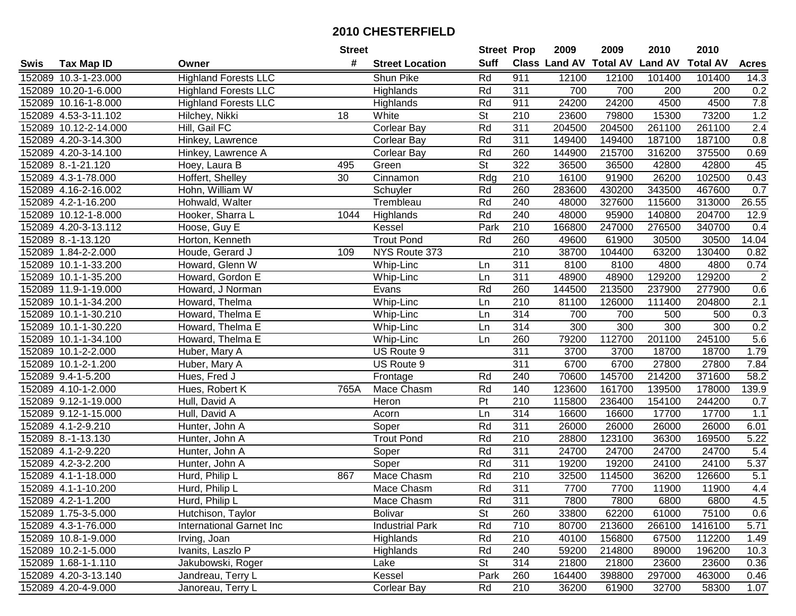| #<br><b>Suff</b><br><b>Class Land AV Total AV</b><br><b>Land AV</b><br><b>Total AV</b><br><b>Acres</b><br><b>Tax Map ID</b><br><b>Street Location</b><br>Swis<br>Owner<br><b>Highland Forests LLC</b><br>Rd<br>911<br>152089 10.3-1-23.000<br>Shun Pike<br>12100<br>12100<br>101400<br>101400<br>14.3<br>311<br>0.2<br>152089 10.20-1-6.000<br><b>Highland Forests LLC</b><br>Highlands<br>Rd<br>700<br>700<br>200<br>200<br>24200<br>$7.8\,$<br>152089 10.16-1-8.000<br><b>Highland Forests LLC</b><br>Rd<br>911<br>24200<br>4500<br>4500<br>Highlands<br>1.2<br>18<br><b>St</b><br>210<br>23600<br>79800<br>15300<br>73200<br>152089 4.53-3-11.102<br>Hilchey, Nikki<br>White<br>Rd<br>311<br>2.4<br>152089 10.12-2-14.000<br>Hill, Gail FC<br><b>Corlear Bay</b><br>204500<br>204500<br>261100<br>261100<br>Rd<br>311<br>0.8<br>152089 4.20-3-14.300<br>Hinkey, Lawrence<br><b>Corlear Bay</b><br>149400<br>149400<br>187100<br>187100<br>152089 4.20-3-14.100<br>Hinkey, Lawrence A<br>Rd<br>260<br>144900<br>215700<br>316200<br>375500<br>0.69<br><b>Corlear Bay</b><br>$\overline{\mathsf{St}}$<br>322<br>45<br>152089 8.-1-21.120<br>Hoey, Laura B<br>36500<br>36500<br>42800<br>42800<br>495<br>Green<br>Hoffert, Shelley<br>$\overline{210}$<br>16100<br>91900<br>26200<br>102500<br>0.43<br>152089 4.3-1-78.000<br>30<br>Cinnamon<br>Rdg<br>Rd<br>260<br>430200<br>343500<br>467600<br>0.7<br>152089 4.16-2-16.002<br>Hohn, William W<br>Schuyler<br>283600<br>Rd<br>240<br>327600<br>115600<br>26.55<br>152089 4.2-1-16.200<br>Hohwald, Walter<br>Trembleau<br>48000<br>313000<br>Rd<br>240<br>152089 10.12-1-8.000<br>Hooker, Sharra L<br>48000<br>95900<br>140800<br>204700<br>12.9<br>1044<br>Highlands<br>210<br>152089 4.20-3-13.112<br>Kessel<br>Park<br>166800<br>247000<br>276500<br>340700<br>Hoose, Guy E<br>0.4<br>Rd<br>260<br>152089 8.-1-13.120<br>Horton, Kenneth<br><b>Trout Pond</b><br>49600<br>61900<br>30500<br>30500<br>14.04<br>210<br>152089 1.84-2-2.000<br>Houde, Gerard J<br>NYS Route 373<br>38700<br>104400<br>63200<br>130400<br>0.82<br>109<br>311<br>8100<br>8100<br>4800<br>4800<br>0.74<br>152089 10.1-1-33.200<br>Howard, Glenn W<br>Whip-Linc<br>Ln<br>$\overline{311}$<br>$\sqrt{2}$<br>48900<br>129200<br>152089 10.1-1-35.200<br>Howard, Gordon E<br>Whip-Linc<br>48900<br>129200<br>Ln<br>Rd<br>260<br>0.6<br>152089 11.9-1-19.000<br>Evans<br>144500<br>213500<br>237900<br>277900<br>Howard, J Norman<br>$\overline{2.1}$<br>152089 10.1-1-34.200<br>Whip-Linc<br>210<br>81100<br>126000<br>111400<br>204800<br>Howard, Thelma<br>Ln<br>314<br>0.3<br>152089 10.1-1-30.210<br>700<br>700<br>500<br>500<br>Howard, Thelma E<br>Whip-Linc<br>Ln<br>0.2<br>314<br>300<br>300<br>300<br>300<br>152089 10.1-1-30.220<br>Howard, Thelma E<br>Whip-Linc<br>Ln<br>79200<br>112700<br>201100<br>245100<br>$5.6\,$<br>152089 10.1-1-34.100<br>Howard, Thelma E<br>Whip-Linc<br>Ln<br>260<br>311<br>1.79<br>152089 10.1-2-2.000<br>US Route 9<br>3700<br>3700<br>18700<br>18700<br>Huber, Mary A<br>311<br>6700<br>6700<br>27800<br>7.84<br>152089 10.1-2-1.200<br>US Route 9<br>27800<br>Huber, Mary A<br>70600<br>214200<br>58.2<br>152089 9.4-1-5.200<br>Rd<br>240<br>145700<br>371600<br>Hues, Fred J<br>Frontage<br>Mace Chasm<br>Rd<br>140<br>123600<br>161700<br>152089 4.10-1-2.000<br>765A<br>139500<br>178000<br>139.9<br>Hues, Robert K<br>$\overline{P}$<br>152089 9.12-1-19.000<br>210<br>115800<br>236400<br>154100<br>244200<br>Hull, David A<br>Heron<br>0.7<br>152089 9.12-1-15.000<br>314<br>16600<br>17700<br>1.1<br>Hull, David A<br>Ln<br>16600<br>17700<br>Acorn<br>Rd<br>311<br>152089 4.1-2-9.210<br>26000<br>26000<br>26000<br>26000<br>6.01<br>Hunter, John A<br>Soper<br>152089 8.-1-13.130<br>Rd<br>$\overline{210}$<br>28800<br>123100<br>36300<br><b>Trout Pond</b><br>169500<br>5.22<br>Hunter, John A<br>311<br>152089 4.1-2-9.220<br>Rd<br>24700<br>24700<br>24700<br>24700<br>5.4<br>Soper<br>Hunter, John A<br>152089 4.2-3-2.200<br>Rd<br>311<br>24100<br>Soper<br>19200<br>19200<br>24100<br>5.37<br>Hunter, John A<br>210<br>152089 4.1-1-18.000<br>Mace Chasm<br>Rd<br>32500<br>114500<br>36200<br>5.1<br>867<br>126600<br>Hurd, Philip L<br>Rd<br>311<br>7700<br>4.4<br>152089 4.1-1-10.200<br>Hurd, Philip L<br>Mace Chasm<br>7700<br>11900<br>11900<br>152089 4.2-1-1.200<br>Hurd, Philip L<br>Mace Chasm<br>Rd<br>311<br>7800<br>7800<br>6800<br>6800<br>4.5<br><b>St</b><br>0.6<br>152089 1.75-3-5.000<br>Hutchison, Taylor<br>260<br>33800<br>62200<br>61000<br>75100<br><b>Bolivar</b><br><b>Industrial Park</b><br>Rd<br>710<br>80700<br>266100<br>1416100<br>152089 4.3-1-76.000<br>International Garnet Inc<br>213600<br>5.71<br>Rd<br>152089 10.8-1-9.000<br>Highlands<br>210<br>40100<br>156800<br>112200<br>1.49<br>Irving, Joan<br>67500<br>152089 10.2-1-5.000<br>Rd<br>59200<br>Ivanits, Laszlo P<br>Highlands<br>240<br>214800<br>89000<br>196200<br>10.3<br><b>St</b><br>314<br>152089 1.68-1-1.110<br>Jakubowski, Roger<br>Lake<br>21800<br>21800<br>23600<br>23600<br>0.36<br>260<br>152089 4.20-3-13.140<br>Park<br>164400<br>398800<br>297000<br>463000<br>Jandreau, Terry L<br>Kessel<br>0.46<br>Rd<br>210<br>152089 4.20-4-9.000<br>Janoreau, Terry L<br>36200<br>61900<br>32700<br>58300 |  | <b>Street</b> |                    | <b>Street Prop</b> | 2009 | 2009 | 2010 | 2010 |  |
|----------------------------------------------------------------------------------------------------------------------------------------------------------------------------------------------------------------------------------------------------------------------------------------------------------------------------------------------------------------------------------------------------------------------------------------------------------------------------------------------------------------------------------------------------------------------------------------------------------------------------------------------------------------------------------------------------------------------------------------------------------------------------------------------------------------------------------------------------------------------------------------------------------------------------------------------------------------------------------------------------------------------------------------------------------------------------------------------------------------------------------------------------------------------------------------------------------------------------------------------------------------------------------------------------------------------------------------------------------------------------------------------------------------------------------------------------------------------------------------------------------------------------------------------------------------------------------------------------------------------------------------------------------------------------------------------------------------------------------------------------------------------------------------------------------------------------------------------------------------------------------------------------------------------------------------------------------------------------------------------------------------------------------------------------------------------------------------------------------------------------------------------------------------------------------------------------------------------------------------------------------------------------------------------------------------------------------------------------------------------------------------------------------------------------------------------------------------------------------------------------------------------------------------------------------------------------------------------------------------------------------------------------------------------------------------------------------------------------------------------------------------------------------------------------------------------------------------------------------------------------------------------------------------------------------------------------------------------------------------------------------------------------------------------------------------------------------------------------------------------------------------------------------------------------------------------------------------------------------------------------------------------------------------------------------------------------------------------------------------------------------------------------------------------------------------------------------------------------------------------------------------------------------------------------------------------------------------------------------------------------------------------------------------------------------------------------------------------------------------------------------------------------------------------------------------------------------------------------------------------------------------------------------------------------------------------------------------------------------------------------------------------------------------------------------------------------------------------------------------------------------------------------------------------------------------------------------------------------------------------------------------------------------------------------------------------------------------------------------------------------------------------------------------------------------------------------------------------------------------------------------------------------------------------------------------------------------------------------------------------------------------------------------------------------------------------------------------------------------------------------------------------------------------------------------------------------------------------------------------------------------------------------------------------------------------------------------------------------------------------------------------------------------------------------------------------------------------------------------------------------------------------------------------------------------------------------------------------------------------------------------------------------------------------------|--|---------------|--------------------|--------------------|------|------|------|------|--|
| 1.07                                                                                                                                                                                                                                                                                                                                                                                                                                                                                                                                                                                                                                                                                                                                                                                                                                                                                                                                                                                                                                                                                                                                                                                                                                                                                                                                                                                                                                                                                                                                                                                                                                                                                                                                                                                                                                                                                                                                                                                                                                                                                                                                                                                                                                                                                                                                                                                                                                                                                                                                                                                                                                                                                                                                                                                                                                                                                                                                                                                                                                                                                                                                                                                                                                                                                                                                                                                                                                                                                                                                                                                                                                                                                                                                                                                                                                                                                                                                                                                                                                                                                                                                                                                                                                                                                                                                                                                                                                                                                                                                                                                                                                                                                                                                                                                                                                                                                                                                                                                                                                                                                                                                                                                                                                                                                               |  |               |                    |                    |      |      |      |      |  |
|                                                                                                                                                                                                                                                                                                                                                                                                                                                                                                                                                                                                                                                                                                                                                                                                                                                                                                                                                                                                                                                                                                                                                                                                                                                                                                                                                                                                                                                                                                                                                                                                                                                                                                                                                                                                                                                                                                                                                                                                                                                                                                                                                                                                                                                                                                                                                                                                                                                                                                                                                                                                                                                                                                                                                                                                                                                                                                                                                                                                                                                                                                                                                                                                                                                                                                                                                                                                                                                                                                                                                                                                                                                                                                                                                                                                                                                                                                                                                                                                                                                                                                                                                                                                                                                                                                                                                                                                                                                                                                                                                                                                                                                                                                                                                                                                                                                                                                                                                                                                                                                                                                                                                                                                                                                                                                    |  |               |                    |                    |      |      |      |      |  |
|                                                                                                                                                                                                                                                                                                                                                                                                                                                                                                                                                                                                                                                                                                                                                                                                                                                                                                                                                                                                                                                                                                                                                                                                                                                                                                                                                                                                                                                                                                                                                                                                                                                                                                                                                                                                                                                                                                                                                                                                                                                                                                                                                                                                                                                                                                                                                                                                                                                                                                                                                                                                                                                                                                                                                                                                                                                                                                                                                                                                                                                                                                                                                                                                                                                                                                                                                                                                                                                                                                                                                                                                                                                                                                                                                                                                                                                                                                                                                                                                                                                                                                                                                                                                                                                                                                                                                                                                                                                                                                                                                                                                                                                                                                                                                                                                                                                                                                                                                                                                                                                                                                                                                                                                                                                                                                    |  |               |                    |                    |      |      |      |      |  |
|                                                                                                                                                                                                                                                                                                                                                                                                                                                                                                                                                                                                                                                                                                                                                                                                                                                                                                                                                                                                                                                                                                                                                                                                                                                                                                                                                                                                                                                                                                                                                                                                                                                                                                                                                                                                                                                                                                                                                                                                                                                                                                                                                                                                                                                                                                                                                                                                                                                                                                                                                                                                                                                                                                                                                                                                                                                                                                                                                                                                                                                                                                                                                                                                                                                                                                                                                                                                                                                                                                                                                                                                                                                                                                                                                                                                                                                                                                                                                                                                                                                                                                                                                                                                                                                                                                                                                                                                                                                                                                                                                                                                                                                                                                                                                                                                                                                                                                                                                                                                                                                                                                                                                                                                                                                                                                    |  |               |                    |                    |      |      |      |      |  |
|                                                                                                                                                                                                                                                                                                                                                                                                                                                                                                                                                                                                                                                                                                                                                                                                                                                                                                                                                                                                                                                                                                                                                                                                                                                                                                                                                                                                                                                                                                                                                                                                                                                                                                                                                                                                                                                                                                                                                                                                                                                                                                                                                                                                                                                                                                                                                                                                                                                                                                                                                                                                                                                                                                                                                                                                                                                                                                                                                                                                                                                                                                                                                                                                                                                                                                                                                                                                                                                                                                                                                                                                                                                                                                                                                                                                                                                                                                                                                                                                                                                                                                                                                                                                                                                                                                                                                                                                                                                                                                                                                                                                                                                                                                                                                                                                                                                                                                                                                                                                                                                                                                                                                                                                                                                                                                    |  |               |                    |                    |      |      |      |      |  |
|                                                                                                                                                                                                                                                                                                                                                                                                                                                                                                                                                                                                                                                                                                                                                                                                                                                                                                                                                                                                                                                                                                                                                                                                                                                                                                                                                                                                                                                                                                                                                                                                                                                                                                                                                                                                                                                                                                                                                                                                                                                                                                                                                                                                                                                                                                                                                                                                                                                                                                                                                                                                                                                                                                                                                                                                                                                                                                                                                                                                                                                                                                                                                                                                                                                                                                                                                                                                                                                                                                                                                                                                                                                                                                                                                                                                                                                                                                                                                                                                                                                                                                                                                                                                                                                                                                                                                                                                                                                                                                                                                                                                                                                                                                                                                                                                                                                                                                                                                                                                                                                                                                                                                                                                                                                                                                    |  |               |                    |                    |      |      |      |      |  |
|                                                                                                                                                                                                                                                                                                                                                                                                                                                                                                                                                                                                                                                                                                                                                                                                                                                                                                                                                                                                                                                                                                                                                                                                                                                                                                                                                                                                                                                                                                                                                                                                                                                                                                                                                                                                                                                                                                                                                                                                                                                                                                                                                                                                                                                                                                                                                                                                                                                                                                                                                                                                                                                                                                                                                                                                                                                                                                                                                                                                                                                                                                                                                                                                                                                                                                                                                                                                                                                                                                                                                                                                                                                                                                                                                                                                                                                                                                                                                                                                                                                                                                                                                                                                                                                                                                                                                                                                                                                                                                                                                                                                                                                                                                                                                                                                                                                                                                                                                                                                                                                                                                                                                                                                                                                                                                    |  |               |                    |                    |      |      |      |      |  |
|                                                                                                                                                                                                                                                                                                                                                                                                                                                                                                                                                                                                                                                                                                                                                                                                                                                                                                                                                                                                                                                                                                                                                                                                                                                                                                                                                                                                                                                                                                                                                                                                                                                                                                                                                                                                                                                                                                                                                                                                                                                                                                                                                                                                                                                                                                                                                                                                                                                                                                                                                                                                                                                                                                                                                                                                                                                                                                                                                                                                                                                                                                                                                                                                                                                                                                                                                                                                                                                                                                                                                                                                                                                                                                                                                                                                                                                                                                                                                                                                                                                                                                                                                                                                                                                                                                                                                                                                                                                                                                                                                                                                                                                                                                                                                                                                                                                                                                                                                                                                                                                                                                                                                                                                                                                                                                    |  |               |                    |                    |      |      |      |      |  |
|                                                                                                                                                                                                                                                                                                                                                                                                                                                                                                                                                                                                                                                                                                                                                                                                                                                                                                                                                                                                                                                                                                                                                                                                                                                                                                                                                                                                                                                                                                                                                                                                                                                                                                                                                                                                                                                                                                                                                                                                                                                                                                                                                                                                                                                                                                                                                                                                                                                                                                                                                                                                                                                                                                                                                                                                                                                                                                                                                                                                                                                                                                                                                                                                                                                                                                                                                                                                                                                                                                                                                                                                                                                                                                                                                                                                                                                                                                                                                                                                                                                                                                                                                                                                                                                                                                                                                                                                                                                                                                                                                                                                                                                                                                                                                                                                                                                                                                                                                                                                                                                                                                                                                                                                                                                                                                    |  |               |                    |                    |      |      |      |      |  |
|                                                                                                                                                                                                                                                                                                                                                                                                                                                                                                                                                                                                                                                                                                                                                                                                                                                                                                                                                                                                                                                                                                                                                                                                                                                                                                                                                                                                                                                                                                                                                                                                                                                                                                                                                                                                                                                                                                                                                                                                                                                                                                                                                                                                                                                                                                                                                                                                                                                                                                                                                                                                                                                                                                                                                                                                                                                                                                                                                                                                                                                                                                                                                                                                                                                                                                                                                                                                                                                                                                                                                                                                                                                                                                                                                                                                                                                                                                                                                                                                                                                                                                                                                                                                                                                                                                                                                                                                                                                                                                                                                                                                                                                                                                                                                                                                                                                                                                                                                                                                                                                                                                                                                                                                                                                                                                    |  |               |                    |                    |      |      |      |      |  |
|                                                                                                                                                                                                                                                                                                                                                                                                                                                                                                                                                                                                                                                                                                                                                                                                                                                                                                                                                                                                                                                                                                                                                                                                                                                                                                                                                                                                                                                                                                                                                                                                                                                                                                                                                                                                                                                                                                                                                                                                                                                                                                                                                                                                                                                                                                                                                                                                                                                                                                                                                                                                                                                                                                                                                                                                                                                                                                                                                                                                                                                                                                                                                                                                                                                                                                                                                                                                                                                                                                                                                                                                                                                                                                                                                                                                                                                                                                                                                                                                                                                                                                                                                                                                                                                                                                                                                                                                                                                                                                                                                                                                                                                                                                                                                                                                                                                                                                                                                                                                                                                                                                                                                                                                                                                                                                    |  |               |                    |                    |      |      |      |      |  |
|                                                                                                                                                                                                                                                                                                                                                                                                                                                                                                                                                                                                                                                                                                                                                                                                                                                                                                                                                                                                                                                                                                                                                                                                                                                                                                                                                                                                                                                                                                                                                                                                                                                                                                                                                                                                                                                                                                                                                                                                                                                                                                                                                                                                                                                                                                                                                                                                                                                                                                                                                                                                                                                                                                                                                                                                                                                                                                                                                                                                                                                                                                                                                                                                                                                                                                                                                                                                                                                                                                                                                                                                                                                                                                                                                                                                                                                                                                                                                                                                                                                                                                                                                                                                                                                                                                                                                                                                                                                                                                                                                                                                                                                                                                                                                                                                                                                                                                                                                                                                                                                                                                                                                                                                                                                                                                    |  |               |                    |                    |      |      |      |      |  |
|                                                                                                                                                                                                                                                                                                                                                                                                                                                                                                                                                                                                                                                                                                                                                                                                                                                                                                                                                                                                                                                                                                                                                                                                                                                                                                                                                                                                                                                                                                                                                                                                                                                                                                                                                                                                                                                                                                                                                                                                                                                                                                                                                                                                                                                                                                                                                                                                                                                                                                                                                                                                                                                                                                                                                                                                                                                                                                                                                                                                                                                                                                                                                                                                                                                                                                                                                                                                                                                                                                                                                                                                                                                                                                                                                                                                                                                                                                                                                                                                                                                                                                                                                                                                                                                                                                                                                                                                                                                                                                                                                                                                                                                                                                                                                                                                                                                                                                                                                                                                                                                                                                                                                                                                                                                                                                    |  |               |                    |                    |      |      |      |      |  |
|                                                                                                                                                                                                                                                                                                                                                                                                                                                                                                                                                                                                                                                                                                                                                                                                                                                                                                                                                                                                                                                                                                                                                                                                                                                                                                                                                                                                                                                                                                                                                                                                                                                                                                                                                                                                                                                                                                                                                                                                                                                                                                                                                                                                                                                                                                                                                                                                                                                                                                                                                                                                                                                                                                                                                                                                                                                                                                                                                                                                                                                                                                                                                                                                                                                                                                                                                                                                                                                                                                                                                                                                                                                                                                                                                                                                                                                                                                                                                                                                                                                                                                                                                                                                                                                                                                                                                                                                                                                                                                                                                                                                                                                                                                                                                                                                                                                                                                                                                                                                                                                                                                                                                                                                                                                                                                    |  |               |                    |                    |      |      |      |      |  |
|                                                                                                                                                                                                                                                                                                                                                                                                                                                                                                                                                                                                                                                                                                                                                                                                                                                                                                                                                                                                                                                                                                                                                                                                                                                                                                                                                                                                                                                                                                                                                                                                                                                                                                                                                                                                                                                                                                                                                                                                                                                                                                                                                                                                                                                                                                                                                                                                                                                                                                                                                                                                                                                                                                                                                                                                                                                                                                                                                                                                                                                                                                                                                                                                                                                                                                                                                                                                                                                                                                                                                                                                                                                                                                                                                                                                                                                                                                                                                                                                                                                                                                                                                                                                                                                                                                                                                                                                                                                                                                                                                                                                                                                                                                                                                                                                                                                                                                                                                                                                                                                                                                                                                                                                                                                                                                    |  |               |                    |                    |      |      |      |      |  |
|                                                                                                                                                                                                                                                                                                                                                                                                                                                                                                                                                                                                                                                                                                                                                                                                                                                                                                                                                                                                                                                                                                                                                                                                                                                                                                                                                                                                                                                                                                                                                                                                                                                                                                                                                                                                                                                                                                                                                                                                                                                                                                                                                                                                                                                                                                                                                                                                                                                                                                                                                                                                                                                                                                                                                                                                                                                                                                                                                                                                                                                                                                                                                                                                                                                                                                                                                                                                                                                                                                                                                                                                                                                                                                                                                                                                                                                                                                                                                                                                                                                                                                                                                                                                                                                                                                                                                                                                                                                                                                                                                                                                                                                                                                                                                                                                                                                                                                                                                                                                                                                                                                                                                                                                                                                                                                    |  |               |                    |                    |      |      |      |      |  |
|                                                                                                                                                                                                                                                                                                                                                                                                                                                                                                                                                                                                                                                                                                                                                                                                                                                                                                                                                                                                                                                                                                                                                                                                                                                                                                                                                                                                                                                                                                                                                                                                                                                                                                                                                                                                                                                                                                                                                                                                                                                                                                                                                                                                                                                                                                                                                                                                                                                                                                                                                                                                                                                                                                                                                                                                                                                                                                                                                                                                                                                                                                                                                                                                                                                                                                                                                                                                                                                                                                                                                                                                                                                                                                                                                                                                                                                                                                                                                                                                                                                                                                                                                                                                                                                                                                                                                                                                                                                                                                                                                                                                                                                                                                                                                                                                                                                                                                                                                                                                                                                                                                                                                                                                                                                                                                    |  |               |                    |                    |      |      |      |      |  |
|                                                                                                                                                                                                                                                                                                                                                                                                                                                                                                                                                                                                                                                                                                                                                                                                                                                                                                                                                                                                                                                                                                                                                                                                                                                                                                                                                                                                                                                                                                                                                                                                                                                                                                                                                                                                                                                                                                                                                                                                                                                                                                                                                                                                                                                                                                                                                                                                                                                                                                                                                                                                                                                                                                                                                                                                                                                                                                                                                                                                                                                                                                                                                                                                                                                                                                                                                                                                                                                                                                                                                                                                                                                                                                                                                                                                                                                                                                                                                                                                                                                                                                                                                                                                                                                                                                                                                                                                                                                                                                                                                                                                                                                                                                                                                                                                                                                                                                                                                                                                                                                                                                                                                                                                                                                                                                    |  |               |                    |                    |      |      |      |      |  |
|                                                                                                                                                                                                                                                                                                                                                                                                                                                                                                                                                                                                                                                                                                                                                                                                                                                                                                                                                                                                                                                                                                                                                                                                                                                                                                                                                                                                                                                                                                                                                                                                                                                                                                                                                                                                                                                                                                                                                                                                                                                                                                                                                                                                                                                                                                                                                                                                                                                                                                                                                                                                                                                                                                                                                                                                                                                                                                                                                                                                                                                                                                                                                                                                                                                                                                                                                                                                                                                                                                                                                                                                                                                                                                                                                                                                                                                                                                                                                                                                                                                                                                                                                                                                                                                                                                                                                                                                                                                                                                                                                                                                                                                                                                                                                                                                                                                                                                                                                                                                                                                                                                                                                                                                                                                                                                    |  |               |                    |                    |      |      |      |      |  |
|                                                                                                                                                                                                                                                                                                                                                                                                                                                                                                                                                                                                                                                                                                                                                                                                                                                                                                                                                                                                                                                                                                                                                                                                                                                                                                                                                                                                                                                                                                                                                                                                                                                                                                                                                                                                                                                                                                                                                                                                                                                                                                                                                                                                                                                                                                                                                                                                                                                                                                                                                                                                                                                                                                                                                                                                                                                                                                                                                                                                                                                                                                                                                                                                                                                                                                                                                                                                                                                                                                                                                                                                                                                                                                                                                                                                                                                                                                                                                                                                                                                                                                                                                                                                                                                                                                                                                                                                                                                                                                                                                                                                                                                                                                                                                                                                                                                                                                                                                                                                                                                                                                                                                                                                                                                                                                    |  |               |                    |                    |      |      |      |      |  |
|                                                                                                                                                                                                                                                                                                                                                                                                                                                                                                                                                                                                                                                                                                                                                                                                                                                                                                                                                                                                                                                                                                                                                                                                                                                                                                                                                                                                                                                                                                                                                                                                                                                                                                                                                                                                                                                                                                                                                                                                                                                                                                                                                                                                                                                                                                                                                                                                                                                                                                                                                                                                                                                                                                                                                                                                                                                                                                                                                                                                                                                                                                                                                                                                                                                                                                                                                                                                                                                                                                                                                                                                                                                                                                                                                                                                                                                                                                                                                                                                                                                                                                                                                                                                                                                                                                                                                                                                                                                                                                                                                                                                                                                                                                                                                                                                                                                                                                                                                                                                                                                                                                                                                                                                                                                                                                    |  |               |                    |                    |      |      |      |      |  |
|                                                                                                                                                                                                                                                                                                                                                                                                                                                                                                                                                                                                                                                                                                                                                                                                                                                                                                                                                                                                                                                                                                                                                                                                                                                                                                                                                                                                                                                                                                                                                                                                                                                                                                                                                                                                                                                                                                                                                                                                                                                                                                                                                                                                                                                                                                                                                                                                                                                                                                                                                                                                                                                                                                                                                                                                                                                                                                                                                                                                                                                                                                                                                                                                                                                                                                                                                                                                                                                                                                                                                                                                                                                                                                                                                                                                                                                                                                                                                                                                                                                                                                                                                                                                                                                                                                                                                                                                                                                                                                                                                                                                                                                                                                                                                                                                                                                                                                                                                                                                                                                                                                                                                                                                                                                                                                    |  |               |                    |                    |      |      |      |      |  |
|                                                                                                                                                                                                                                                                                                                                                                                                                                                                                                                                                                                                                                                                                                                                                                                                                                                                                                                                                                                                                                                                                                                                                                                                                                                                                                                                                                                                                                                                                                                                                                                                                                                                                                                                                                                                                                                                                                                                                                                                                                                                                                                                                                                                                                                                                                                                                                                                                                                                                                                                                                                                                                                                                                                                                                                                                                                                                                                                                                                                                                                                                                                                                                                                                                                                                                                                                                                                                                                                                                                                                                                                                                                                                                                                                                                                                                                                                                                                                                                                                                                                                                                                                                                                                                                                                                                                                                                                                                                                                                                                                                                                                                                                                                                                                                                                                                                                                                                                                                                                                                                                                                                                                                                                                                                                                                    |  |               |                    |                    |      |      |      |      |  |
|                                                                                                                                                                                                                                                                                                                                                                                                                                                                                                                                                                                                                                                                                                                                                                                                                                                                                                                                                                                                                                                                                                                                                                                                                                                                                                                                                                                                                                                                                                                                                                                                                                                                                                                                                                                                                                                                                                                                                                                                                                                                                                                                                                                                                                                                                                                                                                                                                                                                                                                                                                                                                                                                                                                                                                                                                                                                                                                                                                                                                                                                                                                                                                                                                                                                                                                                                                                                                                                                                                                                                                                                                                                                                                                                                                                                                                                                                                                                                                                                                                                                                                                                                                                                                                                                                                                                                                                                                                                                                                                                                                                                                                                                                                                                                                                                                                                                                                                                                                                                                                                                                                                                                                                                                                                                                                    |  |               |                    |                    |      |      |      |      |  |
|                                                                                                                                                                                                                                                                                                                                                                                                                                                                                                                                                                                                                                                                                                                                                                                                                                                                                                                                                                                                                                                                                                                                                                                                                                                                                                                                                                                                                                                                                                                                                                                                                                                                                                                                                                                                                                                                                                                                                                                                                                                                                                                                                                                                                                                                                                                                                                                                                                                                                                                                                                                                                                                                                                                                                                                                                                                                                                                                                                                                                                                                                                                                                                                                                                                                                                                                                                                                                                                                                                                                                                                                                                                                                                                                                                                                                                                                                                                                                                                                                                                                                                                                                                                                                                                                                                                                                                                                                                                                                                                                                                                                                                                                                                                                                                                                                                                                                                                                                                                                                                                                                                                                                                                                                                                                                                    |  |               |                    |                    |      |      |      |      |  |
|                                                                                                                                                                                                                                                                                                                                                                                                                                                                                                                                                                                                                                                                                                                                                                                                                                                                                                                                                                                                                                                                                                                                                                                                                                                                                                                                                                                                                                                                                                                                                                                                                                                                                                                                                                                                                                                                                                                                                                                                                                                                                                                                                                                                                                                                                                                                                                                                                                                                                                                                                                                                                                                                                                                                                                                                                                                                                                                                                                                                                                                                                                                                                                                                                                                                                                                                                                                                                                                                                                                                                                                                                                                                                                                                                                                                                                                                                                                                                                                                                                                                                                                                                                                                                                                                                                                                                                                                                                                                                                                                                                                                                                                                                                                                                                                                                                                                                                                                                                                                                                                                                                                                                                                                                                                                                                    |  |               |                    |                    |      |      |      |      |  |
|                                                                                                                                                                                                                                                                                                                                                                                                                                                                                                                                                                                                                                                                                                                                                                                                                                                                                                                                                                                                                                                                                                                                                                                                                                                                                                                                                                                                                                                                                                                                                                                                                                                                                                                                                                                                                                                                                                                                                                                                                                                                                                                                                                                                                                                                                                                                                                                                                                                                                                                                                                                                                                                                                                                                                                                                                                                                                                                                                                                                                                                                                                                                                                                                                                                                                                                                                                                                                                                                                                                                                                                                                                                                                                                                                                                                                                                                                                                                                                                                                                                                                                                                                                                                                                                                                                                                                                                                                                                                                                                                                                                                                                                                                                                                                                                                                                                                                                                                                                                                                                                                                                                                                                                                                                                                                                    |  |               |                    |                    |      |      |      |      |  |
|                                                                                                                                                                                                                                                                                                                                                                                                                                                                                                                                                                                                                                                                                                                                                                                                                                                                                                                                                                                                                                                                                                                                                                                                                                                                                                                                                                                                                                                                                                                                                                                                                                                                                                                                                                                                                                                                                                                                                                                                                                                                                                                                                                                                                                                                                                                                                                                                                                                                                                                                                                                                                                                                                                                                                                                                                                                                                                                                                                                                                                                                                                                                                                                                                                                                                                                                                                                                                                                                                                                                                                                                                                                                                                                                                                                                                                                                                                                                                                                                                                                                                                                                                                                                                                                                                                                                                                                                                                                                                                                                                                                                                                                                                                                                                                                                                                                                                                                                                                                                                                                                                                                                                                                                                                                                                                    |  |               |                    |                    |      |      |      |      |  |
|                                                                                                                                                                                                                                                                                                                                                                                                                                                                                                                                                                                                                                                                                                                                                                                                                                                                                                                                                                                                                                                                                                                                                                                                                                                                                                                                                                                                                                                                                                                                                                                                                                                                                                                                                                                                                                                                                                                                                                                                                                                                                                                                                                                                                                                                                                                                                                                                                                                                                                                                                                                                                                                                                                                                                                                                                                                                                                                                                                                                                                                                                                                                                                                                                                                                                                                                                                                                                                                                                                                                                                                                                                                                                                                                                                                                                                                                                                                                                                                                                                                                                                                                                                                                                                                                                                                                                                                                                                                                                                                                                                                                                                                                                                                                                                                                                                                                                                                                                                                                                                                                                                                                                                                                                                                                                                    |  |               |                    |                    |      |      |      |      |  |
|                                                                                                                                                                                                                                                                                                                                                                                                                                                                                                                                                                                                                                                                                                                                                                                                                                                                                                                                                                                                                                                                                                                                                                                                                                                                                                                                                                                                                                                                                                                                                                                                                                                                                                                                                                                                                                                                                                                                                                                                                                                                                                                                                                                                                                                                                                                                                                                                                                                                                                                                                                                                                                                                                                                                                                                                                                                                                                                                                                                                                                                                                                                                                                                                                                                                                                                                                                                                                                                                                                                                                                                                                                                                                                                                                                                                                                                                                                                                                                                                                                                                                                                                                                                                                                                                                                                                                                                                                                                                                                                                                                                                                                                                                                                                                                                                                                                                                                                                                                                                                                                                                                                                                                                                                                                                                                    |  |               |                    |                    |      |      |      |      |  |
|                                                                                                                                                                                                                                                                                                                                                                                                                                                                                                                                                                                                                                                                                                                                                                                                                                                                                                                                                                                                                                                                                                                                                                                                                                                                                                                                                                                                                                                                                                                                                                                                                                                                                                                                                                                                                                                                                                                                                                                                                                                                                                                                                                                                                                                                                                                                                                                                                                                                                                                                                                                                                                                                                                                                                                                                                                                                                                                                                                                                                                                                                                                                                                                                                                                                                                                                                                                                                                                                                                                                                                                                                                                                                                                                                                                                                                                                                                                                                                                                                                                                                                                                                                                                                                                                                                                                                                                                                                                                                                                                                                                                                                                                                                                                                                                                                                                                                                                                                                                                                                                                                                                                                                                                                                                                                                    |  |               |                    |                    |      |      |      |      |  |
|                                                                                                                                                                                                                                                                                                                                                                                                                                                                                                                                                                                                                                                                                                                                                                                                                                                                                                                                                                                                                                                                                                                                                                                                                                                                                                                                                                                                                                                                                                                                                                                                                                                                                                                                                                                                                                                                                                                                                                                                                                                                                                                                                                                                                                                                                                                                                                                                                                                                                                                                                                                                                                                                                                                                                                                                                                                                                                                                                                                                                                                                                                                                                                                                                                                                                                                                                                                                                                                                                                                                                                                                                                                                                                                                                                                                                                                                                                                                                                                                                                                                                                                                                                                                                                                                                                                                                                                                                                                                                                                                                                                                                                                                                                                                                                                                                                                                                                                                                                                                                                                                                                                                                                                                                                                                                                    |  |               |                    |                    |      |      |      |      |  |
|                                                                                                                                                                                                                                                                                                                                                                                                                                                                                                                                                                                                                                                                                                                                                                                                                                                                                                                                                                                                                                                                                                                                                                                                                                                                                                                                                                                                                                                                                                                                                                                                                                                                                                                                                                                                                                                                                                                                                                                                                                                                                                                                                                                                                                                                                                                                                                                                                                                                                                                                                                                                                                                                                                                                                                                                                                                                                                                                                                                                                                                                                                                                                                                                                                                                                                                                                                                                                                                                                                                                                                                                                                                                                                                                                                                                                                                                                                                                                                                                                                                                                                                                                                                                                                                                                                                                                                                                                                                                                                                                                                                                                                                                                                                                                                                                                                                                                                                                                                                                                                                                                                                                                                                                                                                                                                    |  |               |                    |                    |      |      |      |      |  |
|                                                                                                                                                                                                                                                                                                                                                                                                                                                                                                                                                                                                                                                                                                                                                                                                                                                                                                                                                                                                                                                                                                                                                                                                                                                                                                                                                                                                                                                                                                                                                                                                                                                                                                                                                                                                                                                                                                                                                                                                                                                                                                                                                                                                                                                                                                                                                                                                                                                                                                                                                                                                                                                                                                                                                                                                                                                                                                                                                                                                                                                                                                                                                                                                                                                                                                                                                                                                                                                                                                                                                                                                                                                                                                                                                                                                                                                                                                                                                                                                                                                                                                                                                                                                                                                                                                                                                                                                                                                                                                                                                                                                                                                                                                                                                                                                                                                                                                                                                                                                                                                                                                                                                                                                                                                                                                    |  |               |                    |                    |      |      |      |      |  |
|                                                                                                                                                                                                                                                                                                                                                                                                                                                                                                                                                                                                                                                                                                                                                                                                                                                                                                                                                                                                                                                                                                                                                                                                                                                                                                                                                                                                                                                                                                                                                                                                                                                                                                                                                                                                                                                                                                                                                                                                                                                                                                                                                                                                                                                                                                                                                                                                                                                                                                                                                                                                                                                                                                                                                                                                                                                                                                                                                                                                                                                                                                                                                                                                                                                                                                                                                                                                                                                                                                                                                                                                                                                                                                                                                                                                                                                                                                                                                                                                                                                                                                                                                                                                                                                                                                                                                                                                                                                                                                                                                                                                                                                                                                                                                                                                                                                                                                                                                                                                                                                                                                                                                                                                                                                                                                    |  |               |                    |                    |      |      |      |      |  |
|                                                                                                                                                                                                                                                                                                                                                                                                                                                                                                                                                                                                                                                                                                                                                                                                                                                                                                                                                                                                                                                                                                                                                                                                                                                                                                                                                                                                                                                                                                                                                                                                                                                                                                                                                                                                                                                                                                                                                                                                                                                                                                                                                                                                                                                                                                                                                                                                                                                                                                                                                                                                                                                                                                                                                                                                                                                                                                                                                                                                                                                                                                                                                                                                                                                                                                                                                                                                                                                                                                                                                                                                                                                                                                                                                                                                                                                                                                                                                                                                                                                                                                                                                                                                                                                                                                                                                                                                                                                                                                                                                                                                                                                                                                                                                                                                                                                                                                                                                                                                                                                                                                                                                                                                                                                                                                    |  |               |                    |                    |      |      |      |      |  |
|                                                                                                                                                                                                                                                                                                                                                                                                                                                                                                                                                                                                                                                                                                                                                                                                                                                                                                                                                                                                                                                                                                                                                                                                                                                                                                                                                                                                                                                                                                                                                                                                                                                                                                                                                                                                                                                                                                                                                                                                                                                                                                                                                                                                                                                                                                                                                                                                                                                                                                                                                                                                                                                                                                                                                                                                                                                                                                                                                                                                                                                                                                                                                                                                                                                                                                                                                                                                                                                                                                                                                                                                                                                                                                                                                                                                                                                                                                                                                                                                                                                                                                                                                                                                                                                                                                                                                                                                                                                                                                                                                                                                                                                                                                                                                                                                                                                                                                                                                                                                                                                                                                                                                                                                                                                                                                    |  |               |                    |                    |      |      |      |      |  |
|                                                                                                                                                                                                                                                                                                                                                                                                                                                                                                                                                                                                                                                                                                                                                                                                                                                                                                                                                                                                                                                                                                                                                                                                                                                                                                                                                                                                                                                                                                                                                                                                                                                                                                                                                                                                                                                                                                                                                                                                                                                                                                                                                                                                                                                                                                                                                                                                                                                                                                                                                                                                                                                                                                                                                                                                                                                                                                                                                                                                                                                                                                                                                                                                                                                                                                                                                                                                                                                                                                                                                                                                                                                                                                                                                                                                                                                                                                                                                                                                                                                                                                                                                                                                                                                                                                                                                                                                                                                                                                                                                                                                                                                                                                                                                                                                                                                                                                                                                                                                                                                                                                                                                                                                                                                                                                    |  |               |                    |                    |      |      |      |      |  |
|                                                                                                                                                                                                                                                                                                                                                                                                                                                                                                                                                                                                                                                                                                                                                                                                                                                                                                                                                                                                                                                                                                                                                                                                                                                                                                                                                                                                                                                                                                                                                                                                                                                                                                                                                                                                                                                                                                                                                                                                                                                                                                                                                                                                                                                                                                                                                                                                                                                                                                                                                                                                                                                                                                                                                                                                                                                                                                                                                                                                                                                                                                                                                                                                                                                                                                                                                                                                                                                                                                                                                                                                                                                                                                                                                                                                                                                                                                                                                                                                                                                                                                                                                                                                                                                                                                                                                                                                                                                                                                                                                                                                                                                                                                                                                                                                                                                                                                                                                                                                                                                                                                                                                                                                                                                                                                    |  |               |                    |                    |      |      |      |      |  |
|                                                                                                                                                                                                                                                                                                                                                                                                                                                                                                                                                                                                                                                                                                                                                                                                                                                                                                                                                                                                                                                                                                                                                                                                                                                                                                                                                                                                                                                                                                                                                                                                                                                                                                                                                                                                                                                                                                                                                                                                                                                                                                                                                                                                                                                                                                                                                                                                                                                                                                                                                                                                                                                                                                                                                                                                                                                                                                                                                                                                                                                                                                                                                                                                                                                                                                                                                                                                                                                                                                                                                                                                                                                                                                                                                                                                                                                                                                                                                                                                                                                                                                                                                                                                                                                                                                                                                                                                                                                                                                                                                                                                                                                                                                                                                                                                                                                                                                                                                                                                                                                                                                                                                                                                                                                                                                    |  |               |                    |                    |      |      |      |      |  |
|                                                                                                                                                                                                                                                                                                                                                                                                                                                                                                                                                                                                                                                                                                                                                                                                                                                                                                                                                                                                                                                                                                                                                                                                                                                                                                                                                                                                                                                                                                                                                                                                                                                                                                                                                                                                                                                                                                                                                                                                                                                                                                                                                                                                                                                                                                                                                                                                                                                                                                                                                                                                                                                                                                                                                                                                                                                                                                                                                                                                                                                                                                                                                                                                                                                                                                                                                                                                                                                                                                                                                                                                                                                                                                                                                                                                                                                                                                                                                                                                                                                                                                                                                                                                                                                                                                                                                                                                                                                                                                                                                                                                                                                                                                                                                                                                                                                                                                                                                                                                                                                                                                                                                                                                                                                                                                    |  |               |                    |                    |      |      |      |      |  |
|                                                                                                                                                                                                                                                                                                                                                                                                                                                                                                                                                                                                                                                                                                                                                                                                                                                                                                                                                                                                                                                                                                                                                                                                                                                                                                                                                                                                                                                                                                                                                                                                                                                                                                                                                                                                                                                                                                                                                                                                                                                                                                                                                                                                                                                                                                                                                                                                                                                                                                                                                                                                                                                                                                                                                                                                                                                                                                                                                                                                                                                                                                                                                                                                                                                                                                                                                                                                                                                                                                                                                                                                                                                                                                                                                                                                                                                                                                                                                                                                                                                                                                                                                                                                                                                                                                                                                                                                                                                                                                                                                                                                                                                                                                                                                                                                                                                                                                                                                                                                                                                                                                                                                                                                                                                                                                    |  |               |                    |                    |      |      |      |      |  |
|                                                                                                                                                                                                                                                                                                                                                                                                                                                                                                                                                                                                                                                                                                                                                                                                                                                                                                                                                                                                                                                                                                                                                                                                                                                                                                                                                                                                                                                                                                                                                                                                                                                                                                                                                                                                                                                                                                                                                                                                                                                                                                                                                                                                                                                                                                                                                                                                                                                                                                                                                                                                                                                                                                                                                                                                                                                                                                                                                                                                                                                                                                                                                                                                                                                                                                                                                                                                                                                                                                                                                                                                                                                                                                                                                                                                                                                                                                                                                                                                                                                                                                                                                                                                                                                                                                                                                                                                                                                                                                                                                                                                                                                                                                                                                                                                                                                                                                                                                                                                                                                                                                                                                                                                                                                                                                    |  |               | <b>Corlear Bay</b> |                    |      |      |      |      |  |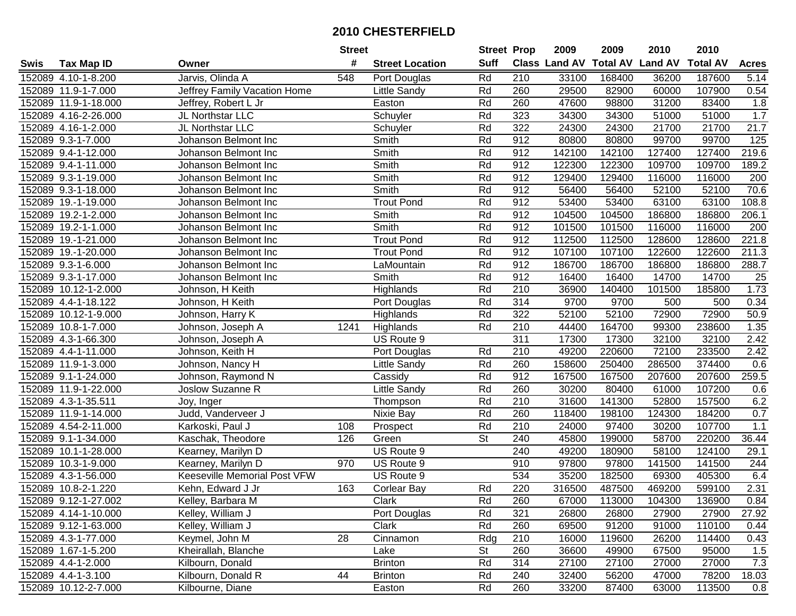|      |                      |                              | <b>Street</b> |                        | <b>Street Prop</b>       |     | 2009          | 2009            | 2010           | 2010            |              |
|------|----------------------|------------------------------|---------------|------------------------|--------------------------|-----|---------------|-----------------|----------------|-----------------|--------------|
| Swis | <b>Tax Map ID</b>    | Owner                        | #             | <b>Street Location</b> | <b>Suff</b>              |     | Class Land AV | <b>Total AV</b> | <b>Land AV</b> | <b>Total AV</b> | <b>Acres</b> |
|      | 152089 4.10-1-8.200  | Jarvis, Olinda A             | 548           | Port Douglas           | Rd                       | 210 | 33100         | 168400          | 36200          | 187600          | 5.14         |
|      | 152089 11.9-1-7.000  | Jeffrey Family Vacation Home |               | Little Sandy           | Rd                       | 260 | 29500         | 82900           | 60000          | 107900          | 0.54         |
|      | 152089 11.9-1-18.000 | Jeffrey, Robert L Jr         |               | Easton                 | Rd                       | 260 | 47600         | 98800           | 31200          | 83400           | 1.8          |
|      | 152089 4.16-2-26.000 | JL Northstar LLC             |               | Schuyler               | Rd                       | 323 | 34300         | 34300           | 51000          | 51000           | 1.7          |
|      | 152089 4.16-1-2.000  | JL Northstar LLC             |               | Schuyler               | Rd                       | 322 | 24300         | 24300           | 21700          | 21700           | 21.7         |
|      | 152089 9.3-1-7.000   | Johanson Belmont Inc         |               | Smith                  | Rd                       | 912 | 80800         | 80800           | 99700          | 99700           | 125          |
|      | 152089 9.4-1-12.000  | Johanson Belmont Inc         |               | Smith                  | Rd                       | 912 | 142100        | 142100          | 127400         | 127400          | 219.6        |
|      | 152089 9.4-1-11.000  | Johanson Belmont Inc         |               | Smith                  | Rd                       | 912 | 122300        | 122300          | 109700         | 109700          | 189.2        |
|      | 152089 9.3-1-19.000  | Johanson Belmont Inc         |               | Smith                  | Rd                       | 912 | 129400        | 129400          | 116000         | 116000          | 200          |
|      | 152089 9.3-1-18.000  | Johanson Belmont Inc         |               | Smith                  | Rd                       | 912 | 56400         | 56400           | 52100          | 52100           | 70.6         |
|      | 152089 19.-1-19.000  | Johanson Belmont Inc         |               | <b>Trout Pond</b>      | Rd                       | 912 | 53400         | 53400           | 63100          | 63100           | 108.8        |
|      | 152089 19.2-1-2.000  | Johanson Belmont Inc         |               | Smith                  | Rd                       | 912 | 104500        | 104500          | 186800         | 186800          | 206.1        |
|      | 152089 19.2-1-1.000  | Johanson Belmont Inc         |               | Smith                  | Rd                       | 912 | 101500        | 101500          | 116000         | 116000          | 200          |
|      | 152089 19.-1-21.000  | Johanson Belmont Inc         |               | <b>Trout Pond</b>      | Rd                       | 912 | 112500        | 112500          | 128600         | 128600          | 221.8        |
|      | 152089 19.-1-20.000  | Johanson Belmont Inc         |               | <b>Trout Pond</b>      | Rd                       | 912 | 107100        | 107100          | 122600         | 122600          | 211.3        |
|      | 152089 9.3-1-6.000   | Johanson Belmont Inc         |               | LaMountain             | Rd                       | 912 | 186700        | 186700          | 186800         | 186800          | 288.7        |
|      | 152089 9.3-1-17.000  | Johanson Belmont Inc         |               | Smith                  | Rd                       | 912 | 16400         | 16400           | 14700          | 14700           | 25           |
|      | 152089 10.12-1-2.000 | Johnson, H Keith             |               | Highlands              | Rd                       | 210 | 36900         | 140400          | 101500         | 185800          | 1.73         |
|      | 152089 4.4-1-18.122  | Johnson, H Keith             |               | Port Douglas           | Rd                       | 314 | 9700          | 9700            | 500            | 500             | 0.34         |
|      | 152089 10.12-1-9.000 | Johnson, Harry K             |               | Highlands              | Rd                       | 322 | 52100         | 52100           | 72900          | 72900           | 50.9         |
|      | 152089 10.8-1-7.000  | Johnson, Joseph A            | 1241          | Highlands              | Rd                       | 210 | 44400         | 164700          | 99300          | 238600          | 1.35         |
|      | 152089 4.3-1-66.300  | Johnson, Joseph A            |               | US Route 9             |                          | 311 | 17300         | 17300           | 32100          | 32100           | 2.42         |
|      | 152089 4.4-1-11.000  | Johnson, Keith H             |               | Port Douglas           | Rd                       | 210 | 49200         | 220600          | 72100          | 233500          | 2.42         |
|      | 152089 11.9-1-3.000  | Johnson, Nancy H             |               | Little Sandy           | Rd                       | 260 | 158600        | 250400          | 286500         | 374400          | 0.6          |
|      | 152089 9.1-1-24.000  | Johnson, Raymond N           |               | Cassidy                | Rd                       | 912 | 167500        | 167500          | 207600         | 207600          | 259.5        |
|      | 152089 11.9-1-22.000 | Joslow Suzanne R             |               | Little Sandy           | Rd                       | 260 | 30200         | 80400           | 61000          | 107200          | 0.6          |
|      | 152089 4.3-1-35.511  | Joy, Inger                   |               | Thompson               | Rd                       | 210 | 31600         | 141300          | 52800          | 157500          | 6.2          |
|      | 152089 11.9-1-14.000 | Judd, Vanderveer J           |               | Nixie Bay              | Rd                       | 260 | 118400        | 198100          | 124300         | 184200          | 0.7          |
|      | 152089 4.54-2-11.000 | Karkoski, Paul J             | 108           | Prospect               | Rd                       | 210 | 24000         | 97400           | 30200          | 107700          | 1.1          |
|      | 152089 9.1-1-34.000  | Kaschak, Theodore            | 126           | Green                  | $\overline{\mathsf{St}}$ | 240 | 45800         | 199000          | 58700          | 220200          | 36.44        |
|      | 152089 10.1-1-28.000 | Kearney, Marilyn D           |               | US Route 9             |                          | 240 | 49200         | 180900          | 58100          | 124100          | 29.1         |
|      | 152089 10.3-1-9.000  | Kearney, Marilyn D           | 970           | US Route 9             |                          | 910 | 97800         | 97800           | 141500         | 141500          | 244          |
|      | 152089 4.3-1-56.000  | Keeseville Memorial Post VFW |               | US Route 9             |                          | 534 | 35200         | 182500          | 69300          | 405300          | 6.4          |
|      | 152089 10.8-2-1.220  | Kehn, Edward J Jr            | 163           | Corlear Bay            | Rd                       | 220 | 316500        | 487500          | 469200         | 599100          | 2.31         |
|      | 152089 9.12-1-27.002 | Kelley, Barbara M            |               | Clark                  | Rd                       | 260 | 67000         | 113000          | 104300         | 136900          | 0.84         |
|      | 152089 4.14-1-10.000 | Kelley, William J            |               | Port Douglas           | Rd                       | 321 | 26800         | 26800           | 27900          | 27900           | 27.92        |
|      | 152089 9.12-1-63.000 | Kelley, William J            |               | Clark                  | Rd                       | 260 | 69500         | 91200           | 91000          | 110100          | 0.44         |
|      | 152089 4.3-1-77.000  | Keymel, John M               | 28            | Cinnamon               | Rdg                      | 210 | 16000         | 119600          | 26200          | 114400          | 0.43         |
|      | 152089 1.67-1-5.200  | Kheirallah, Blanche          |               | Lake                   | <b>St</b>                | 260 | 36600         | 49900           | 67500          | 95000           | 1.5          |
|      | 152089 4.4-1-2.000   | Kilbourn, Donald             |               | <b>Brinton</b>         | Rd                       | 314 | 27100         | 27100           | 27000          | 27000           | 7.3          |
|      | 152089 4.4-1-3.100   | Kilbourn, Donald R           | 44            | <b>Brinton</b>         | Rd                       | 240 | 32400         | 56200           | 47000          | 78200           | 18.03        |
|      | 152089 10.12-2-7.000 | Kilbourne, Diane             |               | Easton                 | Rd                       | 260 | 33200         | 87400           | 63000          | 113500          | 0.8          |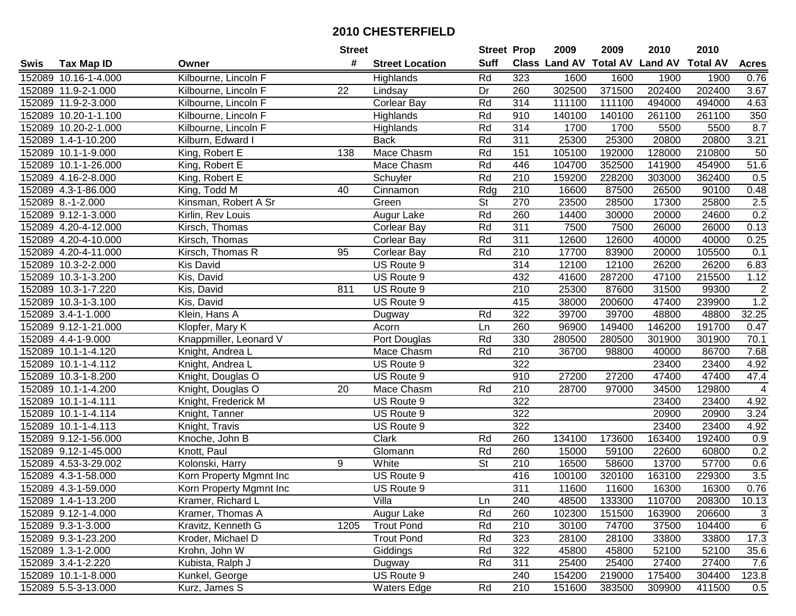|      |                      |                         | <b>Street</b> |                        | <b>Street Prop</b>       |                  | 2009   | 2009   | 2010                           | 2010            |                |
|------|----------------------|-------------------------|---------------|------------------------|--------------------------|------------------|--------|--------|--------------------------------|-----------------|----------------|
| Swis | <b>Tax Map ID</b>    | Owner                   | #             | <b>Street Location</b> | <b>Suff</b>              |                  |        |        | Class Land AV Total AV Land AV | <b>Total AV</b> | <b>Acres</b>   |
|      | 152089 10.16-1-4.000 | Kilbourne, Lincoln F    |               | Highlands              | Rd                       | 323              | 1600   | 1600   | 1900                           | 1900            | 0.76           |
|      | 152089 11.9-2-1.000  | Kilbourne, Lincoln F    | 22            | Lindsay                | Dr                       | 260              | 302500 | 371500 | 202400                         | 202400          | 3.67           |
|      | 152089 11.9-2-3.000  | Kilbourne, Lincoln F    |               | <b>Corlear Bay</b>     | Rd                       | 314              | 111100 | 111100 | 494000                         | 494000          | 4.63           |
|      | 152089 10.20-1-1.100 | Kilbourne, Lincoln F    |               | Highlands              | Rd                       | 910              | 140100 | 140100 | 261100                         | 261100          | 350            |
|      | 152089 10.20-2-1.000 | Kilbourne, Lincoln F    |               | Highlands              | Rd                       | 314              | 1700   | 1700   | 5500                           | 5500            | 8.7            |
|      | 152089 1.4-1-10.200  | Kilburn, Edward I       |               | <b>Back</b>            | Rd                       | 311              | 25300  | 25300  | 20800                          | 20800           | 3.21           |
|      | 152089 10.1-1-9.000  | King, Robert E          | 138           | Mace Chasm             | Rd                       | 151              | 105100 | 192000 | 128000                         | 210800          | 50             |
|      | 152089 10.1-1-26.000 | King, Robert E          |               | Mace Chasm             | Rd                       | 446              | 104700 | 352500 | 141900                         | 454900          | 51.6           |
|      | 152089 4.16-2-8.000  | King, Robert E          |               | Schuyler               | Rd                       | $\overline{210}$ | 159200 | 228200 | 303000                         | 362400          | 0.5            |
|      | 152089 4.3-1-86.000  | King, Todd M            | 40            | Cinnamon               | Rdg                      | 210              | 16600  | 87500  | 26500                          | 90100           | 0.48           |
|      | 152089 8.-1-2.000    | Kinsman, Robert A Sr    |               | Green                  | $\overline{\mathsf{St}}$ | 270              | 23500  | 28500  | 17300                          | 25800           | 2.5            |
|      | 152089 9.12-1-3.000  | Kirlin, Rev Louis       |               | Augur Lake             | Rd                       | 260              | 14400  | 30000  | 20000                          | 24600           | 0.2            |
|      | 152089 4.20-4-12.000 | Kirsch, Thomas          |               | Corlear Bay            | Rd                       | 311              | 7500   | 7500   | 26000                          | 26000           | 0.13           |
|      | 152089 4.20-4-10.000 | Kirsch, Thomas          |               | <b>Corlear Bay</b>     | Rd                       | 311              | 12600  | 12600  | 40000                          | 40000           | 0.25           |
|      | 152089 4.20-4-11.000 | Kirsch, Thomas R        | 95            | <b>Corlear Bay</b>     | Rd                       | 210              | 17700  | 83900  | 20000                          | 105500          | 0.1            |
|      | 152089 10.3-2-2.000  | <b>Kis David</b>        |               | US Route 9             |                          | 314              | 12100  | 12100  | 26200                          | 26200           | 6.83           |
|      | 152089 10.3-1-3.200  | Kis, David              |               | US Route 9             |                          | 432              | 41600  | 287200 | 47100                          | 215500          | 1.12           |
|      | 152089 10.3-1-7.220  | Kis, David              | 811           | US Route 9             |                          | 210              | 25300  | 87600  | 31500                          | 99300           | $\sqrt{2}$     |
|      | 152089 10.3-1-3.100  | Kis, David              |               | US Route 9             |                          | 415              | 38000  | 200600 | 47400                          | 239900          | 1.2            |
|      | 152089 3.4-1-1.000   | Klein, Hans A           |               | Dugway                 | Rd                       | 322              | 39700  | 39700  | 48800                          | 48800           | 32.25          |
|      | 152089 9.12-1-21.000 | Klopfer, Mary K         |               | Acorn                  | Ln                       | 260              | 96900  | 149400 | 146200                         | 191700          | 0.47           |
|      | 152089 4.4-1-9.000   | Knappmiller, Leonard V  |               | Port Douglas           | Rd                       | 330              | 280500 | 280500 | 301900                         | 301900          | 70.1           |
|      | 152089 10.1-1-4.120  | Knight, Andrea L        |               | Mace Chasm             | Rd                       | 210              | 36700  | 98800  | 40000                          | 86700           | 7.68           |
|      | 152089 10.1-1-4.112  | Knight, Andrea L        |               | US Route 9             |                          | 322              |        |        | 23400                          | 23400           | 4.92           |
|      | 152089 10.3-1-8.200  | Knight, Douglas O       |               | US Route 9             |                          | 910              | 27200  | 27200  | 47400                          | 47400           | 47.4           |
|      | 152089 10.1-1-4.200  | Knight, Douglas O       | 20            | Mace Chasm             | Rd                       | 210              | 28700  | 97000  | 34500                          | 129800          | $\overline{4}$ |
|      | 152089 10.1-1-4.111  | Knight, Frederick M     |               | US Route 9             |                          | 322              |        |        | 23400                          | 23400           | 4.92           |
|      | 152089 10.1-1-4.114  | Knight, Tanner          |               | US Route 9             |                          | 322              |        |        | 20900                          | 20900           | 3.24           |
|      | 152089 10.1-1-4.113  | Knight, Travis          |               | US Route 9             |                          | 322              |        |        | 23400                          | 23400           | 4.92           |
|      | 152089 9.12-1-56.000 | Knoche, John B          |               | Clark                  | Rd                       | 260              | 134100 | 173600 | 163400                         | 192400          | 0.9            |
|      | 152089 9.12-1-45.000 | Knott, Paul             |               | Glomann                | Rd                       | 260              | 15000  | 59100  | 22600                          | 60800           | 0.2            |
|      | 152089 4.53-3-29.002 | Kolonski, Harry         | 9             | White                  | $\overline{\mathsf{St}}$ | 210              | 16500  | 58600  | 13700                          | 57700           | 0.6            |
|      | 152089 4.3-1-58.000  | Korn Property Mgmnt Inc |               | US Route 9             |                          | 416              | 100100 | 320100 | 163100                         | 229300          | 3.5            |
|      | 152089 4.3-1-59.000  | Korn Property Mgmnt Inc |               | US Route 9             |                          | 311              | 11600  | 11600  | 16300                          | 16300           | 0.76           |
|      | 152089 1.4-1-13.200  | Kramer, Richard L       |               | Villa                  | Ln                       | 240              | 48500  | 133300 | 110700                         | 208300          | 10.13          |
|      | 152089 9.12-1-4.000  | Kramer, Thomas A        |               | Augur Lake             | Rd                       | 260              | 102300 | 151500 | 163900                         | 206600          | 3              |
|      | 152089 9.3-1-3.000   | Kravitz, Kenneth G      | 1205          | <b>Trout Pond</b>      | Rd                       | 210              | 30100  | 74700  | 37500                          | 104400          | 6              |
|      | 152089 9.3-1-23.200  | Kroder, Michael D       |               | <b>Trout Pond</b>      | Rd                       | 323              | 28100  | 28100  | 33800                          | 33800           | 17.3           |
|      | 152089 1.3-1-2.000   | Krohn, John W           |               | Giddings               | Rd                       | 322              | 45800  | 45800  | 52100                          | 52100           | 35.6           |
|      | 152089 3.4-1-2.220   | Kubista, Ralph J        |               | Dugway                 | Rd                       | 311              | 25400  | 25400  | 27400                          | 27400           | 7.6            |
|      | 152089 10.1-1-8.000  | Kunkel, George          |               | US Route 9             |                          | 240              | 154200 | 219000 | 175400                         | 304400          | 123.8          |
|      | 152089 5.5-3-13.000  | Kurz, James S           |               | <b>Waters Edge</b>     | Rd                       | 210              | 151600 | 383500 | 309900                         | 411500          | 0.5            |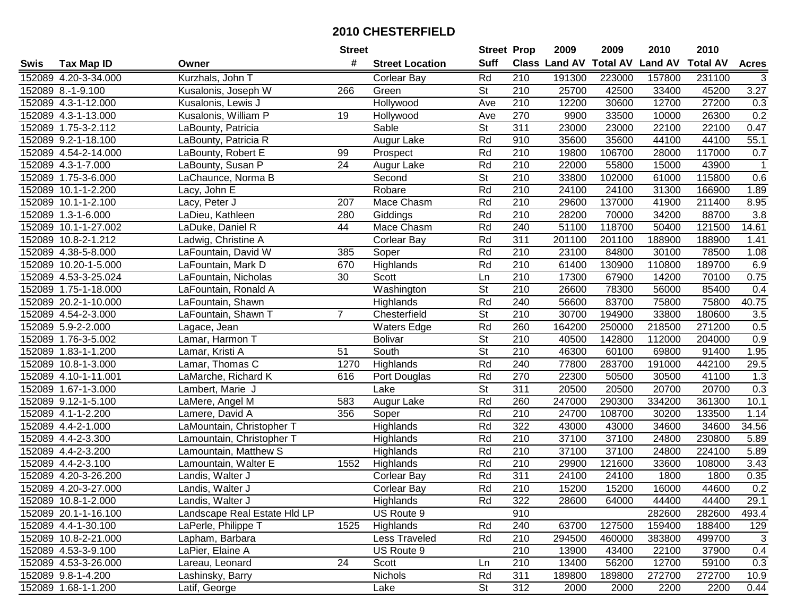|      |                      |                              | <b>Street</b>   |                        | <b>Street Prop</b>       |                  | 2009          | 2009            | 2010           | 2010            |                           |
|------|----------------------|------------------------------|-----------------|------------------------|--------------------------|------------------|---------------|-----------------|----------------|-----------------|---------------------------|
| Swis | <b>Tax Map ID</b>    | Owner                        | #               | <b>Street Location</b> | <b>Suff</b>              |                  | Class Land AV | <b>Total AV</b> | <b>Land AV</b> | <b>Total AV</b> | <b>Acres</b>              |
|      | 152089 4.20-3-34.000 | Kurzhals, John T             |                 | <b>Corlear Bay</b>     | Rd                       | 210              | 191300        | 223000          | 157800         | 231100          | 3                         |
|      | 152089 8.-1-9.100    | Kusalonis, Joseph W          | 266             | Green                  | St                       | 210              | 25700         | 42500           | 33400          | 45200           | 3.27                      |
|      | 152089 4.3-1-12.000  | Kusalonis, Lewis J           |                 | Hollywood              | Ave                      | 210              | 12200         | 30600           | 12700          | 27200           | 0.3                       |
|      | 152089 4.3-1-13.000  | Kusalonis, William P         | 19              | Hollywood              | Ave                      | 270              | 9900          | 33500           | 10000          | 26300           | 0.2                       |
|      | 152089 1.75-3-2.112  | LaBounty, Patricia           |                 | Sable                  | St                       | $\overline{311}$ | 23000         | 23000           | 22100          | 22100           | 0.47                      |
|      | 152089 9.2-1-18.100  | LaBounty, Patricia R         |                 | Augur Lake             | Rd                       | 910              | 35600         | 35600           | 44100          | 44100           | 55.1                      |
|      | 152089 4.54-2-14.000 | LaBounty, Robert E           | 99              | Prospect               | Rd                       | 210              | 19800         | 106700          | 28000          | 117000          | 0.7                       |
|      | 152089 4.3-1-7.000   | LaBounty, Susan P            | $\overline{24}$ | Augur Lake             | Rd                       | 210              | 22000         | 55800           | 15000          | 43900           | -1                        |
|      | 152089 1.75-3-6.000  | LaChaunce, Norma B           |                 | Second                 | $\overline{\mathsf{St}}$ | $\overline{210}$ | 33800         | 102000          | 61000          | 115800          | 0.6                       |
|      | 152089 10.1-1-2.200  | Lacy, John E                 |                 | Robare                 | Rd                       | 210              | 24100         | 24100           | 31300          | 166900          | 1.89                      |
|      | 152089 10.1-1-2.100  | Lacy, Peter J                | 207             | Mace Chasm             | Rd                       | 210              | 29600         | 137000          | 41900          | 211400          | 8.95                      |
|      | 152089 1.3-1-6.000   | LaDieu, Kathleen             | 280             | Giddings               | Rd                       | 210              | 28200         | 70000           | 34200          | 88700           | 3.8                       |
|      | 152089 10.1-1-27.002 | LaDuke, Daniel R             | 44              | Mace Chasm             | Rd                       | 240              | 51100         | 118700          | 50400          | 121500          | 14.61                     |
|      | 152089 10.8-2-1.212  | Ladwig, Christine A          |                 | <b>Corlear Bay</b>     | Rd                       | 311              | 201100        | 201100          | 188900         | 188900          | 1.41                      |
|      | 152089 4.38-5-8.000  | LaFountain, David W          | 385             | Soper                  | Rd                       | 210              | 23100         | 84800           | 30100          | 78500           | 1.08                      |
|      | 152089 10.20-1-5.000 | LaFountain, Mark D           | 670             | Highlands              | Rd                       | 210              | 61400         | 130900          | 110800         | 189700          | 6.9                       |
|      | 152089 4.53-3-25.024 | LaFountain, Nicholas         | 30              | Scott                  | Ln                       | 210              | 17300         | 67900           | 14200          | 70100           | 0.75                      |
|      | 152089 1.75-1-18.000 | LaFountain, Ronald A         |                 | Washington             | $\overline{\mathsf{St}}$ | 210              | 26600         | 78300           | 56000          | 85400           | 0.4                       |
|      | 152089 20.2-1-10.000 | LaFountain, Shawn            |                 | Highlands              | Rd                       | 240              | 56600         | 83700           | 75800          | 75800           | 40.75                     |
|      | 152089 4.54-2-3.000  | LaFountain, Shawn T          | $\overline{7}$  | Chesterfield           | <b>St</b>                | 210              | 30700         | 194900          | 33800          | 180600          | 3.5                       |
|      | 152089 5.9-2-2.000   | Lagace, Jean                 |                 | <b>Waters Edge</b>     | Rd                       | 260              | 164200        | 250000          | 218500         | 271200          | 0.5                       |
|      | 152089 1.76-3-5.002  | Lamar, Harmon T              |                 | <b>Bolivar</b>         | <b>St</b>                | 210              | 40500         | 142800          | 112000         | 204000          | 0.9                       |
|      | 152089 1.83-1-1.200  | Lamar, Kristi A              | 51              | South                  | $\overline{\mathsf{St}}$ | 210              | 46300         | 60100           | 69800          | 91400           | 1.95                      |
|      | 152089 10.8-1-3.000  | Lamar, Thomas C              | 1270            | Highlands              | Rd                       | 240              | 77800         | 283700          | 191000         | 442100          | 29.5                      |
|      | 152089 4.10-1-11.001 | LaMarche, Richard K          | 616             | Port Douglas           | Rd                       | 270              | 22300         | 50500           | 30500          | 41100           | 1.3                       |
|      | 152089 1.67-1-3.000  | Lambert, Marie J             |                 | Lake                   | $\overline{\mathsf{St}}$ | 311              | 20500         | 20500           | 20700          | 20700           | 0.3                       |
|      | 152089 9.12-1-5.100  | LaMere, Angel M              | 583             | Augur Lake             | Rd                       | 260              | 247000        | 290300          | 334200         | 361300          | 10.1                      |
|      | 152089 4.1-1-2.200   | Lamere, David A              | 356             | Soper                  | Rd                       | 210              | 24700         | 108700          | 30200          | 133500          | 1.14                      |
|      | 152089 4.4-2-1.000   | LaMountain, Christopher T    |                 | Highlands              | Rd                       | $\overline{322}$ | 43000         | 43000           | 34600          | 34600           | 34.56                     |
|      | 152089 4.4-2-3.300   | Lamountain, Christopher T    |                 | Highlands              | Rd                       | $\overline{210}$ | 37100         | 37100           | 24800          | 230800          | 5.89                      |
|      | 152089 4.4-2-3.200   | Lamountain, Matthew S        |                 | Highlands              | Rd                       | 210              | 37100         | 37100           | 24800          | 224100          | 5.89                      |
|      | 152089 4.4-2-3.100   | Lamountain, Walter E         | 1552            | Highlands              | Rd                       | $\overline{210}$ | 29900         | 121600          | 33600          | 108000          | 3.43                      |
|      | 152089 4.20-3-26.200 | Landis, Walter J             |                 | Corlear Bay            | Rd                       | 311              | 24100         | 24100           | 1800           | 1800            | 0.35                      |
|      | 152089 4.20-3-27.000 | Landis, Walter J             |                 | <b>Corlear Bay</b>     | Rd                       | $\overline{210}$ | 15200         | 15200           | 16000          | 44600           | 0.2                       |
|      | 152089 10.8-1-2.000  | Landis, Walter J             |                 | Highlands              | Rd                       | 322              | 28600         | 64000           | 44400          | 44400           | 29.1                      |
|      | 152089 20.1-1-16.100 | Landscape Real Estate HId LP |                 | US Route 9             |                          | 910              |               |                 | 282600         | 282600          | 493.4                     |
|      | 152089 4.4-1-30.100  | LaPerle, Philippe T          | 1525            | Highlands              | Rd                       | 240              | 63700         | 127500          | 159400         | 188400          | 129                       |
|      | 152089 10.8-2-21.000 | Lapham, Barbara              |                 | Less Traveled          | Rd                       | 210              | 294500        | 460000          | 383800         | 499700          | $\ensuremath{\mathsf{3}}$ |
|      | 152089 4.53-3-9.100  | LaPier, Elaine A             |                 | US Route 9             |                          | 210              | 13900         | 43400           | 22100          | 37900           | 0.4                       |
|      | 152089 4.53-3-26.000 | Lareau, Leonard              | 24              | Scott                  | Ln                       | 210              | 13400         | 56200           | 12700          | 59100           | 0.3                       |
|      | 152089 9.8-1-4.200   | Lashinsky, Barry             |                 | <b>Nichols</b>         | Rd                       | 311              | 189800        | 189800          | 272700         | 272700          | 10.9                      |
|      | 152089 1.68-1-1.200  | Latif, George                |                 | Lake                   | <b>St</b>                | 312              | 2000          | 2000            | 2200           | 2200            | 0.44                      |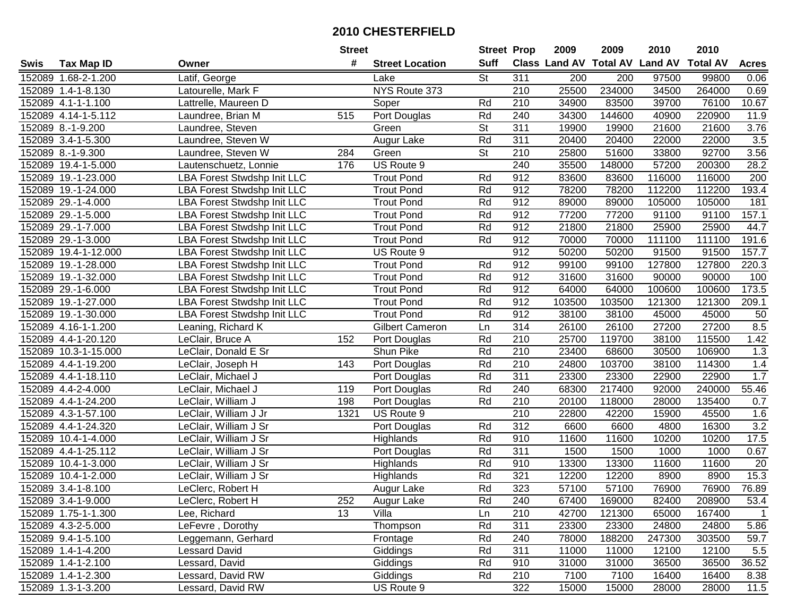|      |                      |                                    | <b>Street</b> |                        | <b>Street Prop</b> |                  | 2009                          | 2009   | 2010           | 2010            |                  |
|------|----------------------|------------------------------------|---------------|------------------------|--------------------|------------------|-------------------------------|--------|----------------|-----------------|------------------|
| Swis | <b>Tax Map ID</b>    | Owner                              | #             | <b>Street Location</b> | <b>Suff</b>        |                  | <b>Class Land AV Total AV</b> |        | <b>Land AV</b> | <b>Total AV</b> | <b>Acres</b>     |
|      | 152089 1.68-2-1.200  | Latif, George                      |               | Lake                   | <b>St</b>          | 311              | 200                           | 200    | 97500          | 99800           | 0.06             |
|      | 152089 1.4-1-8.130   | Latourelle, Mark F                 |               | NYS Route 373          |                    | 210              | 25500                         | 234000 | 34500          | 264000          | 0.69             |
|      | 152089 4.1-1-1.100   | Lattrelle, Maureen D               |               | Soper                  | Rd                 | 210              | 34900                         | 83500  | 39700          | 76100           | 10.67            |
|      | 152089 4.14-1-5.112  | Laundree, Brian M                  | 515           | Port Douglas           | Rd                 | 240              | 34300                         | 144600 | 40900          | 220900          | 11.9             |
|      | 152089 8.-1-9.200    | Laundree, Steven                   |               | Green                  | <b>St</b>          | 311              | 19900                         | 19900  | 21600          | 21600           | 3.76             |
|      | 152089 3.4-1-5.300   | Laundree, Steven W                 |               | Augur Lake             | Rd                 | 311              | 20400                         | 20400  | 22000          | 22000           | $\overline{3.5}$ |
|      | 152089 8.-1-9.300    | Laundree, Steven W                 | 284           | Green                  | <b>St</b>          | 210              | 25800                         | 51600  | 33800          | 92700           | 3.56             |
|      | 152089 19.4-1-5.000  | Lautenschuetz, Lonnie              | 176           | US Route 9             |                    | 240              | 35500                         | 148000 | 57200          | 200300          | 28.2             |
|      | 152089 19.-1-23.000  | LBA Forest Stwdshp Init LLC        |               | <b>Trout Pond</b>      | Rd                 | 912              | 83600                         | 83600  | 116000         | 116000          | 200              |
|      | 152089 19.-1-24.000  | <b>LBA Forest Stwdshp Init LLC</b> |               | <b>Trout Pond</b>      | Rd                 | 912              | 78200                         | 78200  | 112200         | 112200          | 193.4            |
|      | 152089 29.-1-4.000   | <b>LBA Forest Stwdshp Init LLC</b> |               | <b>Trout Pond</b>      | Rd                 | 912              | 89000                         | 89000  | 105000         | 105000          | 181              |
|      | 152089 29.-1-5.000   | LBA Forest Stwdshp Init LLC        |               | <b>Trout Pond</b>      | Rd                 | 912              | 77200                         | 77200  | 91100          | 91100           | 157.1            |
|      | 152089 29.-1-7.000   | LBA Forest Stwdshp Init LLC        |               | <b>Trout Pond</b>      | Rd                 | 912              | 21800                         | 21800  | 25900          | 25900           | 44.7             |
|      | 152089 29.-1-3.000   | <b>LBA Forest Stwdshp Init LLC</b> |               | <b>Trout Pond</b>      | Rd                 | 912              | 70000                         | 70000  | 111100         | 111100          | 191.6            |
|      | 152089 19.4-1-12.000 | <b>LBA Forest Stwdshp Init LLC</b> |               | US Route 9             |                    | 912              | 50200                         | 50200  | 91500          | 91500           | 157.7            |
|      | 152089 19.-1-28.000  | <b>LBA Forest Stwdshp Init LLC</b> |               | <b>Trout Pond</b>      | Rd                 | 912              | 99100                         | 99100  | 127800         | 127800          | 220.3            |
|      | 152089 19.-1-32.000  | <b>LBA Forest Stwdshp Init LLC</b> |               | <b>Trout Pond</b>      | Rd                 | 912              | 31600                         | 31600  | 90000          | 90000           | 100              |
|      | 152089 29.-1-6.000   | LBA Forest Stwdshp Init LLC        |               | <b>Trout Pond</b>      | Rd                 | 912              | 64000                         | 64000  | 100600         | 100600          | 173.5            |
|      | 152089 19.-1-27.000  | LBA Forest Stwdshp Init LLC        |               | <b>Trout Pond</b>      | Rd                 | 912              | 103500                        | 103500 | 121300         | 121300          | 209.1            |
|      | 152089 19.-1-30.000  | LBA Forest Stwdshp Init LLC        |               | <b>Trout Pond</b>      | Rd                 | 912              | 38100                         | 38100  | 45000          | 45000           | 50               |
|      | 152089 4.16-1-1.200  | Leaning, Richard K                 |               | <b>Gilbert Cameron</b> | Ln                 | $\overline{314}$ | 26100                         | 26100  | 27200          | 27200           | 8.5              |
|      | 152089 4.4-1-20.120  | LeClair, Bruce A                   | 152           | Port Douglas           | Rd                 | 210              | 25700                         | 119700 | 38100          | 115500          | 1.42             |
|      | 152089 10.3-1-15.000 | LeClair, Donald E Sr               |               | Shun Pike              | Rd                 | 210              | 23400                         | 68600  | 30500          | 106900          | 1.3              |
|      | 152089 4.4-1-19.200  | LeClair, Joseph H                  | 143           | Port Douglas           | Rd                 | 210              | 24800                         | 103700 | 38100          | 114300          | 1.4              |
|      | 152089 4.4-1-18.110  | LeClair, Michael J                 |               | Port Douglas           | Rd                 | 311              | 23300                         | 23300  | 22900          | 22900           | 1.7              |
|      | 152089 4.4-2-4.000   | LeClair, Michael J                 | 119           | Port Douglas           | Rd                 | 240              | 68300                         | 217400 | 92000          | 240000          | 55.46            |
|      | 152089 4.4-1-24.200  | LeClair, William J                 | 198           | Port Douglas           | Rd                 | 210              | 20100                         | 118000 | 28000          | 135400          | 0.7              |
|      | 152089 4.3-1-57.100  | LeClair, William J Jr              | 1321          | US Route 9             |                    | 210              | 22800                         | 42200  | 15900          | 45500           | 1.6              |
|      | 152089 4.4-1-24.320  | LeClair, William J Sr              |               | Port Douglas           | Rd                 | 312              | 6600                          | 6600   | 4800           | 16300           | $\overline{3.2}$ |
|      | 152089 10.4-1-4.000  | LeClair, William J Sr              |               | Highlands              | Rd                 | 910              | 11600                         | 11600  | 10200          | 10200           | 17.5             |
|      | 152089 4.4-1-25.112  | LeClair, William J Sr              |               | Port Douglas           | Rd                 | 311              | 1500                          | 1500   | 1000           | 1000            | 0.67             |
|      | 152089 10.4-1-3.000  | LeClair, William J Sr              |               | Highlands              | Rd                 | 910              | 13300                         | 13300  | 11600          | 11600           | 20               |
|      | 152089 10.4-1-2.000  | LeClair, William J Sr              |               | Highlands              | Rd                 | 321              | 12200                         | 12200  | 8900           | 8900            | 15.3             |
|      | 152089 3.4-1-8.100   | LeClerc, Robert H                  |               | Augur Lake             | Rd                 | 323              | 57100                         | 57100  | 76900          | 76900           | 76.89            |
|      | 152089 3.4-1-9.000   | LeClerc, Robert H                  | 252           | Augur Lake             | Rd                 | 240              | 67400                         | 169000 | 82400          | 208900          | 53.4             |
|      | 152089 1.75-1-1.300  | Lee, Richard                       | 13            | Villa                  | Ln                 | 210              | 42700                         | 121300 | 65000          | 167400          | $\mathbf 1$      |
|      | 152089 4.3-2-5.000   | LeFevre, Dorothy                   |               | Thompson               | Rd                 | 311              | 23300                         | 23300  | 24800          | 24800           | 5.86             |
|      | 152089 9.4-1-5.100   | Leggemann, Gerhard                 |               | Frontage               | Rd                 | 240              | 78000                         | 188200 | 247300         | 303500          | 59.7             |
|      | 152089 1.4-1-4.200   | <b>Lessard David</b>               |               | Giddings               | Rd                 | 311              | 11000                         | 11000  | 12100          | 12100           | 5.5              |
|      | 152089 1.4-1-2.100   | Lessard, David                     |               | Giddings               | Rd                 | 910              | 31000                         | 31000  | 36500          | 36500           | 36.52            |
|      | 152089 1.4-1-2.300   | Lessard, David RW                  |               | Giddings               | Rd                 | 210              | 7100                          | 7100   | 16400          | 16400           | 8.38             |
|      | 152089 1.3-1-3.200   | Lessard, David RW                  |               | US Route 9             |                    | 322              | 15000                         | 15000  | 28000          | 28000           | 11.5             |
|      |                      |                                    |               |                        |                    |                  |                               |        |                |                 |                  |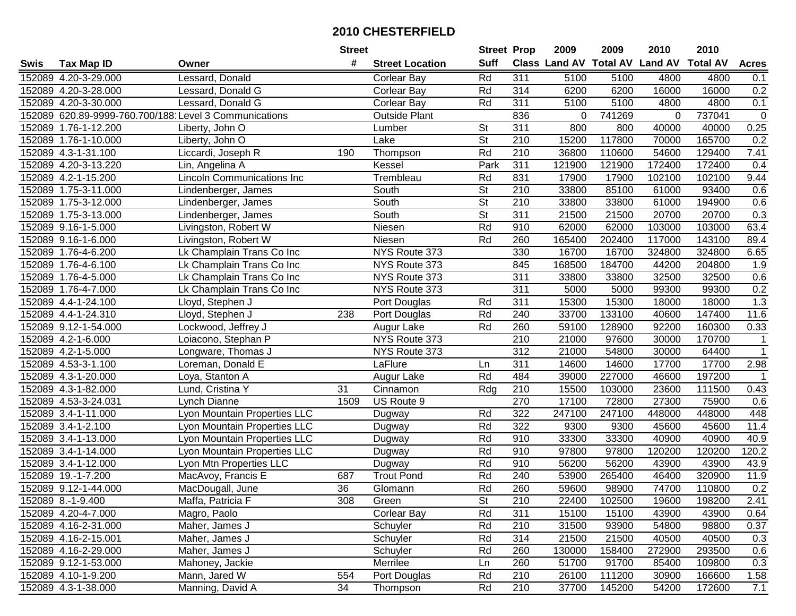|      |                                                       |                                   | <b>Street</b>   |                        | <b>Street Prop</b>       |                  | 2009                          | 2009   | 2010           | 2010            |              |
|------|-------------------------------------------------------|-----------------------------------|-----------------|------------------------|--------------------------|------------------|-------------------------------|--------|----------------|-----------------|--------------|
| Swis | <b>Tax Map ID</b>                                     | Owner                             | #               | <b>Street Location</b> | <b>Suff</b>              |                  | <b>Class Land AV Total AV</b> |        | <b>Land AV</b> | <b>Total AV</b> | <b>Acres</b> |
|      | 152089 4.20-3-29.000                                  | Lessard, Donald                   |                 | <b>Corlear Bay</b>     | Rd                       | 311              | 5100                          | 5100   | 4800           | 4800            | 0.1          |
|      | 152089 4.20-3-28.000                                  | Lessard, Donald G                 |                 | <b>Corlear Bay</b>     | Rd                       | 314              | 6200                          | 6200   | 16000          | 16000           | 0.2          |
|      | 152089 4.20-3-30.000                                  | Lessard, Donald G                 |                 | <b>Corlear Bay</b>     | Rd                       | 311              | 5100                          | 5100   | 4800           | 4800            | 0.1          |
|      | 152089 620.89-9999-760.700/188 Level 3 Communications |                                   |                 | <b>Outside Plant</b>   |                          | 836              | 0                             | 741269 | $\Omega$       | 737041          | $\mathbf 0$  |
|      | 152089 1.76-1-12.200                                  | Liberty, John O                   |                 | Lumber                 | St                       | 311              | 800                           | 800    | 40000          | 40000           | 0.25         |
|      | 152089 1.76-1-10.000                                  | Liberty, John O                   |                 | Lake                   | $\overline{\mathsf{St}}$ | $\overline{210}$ | 15200                         | 117800 | 70000          | 165700          | 0.2          |
|      | 152089 4.3-1-31.100                                   | Liccardi, Joseph R                | 190             | Thompson               | Rd                       | 210              | 36800                         | 110600 | 54600          | 129400          | 7.41         |
|      | 152089 4.20-3-13.220                                  | Lin, Angelina A                   |                 | Kessel                 | Park                     | 311              | 121900                        | 121900 | 172400         | 172400          | 0.4          |
|      | 152089 4.2-1-15.200                                   | <b>Lincoln Communications Inc</b> |                 | Trembleau              | Rd                       | 831              | 17900                         | 17900  | 102100         | 102100          | 9.44         |
|      | 152089 1.75-3-11.000                                  | Lindenberger, James               |                 | South                  | St                       | 210              | 33800                         | 85100  | 61000          | 93400           | 0.6          |
|      | 152089 1.75-3-12.000                                  | Lindenberger, James               |                 | South                  | $\overline{\mathsf{St}}$ | 210              | 33800                         | 33800  | 61000          | 194900          | 0.6          |
|      | 152089 1.75-3-13.000                                  | Lindenberger, James               |                 | South                  | St                       | 311              | 21500                         | 21500  | 20700          | 20700           | 0.3          |
|      | 152089 9.16-1-5.000                                   | Livingston, Robert W              |                 | Niesen                 | Rd                       | 910              | 62000                         | 62000  | 103000         | 103000          | 63.4         |
|      | 152089 9.16-1-6.000                                   | Livingston, Robert W              |                 | Niesen                 | Rd                       | 260              | 165400                        | 202400 | 117000         | 143100          | 89.4         |
|      | 152089 1.76-4-6.200                                   | Lk Champlain Trans Co Inc         |                 | NYS Route 373          |                          | 330              | 16700                         | 16700  | 324800         | 324800          | 6.65         |
|      | 152089 1.76-4-6.100                                   | Lk Champlain Trans Co Inc         |                 | NYS Route 373          |                          | 845              | 168500                        | 184700 | 44200          | 204800          | 1.9          |
|      | 152089 1.76-4-5.000                                   | Lk Champlain Trans Co Inc         |                 | NYS Route 373          |                          | $\overline{311}$ | 33800                         | 33800  | 32500          | 32500           | 0.6          |
|      | 152089 1.76-4-7.000                                   | Lk Champlain Trans Co Inc         |                 | NYS Route 373          |                          | 311              | 5000                          | 5000   | 99300          | 99300           | 0.2          |
|      | 152089 4.4-1-24.100                                   | Lloyd, Stephen J                  |                 | Port Douglas           | Rd                       | 311              | 15300                         | 15300  | 18000          | 18000           | 1.3          |
|      | 152089 4.4-1-24.310                                   | Lloyd, Stephen J                  | 238             | Port Douglas           | Rd                       | 240              | 33700                         | 133100 | 40600          | 147400          | 11.6         |
|      | 152089 9.12-1-54.000                                  | Lockwood, Jeffrey J               |                 | Augur Lake             | Rd                       | 260              | 59100                         | 128900 | 92200          | 160300          | 0.33         |
|      | 152089 4.2-1-6.000                                    | Loiacono, Stephan P               |                 | NYS Route 373          |                          | 210              | 21000                         | 97600  | 30000          | 170700          | $\mathbf{1}$ |
|      | 152089 4.2-1-5.000                                    | Longware, Thomas J                |                 | NYS Route 373          |                          | 312              | 21000                         | 54800  | 30000          | 64400           | $\mathbf{1}$ |
|      | 152089 4.53-3-1.100                                   | Loreman, Donald E                 |                 | LaFlure                | Ln                       | 311              | 14600                         | 14600  | 17700          | 17700           | 2.98         |
|      | 152089 4.3-1-20.000                                   | Loya, Stanton A                   |                 | Augur Lake             | Rd                       | 484              | 39000                         | 227000 | 46600          | 197200          | $\mathbf 1$  |
|      | 152089 4.3-1-82.000                                   | Lund, Cristina Y                  | 31              | Cinnamon               | Rdg                      | 210              | 15500                         | 103000 | 23600          | 111500          | 0.43         |
|      | 152089 4.53-3-24.031                                  | Lynch Dianne                      | 1509            | US Route 9             |                          | 270              | 17100                         | 72800  | 27300          | 75900           | 0.6          |
|      | 152089 3.4-1-11.000                                   | Lyon Mountain Properties LLC      |                 | Dugway                 | Rd                       | 322              | 247100                        | 247100 | 448000         | 448000          | 448          |
|      | 152089 3.4-1-2.100                                    | Lyon Mountain Properties LLC      |                 | Dugway                 | Rd                       | 322              | 9300                          | 9300   | 45600          | 45600           | 11.4         |
|      | 152089 3.4-1-13.000                                   | Lyon Mountain Properties LLC      |                 | Dugway                 | Rd                       | 910              | 33300                         | 33300  | 40900          | 40900           | 40.9         |
|      | 152089 3.4-1-14.000                                   | Lyon Mountain Properties LLC      |                 | Dugway                 | Rd                       | 910              | 97800                         | 97800  | 120200         | 120200          | 120.2        |
|      | 152089 3.4-1-12.000                                   | Lyon Mtn Properties LLC           |                 | Dugway                 | Rd                       | 910              | 56200                         | 56200  | 43900          | 43900           | 43.9         |
|      | 152089 19.-1-7.200                                    | MacAvoy, Francis E                | 687             | <b>Trout Pond</b>      | Rd                       | 240              | 53900                         | 265400 | 46400          | 320900          | 11.9         |
|      | 152089 9.12-1-44.000                                  | MacDougall, June                  | $\overline{36}$ | Glomann                | Rd                       | 260              | 59600                         | 98900  | 74700          | 110800          | 0.2          |
|      | 152089 8.-1-9.400                                     | Maffa, Patricia F                 | 308             | Green                  | St                       | 210              | 22400                         | 102500 | 19600          | 198200          | 2.41         |
|      | 152089 4.20-4-7.000                                   | Magro, Paolo                      |                 | <b>Corlear Bay</b>     | Rd                       | 311              | 15100                         | 15100  | 43900          | 43900           | 0.64         |
|      | 152089 4.16-2-31.000                                  | Maher, James J                    |                 | Schuyler               | Rd                       | 210              | 31500                         | 93900  | 54800          | 98800           | 0.37         |
|      | 152089 4.16-2-15.001                                  | Maher, James J                    |                 | Schuyler               | Rd                       | 314              | 21500                         | 21500  | 40500          | 40500           | 0.3          |
|      | 152089 4.16-2-29.000                                  | Maher, James J                    |                 | Schuyler               | Rd                       | 260              | 130000                        | 158400 | 272900         | 293500          | 0.6          |
|      | 152089 9.12-1-53.000                                  | Mahoney, Jackie                   |                 | Merrilee               | Ln                       | 260              | 51700                         | 91700  | 85400          | 109800          | 0.3          |
|      | 152089 4.10-1-9.200                                   | Mann, Jared W                     | 554             | Port Douglas           | Rd                       | 210              | 26100                         | 111200 | 30900          | 166600          | 1.58         |
|      | 152089 4.3-1-38.000                                   | Manning, David A                  | 34              | Thompson               | Rd                       | 210              | 37700                         | 145200 | 54200          | 172600          | 7.1          |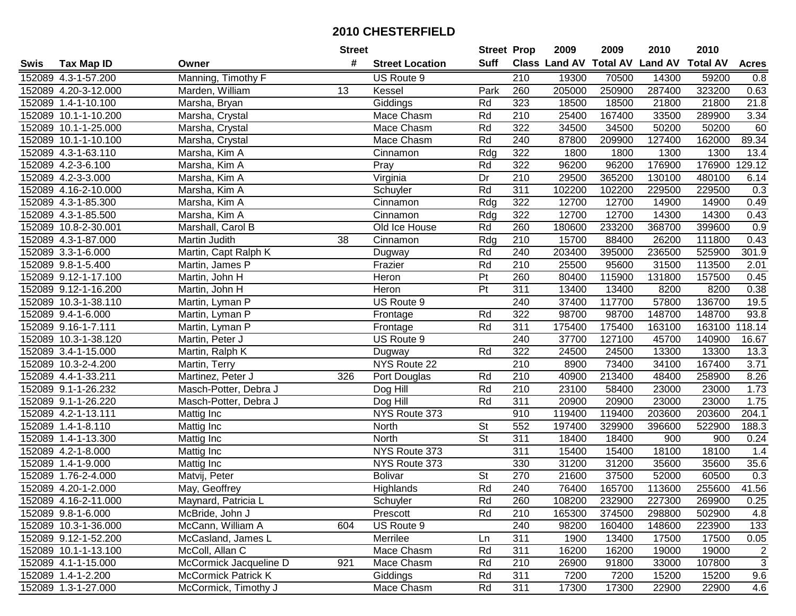|      |                      |                            | <b>Street</b> |                        | <b>Street Prop</b>       |                  | 2009                           | 2009   | 2010   | 2010            |                |
|------|----------------------|----------------------------|---------------|------------------------|--------------------------|------------------|--------------------------------|--------|--------|-----------------|----------------|
| Swis | <b>Tax Map ID</b>    | Owner                      | #             | <b>Street Location</b> | Suff                     |                  | Class Land AV Total AV Land AV |        |        | <b>Total AV</b> | <b>Acres</b>   |
|      | 152089 4.3-1-57.200  | Manning, Timothy F         |               | US Route 9             |                          | 210              | 19300                          | 70500  | 14300  | 59200           | 0.8            |
|      | 152089 4.20-3-12.000 | Marden, William            | 13            | Kessel                 | Park                     | 260              | 205000                         | 250900 | 287400 | 323200          | 0.63           |
|      | 152089 1.4-1-10.100  | Marsha, Bryan              |               | Giddings               | Rd                       | 323              | 18500                          | 18500  | 21800  | 21800           | 21.8           |
|      | 152089 10.1-1-10.200 | Marsha, Crystal            |               | Mace Chasm             | Rd                       | 210              | 25400                          | 167400 | 33500  | 289900          | 3.34           |
|      | 152089 10.1-1-25.000 | Marsha, Crystal            |               | Mace Chasm             | Rd                       | $\overline{322}$ | 34500                          | 34500  | 50200  | 50200           | 60             |
|      | 152089 10.1-1-10.100 | Marsha, Crystal            |               | Mace Chasm             | Rd                       | $\overline{240}$ | 87800                          | 209900 | 127400 | 162000          | 89.34          |
|      | 152089 4.3-1-63.110  | Marsha, Kim A              |               | Cinnamon               | Rdg                      | 322              | 1800                           | 1800   | 1300   | 1300            | 13.4           |
|      | 152089 4.2-3-6.100   | Marsha, Kim A              |               | Pray                   | Rd                       | 322              | 96200                          | 96200  | 176900 | 176900          | 129.12         |
|      | 152089 4.2-3-3.000   | Marsha, Kim A              |               | Virginia               | Dr                       | $\overline{210}$ | 29500                          | 365200 | 130100 | 480100          | 6.14           |
|      | 152089 4.16-2-10.000 | Marsha, Kim A              |               | Schuyler               | Rd                       | 311              | 102200                         | 102200 | 229500 | 229500          | 0.3            |
|      | 152089 4.3-1-85.300  | Marsha, Kim A              |               | Cinnamon               | Rdg                      | 322              | 12700                          | 12700  | 14900  | 14900           | 0.49           |
|      | 152089 4.3-1-85.500  | Marsha, Kim A              |               | Cinnamon               | Rdg                      | 322              | 12700                          | 12700  | 14300  | 14300           | 0.43           |
|      | 152089 10.8-2-30.001 | Marshall, Carol B          |               | Old Ice House          | Rd                       | 260              | 180600                         | 233200 | 368700 | 399600          | 0.9            |
|      | 152089 4.3-1-87.000  | Martin Judith              | 38            | Cinnamon               | Rdg                      | 210              | 15700                          | 88400  | 26200  | 111800          | 0.43           |
|      | 152089 3.3-1-6.000   | Martin, Capt Ralph K       |               | Dugway                 | Rd                       | 240              | 203400                         | 395000 | 236500 | 525900          | 301.9          |
|      | 152089 9.8-1-5.400   | Martin, James P            |               | Frazier                | Rd                       | 210              | 25500                          | 95600  | 31500  | 113500          | 2.01           |
|      | 152089 9.12-1-17.100 | Martin, John H             |               | Heron                  | $\overline{P}$           | 260              | 80400                          | 115900 | 131800 | 157500          | 0.45           |
|      | 152089 9.12-1-16.200 | Martin, John H             |               | Heron                  | $\overline{P}$           | 311              | 13400                          | 13400  | 8200   | 8200            | 0.38           |
|      | 152089 10.3-1-38.110 | Martin, Lyman P            |               | US Route 9             |                          | 240              | 37400                          | 117700 | 57800  | 136700          | 19.5           |
|      | 152089 9.4-1-6.000   | Martin, Lyman P            |               | Frontage               | Rd                       | 322              | 98700                          | 98700  | 148700 | 148700          | 93.8           |
|      | 152089 9.16-1-7.111  | Martin, Lyman P            |               | Frontage               | Rd                       | $\overline{311}$ | 175400                         | 175400 | 163100 | 163100          | 118.14         |
|      | 152089 10.3-1-38.120 | Martin, Peter J            |               | US Route 9             |                          | 240              | 37700                          | 127100 | 45700  | 140900          | 16.67          |
|      | 152089 3.4-1-15.000  | Martin, Ralph K            |               | Dugway                 | Rd                       | 322              | 24500                          | 24500  | 13300  | 13300           | 13.3           |
|      | 152089 10.3-2-4.200  | Martin, Terry              |               | NYS Route 22           |                          | 210              | 8900                           | 73400  | 34100  | 167400          | 3.71           |
|      | 152089 4.4-1-33.211  | Martinez, Peter J          | 326           | Port Douglas           | Rd                       | 210              | 40900                          | 213400 | 48400  | 258900          | 8.26           |
|      | 152089 9.1-1-26.232  | Masch-Potter, Debra J      |               | Dog Hill               | Rd                       | 210              | 23100                          | 58400  | 23000  | 23000           | 1.73           |
|      | 152089 9.1-1-26.220  | Masch-Potter, Debra J      |               | Dog Hill               | Rd                       | 311              | 20900                          | 20900  | 23000  | 23000           | 1.75           |
|      | 152089 4.2-1-13.111  | Mattig Inc                 |               | NYS Route 373          |                          | 910              | 119400                         | 119400 | 203600 | 203600          | 204.1          |
|      | 152089 1.4-1-8.110   | Mattig Inc                 |               | <b>North</b>           | $\overline{\mathsf{St}}$ | 552              | 197400                         | 329900 | 396600 | 522900          | 188.3          |
|      | 152089 1.4-1-13.300  | Mattig Inc                 |               | North                  | $\overline{\mathsf{St}}$ | $\overline{311}$ | 18400                          | 18400  | 900    | 900             | 0.24           |
|      | 152089 4.2-1-8.000   | Mattig Inc                 |               | NYS Route 373          |                          | $\overline{311}$ | 15400                          | 15400  | 18100  | 18100           | 1.4            |
|      | 152089 1.4-1-9.000   | Mattig Inc                 |               | NYS Route 373          |                          | 330              | 31200                          | 31200  | 35600  | 35600           | 35.6           |
|      | 152089 1.76-2-4.000  | Matvij, Peter              |               | <b>Bolivar</b>         | $\overline{\mathsf{St}}$ | 270              | 21600                          | 37500  | 52000  | 60500           | 0.3            |
|      | 152089 4.20-1-2.000  | May, Geoffrey              |               | Highlands              | Rd                       | 240              | 76400                          | 165700 | 113600 | 255600          | 41.56          |
|      | 152089 4.16-2-11.000 | Maynard, Patricia L        |               | Schuyler               | Rd                       | 260              | 108200                         | 232900 | 227300 | 269900          | 0.25           |
|      | 152089 9.8-1-6.000   | McBride, John J            |               | Prescott               | Rd                       | 210              | 165300                         | 374500 | 298800 | 502900          | 4.8            |
|      | 152089 10.3-1-36.000 | McCann, William A          | 604           | US Route 9             |                          | 240              | 98200                          | 160400 | 148600 | 223900          | 133            |
|      | 152089 9.12-1-52.200 | McCasland, James L         |               | Merrilee               | Ln                       | 311              | 1900                           | 13400  | 17500  | 17500           | 0.05           |
|      | 152089 10.1-1-13.100 | McColl, Allan C            |               | Mace Chasm             | Rd                       | 311              | 16200                          | 16200  | 19000  | 19000           | $\overline{2}$ |
|      | 152089 4.1-1-15.000  | McCormick Jacqueline D     | 921           | Mace Chasm             | Rd                       | 210              | 26900                          | 91800  | 33000  | 107800          | 3              |
|      | 152089 1.4-1-2.200   | <b>McCormick Patrick K</b> |               | Giddings               | Rd                       | 311              | 7200                           | 7200   | 15200  | 15200           | 9.6            |
|      | 152089 1.3-1-27.000  | McCormick, Timothy J       |               | Mace Chasm             | Rd                       | 311              | 17300                          | 17300  | 22900  | 22900           | 4.6            |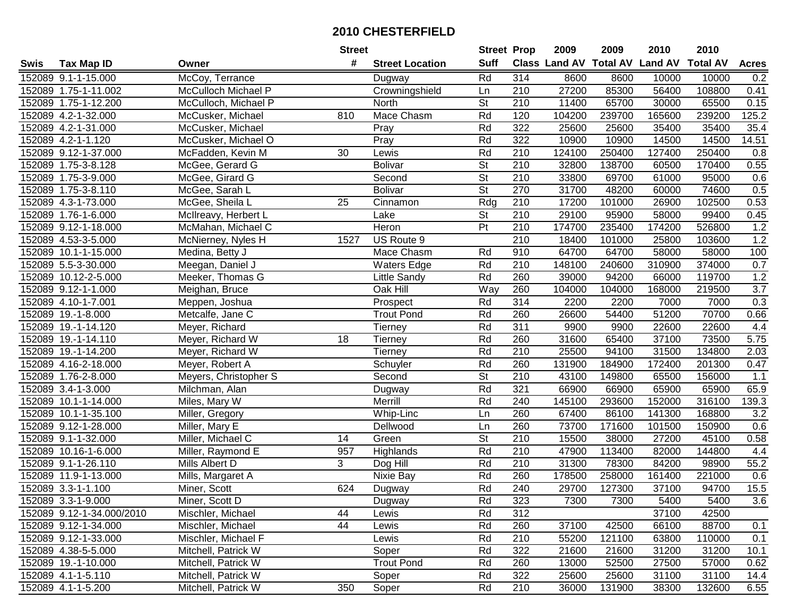|      |                           |                       | <b>Street</b> |                        | <b>Street Prop</b>       |                  | 2009                          | 2009   | 2010           | 2010            |                  |
|------|---------------------------|-----------------------|---------------|------------------------|--------------------------|------------------|-------------------------------|--------|----------------|-----------------|------------------|
| Swis | <b>Tax Map ID</b>         | Owner                 | #             | <b>Street Location</b> | <b>Suff</b>              |                  | <b>Class Land AV Total AV</b> |        | <b>Land AV</b> | <b>Total AV</b> | <b>Acres</b>     |
|      | 152089 9.1-1-15.000       | McCoy, Terrance       |               | Dugway                 | Rd                       | 314              | 8600                          | 8600   | 10000          | 10000           | 0.2              |
|      | 152089 1.75-1-11.002      | McCulloch Michael P   |               | Crowningshield         | Ln                       | 210              | 27200                         | 85300  | 56400          | 108800          | 0.41             |
|      | 152089 1.75-1-12.200      | McCulloch, Michael P  |               | North                  | St                       | 210              | 11400                         | 65700  | 30000          | 65500           | 0.15             |
|      | 152089 4.2-1-32.000       | McCusker, Michael     | 810           | Mace Chasm             | Rd                       | 120              | 104200                        | 239700 | 165600         | 239200          | 125.2            |
|      | 152089 4.2-1-31.000       | McCusker, Michael     |               | Pray                   | Rd                       | 322              | 25600                         | 25600  | 35400          | 35400           | 35.4             |
|      | 152089 4.2-1-1.120        | McCusker, Michael O   |               | Pray                   | Rd                       | 322              | 10900                         | 10900  | 14500          | 14500           | 14.51            |
|      | 152089 9.12-1-37.000      | McFadden, Kevin M     | 30            | Lewis                  | Rd                       | 210              | 124100                        | 250400 | 127400         | 250400          | 0.8              |
|      | 152089 1.75-3-8.128       | McGee, Gerard G       |               | <b>Bolivar</b>         | $\overline{\mathsf{St}}$ | 210              | 32800                         | 138700 | 60500          | 170400          | 0.55             |
|      | 152089 1.75-3-9.000       | McGee, Girard G       |               | Second                 | $\overline{\mathsf{St}}$ | $\overline{210}$ | 33800                         | 69700  | 61000          | 95000           | 0.6              |
|      | 152089 1.75-3-8.110       | McGee, Sarah L        |               | <b>Bolivar</b>         | $\overline{\mathsf{St}}$ | 270              | 31700                         | 48200  | 60000          | 74600           | 0.5              |
|      | 152089 4.3-1-73.000       | McGee, Sheila L       | 25            | Cinnamon               | Rdg                      | 210              | 17200                         | 101000 | 26900          | 102500          | 0.53             |
|      | 152089 1.76-1-6.000       | McIlreavy, Herbert L  |               | Lake                   | <b>St</b>                | 210              | 29100                         | 95900  | 58000          | 99400           | 0.45             |
|      | 152089 9.12-1-18.000      | McMahan, Michael C    |               | Heron                  | $\overline{P}$           | 210              | 174700                        | 235400 | 174200         | 526800          | 1.2              |
|      | 152089 4.53-3-5.000       | McNierney, Nyles H    | 1527          | US Route 9             |                          | 210              | 18400                         | 101000 | 25800          | 103600          | 1.2              |
|      | 152089 10.1-1-15.000      | Medina, Betty J       |               | Mace Chasm             | Rd                       | 910              | 64700                         | 64700  | 58000          | 58000           | 100              |
|      | 152089 5.5-3-30.000       | Meegan, Daniel J      |               | Waters Edge            | Rd                       | 210              | 148100                        | 240600 | 310900         | 374000          | 0.7              |
|      | 152089 10.12-2-5.000      | Meeker, Thomas G      |               | Little Sandy           | Rd                       | 260              | 39000                         | 94200  | 66000          | 119700          | 1.2              |
|      | 152089 9.12-1-1.000       | Meighan, Bruce        |               | Oak Hill               | Way                      | 260              | 104000                        | 104000 | 168000         | 219500          | $\overline{3.7}$ |
|      | 152089 4.10-1-7.001       | Meppen, Joshua        |               | Prospect               | Rd                       | 314              | 2200                          | 2200   | 7000           | 7000            | 0.3              |
|      | 152089 19.-1-8.000        | Metcalfe, Jane C      |               | <b>Trout Pond</b>      | Rd                       | 260              | 26600                         | 54400  | 51200          | 70700           | 0.66             |
|      | 152089 19.-1-14.120       | Meyer, Richard        |               | <b>Tierney</b>         | Rd                       | $\overline{311}$ | 9900                          | 9900   | 22600          | 22600           | 4.4              |
|      | 152089 19.-1-14.110       | Meyer, Richard W      | 18            | Tierney                | Rd                       | 260              | 31600                         | 65400  | 37100          | 73500           | 5.75             |
|      | 152089 19.-1-14.200       | Meyer, Richard W      |               | Tierney                | Rd                       | 210              | 25500                         | 94100  | 31500          | 134800          | 2.03             |
|      | 152089 4.16-2-18.000      | Meyer, Robert A       |               | Schuyler               | Rd                       | 260              | 131900                        | 184900 | 172400         | 201300          | 0.47             |
|      | 152089 1.76-2-8.000       | Meyers, Christopher S |               | Second                 | $\overline{\mathsf{St}}$ | 210              | 43100                         | 149800 | 65500          | 156000          | 1.1              |
|      | 152089 3.4-1-3.000        | Milchman, Alan        |               | Dugway                 | Rd                       | 321              | 66900                         | 66900  | 65900          | 65900           | 65.9             |
|      | 152089 10.1-1-14.000      | Miles, Mary W         |               | Merrill                | Rd                       | 240              | 145100                        | 293600 | 152000         | 316100          | 139.3            |
|      | 152089 10.1-1-35.100      | Miller, Gregory       |               | Whip-Linc              | Ln                       | 260              | 67400                         | 86100  | 141300         | 168800          | 3.2              |
|      | 152089 9.12-1-28.000      | Miller, Mary E        |               | Dellwood               | Ln                       | 260              | 73700                         | 171600 | 101500         | 150900          | 0.6              |
|      | 152089 9.1-1-32.000       | Miller, Michael C     | 14            | Green                  | $\overline{\mathsf{St}}$ | $\overline{210}$ | 15500                         | 38000  | 27200          | 45100           | 0.58             |
|      | 152089 10.16-1-6.000      | Miller, Raymond E     | 957           | Highlands              | Rd                       | 210              | 47900                         | 113400 | 82000          | 144800          | 4.4              |
|      | 152089 9.1-1-26.110       | <b>Mills Albert D</b> | 3             | Dog Hill               | Rd                       | 210              | 31300                         | 78300  | 84200          | 98900           | 55.2             |
|      | 152089 11.9-1-13.000      | Mills, Margaret A     |               | Nixie Bay              | Rd                       | 260              | 178500                        | 258000 | 161400         | 221000          | 0.6              |
|      | 152089 3.3-1-1.100        | Miner, Scott          | 624           | Dugway                 | Rd                       | 240              | 29700                         | 127300 | 37100          | 94700           | 15.5             |
|      | 152089 3.3-1-9.000        | Miner, Scott D        |               | Dugway                 | Rd                       | 323              | 7300                          | 7300   | 5400           | 5400            | 3.6              |
|      | 152089 9.12-1-34.000/2010 | Mischler, Michael     | 44            | Lewis                  | Rd                       | 312              |                               |        | 37100          | 42500           |                  |
|      | 152089 9.12-1-34.000      | Mischler, Michael     | 44            | Lewis                  | Rd                       | 260              | 37100                         | 42500  | 66100          | 88700           | 0.1              |
|      | 152089 9.12-1-33.000      | Mischler, Michael F   |               | Lewis                  | Rd                       | 210              | 55200                         | 121100 | 63800          | 110000          | 0.1              |
|      | 152089 4.38-5-5.000       | Mitchell, Patrick W   |               | Soper                  | Rd                       | 322              | 21600                         | 21600  | 31200          | 31200           | 10.1             |
|      | 152089 19.-1-10.000       | Mitchell, Patrick W   |               | <b>Trout Pond</b>      | Rd                       | 260              | 13000                         | 52500  | 27500          | 57000           | 0.62             |
|      | 152089 4.1-1-5.110        | Mitchell, Patrick W   |               | Soper                  | Rd                       | 322              | 25600                         | 25600  | 31100          | 31100           | 14.4             |
|      | 152089 4.1-1-5.200        | Mitchell, Patrick W   | 350           | Soper                  | Rd                       | 210              | 36000                         | 131900 | 38300          | 132600          | 6.55             |
|      |                           |                       |               |                        |                          |                  |                               |        |                |                 |                  |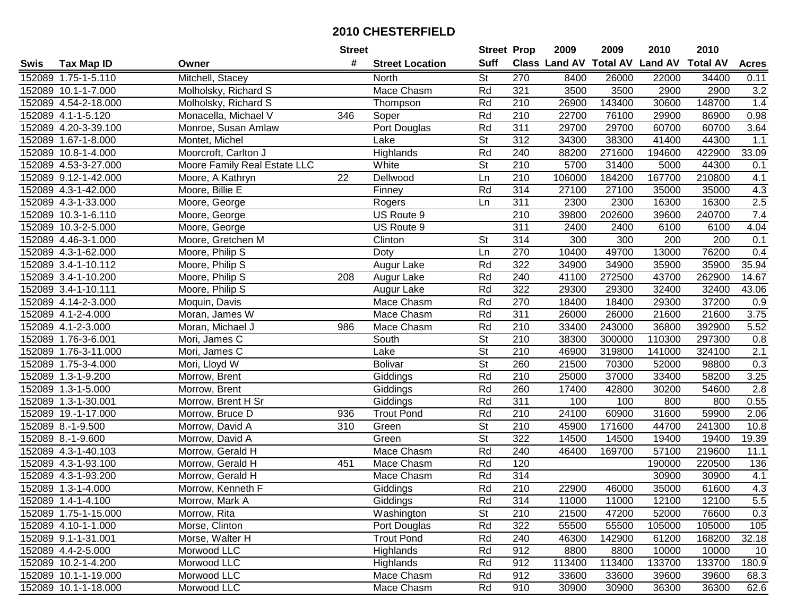| #<br><b>Suff</b><br>Class Land AV Total AV Land AV<br><b>Total AV</b><br><b>Acres</b><br><b>Tax Map ID</b><br>Owner<br><b>Street Location</b><br>Swis<br>Mitchell, Stacey<br>St<br>270<br>152089 1.75-1-5.110<br>8400<br>26000<br>22000<br>34400<br>0.11<br>North<br>Molholsky, Richard S<br>Mace Chasm<br>Rd<br>321<br>3500<br>3500<br>2900<br>2900<br>3.2<br>152089 10.1-1-7.000<br>210<br>148700<br>152089 4.54-2-18.000<br>Molholsky, Richard S<br>Rd<br>26900<br>143400<br>30600<br>1.4<br>Thompson<br>Rd<br>0.98<br>Monacella, Michael V<br>346<br>210<br>22700<br>76100<br>29900<br>86900<br>152089 4.1-1-5.120<br>Soper<br>311<br>29700<br>60700<br>3.64<br>152089 4.20-3-39.100<br>Monroe, Susan Amlaw<br>Port Douglas<br>Rd<br>29700<br>60700<br>$\overline{\mathsf{St}}$<br>$\overline{312}$<br>34300<br>38300<br>44300<br>1.1<br>152089 1.67-1-8.000<br>Montet, Michel<br>41400<br>Lake<br>33.09<br>152089 10.8-1-4.000<br>Moorcroft, Carlton J<br><b>Highlands</b><br>Rd<br>240<br>88200<br>271600<br>194600<br>422900<br>White<br>$\overline{\mathsf{St}}$<br>210<br>5700<br>Moore Family Real Estate LLC<br>31400<br>5000<br>44300<br>152089 4.53-3-27.000<br>0.1<br>152089 9.12-1-42.000<br>$\overline{22}$<br>$\overline{210}$<br>106000<br>184200<br>167700<br>210800<br>Moore, A Kathryn<br>Ln<br>4.1<br>Dellwood<br>Moore, Billie E<br>Rd<br>314<br>27100<br>27100<br>35000<br>35000<br>4.3<br>152089 4.3-1-42.000<br>Finney<br>2.5<br>311<br>16300<br>152089 4.3-1-33.000<br>Moore, George<br>2300<br>2300<br>16300<br>Rogers<br>Ln<br>202600<br>7.4<br>152089 10.3-1-6.110<br>US Route 9<br>210<br>39800<br>39600<br>240700<br>Moore, George<br>311<br>152089 10.3-2-5.000<br>US Route 9<br>2400<br>2400<br>4.04<br>Moore, George<br>6100<br>6100<br><b>St</b><br>314<br>200<br>200<br>152089 4.46-3-1.000<br>Moore, Gretchen M<br>Clinton<br>300<br>300<br>0.1<br>270<br>10400<br>49700<br>13000<br>76200<br>0.4<br>152089 4.3-1-62.000<br>Moore, Philip S<br>Ln<br>Doty<br>Rd<br>322<br>35.94<br>152089 3.4-1-10.112<br>Augur Lake<br>34900<br>34900<br>35900<br>35900<br>Moore, Philip S<br>Rd<br>240<br>14.67<br>152089 3.4-1-10.200<br>Moore, Philip S<br>41100<br>272500<br>43700<br>262900<br>208<br>Augur Lake<br>Rd<br>322<br>152089 3.4-1-10.111<br>29300<br>29300<br>32400<br>32400<br>43.06<br>Moore, Philip S<br>Augur Lake<br>Rd<br>270<br>18400<br>37200<br>152089 4.14-2-3.000<br>Mace Chasm<br>18400<br>29300<br>0.9<br>Moquin, Davis<br>Rd<br>311<br>26000<br>3.75<br>152089 4.1-2-4.000<br>Moran, James W<br>Mace Chasm<br>26000<br>21600<br>21600<br>Rd<br>5.52<br>152089 4.1-2-3.000<br>210<br>33400<br>243000<br>36800<br>392900<br>Moran, Michael J<br>986<br>Mace Chasm<br><b>St</b><br>210<br>38300<br>297300<br>0.8<br>152089 1.76-3-6.001<br>Mori, James C<br>South<br>300000<br>110300<br>$\overline{\mathsf{St}}$<br>210<br>324100<br>2.1<br>152089 1.76-3-11.000<br>Mori, James C<br>Lake<br>46900<br>319800<br>141000<br><b>St</b><br>21500<br>0.3<br>152089 1.75-3-4.000<br>Mori, Lloyd W<br>260<br>70300<br>52000<br>98800<br><b>Bolivar</b><br>Rd<br>$\overline{210}$<br>58200<br>3.25<br>152089 1.3-1-9.200<br>Giddings<br>25000<br>37000<br>33400<br>Morrow, Brent<br>Rd<br>260<br>17400<br>54600<br>2.8<br>152089 1.3-1-5.000<br>Giddings<br>42800<br>30200<br>Morrow, Brent<br>$\overline{311}$<br>Rd<br>0.55<br>152089 1.3-1-30.001<br>Morrow, Brent H Sr<br>Giddings<br>100<br>100<br>800<br>800<br>Rd<br>210<br>24100<br>60900<br>31600<br>59900<br>152089 19.-1-17.000<br>936<br><b>Trout Pond</b><br>2.06<br>Morrow, Bruce D<br>$\overline{\mathsf{St}}$<br>$\overline{210}$<br>241300<br>152089 8.-1-9.500<br>310<br>45900<br>171600<br>44700<br>10.8<br>Morrow, David A<br>Green<br>$\overline{\mathsf{St}}$<br>322<br>14500<br>14500<br>152089 8.-1-9.600<br>Morrow, David A<br>Green<br>19400<br>19400<br>19.39<br>Rd<br>240<br>152089 4.3-1-40.103<br>Mace Chasm<br>169700<br>57100<br>219600<br>Morrow, Gerald H<br>46400<br>11.1<br>Rd<br>152089 4.3-1-93.100<br>Morrow, Gerald H<br>451<br>Mace Chasm<br>120<br>190000<br>220500<br>136<br>314<br>152089 4.3-1-93.200<br>Morrow, Gerald H<br>Mace Chasm<br>Rd<br>30900<br>4.1<br>30900<br>Rd<br>$\overline{210}$<br>4.3<br>152089 1.3-1-4.000<br>Morrow, Kenneth F<br>22900<br>46000<br>35000<br>61600<br>Giddings<br>152089 1.4-1-4.100<br>Morrow, Mark A<br>Giddings<br>Rd<br>314<br>11000<br>11000<br>12100<br>12100<br>$5.5$<br><b>St</b><br>0.3<br>152089 1.75-1-15.000<br>Morrow, Rita<br>Washington<br>210<br>21500<br>47200<br>52000<br>76600<br>322<br>105000<br>105000<br>152089 4.10-1-1.000<br>Morse, Clinton<br>Port Douglas<br>Rd<br>55500<br>55500<br>105<br>32.18<br>152089 9.1-1-31.001<br><b>Trout Pond</b><br>Rd<br>240<br>46300<br>142900<br>61200<br>168200<br>Morse, Walter H<br>152089 4.4-2-5.000<br>Morwood LLC<br>Rd<br>912<br>Highlands<br>8800<br>8800<br>10000<br>10000<br>10<br>Rd<br>912<br>113400<br>133700<br>133700<br>180.9<br>152089 10.2-1-4.200<br>Morwood LLC<br>Highlands<br>113400<br>912<br>152089 10.1-1-19.000<br>Morwood LLC<br>Mace Chasm<br>Rd<br>33600<br>33600<br>39600<br>39600<br>68.3<br>Rd<br>152089 10.1-1-18.000<br>Morwood LLC<br>Mace Chasm<br>910<br>30900<br>36300<br>36300<br>62.6<br>30900 |  | <b>Street</b> | <b>Street Prop</b> | 2009 | 2009 | 2010 | 2010 |  |
|----------------------------------------------------------------------------------------------------------------------------------------------------------------------------------------------------------------------------------------------------------------------------------------------------------------------------------------------------------------------------------------------------------------------------------------------------------------------------------------------------------------------------------------------------------------------------------------------------------------------------------------------------------------------------------------------------------------------------------------------------------------------------------------------------------------------------------------------------------------------------------------------------------------------------------------------------------------------------------------------------------------------------------------------------------------------------------------------------------------------------------------------------------------------------------------------------------------------------------------------------------------------------------------------------------------------------------------------------------------------------------------------------------------------------------------------------------------------------------------------------------------------------------------------------------------------------------------------------------------------------------------------------------------------------------------------------------------------------------------------------------------------------------------------------------------------------------------------------------------------------------------------------------------------------------------------------------------------------------------------------------------------------------------------------------------------------------------------------------------------------------------------------------------------------------------------------------------------------------------------------------------------------------------------------------------------------------------------------------------------------------------------------------------------------------------------------------------------------------------------------------------------------------------------------------------------------------------------------------------------------------------------------------------------------------------------------------------------------------------------------------------------------------------------------------------------------------------------------------------------------------------------------------------------------------------------------------------------------------------------------------------------------------------------------------------------------------------------------------------------------------------------------------------------------------------------------------------------------------------------------------------------------------------------------------------------------------------------------------------------------------------------------------------------------------------------------------------------------------------------------------------------------------------------------------------------------------------------------------------------------------------------------------------------------------------------------------------------------------------------------------------------------------------------------------------------------------------------------------------------------------------------------------------------------------------------------------------------------------------------------------------------------------------------------------------------------------------------------------------------------------------------------------------------------------------------------------------------------------------------------------------------------------------------------------------------------------------------------------------------------------------------------------------------------------------------------------------------------------------------------------------------------------------------------------------------------------------------------------------------------------------------------------------------------------------------------------------------------------------------------------------------------------------------------------------------------------------------------------------------------------------------------------------------------------------------------------------------------------------------------------------------------------------------------------------------------------------------------------------------------------------------------------------------------------------------------------------------------------------------------------------------------------|--|---------------|--------------------|------|------|------|------|--|
|                                                                                                                                                                                                                                                                                                                                                                                                                                                                                                                                                                                                                                                                                                                                                                                                                                                                                                                                                                                                                                                                                                                                                                                                                                                                                                                                                                                                                                                                                                                                                                                                                                                                                                                                                                                                                                                                                                                                                                                                                                                                                                                                                                                                                                                                                                                                                                                                                                                                                                                                                                                                                                                                                                                                                                                                                                                                                                                                                                                                                                                                                                                                                                                                                                                                                                                                                                                                                                                                                                                                                                                                                                                                                                                                                                                                                                                                                                                                                                                                                                                                                                                                                                                                                                                                                                                                                                                                                                                                                                                                                                                                                                                                                                                                                                                                                                                                                                                                                                                                                                                                                                                                                                                                                                                                                  |  |               |                    |      |      |      |      |  |
|                                                                                                                                                                                                                                                                                                                                                                                                                                                                                                                                                                                                                                                                                                                                                                                                                                                                                                                                                                                                                                                                                                                                                                                                                                                                                                                                                                                                                                                                                                                                                                                                                                                                                                                                                                                                                                                                                                                                                                                                                                                                                                                                                                                                                                                                                                                                                                                                                                                                                                                                                                                                                                                                                                                                                                                                                                                                                                                                                                                                                                                                                                                                                                                                                                                                                                                                                                                                                                                                                                                                                                                                                                                                                                                                                                                                                                                                                                                                                                                                                                                                                                                                                                                                                                                                                                                                                                                                                                                                                                                                                                                                                                                                                                                                                                                                                                                                                                                                                                                                                                                                                                                                                                                                                                                                                  |  |               |                    |      |      |      |      |  |
|                                                                                                                                                                                                                                                                                                                                                                                                                                                                                                                                                                                                                                                                                                                                                                                                                                                                                                                                                                                                                                                                                                                                                                                                                                                                                                                                                                                                                                                                                                                                                                                                                                                                                                                                                                                                                                                                                                                                                                                                                                                                                                                                                                                                                                                                                                                                                                                                                                                                                                                                                                                                                                                                                                                                                                                                                                                                                                                                                                                                                                                                                                                                                                                                                                                                                                                                                                                                                                                                                                                                                                                                                                                                                                                                                                                                                                                                                                                                                                                                                                                                                                                                                                                                                                                                                                                                                                                                                                                                                                                                                                                                                                                                                                                                                                                                                                                                                                                                                                                                                                                                                                                                                                                                                                                                                  |  |               |                    |      |      |      |      |  |
|                                                                                                                                                                                                                                                                                                                                                                                                                                                                                                                                                                                                                                                                                                                                                                                                                                                                                                                                                                                                                                                                                                                                                                                                                                                                                                                                                                                                                                                                                                                                                                                                                                                                                                                                                                                                                                                                                                                                                                                                                                                                                                                                                                                                                                                                                                                                                                                                                                                                                                                                                                                                                                                                                                                                                                                                                                                                                                                                                                                                                                                                                                                                                                                                                                                                                                                                                                                                                                                                                                                                                                                                                                                                                                                                                                                                                                                                                                                                                                                                                                                                                                                                                                                                                                                                                                                                                                                                                                                                                                                                                                                                                                                                                                                                                                                                                                                                                                                                                                                                                                                                                                                                                                                                                                                                                  |  |               |                    |      |      |      |      |  |
|                                                                                                                                                                                                                                                                                                                                                                                                                                                                                                                                                                                                                                                                                                                                                                                                                                                                                                                                                                                                                                                                                                                                                                                                                                                                                                                                                                                                                                                                                                                                                                                                                                                                                                                                                                                                                                                                                                                                                                                                                                                                                                                                                                                                                                                                                                                                                                                                                                                                                                                                                                                                                                                                                                                                                                                                                                                                                                                                                                                                                                                                                                                                                                                                                                                                                                                                                                                                                                                                                                                                                                                                                                                                                                                                                                                                                                                                                                                                                                                                                                                                                                                                                                                                                                                                                                                                                                                                                                                                                                                                                                                                                                                                                                                                                                                                                                                                                                                                                                                                                                                                                                                                                                                                                                                                                  |  |               |                    |      |      |      |      |  |
|                                                                                                                                                                                                                                                                                                                                                                                                                                                                                                                                                                                                                                                                                                                                                                                                                                                                                                                                                                                                                                                                                                                                                                                                                                                                                                                                                                                                                                                                                                                                                                                                                                                                                                                                                                                                                                                                                                                                                                                                                                                                                                                                                                                                                                                                                                                                                                                                                                                                                                                                                                                                                                                                                                                                                                                                                                                                                                                                                                                                                                                                                                                                                                                                                                                                                                                                                                                                                                                                                                                                                                                                                                                                                                                                                                                                                                                                                                                                                                                                                                                                                                                                                                                                                                                                                                                                                                                                                                                                                                                                                                                                                                                                                                                                                                                                                                                                                                                                                                                                                                                                                                                                                                                                                                                                                  |  |               |                    |      |      |      |      |  |
|                                                                                                                                                                                                                                                                                                                                                                                                                                                                                                                                                                                                                                                                                                                                                                                                                                                                                                                                                                                                                                                                                                                                                                                                                                                                                                                                                                                                                                                                                                                                                                                                                                                                                                                                                                                                                                                                                                                                                                                                                                                                                                                                                                                                                                                                                                                                                                                                                                                                                                                                                                                                                                                                                                                                                                                                                                                                                                                                                                                                                                                                                                                                                                                                                                                                                                                                                                                                                                                                                                                                                                                                                                                                                                                                                                                                                                                                                                                                                                                                                                                                                                                                                                                                                                                                                                                                                                                                                                                                                                                                                                                                                                                                                                                                                                                                                                                                                                                                                                                                                                                                                                                                                                                                                                                                                  |  |               |                    |      |      |      |      |  |
|                                                                                                                                                                                                                                                                                                                                                                                                                                                                                                                                                                                                                                                                                                                                                                                                                                                                                                                                                                                                                                                                                                                                                                                                                                                                                                                                                                                                                                                                                                                                                                                                                                                                                                                                                                                                                                                                                                                                                                                                                                                                                                                                                                                                                                                                                                                                                                                                                                                                                                                                                                                                                                                                                                                                                                                                                                                                                                                                                                                                                                                                                                                                                                                                                                                                                                                                                                                                                                                                                                                                                                                                                                                                                                                                                                                                                                                                                                                                                                                                                                                                                                                                                                                                                                                                                                                                                                                                                                                                                                                                                                                                                                                                                                                                                                                                                                                                                                                                                                                                                                                                                                                                                                                                                                                                                  |  |               |                    |      |      |      |      |  |
|                                                                                                                                                                                                                                                                                                                                                                                                                                                                                                                                                                                                                                                                                                                                                                                                                                                                                                                                                                                                                                                                                                                                                                                                                                                                                                                                                                                                                                                                                                                                                                                                                                                                                                                                                                                                                                                                                                                                                                                                                                                                                                                                                                                                                                                                                                                                                                                                                                                                                                                                                                                                                                                                                                                                                                                                                                                                                                                                                                                                                                                                                                                                                                                                                                                                                                                                                                                                                                                                                                                                                                                                                                                                                                                                                                                                                                                                                                                                                                                                                                                                                                                                                                                                                                                                                                                                                                                                                                                                                                                                                                                                                                                                                                                                                                                                                                                                                                                                                                                                                                                                                                                                                                                                                                                                                  |  |               |                    |      |      |      |      |  |
|                                                                                                                                                                                                                                                                                                                                                                                                                                                                                                                                                                                                                                                                                                                                                                                                                                                                                                                                                                                                                                                                                                                                                                                                                                                                                                                                                                                                                                                                                                                                                                                                                                                                                                                                                                                                                                                                                                                                                                                                                                                                                                                                                                                                                                                                                                                                                                                                                                                                                                                                                                                                                                                                                                                                                                                                                                                                                                                                                                                                                                                                                                                                                                                                                                                                                                                                                                                                                                                                                                                                                                                                                                                                                                                                                                                                                                                                                                                                                                                                                                                                                                                                                                                                                                                                                                                                                                                                                                                                                                                                                                                                                                                                                                                                                                                                                                                                                                                                                                                                                                                                                                                                                                                                                                                                                  |  |               |                    |      |      |      |      |  |
|                                                                                                                                                                                                                                                                                                                                                                                                                                                                                                                                                                                                                                                                                                                                                                                                                                                                                                                                                                                                                                                                                                                                                                                                                                                                                                                                                                                                                                                                                                                                                                                                                                                                                                                                                                                                                                                                                                                                                                                                                                                                                                                                                                                                                                                                                                                                                                                                                                                                                                                                                                                                                                                                                                                                                                                                                                                                                                                                                                                                                                                                                                                                                                                                                                                                                                                                                                                                                                                                                                                                                                                                                                                                                                                                                                                                                                                                                                                                                                                                                                                                                                                                                                                                                                                                                                                                                                                                                                                                                                                                                                                                                                                                                                                                                                                                                                                                                                                                                                                                                                                                                                                                                                                                                                                                                  |  |               |                    |      |      |      |      |  |
|                                                                                                                                                                                                                                                                                                                                                                                                                                                                                                                                                                                                                                                                                                                                                                                                                                                                                                                                                                                                                                                                                                                                                                                                                                                                                                                                                                                                                                                                                                                                                                                                                                                                                                                                                                                                                                                                                                                                                                                                                                                                                                                                                                                                                                                                                                                                                                                                                                                                                                                                                                                                                                                                                                                                                                                                                                                                                                                                                                                                                                                                                                                                                                                                                                                                                                                                                                                                                                                                                                                                                                                                                                                                                                                                                                                                                                                                                                                                                                                                                                                                                                                                                                                                                                                                                                                                                                                                                                                                                                                                                                                                                                                                                                                                                                                                                                                                                                                                                                                                                                                                                                                                                                                                                                                                                  |  |               |                    |      |      |      |      |  |
|                                                                                                                                                                                                                                                                                                                                                                                                                                                                                                                                                                                                                                                                                                                                                                                                                                                                                                                                                                                                                                                                                                                                                                                                                                                                                                                                                                                                                                                                                                                                                                                                                                                                                                                                                                                                                                                                                                                                                                                                                                                                                                                                                                                                                                                                                                                                                                                                                                                                                                                                                                                                                                                                                                                                                                                                                                                                                                                                                                                                                                                                                                                                                                                                                                                                                                                                                                                                                                                                                                                                                                                                                                                                                                                                                                                                                                                                                                                                                                                                                                                                                                                                                                                                                                                                                                                                                                                                                                                                                                                                                                                                                                                                                                                                                                                                                                                                                                                                                                                                                                                                                                                                                                                                                                                                                  |  |               |                    |      |      |      |      |  |
|                                                                                                                                                                                                                                                                                                                                                                                                                                                                                                                                                                                                                                                                                                                                                                                                                                                                                                                                                                                                                                                                                                                                                                                                                                                                                                                                                                                                                                                                                                                                                                                                                                                                                                                                                                                                                                                                                                                                                                                                                                                                                                                                                                                                                                                                                                                                                                                                                                                                                                                                                                                                                                                                                                                                                                                                                                                                                                                                                                                                                                                                                                                                                                                                                                                                                                                                                                                                                                                                                                                                                                                                                                                                                                                                                                                                                                                                                                                                                                                                                                                                                                                                                                                                                                                                                                                                                                                                                                                                                                                                                                                                                                                                                                                                                                                                                                                                                                                                                                                                                                                                                                                                                                                                                                                                                  |  |               |                    |      |      |      |      |  |
|                                                                                                                                                                                                                                                                                                                                                                                                                                                                                                                                                                                                                                                                                                                                                                                                                                                                                                                                                                                                                                                                                                                                                                                                                                                                                                                                                                                                                                                                                                                                                                                                                                                                                                                                                                                                                                                                                                                                                                                                                                                                                                                                                                                                                                                                                                                                                                                                                                                                                                                                                                                                                                                                                                                                                                                                                                                                                                                                                                                                                                                                                                                                                                                                                                                                                                                                                                                                                                                                                                                                                                                                                                                                                                                                                                                                                                                                                                                                                                                                                                                                                                                                                                                                                                                                                                                                                                                                                                                                                                                                                                                                                                                                                                                                                                                                                                                                                                                                                                                                                                                                                                                                                                                                                                                                                  |  |               |                    |      |      |      |      |  |
|                                                                                                                                                                                                                                                                                                                                                                                                                                                                                                                                                                                                                                                                                                                                                                                                                                                                                                                                                                                                                                                                                                                                                                                                                                                                                                                                                                                                                                                                                                                                                                                                                                                                                                                                                                                                                                                                                                                                                                                                                                                                                                                                                                                                                                                                                                                                                                                                                                                                                                                                                                                                                                                                                                                                                                                                                                                                                                                                                                                                                                                                                                                                                                                                                                                                                                                                                                                                                                                                                                                                                                                                                                                                                                                                                                                                                                                                                                                                                                                                                                                                                                                                                                                                                                                                                                                                                                                                                                                                                                                                                                                                                                                                                                                                                                                                                                                                                                                                                                                                                                                                                                                                                                                                                                                                                  |  |               |                    |      |      |      |      |  |
|                                                                                                                                                                                                                                                                                                                                                                                                                                                                                                                                                                                                                                                                                                                                                                                                                                                                                                                                                                                                                                                                                                                                                                                                                                                                                                                                                                                                                                                                                                                                                                                                                                                                                                                                                                                                                                                                                                                                                                                                                                                                                                                                                                                                                                                                                                                                                                                                                                                                                                                                                                                                                                                                                                                                                                                                                                                                                                                                                                                                                                                                                                                                                                                                                                                                                                                                                                                                                                                                                                                                                                                                                                                                                                                                                                                                                                                                                                                                                                                                                                                                                                                                                                                                                                                                                                                                                                                                                                                                                                                                                                                                                                                                                                                                                                                                                                                                                                                                                                                                                                                                                                                                                                                                                                                                                  |  |               |                    |      |      |      |      |  |
|                                                                                                                                                                                                                                                                                                                                                                                                                                                                                                                                                                                                                                                                                                                                                                                                                                                                                                                                                                                                                                                                                                                                                                                                                                                                                                                                                                                                                                                                                                                                                                                                                                                                                                                                                                                                                                                                                                                                                                                                                                                                                                                                                                                                                                                                                                                                                                                                                                                                                                                                                                                                                                                                                                                                                                                                                                                                                                                                                                                                                                                                                                                                                                                                                                                                                                                                                                                                                                                                                                                                                                                                                                                                                                                                                                                                                                                                                                                                                                                                                                                                                                                                                                                                                                                                                                                                                                                                                                                                                                                                                                                                                                                                                                                                                                                                                                                                                                                                                                                                                                                                                                                                                                                                                                                                                  |  |               |                    |      |      |      |      |  |
|                                                                                                                                                                                                                                                                                                                                                                                                                                                                                                                                                                                                                                                                                                                                                                                                                                                                                                                                                                                                                                                                                                                                                                                                                                                                                                                                                                                                                                                                                                                                                                                                                                                                                                                                                                                                                                                                                                                                                                                                                                                                                                                                                                                                                                                                                                                                                                                                                                                                                                                                                                                                                                                                                                                                                                                                                                                                                                                                                                                                                                                                                                                                                                                                                                                                                                                                                                                                                                                                                                                                                                                                                                                                                                                                                                                                                                                                                                                                                                                                                                                                                                                                                                                                                                                                                                                                                                                                                                                                                                                                                                                                                                                                                                                                                                                                                                                                                                                                                                                                                                                                                                                                                                                                                                                                                  |  |               |                    |      |      |      |      |  |
|                                                                                                                                                                                                                                                                                                                                                                                                                                                                                                                                                                                                                                                                                                                                                                                                                                                                                                                                                                                                                                                                                                                                                                                                                                                                                                                                                                                                                                                                                                                                                                                                                                                                                                                                                                                                                                                                                                                                                                                                                                                                                                                                                                                                                                                                                                                                                                                                                                                                                                                                                                                                                                                                                                                                                                                                                                                                                                                                                                                                                                                                                                                                                                                                                                                                                                                                                                                                                                                                                                                                                                                                                                                                                                                                                                                                                                                                                                                                                                                                                                                                                                                                                                                                                                                                                                                                                                                                                                                                                                                                                                                                                                                                                                                                                                                                                                                                                                                                                                                                                                                                                                                                                                                                                                                                                  |  |               |                    |      |      |      |      |  |
|                                                                                                                                                                                                                                                                                                                                                                                                                                                                                                                                                                                                                                                                                                                                                                                                                                                                                                                                                                                                                                                                                                                                                                                                                                                                                                                                                                                                                                                                                                                                                                                                                                                                                                                                                                                                                                                                                                                                                                                                                                                                                                                                                                                                                                                                                                                                                                                                                                                                                                                                                                                                                                                                                                                                                                                                                                                                                                                                                                                                                                                                                                                                                                                                                                                                                                                                                                                                                                                                                                                                                                                                                                                                                                                                                                                                                                                                                                                                                                                                                                                                                                                                                                                                                                                                                                                                                                                                                                                                                                                                                                                                                                                                                                                                                                                                                                                                                                                                                                                                                                                                                                                                                                                                                                                                                  |  |               |                    |      |      |      |      |  |
|                                                                                                                                                                                                                                                                                                                                                                                                                                                                                                                                                                                                                                                                                                                                                                                                                                                                                                                                                                                                                                                                                                                                                                                                                                                                                                                                                                                                                                                                                                                                                                                                                                                                                                                                                                                                                                                                                                                                                                                                                                                                                                                                                                                                                                                                                                                                                                                                                                                                                                                                                                                                                                                                                                                                                                                                                                                                                                                                                                                                                                                                                                                                                                                                                                                                                                                                                                                                                                                                                                                                                                                                                                                                                                                                                                                                                                                                                                                                                                                                                                                                                                                                                                                                                                                                                                                                                                                                                                                                                                                                                                                                                                                                                                                                                                                                                                                                                                                                                                                                                                                                                                                                                                                                                                                                                  |  |               |                    |      |      |      |      |  |
|                                                                                                                                                                                                                                                                                                                                                                                                                                                                                                                                                                                                                                                                                                                                                                                                                                                                                                                                                                                                                                                                                                                                                                                                                                                                                                                                                                                                                                                                                                                                                                                                                                                                                                                                                                                                                                                                                                                                                                                                                                                                                                                                                                                                                                                                                                                                                                                                                                                                                                                                                                                                                                                                                                                                                                                                                                                                                                                                                                                                                                                                                                                                                                                                                                                                                                                                                                                                                                                                                                                                                                                                                                                                                                                                                                                                                                                                                                                                                                                                                                                                                                                                                                                                                                                                                                                                                                                                                                                                                                                                                                                                                                                                                                                                                                                                                                                                                                                                                                                                                                                                                                                                                                                                                                                                                  |  |               |                    |      |      |      |      |  |
|                                                                                                                                                                                                                                                                                                                                                                                                                                                                                                                                                                                                                                                                                                                                                                                                                                                                                                                                                                                                                                                                                                                                                                                                                                                                                                                                                                                                                                                                                                                                                                                                                                                                                                                                                                                                                                                                                                                                                                                                                                                                                                                                                                                                                                                                                                                                                                                                                                                                                                                                                                                                                                                                                                                                                                                                                                                                                                                                                                                                                                                                                                                                                                                                                                                                                                                                                                                                                                                                                                                                                                                                                                                                                                                                                                                                                                                                                                                                                                                                                                                                                                                                                                                                                                                                                                                                                                                                                                                                                                                                                                                                                                                                                                                                                                                                                                                                                                                                                                                                                                                                                                                                                                                                                                                                                  |  |               |                    |      |      |      |      |  |
|                                                                                                                                                                                                                                                                                                                                                                                                                                                                                                                                                                                                                                                                                                                                                                                                                                                                                                                                                                                                                                                                                                                                                                                                                                                                                                                                                                                                                                                                                                                                                                                                                                                                                                                                                                                                                                                                                                                                                                                                                                                                                                                                                                                                                                                                                                                                                                                                                                                                                                                                                                                                                                                                                                                                                                                                                                                                                                                                                                                                                                                                                                                                                                                                                                                                                                                                                                                                                                                                                                                                                                                                                                                                                                                                                                                                                                                                                                                                                                                                                                                                                                                                                                                                                                                                                                                                                                                                                                                                                                                                                                                                                                                                                                                                                                                                                                                                                                                                                                                                                                                                                                                                                                                                                                                                                  |  |               |                    |      |      |      |      |  |
|                                                                                                                                                                                                                                                                                                                                                                                                                                                                                                                                                                                                                                                                                                                                                                                                                                                                                                                                                                                                                                                                                                                                                                                                                                                                                                                                                                                                                                                                                                                                                                                                                                                                                                                                                                                                                                                                                                                                                                                                                                                                                                                                                                                                                                                                                                                                                                                                                                                                                                                                                                                                                                                                                                                                                                                                                                                                                                                                                                                                                                                                                                                                                                                                                                                                                                                                                                                                                                                                                                                                                                                                                                                                                                                                                                                                                                                                                                                                                                                                                                                                                                                                                                                                                                                                                                                                                                                                                                                                                                                                                                                                                                                                                                                                                                                                                                                                                                                                                                                                                                                                                                                                                                                                                                                                                  |  |               |                    |      |      |      |      |  |
|                                                                                                                                                                                                                                                                                                                                                                                                                                                                                                                                                                                                                                                                                                                                                                                                                                                                                                                                                                                                                                                                                                                                                                                                                                                                                                                                                                                                                                                                                                                                                                                                                                                                                                                                                                                                                                                                                                                                                                                                                                                                                                                                                                                                                                                                                                                                                                                                                                                                                                                                                                                                                                                                                                                                                                                                                                                                                                                                                                                                                                                                                                                                                                                                                                                                                                                                                                                                                                                                                                                                                                                                                                                                                                                                                                                                                                                                                                                                                                                                                                                                                                                                                                                                                                                                                                                                                                                                                                                                                                                                                                                                                                                                                                                                                                                                                                                                                                                                                                                                                                                                                                                                                                                                                                                                                  |  |               |                    |      |      |      |      |  |
|                                                                                                                                                                                                                                                                                                                                                                                                                                                                                                                                                                                                                                                                                                                                                                                                                                                                                                                                                                                                                                                                                                                                                                                                                                                                                                                                                                                                                                                                                                                                                                                                                                                                                                                                                                                                                                                                                                                                                                                                                                                                                                                                                                                                                                                                                                                                                                                                                                                                                                                                                                                                                                                                                                                                                                                                                                                                                                                                                                                                                                                                                                                                                                                                                                                                                                                                                                                                                                                                                                                                                                                                                                                                                                                                                                                                                                                                                                                                                                                                                                                                                                                                                                                                                                                                                                                                                                                                                                                                                                                                                                                                                                                                                                                                                                                                                                                                                                                                                                                                                                                                                                                                                                                                                                                                                  |  |               |                    |      |      |      |      |  |
|                                                                                                                                                                                                                                                                                                                                                                                                                                                                                                                                                                                                                                                                                                                                                                                                                                                                                                                                                                                                                                                                                                                                                                                                                                                                                                                                                                                                                                                                                                                                                                                                                                                                                                                                                                                                                                                                                                                                                                                                                                                                                                                                                                                                                                                                                                                                                                                                                                                                                                                                                                                                                                                                                                                                                                                                                                                                                                                                                                                                                                                                                                                                                                                                                                                                                                                                                                                                                                                                                                                                                                                                                                                                                                                                                                                                                                                                                                                                                                                                                                                                                                                                                                                                                                                                                                                                                                                                                                                                                                                                                                                                                                                                                                                                                                                                                                                                                                                                                                                                                                                                                                                                                                                                                                                                                  |  |               |                    |      |      |      |      |  |
|                                                                                                                                                                                                                                                                                                                                                                                                                                                                                                                                                                                                                                                                                                                                                                                                                                                                                                                                                                                                                                                                                                                                                                                                                                                                                                                                                                                                                                                                                                                                                                                                                                                                                                                                                                                                                                                                                                                                                                                                                                                                                                                                                                                                                                                                                                                                                                                                                                                                                                                                                                                                                                                                                                                                                                                                                                                                                                                                                                                                                                                                                                                                                                                                                                                                                                                                                                                                                                                                                                                                                                                                                                                                                                                                                                                                                                                                                                                                                                                                                                                                                                                                                                                                                                                                                                                                                                                                                                                                                                                                                                                                                                                                                                                                                                                                                                                                                                                                                                                                                                                                                                                                                                                                                                                                                  |  |               |                    |      |      |      |      |  |
|                                                                                                                                                                                                                                                                                                                                                                                                                                                                                                                                                                                                                                                                                                                                                                                                                                                                                                                                                                                                                                                                                                                                                                                                                                                                                                                                                                                                                                                                                                                                                                                                                                                                                                                                                                                                                                                                                                                                                                                                                                                                                                                                                                                                                                                                                                                                                                                                                                                                                                                                                                                                                                                                                                                                                                                                                                                                                                                                                                                                                                                                                                                                                                                                                                                                                                                                                                                                                                                                                                                                                                                                                                                                                                                                                                                                                                                                                                                                                                                                                                                                                                                                                                                                                                                                                                                                                                                                                                                                                                                                                                                                                                                                                                                                                                                                                                                                                                                                                                                                                                                                                                                                                                                                                                                                                  |  |               |                    |      |      |      |      |  |
|                                                                                                                                                                                                                                                                                                                                                                                                                                                                                                                                                                                                                                                                                                                                                                                                                                                                                                                                                                                                                                                                                                                                                                                                                                                                                                                                                                                                                                                                                                                                                                                                                                                                                                                                                                                                                                                                                                                                                                                                                                                                                                                                                                                                                                                                                                                                                                                                                                                                                                                                                                                                                                                                                                                                                                                                                                                                                                                                                                                                                                                                                                                                                                                                                                                                                                                                                                                                                                                                                                                                                                                                                                                                                                                                                                                                                                                                                                                                                                                                                                                                                                                                                                                                                                                                                                                                                                                                                                                                                                                                                                                                                                                                                                                                                                                                                                                                                                                                                                                                                                                                                                                                                                                                                                                                                  |  |               |                    |      |      |      |      |  |
|                                                                                                                                                                                                                                                                                                                                                                                                                                                                                                                                                                                                                                                                                                                                                                                                                                                                                                                                                                                                                                                                                                                                                                                                                                                                                                                                                                                                                                                                                                                                                                                                                                                                                                                                                                                                                                                                                                                                                                                                                                                                                                                                                                                                                                                                                                                                                                                                                                                                                                                                                                                                                                                                                                                                                                                                                                                                                                                                                                                                                                                                                                                                                                                                                                                                                                                                                                                                                                                                                                                                                                                                                                                                                                                                                                                                                                                                                                                                                                                                                                                                                                                                                                                                                                                                                                                                                                                                                                                                                                                                                                                                                                                                                                                                                                                                                                                                                                                                                                                                                                                                                                                                                                                                                                                                                  |  |               |                    |      |      |      |      |  |
|                                                                                                                                                                                                                                                                                                                                                                                                                                                                                                                                                                                                                                                                                                                                                                                                                                                                                                                                                                                                                                                                                                                                                                                                                                                                                                                                                                                                                                                                                                                                                                                                                                                                                                                                                                                                                                                                                                                                                                                                                                                                                                                                                                                                                                                                                                                                                                                                                                                                                                                                                                                                                                                                                                                                                                                                                                                                                                                                                                                                                                                                                                                                                                                                                                                                                                                                                                                                                                                                                                                                                                                                                                                                                                                                                                                                                                                                                                                                                                                                                                                                                                                                                                                                                                                                                                                                                                                                                                                                                                                                                                                                                                                                                                                                                                                                                                                                                                                                                                                                                                                                                                                                                                                                                                                                                  |  |               |                    |      |      |      |      |  |
|                                                                                                                                                                                                                                                                                                                                                                                                                                                                                                                                                                                                                                                                                                                                                                                                                                                                                                                                                                                                                                                                                                                                                                                                                                                                                                                                                                                                                                                                                                                                                                                                                                                                                                                                                                                                                                                                                                                                                                                                                                                                                                                                                                                                                                                                                                                                                                                                                                                                                                                                                                                                                                                                                                                                                                                                                                                                                                                                                                                                                                                                                                                                                                                                                                                                                                                                                                                                                                                                                                                                                                                                                                                                                                                                                                                                                                                                                                                                                                                                                                                                                                                                                                                                                                                                                                                                                                                                                                                                                                                                                                                                                                                                                                                                                                                                                                                                                                                                                                                                                                                                                                                                                                                                                                                                                  |  |               |                    |      |      |      |      |  |
|                                                                                                                                                                                                                                                                                                                                                                                                                                                                                                                                                                                                                                                                                                                                                                                                                                                                                                                                                                                                                                                                                                                                                                                                                                                                                                                                                                                                                                                                                                                                                                                                                                                                                                                                                                                                                                                                                                                                                                                                                                                                                                                                                                                                                                                                                                                                                                                                                                                                                                                                                                                                                                                                                                                                                                                                                                                                                                                                                                                                                                                                                                                                                                                                                                                                                                                                                                                                                                                                                                                                                                                                                                                                                                                                                                                                                                                                                                                                                                                                                                                                                                                                                                                                                                                                                                                                                                                                                                                                                                                                                                                                                                                                                                                                                                                                                                                                                                                                                                                                                                                                                                                                                                                                                                                                                  |  |               |                    |      |      |      |      |  |
|                                                                                                                                                                                                                                                                                                                                                                                                                                                                                                                                                                                                                                                                                                                                                                                                                                                                                                                                                                                                                                                                                                                                                                                                                                                                                                                                                                                                                                                                                                                                                                                                                                                                                                                                                                                                                                                                                                                                                                                                                                                                                                                                                                                                                                                                                                                                                                                                                                                                                                                                                                                                                                                                                                                                                                                                                                                                                                                                                                                                                                                                                                                                                                                                                                                                                                                                                                                                                                                                                                                                                                                                                                                                                                                                                                                                                                                                                                                                                                                                                                                                                                                                                                                                                                                                                                                                                                                                                                                                                                                                                                                                                                                                                                                                                                                                                                                                                                                                                                                                                                                                                                                                                                                                                                                                                  |  |               |                    |      |      |      |      |  |
|                                                                                                                                                                                                                                                                                                                                                                                                                                                                                                                                                                                                                                                                                                                                                                                                                                                                                                                                                                                                                                                                                                                                                                                                                                                                                                                                                                                                                                                                                                                                                                                                                                                                                                                                                                                                                                                                                                                                                                                                                                                                                                                                                                                                                                                                                                                                                                                                                                                                                                                                                                                                                                                                                                                                                                                                                                                                                                                                                                                                                                                                                                                                                                                                                                                                                                                                                                                                                                                                                                                                                                                                                                                                                                                                                                                                                                                                                                                                                                                                                                                                                                                                                                                                                                                                                                                                                                                                                                                                                                                                                                                                                                                                                                                                                                                                                                                                                                                                                                                                                                                                                                                                                                                                                                                                                  |  |               |                    |      |      |      |      |  |
|                                                                                                                                                                                                                                                                                                                                                                                                                                                                                                                                                                                                                                                                                                                                                                                                                                                                                                                                                                                                                                                                                                                                                                                                                                                                                                                                                                                                                                                                                                                                                                                                                                                                                                                                                                                                                                                                                                                                                                                                                                                                                                                                                                                                                                                                                                                                                                                                                                                                                                                                                                                                                                                                                                                                                                                                                                                                                                                                                                                                                                                                                                                                                                                                                                                                                                                                                                                                                                                                                                                                                                                                                                                                                                                                                                                                                                                                                                                                                                                                                                                                                                                                                                                                                                                                                                                                                                                                                                                                                                                                                                                                                                                                                                                                                                                                                                                                                                                                                                                                                                                                                                                                                                                                                                                                                  |  |               |                    |      |      |      |      |  |
|                                                                                                                                                                                                                                                                                                                                                                                                                                                                                                                                                                                                                                                                                                                                                                                                                                                                                                                                                                                                                                                                                                                                                                                                                                                                                                                                                                                                                                                                                                                                                                                                                                                                                                                                                                                                                                                                                                                                                                                                                                                                                                                                                                                                                                                                                                                                                                                                                                                                                                                                                                                                                                                                                                                                                                                                                                                                                                                                                                                                                                                                                                                                                                                                                                                                                                                                                                                                                                                                                                                                                                                                                                                                                                                                                                                                                                                                                                                                                                                                                                                                                                                                                                                                                                                                                                                                                                                                                                                                                                                                                                                                                                                                                                                                                                                                                                                                                                                                                                                                                                                                                                                                                                                                                                                                                  |  |               |                    |      |      |      |      |  |
|                                                                                                                                                                                                                                                                                                                                                                                                                                                                                                                                                                                                                                                                                                                                                                                                                                                                                                                                                                                                                                                                                                                                                                                                                                                                                                                                                                                                                                                                                                                                                                                                                                                                                                                                                                                                                                                                                                                                                                                                                                                                                                                                                                                                                                                                                                                                                                                                                                                                                                                                                                                                                                                                                                                                                                                                                                                                                                                                                                                                                                                                                                                                                                                                                                                                                                                                                                                                                                                                                                                                                                                                                                                                                                                                                                                                                                                                                                                                                                                                                                                                                                                                                                                                                                                                                                                                                                                                                                                                                                                                                                                                                                                                                                                                                                                                                                                                                                                                                                                                                                                                                                                                                                                                                                                                                  |  |               |                    |      |      |      |      |  |
|                                                                                                                                                                                                                                                                                                                                                                                                                                                                                                                                                                                                                                                                                                                                                                                                                                                                                                                                                                                                                                                                                                                                                                                                                                                                                                                                                                                                                                                                                                                                                                                                                                                                                                                                                                                                                                                                                                                                                                                                                                                                                                                                                                                                                                                                                                                                                                                                                                                                                                                                                                                                                                                                                                                                                                                                                                                                                                                                                                                                                                                                                                                                                                                                                                                                                                                                                                                                                                                                                                                                                                                                                                                                                                                                                                                                                                                                                                                                                                                                                                                                                                                                                                                                                                                                                                                                                                                                                                                                                                                                                                                                                                                                                                                                                                                                                                                                                                                                                                                                                                                                                                                                                                                                                                                                                  |  |               |                    |      |      |      |      |  |
|                                                                                                                                                                                                                                                                                                                                                                                                                                                                                                                                                                                                                                                                                                                                                                                                                                                                                                                                                                                                                                                                                                                                                                                                                                                                                                                                                                                                                                                                                                                                                                                                                                                                                                                                                                                                                                                                                                                                                                                                                                                                                                                                                                                                                                                                                                                                                                                                                                                                                                                                                                                                                                                                                                                                                                                                                                                                                                                                                                                                                                                                                                                                                                                                                                                                                                                                                                                                                                                                                                                                                                                                                                                                                                                                                                                                                                                                                                                                                                                                                                                                                                                                                                                                                                                                                                                                                                                                                                                                                                                                                                                                                                                                                                                                                                                                                                                                                                                                                                                                                                                                                                                                                                                                                                                                                  |  |               |                    |      |      |      |      |  |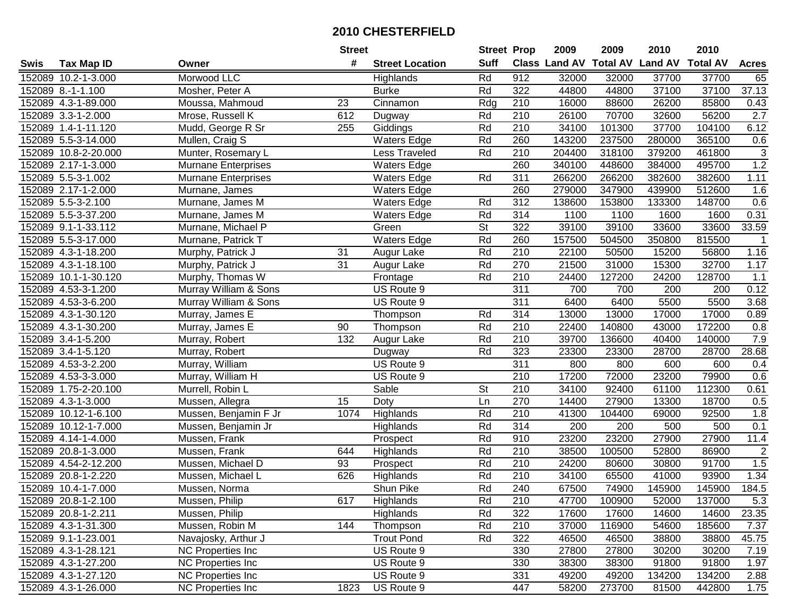|      |                      |                            | <b>Street</b> |                        | <b>Street Prop</b>       |                  | 2009   | 2009   | 2010                           | 2010            |                |
|------|----------------------|----------------------------|---------------|------------------------|--------------------------|------------------|--------|--------|--------------------------------|-----------------|----------------|
| Swis | <b>Tax Map ID</b>    | Owner                      | #             | <b>Street Location</b> | <b>Suff</b>              |                  |        |        | Class Land AV Total AV Land AV | <b>Total AV</b> | <b>Acres</b>   |
|      | 152089 10.2-1-3.000  | Morwood LLC                |               | Highlands              | Rd                       | 912              | 32000  | 32000  | 37700                          | 37700           | 65             |
|      | 152089 8.-1-1.100    | Mosher, Peter A            |               | <b>Burke</b>           | Rd                       | 322              | 44800  | 44800  | 37100                          | 37100           | 37.13          |
|      | 152089 4.3-1-89.000  | Moussa, Mahmoud            | 23            | Cinnamon               | Rdg                      | 210              | 16000  | 88600  | 26200                          | 85800           | 0.43           |
|      | 152089 3.3-1-2.000   | Mrose, Russell K           | 612           | Dugway                 | Rd                       | 210              | 26100  | 70700  | 32600                          | 56200           | 2.7            |
|      | 152089 1.4-1-11.120  | Mudd, George R Sr          | 255           | Giddings               | Rd                       | 210              | 34100  | 101300 | 37700                          | 104100          | 6.12           |
|      | 152089 5.5-3-14.000  | Mullen, Craig S            |               | <b>Waters Edge</b>     | Rd                       | 260              | 143200 | 237500 | 280000                         | 365100          | 0.6            |
|      | 152089 10.8-2-20.000 | Munter, Rosemary L         |               | Less Traveled          | Rd                       | 210              | 204400 | 318100 | 379200                         | 461800          | 3              |
|      | 152089 2.17-1-3.000  | <b>Murnane Enterprises</b> |               | <b>Waters Edge</b>     |                          | 260              | 340100 | 448600 | 384000                         | 495700          | 1.2            |
|      | 152089 5.5-3-1.002   | Murnane Enterprises        |               | <b>Waters Edge</b>     | Rd                       | 311              | 266200 | 266200 | 382600                         | 382600          | 1.11           |
|      | 152089 2.17-1-2.000  | Murnane, James             |               | <b>Waters Edge</b>     |                          | 260              | 279000 | 347900 | 439900                         | 512600          | 1.6            |
|      | 152089 5.5-3-2.100   | Murnane, James M           |               | <b>Waters Edge</b>     | Rd                       | 312              | 138600 | 153800 | 133300                         | 148700          | 0.6            |
|      | 152089 5.5-3-37.200  | Murnane, James M           |               | <b>Waters Edge</b>     | Rd                       | 314              | 1100   | 1100   | 1600                           | 1600            | 0.31           |
|      | 152089 9.1-1-33.112  | Murnane, Michael P         |               | Green                  | $\overline{\mathsf{St}}$ | 322              | 39100  | 39100  | 33600                          | 33600           | 33.59          |
|      | 152089 5.5-3-17.000  | Murnane, Patrick T         |               | <b>Waters Edge</b>     | Rd                       | 260              | 157500 | 504500 | 350800                         | 815500          | $\overline{1}$ |
|      | 152089 4.3-1-18.200  | Murphy, Patrick J          | 31            | Augur Lake             | Rd                       | 210              | 22100  | 50500  | 15200                          | 56800           | 1.16           |
|      | 152089 4.3-1-18.100  | Murphy, Patrick J          | 31            | Augur Lake             | Rd                       | 270              | 21500  | 31000  | 15300                          | 32700           | 1.17           |
|      | 152089 10.1-1-30.120 | Murphy, Thomas W           |               | Frontage               | Rd                       | 210              | 24400  | 127200 | 24200                          | 128700          | 1.1            |
|      | 152089 4.53-3-1.200  | Murray William & Sons      |               | US Route 9             |                          | 311              | 700    | 700    | 200                            | 200             | 0.12           |
|      | 152089 4.53-3-6.200  | Murray William & Sons      |               | US Route 9             |                          | 311              | 6400   | 6400   | 5500                           | 5500            | 3.68           |
|      | 152089 4.3-1-30.120  | Murray, James E            |               | Thompson               | Rd                       | 314              | 13000  | 13000  | 17000                          | 17000           | 0.89           |
|      | 152089 4.3-1-30.200  | Murray, James E            | 90            | Thompson               | Rd                       | 210              | 22400  | 140800 | 43000                          | 172200          | 0.8            |
|      | 152089 3.4-1-5.200   | Murray, Robert             | 132           | Augur Lake             | Rd                       | 210              | 39700  | 136600 | 40400                          | 140000          | $7.9$          |
|      | 152089 3.4-1-5.120   | Murray, Robert             |               | Dugway                 | Rd                       | 323              | 23300  | 23300  | 28700                          | 28700           | 28.68          |
|      | 152089 4.53-3-2.200  | Murray, William            |               | US Route 9             |                          | 311              | 800    | 800    | 600                            | 600             | 0.4            |
|      | 152089 4.53-3-3.000  | Murray, William H          |               | US Route 9             |                          | $\overline{210}$ | 17200  | 72000  | 23200                          | 79900           | 0.6            |
|      | 152089 1.75-2-20.100 | Murrell, Robin L           |               | Sable                  | $\overline{\mathsf{St}}$ | 210              | 34100  | 92400  | 61100                          | 112300          | 0.61           |
|      | 152089 4.3-1-3.000   | Mussen, Allegra            | 15            | Doty                   | Ln                       | 270              | 14400  | 27900  | 13300                          | 18700           | 0.5            |
|      | 152089 10.12-1-6.100 | Mussen, Benjamin F Jr      | 1074          | Highlands              | Rd                       | 210              | 41300  | 104400 | 69000                          | 92500           | 1.8            |
|      | 152089 10.12-1-7.000 | Mussen, Benjamin Jr        |               | Highlands              | Rd                       | 314              | 200    | 200    | 500                            | 500             | 0.1            |
|      | 152089 4.14-1-4.000  | Mussen, Frank              |               | Prospect               | Rd                       | 910              | 23200  | 23200  | 27900                          | 27900           | 11.4           |
|      | 152089 20.8-1-3.000  | Mussen, Frank              | 644           | Highlands              | Rd                       | $\overline{210}$ | 38500  | 100500 | 52800                          | 86900           | $\overline{2}$ |
|      | 152089 4.54-2-12.200 | Mussen, Michael D          | 93            | Prospect               | Rd                       | $\overline{210}$ | 24200  | 80600  | 30800                          | 91700           | 1.5            |
|      | 152089 20.8-1-2.220  | Mussen, Michael L          | 626           | Highlands              | Rd                       | 210              | 34100  | 65500  | 41000                          | 93900           | 1.34           |
|      | 152089 10.4-1-7.000  | Mussen, Norma              |               | Shun Pike              | Rd                       | 240              | 67500  | 74900  | 145900                         | 145900          | 184.5          |
|      | 152089 20.8-1-2.100  | Mussen, Philip             | 617           | Highlands              | Rd                       | 210              | 47700  | 100900 | 52000                          | 137000          | 5.3            |
|      | 152089 20.8-1-2.211  | Mussen, Philip             |               | Highlands              | Rd                       | 322              | 17600  | 17600  | 14600                          | 14600           | 23.35          |
|      | 152089 4.3-1-31.300  | Mussen, Robin M            | 144           | Thompson               | Rd                       | 210              | 37000  | 116900 | 54600                          | 185600          | 7.37           |
|      | 152089 9.1-1-23.001  | Navajosky, Arthur J        |               | <b>Trout Pond</b>      | Rd                       | 322              | 46500  | 46500  | 38800                          | 38800           | 45.75          |
|      | 152089 4.3-1-28.121  | <b>NC Properties Inc</b>   |               | US Route 9             |                          | 330              | 27800  | 27800  | 30200                          | 30200           | 7.19           |
|      | 152089 4.3-1-27.200  | <b>NC Properties Inc</b>   |               | US Route 9             |                          | 330              | 38300  | 38300  | 91800                          | 91800           | 1.97           |
|      | 152089 4.3-1-27.120  | <b>NC Properties Inc</b>   |               | US Route 9             |                          | 331              | 49200  | 49200  | 134200                         | 134200          | 2.88           |
|      | 152089 4.3-1-26.000  | <b>NC Properties Inc</b>   | 1823          | US Route 9             |                          | 447              | 58200  | 273700 | 81500                          | 442800          | 1.75           |
|      |                      |                            |               |                        |                          |                  |        |        |                                |                 |                |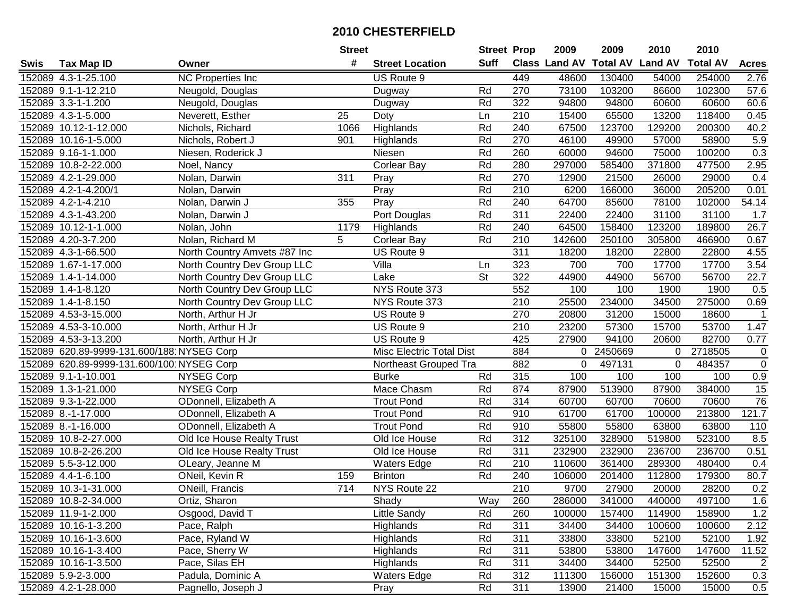|      |                                           |                              | <b>Street</b>    |                          | <b>Street Prop</b>       |                  | 2009                           | 2009    | 2010     | 2010            |                |
|------|-------------------------------------------|------------------------------|------------------|--------------------------|--------------------------|------------------|--------------------------------|---------|----------|-----------------|----------------|
| Swis | <b>Tax Map ID</b>                         | Owner                        | #                | <b>Street Location</b>   | Suff                     |                  | Class Land AV Total AV Land AV |         |          | <b>Total AV</b> | <b>Acres</b>   |
|      | 152089 4.3-1-25.100                       | NC Properties Inc            |                  | US Route 9               |                          | 449              | 48600                          | 130400  | 54000    | 254000          | 2.76           |
|      | 152089 9.1-1-12.210                       | Neugold, Douglas             |                  | Dugway                   | Rd                       | 270              | 73100                          | 103200  | 86600    | 102300          | 57.6           |
|      | 152089 3.3-1-1.200                        | Neugold, Douglas             |                  | Dugway                   | Rd                       | 322              | 94800                          | 94800   | 60600    | 60600           | 60.6           |
|      | 152089 4.3-1-5.000                        | Neverett, Esther             | 25               | Doty                     | Ln                       | $\overline{210}$ | 15400                          | 65500   | 13200    | 118400          | 0.45           |
|      | 152089 10.12-1-12.000                     | Nichols, Richard             | 1066             | Highlands                | Rd                       | 240              | 67500                          | 123700  | 129200   | 200300          | 40.2           |
|      | 152089 10.16-1-5.000                      | Nichols, Robert J            | 901              | Highlands                | Rd                       | 270              | 46100                          | 49900   | 57000    | 58900           | 5.9            |
|      | 152089 9.16-1-1.000                       | Niesen, Roderick J           |                  | Niesen                   | Rd                       | 260              | 60000                          | 94600   | 75000    | 100200          | 0.3            |
|      | 152089 10.8-2-22.000                      | Noel, Nancy                  |                  | Corlear Bay              | Rd                       | 280              | 297000                         | 585400  | 371800   | 477500          | 2.95           |
|      | 152089 4.2-1-29.000                       | Nolan, Darwin                | 311              | Pray                     | Rd                       | 270              | 12900                          | 21500   | 26000    | 29000           | 0.4            |
|      | 152089 4.2-1-4.200/1                      | Nolan, Darwin                |                  | Pray                     | Rd                       | 210              | 6200                           | 166000  | 36000    | 205200          | 0.01           |
|      | 152089 4.2-1-4.210                        | Nolan, Darwin J              | 355              | Pray                     | Rd                       | 240              | 64700                          | 85600   | 78100    | 102000          | 54.14          |
|      | 152089 4.3-1-43.200                       | Nolan, Darwin J              |                  | Port Douglas             | Rd                       | 311              | 22400                          | 22400   | 31100    | 31100           | 1.7            |
|      | 152089 10.12-1-1.000                      | Nolan, John                  | 1179             | Highlands                | Rd                       | 240              | 64500                          | 158400  | 123200   | 189800          | 26.7           |
|      | 152089 4.20-3-7.200                       | Nolan, Richard M             | 5                | <b>Corlear Bay</b>       | Rd                       | 210              | 142600                         | 250100  | 305800   | 466900          | 0.67           |
|      | 152089 4.3-1-66.500                       | North Country Amvets #87 Inc |                  | US Route 9               |                          | $\overline{311}$ | 18200                          | 18200   | 22800    | 22800           | 4.55           |
|      | 152089 1.67-1-17.000                      | North Country Dev Group LLC  |                  | Villa                    | Ln                       | 323              | 700                            | 700     | 17700    | 17700           | 3.54           |
|      | 152089 1.4-1-14.000                       | North Country Dev Group LLC  |                  | Lake                     | $\overline{\mathsf{St}}$ | 322              | 44900                          | 44900   | 56700    | 56700           | 22.7           |
|      | 152089 1.4-1-8.120                        | North Country Dev Group LLC  |                  | NYS Route 373            |                          | 552              | 100                            | 100     | 1900     | 1900            | 0.5            |
|      | 152089 1.4-1-8.150                        | North Country Dev Group LLC  |                  | NYS Route 373            |                          | 210              | 25500                          | 234000  | 34500    | 275000          | 0.69           |
|      | 152089 4.53-3-15.000                      | North, Arthur H Jr           |                  | US Route 9               |                          | 270              | 20800                          | 31200   | 15000    | 18600           | $\mathbf{1}$   |
|      | 152089 4.53-3-10.000                      | North, Arthur H Jr           |                  | US Route 9               |                          | 210              | 23200                          | 57300   | 15700    | 53700           | 1.47           |
|      | 152089 4.53-3-13.200                      | North, Arthur H Jr           |                  | US Route 9               |                          | 425              | 27900                          | 94100   | 20600    | 82700           | 0.77           |
|      | 152089 620.89-9999-131.600/188 NYSEG Corp |                              |                  | Misc Electric Total Dist |                          | 884              | 0                              | 2450669 | $\Omega$ | 2718505         | $\mathbf 0$    |
|      | 152089 620.89-9999-131.600/100 NYSEG Corp |                              |                  | Northeast Grouped Tra    |                          | 882              | 0                              | 497131  | $\Omega$ | 484357          | $\mathsf 0$    |
|      | 152089 9.1-1-10.001                       | NYSEG Corp                   |                  | <b>Burke</b>             | Rd                       | 315              | 100                            | 100     | 100      | 100             | 0.9            |
|      | 152089 1.3-1-21.000                       | <b>NYSEG Corp</b>            |                  | Mace Chasm               | Rd                       | 874              | 87900                          | 513900  | 87900    | 384000          | 15             |
|      | 152089 9.3-1-22.000                       | ODonnell, Elizabeth A        |                  | <b>Trout Pond</b>        | Rd                       | 314              | 60700                          | 60700   | 70600    | 70600           | 76             |
|      | 152089 8.-1-17.000                        | ODonnell, Elizabeth A        |                  | <b>Trout Pond</b>        | Rd                       | 910              | 61700                          | 61700   | 100000   | 213800          | 121.7          |
|      | 152089 8.-1-16.000                        | ODonnell, Elizabeth A        |                  | <b>Trout Pond</b>        | Rd                       | 910              | 55800                          | 55800   | 63800    | 63800           | 110            |
|      | 152089 10.8-2-27.000                      | Old Ice House Realty Trust   |                  | Old Ice House            | Rd                       | 312              | 325100                         | 328900  | 519800   | 523100          | 8.5            |
|      | 152089 10.8-2-26.200                      | Old Ice House Realty Trust   |                  | Old Ice House            | Rd                       | 311              | 232900                         | 232900  | 236700   | 236700          | 0.51           |
|      | 152089 5.5-3-12.000                       | OLeary, Jeanne M             |                  | <b>Waters Edge</b>       | Rd                       | 210              | 110600                         | 361400  | 289300   | 480400          | 0.4            |
|      | 152089 4.4-1-6.100                        | ONeil, Kevin R               | 159              | <b>Brinton</b>           | Rd                       | 240              | 106000                         | 201400  | 112800   | 179300          | 80.7           |
|      | 152089 10.3-1-31.000                      | <b>ONeill, Francis</b>       | $\overline{714}$ | NYS Route 22             |                          | $\overline{210}$ | 9700                           | 27900   | 20000    | 28200           | 0.2            |
|      | 152089 10.8-2-34.000                      | Ortiz, Sharon                |                  | Shady                    | Way                      | 260              | 286000                         | 341000  | 440000   | 497100          | 1.6            |
|      | 152089 11.9-1-2.000                       | Osgood, David T              |                  | <b>Little Sandy</b>      | Rd                       | 260              | 100000                         | 157400  | 114900   | 158900          | $1.2$          |
|      | 152089 10.16-1-3.200                      | Pace, Ralph                  |                  | Highlands                | Rd                       | 311              | 34400                          | 34400   | 100600   | 100600          | 2.12           |
|      | 152089 10.16-1-3.600                      | Pace, Ryland W               |                  | Highlands                | Rd                       | 311              | 33800                          | 33800   | 52100    | 52100           | 1.92           |
|      | 152089 10.16-1-3.400                      | Pace, Sherry W               |                  | Highlands                | Rd                       | 311              | 53800                          | 53800   | 147600   | 147600          | 11.52          |
|      | 152089 10.16-1-3.500                      | Pace, Silas EH               |                  | Highlands                | Rd                       | 311              | 34400                          | 34400   | 52500    | 52500           | $\overline{2}$ |
|      | 152089 5.9-2-3.000                        | Padula, Dominic A            |                  | <b>Waters Edge</b>       | Rd                       | 312              | 111300                         | 156000  | 151300   | 152600          | 0.3            |
|      | 152089 4.2-1-28.000                       | Pagnello, Joseph J           |                  | Pray                     | Rd                       | 311              | 13900                          | 21400   | 15000    | 15000           | 0.5            |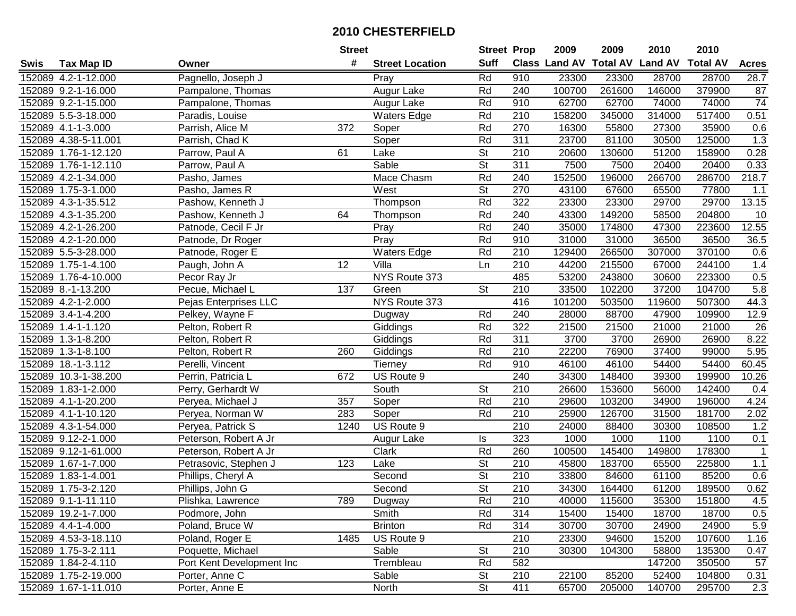|      |                      |                           | <b>Street</b> |                        | <b>Street Prop</b>       |                  | 2009                          | 2009   | 2010           | 2010            |                  |
|------|----------------------|---------------------------|---------------|------------------------|--------------------------|------------------|-------------------------------|--------|----------------|-----------------|------------------|
| Swis | <b>Tax Map ID</b>    | Owner                     | #             | <b>Street Location</b> | <b>Suff</b>              |                  | <b>Class Land AV Total AV</b> |        | <b>Land AV</b> | <b>Total AV</b> | <b>Acres</b>     |
|      | 152089 4.2-1-12.000  | Pagnello, Joseph J        |               | Pray                   | Rd                       | 910              | 23300                         | 23300  | 28700          | 28700           | 28.7             |
|      | 152089 9.2-1-16.000  | Pampalone, Thomas         |               | Augur Lake             | Rd                       | 240              | 100700                        | 261600 | 146000         | 379900          | 87               |
|      | 152089 9.2-1-15.000  | Pampalone, Thomas         |               | Augur Lake             | Rd                       | 910              | 62700                         | 62700  | 74000          | 74000           | 74               |
|      | 152089 5.5-3-18.000  | Paradis, Louise           |               | <b>Waters Edge</b>     | Rd                       | $\overline{210}$ | 158200                        | 345000 | 314000         | 517400          | 0.51             |
|      | 152089 4.1-1-3.000   | Parrish, Alice M          | 372           | Soper                  | Rd                       | 270              | 16300                         | 55800  | 27300          | 35900           | 0.6              |
|      | 152089 4.38-5-11.001 | Parrish, Chad K           |               | Soper                  | Rd                       | 311              | 23700                         | 81100  | 30500          | 125000          | 1.3              |
|      | 152089 1.76-1-12.120 | Parrow, Paul A            | 61            | Lake                   | <b>St</b>                | 210              | 20600                         | 130600 | 51200          | 158900          | 0.28             |
|      | 152089 1.76-1-12.110 | Parrow, Paul A            |               | Sable                  | $\overline{\mathsf{St}}$ | 311              | 7500                          | 7500   | 20400          | 20400           | 0.33             |
|      | 152089 4.2-1-34.000  | Pasho, James              |               | Mace Chasm             | Rd                       | 240              | 152500                        | 196000 | 266700         | 286700          | 218.7            |
|      | 152089 1.75-3-1.000  | Pasho, James R            |               | West                   | $\overline{\mathsf{St}}$ | 270              | 43100                         | 67600  | 65500          | 77800           | 1.1              |
|      | 152089 4.3-1-35.512  | Pashow, Kenneth J         |               | Thompson               | Rd                       | 322              | 23300                         | 23300  | 29700          | 29700           | 13.15            |
|      | 152089 4.3-1-35.200  | Pashow, Kenneth J         | 64            | Thompson               | Rd                       | 240              | 43300                         | 149200 | 58500          | 204800          | 10               |
|      | 152089 4.2-1-26.200  | Patnode, Cecil F Jr       |               | Pray                   | Rd                       | 240              | 35000                         | 174800 | 47300          | 223600          | 12.55            |
|      | 152089 4.2-1-20.000  | Patnode, Dr Roger         |               | Pray                   | Rd                       | 910              | 31000                         | 31000  | 36500          | 36500           | 36.5             |
|      | 152089 5.5-3-28.000  | Patnode, Roger E          |               | <b>Waters Edge</b>     | Rd                       | 210              | 129400                        | 266500 | 307000         | 370100          | 0.6              |
|      | 152089 1.75-1-4.100  | Paugh, John A             | 12            | Villa                  | Ln                       | 210              | 44200                         | 215500 | 67000          | 244100          | 1.4              |
|      | 152089 1.76-4-10.000 | Pecor Ray Jr              |               | NYS Route 373          |                          | 485              | 53200                         | 243800 | 30600          | 223300          | 0.5              |
|      | 152089 8.-1-13.200   | Pecue, Michael L          | 137           | Green                  | <b>St</b>                | 210              | 33500                         | 102200 | 37200          | 104700          | 5.8              |
|      | 152089 4.2-1-2.000   | Pejas Enterprises LLC     |               | NYS Route 373          |                          | 416              | 101200                        | 503500 | 119600         | 507300          | 44.3             |
|      | 152089 3.4-1-4.200   | Pelkey, Wayne F           |               | Dugway                 | Rd                       | 240              | 28000                         | 88700  | 47900          | 109900          | 12.9             |
|      | 152089 1.4-1-1.120   | Pelton, Robert R          |               | Giddings               | Rd                       | 322              | 21500                         | 21500  | 21000          | 21000           | $\overline{26}$  |
|      | 152089 1.3-1-8.200   | Pelton, Robert R          |               | Giddings               | Rd                       | 311              | 3700                          | 3700   | 26900          | 26900           | 8.22             |
|      | 152089 1.3-1-8.100   | Pelton, Robert R          | 260           | Giddings               | Rd                       | 210              | 22200                         | 76900  | 37400          | 99000           | 5.95             |
|      | 152089 18.-1-3.112   | Perelli, Vincent          |               | Tierney                | Rd                       | 910              | 46100                         | 46100  | 54400          | 54400           | 60.45            |
|      | 152089 10.3-1-38.200 | Perrin, Patricia L        | 672           | US Route 9             |                          | 240              | 34300                         | 148400 | 39300          | 199900          | 10.26            |
|      | 152089 1.83-1-2.000  | Perry, Gerhardt W         |               | South                  | $\overline{\mathsf{St}}$ | 210              | 26600                         | 153600 | 56000          | 142400          | 0.4              |
|      | 152089 4.1-1-20.200  | Peryea, Michael J         | 357           | Soper                  | Rd                       | 210              | 29600                         | 103200 | 34900          | 196000          | 4.24             |
|      | 152089 4.1-1-10.120  | Peryea, Norman W          | 283           | Soper                  | Rd                       | 210              | 25900                         | 126700 | 31500          | 181700          | 2.02             |
|      | 152089 4.3-1-54.000  | Peryea, Patrick S         | 1240          | US Route 9             |                          | 210              | 24000                         | 88400  | 30300          | 108500          | 1.2              |
|      | 152089 9.12-2-1.000  | Peterson, Robert A Jr     |               | Augur Lake             | ls                       | 323              | 1000                          | 1000   | 1100           | 1100            | 0.1              |
|      | 152089 9.12-1-61.000 | Peterson, Robert A Jr     |               | Clark                  | Rd                       | 260              | 100500                        | 145400 | 149800         | 178300          | $\mathbf{1}$     |
|      | 152089 1.67-1-7.000  | Petrasovic, Stephen J     | 123           | Lake                   | $\overline{\mathsf{St}}$ | 210              | 45800                         | 183700 | 65500          | 225800          | $1.1$            |
|      | 152089 1.83-1-4.001  | Phillips, Cheryl A        |               | Second                 | $\overline{\mathsf{St}}$ | $\overline{210}$ | 33800                         | 84600  | 61100          | 85200           | 0.6              |
|      | 152089 1.75-3-2.120  | Phillips, John G          |               | Second                 | $\overline{\mathsf{St}}$ | $\overline{210}$ | 34300                         | 164400 | 61200          | 189500          | 0.62             |
|      | 152089 9.1-1-11.110  | Plishka, Lawrence         | 789           | Dugway                 | Rd                       | 210              | 40000                         | 115600 | 35300          | 151800          | 4.5              |
|      | 152089 19.2-1-7.000  | Podmore, John             |               | Smith                  | Rd                       | 314              | 15400                         | 15400  | 18700          | 18700           | 0.5              |
|      | 152089 4.4-1-4.000   | Poland, Bruce W           |               | <b>Brinton</b>         | Rd                       | 314              | 30700                         | 30700  | 24900          | 24900           | 5.9              |
|      | 152089 4.53-3-18.110 | Poland, Roger E           | 1485          | US Route 9             |                          | 210              | 23300                         | 94600  | 15200          | 107600          | 1.16             |
|      | 152089 1.75-3-2.111  | Poquette, Michael         |               | Sable                  | <b>St</b>                | 210              | 30300                         | 104300 | 58800          | 135300          | 0.47             |
|      | 152089 1.84-2-4.110  | Port Kent Development Inc |               | Trembleau              | Rd                       | 582              |                               |        | 147200         | 350500          | 57               |
|      | 152089 1.75-2-19.000 | Porter, Anne C            |               | Sable                  | <b>St</b>                | 210              | 22100                         | 85200  | 52400          | 104800          | 0.31             |
|      | 152089 1.67-1-11.010 | Porter, Anne E            |               | North                  | $\overline{\mathsf{St}}$ | 411              | 65700                         | 205000 | 140700         | 295700          | $\overline{2.3}$ |
|      |                      |                           |               |                        |                          |                  |                               |        |                |                 |                  |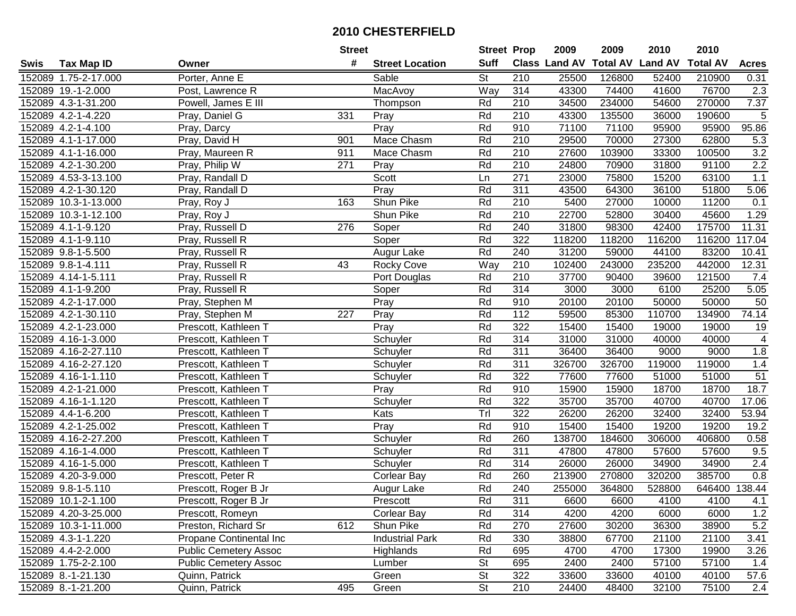| #<br><b>Suff</b><br>Class Land AV<br><b>Total AV</b><br><b>Land AV</b><br><b>Total AV</b><br><b>Acres</b><br><b>Tax Map ID</b><br><b>Street Location</b><br>Swis<br>Owner<br><b>St</b><br>152089 1.75-2-17.000<br>Porter, Anne E<br>Sable<br>210<br>25500<br>126800<br>52400<br>210900<br>0.31<br>Way<br>314<br>152089 19.-1-2.000<br>Post, Lawrence R<br>MacAvoy<br>43300<br>74400<br>41600<br>76700<br>2.3<br>7.37<br>152089 4.3-1-31.200<br>Powell, James E III<br>Rd<br>210<br>34500<br>234000<br>54600<br>270000<br>Thompson<br>$\sqrt{5}$<br>152089 4.2-1-4.220<br>Pray, Daniel G<br>331<br>Rd<br>210<br>43300<br>135500<br>36000<br>190600<br>Pray<br>95.86<br>152089 4.2-1-4.100<br>$\overline{Pr}$<br>Rd<br>910<br>71100<br>71100<br>95900<br>95900<br>Pray, Darcy<br>Pray, David H<br>Mace Chasm<br>Rd<br>62800<br>5.3<br>152089 4.1-1-17.000<br>901<br>210<br>29500<br>70000<br>27300<br>3.2<br>Pray, Maureen R<br>Mace Chasm<br>Rd<br>210<br>27600<br>103900<br>100500<br>152089 4.1-1-16.000<br>911<br>33300<br>2.2<br>210<br>31800<br>152089 4.2-1-30.200<br>$\overline{271}$<br>Rd<br>24800<br>70900<br>91100<br>Pray, Philip W<br>Pray<br>Scott<br>$\overline{271}$<br>63100<br>1.1<br>152089 4.53-3-13.100<br>23000<br>75800<br>15200<br>Pray, Randall D<br>Ln<br>Rd<br>311<br>43500<br>51800<br>152089 4.2-1-30.120<br>Pray<br>64300<br>36100<br>5.06<br>Pray, Randall D<br>Shun Pike<br>Rd<br>210<br>5400<br>11200<br>152089 10.3-1-13.000<br>163<br>27000<br>10000<br>0.1<br>Pray, Roy J<br>22700<br>152089 10.3-1-12.100<br>Shun Pike<br>Rd<br>210<br>52800<br>30400<br>45600<br>1.29<br>Pray, Roy J<br>Rd<br>240<br>11.31<br>152089 4.1-1-9.120<br>31800<br>98300<br>42400<br>175700<br>Pray, Russell D<br>276<br>Soper<br>Rd<br>322<br>117.04<br>152089 4.1-1-9.110<br>Soper<br>118200<br>118200<br>116200<br>116200<br>Pray, Russell R<br>Rd<br>240<br>83200<br>152089 9.8-1-5.500<br>31200<br>59000<br>44100<br>10.41<br>Pray, Russell R<br>Augur Lake<br>$\overline{W}$ ay<br>210<br>152089 9.8-1-4.111<br>102400<br>243000<br>235200<br>442000<br>12.31<br>Pray, Russell R<br>43<br><b>Rocky Cove</b><br>152089 4.14-1-5.111<br>Rd<br>210<br>37700<br>90400<br>39600<br>121500<br>7.4<br>Pray, Russell R<br>Port Douglas<br>Rd<br>314<br>$\overline{5.05}$<br>152089 4.1-1-9.200<br>Soper<br>3000<br>3000<br>6100<br>25200<br>Pray, Russell R<br>Rd<br>152089 4.2-1-17.000<br>Pray<br>910<br>20100<br>20100<br>50000<br>50000<br>50<br>Pray, Stephen M<br>Rd<br>74.14<br>152089 4.2-1-30.110<br>227<br>Pray<br>112<br>59500<br>85300<br>110700<br>134900<br>Pray, Stephen M<br>152089 4.2-1-23.000<br>Rd<br>322<br>15400<br>15400<br>19000<br>19<br>Pray<br>19000<br>Prescott, Kathleen T<br>$\overline{4}$<br>Rd<br>314<br>152089 4.16-1-3.000<br>31000<br>31000<br>40000<br>Prescott, Kathleen T<br>Schuyler<br>40000<br>Rd<br>311<br>1.8<br>152089 4.16-2-27.110<br>36400<br>36400<br>9000<br>9000<br>Prescott, Kathleen T<br>Schuyler<br>311<br>1.4<br>152089 4.16-2-27.120<br>Rd<br>326700<br>326700<br>119000<br>119000<br>Schuyler<br>Prescott, Kathleen T<br>51<br>Rd<br>152089 4.16-1-1.110<br>Schuyler<br>322<br>77600<br>77600<br>51000<br>51000<br>Prescott, Kathleen T<br>Rd<br>910<br>15900<br>18700<br>18.7<br>152089 4.2-1-21.000<br>Pray<br>15900<br>18700<br>Prescott, Kathleen T<br>322<br>Rd<br>35700<br>17.06<br>152089 4.16-1-1.120<br>Prescott, Kathleen T<br>Schuyler<br>35700<br>40700<br>40700<br>Trl<br>322<br>26200<br>32400<br>32400<br>152089 4.4-1-6.200<br>Kats<br>26200<br>53.94<br>Prescott, Kathleen T<br>910<br>15400<br>152089 4.2-1-25.002<br>Rd<br>15400<br>19200<br>19200<br>19.2<br>Prescott, Kathleen T<br>Pray<br>152089 4.16-2-27.200<br>Rd<br>260<br>406800<br>138700<br>184600<br>306000<br>0.58<br>Prescott, Kathleen T<br>Schuyler<br>311<br>152089 4.16-1-4.000<br>Rd<br>47800<br>47800<br>57600<br>57600<br>9.5<br>Prescott, Kathleen T<br>Schuyler<br>Rd<br>2.4<br>152089 4.16-1-5.000<br>314<br>26000<br>34900<br>34900<br>Prescott, Kathleen T<br>26000<br>Schuyler<br>152089 4.20-3-9.000<br>Rd<br>260<br>213900<br>385700<br>$\overline{0.8}$<br>Prescott, Peter R<br>270800<br>320200<br>Corlear Bay<br>Rd<br>240<br>152089 9.8-1-5.110<br>Prescott, Roger B Jr<br>255000<br>364800<br>528800<br>646400 138.44<br>Augur Lake<br>152089 10.1-2-1.100<br>Prescott, Roger B Jr<br>Prescott<br>Rd<br>311<br>6600<br>6600<br>4100<br>4100<br>4.1<br>1.2<br>Rd<br>314<br>152089 4.20-3-25.000<br>Prescott, Romeyn<br><b>Corlear Bay</b><br>4200<br>4200<br>6000<br>6000<br>Shun Pike<br>Rd<br>270<br>27600<br>5.2<br>152089 10.3-1-11.000<br>Preston, Richard Sr<br>612<br>30200<br>36300<br>38900<br>Rd<br>152089 4.3-1-1.220<br>Propane Continental Inc<br><b>Industrial Park</b><br>330<br>38800<br>21100<br>21100<br>3.41<br>67700<br>152089 4.4-2-2.000<br><b>Public Cemetery Assoc</b><br>Rd<br>695<br>17300<br>3.26<br><b>Highlands</b><br>4700<br>4700<br>19900<br>152089 1.75-2-2.100<br><b>St</b><br>695<br>2400<br>57100<br>57100<br>1.4<br><b>Public Cemetery Assoc</b><br>2400<br>Lumber<br>152089 8.-1-21.130<br><b>St</b><br>322<br>Green<br>33600<br>33600<br>40100<br>40100<br>57.6<br>Quinn, Patrick<br>$\overline{\mathsf{St}}$<br>152089 8.-1-21.200<br>210<br>2.4<br>495<br>Green<br>24400<br>32100<br>75100<br>Quinn, Patrick<br>48400 |  | <b>Street</b> | <b>Street Prop</b> | 2009 | 2009 | 2010 | 2010 |  |
|-------------------------------------------------------------------------------------------------------------------------------------------------------------------------------------------------------------------------------------------------------------------------------------------------------------------------------------------------------------------------------------------------------------------------------------------------------------------------------------------------------------------------------------------------------------------------------------------------------------------------------------------------------------------------------------------------------------------------------------------------------------------------------------------------------------------------------------------------------------------------------------------------------------------------------------------------------------------------------------------------------------------------------------------------------------------------------------------------------------------------------------------------------------------------------------------------------------------------------------------------------------------------------------------------------------------------------------------------------------------------------------------------------------------------------------------------------------------------------------------------------------------------------------------------------------------------------------------------------------------------------------------------------------------------------------------------------------------------------------------------------------------------------------------------------------------------------------------------------------------------------------------------------------------------------------------------------------------------------------------------------------------------------------------------------------------------------------------------------------------------------------------------------------------------------------------------------------------------------------------------------------------------------------------------------------------------------------------------------------------------------------------------------------------------------------------------------------------------------------------------------------------------------------------------------------------------------------------------------------------------------------------------------------------------------------------------------------------------------------------------------------------------------------------------------------------------------------------------------------------------------------------------------------------------------------------------------------------------------------------------------------------------------------------------------------------------------------------------------------------------------------------------------------------------------------------------------------------------------------------------------------------------------------------------------------------------------------------------------------------------------------------------------------------------------------------------------------------------------------------------------------------------------------------------------------------------------------------------------------------------------------------------------------------------------------------------------------------------------------------------------------------------------------------------------------------------------------------------------------------------------------------------------------------------------------------------------------------------------------------------------------------------------------------------------------------------------------------------------------------------------------------------------------------------------------------------------------------------------------------------------------------------------------------------------------------------------------------------------------------------------------------------------------------------------------------------------------------------------------------------------------------------------------------------------------------------------------------------------------------------------------------------------------------------------------------------------------------------------------------------------------------------------------------------------------------------------------------------------------------------------------------------------------------------------------------------------------------------------------------------------------------------------------------------------------------------------------------------------------------------------------------------------------------------------------------------------------------------------------------------------------------------------------------------------------------------------------------|--|---------------|--------------------|------|------|------|------|--|
|                                                                                                                                                                                                                                                                                                                                                                                                                                                                                                                                                                                                                                                                                                                                                                                                                                                                                                                                                                                                                                                                                                                                                                                                                                                                                                                                                                                                                                                                                                                                                                                                                                                                                                                                                                                                                                                                                                                                                                                                                                                                                                                                                                                                                                                                                                                                                                                                                                                                                                                                                                                                                                                                                                                                                                                                                                                                                                                                                                                                                                                                                                                                                                                                                                                                                                                                                                                                                                                                                                                                                                                                                                                                                                                                                                                                                                                                                                                                                                                                                                                                                                                                                                                                                                                                                                                                                                                                                                                                                                                                                                                                                                                                                                                                                                                                                                                                                                                                                                                                                                                                                                                                                                                                                                                                                                                                           |  |               |                    |      |      |      |      |  |
|                                                                                                                                                                                                                                                                                                                                                                                                                                                                                                                                                                                                                                                                                                                                                                                                                                                                                                                                                                                                                                                                                                                                                                                                                                                                                                                                                                                                                                                                                                                                                                                                                                                                                                                                                                                                                                                                                                                                                                                                                                                                                                                                                                                                                                                                                                                                                                                                                                                                                                                                                                                                                                                                                                                                                                                                                                                                                                                                                                                                                                                                                                                                                                                                                                                                                                                                                                                                                                                                                                                                                                                                                                                                                                                                                                                                                                                                                                                                                                                                                                                                                                                                                                                                                                                                                                                                                                                                                                                                                                                                                                                                                                                                                                                                                                                                                                                                                                                                                                                                                                                                                                                                                                                                                                                                                                                                           |  |               |                    |      |      |      |      |  |
|                                                                                                                                                                                                                                                                                                                                                                                                                                                                                                                                                                                                                                                                                                                                                                                                                                                                                                                                                                                                                                                                                                                                                                                                                                                                                                                                                                                                                                                                                                                                                                                                                                                                                                                                                                                                                                                                                                                                                                                                                                                                                                                                                                                                                                                                                                                                                                                                                                                                                                                                                                                                                                                                                                                                                                                                                                                                                                                                                                                                                                                                                                                                                                                                                                                                                                                                                                                                                                                                                                                                                                                                                                                                                                                                                                                                                                                                                                                                                                                                                                                                                                                                                                                                                                                                                                                                                                                                                                                                                                                                                                                                                                                                                                                                                                                                                                                                                                                                                                                                                                                                                                                                                                                                                                                                                                                                           |  |               |                    |      |      |      |      |  |
|                                                                                                                                                                                                                                                                                                                                                                                                                                                                                                                                                                                                                                                                                                                                                                                                                                                                                                                                                                                                                                                                                                                                                                                                                                                                                                                                                                                                                                                                                                                                                                                                                                                                                                                                                                                                                                                                                                                                                                                                                                                                                                                                                                                                                                                                                                                                                                                                                                                                                                                                                                                                                                                                                                                                                                                                                                                                                                                                                                                                                                                                                                                                                                                                                                                                                                                                                                                                                                                                                                                                                                                                                                                                                                                                                                                                                                                                                                                                                                                                                                                                                                                                                                                                                                                                                                                                                                                                                                                                                                                                                                                                                                                                                                                                                                                                                                                                                                                                                                                                                                                                                                                                                                                                                                                                                                                                           |  |               |                    |      |      |      |      |  |
|                                                                                                                                                                                                                                                                                                                                                                                                                                                                                                                                                                                                                                                                                                                                                                                                                                                                                                                                                                                                                                                                                                                                                                                                                                                                                                                                                                                                                                                                                                                                                                                                                                                                                                                                                                                                                                                                                                                                                                                                                                                                                                                                                                                                                                                                                                                                                                                                                                                                                                                                                                                                                                                                                                                                                                                                                                                                                                                                                                                                                                                                                                                                                                                                                                                                                                                                                                                                                                                                                                                                                                                                                                                                                                                                                                                                                                                                                                                                                                                                                                                                                                                                                                                                                                                                                                                                                                                                                                                                                                                                                                                                                                                                                                                                                                                                                                                                                                                                                                                                                                                                                                                                                                                                                                                                                                                                           |  |               |                    |      |      |      |      |  |
|                                                                                                                                                                                                                                                                                                                                                                                                                                                                                                                                                                                                                                                                                                                                                                                                                                                                                                                                                                                                                                                                                                                                                                                                                                                                                                                                                                                                                                                                                                                                                                                                                                                                                                                                                                                                                                                                                                                                                                                                                                                                                                                                                                                                                                                                                                                                                                                                                                                                                                                                                                                                                                                                                                                                                                                                                                                                                                                                                                                                                                                                                                                                                                                                                                                                                                                                                                                                                                                                                                                                                                                                                                                                                                                                                                                                                                                                                                                                                                                                                                                                                                                                                                                                                                                                                                                                                                                                                                                                                                                                                                                                                                                                                                                                                                                                                                                                                                                                                                                                                                                                                                                                                                                                                                                                                                                                           |  |               |                    |      |      |      |      |  |
|                                                                                                                                                                                                                                                                                                                                                                                                                                                                                                                                                                                                                                                                                                                                                                                                                                                                                                                                                                                                                                                                                                                                                                                                                                                                                                                                                                                                                                                                                                                                                                                                                                                                                                                                                                                                                                                                                                                                                                                                                                                                                                                                                                                                                                                                                                                                                                                                                                                                                                                                                                                                                                                                                                                                                                                                                                                                                                                                                                                                                                                                                                                                                                                                                                                                                                                                                                                                                                                                                                                                                                                                                                                                                                                                                                                                                                                                                                                                                                                                                                                                                                                                                                                                                                                                                                                                                                                                                                                                                                                                                                                                                                                                                                                                                                                                                                                                                                                                                                                                                                                                                                                                                                                                                                                                                                                                           |  |               |                    |      |      |      |      |  |
|                                                                                                                                                                                                                                                                                                                                                                                                                                                                                                                                                                                                                                                                                                                                                                                                                                                                                                                                                                                                                                                                                                                                                                                                                                                                                                                                                                                                                                                                                                                                                                                                                                                                                                                                                                                                                                                                                                                                                                                                                                                                                                                                                                                                                                                                                                                                                                                                                                                                                                                                                                                                                                                                                                                                                                                                                                                                                                                                                                                                                                                                                                                                                                                                                                                                                                                                                                                                                                                                                                                                                                                                                                                                                                                                                                                                                                                                                                                                                                                                                                                                                                                                                                                                                                                                                                                                                                                                                                                                                                                                                                                                                                                                                                                                                                                                                                                                                                                                                                                                                                                                                                                                                                                                                                                                                                                                           |  |               |                    |      |      |      |      |  |
|                                                                                                                                                                                                                                                                                                                                                                                                                                                                                                                                                                                                                                                                                                                                                                                                                                                                                                                                                                                                                                                                                                                                                                                                                                                                                                                                                                                                                                                                                                                                                                                                                                                                                                                                                                                                                                                                                                                                                                                                                                                                                                                                                                                                                                                                                                                                                                                                                                                                                                                                                                                                                                                                                                                                                                                                                                                                                                                                                                                                                                                                                                                                                                                                                                                                                                                                                                                                                                                                                                                                                                                                                                                                                                                                                                                                                                                                                                                                                                                                                                                                                                                                                                                                                                                                                                                                                                                                                                                                                                                                                                                                                                                                                                                                                                                                                                                                                                                                                                                                                                                                                                                                                                                                                                                                                                                                           |  |               |                    |      |      |      |      |  |
|                                                                                                                                                                                                                                                                                                                                                                                                                                                                                                                                                                                                                                                                                                                                                                                                                                                                                                                                                                                                                                                                                                                                                                                                                                                                                                                                                                                                                                                                                                                                                                                                                                                                                                                                                                                                                                                                                                                                                                                                                                                                                                                                                                                                                                                                                                                                                                                                                                                                                                                                                                                                                                                                                                                                                                                                                                                                                                                                                                                                                                                                                                                                                                                                                                                                                                                                                                                                                                                                                                                                                                                                                                                                                                                                                                                                                                                                                                                                                                                                                                                                                                                                                                                                                                                                                                                                                                                                                                                                                                                                                                                                                                                                                                                                                                                                                                                                                                                                                                                                                                                                                                                                                                                                                                                                                                                                           |  |               |                    |      |      |      |      |  |
|                                                                                                                                                                                                                                                                                                                                                                                                                                                                                                                                                                                                                                                                                                                                                                                                                                                                                                                                                                                                                                                                                                                                                                                                                                                                                                                                                                                                                                                                                                                                                                                                                                                                                                                                                                                                                                                                                                                                                                                                                                                                                                                                                                                                                                                                                                                                                                                                                                                                                                                                                                                                                                                                                                                                                                                                                                                                                                                                                                                                                                                                                                                                                                                                                                                                                                                                                                                                                                                                                                                                                                                                                                                                                                                                                                                                                                                                                                                                                                                                                                                                                                                                                                                                                                                                                                                                                                                                                                                                                                                                                                                                                                                                                                                                                                                                                                                                                                                                                                                                                                                                                                                                                                                                                                                                                                                                           |  |               |                    |      |      |      |      |  |
|                                                                                                                                                                                                                                                                                                                                                                                                                                                                                                                                                                                                                                                                                                                                                                                                                                                                                                                                                                                                                                                                                                                                                                                                                                                                                                                                                                                                                                                                                                                                                                                                                                                                                                                                                                                                                                                                                                                                                                                                                                                                                                                                                                                                                                                                                                                                                                                                                                                                                                                                                                                                                                                                                                                                                                                                                                                                                                                                                                                                                                                                                                                                                                                                                                                                                                                                                                                                                                                                                                                                                                                                                                                                                                                                                                                                                                                                                                                                                                                                                                                                                                                                                                                                                                                                                                                                                                                                                                                                                                                                                                                                                                                                                                                                                                                                                                                                                                                                                                                                                                                                                                                                                                                                                                                                                                                                           |  |               |                    |      |      |      |      |  |
|                                                                                                                                                                                                                                                                                                                                                                                                                                                                                                                                                                                                                                                                                                                                                                                                                                                                                                                                                                                                                                                                                                                                                                                                                                                                                                                                                                                                                                                                                                                                                                                                                                                                                                                                                                                                                                                                                                                                                                                                                                                                                                                                                                                                                                                                                                                                                                                                                                                                                                                                                                                                                                                                                                                                                                                                                                                                                                                                                                                                                                                                                                                                                                                                                                                                                                                                                                                                                                                                                                                                                                                                                                                                                                                                                                                                                                                                                                                                                                                                                                                                                                                                                                                                                                                                                                                                                                                                                                                                                                                                                                                                                                                                                                                                                                                                                                                                                                                                                                                                                                                                                                                                                                                                                                                                                                                                           |  |               |                    |      |      |      |      |  |
|                                                                                                                                                                                                                                                                                                                                                                                                                                                                                                                                                                                                                                                                                                                                                                                                                                                                                                                                                                                                                                                                                                                                                                                                                                                                                                                                                                                                                                                                                                                                                                                                                                                                                                                                                                                                                                                                                                                                                                                                                                                                                                                                                                                                                                                                                                                                                                                                                                                                                                                                                                                                                                                                                                                                                                                                                                                                                                                                                                                                                                                                                                                                                                                                                                                                                                                                                                                                                                                                                                                                                                                                                                                                                                                                                                                                                                                                                                                                                                                                                                                                                                                                                                                                                                                                                                                                                                                                                                                                                                                                                                                                                                                                                                                                                                                                                                                                                                                                                                                                                                                                                                                                                                                                                                                                                                                                           |  |               |                    |      |      |      |      |  |
|                                                                                                                                                                                                                                                                                                                                                                                                                                                                                                                                                                                                                                                                                                                                                                                                                                                                                                                                                                                                                                                                                                                                                                                                                                                                                                                                                                                                                                                                                                                                                                                                                                                                                                                                                                                                                                                                                                                                                                                                                                                                                                                                                                                                                                                                                                                                                                                                                                                                                                                                                                                                                                                                                                                                                                                                                                                                                                                                                                                                                                                                                                                                                                                                                                                                                                                                                                                                                                                                                                                                                                                                                                                                                                                                                                                                                                                                                                                                                                                                                                                                                                                                                                                                                                                                                                                                                                                                                                                                                                                                                                                                                                                                                                                                                                                                                                                                                                                                                                                                                                                                                                                                                                                                                                                                                                                                           |  |               |                    |      |      |      |      |  |
|                                                                                                                                                                                                                                                                                                                                                                                                                                                                                                                                                                                                                                                                                                                                                                                                                                                                                                                                                                                                                                                                                                                                                                                                                                                                                                                                                                                                                                                                                                                                                                                                                                                                                                                                                                                                                                                                                                                                                                                                                                                                                                                                                                                                                                                                                                                                                                                                                                                                                                                                                                                                                                                                                                                                                                                                                                                                                                                                                                                                                                                                                                                                                                                                                                                                                                                                                                                                                                                                                                                                                                                                                                                                                                                                                                                                                                                                                                                                                                                                                                                                                                                                                                                                                                                                                                                                                                                                                                                                                                                                                                                                                                                                                                                                                                                                                                                                                                                                                                                                                                                                                                                                                                                                                                                                                                                                           |  |               |                    |      |      |      |      |  |
|                                                                                                                                                                                                                                                                                                                                                                                                                                                                                                                                                                                                                                                                                                                                                                                                                                                                                                                                                                                                                                                                                                                                                                                                                                                                                                                                                                                                                                                                                                                                                                                                                                                                                                                                                                                                                                                                                                                                                                                                                                                                                                                                                                                                                                                                                                                                                                                                                                                                                                                                                                                                                                                                                                                                                                                                                                                                                                                                                                                                                                                                                                                                                                                                                                                                                                                                                                                                                                                                                                                                                                                                                                                                                                                                                                                                                                                                                                                                                                                                                                                                                                                                                                                                                                                                                                                                                                                                                                                                                                                                                                                                                                                                                                                                                                                                                                                                                                                                                                                                                                                                                                                                                                                                                                                                                                                                           |  |               |                    |      |      |      |      |  |
|                                                                                                                                                                                                                                                                                                                                                                                                                                                                                                                                                                                                                                                                                                                                                                                                                                                                                                                                                                                                                                                                                                                                                                                                                                                                                                                                                                                                                                                                                                                                                                                                                                                                                                                                                                                                                                                                                                                                                                                                                                                                                                                                                                                                                                                                                                                                                                                                                                                                                                                                                                                                                                                                                                                                                                                                                                                                                                                                                                                                                                                                                                                                                                                                                                                                                                                                                                                                                                                                                                                                                                                                                                                                                                                                                                                                                                                                                                                                                                                                                                                                                                                                                                                                                                                                                                                                                                                                                                                                                                                                                                                                                                                                                                                                                                                                                                                                                                                                                                                                                                                                                                                                                                                                                                                                                                                                           |  |               |                    |      |      |      |      |  |
|                                                                                                                                                                                                                                                                                                                                                                                                                                                                                                                                                                                                                                                                                                                                                                                                                                                                                                                                                                                                                                                                                                                                                                                                                                                                                                                                                                                                                                                                                                                                                                                                                                                                                                                                                                                                                                                                                                                                                                                                                                                                                                                                                                                                                                                                                                                                                                                                                                                                                                                                                                                                                                                                                                                                                                                                                                                                                                                                                                                                                                                                                                                                                                                                                                                                                                                                                                                                                                                                                                                                                                                                                                                                                                                                                                                                                                                                                                                                                                                                                                                                                                                                                                                                                                                                                                                                                                                                                                                                                                                                                                                                                                                                                                                                                                                                                                                                                                                                                                                                                                                                                                                                                                                                                                                                                                                                           |  |               |                    |      |      |      |      |  |
|                                                                                                                                                                                                                                                                                                                                                                                                                                                                                                                                                                                                                                                                                                                                                                                                                                                                                                                                                                                                                                                                                                                                                                                                                                                                                                                                                                                                                                                                                                                                                                                                                                                                                                                                                                                                                                                                                                                                                                                                                                                                                                                                                                                                                                                                                                                                                                                                                                                                                                                                                                                                                                                                                                                                                                                                                                                                                                                                                                                                                                                                                                                                                                                                                                                                                                                                                                                                                                                                                                                                                                                                                                                                                                                                                                                                                                                                                                                                                                                                                                                                                                                                                                                                                                                                                                                                                                                                                                                                                                                                                                                                                                                                                                                                                                                                                                                                                                                                                                                                                                                                                                                                                                                                                                                                                                                                           |  |               |                    |      |      |      |      |  |
|                                                                                                                                                                                                                                                                                                                                                                                                                                                                                                                                                                                                                                                                                                                                                                                                                                                                                                                                                                                                                                                                                                                                                                                                                                                                                                                                                                                                                                                                                                                                                                                                                                                                                                                                                                                                                                                                                                                                                                                                                                                                                                                                                                                                                                                                                                                                                                                                                                                                                                                                                                                                                                                                                                                                                                                                                                                                                                                                                                                                                                                                                                                                                                                                                                                                                                                                                                                                                                                                                                                                                                                                                                                                                                                                                                                                                                                                                                                                                                                                                                                                                                                                                                                                                                                                                                                                                                                                                                                                                                                                                                                                                                                                                                                                                                                                                                                                                                                                                                                                                                                                                                                                                                                                                                                                                                                                           |  |               |                    |      |      |      |      |  |
|                                                                                                                                                                                                                                                                                                                                                                                                                                                                                                                                                                                                                                                                                                                                                                                                                                                                                                                                                                                                                                                                                                                                                                                                                                                                                                                                                                                                                                                                                                                                                                                                                                                                                                                                                                                                                                                                                                                                                                                                                                                                                                                                                                                                                                                                                                                                                                                                                                                                                                                                                                                                                                                                                                                                                                                                                                                                                                                                                                                                                                                                                                                                                                                                                                                                                                                                                                                                                                                                                                                                                                                                                                                                                                                                                                                                                                                                                                                                                                                                                                                                                                                                                                                                                                                                                                                                                                                                                                                                                                                                                                                                                                                                                                                                                                                                                                                                                                                                                                                                                                                                                                                                                                                                                                                                                                                                           |  |               |                    |      |      |      |      |  |
|                                                                                                                                                                                                                                                                                                                                                                                                                                                                                                                                                                                                                                                                                                                                                                                                                                                                                                                                                                                                                                                                                                                                                                                                                                                                                                                                                                                                                                                                                                                                                                                                                                                                                                                                                                                                                                                                                                                                                                                                                                                                                                                                                                                                                                                                                                                                                                                                                                                                                                                                                                                                                                                                                                                                                                                                                                                                                                                                                                                                                                                                                                                                                                                                                                                                                                                                                                                                                                                                                                                                                                                                                                                                                                                                                                                                                                                                                                                                                                                                                                                                                                                                                                                                                                                                                                                                                                                                                                                                                                                                                                                                                                                                                                                                                                                                                                                                                                                                                                                                                                                                                                                                                                                                                                                                                                                                           |  |               |                    |      |      |      |      |  |
|                                                                                                                                                                                                                                                                                                                                                                                                                                                                                                                                                                                                                                                                                                                                                                                                                                                                                                                                                                                                                                                                                                                                                                                                                                                                                                                                                                                                                                                                                                                                                                                                                                                                                                                                                                                                                                                                                                                                                                                                                                                                                                                                                                                                                                                                                                                                                                                                                                                                                                                                                                                                                                                                                                                                                                                                                                                                                                                                                                                                                                                                                                                                                                                                                                                                                                                                                                                                                                                                                                                                                                                                                                                                                                                                                                                                                                                                                                                                                                                                                                                                                                                                                                                                                                                                                                                                                                                                                                                                                                                                                                                                                                                                                                                                                                                                                                                                                                                                                                                                                                                                                                                                                                                                                                                                                                                                           |  |               |                    |      |      |      |      |  |
|                                                                                                                                                                                                                                                                                                                                                                                                                                                                                                                                                                                                                                                                                                                                                                                                                                                                                                                                                                                                                                                                                                                                                                                                                                                                                                                                                                                                                                                                                                                                                                                                                                                                                                                                                                                                                                                                                                                                                                                                                                                                                                                                                                                                                                                                                                                                                                                                                                                                                                                                                                                                                                                                                                                                                                                                                                                                                                                                                                                                                                                                                                                                                                                                                                                                                                                                                                                                                                                                                                                                                                                                                                                                                                                                                                                                                                                                                                                                                                                                                                                                                                                                                                                                                                                                                                                                                                                                                                                                                                                                                                                                                                                                                                                                                                                                                                                                                                                                                                                                                                                                                                                                                                                                                                                                                                                                           |  |               |                    |      |      |      |      |  |
|                                                                                                                                                                                                                                                                                                                                                                                                                                                                                                                                                                                                                                                                                                                                                                                                                                                                                                                                                                                                                                                                                                                                                                                                                                                                                                                                                                                                                                                                                                                                                                                                                                                                                                                                                                                                                                                                                                                                                                                                                                                                                                                                                                                                                                                                                                                                                                                                                                                                                                                                                                                                                                                                                                                                                                                                                                                                                                                                                                                                                                                                                                                                                                                                                                                                                                                                                                                                                                                                                                                                                                                                                                                                                                                                                                                                                                                                                                                                                                                                                                                                                                                                                                                                                                                                                                                                                                                                                                                                                                                                                                                                                                                                                                                                                                                                                                                                                                                                                                                                                                                                                                                                                                                                                                                                                                                                           |  |               |                    |      |      |      |      |  |
|                                                                                                                                                                                                                                                                                                                                                                                                                                                                                                                                                                                                                                                                                                                                                                                                                                                                                                                                                                                                                                                                                                                                                                                                                                                                                                                                                                                                                                                                                                                                                                                                                                                                                                                                                                                                                                                                                                                                                                                                                                                                                                                                                                                                                                                                                                                                                                                                                                                                                                                                                                                                                                                                                                                                                                                                                                                                                                                                                                                                                                                                                                                                                                                                                                                                                                                                                                                                                                                                                                                                                                                                                                                                                                                                                                                                                                                                                                                                                                                                                                                                                                                                                                                                                                                                                                                                                                                                                                                                                                                                                                                                                                                                                                                                                                                                                                                                                                                                                                                                                                                                                                                                                                                                                                                                                                                                           |  |               |                    |      |      |      |      |  |
|                                                                                                                                                                                                                                                                                                                                                                                                                                                                                                                                                                                                                                                                                                                                                                                                                                                                                                                                                                                                                                                                                                                                                                                                                                                                                                                                                                                                                                                                                                                                                                                                                                                                                                                                                                                                                                                                                                                                                                                                                                                                                                                                                                                                                                                                                                                                                                                                                                                                                                                                                                                                                                                                                                                                                                                                                                                                                                                                                                                                                                                                                                                                                                                                                                                                                                                                                                                                                                                                                                                                                                                                                                                                                                                                                                                                                                                                                                                                                                                                                                                                                                                                                                                                                                                                                                                                                                                                                                                                                                                                                                                                                                                                                                                                                                                                                                                                                                                                                                                                                                                                                                                                                                                                                                                                                                                                           |  |               |                    |      |      |      |      |  |
|                                                                                                                                                                                                                                                                                                                                                                                                                                                                                                                                                                                                                                                                                                                                                                                                                                                                                                                                                                                                                                                                                                                                                                                                                                                                                                                                                                                                                                                                                                                                                                                                                                                                                                                                                                                                                                                                                                                                                                                                                                                                                                                                                                                                                                                                                                                                                                                                                                                                                                                                                                                                                                                                                                                                                                                                                                                                                                                                                                                                                                                                                                                                                                                                                                                                                                                                                                                                                                                                                                                                                                                                                                                                                                                                                                                                                                                                                                                                                                                                                                                                                                                                                                                                                                                                                                                                                                                                                                                                                                                                                                                                                                                                                                                                                                                                                                                                                                                                                                                                                                                                                                                                                                                                                                                                                                                                           |  |               |                    |      |      |      |      |  |
|                                                                                                                                                                                                                                                                                                                                                                                                                                                                                                                                                                                                                                                                                                                                                                                                                                                                                                                                                                                                                                                                                                                                                                                                                                                                                                                                                                                                                                                                                                                                                                                                                                                                                                                                                                                                                                                                                                                                                                                                                                                                                                                                                                                                                                                                                                                                                                                                                                                                                                                                                                                                                                                                                                                                                                                                                                                                                                                                                                                                                                                                                                                                                                                                                                                                                                                                                                                                                                                                                                                                                                                                                                                                                                                                                                                                                                                                                                                                                                                                                                                                                                                                                                                                                                                                                                                                                                                                                                                                                                                                                                                                                                                                                                                                                                                                                                                                                                                                                                                                                                                                                                                                                                                                                                                                                                                                           |  |               |                    |      |      |      |      |  |
|                                                                                                                                                                                                                                                                                                                                                                                                                                                                                                                                                                                                                                                                                                                                                                                                                                                                                                                                                                                                                                                                                                                                                                                                                                                                                                                                                                                                                                                                                                                                                                                                                                                                                                                                                                                                                                                                                                                                                                                                                                                                                                                                                                                                                                                                                                                                                                                                                                                                                                                                                                                                                                                                                                                                                                                                                                                                                                                                                                                                                                                                                                                                                                                                                                                                                                                                                                                                                                                                                                                                                                                                                                                                                                                                                                                                                                                                                                                                                                                                                                                                                                                                                                                                                                                                                                                                                                                                                                                                                                                                                                                                                                                                                                                                                                                                                                                                                                                                                                                                                                                                                                                                                                                                                                                                                                                                           |  |               |                    |      |      |      |      |  |
|                                                                                                                                                                                                                                                                                                                                                                                                                                                                                                                                                                                                                                                                                                                                                                                                                                                                                                                                                                                                                                                                                                                                                                                                                                                                                                                                                                                                                                                                                                                                                                                                                                                                                                                                                                                                                                                                                                                                                                                                                                                                                                                                                                                                                                                                                                                                                                                                                                                                                                                                                                                                                                                                                                                                                                                                                                                                                                                                                                                                                                                                                                                                                                                                                                                                                                                                                                                                                                                                                                                                                                                                                                                                                                                                                                                                                                                                                                                                                                                                                                                                                                                                                                                                                                                                                                                                                                                                                                                                                                                                                                                                                                                                                                                                                                                                                                                                                                                                                                                                                                                                                                                                                                                                                                                                                                                                           |  |               |                    |      |      |      |      |  |
|                                                                                                                                                                                                                                                                                                                                                                                                                                                                                                                                                                                                                                                                                                                                                                                                                                                                                                                                                                                                                                                                                                                                                                                                                                                                                                                                                                                                                                                                                                                                                                                                                                                                                                                                                                                                                                                                                                                                                                                                                                                                                                                                                                                                                                                                                                                                                                                                                                                                                                                                                                                                                                                                                                                                                                                                                                                                                                                                                                                                                                                                                                                                                                                                                                                                                                                                                                                                                                                                                                                                                                                                                                                                                                                                                                                                                                                                                                                                                                                                                                                                                                                                                                                                                                                                                                                                                                                                                                                                                                                                                                                                                                                                                                                                                                                                                                                                                                                                                                                                                                                                                                                                                                                                                                                                                                                                           |  |               |                    |      |      |      |      |  |
|                                                                                                                                                                                                                                                                                                                                                                                                                                                                                                                                                                                                                                                                                                                                                                                                                                                                                                                                                                                                                                                                                                                                                                                                                                                                                                                                                                                                                                                                                                                                                                                                                                                                                                                                                                                                                                                                                                                                                                                                                                                                                                                                                                                                                                                                                                                                                                                                                                                                                                                                                                                                                                                                                                                                                                                                                                                                                                                                                                                                                                                                                                                                                                                                                                                                                                                                                                                                                                                                                                                                                                                                                                                                                                                                                                                                                                                                                                                                                                                                                                                                                                                                                                                                                                                                                                                                                                                                                                                                                                                                                                                                                                                                                                                                                                                                                                                                                                                                                                                                                                                                                                                                                                                                                                                                                                                                           |  |               |                    |      |      |      |      |  |
|                                                                                                                                                                                                                                                                                                                                                                                                                                                                                                                                                                                                                                                                                                                                                                                                                                                                                                                                                                                                                                                                                                                                                                                                                                                                                                                                                                                                                                                                                                                                                                                                                                                                                                                                                                                                                                                                                                                                                                                                                                                                                                                                                                                                                                                                                                                                                                                                                                                                                                                                                                                                                                                                                                                                                                                                                                                                                                                                                                                                                                                                                                                                                                                                                                                                                                                                                                                                                                                                                                                                                                                                                                                                                                                                                                                                                                                                                                                                                                                                                                                                                                                                                                                                                                                                                                                                                                                                                                                                                                                                                                                                                                                                                                                                                                                                                                                                                                                                                                                                                                                                                                                                                                                                                                                                                                                                           |  |               |                    |      |      |      |      |  |
|                                                                                                                                                                                                                                                                                                                                                                                                                                                                                                                                                                                                                                                                                                                                                                                                                                                                                                                                                                                                                                                                                                                                                                                                                                                                                                                                                                                                                                                                                                                                                                                                                                                                                                                                                                                                                                                                                                                                                                                                                                                                                                                                                                                                                                                                                                                                                                                                                                                                                                                                                                                                                                                                                                                                                                                                                                                                                                                                                                                                                                                                                                                                                                                                                                                                                                                                                                                                                                                                                                                                                                                                                                                                                                                                                                                                                                                                                                                                                                                                                                                                                                                                                                                                                                                                                                                                                                                                                                                                                                                                                                                                                                                                                                                                                                                                                                                                                                                                                                                                                                                                                                                                                                                                                                                                                                                                           |  |               |                    |      |      |      |      |  |
|                                                                                                                                                                                                                                                                                                                                                                                                                                                                                                                                                                                                                                                                                                                                                                                                                                                                                                                                                                                                                                                                                                                                                                                                                                                                                                                                                                                                                                                                                                                                                                                                                                                                                                                                                                                                                                                                                                                                                                                                                                                                                                                                                                                                                                                                                                                                                                                                                                                                                                                                                                                                                                                                                                                                                                                                                                                                                                                                                                                                                                                                                                                                                                                                                                                                                                                                                                                                                                                                                                                                                                                                                                                                                                                                                                                                                                                                                                                                                                                                                                                                                                                                                                                                                                                                                                                                                                                                                                                                                                                                                                                                                                                                                                                                                                                                                                                                                                                                                                                                                                                                                                                                                                                                                                                                                                                                           |  |               |                    |      |      |      |      |  |
|                                                                                                                                                                                                                                                                                                                                                                                                                                                                                                                                                                                                                                                                                                                                                                                                                                                                                                                                                                                                                                                                                                                                                                                                                                                                                                                                                                                                                                                                                                                                                                                                                                                                                                                                                                                                                                                                                                                                                                                                                                                                                                                                                                                                                                                                                                                                                                                                                                                                                                                                                                                                                                                                                                                                                                                                                                                                                                                                                                                                                                                                                                                                                                                                                                                                                                                                                                                                                                                                                                                                                                                                                                                                                                                                                                                                                                                                                                                                                                                                                                                                                                                                                                                                                                                                                                                                                                                                                                                                                                                                                                                                                                                                                                                                                                                                                                                                                                                                                                                                                                                                                                                                                                                                                                                                                                                                           |  |               |                    |      |      |      |      |  |
|                                                                                                                                                                                                                                                                                                                                                                                                                                                                                                                                                                                                                                                                                                                                                                                                                                                                                                                                                                                                                                                                                                                                                                                                                                                                                                                                                                                                                                                                                                                                                                                                                                                                                                                                                                                                                                                                                                                                                                                                                                                                                                                                                                                                                                                                                                                                                                                                                                                                                                                                                                                                                                                                                                                                                                                                                                                                                                                                                                                                                                                                                                                                                                                                                                                                                                                                                                                                                                                                                                                                                                                                                                                                                                                                                                                                                                                                                                                                                                                                                                                                                                                                                                                                                                                                                                                                                                                                                                                                                                                                                                                                                                                                                                                                                                                                                                                                                                                                                                                                                                                                                                                                                                                                                                                                                                                                           |  |               |                    |      |      |      |      |  |
|                                                                                                                                                                                                                                                                                                                                                                                                                                                                                                                                                                                                                                                                                                                                                                                                                                                                                                                                                                                                                                                                                                                                                                                                                                                                                                                                                                                                                                                                                                                                                                                                                                                                                                                                                                                                                                                                                                                                                                                                                                                                                                                                                                                                                                                                                                                                                                                                                                                                                                                                                                                                                                                                                                                                                                                                                                                                                                                                                                                                                                                                                                                                                                                                                                                                                                                                                                                                                                                                                                                                                                                                                                                                                                                                                                                                                                                                                                                                                                                                                                                                                                                                                                                                                                                                                                                                                                                                                                                                                                                                                                                                                                                                                                                                                                                                                                                                                                                                                                                                                                                                                                                                                                                                                                                                                                                                           |  |               |                    |      |      |      |      |  |
|                                                                                                                                                                                                                                                                                                                                                                                                                                                                                                                                                                                                                                                                                                                                                                                                                                                                                                                                                                                                                                                                                                                                                                                                                                                                                                                                                                                                                                                                                                                                                                                                                                                                                                                                                                                                                                                                                                                                                                                                                                                                                                                                                                                                                                                                                                                                                                                                                                                                                                                                                                                                                                                                                                                                                                                                                                                                                                                                                                                                                                                                                                                                                                                                                                                                                                                                                                                                                                                                                                                                                                                                                                                                                                                                                                                                                                                                                                                                                                                                                                                                                                                                                                                                                                                                                                                                                                                                                                                                                                                                                                                                                                                                                                                                                                                                                                                                                                                                                                                                                                                                                                                                                                                                                                                                                                                                           |  |               |                    |      |      |      |      |  |
|                                                                                                                                                                                                                                                                                                                                                                                                                                                                                                                                                                                                                                                                                                                                                                                                                                                                                                                                                                                                                                                                                                                                                                                                                                                                                                                                                                                                                                                                                                                                                                                                                                                                                                                                                                                                                                                                                                                                                                                                                                                                                                                                                                                                                                                                                                                                                                                                                                                                                                                                                                                                                                                                                                                                                                                                                                                                                                                                                                                                                                                                                                                                                                                                                                                                                                                                                                                                                                                                                                                                                                                                                                                                                                                                                                                                                                                                                                                                                                                                                                                                                                                                                                                                                                                                                                                                                                                                                                                                                                                                                                                                                                                                                                                                                                                                                                                                                                                                                                                                                                                                                                                                                                                                                                                                                                                                           |  |               |                    |      |      |      |      |  |
|                                                                                                                                                                                                                                                                                                                                                                                                                                                                                                                                                                                                                                                                                                                                                                                                                                                                                                                                                                                                                                                                                                                                                                                                                                                                                                                                                                                                                                                                                                                                                                                                                                                                                                                                                                                                                                                                                                                                                                                                                                                                                                                                                                                                                                                                                                                                                                                                                                                                                                                                                                                                                                                                                                                                                                                                                                                                                                                                                                                                                                                                                                                                                                                                                                                                                                                                                                                                                                                                                                                                                                                                                                                                                                                                                                                                                                                                                                                                                                                                                                                                                                                                                                                                                                                                                                                                                                                                                                                                                                                                                                                                                                                                                                                                                                                                                                                                                                                                                                                                                                                                                                                                                                                                                                                                                                                                           |  |               |                    |      |      |      |      |  |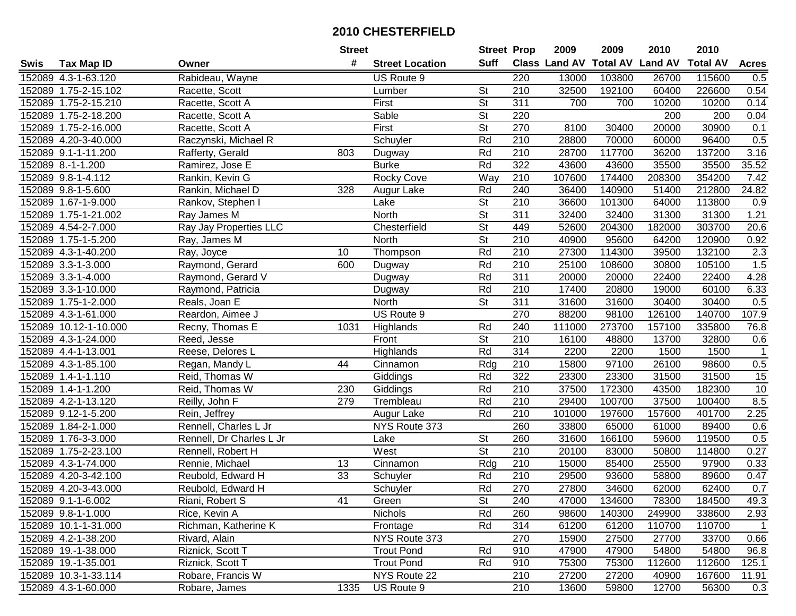|      |                       |                          | <b>Street</b>   |                        | <b>Street Prop</b>       |                  | 2009                 | 2009            | 2010           | 2010            |                |
|------|-----------------------|--------------------------|-----------------|------------------------|--------------------------|------------------|----------------------|-----------------|----------------|-----------------|----------------|
| Swis | <b>Tax Map ID</b>     | Owner                    | #               | <b>Street Location</b> | Suff                     |                  | <b>Class Land AV</b> | <b>Total AV</b> | <b>Land AV</b> | <b>Total AV</b> | <b>Acres</b>   |
|      | 152089 4.3-1-63.120   | Rabideau, Wayne          |                 | US Route 9             |                          | 220              | 13000                | 103800          | 26700          | 115600          | 0.5            |
|      | 152089 1.75-2-15.102  | Racette, Scott           |                 | Lumber                 | <b>St</b>                | 210              | 32500                | 192100          | 60400          | 226600          | 0.54           |
|      | 152089 1.75-2-15.210  | Racette, Scott A         |                 | First                  | St                       | 311              | 700                  | 700             | 10200          | 10200           | 0.14           |
|      | 152089 1.75-2-18.200  | Racette, Scott A         |                 | Sable                  | $\overline{\mathsf{St}}$ | 220              |                      |                 | 200            | 200             | 0.04           |
|      | 152089 1.75-2-16.000  | Racette, Scott A         |                 | First                  | <b>St</b>                | 270              | 8100                 | 30400           | 20000          | 30900           | 0.1            |
|      | 152089 4.20-3-40.000  | Raczynski, Michael R     |                 | Schuyler               | Rd                       | $\overline{210}$ | 28800                | 70000           | 60000          | 96400           | 0.5            |
|      | 152089 9.1-1-11.200   | Rafferty, Gerald         | 803             | Dugway                 | Rd                       | 210              | 28700                | 117700          | 36200          | 137200          | 3.16           |
|      | 152089 8.-1-1.200     | Ramirez, Jose E          |                 | <b>Burke</b>           | Rd                       | 322              | 43600                | 43600           | 35500          | 35500           | 35.52          |
|      | 152089 9.8-1-4.112    | Rankin, Kevin G          |                 | <b>Rocky Cove</b>      | Way                      | $\overline{210}$ | 107600               | 174400          | 208300         | 354200          | 7.42           |
|      | 152089 9.8-1-5.600    | Rankin, Michael D        | 328             | Augur Lake             | Rd                       | 240              | 36400                | 140900          | 51400          | 212800          | 24.82          |
|      | 152089 1.67-1-9.000   | Rankov, Stephen I        |                 | Lake                   | $\overline{\mathsf{St}}$ | 210              | 36600                | 101300          | 64000          | 113800          | 0.9            |
|      | 152089 1.75-1-21.002  | Ray James M              |                 | North                  | St                       | 311              | 32400                | 32400           | 31300          | 31300           | 1.21           |
|      | 152089 4.54-2-7.000   | Ray Jay Properties LLC   |                 | Chesterfield           | $\overline{St}$          | 449              | 52600                | 204300          | 182000         | 303700          | 20.6           |
|      | 152089 1.75-1-5.200   | Ray, James M             |                 | North                  | $\overline{\mathsf{St}}$ | 210              | 40900                | 95600           | 64200          | 120900          | 0.92           |
|      | 152089 4.3-1-40.200   | Ray, Joyce               | 10              | Thompson               | Rd                       | 210              | 27300                | 114300          | 39500          | 132100          | 2.3            |
|      | 152089 3.3-1-3.000    | Raymond, Gerard          | 600             | Dugway                 | Rd                       | 210              | 25100                | 108600          | 30800          | 105100          | 1.5            |
|      | 152089 3.3-1-4.000    | Raymond, Gerard V        |                 | Dugway                 | Rd                       | 311              | 20000                | 20000           | 22400          | 22400           | 4.28           |
|      | 152089 3.3-1-10.000   | Raymond, Patricia        |                 | Dugway                 | Rd                       | 210              | 17400                | 20800           | 19000          | 60100           | 6.33           |
|      | 152089 1.75-1-2.000   | Reals, Joan E            |                 | North                  | $\overline{\mathsf{St}}$ | 311              | 31600                | 31600           | 30400          | 30400           | 0.5            |
|      | 152089 4.3-1-61.000   | Reardon, Aimee J         |                 | US Route 9             |                          | 270              | 88200                | 98100           | 126100         | 140700          | 107.9          |
|      | 152089 10.12-1-10.000 | Recny, Thomas E          | 1031            | Highlands              | Rd                       | 240              | 111000               | 273700          | 157100         | 335800          | 76.8           |
|      | 152089 4.3-1-24.000   | Reed, Jesse              |                 | Front                  | <b>St</b>                | 210              | 16100                | 48800           | 13700          | 32800           | 0.6            |
|      | 152089 4.4-1-13.001   | Reese, Delores L         |                 | Highlands              | Rd                       | 314              | 2200                 | 2200            | 1500           | 1500            | $\mathbf{1}$   |
|      | 152089 4.3-1-85.100   | Regan, Mandy L           | 44              | Cinnamon               | Rdg                      | 210              | 15800                | 97100           | 26100          | 98600           | 0.5            |
|      | 152089 1.4-1-1.110    | Reid, Thomas W           |                 | Giddings               | Rd                       | 322              | 23300                | 23300           | 31500          | 31500           | 15             |
|      | 152089 1.4-1-1.200    | Reid, Thomas W           | 230             | Giddings               | Rd                       | 210              | 37500                | 172300          | 43500          | 182300          | 10             |
|      | 152089 4.2-1-13.120   | Reilly, John F           | 279             | Trembleau              | Rd                       | 210              | 29400                | 100700          | 37500          | 100400          | 8.5            |
|      | 152089 9.12-1-5.200   | Rein, Jeffrey            |                 | Augur Lake             | Rd                       | 210              | 101000               | 197600          | 157600         | 401700          | 2.25           |
|      | 152089 1.84-2-1.000   | Rennell, Charles L Jr    |                 | NYS Route 373          |                          | 260              | 33800                | 65000           | 61000          | 89400           | 0.6            |
|      | 152089 1.76-3-3.000   | Rennell, Dr Charles L Jr |                 | Lake                   | $\overline{\mathsf{St}}$ | 260              | 31600                | 166100          | 59600          | 119500          | 0.5            |
|      | 152089 1.75-2-23.100  | Rennell, Robert H        |                 | West                   | $\overline{\mathsf{St}}$ | 210              | 20100                | 83000           | 50800          | 114800          | 0.27           |
|      | 152089 4.3-1-74.000   | Rennie, Michael          | 13              | Cinnamon               | $\overline{Rdg}$         | 210              | 15000                | 85400           | 25500          | 97900           | 0.33           |
|      | 152089 4.20-3-42.100  | Reubold, Edward H        | $\overline{33}$ | Schuyler               | Rd                       | $\overline{210}$ | 29500                | 93600           | 58800          | 89600           | 0.47           |
|      | 152089 4.20-3-43.000  | Reubold, Edward H        |                 | Schuyler               | Rd                       | 270              | 27800                | 34600           | 62000          | 62400           | 0.7            |
|      | 152089 9.1-1-6.002    | Riani, Robert S          | 41              | Green                  | <b>St</b>                | 240              | 47000                | 134600          | 78300          | 184500          | 49.3           |
|      | 152089 9.8-1-1.000    | Rice, Kevin A            |                 | <b>Nichols</b>         | Rd                       | 260              | 98600                | 140300          | 249900         | 338600          | 2.93           |
|      | 152089 10.1-1-31.000  | Richman, Katherine K     |                 | Frontage               | Rd                       | 314              | 61200                | 61200           | 110700         | 110700          | $\overline{1}$ |
|      | 152089 4.2-1-38.200   | Rivard, Alain            |                 | NYS Route 373          |                          | 270              | 15900                | 27500           | 27700          | 33700           | 0.66           |
|      | 152089 19.-1-38.000   | Riznick, Scott T         |                 | <b>Trout Pond</b>      | Rd                       | 910              | 47900                | 47900           | 54800          | 54800           | 96.8           |
|      | 152089 19.-1-35.001   | Riznick, Scott T         |                 | <b>Trout Pond</b>      | Rd                       | 910              | 75300                | 75300           | 112600         | 112600          | 125.1          |
|      | 152089 10.3-1-33.114  | Robare, Francis W        |                 | NYS Route 22           |                          | 210              | 27200                | 27200           | 40900          | 167600          | 11.91          |
|      | 152089 4.3-1-60.000   | Robare, James            | 1335            | US Route 9             |                          | 210              | 13600                | 59800           | 12700          | 56300           | 0.3            |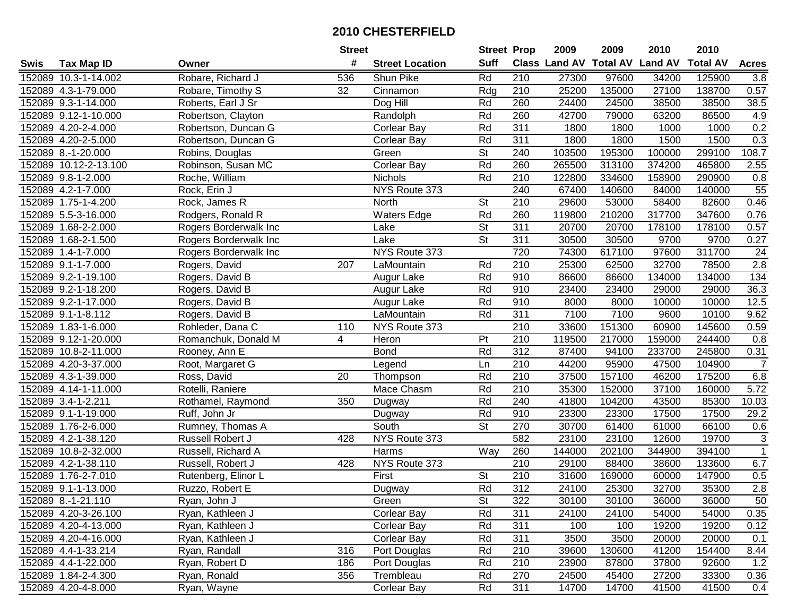|      |                       |                       | <b>Street</b> |                        | <b>Street Prop</b>       |                  | 2009   | 2009   | 2010                           | 2010            |                |
|------|-----------------------|-----------------------|---------------|------------------------|--------------------------|------------------|--------|--------|--------------------------------|-----------------|----------------|
| Swis | <b>Tax Map ID</b>     | Owner                 | #             | <b>Street Location</b> | <b>Suff</b>              |                  |        |        | Class Land AV Total AV Land AV | <b>Total AV</b> | <b>Acres</b>   |
|      | 152089 10.3-1-14.002  | Robare, Richard J     | 536           | Shun Pike              | Rd                       | 210              | 27300  | 97600  | 34200                          | 125900          | 3.8            |
|      | 152089 4.3-1-79.000   | Robare, Timothy S     | 32            | Cinnamon               | Rdg                      | 210              | 25200  | 135000 | 27100                          | 138700          | 0.57           |
|      | 152089 9.3-1-14.000   | Roberts, Earl J Sr    |               | Dog Hill               | Rd                       | 260              | 24400  | 24500  | 38500                          | 38500           | 38.5           |
|      | 152089 9.12-1-10.000  | Robertson, Clayton    |               | Randolph               | Rd                       | 260              | 42700  | 79000  | 63200                          | 86500           | 4.9            |
|      | 152089 4.20-2-4.000   | Robertson, Duncan G   |               | <b>Corlear Bay</b>     | Rd                       | 311              | 1800   | 1800   | 1000                           | 1000            | 0.2            |
|      | 152089 4.20-2-5.000   | Robertson, Duncan G   |               | <b>Corlear Bay</b>     | Rd                       | 311              | 1800   | 1800   | 1500                           | 1500            | 0.3            |
|      | 152089 8.-1-20.000    | Robins, Douglas       |               | Green                  | $\overline{\mathsf{St}}$ | 240              | 103500 | 195300 | 100000                         | 299100          | 108.7          |
|      | 152089 10.12-2-13.100 | Robinson, Susan MC    |               | Corlear Bay            | Rd                       | 260              | 265500 | 313100 | 374200                         | 465800          | 2.55           |
|      | 152089 9.8-1-2.000    | Roche, William        |               | <b>Nichols</b>         | Rd                       | $\overline{210}$ | 122800 | 334600 | 158900                         | 290900          | 0.8            |
|      | 152089 4.2-1-7.000    | Rock, Erin J          |               | NYS Route 373          |                          | 240              | 67400  | 140600 | 84000                          | 140000          | 55             |
|      | 152089 1.75-1-4.200   | Rock, James R         |               | North                  | <b>St</b>                | 210              | 29600  | 53000  | 58400                          | 82600           | 0.46           |
|      | 152089 5.5-3-16.000   | Rodgers, Ronald R     |               | <b>Waters Edge</b>     | Rd                       | 260              | 119800 | 210200 | 317700                         | 347600          | 0.76           |
|      | 152089 1.68-2-2.000   | Rogers Borderwalk Inc |               | Lake                   | $\overline{\mathsf{St}}$ | 311              | 20700  | 20700  | 178100                         | 178100          | 0.57           |
|      | 152089 1.68-2-1.500   | Rogers Borderwalk Inc |               | Lake                   | $\overline{\mathsf{St}}$ | 311              | 30500  | 30500  | 9700                           | 9700            | 0.27           |
|      | 152089 1.4-1-7.000    | Rogers Borderwalk Inc |               | NYS Route 373          |                          | 720              | 74300  | 617100 | 97600                          | 311700          | 24             |
|      | 152089 9.1-1-7.000    | Rogers, David         | 207           | LaMountain             | Rd                       | 210              | 25300  | 62500  | 32700                          | 78500           | 2.8            |
|      | 152089 9.2-1-19.100   | Rogers, David B       |               | Augur Lake             | Rd                       | 910              | 86600  | 86600  | 134000                         | 134000          | 134            |
|      | 152089 9.2-1-18.200   | Rogers, David B       |               | Augur Lake             | Rd                       | 910              | 23400  | 23400  | 29000                          | 29000           | 36.3           |
|      | 152089 9.2-1-17.000   | Rogers, David B       |               | Augur Lake             | Rd                       | 910              | 8000   | 8000   | 10000                          | 10000           | 12.5           |
|      | 152089 9.1-1-8.112    | Rogers, David B       |               | LaMountain             | Rd                       | 311              | 7100   | 7100   | 9600                           | 10100           | 9.62           |
|      | 152089 1.83-1-6.000   | Rohleder, Dana C      | 110           | NYS Route 373          |                          | $\overline{210}$ | 33600  | 151300 | 60900                          | 145600          | 0.59           |
|      | 152089 9.12-1-20.000  | Romanchuk, Donald M   | 4             | Heron                  | Pt                       | 210              | 119500 | 217000 | 159000                         | 244400          | 0.8            |
|      | 152089 10.8-2-11.000  | Rooney, Ann E         |               | <b>Bond</b>            | Rd                       | 312              | 87400  | 94100  | 233700                         | 245800          | 0.31           |
|      | 152089 4.20-3-37.000  | Root, Margaret G      |               | Legend                 | Ln                       | 210              | 44200  | 95900  | 47500                          | 104900          | $\overline{7}$ |
|      | 152089 4.3-1-39.000   | Ross, David           | 20            | Thompson               | Rd                       | $\overline{210}$ | 37500  | 157100 | 46200                          | 175200          | $6.8\,$        |
|      | 152089 4.14-1-11.000  | Rotelli, Raniere      |               | Mace Chasm             | Rd                       | 210              | 35300  | 152000 | 37100                          | 160000          | 5.72           |
|      | 152089 3.4-1-2.211    | Rothamel, Raymond     | 350           | Dugway                 | Rd                       | 240              | 41800  | 104200 | 43500                          | 85300           | 10.03          |
|      | 152089 9.1-1-19.000   | Ruff, John Jr         |               | Dugway                 | Rd                       | 910              | 23300  | 23300  | 17500                          | 17500           | 29.2           |
|      | 152089 1.76-2-6.000   | Rumney, Thomas A      |               | South                  | $\overline{\mathsf{St}}$ | 270              | 30700  | 61400  | 61000                          | 66100           | 0.6            |
|      | 152089 4.2-1-38.120   | Russell Robert J      | 428           | NYS Route 373          |                          | 582              | 23100  | 23100  | 12600                          | 19700           | 3              |
|      | 152089 10.8-2-32.000  | Russell, Richard A    |               | Harms                  | Way                      | 260              | 144000 | 202100 | 344900                         | 394100          | $\overline{1}$ |
|      | 152089 4.2-1-38.110   | Russell, Robert J     | 428           | NYS Route 373          |                          | 210              | 29100  | 88400  | 38600                          | 133600          | 6.7            |
|      | 152089 1.76-2-7.010   | Rutenberg, Elinor L   |               | First                  | $\overline{\mathsf{St}}$ | $\overline{210}$ | 31600  | 169000 | 60000                          | 147900          | 0.5            |
|      | 152089 9.1-1-13.000   | Ruzzo, Robert E       |               | Dugway                 | Rd                       | $\overline{312}$ | 24100  | 25300  | 32700                          | 35300           | 2.8            |
|      | 152089 8.-1-21.110    | Ryan, John J          |               | Green                  | <b>St</b>                | 322              | 30100  | 30100  | 36000                          | 36000           | 50             |
|      | 152089 4.20-3-26.100  | Ryan, Kathleen J      |               | <b>Corlear Bay</b>     | Rd                       | 311              | 24100  | 24100  | 54000                          | 54000           | 0.35           |
|      | 152089 4.20-4-13.000  | Ryan, Kathleen J      |               | <b>Corlear Bay</b>     | Rd                       | 311              | 100    | 100    | 19200                          | 19200           | 0.12           |
|      | 152089 4.20-4-16.000  | Ryan, Kathleen J      |               | <b>Corlear Bay</b>     | Rd                       | 311              | 3500   | 3500   | 20000                          | 20000           | 0.1            |
|      | 152089 4.4-1-33.214   | Ryan, Randall         | 316           | Port Douglas           | Rd                       | 210              | 39600  | 130600 | 41200                          | 154400          | 8.44           |
|      | 152089 4.4-1-22.000   | Ryan, Robert D        | 186           | Port Douglas           | Rd                       | 210              | 23900  | 87800  | 37800                          | 92600           | 1.2            |
|      | 152089 1.84-2-4.300   | Ryan, Ronald          | 356           | Trembleau              | Rd                       | 270              | 24500  | 45400  | 27200                          | 33300           | 0.36           |
|      | 152089 4.20-4-8.000   | Ryan, Wayne           |               | Corlear Bay            | Rd                       | 311              | 14700  | 14700  | 41500                          | 41500           | 0.4            |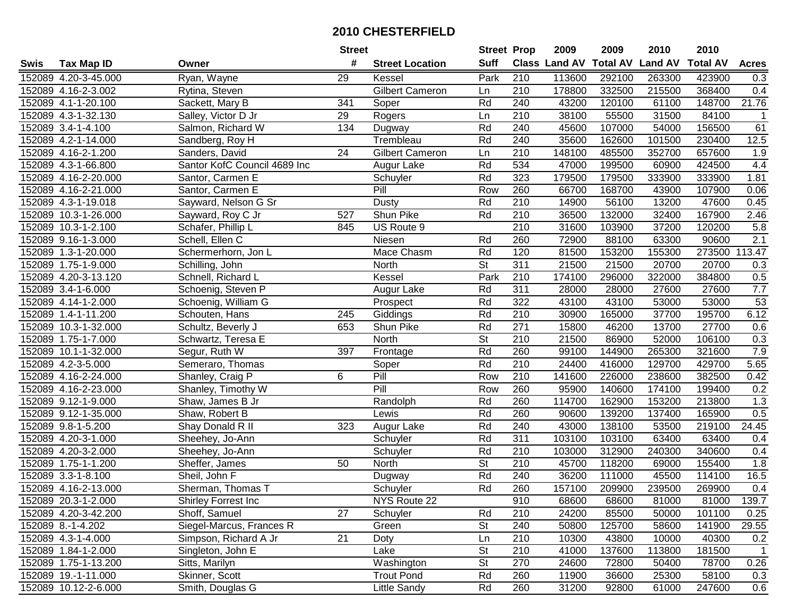| #<br><b>Suff</b><br><b>Total AV</b><br><b>Land AV</b><br>Class Land AV<br><b>Total AV</b><br><b>Acres</b><br><b>Tax Map ID</b><br><b>Street Location</b><br>Swis<br>Owner<br>Ryan, Wayne<br>29<br>Park<br>210<br>152089 4.20-3-45.000<br>113600<br>292100<br>263300<br>423900<br>0.3<br>Kessel<br><b>Gilbert Cameron</b><br>210<br>215500<br>152089 4.16-2-3.002<br>178800<br>332500<br>368400<br>0.4<br>Rytina, Steven<br>Ln<br>21.76<br>152089 4.1-1-20.100<br>Sackett, Mary B<br>341<br>Rd<br>240<br>43200<br>120100<br>61100<br>148700<br>Soper<br>152089 4.3-1-32.130<br>210<br>38100<br>55500<br>31500<br>84100<br>Salley, Victor D Jr<br>29<br>Rogers<br>Ln<br>$\mathbf 1$<br>Rd<br>107000<br>152089 3.4-1-4.100<br>Salmon, Richard W<br>134<br>240<br>45600<br>54000<br>156500<br>61<br>Dugway<br>Rd<br>35600<br>12.5<br>152089 4.2-1-14.000<br>Trembleau<br>240<br>162600<br>101500<br>230400<br>Sandberg, Roy H<br>$\overline{24}$<br>Gilbert Cameron<br>210<br>148100<br>485500<br>352700<br>657600<br>1.9<br>152089 4.16-2-1.200<br>Sanders, David<br>Ln<br>Santor KofC Council 4689 Inc<br>Rd<br>534<br>47000<br>199500<br>60900<br>424500<br>4.4<br>152089 4.3-1-66.800<br>Augur Lake<br>Rd<br>323<br>179500<br>179500<br>152089 4.16-2-20.000<br>Schuyler<br>333900<br>333900<br>1.81<br>Santor, Carmen E<br>Pill<br>260<br>66700<br>168700<br>152089 4.16-2-21.000<br>Santor, Carmen E<br>Row<br>43900<br>107900<br>0.06<br>Rd<br>210<br>13200<br>47600<br>152089 4.3-1-19.018<br>Sayward, Nelson G Sr<br>Dusty<br>14900<br>56100<br>0.45<br>Shun Pike<br>Rd<br>36500<br>152089 10.3-1-26.000<br>Sayward, Roy C Jr<br>210<br>132000<br>32400<br>167900<br>2.46<br>527<br>210<br>152089 10.3-1-2.100<br>US Route 9<br>31600<br>103900<br>37200<br>120200<br>5.8<br>Schafer, Phillip L<br>845<br>Rd<br>260<br>72900<br>2.1<br>152089 9.16-1-3.000<br>Schell, Ellen C<br>88100<br>63300<br>90600<br>Niesen<br>Mace Chasm<br>Rd<br>120<br>153200<br>113.47<br>152089 1.3-1-20.000<br>81500<br>155300<br>273500<br>Schermerhorn, Jon L<br>St<br>311<br>21500<br>21500<br>20700<br>20700<br>152089 1.75-1-9.000<br>0.3<br>Schilling, John<br>North<br>$\overline{210}$<br>Park<br>0.5<br>152089 4.20-3-13.120<br>Schnell, Richard L<br>174100<br>296000<br>322000<br>384800<br>Kessel<br>7.7<br>Rd<br>311<br>152089 3.4-1-6.000<br>28000<br>28000<br>27600<br>27600<br>Schoenig, Steven P<br>Augur Lake<br>53<br>Rd<br>322<br>152089 4.14-1-2.000<br>43100<br>43100<br>53000<br>53000<br>Schoenig, William G<br>Prospect<br>6.12<br>Rd<br>195700<br>152089 1.4-1-11.200<br>Schouten, Hans<br>210<br>30900<br>165000<br>37700<br>245<br>Giddings<br>Rd<br>Shun Pike<br>271<br>15800<br>46200<br>13700<br>27700<br>0.6<br>152089 10.3-1-32.000<br>Schultz, Beverly J<br>653<br><b>St</b><br>152089 1.75-1-7.000<br>Schwartz, Teresa E<br>North<br>210<br>21500<br>86900<br>52000<br>106100<br>0.3<br>7.9<br>Rd<br>260<br>99100<br>144900<br>152089 10.1-1-32.000<br>397<br>265300<br>321600<br>Segur, Ruth W<br>Frontage<br>Rd<br>210<br>5.65<br>152089 4.2-3-5.000<br>Soper<br>24400<br>416000<br>129700<br>429700<br>Semeraro, Thomas<br>Pill<br>6<br>$\overline{210}$<br>0.42<br>Row<br>141600<br>226000<br>238600<br>382500<br>152089 4.16-2-24.000<br>Shanley, Craig P<br>Pill<br>260<br>95900<br>140600<br>174100<br>0.2<br>152089 4.16-2-23.000<br>Shanley, Timothy W<br>Row<br>199400<br>1.3<br>152089 9.12-1-9.000<br>Rd<br>260<br>114700<br>162900<br>153200<br>Shaw, James B Jr<br>Randolph<br>213800<br>Rd<br>260<br>90600<br>139200<br>0.5<br>152089 9.12-1-35.000<br>137400<br>165900<br>Shaw, Robert B<br>Lewis<br>Rd<br>152089 9.8-1-5.200<br>323<br>240<br>43000<br>138100<br>53500<br>219100<br>24.45<br>Shay Donald R II<br>Augur Lake<br>Rd<br>311<br>63400<br>152089 4.20-3-1.000<br>Sheehey, Jo-Ann<br>103100<br>103100<br>63400<br>Schuyler<br>0.4<br>152089 4.20-3-2.000<br>Rd<br>$\overline{210}$<br>312900<br>340600<br>103000<br>240300<br>0.4<br>Sheehey, Jo-Ann<br>Schuyler<br>$\overline{\mathsf{St}}$<br>$\overline{210}$<br>45700<br>152089 1.75-1-1.200<br>118200<br>155400<br>1.8<br>Sheffer, James<br>50<br>North<br>69000<br>Rd<br>240<br>152089 3.3-1-8.100<br>36200<br>45500<br>Sheil, John F<br>111000<br>114100<br>16.5<br>Dugway<br>Rd<br>260<br>152089 4.16-2-13.000<br>Sherman, Thomas T<br>Schuyler<br>157100<br>209900<br>239500<br>269900<br>0.4<br>152089 20.3-1-2.000<br><b>Shirley Forrest Inc</b><br>NYS Route 22<br>910<br>68600<br>68600<br>81000<br>81000<br>139.7<br>152089 4.20-3-42.200<br>Shoff, Samuel<br>27<br>Rd<br>210<br>24200<br>85500<br>50000<br>101100<br>0.25<br>Schuyler<br>Siegel-Marcus, Frances R<br><b>St</b><br>50800<br>141900<br>152089 8.-1-4.202<br>Green<br>240<br>125700<br>58600<br>29.55<br>21<br>152089 4.3-1-4.000<br>Simpson, Richard A Jr<br>Ln<br>210<br>10300<br>10000<br>40300<br>0.2<br>Doty<br>43800<br>Singleton, John E<br><b>St</b><br>210<br>152089 1.84-1-2.000<br>Lake<br>41000<br>137600<br>113800<br>181500<br>$\overline{1}$<br>St<br>270<br>24600<br>0.26<br>152089 1.75-1-13.200<br>Sitts, Marilyn<br>Washington<br>72800<br>50400<br>78700<br>260<br>152089 19.-1-11.000<br>Skinner, Scott<br><b>Trout Pond</b><br>Rd<br>11900<br>36600<br>25300<br>58100<br>0.3<br>152089 10.12-2-6.000<br>Rd<br>260<br>Smith, Douglas G<br>31200<br>92800<br>61000<br>247600<br>0.6 |  | <b>Street</b> |                     | <b>Street Prop</b> | 2009 | 2009 | 2010 | 2010 |  |
|-------------------------------------------------------------------------------------------------------------------------------------------------------------------------------------------------------------------------------------------------------------------------------------------------------------------------------------------------------------------------------------------------------------------------------------------------------------------------------------------------------------------------------------------------------------------------------------------------------------------------------------------------------------------------------------------------------------------------------------------------------------------------------------------------------------------------------------------------------------------------------------------------------------------------------------------------------------------------------------------------------------------------------------------------------------------------------------------------------------------------------------------------------------------------------------------------------------------------------------------------------------------------------------------------------------------------------------------------------------------------------------------------------------------------------------------------------------------------------------------------------------------------------------------------------------------------------------------------------------------------------------------------------------------------------------------------------------------------------------------------------------------------------------------------------------------------------------------------------------------------------------------------------------------------------------------------------------------------------------------------------------------------------------------------------------------------------------------------------------------------------------------------------------------------------------------------------------------------------------------------------------------------------------------------------------------------------------------------------------------------------------------------------------------------------------------------------------------------------------------------------------------------------------------------------------------------------------------------------------------------------------------------------------------------------------------------------------------------------------------------------------------------------------------------------------------------------------------------------------------------------------------------------------------------------------------------------------------------------------------------------------------------------------------------------------------------------------------------------------------------------------------------------------------------------------------------------------------------------------------------------------------------------------------------------------------------------------------------------------------------------------------------------------------------------------------------------------------------------------------------------------------------------------------------------------------------------------------------------------------------------------------------------------------------------------------------------------------------------------------------------------------------------------------------------------------------------------------------------------------------------------------------------------------------------------------------------------------------------------------------------------------------------------------------------------------------------------------------------------------------------------------------------------------------------------------------------------------------------------------------------------------------------------------------------------------------------------------------------------------------------------------------------------------------------------------------------------------------------------------------------------------------------------------------------------------------------------------------------------------------------------------------------------------------------------------------------------------------------------------------------------------------------------------------------------------------------------------------------------------------------------------------------------------------------------------------------------------------------------------------------------------------------------------------------------------------------------------------------------------------------------------------------------------------------------------------------------------------------------------------------------------------------------------------------------------------------------------------------------------------------------|--|---------------|---------------------|--------------------|------|------|------|------|--|
|                                                                                                                                                                                                                                                                                                                                                                                                                                                                                                                                                                                                                                                                                                                                                                                                                                                                                                                                                                                                                                                                                                                                                                                                                                                                                                                                                                                                                                                                                                                                                                                                                                                                                                                                                                                                                                                                                                                                                                                                                                                                                                                                                                                                                                                                                                                                                                                                                                                                                                                                                                                                                                                                                                                                                                                                                                                                                                                                                                                                                                                                                                                                                                                                                                                                                                                                                                                                                                                                                                                                                                                                                                                                                                                                                                                                                                                                                                                                                                                                                                                                                                                                                                                                                                                                                                                                                                                                                                                                                                                                                                                                                                                                                                                                                                                                                                                                                                                                                                                                                                                                                                                                                                                                                                                                                                                                                                                     |  |               |                     |                    |      |      |      |      |  |
|                                                                                                                                                                                                                                                                                                                                                                                                                                                                                                                                                                                                                                                                                                                                                                                                                                                                                                                                                                                                                                                                                                                                                                                                                                                                                                                                                                                                                                                                                                                                                                                                                                                                                                                                                                                                                                                                                                                                                                                                                                                                                                                                                                                                                                                                                                                                                                                                                                                                                                                                                                                                                                                                                                                                                                                                                                                                                                                                                                                                                                                                                                                                                                                                                                                                                                                                                                                                                                                                                                                                                                                                                                                                                                                                                                                                                                                                                                                                                                                                                                                                                                                                                                                                                                                                                                                                                                                                                                                                                                                                                                                                                                                                                                                                                                                                                                                                                                                                                                                                                                                                                                                                                                                                                                                                                                                                                                                     |  |               |                     |                    |      |      |      |      |  |
|                                                                                                                                                                                                                                                                                                                                                                                                                                                                                                                                                                                                                                                                                                                                                                                                                                                                                                                                                                                                                                                                                                                                                                                                                                                                                                                                                                                                                                                                                                                                                                                                                                                                                                                                                                                                                                                                                                                                                                                                                                                                                                                                                                                                                                                                                                                                                                                                                                                                                                                                                                                                                                                                                                                                                                                                                                                                                                                                                                                                                                                                                                                                                                                                                                                                                                                                                                                                                                                                                                                                                                                                                                                                                                                                                                                                                                                                                                                                                                                                                                                                                                                                                                                                                                                                                                                                                                                                                                                                                                                                                                                                                                                                                                                                                                                                                                                                                                                                                                                                                                                                                                                                                                                                                                                                                                                                                                                     |  |               |                     |                    |      |      |      |      |  |
|                                                                                                                                                                                                                                                                                                                                                                                                                                                                                                                                                                                                                                                                                                                                                                                                                                                                                                                                                                                                                                                                                                                                                                                                                                                                                                                                                                                                                                                                                                                                                                                                                                                                                                                                                                                                                                                                                                                                                                                                                                                                                                                                                                                                                                                                                                                                                                                                                                                                                                                                                                                                                                                                                                                                                                                                                                                                                                                                                                                                                                                                                                                                                                                                                                                                                                                                                                                                                                                                                                                                                                                                                                                                                                                                                                                                                                                                                                                                                                                                                                                                                                                                                                                                                                                                                                                                                                                                                                                                                                                                                                                                                                                                                                                                                                                                                                                                                                                                                                                                                                                                                                                                                                                                                                                                                                                                                                                     |  |               |                     |                    |      |      |      |      |  |
|                                                                                                                                                                                                                                                                                                                                                                                                                                                                                                                                                                                                                                                                                                                                                                                                                                                                                                                                                                                                                                                                                                                                                                                                                                                                                                                                                                                                                                                                                                                                                                                                                                                                                                                                                                                                                                                                                                                                                                                                                                                                                                                                                                                                                                                                                                                                                                                                                                                                                                                                                                                                                                                                                                                                                                                                                                                                                                                                                                                                                                                                                                                                                                                                                                                                                                                                                                                                                                                                                                                                                                                                                                                                                                                                                                                                                                                                                                                                                                                                                                                                                                                                                                                                                                                                                                                                                                                                                                                                                                                                                                                                                                                                                                                                                                                                                                                                                                                                                                                                                                                                                                                                                                                                                                                                                                                                                                                     |  |               |                     |                    |      |      |      |      |  |
|                                                                                                                                                                                                                                                                                                                                                                                                                                                                                                                                                                                                                                                                                                                                                                                                                                                                                                                                                                                                                                                                                                                                                                                                                                                                                                                                                                                                                                                                                                                                                                                                                                                                                                                                                                                                                                                                                                                                                                                                                                                                                                                                                                                                                                                                                                                                                                                                                                                                                                                                                                                                                                                                                                                                                                                                                                                                                                                                                                                                                                                                                                                                                                                                                                                                                                                                                                                                                                                                                                                                                                                                                                                                                                                                                                                                                                                                                                                                                                                                                                                                                                                                                                                                                                                                                                                                                                                                                                                                                                                                                                                                                                                                                                                                                                                                                                                                                                                                                                                                                                                                                                                                                                                                                                                                                                                                                                                     |  |               |                     |                    |      |      |      |      |  |
|                                                                                                                                                                                                                                                                                                                                                                                                                                                                                                                                                                                                                                                                                                                                                                                                                                                                                                                                                                                                                                                                                                                                                                                                                                                                                                                                                                                                                                                                                                                                                                                                                                                                                                                                                                                                                                                                                                                                                                                                                                                                                                                                                                                                                                                                                                                                                                                                                                                                                                                                                                                                                                                                                                                                                                                                                                                                                                                                                                                                                                                                                                                                                                                                                                                                                                                                                                                                                                                                                                                                                                                                                                                                                                                                                                                                                                                                                                                                                                                                                                                                                                                                                                                                                                                                                                                                                                                                                                                                                                                                                                                                                                                                                                                                                                                                                                                                                                                                                                                                                                                                                                                                                                                                                                                                                                                                                                                     |  |               |                     |                    |      |      |      |      |  |
|                                                                                                                                                                                                                                                                                                                                                                                                                                                                                                                                                                                                                                                                                                                                                                                                                                                                                                                                                                                                                                                                                                                                                                                                                                                                                                                                                                                                                                                                                                                                                                                                                                                                                                                                                                                                                                                                                                                                                                                                                                                                                                                                                                                                                                                                                                                                                                                                                                                                                                                                                                                                                                                                                                                                                                                                                                                                                                                                                                                                                                                                                                                                                                                                                                                                                                                                                                                                                                                                                                                                                                                                                                                                                                                                                                                                                                                                                                                                                                                                                                                                                                                                                                                                                                                                                                                                                                                                                                                                                                                                                                                                                                                                                                                                                                                                                                                                                                                                                                                                                                                                                                                                                                                                                                                                                                                                                                                     |  |               |                     |                    |      |      |      |      |  |
|                                                                                                                                                                                                                                                                                                                                                                                                                                                                                                                                                                                                                                                                                                                                                                                                                                                                                                                                                                                                                                                                                                                                                                                                                                                                                                                                                                                                                                                                                                                                                                                                                                                                                                                                                                                                                                                                                                                                                                                                                                                                                                                                                                                                                                                                                                                                                                                                                                                                                                                                                                                                                                                                                                                                                                                                                                                                                                                                                                                                                                                                                                                                                                                                                                                                                                                                                                                                                                                                                                                                                                                                                                                                                                                                                                                                                                                                                                                                                                                                                                                                                                                                                                                                                                                                                                                                                                                                                                                                                                                                                                                                                                                                                                                                                                                                                                                                                                                                                                                                                                                                                                                                                                                                                                                                                                                                                                                     |  |               |                     |                    |      |      |      |      |  |
|                                                                                                                                                                                                                                                                                                                                                                                                                                                                                                                                                                                                                                                                                                                                                                                                                                                                                                                                                                                                                                                                                                                                                                                                                                                                                                                                                                                                                                                                                                                                                                                                                                                                                                                                                                                                                                                                                                                                                                                                                                                                                                                                                                                                                                                                                                                                                                                                                                                                                                                                                                                                                                                                                                                                                                                                                                                                                                                                                                                                                                                                                                                                                                                                                                                                                                                                                                                                                                                                                                                                                                                                                                                                                                                                                                                                                                                                                                                                                                                                                                                                                                                                                                                                                                                                                                                                                                                                                                                                                                                                                                                                                                                                                                                                                                                                                                                                                                                                                                                                                                                                                                                                                                                                                                                                                                                                                                                     |  |               |                     |                    |      |      |      |      |  |
|                                                                                                                                                                                                                                                                                                                                                                                                                                                                                                                                                                                                                                                                                                                                                                                                                                                                                                                                                                                                                                                                                                                                                                                                                                                                                                                                                                                                                                                                                                                                                                                                                                                                                                                                                                                                                                                                                                                                                                                                                                                                                                                                                                                                                                                                                                                                                                                                                                                                                                                                                                                                                                                                                                                                                                                                                                                                                                                                                                                                                                                                                                                                                                                                                                                                                                                                                                                                                                                                                                                                                                                                                                                                                                                                                                                                                                                                                                                                                                                                                                                                                                                                                                                                                                                                                                                                                                                                                                                                                                                                                                                                                                                                                                                                                                                                                                                                                                                                                                                                                                                                                                                                                                                                                                                                                                                                                                                     |  |               |                     |                    |      |      |      |      |  |
|                                                                                                                                                                                                                                                                                                                                                                                                                                                                                                                                                                                                                                                                                                                                                                                                                                                                                                                                                                                                                                                                                                                                                                                                                                                                                                                                                                                                                                                                                                                                                                                                                                                                                                                                                                                                                                                                                                                                                                                                                                                                                                                                                                                                                                                                                                                                                                                                                                                                                                                                                                                                                                                                                                                                                                                                                                                                                                                                                                                                                                                                                                                                                                                                                                                                                                                                                                                                                                                                                                                                                                                                                                                                                                                                                                                                                                                                                                                                                                                                                                                                                                                                                                                                                                                                                                                                                                                                                                                                                                                                                                                                                                                                                                                                                                                                                                                                                                                                                                                                                                                                                                                                                                                                                                                                                                                                                                                     |  |               |                     |                    |      |      |      |      |  |
|                                                                                                                                                                                                                                                                                                                                                                                                                                                                                                                                                                                                                                                                                                                                                                                                                                                                                                                                                                                                                                                                                                                                                                                                                                                                                                                                                                                                                                                                                                                                                                                                                                                                                                                                                                                                                                                                                                                                                                                                                                                                                                                                                                                                                                                                                                                                                                                                                                                                                                                                                                                                                                                                                                                                                                                                                                                                                                                                                                                                                                                                                                                                                                                                                                                                                                                                                                                                                                                                                                                                                                                                                                                                                                                                                                                                                                                                                                                                                                                                                                                                                                                                                                                                                                                                                                                                                                                                                                                                                                                                                                                                                                                                                                                                                                                                                                                                                                                                                                                                                                                                                                                                                                                                                                                                                                                                                                                     |  |               |                     |                    |      |      |      |      |  |
|                                                                                                                                                                                                                                                                                                                                                                                                                                                                                                                                                                                                                                                                                                                                                                                                                                                                                                                                                                                                                                                                                                                                                                                                                                                                                                                                                                                                                                                                                                                                                                                                                                                                                                                                                                                                                                                                                                                                                                                                                                                                                                                                                                                                                                                                                                                                                                                                                                                                                                                                                                                                                                                                                                                                                                                                                                                                                                                                                                                                                                                                                                                                                                                                                                                                                                                                                                                                                                                                                                                                                                                                                                                                                                                                                                                                                                                                                                                                                                                                                                                                                                                                                                                                                                                                                                                                                                                                                                                                                                                                                                                                                                                                                                                                                                                                                                                                                                                                                                                                                                                                                                                                                                                                                                                                                                                                                                                     |  |               |                     |                    |      |      |      |      |  |
|                                                                                                                                                                                                                                                                                                                                                                                                                                                                                                                                                                                                                                                                                                                                                                                                                                                                                                                                                                                                                                                                                                                                                                                                                                                                                                                                                                                                                                                                                                                                                                                                                                                                                                                                                                                                                                                                                                                                                                                                                                                                                                                                                                                                                                                                                                                                                                                                                                                                                                                                                                                                                                                                                                                                                                                                                                                                                                                                                                                                                                                                                                                                                                                                                                                                                                                                                                                                                                                                                                                                                                                                                                                                                                                                                                                                                                                                                                                                                                                                                                                                                                                                                                                                                                                                                                                                                                                                                                                                                                                                                                                                                                                                                                                                                                                                                                                                                                                                                                                                                                                                                                                                                                                                                                                                                                                                                                                     |  |               |                     |                    |      |      |      |      |  |
|                                                                                                                                                                                                                                                                                                                                                                                                                                                                                                                                                                                                                                                                                                                                                                                                                                                                                                                                                                                                                                                                                                                                                                                                                                                                                                                                                                                                                                                                                                                                                                                                                                                                                                                                                                                                                                                                                                                                                                                                                                                                                                                                                                                                                                                                                                                                                                                                                                                                                                                                                                                                                                                                                                                                                                                                                                                                                                                                                                                                                                                                                                                                                                                                                                                                                                                                                                                                                                                                                                                                                                                                                                                                                                                                                                                                                                                                                                                                                                                                                                                                                                                                                                                                                                                                                                                                                                                                                                                                                                                                                                                                                                                                                                                                                                                                                                                                                                                                                                                                                                                                                                                                                                                                                                                                                                                                                                                     |  |               |                     |                    |      |      |      |      |  |
|                                                                                                                                                                                                                                                                                                                                                                                                                                                                                                                                                                                                                                                                                                                                                                                                                                                                                                                                                                                                                                                                                                                                                                                                                                                                                                                                                                                                                                                                                                                                                                                                                                                                                                                                                                                                                                                                                                                                                                                                                                                                                                                                                                                                                                                                                                                                                                                                                                                                                                                                                                                                                                                                                                                                                                                                                                                                                                                                                                                                                                                                                                                                                                                                                                                                                                                                                                                                                                                                                                                                                                                                                                                                                                                                                                                                                                                                                                                                                                                                                                                                                                                                                                                                                                                                                                                                                                                                                                                                                                                                                                                                                                                                                                                                                                                                                                                                                                                                                                                                                                                                                                                                                                                                                                                                                                                                                                                     |  |               |                     |                    |      |      |      |      |  |
|                                                                                                                                                                                                                                                                                                                                                                                                                                                                                                                                                                                                                                                                                                                                                                                                                                                                                                                                                                                                                                                                                                                                                                                                                                                                                                                                                                                                                                                                                                                                                                                                                                                                                                                                                                                                                                                                                                                                                                                                                                                                                                                                                                                                                                                                                                                                                                                                                                                                                                                                                                                                                                                                                                                                                                                                                                                                                                                                                                                                                                                                                                                                                                                                                                                                                                                                                                                                                                                                                                                                                                                                                                                                                                                                                                                                                                                                                                                                                                                                                                                                                                                                                                                                                                                                                                                                                                                                                                                                                                                                                                                                                                                                                                                                                                                                                                                                                                                                                                                                                                                                                                                                                                                                                                                                                                                                                                                     |  |               |                     |                    |      |      |      |      |  |
|                                                                                                                                                                                                                                                                                                                                                                                                                                                                                                                                                                                                                                                                                                                                                                                                                                                                                                                                                                                                                                                                                                                                                                                                                                                                                                                                                                                                                                                                                                                                                                                                                                                                                                                                                                                                                                                                                                                                                                                                                                                                                                                                                                                                                                                                                                                                                                                                                                                                                                                                                                                                                                                                                                                                                                                                                                                                                                                                                                                                                                                                                                                                                                                                                                                                                                                                                                                                                                                                                                                                                                                                                                                                                                                                                                                                                                                                                                                                                                                                                                                                                                                                                                                                                                                                                                                                                                                                                                                                                                                                                                                                                                                                                                                                                                                                                                                                                                                                                                                                                                                                                                                                                                                                                                                                                                                                                                                     |  |               |                     |                    |      |      |      |      |  |
|                                                                                                                                                                                                                                                                                                                                                                                                                                                                                                                                                                                                                                                                                                                                                                                                                                                                                                                                                                                                                                                                                                                                                                                                                                                                                                                                                                                                                                                                                                                                                                                                                                                                                                                                                                                                                                                                                                                                                                                                                                                                                                                                                                                                                                                                                                                                                                                                                                                                                                                                                                                                                                                                                                                                                                                                                                                                                                                                                                                                                                                                                                                                                                                                                                                                                                                                                                                                                                                                                                                                                                                                                                                                                                                                                                                                                                                                                                                                                                                                                                                                                                                                                                                                                                                                                                                                                                                                                                                                                                                                                                                                                                                                                                                                                                                                                                                                                                                                                                                                                                                                                                                                                                                                                                                                                                                                                                                     |  |               |                     |                    |      |      |      |      |  |
|                                                                                                                                                                                                                                                                                                                                                                                                                                                                                                                                                                                                                                                                                                                                                                                                                                                                                                                                                                                                                                                                                                                                                                                                                                                                                                                                                                                                                                                                                                                                                                                                                                                                                                                                                                                                                                                                                                                                                                                                                                                                                                                                                                                                                                                                                                                                                                                                                                                                                                                                                                                                                                                                                                                                                                                                                                                                                                                                                                                                                                                                                                                                                                                                                                                                                                                                                                                                                                                                                                                                                                                                                                                                                                                                                                                                                                                                                                                                                                                                                                                                                                                                                                                                                                                                                                                                                                                                                                                                                                                                                                                                                                                                                                                                                                                                                                                                                                                                                                                                                                                                                                                                                                                                                                                                                                                                                                                     |  |               |                     |                    |      |      |      |      |  |
|                                                                                                                                                                                                                                                                                                                                                                                                                                                                                                                                                                                                                                                                                                                                                                                                                                                                                                                                                                                                                                                                                                                                                                                                                                                                                                                                                                                                                                                                                                                                                                                                                                                                                                                                                                                                                                                                                                                                                                                                                                                                                                                                                                                                                                                                                                                                                                                                                                                                                                                                                                                                                                                                                                                                                                                                                                                                                                                                                                                                                                                                                                                                                                                                                                                                                                                                                                                                                                                                                                                                                                                                                                                                                                                                                                                                                                                                                                                                                                                                                                                                                                                                                                                                                                                                                                                                                                                                                                                                                                                                                                                                                                                                                                                                                                                                                                                                                                                                                                                                                                                                                                                                                                                                                                                                                                                                                                                     |  |               |                     |                    |      |      |      |      |  |
|                                                                                                                                                                                                                                                                                                                                                                                                                                                                                                                                                                                                                                                                                                                                                                                                                                                                                                                                                                                                                                                                                                                                                                                                                                                                                                                                                                                                                                                                                                                                                                                                                                                                                                                                                                                                                                                                                                                                                                                                                                                                                                                                                                                                                                                                                                                                                                                                                                                                                                                                                                                                                                                                                                                                                                                                                                                                                                                                                                                                                                                                                                                                                                                                                                                                                                                                                                                                                                                                                                                                                                                                                                                                                                                                                                                                                                                                                                                                                                                                                                                                                                                                                                                                                                                                                                                                                                                                                                                                                                                                                                                                                                                                                                                                                                                                                                                                                                                                                                                                                                                                                                                                                                                                                                                                                                                                                                                     |  |               |                     |                    |      |      |      |      |  |
|                                                                                                                                                                                                                                                                                                                                                                                                                                                                                                                                                                                                                                                                                                                                                                                                                                                                                                                                                                                                                                                                                                                                                                                                                                                                                                                                                                                                                                                                                                                                                                                                                                                                                                                                                                                                                                                                                                                                                                                                                                                                                                                                                                                                                                                                                                                                                                                                                                                                                                                                                                                                                                                                                                                                                                                                                                                                                                                                                                                                                                                                                                                                                                                                                                                                                                                                                                                                                                                                                                                                                                                                                                                                                                                                                                                                                                                                                                                                                                                                                                                                                                                                                                                                                                                                                                                                                                                                                                                                                                                                                                                                                                                                                                                                                                                                                                                                                                                                                                                                                                                                                                                                                                                                                                                                                                                                                                                     |  |               |                     |                    |      |      |      |      |  |
|                                                                                                                                                                                                                                                                                                                                                                                                                                                                                                                                                                                                                                                                                                                                                                                                                                                                                                                                                                                                                                                                                                                                                                                                                                                                                                                                                                                                                                                                                                                                                                                                                                                                                                                                                                                                                                                                                                                                                                                                                                                                                                                                                                                                                                                                                                                                                                                                                                                                                                                                                                                                                                                                                                                                                                                                                                                                                                                                                                                                                                                                                                                                                                                                                                                                                                                                                                                                                                                                                                                                                                                                                                                                                                                                                                                                                                                                                                                                                                                                                                                                                                                                                                                                                                                                                                                                                                                                                                                                                                                                                                                                                                                                                                                                                                                                                                                                                                                                                                                                                                                                                                                                                                                                                                                                                                                                                                                     |  |               |                     |                    |      |      |      |      |  |
|                                                                                                                                                                                                                                                                                                                                                                                                                                                                                                                                                                                                                                                                                                                                                                                                                                                                                                                                                                                                                                                                                                                                                                                                                                                                                                                                                                                                                                                                                                                                                                                                                                                                                                                                                                                                                                                                                                                                                                                                                                                                                                                                                                                                                                                                                                                                                                                                                                                                                                                                                                                                                                                                                                                                                                                                                                                                                                                                                                                                                                                                                                                                                                                                                                                                                                                                                                                                                                                                                                                                                                                                                                                                                                                                                                                                                                                                                                                                                                                                                                                                                                                                                                                                                                                                                                                                                                                                                                                                                                                                                                                                                                                                                                                                                                                                                                                                                                                                                                                                                                                                                                                                                                                                                                                                                                                                                                                     |  |               |                     |                    |      |      |      |      |  |
|                                                                                                                                                                                                                                                                                                                                                                                                                                                                                                                                                                                                                                                                                                                                                                                                                                                                                                                                                                                                                                                                                                                                                                                                                                                                                                                                                                                                                                                                                                                                                                                                                                                                                                                                                                                                                                                                                                                                                                                                                                                                                                                                                                                                                                                                                                                                                                                                                                                                                                                                                                                                                                                                                                                                                                                                                                                                                                                                                                                                                                                                                                                                                                                                                                                                                                                                                                                                                                                                                                                                                                                                                                                                                                                                                                                                                                                                                                                                                                                                                                                                                                                                                                                                                                                                                                                                                                                                                                                                                                                                                                                                                                                                                                                                                                                                                                                                                                                                                                                                                                                                                                                                                                                                                                                                                                                                                                                     |  |               |                     |                    |      |      |      |      |  |
|                                                                                                                                                                                                                                                                                                                                                                                                                                                                                                                                                                                                                                                                                                                                                                                                                                                                                                                                                                                                                                                                                                                                                                                                                                                                                                                                                                                                                                                                                                                                                                                                                                                                                                                                                                                                                                                                                                                                                                                                                                                                                                                                                                                                                                                                                                                                                                                                                                                                                                                                                                                                                                                                                                                                                                                                                                                                                                                                                                                                                                                                                                                                                                                                                                                                                                                                                                                                                                                                                                                                                                                                                                                                                                                                                                                                                                                                                                                                                                                                                                                                                                                                                                                                                                                                                                                                                                                                                                                                                                                                                                                                                                                                                                                                                                                                                                                                                                                                                                                                                                                                                                                                                                                                                                                                                                                                                                                     |  |               |                     |                    |      |      |      |      |  |
|                                                                                                                                                                                                                                                                                                                                                                                                                                                                                                                                                                                                                                                                                                                                                                                                                                                                                                                                                                                                                                                                                                                                                                                                                                                                                                                                                                                                                                                                                                                                                                                                                                                                                                                                                                                                                                                                                                                                                                                                                                                                                                                                                                                                                                                                                                                                                                                                                                                                                                                                                                                                                                                                                                                                                                                                                                                                                                                                                                                                                                                                                                                                                                                                                                                                                                                                                                                                                                                                                                                                                                                                                                                                                                                                                                                                                                                                                                                                                                                                                                                                                                                                                                                                                                                                                                                                                                                                                                                                                                                                                                                                                                                                                                                                                                                                                                                                                                                                                                                                                                                                                                                                                                                                                                                                                                                                                                                     |  |               |                     |                    |      |      |      |      |  |
|                                                                                                                                                                                                                                                                                                                                                                                                                                                                                                                                                                                                                                                                                                                                                                                                                                                                                                                                                                                                                                                                                                                                                                                                                                                                                                                                                                                                                                                                                                                                                                                                                                                                                                                                                                                                                                                                                                                                                                                                                                                                                                                                                                                                                                                                                                                                                                                                                                                                                                                                                                                                                                                                                                                                                                                                                                                                                                                                                                                                                                                                                                                                                                                                                                                                                                                                                                                                                                                                                                                                                                                                                                                                                                                                                                                                                                                                                                                                                                                                                                                                                                                                                                                                                                                                                                                                                                                                                                                                                                                                                                                                                                                                                                                                                                                                                                                                                                                                                                                                                                                                                                                                                                                                                                                                                                                                                                                     |  |               |                     |                    |      |      |      |      |  |
|                                                                                                                                                                                                                                                                                                                                                                                                                                                                                                                                                                                                                                                                                                                                                                                                                                                                                                                                                                                                                                                                                                                                                                                                                                                                                                                                                                                                                                                                                                                                                                                                                                                                                                                                                                                                                                                                                                                                                                                                                                                                                                                                                                                                                                                                                                                                                                                                                                                                                                                                                                                                                                                                                                                                                                                                                                                                                                                                                                                                                                                                                                                                                                                                                                                                                                                                                                                                                                                                                                                                                                                                                                                                                                                                                                                                                                                                                                                                                                                                                                                                                                                                                                                                                                                                                                                                                                                                                                                                                                                                                                                                                                                                                                                                                                                                                                                                                                                                                                                                                                                                                                                                                                                                                                                                                                                                                                                     |  |               |                     |                    |      |      |      |      |  |
|                                                                                                                                                                                                                                                                                                                                                                                                                                                                                                                                                                                                                                                                                                                                                                                                                                                                                                                                                                                                                                                                                                                                                                                                                                                                                                                                                                                                                                                                                                                                                                                                                                                                                                                                                                                                                                                                                                                                                                                                                                                                                                                                                                                                                                                                                                                                                                                                                                                                                                                                                                                                                                                                                                                                                                                                                                                                                                                                                                                                                                                                                                                                                                                                                                                                                                                                                                                                                                                                                                                                                                                                                                                                                                                                                                                                                                                                                                                                                                                                                                                                                                                                                                                                                                                                                                                                                                                                                                                                                                                                                                                                                                                                                                                                                                                                                                                                                                                                                                                                                                                                                                                                                                                                                                                                                                                                                                                     |  |               |                     |                    |      |      |      |      |  |
|                                                                                                                                                                                                                                                                                                                                                                                                                                                                                                                                                                                                                                                                                                                                                                                                                                                                                                                                                                                                                                                                                                                                                                                                                                                                                                                                                                                                                                                                                                                                                                                                                                                                                                                                                                                                                                                                                                                                                                                                                                                                                                                                                                                                                                                                                                                                                                                                                                                                                                                                                                                                                                                                                                                                                                                                                                                                                                                                                                                                                                                                                                                                                                                                                                                                                                                                                                                                                                                                                                                                                                                                                                                                                                                                                                                                                                                                                                                                                                                                                                                                                                                                                                                                                                                                                                                                                                                                                                                                                                                                                                                                                                                                                                                                                                                                                                                                                                                                                                                                                                                                                                                                                                                                                                                                                                                                                                                     |  |               |                     |                    |      |      |      |      |  |
|                                                                                                                                                                                                                                                                                                                                                                                                                                                                                                                                                                                                                                                                                                                                                                                                                                                                                                                                                                                                                                                                                                                                                                                                                                                                                                                                                                                                                                                                                                                                                                                                                                                                                                                                                                                                                                                                                                                                                                                                                                                                                                                                                                                                                                                                                                                                                                                                                                                                                                                                                                                                                                                                                                                                                                                                                                                                                                                                                                                                                                                                                                                                                                                                                                                                                                                                                                                                                                                                                                                                                                                                                                                                                                                                                                                                                                                                                                                                                                                                                                                                                                                                                                                                                                                                                                                                                                                                                                                                                                                                                                                                                                                                                                                                                                                                                                                                                                                                                                                                                                                                                                                                                                                                                                                                                                                                                                                     |  |               |                     |                    |      |      |      |      |  |
|                                                                                                                                                                                                                                                                                                                                                                                                                                                                                                                                                                                                                                                                                                                                                                                                                                                                                                                                                                                                                                                                                                                                                                                                                                                                                                                                                                                                                                                                                                                                                                                                                                                                                                                                                                                                                                                                                                                                                                                                                                                                                                                                                                                                                                                                                                                                                                                                                                                                                                                                                                                                                                                                                                                                                                                                                                                                                                                                                                                                                                                                                                                                                                                                                                                                                                                                                                                                                                                                                                                                                                                                                                                                                                                                                                                                                                                                                                                                                                                                                                                                                                                                                                                                                                                                                                                                                                                                                                                                                                                                                                                                                                                                                                                                                                                                                                                                                                                                                                                                                                                                                                                                                                                                                                                                                                                                                                                     |  |               |                     |                    |      |      |      |      |  |
|                                                                                                                                                                                                                                                                                                                                                                                                                                                                                                                                                                                                                                                                                                                                                                                                                                                                                                                                                                                                                                                                                                                                                                                                                                                                                                                                                                                                                                                                                                                                                                                                                                                                                                                                                                                                                                                                                                                                                                                                                                                                                                                                                                                                                                                                                                                                                                                                                                                                                                                                                                                                                                                                                                                                                                                                                                                                                                                                                                                                                                                                                                                                                                                                                                                                                                                                                                                                                                                                                                                                                                                                                                                                                                                                                                                                                                                                                                                                                                                                                                                                                                                                                                                                                                                                                                                                                                                                                                                                                                                                                                                                                                                                                                                                                                                                                                                                                                                                                                                                                                                                                                                                                                                                                                                                                                                                                                                     |  |               |                     |                    |      |      |      |      |  |
|                                                                                                                                                                                                                                                                                                                                                                                                                                                                                                                                                                                                                                                                                                                                                                                                                                                                                                                                                                                                                                                                                                                                                                                                                                                                                                                                                                                                                                                                                                                                                                                                                                                                                                                                                                                                                                                                                                                                                                                                                                                                                                                                                                                                                                                                                                                                                                                                                                                                                                                                                                                                                                                                                                                                                                                                                                                                                                                                                                                                                                                                                                                                                                                                                                                                                                                                                                                                                                                                                                                                                                                                                                                                                                                                                                                                                                                                                                                                                                                                                                                                                                                                                                                                                                                                                                                                                                                                                                                                                                                                                                                                                                                                                                                                                                                                                                                                                                                                                                                                                                                                                                                                                                                                                                                                                                                                                                                     |  |               |                     |                    |      |      |      |      |  |
|                                                                                                                                                                                                                                                                                                                                                                                                                                                                                                                                                                                                                                                                                                                                                                                                                                                                                                                                                                                                                                                                                                                                                                                                                                                                                                                                                                                                                                                                                                                                                                                                                                                                                                                                                                                                                                                                                                                                                                                                                                                                                                                                                                                                                                                                                                                                                                                                                                                                                                                                                                                                                                                                                                                                                                                                                                                                                                                                                                                                                                                                                                                                                                                                                                                                                                                                                                                                                                                                                                                                                                                                                                                                                                                                                                                                                                                                                                                                                                                                                                                                                                                                                                                                                                                                                                                                                                                                                                                                                                                                                                                                                                                                                                                                                                                                                                                                                                                                                                                                                                                                                                                                                                                                                                                                                                                                                                                     |  |               |                     |                    |      |      |      |      |  |
|                                                                                                                                                                                                                                                                                                                                                                                                                                                                                                                                                                                                                                                                                                                                                                                                                                                                                                                                                                                                                                                                                                                                                                                                                                                                                                                                                                                                                                                                                                                                                                                                                                                                                                                                                                                                                                                                                                                                                                                                                                                                                                                                                                                                                                                                                                                                                                                                                                                                                                                                                                                                                                                                                                                                                                                                                                                                                                                                                                                                                                                                                                                                                                                                                                                                                                                                                                                                                                                                                                                                                                                                                                                                                                                                                                                                                                                                                                                                                                                                                                                                                                                                                                                                                                                                                                                                                                                                                                                                                                                                                                                                                                                                                                                                                                                                                                                                                                                                                                                                                                                                                                                                                                                                                                                                                                                                                                                     |  |               |                     |                    |      |      |      |      |  |
|                                                                                                                                                                                                                                                                                                                                                                                                                                                                                                                                                                                                                                                                                                                                                                                                                                                                                                                                                                                                                                                                                                                                                                                                                                                                                                                                                                                                                                                                                                                                                                                                                                                                                                                                                                                                                                                                                                                                                                                                                                                                                                                                                                                                                                                                                                                                                                                                                                                                                                                                                                                                                                                                                                                                                                                                                                                                                                                                                                                                                                                                                                                                                                                                                                                                                                                                                                                                                                                                                                                                                                                                                                                                                                                                                                                                                                                                                                                                                                                                                                                                                                                                                                                                                                                                                                                                                                                                                                                                                                                                                                                                                                                                                                                                                                                                                                                                                                                                                                                                                                                                                                                                                                                                                                                                                                                                                                                     |  |               |                     |                    |      |      |      |      |  |
|                                                                                                                                                                                                                                                                                                                                                                                                                                                                                                                                                                                                                                                                                                                                                                                                                                                                                                                                                                                                                                                                                                                                                                                                                                                                                                                                                                                                                                                                                                                                                                                                                                                                                                                                                                                                                                                                                                                                                                                                                                                                                                                                                                                                                                                                                                                                                                                                                                                                                                                                                                                                                                                                                                                                                                                                                                                                                                                                                                                                                                                                                                                                                                                                                                                                                                                                                                                                                                                                                                                                                                                                                                                                                                                                                                                                                                                                                                                                                                                                                                                                                                                                                                                                                                                                                                                                                                                                                                                                                                                                                                                                                                                                                                                                                                                                                                                                                                                                                                                                                                                                                                                                                                                                                                                                                                                                                                                     |  |               |                     |                    |      |      |      |      |  |
|                                                                                                                                                                                                                                                                                                                                                                                                                                                                                                                                                                                                                                                                                                                                                                                                                                                                                                                                                                                                                                                                                                                                                                                                                                                                                                                                                                                                                                                                                                                                                                                                                                                                                                                                                                                                                                                                                                                                                                                                                                                                                                                                                                                                                                                                                                                                                                                                                                                                                                                                                                                                                                                                                                                                                                                                                                                                                                                                                                                                                                                                                                                                                                                                                                                                                                                                                                                                                                                                                                                                                                                                                                                                                                                                                                                                                                                                                                                                                                                                                                                                                                                                                                                                                                                                                                                                                                                                                                                                                                                                                                                                                                                                                                                                                                                                                                                                                                                                                                                                                                                                                                                                                                                                                                                                                                                                                                                     |  |               |                     |                    |      |      |      |      |  |
|                                                                                                                                                                                                                                                                                                                                                                                                                                                                                                                                                                                                                                                                                                                                                                                                                                                                                                                                                                                                                                                                                                                                                                                                                                                                                                                                                                                                                                                                                                                                                                                                                                                                                                                                                                                                                                                                                                                                                                                                                                                                                                                                                                                                                                                                                                                                                                                                                                                                                                                                                                                                                                                                                                                                                                                                                                                                                                                                                                                                                                                                                                                                                                                                                                                                                                                                                                                                                                                                                                                                                                                                                                                                                                                                                                                                                                                                                                                                                                                                                                                                                                                                                                                                                                                                                                                                                                                                                                                                                                                                                                                                                                                                                                                                                                                                                                                                                                                                                                                                                                                                                                                                                                                                                                                                                                                                                                                     |  |               | <b>Little Sandy</b> |                    |      |      |      |      |  |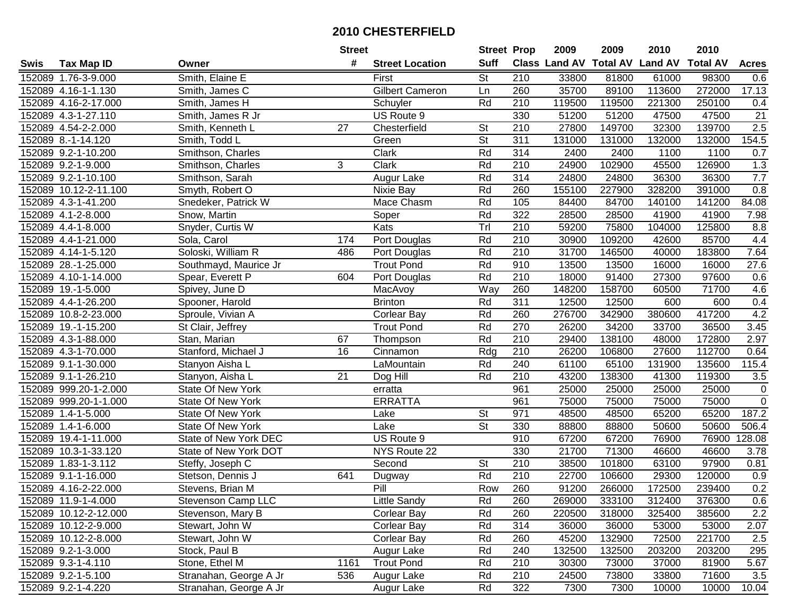|      |                       |                          | <b>Street</b>   |                        | <b>Street Prop</b>       |                  | 2009   | 2009   | 2010                           | 2010            |                  |
|------|-----------------------|--------------------------|-----------------|------------------------|--------------------------|------------------|--------|--------|--------------------------------|-----------------|------------------|
| Swis | <b>Tax Map ID</b>     | Owner                    | #               | <b>Street Location</b> | <b>Suff</b>              |                  |        |        | Class Land AV Total AV Land AV | <b>Total AV</b> | <b>Acres</b>     |
|      | 152089 1.76-3-9.000   | Smith, Elaine E          |                 | First                  | <b>St</b>                | 210              | 33800  | 81800  | 61000                          | 98300           | 0.6              |
|      | 152089 4.16-1-1.130   | Smith, James C           |                 | <b>Gilbert Cameron</b> | Ln                       | 260              | 35700  | 89100  | 113600                         | 272000          | 17.13            |
|      | 152089 4.16-2-17.000  | Smith, James H           |                 | Schuyler               | Rd                       | 210              | 119500 | 119500 | 221300                         | 250100          | 0.4              |
|      | 152089 4.3-1-27.110   | Smith, James R Jr        |                 | US Route 9             |                          | 330              | 51200  | 51200  | 47500                          | 47500           | $\overline{21}$  |
|      | 152089 4.54-2-2.000   | Smith, Kenneth L         | $\overline{27}$ | Chesterfield           | St                       | 210              | 27800  | 149700 | 32300                          | 139700          | 2.5              |
|      | 152089 8.-1-14.120    | Smith, Todd L            |                 | Green                  | $\overline{\mathsf{St}}$ | 311              | 131000 | 131000 | 132000                         | 132000          | 154.5            |
|      | 152089 9.2-1-10.200   | Smithson, Charles        |                 | Clark                  | Rd                       | 314              | 2400   | 2400   | 1100                           | 1100            | 0.7              |
|      | 152089 9.2-1-9.000    | Smithson, Charles        | 3               | <b>Clark</b>           | Rd                       | 210              | 24900  | 102900 | 45500                          | 126900          | 1.3              |
|      | 152089 9.2-1-10.100   | Smithson, Sarah          |                 | Augur Lake             | Rd                       | 314              | 24800  | 24800  | 36300                          | 36300           | 7.7              |
|      | 152089 10.12-2-11.100 | Smyth, Robert O          |                 | Nixie Bay              | Rd                       | 260              | 155100 | 227900 | 328200                         | 391000          | 0.8              |
|      | 152089 4.3-1-41.200   | Snedeker, Patrick W      |                 | Mace Chasm             | Rd                       | 105              | 84400  | 84700  | 140100                         | 141200          | 84.08            |
|      | 152089 4.1-2-8.000    | Snow, Martin             |                 | Soper                  | Rd                       | 322              | 28500  | 28500  | 41900                          | 41900           | 7.98             |
|      | 152089 4.4-1-8.000    | Snyder, Curtis W         |                 | Kats                   | Trl                      | 210              | 59200  | 75800  | 104000                         | 125800          | 8.8              |
|      | 152089 4.4-1-21.000   | Sola, Carol              | 174             | Port Douglas           | Rd                       | 210              | 30900  | 109200 | 42600                          | 85700           | 4.4              |
|      | 152089 4.14-1-5.120   | Soloski, William R       | 486             | Port Douglas           | Rd                       | 210              | 31700  | 146500 | 40000                          | 183800          | 7.64             |
|      | 152089 28.-1-25.000   | Southmayd, Maurice Jr    |                 | <b>Trout Pond</b>      | Rd                       | 910              | 13500  | 13500  | 16000                          | 16000           | 27.6             |
|      | 152089 4.10-1-14.000  | Spear, Everett P         | 604             | Port Douglas           | Rd                       | $\overline{210}$ | 18000  | 91400  | 27300                          | 97600           | 0.6              |
|      | 152089 19.-1-5.000    | Spivey, June D           |                 | MacAvoy                | Way                      | 260              | 148200 | 158700 | 60500                          | 71700           | 4.6              |
|      | 152089 4.4-1-26.200   | Spooner, Harold          |                 | <b>Brinton</b>         | Rd                       | 311              | 12500  | 12500  | 600                            | 600             | 0.4              |
|      | 152089 10.8-2-23.000  | Sproule, Vivian A        |                 | <b>Corlear Bay</b>     | Rd                       | 260              | 276700 | 342900 | 380600                         | 417200          | 4.2              |
|      | 152089 19.-1-15.200   | St Clair, Jeffrey        |                 | <b>Trout Pond</b>      | Rd                       | 270              | 26200  | 34200  | 33700                          | 36500           | 3.45             |
|      | 152089 4.3-1-88.000   | Stan, Marian             | 67              | Thompson               | Rd                       | 210              | 29400  | 138100 | 48000                          | 172800          | 2.97             |
|      | 152089 4.3-1-70.000   | Stanford, Michael J      | 16              | Cinnamon               | Rdg                      | 210              | 26200  | 106800 | 27600                          | 112700          | 0.64             |
|      | 152089 9.1-1-30.000   | Stanyon Aisha L          |                 | LaMountain             | Rd                       | 240              | 61100  | 65100  | 131900                         | 135600          | 115.4            |
|      | 152089 9.1-1-26.210   | Stanyon, Aisha L         | $\overline{21}$ | Dog Hill               | Rd                       | $\overline{210}$ | 43200  | 138300 | 41300                          | 119300          | $3.5\,$          |
|      | 152089 999.20-1-2.000 | State Of New York        |                 | erratta                |                          | 961              | 25000  | 25000  | 25000                          | 25000           | $\mathbf 0$      |
|      | 152089 999.20-1-1.000 | State Of New York        |                 | <b>ERRATTA</b>         |                          | 961              | 75000  | 75000  | 75000                          | 75000           | $\overline{0}$   |
|      | 152089 1.4-1-5.000    | State Of New York        |                 | Lake                   | St                       | 971              | 48500  | 48500  | 65200                          | 65200           | 187.2            |
|      | 152089 1.4-1-6.000    | <b>State Of New York</b> |                 | Lake                   | $\overline{\mathsf{St}}$ | 330              | 88800  | 88800  | 50600                          | 50600           | 506.4            |
|      | 152089 19.4-1-11.000  | State of New York DEC    |                 | US Route 9             |                          | 910              | 67200  | 67200  | 76900                          | 76900           | 128.08           |
|      | 152089 10.3-1-33.120  | State of New York DOT    |                 | NYS Route 22           |                          | 330              | 21700  | 71300  | 46600                          | 46600           | 3.78             |
|      | 152089 1.83-1-3.112   | Steffy, Joseph C         |                 | Second                 | $\overline{\mathsf{St}}$ | 210              | 38500  | 101800 | 63100                          | 97900           | 0.81             |
|      | 152089 9.1-1-16.000   | Stetson, Dennis J        | 641             | Dugway                 | Rd                       | 210              | 22700  | 106600 | 29300                          | 120000          | $\overline{0.9}$ |
|      | 152089 4.16-2-22.000  | Stevens, Brian M         |                 | PIII                   | Row                      | 260              | 91200  | 266000 | 172500                         | 239400          | 0.2              |
|      | 152089 11.9-1-4.000   | Stevenson Camp LLC       |                 | Little Sandy           | Rd                       | 260              | 269000 | 333100 | 312400                         | 376300          | 0.6              |
|      | 152089 10.12-2-12.000 | Stevenson, Mary B        |                 | <b>Corlear Bay</b>     | Rd                       | 260              | 220500 | 318000 | 325400                         | 385600          | $2.2\,$          |
|      | 152089 10.12-2-9.000  | Stewart, John W          |                 | <b>Corlear Bay</b>     | Rd                       | 314              | 36000  | 36000  | 53000                          | 53000           | 2.07             |
|      | 152089 10.12-2-8.000  | Stewart, John W          |                 | Corlear Bay            | Rd                       | 260              | 45200  | 132900 | 72500                          | 221700          | 2.5              |
|      | 152089 9.2-1-3.000    | Stock, Paul B            |                 | Augur Lake             | Rd                       | 240              | 132500 | 132500 | 203200                         | 203200          | 295              |
|      | 152089 9.3-1-4.110    | Stone, Ethel M           | 1161            | <b>Trout Pond</b>      | Rd                       | 210              | 30300  | 73000  | 37000                          | 81900           | 5.67             |
|      | 152089 9.2-1-5.100    | Stranahan, George A Jr   | 536             | Augur Lake             | Rd                       | 210              | 24500  | 73800  | 33800                          | 71600           | 3.5              |
|      | 152089 9.2-1-4.220    | Stranahan, George A Jr   |                 | Augur Lake             | Rd                       | 322              | 7300   | 7300   | 10000                          | 10000           | 10.04            |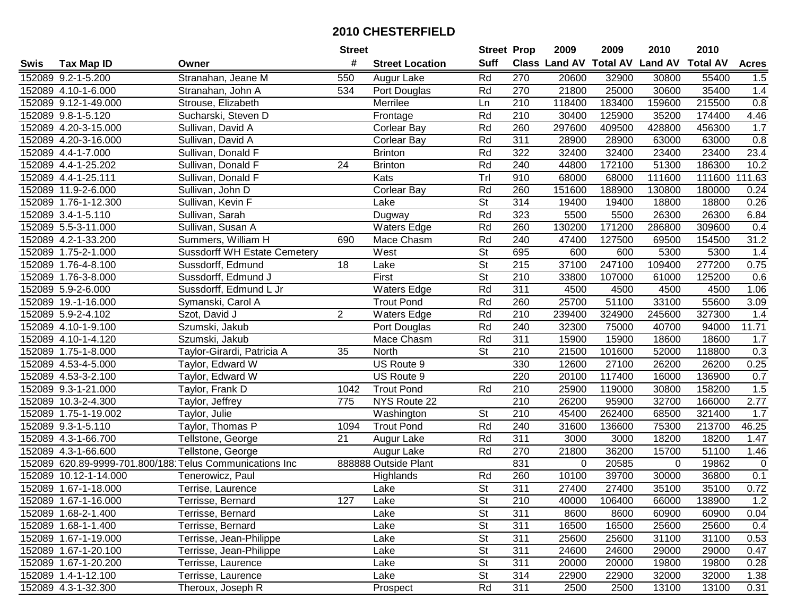| #<br><b>Suff</b><br><b>Class Land AV Total AV</b><br><b>Land AV</b><br><b>Total AV</b><br><b>Acres</b><br><b>Tax Map ID</b><br><b>Street Location</b><br>Swis<br>Owner<br>550<br>270<br>55400<br>152089 9.2-1-5.200<br>Stranahan, Jeane M<br>Rd<br>20600<br>32900<br>30800<br>1.5<br>Augur Lake<br>Rd<br>35400<br>1.4<br>152089 4.10-1-6.000<br>Port Douglas<br>270<br>21800<br>25000<br>30600<br>Stranahan, John A<br>534<br>215500<br>0.8<br>152089 9.12-1-49.000<br>210<br>118400<br>183400<br>159600<br>Strouse, Elizabeth<br>Merrilee<br>Ln<br>Rd<br>210<br>30400<br>125900<br>35200<br>174400<br>4.46<br>152089 9.8-1-5.120<br>Sucharski, Steven D<br>Frontage<br>152089 4.20-3-15.000<br>Rd<br>260<br>297600<br>409500<br>428800<br>456300<br>1.7<br>Sullivan, David A<br><b>Corlear Bay</b><br>Rd<br>311<br>0.8<br>152089 4.20-3-16.000<br>Sullivan, David A<br>Corlear Bay<br>28900<br>28900<br>63000<br>63000<br>23.4<br>152089 4.4-1-7.000<br>Rd<br>322<br>32400<br>32400<br>23400<br>23400<br>Sullivan, Donald F<br><b>Brinton</b><br>Rd<br>240<br>172100<br>10.2<br>152089 4.4-1-25.202<br>$\overline{24}$<br>44800<br>51300<br>186300<br>Sullivan, Donald F<br><b>Brinton</b><br>Trl<br>910<br>68000<br>111.63<br>152089 4.4-1-25.111<br>Sullivan, Donald F<br>Kats<br>68000<br>111600<br>111600<br>Rd<br>260<br>152089 11.9-2-6.000<br>Corlear Bay<br>151600<br>188900<br>130800<br>180000<br>0.24<br>Sullivan, John D<br>$\overline{\mathsf{St}}$<br>152089 1.76-1-12.300<br>Sullivan, Kevin F<br>314<br>19400<br>18800<br>Lake<br>19400<br>18800<br>0.26<br>Rd<br>323<br>152089 3.4-1-5.110<br>5500<br>5500<br>26300<br>26300<br>6.84<br>Sullivan, Sarah<br>Dugway<br>Rd<br>260<br>152089 5.5-3-11.000<br><b>Waters Edge</b><br>130200<br>171200<br>286800<br>309600<br>Sullivan, Susan A<br>0.4<br>Rd<br>240<br>31.2<br>152089 4.2-1-33.200<br>Summers, William H<br>Mace Chasm<br>47400<br>127500<br>69500<br>154500<br>690<br>$\overline{\mathsf{St}}$<br>695<br>600<br>5300<br>152089 1.75-2-1.000<br><b>Sussdorff WH Estate Cemetery</b><br>West<br>600<br>5300<br>1.4<br>$\overline{\mathsf{St}}$<br>215<br>247100<br>152089 1.76-4-8.100<br>18<br>37100<br>109400<br>277200<br>0.75<br>Sussdorff, Edmund<br>Lake<br>$\overline{\mathsf{St}}$<br>$\overline{210}$<br>First<br>152089 1.76-3-8.000<br>Sussdorff, Edmund J<br>33800<br>107000<br>61000<br>125200<br>0.6<br>Rd<br>311<br>152089 5.9-2-6.000<br>Sussdorff, Edmund L Jr<br><b>Waters Edge</b><br>4500<br>4500<br>4500<br>4500<br>1.06<br>Rd<br>25700<br>51100<br>55600<br>3.09<br>152089 19.-1-16.000<br><b>Trout Pond</b><br>260<br>33100<br>Symanski, Carol A<br>$\overline{2}$<br>210<br>152089 5.9-2-4.102<br>Szot, David J<br><b>Waters Edge</b><br>Rd<br>239400<br>324900<br>245600<br>327300<br>1.4<br>Rd<br>240<br>32300<br>94000<br>11.71<br>152089 4.10-1-9.100<br>Port Douglas<br>75000<br>40700<br>Szumski, Jakub<br>Rd<br>311<br>152089 4.10-1-4.120<br>Szumski, Jakub<br>Mace Chasm<br>15900<br>15900<br>18600<br>18600<br>1.7<br>St<br>210<br>21500<br>0.3<br>152089 1.75-1-8.000<br>35<br>North<br>101600<br>52000<br>118800<br>Taylor-Girardi, Patricia A<br>330<br>152089 4.53-4-5.000<br>Taylor, Edward W<br>US Route 9<br>12600<br>27100<br>26200<br>26200<br>0.25<br>0.7<br>152089 4.53-3-2.100<br>220<br>20100<br>117400<br>136900<br>Taylor, Edward W<br>US Route 9<br>16000<br><b>Trout Pond</b><br>Rd<br>210<br>25900<br>1.5<br>152089 9.3-1-21.000<br>Taylor, Frank D<br>1042<br>119000<br>30800<br>158200<br>$\overline{210}$<br>152089 10.3-2-4.300<br>26200<br>32700<br>2.77<br>Taylor, Jeffrey<br>775<br>NYS Route 22<br>95900<br>166000<br><b>St</b><br>210<br>45400<br>262400<br>152089 1.75-1-19.002<br>Taylor, Julie<br>68500<br>321400<br>1.7<br>Washington<br>Rd<br>152089 9.3-1-5.110<br>Taylor, Thomas P<br>240<br>31600<br>136600<br>75300<br>213700<br>46.25<br>1094<br><b>Trout Pond</b><br>$\overline{21}$<br>Rd<br>311<br>18200<br>152089 4.3-1-66.700<br>3000<br>3000<br>18200<br>1.47<br>Tellstone, George<br>Augur Lake<br>270<br>152089 4.3-1-66.600<br>Rd<br>21800<br>36200<br>15700<br>51100<br>Tellstone, George<br>1.46<br>Augur Lake<br>831<br>152089 620.89-9999-701.800/188 Telus Communications Inc<br>888888 Outside Plant<br>0<br>20585<br>19862<br>$\mathbf 0$<br>0<br>Rd<br>260<br>10100<br>39700<br>30000<br>36800<br>0.1<br>152089 10.12-1-14.000<br>Tenerowicz, Paul<br>Highlands<br>$\overline{\mathsf{St}}$<br>311<br>0.72<br>152089 1.67-1-18.000<br>27400<br>27400<br>35100<br>35100<br>Terrise, Laurence<br>Lake<br>152089 1.67-1-16.000<br>Terrisse, Bernard<br>127<br>Lake<br><b>St</b><br>210<br>40000<br>106400<br>66000<br>138900<br>1.2<br><b>St</b><br>311<br>152089 1.68-2-1.400<br>Terrisse, Bernard<br>Lake<br>8600<br>8600<br>60900<br>60900<br>0.04<br><b>St</b><br>311<br>16500<br>16500<br>25600<br>25600<br>152089 1.68-1-1.400<br>Terrisse, Bernard<br>Lake<br>0.4<br><b>St</b><br>311<br>152089 1.67-1-19.000<br>25600<br>25600<br>31100<br>31100<br>0.53<br>Terrisse, Jean-Philippe<br>Lake<br>Terrisse, Jean-Philippe<br><b>St</b><br>311<br>24600<br>0.47<br>152089 1.67-1-20.100<br>Lake<br>24600<br>29000<br>29000<br><b>St</b><br>311<br>20000<br>152089 1.67-1-20.200<br>Terrisse, Laurence<br>Lake<br>20000<br>19800<br>19800<br>0.28<br><b>St</b><br>314<br>152089 1.4-1-12.100<br>22900<br>22900<br>32000<br>32000<br>1.38<br>Terrisse, Laurence<br>Lake<br>152089 4.3-1-32.300<br>Rd<br>311<br>Theroux, Joseph R<br>2500<br>2500<br>13100<br>13100<br>0.31<br>Prospect |  | <b>Street</b> | <b>Street Prop</b> | 2009 | 2009 | 2010 | 2010 |  |
|---------------------------------------------------------------------------------------------------------------------------------------------------------------------------------------------------------------------------------------------------------------------------------------------------------------------------------------------------------------------------------------------------------------------------------------------------------------------------------------------------------------------------------------------------------------------------------------------------------------------------------------------------------------------------------------------------------------------------------------------------------------------------------------------------------------------------------------------------------------------------------------------------------------------------------------------------------------------------------------------------------------------------------------------------------------------------------------------------------------------------------------------------------------------------------------------------------------------------------------------------------------------------------------------------------------------------------------------------------------------------------------------------------------------------------------------------------------------------------------------------------------------------------------------------------------------------------------------------------------------------------------------------------------------------------------------------------------------------------------------------------------------------------------------------------------------------------------------------------------------------------------------------------------------------------------------------------------------------------------------------------------------------------------------------------------------------------------------------------------------------------------------------------------------------------------------------------------------------------------------------------------------------------------------------------------------------------------------------------------------------------------------------------------------------------------------------------------------------------------------------------------------------------------------------------------------------------------------------------------------------------------------------------------------------------------------------------------------------------------------------------------------------------------------------------------------------------------------------------------------------------------------------------------------------------------------------------------------------------------------------------------------------------------------------------------------------------------------------------------------------------------------------------------------------------------------------------------------------------------------------------------------------------------------------------------------------------------------------------------------------------------------------------------------------------------------------------------------------------------------------------------------------------------------------------------------------------------------------------------------------------------------------------------------------------------------------------------------------------------------------------------------------------------------------------------------------------------------------------------------------------------------------------------------------------------------------------------------------------------------------------------------------------------------------------------------------------------------------------------------------------------------------------------------------------------------------------------------------------------------------------------------------------------------------------------------------------------------------------------------------------------------------------------------------------------------------------------------------------------------------------------------------------------------------------------------------------------------------------------------------------------------------------------------------------------------------------------------------------------------------------------------------------------------------------------------------------------------------------------------------------------------------------------------------------------------------------------------------------------------------------------------------------------------------------------------------------------------------------------------------------------------------------------------------------------------------------------------------------------------------------------------------------------------------------------------------------------------------------------------------------------------------------------------------------------------------------------------------------------------------------------------------------------------------------|--|---------------|--------------------|------|------|------|------|--|
|                                                                                                                                                                                                                                                                                                                                                                                                                                                                                                                                                                                                                                                                                                                                                                                                                                                                                                                                                                                                                                                                                                                                                                                                                                                                                                                                                                                                                                                                                                                                                                                                                                                                                                                                                                                                                                                                                                                                                                                                                                                                                                                                                                                                                                                                                                                                                                                                                                                                                                                                                                                                                                                                                                                                                                                                                                                                                                                                                                                                                                                                                                                                                                                                                                                                                                                                                                                                                                                                                                                                                                                                                                                                                                                                                                                                                                                                                                                                                                                                                                                                                                                                                                                                                                                                                                                                                                                                                                                                                                                                                                                                                                                                                                                                                                                                                                                                                                                                                                                                                                                                                                                                                                                                                                                                                                                                                                                                                                                                                                                                                         |  |               |                    |      |      |      |      |  |
|                                                                                                                                                                                                                                                                                                                                                                                                                                                                                                                                                                                                                                                                                                                                                                                                                                                                                                                                                                                                                                                                                                                                                                                                                                                                                                                                                                                                                                                                                                                                                                                                                                                                                                                                                                                                                                                                                                                                                                                                                                                                                                                                                                                                                                                                                                                                                                                                                                                                                                                                                                                                                                                                                                                                                                                                                                                                                                                                                                                                                                                                                                                                                                                                                                                                                                                                                                                                                                                                                                                                                                                                                                                                                                                                                                                                                                                                                                                                                                                                                                                                                                                                                                                                                                                                                                                                                                                                                                                                                                                                                                                                                                                                                                                                                                                                                                                                                                                                                                                                                                                                                                                                                                                                                                                                                                                                                                                                                                                                                                                                                         |  |               |                    |      |      |      |      |  |
|                                                                                                                                                                                                                                                                                                                                                                                                                                                                                                                                                                                                                                                                                                                                                                                                                                                                                                                                                                                                                                                                                                                                                                                                                                                                                                                                                                                                                                                                                                                                                                                                                                                                                                                                                                                                                                                                                                                                                                                                                                                                                                                                                                                                                                                                                                                                                                                                                                                                                                                                                                                                                                                                                                                                                                                                                                                                                                                                                                                                                                                                                                                                                                                                                                                                                                                                                                                                                                                                                                                                                                                                                                                                                                                                                                                                                                                                                                                                                                                                                                                                                                                                                                                                                                                                                                                                                                                                                                                                                                                                                                                                                                                                                                                                                                                                                                                                                                                                                                                                                                                                                                                                                                                                                                                                                                                                                                                                                                                                                                                                                         |  |               |                    |      |      |      |      |  |
|                                                                                                                                                                                                                                                                                                                                                                                                                                                                                                                                                                                                                                                                                                                                                                                                                                                                                                                                                                                                                                                                                                                                                                                                                                                                                                                                                                                                                                                                                                                                                                                                                                                                                                                                                                                                                                                                                                                                                                                                                                                                                                                                                                                                                                                                                                                                                                                                                                                                                                                                                                                                                                                                                                                                                                                                                                                                                                                                                                                                                                                                                                                                                                                                                                                                                                                                                                                                                                                                                                                                                                                                                                                                                                                                                                                                                                                                                                                                                                                                                                                                                                                                                                                                                                                                                                                                                                                                                                                                                                                                                                                                                                                                                                                                                                                                                                                                                                                                                                                                                                                                                                                                                                                                                                                                                                                                                                                                                                                                                                                                                         |  |               |                    |      |      |      |      |  |
|                                                                                                                                                                                                                                                                                                                                                                                                                                                                                                                                                                                                                                                                                                                                                                                                                                                                                                                                                                                                                                                                                                                                                                                                                                                                                                                                                                                                                                                                                                                                                                                                                                                                                                                                                                                                                                                                                                                                                                                                                                                                                                                                                                                                                                                                                                                                                                                                                                                                                                                                                                                                                                                                                                                                                                                                                                                                                                                                                                                                                                                                                                                                                                                                                                                                                                                                                                                                                                                                                                                                                                                                                                                                                                                                                                                                                                                                                                                                                                                                                                                                                                                                                                                                                                                                                                                                                                                                                                                                                                                                                                                                                                                                                                                                                                                                                                                                                                                                                                                                                                                                                                                                                                                                                                                                                                                                                                                                                                                                                                                                                         |  |               |                    |      |      |      |      |  |
|                                                                                                                                                                                                                                                                                                                                                                                                                                                                                                                                                                                                                                                                                                                                                                                                                                                                                                                                                                                                                                                                                                                                                                                                                                                                                                                                                                                                                                                                                                                                                                                                                                                                                                                                                                                                                                                                                                                                                                                                                                                                                                                                                                                                                                                                                                                                                                                                                                                                                                                                                                                                                                                                                                                                                                                                                                                                                                                                                                                                                                                                                                                                                                                                                                                                                                                                                                                                                                                                                                                                                                                                                                                                                                                                                                                                                                                                                                                                                                                                                                                                                                                                                                                                                                                                                                                                                                                                                                                                                                                                                                                                                                                                                                                                                                                                                                                                                                                                                                                                                                                                                                                                                                                                                                                                                                                                                                                                                                                                                                                                                         |  |               |                    |      |      |      |      |  |
|                                                                                                                                                                                                                                                                                                                                                                                                                                                                                                                                                                                                                                                                                                                                                                                                                                                                                                                                                                                                                                                                                                                                                                                                                                                                                                                                                                                                                                                                                                                                                                                                                                                                                                                                                                                                                                                                                                                                                                                                                                                                                                                                                                                                                                                                                                                                                                                                                                                                                                                                                                                                                                                                                                                                                                                                                                                                                                                                                                                                                                                                                                                                                                                                                                                                                                                                                                                                                                                                                                                                                                                                                                                                                                                                                                                                                                                                                                                                                                                                                                                                                                                                                                                                                                                                                                                                                                                                                                                                                                                                                                                                                                                                                                                                                                                                                                                                                                                                                                                                                                                                                                                                                                                                                                                                                                                                                                                                                                                                                                                                                         |  |               |                    |      |      |      |      |  |
|                                                                                                                                                                                                                                                                                                                                                                                                                                                                                                                                                                                                                                                                                                                                                                                                                                                                                                                                                                                                                                                                                                                                                                                                                                                                                                                                                                                                                                                                                                                                                                                                                                                                                                                                                                                                                                                                                                                                                                                                                                                                                                                                                                                                                                                                                                                                                                                                                                                                                                                                                                                                                                                                                                                                                                                                                                                                                                                                                                                                                                                                                                                                                                                                                                                                                                                                                                                                                                                                                                                                                                                                                                                                                                                                                                                                                                                                                                                                                                                                                                                                                                                                                                                                                                                                                                                                                                                                                                                                                                                                                                                                                                                                                                                                                                                                                                                                                                                                                                                                                                                                                                                                                                                                                                                                                                                                                                                                                                                                                                                                                         |  |               |                    |      |      |      |      |  |
|                                                                                                                                                                                                                                                                                                                                                                                                                                                                                                                                                                                                                                                                                                                                                                                                                                                                                                                                                                                                                                                                                                                                                                                                                                                                                                                                                                                                                                                                                                                                                                                                                                                                                                                                                                                                                                                                                                                                                                                                                                                                                                                                                                                                                                                                                                                                                                                                                                                                                                                                                                                                                                                                                                                                                                                                                                                                                                                                                                                                                                                                                                                                                                                                                                                                                                                                                                                                                                                                                                                                                                                                                                                                                                                                                                                                                                                                                                                                                                                                                                                                                                                                                                                                                                                                                                                                                                                                                                                                                                                                                                                                                                                                                                                                                                                                                                                                                                                                                                                                                                                                                                                                                                                                                                                                                                                                                                                                                                                                                                                                                         |  |               |                    |      |      |      |      |  |
|                                                                                                                                                                                                                                                                                                                                                                                                                                                                                                                                                                                                                                                                                                                                                                                                                                                                                                                                                                                                                                                                                                                                                                                                                                                                                                                                                                                                                                                                                                                                                                                                                                                                                                                                                                                                                                                                                                                                                                                                                                                                                                                                                                                                                                                                                                                                                                                                                                                                                                                                                                                                                                                                                                                                                                                                                                                                                                                                                                                                                                                                                                                                                                                                                                                                                                                                                                                                                                                                                                                                                                                                                                                                                                                                                                                                                                                                                                                                                                                                                                                                                                                                                                                                                                                                                                                                                                                                                                                                                                                                                                                                                                                                                                                                                                                                                                                                                                                                                                                                                                                                                                                                                                                                                                                                                                                                                                                                                                                                                                                                                         |  |               |                    |      |      |      |      |  |
|                                                                                                                                                                                                                                                                                                                                                                                                                                                                                                                                                                                                                                                                                                                                                                                                                                                                                                                                                                                                                                                                                                                                                                                                                                                                                                                                                                                                                                                                                                                                                                                                                                                                                                                                                                                                                                                                                                                                                                                                                                                                                                                                                                                                                                                                                                                                                                                                                                                                                                                                                                                                                                                                                                                                                                                                                                                                                                                                                                                                                                                                                                                                                                                                                                                                                                                                                                                                                                                                                                                                                                                                                                                                                                                                                                                                                                                                                                                                                                                                                                                                                                                                                                                                                                                                                                                                                                                                                                                                                                                                                                                                                                                                                                                                                                                                                                                                                                                                                                                                                                                                                                                                                                                                                                                                                                                                                                                                                                                                                                                                                         |  |               |                    |      |      |      |      |  |
|                                                                                                                                                                                                                                                                                                                                                                                                                                                                                                                                                                                                                                                                                                                                                                                                                                                                                                                                                                                                                                                                                                                                                                                                                                                                                                                                                                                                                                                                                                                                                                                                                                                                                                                                                                                                                                                                                                                                                                                                                                                                                                                                                                                                                                                                                                                                                                                                                                                                                                                                                                                                                                                                                                                                                                                                                                                                                                                                                                                                                                                                                                                                                                                                                                                                                                                                                                                                                                                                                                                                                                                                                                                                                                                                                                                                                                                                                                                                                                                                                                                                                                                                                                                                                                                                                                                                                                                                                                                                                                                                                                                                                                                                                                                                                                                                                                                                                                                                                                                                                                                                                                                                                                                                                                                                                                                                                                                                                                                                                                                                                         |  |               |                    |      |      |      |      |  |
|                                                                                                                                                                                                                                                                                                                                                                                                                                                                                                                                                                                                                                                                                                                                                                                                                                                                                                                                                                                                                                                                                                                                                                                                                                                                                                                                                                                                                                                                                                                                                                                                                                                                                                                                                                                                                                                                                                                                                                                                                                                                                                                                                                                                                                                                                                                                                                                                                                                                                                                                                                                                                                                                                                                                                                                                                                                                                                                                                                                                                                                                                                                                                                                                                                                                                                                                                                                                                                                                                                                                                                                                                                                                                                                                                                                                                                                                                                                                                                                                                                                                                                                                                                                                                                                                                                                                                                                                                                                                                                                                                                                                                                                                                                                                                                                                                                                                                                                                                                                                                                                                                                                                                                                                                                                                                                                                                                                                                                                                                                                                                         |  |               |                    |      |      |      |      |  |
|                                                                                                                                                                                                                                                                                                                                                                                                                                                                                                                                                                                                                                                                                                                                                                                                                                                                                                                                                                                                                                                                                                                                                                                                                                                                                                                                                                                                                                                                                                                                                                                                                                                                                                                                                                                                                                                                                                                                                                                                                                                                                                                                                                                                                                                                                                                                                                                                                                                                                                                                                                                                                                                                                                                                                                                                                                                                                                                                                                                                                                                                                                                                                                                                                                                                                                                                                                                                                                                                                                                                                                                                                                                                                                                                                                                                                                                                                                                                                                                                                                                                                                                                                                                                                                                                                                                                                                                                                                                                                                                                                                                                                                                                                                                                                                                                                                                                                                                                                                                                                                                                                                                                                                                                                                                                                                                                                                                                                                                                                                                                                         |  |               |                    |      |      |      |      |  |
|                                                                                                                                                                                                                                                                                                                                                                                                                                                                                                                                                                                                                                                                                                                                                                                                                                                                                                                                                                                                                                                                                                                                                                                                                                                                                                                                                                                                                                                                                                                                                                                                                                                                                                                                                                                                                                                                                                                                                                                                                                                                                                                                                                                                                                                                                                                                                                                                                                                                                                                                                                                                                                                                                                                                                                                                                                                                                                                                                                                                                                                                                                                                                                                                                                                                                                                                                                                                                                                                                                                                                                                                                                                                                                                                                                                                                                                                                                                                                                                                                                                                                                                                                                                                                                                                                                                                                                                                                                                                                                                                                                                                                                                                                                                                                                                                                                                                                                                                                                                                                                                                                                                                                                                                                                                                                                                                                                                                                                                                                                                                                         |  |               |                    |      |      |      |      |  |
|                                                                                                                                                                                                                                                                                                                                                                                                                                                                                                                                                                                                                                                                                                                                                                                                                                                                                                                                                                                                                                                                                                                                                                                                                                                                                                                                                                                                                                                                                                                                                                                                                                                                                                                                                                                                                                                                                                                                                                                                                                                                                                                                                                                                                                                                                                                                                                                                                                                                                                                                                                                                                                                                                                                                                                                                                                                                                                                                                                                                                                                                                                                                                                                                                                                                                                                                                                                                                                                                                                                                                                                                                                                                                                                                                                                                                                                                                                                                                                                                                                                                                                                                                                                                                                                                                                                                                                                                                                                                                                                                                                                                                                                                                                                                                                                                                                                                                                                                                                                                                                                                                                                                                                                                                                                                                                                                                                                                                                                                                                                                                         |  |               |                    |      |      |      |      |  |
|                                                                                                                                                                                                                                                                                                                                                                                                                                                                                                                                                                                                                                                                                                                                                                                                                                                                                                                                                                                                                                                                                                                                                                                                                                                                                                                                                                                                                                                                                                                                                                                                                                                                                                                                                                                                                                                                                                                                                                                                                                                                                                                                                                                                                                                                                                                                                                                                                                                                                                                                                                                                                                                                                                                                                                                                                                                                                                                                                                                                                                                                                                                                                                                                                                                                                                                                                                                                                                                                                                                                                                                                                                                                                                                                                                                                                                                                                                                                                                                                                                                                                                                                                                                                                                                                                                                                                                                                                                                                                                                                                                                                                                                                                                                                                                                                                                                                                                                                                                                                                                                                                                                                                                                                                                                                                                                                                                                                                                                                                                                                                         |  |               |                    |      |      |      |      |  |
|                                                                                                                                                                                                                                                                                                                                                                                                                                                                                                                                                                                                                                                                                                                                                                                                                                                                                                                                                                                                                                                                                                                                                                                                                                                                                                                                                                                                                                                                                                                                                                                                                                                                                                                                                                                                                                                                                                                                                                                                                                                                                                                                                                                                                                                                                                                                                                                                                                                                                                                                                                                                                                                                                                                                                                                                                                                                                                                                                                                                                                                                                                                                                                                                                                                                                                                                                                                                                                                                                                                                                                                                                                                                                                                                                                                                                                                                                                                                                                                                                                                                                                                                                                                                                                                                                                                                                                                                                                                                                                                                                                                                                                                                                                                                                                                                                                                                                                                                                                                                                                                                                                                                                                                                                                                                                                                                                                                                                                                                                                                                                         |  |               |                    |      |      |      |      |  |
|                                                                                                                                                                                                                                                                                                                                                                                                                                                                                                                                                                                                                                                                                                                                                                                                                                                                                                                                                                                                                                                                                                                                                                                                                                                                                                                                                                                                                                                                                                                                                                                                                                                                                                                                                                                                                                                                                                                                                                                                                                                                                                                                                                                                                                                                                                                                                                                                                                                                                                                                                                                                                                                                                                                                                                                                                                                                                                                                                                                                                                                                                                                                                                                                                                                                                                                                                                                                                                                                                                                                                                                                                                                                                                                                                                                                                                                                                                                                                                                                                                                                                                                                                                                                                                                                                                                                                                                                                                                                                                                                                                                                                                                                                                                                                                                                                                                                                                                                                                                                                                                                                                                                                                                                                                                                                                                                                                                                                                                                                                                                                         |  |               |                    |      |      |      |      |  |
|                                                                                                                                                                                                                                                                                                                                                                                                                                                                                                                                                                                                                                                                                                                                                                                                                                                                                                                                                                                                                                                                                                                                                                                                                                                                                                                                                                                                                                                                                                                                                                                                                                                                                                                                                                                                                                                                                                                                                                                                                                                                                                                                                                                                                                                                                                                                                                                                                                                                                                                                                                                                                                                                                                                                                                                                                                                                                                                                                                                                                                                                                                                                                                                                                                                                                                                                                                                                                                                                                                                                                                                                                                                                                                                                                                                                                                                                                                                                                                                                                                                                                                                                                                                                                                                                                                                                                                                                                                                                                                                                                                                                                                                                                                                                                                                                                                                                                                                                                                                                                                                                                                                                                                                                                                                                                                                                                                                                                                                                                                                                                         |  |               |                    |      |      |      |      |  |
|                                                                                                                                                                                                                                                                                                                                                                                                                                                                                                                                                                                                                                                                                                                                                                                                                                                                                                                                                                                                                                                                                                                                                                                                                                                                                                                                                                                                                                                                                                                                                                                                                                                                                                                                                                                                                                                                                                                                                                                                                                                                                                                                                                                                                                                                                                                                                                                                                                                                                                                                                                                                                                                                                                                                                                                                                                                                                                                                                                                                                                                                                                                                                                                                                                                                                                                                                                                                                                                                                                                                                                                                                                                                                                                                                                                                                                                                                                                                                                                                                                                                                                                                                                                                                                                                                                                                                                                                                                                                                                                                                                                                                                                                                                                                                                                                                                                                                                                                                                                                                                                                                                                                                                                                                                                                                                                                                                                                                                                                                                                                                         |  |               |                    |      |      |      |      |  |
|                                                                                                                                                                                                                                                                                                                                                                                                                                                                                                                                                                                                                                                                                                                                                                                                                                                                                                                                                                                                                                                                                                                                                                                                                                                                                                                                                                                                                                                                                                                                                                                                                                                                                                                                                                                                                                                                                                                                                                                                                                                                                                                                                                                                                                                                                                                                                                                                                                                                                                                                                                                                                                                                                                                                                                                                                                                                                                                                                                                                                                                                                                                                                                                                                                                                                                                                                                                                                                                                                                                                                                                                                                                                                                                                                                                                                                                                                                                                                                                                                                                                                                                                                                                                                                                                                                                                                                                                                                                                                                                                                                                                                                                                                                                                                                                                                                                                                                                                                                                                                                                                                                                                                                                                                                                                                                                                                                                                                                                                                                                                                         |  |               |                    |      |      |      |      |  |
|                                                                                                                                                                                                                                                                                                                                                                                                                                                                                                                                                                                                                                                                                                                                                                                                                                                                                                                                                                                                                                                                                                                                                                                                                                                                                                                                                                                                                                                                                                                                                                                                                                                                                                                                                                                                                                                                                                                                                                                                                                                                                                                                                                                                                                                                                                                                                                                                                                                                                                                                                                                                                                                                                                                                                                                                                                                                                                                                                                                                                                                                                                                                                                                                                                                                                                                                                                                                                                                                                                                                                                                                                                                                                                                                                                                                                                                                                                                                                                                                                                                                                                                                                                                                                                                                                                                                                                                                                                                                                                                                                                                                                                                                                                                                                                                                                                                                                                                                                                                                                                                                                                                                                                                                                                                                                                                                                                                                                                                                                                                                                         |  |               |                    |      |      |      |      |  |
|                                                                                                                                                                                                                                                                                                                                                                                                                                                                                                                                                                                                                                                                                                                                                                                                                                                                                                                                                                                                                                                                                                                                                                                                                                                                                                                                                                                                                                                                                                                                                                                                                                                                                                                                                                                                                                                                                                                                                                                                                                                                                                                                                                                                                                                                                                                                                                                                                                                                                                                                                                                                                                                                                                                                                                                                                                                                                                                                                                                                                                                                                                                                                                                                                                                                                                                                                                                                                                                                                                                                                                                                                                                                                                                                                                                                                                                                                                                                                                                                                                                                                                                                                                                                                                                                                                                                                                                                                                                                                                                                                                                                                                                                                                                                                                                                                                                                                                                                                                                                                                                                                                                                                                                                                                                                                                                                                                                                                                                                                                                                                         |  |               |                    |      |      |      |      |  |
|                                                                                                                                                                                                                                                                                                                                                                                                                                                                                                                                                                                                                                                                                                                                                                                                                                                                                                                                                                                                                                                                                                                                                                                                                                                                                                                                                                                                                                                                                                                                                                                                                                                                                                                                                                                                                                                                                                                                                                                                                                                                                                                                                                                                                                                                                                                                                                                                                                                                                                                                                                                                                                                                                                                                                                                                                                                                                                                                                                                                                                                                                                                                                                                                                                                                                                                                                                                                                                                                                                                                                                                                                                                                                                                                                                                                                                                                                                                                                                                                                                                                                                                                                                                                                                                                                                                                                                                                                                                                                                                                                                                                                                                                                                                                                                                                                                                                                                                                                                                                                                                                                                                                                                                                                                                                                                                                                                                                                                                                                                                                                         |  |               |                    |      |      |      |      |  |
|                                                                                                                                                                                                                                                                                                                                                                                                                                                                                                                                                                                                                                                                                                                                                                                                                                                                                                                                                                                                                                                                                                                                                                                                                                                                                                                                                                                                                                                                                                                                                                                                                                                                                                                                                                                                                                                                                                                                                                                                                                                                                                                                                                                                                                                                                                                                                                                                                                                                                                                                                                                                                                                                                                                                                                                                                                                                                                                                                                                                                                                                                                                                                                                                                                                                                                                                                                                                                                                                                                                                                                                                                                                                                                                                                                                                                                                                                                                                                                                                                                                                                                                                                                                                                                                                                                                                                                                                                                                                                                                                                                                                                                                                                                                                                                                                                                                                                                                                                                                                                                                                                                                                                                                                                                                                                                                                                                                                                                                                                                                                                         |  |               |                    |      |      |      |      |  |
|                                                                                                                                                                                                                                                                                                                                                                                                                                                                                                                                                                                                                                                                                                                                                                                                                                                                                                                                                                                                                                                                                                                                                                                                                                                                                                                                                                                                                                                                                                                                                                                                                                                                                                                                                                                                                                                                                                                                                                                                                                                                                                                                                                                                                                                                                                                                                                                                                                                                                                                                                                                                                                                                                                                                                                                                                                                                                                                                                                                                                                                                                                                                                                                                                                                                                                                                                                                                                                                                                                                                                                                                                                                                                                                                                                                                                                                                                                                                                                                                                                                                                                                                                                                                                                                                                                                                                                                                                                                                                                                                                                                                                                                                                                                                                                                                                                                                                                                                                                                                                                                                                                                                                                                                                                                                                                                                                                                                                                                                                                                                                         |  |               |                    |      |      |      |      |  |
|                                                                                                                                                                                                                                                                                                                                                                                                                                                                                                                                                                                                                                                                                                                                                                                                                                                                                                                                                                                                                                                                                                                                                                                                                                                                                                                                                                                                                                                                                                                                                                                                                                                                                                                                                                                                                                                                                                                                                                                                                                                                                                                                                                                                                                                                                                                                                                                                                                                                                                                                                                                                                                                                                                                                                                                                                                                                                                                                                                                                                                                                                                                                                                                                                                                                                                                                                                                                                                                                                                                                                                                                                                                                                                                                                                                                                                                                                                                                                                                                                                                                                                                                                                                                                                                                                                                                                                                                                                                                                                                                                                                                                                                                                                                                                                                                                                                                                                                                                                                                                                                                                                                                                                                                                                                                                                                                                                                                                                                                                                                                                         |  |               |                    |      |      |      |      |  |
|                                                                                                                                                                                                                                                                                                                                                                                                                                                                                                                                                                                                                                                                                                                                                                                                                                                                                                                                                                                                                                                                                                                                                                                                                                                                                                                                                                                                                                                                                                                                                                                                                                                                                                                                                                                                                                                                                                                                                                                                                                                                                                                                                                                                                                                                                                                                                                                                                                                                                                                                                                                                                                                                                                                                                                                                                                                                                                                                                                                                                                                                                                                                                                                                                                                                                                                                                                                                                                                                                                                                                                                                                                                                                                                                                                                                                                                                                                                                                                                                                                                                                                                                                                                                                                                                                                                                                                                                                                                                                                                                                                                                                                                                                                                                                                                                                                                                                                                                                                                                                                                                                                                                                                                                                                                                                                                                                                                                                                                                                                                                                         |  |               |                    |      |      |      |      |  |
|                                                                                                                                                                                                                                                                                                                                                                                                                                                                                                                                                                                                                                                                                                                                                                                                                                                                                                                                                                                                                                                                                                                                                                                                                                                                                                                                                                                                                                                                                                                                                                                                                                                                                                                                                                                                                                                                                                                                                                                                                                                                                                                                                                                                                                                                                                                                                                                                                                                                                                                                                                                                                                                                                                                                                                                                                                                                                                                                                                                                                                                                                                                                                                                                                                                                                                                                                                                                                                                                                                                                                                                                                                                                                                                                                                                                                                                                                                                                                                                                                                                                                                                                                                                                                                                                                                                                                                                                                                                                                                                                                                                                                                                                                                                                                                                                                                                                                                                                                                                                                                                                                                                                                                                                                                                                                                                                                                                                                                                                                                                                                         |  |               |                    |      |      |      |      |  |
|                                                                                                                                                                                                                                                                                                                                                                                                                                                                                                                                                                                                                                                                                                                                                                                                                                                                                                                                                                                                                                                                                                                                                                                                                                                                                                                                                                                                                                                                                                                                                                                                                                                                                                                                                                                                                                                                                                                                                                                                                                                                                                                                                                                                                                                                                                                                                                                                                                                                                                                                                                                                                                                                                                                                                                                                                                                                                                                                                                                                                                                                                                                                                                                                                                                                                                                                                                                                                                                                                                                                                                                                                                                                                                                                                                                                                                                                                                                                                                                                                                                                                                                                                                                                                                                                                                                                                                                                                                                                                                                                                                                                                                                                                                                                                                                                                                                                                                                                                                                                                                                                                                                                                                                                                                                                                                                                                                                                                                                                                                                                                         |  |               |                    |      |      |      |      |  |
|                                                                                                                                                                                                                                                                                                                                                                                                                                                                                                                                                                                                                                                                                                                                                                                                                                                                                                                                                                                                                                                                                                                                                                                                                                                                                                                                                                                                                                                                                                                                                                                                                                                                                                                                                                                                                                                                                                                                                                                                                                                                                                                                                                                                                                                                                                                                                                                                                                                                                                                                                                                                                                                                                                                                                                                                                                                                                                                                                                                                                                                                                                                                                                                                                                                                                                                                                                                                                                                                                                                                                                                                                                                                                                                                                                                                                                                                                                                                                                                                                                                                                                                                                                                                                                                                                                                                                                                                                                                                                                                                                                                                                                                                                                                                                                                                                                                                                                                                                                                                                                                                                                                                                                                                                                                                                                                                                                                                                                                                                                                                                         |  |               |                    |      |      |      |      |  |
|                                                                                                                                                                                                                                                                                                                                                                                                                                                                                                                                                                                                                                                                                                                                                                                                                                                                                                                                                                                                                                                                                                                                                                                                                                                                                                                                                                                                                                                                                                                                                                                                                                                                                                                                                                                                                                                                                                                                                                                                                                                                                                                                                                                                                                                                                                                                                                                                                                                                                                                                                                                                                                                                                                                                                                                                                                                                                                                                                                                                                                                                                                                                                                                                                                                                                                                                                                                                                                                                                                                                                                                                                                                                                                                                                                                                                                                                                                                                                                                                                                                                                                                                                                                                                                                                                                                                                                                                                                                                                                                                                                                                                                                                                                                                                                                                                                                                                                                                                                                                                                                                                                                                                                                                                                                                                                                                                                                                                                                                                                                                                         |  |               |                    |      |      |      |      |  |
|                                                                                                                                                                                                                                                                                                                                                                                                                                                                                                                                                                                                                                                                                                                                                                                                                                                                                                                                                                                                                                                                                                                                                                                                                                                                                                                                                                                                                                                                                                                                                                                                                                                                                                                                                                                                                                                                                                                                                                                                                                                                                                                                                                                                                                                                                                                                                                                                                                                                                                                                                                                                                                                                                                                                                                                                                                                                                                                                                                                                                                                                                                                                                                                                                                                                                                                                                                                                                                                                                                                                                                                                                                                                                                                                                                                                                                                                                                                                                                                                                                                                                                                                                                                                                                                                                                                                                                                                                                                                                                                                                                                                                                                                                                                                                                                                                                                                                                                                                                                                                                                                                                                                                                                                                                                                                                                                                                                                                                                                                                                                                         |  |               |                    |      |      |      |      |  |
|                                                                                                                                                                                                                                                                                                                                                                                                                                                                                                                                                                                                                                                                                                                                                                                                                                                                                                                                                                                                                                                                                                                                                                                                                                                                                                                                                                                                                                                                                                                                                                                                                                                                                                                                                                                                                                                                                                                                                                                                                                                                                                                                                                                                                                                                                                                                                                                                                                                                                                                                                                                                                                                                                                                                                                                                                                                                                                                                                                                                                                                                                                                                                                                                                                                                                                                                                                                                                                                                                                                                                                                                                                                                                                                                                                                                                                                                                                                                                                                                                                                                                                                                                                                                                                                                                                                                                                                                                                                                                                                                                                                                                                                                                                                                                                                                                                                                                                                                                                                                                                                                                                                                                                                                                                                                                                                                                                                                                                                                                                                                                         |  |               |                    |      |      |      |      |  |
|                                                                                                                                                                                                                                                                                                                                                                                                                                                                                                                                                                                                                                                                                                                                                                                                                                                                                                                                                                                                                                                                                                                                                                                                                                                                                                                                                                                                                                                                                                                                                                                                                                                                                                                                                                                                                                                                                                                                                                                                                                                                                                                                                                                                                                                                                                                                                                                                                                                                                                                                                                                                                                                                                                                                                                                                                                                                                                                                                                                                                                                                                                                                                                                                                                                                                                                                                                                                                                                                                                                                                                                                                                                                                                                                                                                                                                                                                                                                                                                                                                                                                                                                                                                                                                                                                                                                                                                                                                                                                                                                                                                                                                                                                                                                                                                                                                                                                                                                                                                                                                                                                                                                                                                                                                                                                                                                                                                                                                                                                                                                                         |  |               |                    |      |      |      |      |  |
|                                                                                                                                                                                                                                                                                                                                                                                                                                                                                                                                                                                                                                                                                                                                                                                                                                                                                                                                                                                                                                                                                                                                                                                                                                                                                                                                                                                                                                                                                                                                                                                                                                                                                                                                                                                                                                                                                                                                                                                                                                                                                                                                                                                                                                                                                                                                                                                                                                                                                                                                                                                                                                                                                                                                                                                                                                                                                                                                                                                                                                                                                                                                                                                                                                                                                                                                                                                                                                                                                                                                                                                                                                                                                                                                                                                                                                                                                                                                                                                                                                                                                                                                                                                                                                                                                                                                                                                                                                                                                                                                                                                                                                                                                                                                                                                                                                                                                                                                                                                                                                                                                                                                                                                                                                                                                                                                                                                                                                                                                                                                                         |  |               |                    |      |      |      |      |  |
|                                                                                                                                                                                                                                                                                                                                                                                                                                                                                                                                                                                                                                                                                                                                                                                                                                                                                                                                                                                                                                                                                                                                                                                                                                                                                                                                                                                                                                                                                                                                                                                                                                                                                                                                                                                                                                                                                                                                                                                                                                                                                                                                                                                                                                                                                                                                                                                                                                                                                                                                                                                                                                                                                                                                                                                                                                                                                                                                                                                                                                                                                                                                                                                                                                                                                                                                                                                                                                                                                                                                                                                                                                                                                                                                                                                                                                                                                                                                                                                                                                                                                                                                                                                                                                                                                                                                                                                                                                                                                                                                                                                                                                                                                                                                                                                                                                                                                                                                                                                                                                                                                                                                                                                                                                                                                                                                                                                                                                                                                                                                                         |  |               |                    |      |      |      |      |  |
|                                                                                                                                                                                                                                                                                                                                                                                                                                                                                                                                                                                                                                                                                                                                                                                                                                                                                                                                                                                                                                                                                                                                                                                                                                                                                                                                                                                                                                                                                                                                                                                                                                                                                                                                                                                                                                                                                                                                                                                                                                                                                                                                                                                                                                                                                                                                                                                                                                                                                                                                                                                                                                                                                                                                                                                                                                                                                                                                                                                                                                                                                                                                                                                                                                                                                                                                                                                                                                                                                                                                                                                                                                                                                                                                                                                                                                                                                                                                                                                                                                                                                                                                                                                                                                                                                                                                                                                                                                                                                                                                                                                                                                                                                                                                                                                                                                                                                                                                                                                                                                                                                                                                                                                                                                                                                                                                                                                                                                                                                                                                                         |  |               |                    |      |      |      |      |  |
|                                                                                                                                                                                                                                                                                                                                                                                                                                                                                                                                                                                                                                                                                                                                                                                                                                                                                                                                                                                                                                                                                                                                                                                                                                                                                                                                                                                                                                                                                                                                                                                                                                                                                                                                                                                                                                                                                                                                                                                                                                                                                                                                                                                                                                                                                                                                                                                                                                                                                                                                                                                                                                                                                                                                                                                                                                                                                                                                                                                                                                                                                                                                                                                                                                                                                                                                                                                                                                                                                                                                                                                                                                                                                                                                                                                                                                                                                                                                                                                                                                                                                                                                                                                                                                                                                                                                                                                                                                                                                                                                                                                                                                                                                                                                                                                                                                                                                                                                                                                                                                                                                                                                                                                                                                                                                                                                                                                                                                                                                                                                                         |  |               |                    |      |      |      |      |  |
|                                                                                                                                                                                                                                                                                                                                                                                                                                                                                                                                                                                                                                                                                                                                                                                                                                                                                                                                                                                                                                                                                                                                                                                                                                                                                                                                                                                                                                                                                                                                                                                                                                                                                                                                                                                                                                                                                                                                                                                                                                                                                                                                                                                                                                                                                                                                                                                                                                                                                                                                                                                                                                                                                                                                                                                                                                                                                                                                                                                                                                                                                                                                                                                                                                                                                                                                                                                                                                                                                                                                                                                                                                                                                                                                                                                                                                                                                                                                                                                                                                                                                                                                                                                                                                                                                                                                                                                                                                                                                                                                                                                                                                                                                                                                                                                                                                                                                                                                                                                                                                                                                                                                                                                                                                                                                                                                                                                                                                                                                                                                                         |  |               |                    |      |      |      |      |  |
|                                                                                                                                                                                                                                                                                                                                                                                                                                                                                                                                                                                                                                                                                                                                                                                                                                                                                                                                                                                                                                                                                                                                                                                                                                                                                                                                                                                                                                                                                                                                                                                                                                                                                                                                                                                                                                                                                                                                                                                                                                                                                                                                                                                                                                                                                                                                                                                                                                                                                                                                                                                                                                                                                                                                                                                                                                                                                                                                                                                                                                                                                                                                                                                                                                                                                                                                                                                                                                                                                                                                                                                                                                                                                                                                                                                                                                                                                                                                                                                                                                                                                                                                                                                                                                                                                                                                                                                                                                                                                                                                                                                                                                                                                                                                                                                                                                                                                                                                                                                                                                                                                                                                                                                                                                                                                                                                                                                                                                                                                                                                                         |  |               |                    |      |      |      |      |  |
|                                                                                                                                                                                                                                                                                                                                                                                                                                                                                                                                                                                                                                                                                                                                                                                                                                                                                                                                                                                                                                                                                                                                                                                                                                                                                                                                                                                                                                                                                                                                                                                                                                                                                                                                                                                                                                                                                                                                                                                                                                                                                                                                                                                                                                                                                                                                                                                                                                                                                                                                                                                                                                                                                                                                                                                                                                                                                                                                                                                                                                                                                                                                                                                                                                                                                                                                                                                                                                                                                                                                                                                                                                                                                                                                                                                                                                                                                                                                                                                                                                                                                                                                                                                                                                                                                                                                                                                                                                                                                                                                                                                                                                                                                                                                                                                                                                                                                                                                                                                                                                                                                                                                                                                                                                                                                                                                                                                                                                                                                                                                                         |  |               |                    |      |      |      |      |  |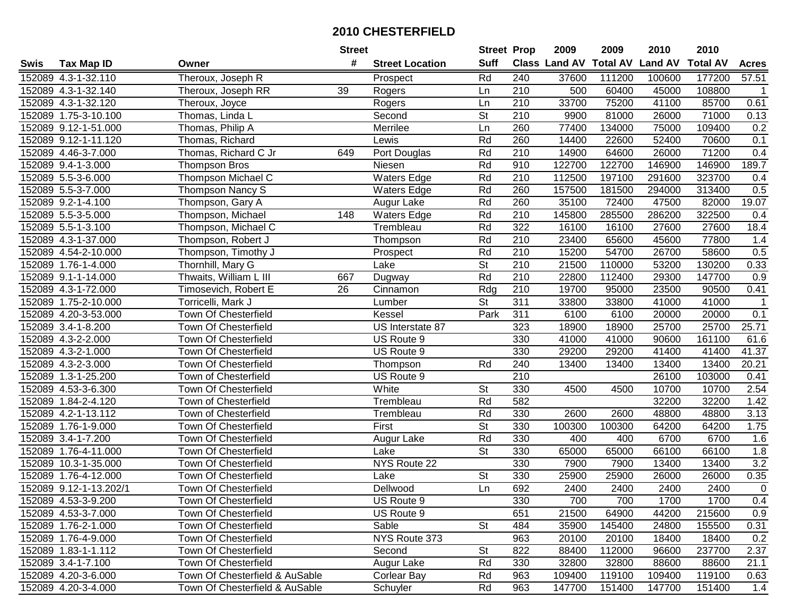|      |                        |                                | <b>Street</b> |                        | <b>Street Prop</b>       |                  | 2009          | 2009            | 2010           | 2010            |                |
|------|------------------------|--------------------------------|---------------|------------------------|--------------------------|------------------|---------------|-----------------|----------------|-----------------|----------------|
| Swis | <b>Tax Map ID</b>      | Owner                          | #             | <b>Street Location</b> | <b>Suff</b>              |                  | Class Land AV | <b>Total AV</b> | <b>Land AV</b> | <b>Total AV</b> | <b>Acres</b>   |
|      | 152089 4.3-1-32.110    | Theroux, Joseph R              |               | Prospect               | Rd                       | 240              | 37600         | 111200          | 100600         | 177200          | 57.51          |
|      | 152089 4.3-1-32.140    | Theroux, Joseph RR             | 39            | Rogers                 | Ln                       | 210              | 500           | 60400           | 45000          | 108800          | $\mathbf{1}$   |
|      | 152089 4.3-1-32.120    | Theroux, Joyce                 |               | Rogers                 | Ln                       | 210              | 33700         | 75200           | 41100          | 85700           | 0.61           |
|      | 152089 1.75-3-10.100   | Thomas, Linda L                |               | Second                 | $\overline{\mathsf{St}}$ | 210              | 9900          | 81000           | 26000          | 71000           | 0.13           |
|      | 152089 9.12-1-51.000   | Thomas, Philip A               |               | Merrilee               | Ln                       | 260              | 77400         | 134000          | 75000          | 109400          | 0.2            |
|      | 152089 9.12-1-11.120   | Thomas, Richard                |               | Lewis                  | Rd                       | 260              | 14400         | 22600           | 52400          | 70600           | 0.1            |
|      | 152089 4.46-3-7.000    | Thomas, Richard C Jr           | 649           | Port Douglas           | Rd                       | 210              | 14900         | 64600           | 26000          | 71200           | 0.4            |
|      | 152089 9.4-1-3.000     | Thompson Bros                  |               | Niesen                 | Rd                       | 910              | 122700        | 122700          | 146900         | 146900          | 189.7          |
|      | 152089 5.5-3-6.000     | <b>Thompson Michael C</b>      |               | <b>Waters Edge</b>     | Rd                       | $\overline{210}$ | 112500        | 197100          | 291600         | 323700          | 0.4            |
|      | 152089 5.5-3-7.000     | Thompson Nancy S               |               | <b>Waters Edge</b>     | Rd                       | 260              | 157500        | 181500          | 294000         | 313400          | 0.5            |
|      | 152089 9.2-1-4.100     | Thompson, Gary A               |               | Augur Lake             | Rd                       | 260              | 35100         | 72400           | 47500          | 82000           | 19.07          |
|      | 152089 5.5-3-5.000     | Thompson, Michael              | 148           | <b>Waters Edge</b>     | Rd                       | 210              | 145800        | 285500          | 286200         | 322500          | 0.4            |
|      | 152089 5.5-1-3.100     | Thompson, Michael C            |               | Trembleau              | Rd                       | $\overline{322}$ | 16100         | 16100           | 27600          | 27600           | 18.4           |
|      | 152089 4.3-1-37.000    | Thompson, Robert J             |               | Thompson               | Rd                       | 210              | 23400         | 65600           | 45600          | 77800           | 1.4            |
|      | 152089 4.54-2-10.000   | Thompson, Timothy J            |               | Prospect               | Rd                       | 210              | 15200         | 54700           | 26700          | 58600           | 0.5            |
|      | 152089 1.76-1-4.000    | Thornhill, Mary G              |               | Lake                   | St                       | 210              | 21500         | 110000          | 53200          | 130200          | 0.33           |
|      | 152089 9.1-1-14.000    | Thwaits, William L III         | 667           | Dugway                 | Rd                       | $\overline{210}$ | 22800         | 112400          | 29300          | 147700          | 0.9            |
|      | 152089 4.3-1-72.000    | Timosevich, Robert E           | 26            | Cinnamon               | Rdg                      | 210              | 19700         | 95000           | 23500          | 90500           | 0.41           |
|      | 152089 1.75-2-10.000   | Torricelli, Mark J             |               | Lumber                 | $\overline{\mathsf{St}}$ | 311              | 33800         | 33800           | 41000          | 41000           | $\mathbf 1$    |
|      | 152089 4.20-3-53.000   | Town Of Chesterfield           |               | Kessel                 | Park                     | 311              | 6100          | 6100            | 20000          | 20000           | 0.1            |
|      | 152089 3.4-1-8.200     | Town Of Chesterfield           |               | US Interstate 87       |                          | 323              | 18900         | 18900           | 25700          | 25700           | 25.71          |
|      | 152089 4.3-2-2.000     | Town Of Chesterfield           |               | US Route 9             |                          | 330              | 41000         | 41000           | 90600          | 161100          | 61.6           |
|      | 152089 4.3-2-1.000     | Town Of Chesterfield           |               | US Route 9             |                          | 330              | 29200         | 29200           | 41400          | 41400           | 41.37          |
|      | 152089 4.3-2-3.000     | Town Of Chesterfield           |               | Thompson               | Rd                       | 240              | 13400         | 13400           | 13400          | 13400           | 20.21          |
|      | 152089 1.3-1-25.200    | Town of Chesterfield           |               | US Route 9             |                          | 210              |               |                 | 26100          | 103000          | 0.41           |
|      | 152089 4.53-3-6.300    | Town Of Chesterfield           |               | White                  | $\overline{\mathsf{St}}$ | 330              | 4500          | 4500            | 10700          | 10700           | 2.54           |
|      | 152089 1.84-2-4.120    | Town of Chesterfield           |               | Trembleau              | Rd                       | 582              |               |                 | 32200          | 32200           | 1.42           |
|      | 152089 4.2-1-13.112    | Town of Chesterfield           |               | Trembleau              | Rd                       | 330              | 2600          | 2600            | 48800          | 48800           | 3.13           |
|      | 152089 1.76-1-9.000    | Town Of Chesterfield           |               | First                  | $\overline{St}$          | 330              | 100300        | 100300          | 64200          | 64200           | 1.75           |
|      | 152089 3.4-1-7.200     | Town Of Chesterfield           |               | Augur Lake             | Rd                       | 330              | 400           | 400             | 6700           | 6700            | 1.6            |
|      | 152089 1.76-4-11.000   | Town Of Chesterfield           |               | Lake                   | $\overline{\mathsf{St}}$ | 330              | 65000         | 65000           | 66100          | 66100           | 1.8            |
|      | 152089 10.3-1-35.000   | Town Of Chesterfield           |               | NYS Route 22           |                          | 330              | 7900          | 7900            | 13400          | 13400           | 3.2            |
|      | 152089 1.76-4-12.000   | Town Of Chesterfield           |               | Lake                   | $\overline{\mathsf{St}}$ | 330              | 25900         | 25900           | 26000          | 26000           | 0.35           |
|      | 152089 9.12-1-13.202/1 | <b>Town Of Chesterfield</b>    |               | Dellwood               | Ln                       | 692              | 2400          | 2400            | 2400           | 2400            | $\overline{0}$ |
|      | 152089 4.53-3-9.200    | Town Of Chesterfield           |               | US Route 9             |                          | 330              | 700           | 700             | 1700           | 1700            | 0.4            |
|      | 152089 4.53-3-7.000    | Town Of Chesterfield           |               | US Route 9             |                          | 651              | 21500         | 64900           | 44200          | 215600          | 0.9            |
|      | 152089 1.76-2-1.000    | Town Of Chesterfield           |               | Sable                  | <b>St</b>                | 484              | 35900         | 145400          | 24800          | 155500          | 0.31           |
|      | 152089 1.76-4-9.000    | Town Of Chesterfield           |               | NYS Route 373          |                          | 963              | 20100         | 20100           | 18400          | 18400           | 0.2            |
|      | 152089 1.83-1-1.112    | Town Of Chesterfield           |               | Second                 | <b>St</b>                | 822              | 88400         | 112000          | 96600          | 237700          | 2.37           |
|      | 152089 3.4-1-7.100     | Town Of Chesterfield           |               | Augur Lake             | Rd                       | 330              | 32800         | 32800           | 88600          | 88600           | 21.1           |
|      | 152089 4.20-3-6.000    | Town Of Chesterfield & AuSable |               | Corlear Bay            | Rd                       | 963              | 109400        | 119100          | 109400         | 119100          | 0.63           |
|      | 152089 4.20-3-4.000    | Town Of Chesterfield & AuSable |               | Schuyler               | Rd                       | 963              | 147700        | 151400          | 147700         | 151400          | 1.4            |
|      |                        |                                |               |                        |                          |                  |               |                 |                |                 |                |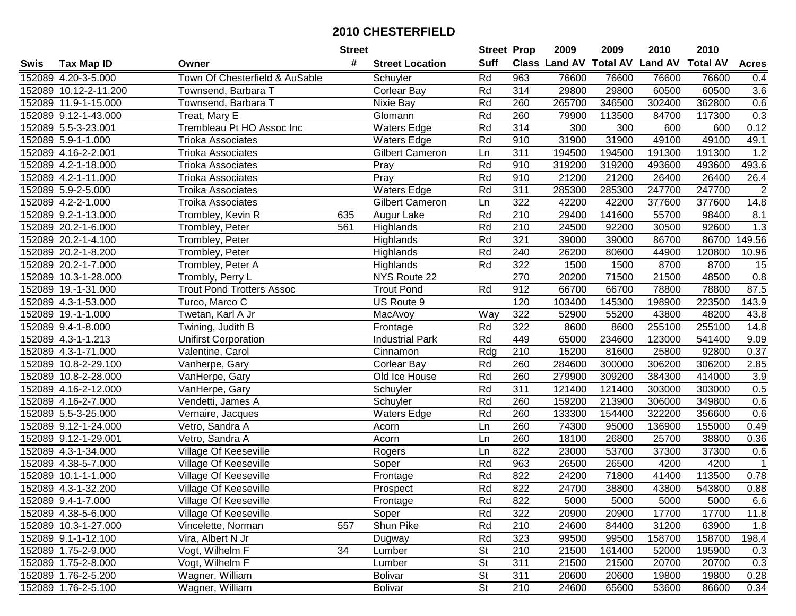|      |                       |                                  | <b>Street</b> |                        | <b>Street Prop</b>       |     | 2009                          | 2009   | 2010           | 2010            |                |
|------|-----------------------|----------------------------------|---------------|------------------------|--------------------------|-----|-------------------------------|--------|----------------|-----------------|----------------|
| Swis | <b>Tax Map ID</b>     | Owner                            | #             | <b>Street Location</b> | <b>Suff</b>              |     | <b>Class Land AV Total AV</b> |        | <b>Land AV</b> | <b>Total AV</b> | <b>Acres</b>   |
|      | 152089 4.20-3-5.000   | Town Of Chesterfield & AuSable   |               | Schuyler               | Rd                       | 963 | 76600                         | 76600  | 76600          | 76600           | 0.4            |
|      | 152089 10.12-2-11.200 | Townsend, Barbara T              |               | <b>Corlear Bay</b>     | Rd                       | 314 | 29800                         | 29800  | 60500          | 60500           | 3.6            |
|      | 152089 11.9-1-15.000  | Townsend, Barbara T              |               | Nixie Bay              | Rd                       | 260 | 265700                        | 346500 | 302400         | 362800          | $0.6\,$        |
|      | 152089 9.12-1-43.000  | Treat, Mary E                    |               | Glomann                | Rd                       | 260 | 79900                         | 113500 | 84700          | 117300          | 0.3            |
|      | 152089 5.5-3-23.001   | Trembleau Pt HO Assoc Inc        |               | <b>Waters Edge</b>     | Rd                       | 314 | 300                           | 300    | 600            | 600             | 0.12           |
|      | 152089 5.9-1-1.000    | <b>Trioka Associates</b>         |               | <b>Waters Edge</b>     | Rd                       | 910 | 31900                         | 31900  | 49100          | 49100           | 49.1           |
|      | 152089 4.16-2-2.001   | <b>Trioka Associates</b>         |               | <b>Gilbert Cameron</b> | Ln                       | 311 | 194500                        | 194500 | 191300         | 191300          | 1.2            |
|      | 152089 4.2-1-18.000   | <b>Trioka Associates</b>         |               | Pray                   | Rd                       | 910 | 319200                        | 319200 | 493600         | 493600          | 493.6          |
|      | 152089 4.2-1-11.000   | <b>Trioka Associates</b>         |               | Pray                   | Rd                       | 910 | 21200                         | 21200  | 26400          | 26400           | 26.4           |
|      | 152089 5.9-2-5.000    | <b>Troika Associates</b>         |               | <b>Waters Edge</b>     | Rd                       | 311 | 285300                        | 285300 | 247700         | 247700          | $\overline{2}$ |
|      | 152089 4.2-2-1.000    | <b>Troika Associates</b>         |               | <b>Gilbert Cameron</b> | Ln                       | 322 | 42200                         | 42200  | 377600         | 377600          | 14.8           |
|      | 152089 9.2-1-13.000   | Trombley, Kevin R                | 635           | Augur Lake             | Rd                       | 210 | 29400                         | 141600 | 55700          | 98400           | 8.1            |
|      | 152089 20.2-1-6.000   | Trombley, Peter                  | 561           | Highlands              | Rd                       | 210 | 24500                         | 92200  | 30500          | 92600           | 1.3            |
|      | 152089 20.2-1-4.100   | Trombley, Peter                  |               | Highlands              | Rd                       | 321 | 39000                         | 39000  | 86700          | 86700           | 149.56         |
|      | 152089 20.2-1-8.200   | Trombley, Peter                  |               | Highlands              | Rd                       | 240 | 26200                         | 80600  | 44900          | 120800          | 10.96          |
|      | 152089 20.2-1-7.000   | Trombley, Peter A                |               | Highlands              | Rd                       | 322 | 1500                          | 1500   | 8700           | 8700            | 15             |
|      | 152089 10.3-1-28.000  | Trombly, Perry L                 |               | NYS Route 22           |                          | 270 | 20200                         | 71500  | 21500          | 48500           | 0.8            |
|      | 152089 19.-1-31.000   | <b>Trout Pond Trotters Assoc</b> |               | <b>Trout Pond</b>      | Rd                       | 912 | 66700                         | 66700  | 78800          | 78800           | 87.5           |
|      | 152089 4.3-1-53.000   | Turco, Marco C                   |               | US Route 9             |                          | 120 | 103400                        | 145300 | 198900         | 223500          | 143.9          |
|      | 152089 19.-1-1.000    | Twetan, Karl A Jr                |               | MacAvoy                | Way                      | 322 | 52900                         | 55200  | 43800          | 48200           | 43.8           |
|      | 152089 9.4-1-8.000    | Twining, Judith B                |               | Frontage               | Rd                       | 322 | 8600                          | 8600   | 255100         | 255100          | 14.8           |
|      | 152089 4.3-1-1.213    | <b>Unifirst Corporation</b>      |               | <b>Industrial Park</b> | Rd                       | 449 | 65000                         | 234600 | 123000         | 541400          | 9.09           |
|      | 152089 4.3-1-71.000   | Valentine, Carol                 |               | Cinnamon               | Rdg                      | 210 | 15200                         | 81600  | 25800          | 92800           | 0.37           |
|      | 152089 10.8-2-29.100  | Vanherpe, Gary                   |               | Corlear Bay            | Rd                       | 260 | 284600                        | 300000 | 306200         | 306200          | 2.85           |
|      | 152089 10.8-2-28.000  | VanHerpe, Gary                   |               | Old Ice House          | Rd                       | 260 | 279900                        | 309200 | 384300         | 414000          | 3.9            |
|      | 152089 4.16-2-12.000  | VanHerpe, Gary                   |               | Schuyler               | Rd                       | 311 | 121400                        | 121400 | 303000         | 303000          | 0.5            |
|      | 152089 4.16-2-7.000   | Vendetti, James A                |               | Schuyler               | Rd                       | 260 | 159200                        | 213900 | 306000         | 349800          | 0.6            |
|      | 152089 5.5-3-25.000   | Vernaire, Jacques                |               | <b>Waters Edge</b>     | Rd                       | 260 | 133300                        | 154400 | 322200         | 356600          | 0.6            |
|      | 152089 9.12-1-24.000  | Vetro, Sandra A                  |               | Acorn                  | Ln                       | 260 | 74300                         | 95000  | 136900         | 155000          | 0.49           |
|      | 152089 9.12-1-29.001  | Vetro, Sandra A                  |               | Acorn                  | Ln                       | 260 | 18100                         | 26800  | 25700          | 38800           | 0.36           |
|      | 152089 4.3-1-34.000   | Village Of Keeseville            |               | Rogers                 | Ln                       | 822 | 23000                         | 53700  | 37300          | 37300           | 0.6            |
|      | 152089 4.38-5-7.000   | <b>Village Of Keeseville</b>     |               | Soper                  | Rd                       | 963 | 26500                         | 26500  | 4200           | 4200            | $\mathbf{1}$   |
|      | 152089 10.1-1-1.000   | Village Of Keeseville            |               | Frontage               | Rd                       | 822 | 24200                         | 71800  | 41400          | 113500          | 0.78           |
|      | 152089 4.3-1-32.200   | Village Of Keeseville            |               | Prospect               | Rd                       | 822 | 24700                         | 38800  | 43800          | 543800          | 0.88           |
|      | 152089 9.4-1-7.000    | Village Of Keeseville            |               | Frontage               | Rd                       | 822 | 5000                          | 5000   | 5000           | 5000            | 6.6            |
|      | 152089 4.38-5-6.000   | Village Of Keeseville            |               | Soper                  | Rd                       | 322 | 20900                         | 20900  | 17700          | 17700           | 11.8           |
|      | 152089 10.3-1-27.000  | Vincelette, Norman               | 557           | Shun Pike              | Rd                       | 210 | 24600                         | 84400  | 31200          | 63900           | 1.8            |
|      | 152089 9.1-1-12.100   | Vira, Albert N Jr                |               | Dugway                 | Rd                       | 323 | 99500                         | 99500  | 158700         | 158700          | 198.4          |
|      | 152089 1.75-2-9.000   | Vogt, Wilhelm F                  | 34            | Lumber                 | St                       | 210 | 21500                         | 161400 | 52000          | 195900          | 0.3            |
|      | 152089 1.75-2-8.000   | Vogt, Wilhelm F                  |               | Lumber                 | <b>St</b>                | 311 | 21500                         | 21500  | 20700          | 20700           | 0.3            |
|      | 152089 1.76-2-5.200   | Wagner, William                  |               | <b>Bolivar</b>         | <b>St</b>                | 311 | 20600                         | 20600  | 19800          | 19800           | 0.28           |
|      | 152089 1.76-2-5.100   | Wagner, William                  |               | <b>Bolivar</b>         | $\overline{\mathsf{St}}$ | 210 | 24600                         | 65600  | 53600          | 86600           | 0.34           |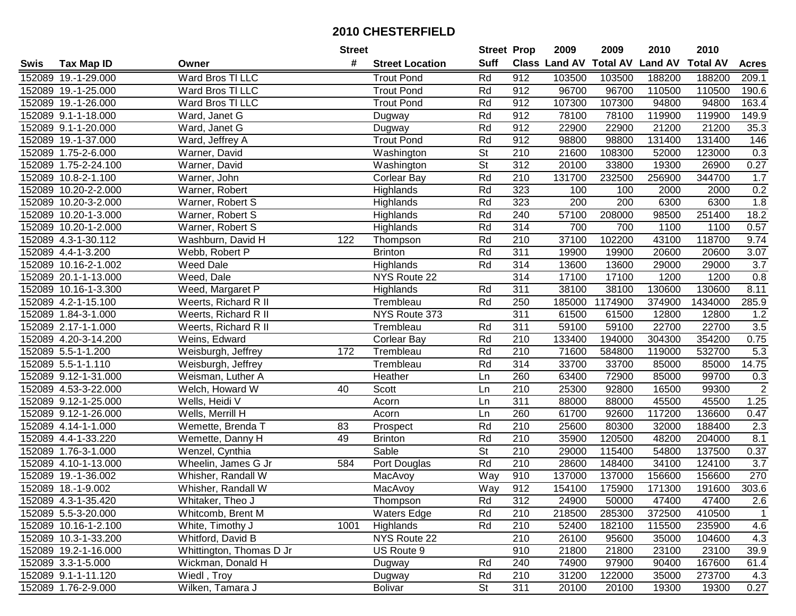|      |                      |                          | <b>Street</b> |                        | <b>Street Prop</b>       |                  | 2009                          | 2009    | 2010           | 2010            |                  |
|------|----------------------|--------------------------|---------------|------------------------|--------------------------|------------------|-------------------------------|---------|----------------|-----------------|------------------|
| Swis | <b>Tax Map ID</b>    | Owner                    | #             | <b>Street Location</b> | <b>Suff</b>              |                  | <b>Class Land AV Total AV</b> |         | <b>Land AV</b> | <b>Total AV</b> | <b>Acres</b>     |
|      | 152089 19.-1-29.000  | Ward Bros TI LLC         |               | <b>Trout Pond</b>      | Rd                       | 912              | 103500                        | 103500  | 188200         | 188200          | 209.1            |
|      | 152089 19.-1-25.000  | Ward Bros TI LLC         |               | <b>Trout Pond</b>      | Rd                       | 912              | 96700                         | 96700   | 110500         | 110500          | 190.6            |
|      | 152089 19.-1-26.000  | Ward Bros TI LLC         |               | <b>Trout Pond</b>      | Rd                       | 912              | 107300                        | 107300  | 94800          | 94800           | 163.4            |
|      | 152089 9.1-1-18.000  | Ward, Janet G            |               | Dugway                 | Rd                       | 912              | 78100                         | 78100   | 119900         | 119900          | 149.9            |
|      | 152089 9.1-1-20.000  | Ward, Janet G            |               | Dugway                 | Rd                       | 912              | 22900                         | 22900   | 21200          | 21200           | 35.3             |
|      | 152089 19.-1-37.000  | Ward, Jeffrey A          |               | <b>Trout Pond</b>      | Rd                       | 912              | 98800                         | 98800   | 131400         | 131400          | 146              |
|      | 152089 1.75-2-6.000  | Warner, David            |               | Washington             | $\overline{\mathsf{St}}$ | 210              | 21600                         | 108300  | 52000          | 123000          | 0.3              |
|      | 152089 1.75-2-24.100 | Warner, David            |               | Washington             | $\overline{\mathsf{St}}$ | 312              | 20100                         | 33800   | 19300          | 26900           | 0.27             |
|      | 152089 10.8-2-1.100  | Warner, John             |               | Corlear Bay            | Rd                       | $\overline{210}$ | 131700                        | 232500  | 256900         | 344700          | 1.7              |
|      | 152089 10.20-2-2.000 | Warner, Robert           |               | Highlands              | Rd                       | 323              | 100                           | 100     | 2000           | 2000            | 0.2              |
|      | 152089 10.20-3-2.000 | Warner, Robert S         |               | Highlands              | Rd                       | 323              | $\overline{200}$              | 200     | 6300           | 6300            | 1.8              |
|      | 152089 10.20-1-3.000 | Warner, Robert S         |               | Highlands              | Rd                       | 240              | 57100                         | 208000  | 98500          | 251400          | 18.2             |
|      | 152089 10.20-1-2.000 | Warner, Robert S         |               | Highlands              | Rd                       | 314              | 700                           | 700     | 1100           | 1100            | 0.57             |
|      | 152089 4.3-1-30.112  | Washburn, David H        | 122           | Thompson               | Rd                       | 210              | 37100                         | 102200  | 43100          | 118700          | 9.74             |
|      | 152089 4.4-1-3.200   | Webb, Robert P           |               | <b>Brinton</b>         | Rd                       | $\overline{311}$ | 19900                         | 19900   | 20600          | 20600           | 3.07             |
|      | 152089 10.16-2-1.002 | Weed Dale                |               | Highlands              | Rd                       | 314              | 13600                         | 13600   | 29000          | 29000           | 3.7              |
|      | 152089 20.1-1-13.000 | Weed, Dale               |               | NYS Route 22           |                          | 314              | 17100                         | 17100   | 1200           | 1200            | 0.8              |
|      | 152089 10.16-1-3.300 | Weed, Margaret P         |               | Highlands              | Rd                       | 311              | 38100                         | 38100   | 130600         | 130600          | 8.11             |
|      | 152089 4.2-1-15.100  | Weerts, Richard R II     |               | Trembleau              | Rd                       | 250              | 185000                        | 1174900 | 374900         | 1434000         | 285.9            |
|      | 152089 1.84-3-1.000  | Weerts, Richard R II     |               | NYS Route 373          |                          | 311              | 61500                         | 61500   | 12800          | 12800           | 1.2              |
|      | 152089 2.17-1-1.000  | Weerts, Richard R II     |               | Trembleau              | Rd                       | 311              | 59100                         | 59100   | 22700          | 22700           | 3.5              |
|      | 152089 4.20-3-14.200 | Weins, Edward            |               | <b>Corlear Bay</b>     | Rd                       | 210              | 133400                        | 194000  | 304300         | 354200          | 0.75             |
|      | 152089 5.5-1-1.200   | Weisburgh, Jeffrey       | 172           | Trembleau              | Rd                       | 210              | 71600                         | 584800  | 119000         | 532700          | 5.3              |
|      | 152089 5.5-1-1.110   | Weisburgh, Jeffrey       |               | Trembleau              | Rd                       | 314              | 33700                         | 33700   | 85000          | 85000           | 14.75            |
|      | 152089 9.12-1-31.000 | Weisman, Luther A        |               | Heather                | Ln                       | 260              | 63400                         | 72900   | 85000          | 99700           | 0.3              |
|      | 152089 4.53-3-22.000 | Welch, Howard W          | 40            | Scott                  | Ln                       | 210              | 25300                         | 92800   | 16500          | 99300           | $\sqrt{2}$       |
|      | 152089 9.12-1-25.000 | Wells, Heidi V           |               | Acorn                  | Ln                       | $\overline{311}$ | 88000                         | 88000   | 45500          | 45500           | 1.25             |
|      | 152089 9.12-1-26.000 | Wells, Merrill H         |               | Acorn                  | Ln                       | 260              | 61700                         | 92600   | 117200         | 136600          | 0.47             |
|      | 152089 4.14-1-1.000  | Wemette, Brenda T        | 83            | Prospect               | Rd                       | 210              | 25600                         | 80300   | 32000          | 188400          | 2.3              |
|      | 152089 4.4-1-33.220  | Wemette, Danny H         | 49            | <b>Brinton</b>         | Rd                       | 210              | 35900                         | 120500  | 48200          | 204000          | 8.1              |
|      | 152089 1.76-3-1.000  | Wenzel, Cynthia          |               | Sable                  | $\overline{\mathsf{St}}$ | 210              | 29000                         | 115400  | 54800          | 137500          | 0.37             |
|      | 152089 4.10-1-13.000 | Wheelin, James G Jr      | 584           | Port Douglas           | Rd                       | $\overline{210}$ | 28600                         | 148400  | 34100          | 124100          | $\overline{3.7}$ |
|      | 152089 19.-1-36.002  | Whisher, Randall W       |               | MacAvoy                | Way                      | 910              | 137000                        | 137000  | 156600         | 156600          | 270              |
|      | 152089 18.-1-9.002   | Whisher, Randall W       |               | MacAvoy                | <b>Way</b>               | 912              | 154100                        | 175900  | 171300         | 191600          | 303.6            |
|      | 152089 4.3-1-35.420  | Whitaker, Theo J         |               | Thompson               | Rd                       | 312              | 24900                         | 50000   | 47400          | 47400           | 2.6              |
|      | 152089 5.5-3-20.000  | Whitcomb, Brent M        |               | <b>Waters Edge</b>     | Rd                       | 210              | 218500                        | 285300  | 372500         | 410500          | $\mathbf 1$      |
|      | 152089 10.16-1-2.100 | White, Timothy J         | 1001          | Highlands              | Rd                       | 210              | 52400                         | 182100  | 115500         | 235900          | 4.6              |
|      | 152089 10.3-1-33.200 | Whitford, David B        |               | NYS Route 22           |                          | 210              | 26100                         | 95600   | 35000          | 104600          | 4.3              |
|      | 152089 19.2-1-16.000 | Whittington, Thomas D Jr |               | US Route 9             |                          | 910              | 21800                         | 21800   | 23100          | 23100           | 39.9             |
|      | 152089 3.3-1-5.000   | Wickman, Donald H        |               | Dugway                 | Rd                       | 240              | 74900                         | 97900   | 90400          | 167600          | 61.4             |
|      | 152089 9.1-1-11.120  | Wiedl, Troy              |               | Dugway                 | Rd                       | 210              | 31200                         | 122000  | 35000          | 273700          | 4.3              |
|      | 152089 1.76-2-9.000  | Wilken, Tamara J         |               | <b>Bolivar</b>         | $\overline{\mathsf{St}}$ | 311              | 20100                         | 20100   | 19300          | 19300           | 0.27             |